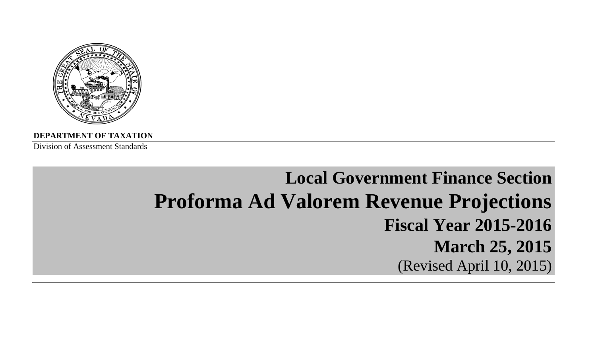

**DEPARTMENT OF TAXATION**

Division of Assessment Standards

# **Local Government Finance SectionProforma Ad Valorem Revenue Projections Fiscal Year 2015-2016March 25, 2015** (Revised April 10, 2015)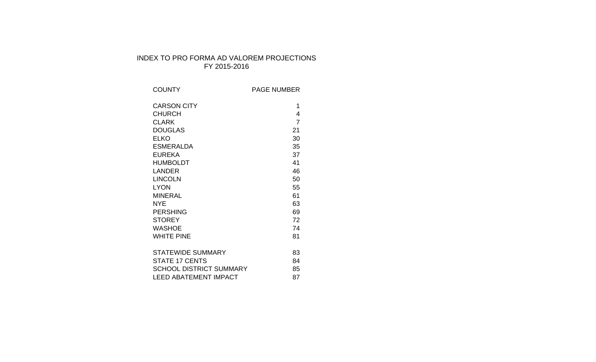# INDEX TO PRO FORMA AD VALOREM PROJECTIONS FY 2015-2016

| <b>COUNTY</b>                  | <b>PAGE NUMBER</b> |
|--------------------------------|--------------------|
| <b>CARSON CITY</b>             | 1                  |
| <b>CHURCH</b>                  | 4                  |
| <b>CLARK</b>                   | $\overline{7}$     |
| <b>DOUGLAS</b>                 | 21                 |
| <b>ELKO</b>                    | 30                 |
| <b>ESMERALDA</b>               | 35                 |
| <b>EUREKA</b>                  | 37                 |
| <b>HUMBOLDT</b>                | 41                 |
| LANDER                         | 46                 |
| <b>LINCOLN</b>                 | 50                 |
| <b>LYON</b>                    | 55                 |
| <b>MINERAL</b>                 | 61                 |
| NYE                            | 63                 |
| <b>PERSHING</b>                | 69                 |
| <b>STOREY</b>                  | 72                 |
| <b>WASHOE</b>                  | 74                 |
| <b>WHITE PINE</b>              | 81                 |
|                                |                    |
| <b>STATEWIDE SUMMARY</b>       | 83                 |
| <b>STATE 17 CENTS</b>          | 84                 |
| <b>SCHOOL DISTRICT SUMMARY</b> | 85                 |
| <b>LEED ABATEMENT IMPACT</b>   | 87                 |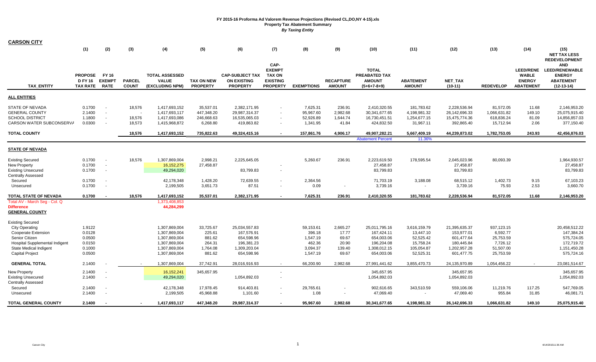| <b>CARSON CITY</b>                                                                                                                                                                            |                                                          |                  |                               |                                                                                                    |                                                               |                                                                                       |                                                                              |                                                                   |                                                        |                                                                                       |                                                                                |                                                                                       |                                                                           |                                                                       |                                                                                          |
|-----------------------------------------------------------------------------------------------------------------------------------------------------------------------------------------------|----------------------------------------------------------|------------------|-------------------------------|----------------------------------------------------------------------------------------------------|---------------------------------------------------------------|---------------------------------------------------------------------------------------|------------------------------------------------------------------------------|-------------------------------------------------------------------|--------------------------------------------------------|---------------------------------------------------------------------------------------|--------------------------------------------------------------------------------|---------------------------------------------------------------------------------------|---------------------------------------------------------------------------|-----------------------------------------------------------------------|------------------------------------------------------------------------------------------|
|                                                                                                                                                                                               | (1)                                                      | (2)              | (3)                           | (4)                                                                                                | (5)                                                           | (6)                                                                                   | (7)                                                                          | (8)                                                               | (9)                                                    | (10)                                                                                  | (11)                                                                           | (12)                                                                                  | (13)                                                                      | (14)                                                                  | (15)<br><b>NET TAX LESS</b><br><b>REDEVELOPMENT</b>                                      |
| <b>TAX ENTITY</b>                                                                                                                                                                             | PROPOSE FY 16<br>D FY 16 EXEMPT<br><b>TAX RATE</b>       | <b>RATE</b>      | <b>PARCEL</b><br><b>COUNT</b> | <b>TOTAL ASSESSED</b><br>VALUE<br>(EXCLUDING NPM)                                                  | <b>TAX ON NEW</b><br><b>PROPERTY</b>                          | <b>CAP-SUBJECT TAX</b><br><b>ON EXISTING</b><br><b>PROPERTY</b>                       | CAP-<br><b>EXEMPT</b><br><b>TAX ON</b><br><b>EXISTING</b><br><b>PROPERTY</b> | <b>EXEMPTIONS</b>                                                 | <b>RECAPTURE</b><br><b>AMOUNT</b>                      | <b>TOTAL</b><br>PREABATED TAX<br><b>AMOUNT</b><br>$(5+6+7-8+9)$                       | <b>ABATEMENT</b><br><b>AMOUNT</b>                                              | NET_TAX<br>$(10-11)$                                                                  | <b>REDEVELOP</b>                                                          | <b>LEED/RENE</b><br><b>WABLE</b><br><b>ENERGY</b><br><b>ABATEMENT</b> | <b>AND</b><br><b>LEED/RENEWABLE</b><br><b>ENERGY</b><br><b>ABATEMENT</b><br>$(12-13-14)$ |
| ALL ENTITIES                                                                                                                                                                                  |                                                          |                  |                               |                                                                                                    |                                                               |                                                                                       |                                                                              |                                                                   |                                                        |                                                                                       |                                                                                |                                                                                       |                                                                           |                                                                       |                                                                                          |
| STATE OF NEVADA<br><b>GENERAL COUNTY</b><br>SCHOOL DISTRICT                                                                                                                                   | 0.1700<br>2.1400<br>1.1800                               | $\sim$<br>$\sim$ | 18,576<br>18,576              | 1,417,693,152<br>1,417,693,117<br>1,417,693,086                                                    | 35,537.01<br>447,348.20<br>246,668.63                         | 2,382,171.95<br>29,987,314.37<br>16,535,065.03                                        |                                                                              | 7,625.31<br>95,967.60<br>52,926.89                                | 236.91<br>2,982.68<br>1,644.74                         | 2,410,320.55<br>30,341,677.65<br>16,730,451.51                                        | 181,783.62<br>4,198,981.32<br>1,254,677.15                                     | 2,228,536.94<br>26,142,696.33<br>15,475,774.36                                        | 81,572.05<br>1,066,631.82<br>618,836.24                                   | 11.68<br>149.10<br>81.09                                              | 2,146,953.20<br>25,075,915.40<br>14,856,857.03                                           |
| CARSON WATER SUBCONSERVA                                                                                                                                                                      | 0.0300                                                   |                  | 18,573                        | 1,415,968,872                                                                                      | 6,268.80                                                      | 419,863.82                                                                            |                                                                              | 1,341.95                                                          | 41.84                                                  | 424,832.50                                                                            | 31,967.11                                                                      | 392,865.40                                                                            | 15,712.94                                                                 | 2.06                                                                  | 377,150.40                                                                               |
| <b>TOTAL COUNTY</b>                                                                                                                                                                           |                                                          |                  | 18,576                        | 1,417,693,152                                                                                      | 735,822.63                                                    | 49,324,415.16                                                                         |                                                                              | 157,861.76                                                        | 4,906.17                                               | 49,907,282.21<br><b>Abatement Percent</b>                                             | 5,667,409.19<br>11.36%                                                         | 44,239,873.02                                                                         | 1,782,753.05                                                              | 243.93                                                                | 42,456,876.03                                                                            |
| <b>STATE OF NEVADA</b>                                                                                                                                                                        |                                                          |                  |                               |                                                                                                    |                                                               |                                                                                       |                                                                              |                                                                   |                                                        |                                                                                       |                                                                                |                                                                                       |                                                                           |                                                                       |                                                                                          |
| <b>Existing Secured</b><br>New Property<br><b>Existing Unsecured</b><br>Centrally Assessed                                                                                                    | 0.1700<br>0.1700<br>0.1700                               | $\sim$           | 18,576                        | 1,307,869,004<br>16, 152, 275<br>49,294,020                                                        | 2,998.21<br>27,458.87                                         | 2,225,645.05<br>83,799.83                                                             | $\sim$                                                                       | 5,260.67                                                          | 236.91                                                 | 2,223,619.50<br>27,458.87<br>83,799.83                                                | 178,595.54                                                                     | 2,045,023.96<br>27,458.87<br>83,799.83                                                | 80,093.39                                                                 |                                                                       | 1,964,930.57<br>27,458.87<br>83,799.83                                                   |
| Secured<br>Unsecured                                                                                                                                                                          | 0.1700<br>0.1700                                         |                  |                               | 42,178,348<br>2,199,505                                                                            | 1,428.20<br>3,651.73                                          | 72,639.55<br>87.51                                                                    |                                                                              | 2,364.56<br>0.09                                                  |                                                        | 71,703.19<br>3,739.16                                                                 | 3,188.08                                                                       | 68,515.12<br>3,739.16                                                                 | 1,402.73<br>75.93                                                         | 9.15<br>2.53                                                          | 67,103.23<br>3,660.70                                                                    |
| TOTAL STATE OF NEVADA                                                                                                                                                                         | 0.1700                                                   |                  | 18,576                        | 1,417,693,152                                                                                      | 35,537.01                                                     | 2,382,171.95                                                                          |                                                                              | 7,625.31                                                          | 236.91                                                 | 2,410,320.55                                                                          | 181,783.62                                                                     | 2,228,536.94                                                                          | 81,572.05                                                                 | 11.68                                                                 | 2,146,953.20                                                                             |
| Total AV - March Seg - Col. Q<br>Difference<br><b>GENERAL COUNTY</b>                                                                                                                          |                                                          |                  |                               | 1,373,408,853<br>44,284,299                                                                        |                                                               |                                                                                       |                                                                              |                                                                   |                                                        |                                                                                       |                                                                                |                                                                                       |                                                                           |                                                                       |                                                                                          |
| <b>Existing Secured</b><br><b>City Operating</b><br><b>Cooperate Extension</b><br>Senior Citizen<br>Hospital Supplemental Indigent<br><b>State Medical Indigent</b><br><b>Capital Project</b> | 1.9122<br>0.0128<br>0.0500<br>0.0150<br>0.1000<br>0.0500 |                  |                               | 1,307,869,004<br>1,307,869,004<br>1,307,869,004<br>1,307,869,004<br>1,307,869,004<br>1,307,869,004 | 33,725.67<br>225.61<br>881.62<br>264.31<br>1,764.08<br>881.62 | 25,034,557.83<br>167,576.91<br>654,598.96<br>196,381.23<br>1,309,203.04<br>654,598.96 |                                                                              | 59,153.61<br>396.18<br>1,547.19<br>462.36<br>3,094.37<br>1,547.19 | 2,665.27<br>17.77<br>69.67<br>20.90<br>139.40<br>69.67 | 25,011,795.16<br>167,424.11<br>654,003.06<br>196,204.08<br>1,308,012.15<br>654,003.06 | 3,616,159.79<br>13,447.10<br>52,525.42<br>15,758.24<br>105,054.87<br>52,525.31 | 21,395,635.37<br>153,977.01<br>601,477.64<br>180,445.84<br>1,202,957.28<br>601,477.75 | 937,123.15<br>6,592.77<br>25,753.59<br>7,726.12<br>51,507.00<br>25,753.59 |                                                                       | 20,458,512.22<br>147,384.24<br>575,724.05<br>172,719.72<br>1,151,450.28<br>575,724.16    |
| <b>GENERAL TOTAL</b>                                                                                                                                                                          | 2.1400                                                   |                  |                               | 1,307,869,004                                                                                      | 37,742.91                                                     | 28,016,916.93                                                                         |                                                                              | 66.200.90                                                         | 2.982.68                                               | 27.991.441.62                                                                         | 3,855,470.73                                                                   | 24,135,970.89                                                                         | 1,054,456.22                                                              | $\sim$                                                                | 23,081,514.67                                                                            |
| New Property<br>Existing Unsecured<br>Centrally Assessed                                                                                                                                      | 2.1400<br>2.1400                                         | $\sim$           |                               | 16, 152, 241<br>49,294,020                                                                         | 345,657.95                                                    | 1,054,892.03                                                                          |                                                                              |                                                                   |                                                        | 345,657.95<br>1,054,892.03                                                            |                                                                                | 345,657.95<br>1,054,892.03                                                            |                                                                           |                                                                       | 345,657.95<br>1,054,892.03                                                               |
| Secured<br>Unsecured                                                                                                                                                                          | 2.1400<br>2.1400                                         |                  |                               | 42,178,348<br>2,199,505                                                                            | 17,978.45<br>45,968.88                                        | 914,403.81<br>1,101.60                                                                |                                                                              | 29,765.61<br>1.08                                                 | $\overline{\phantom{a}}$                               | 902,616.65<br>47,069.40                                                               | 343,510.59                                                                     | 559,106.06<br>47,069.40                                                               | 11,219.76<br>955.84                                                       | 117.25<br>31.85                                                       | 547,769.05<br>46,081.71                                                                  |
| <b>TOTAL GENERAL COUNTY</b>                                                                                                                                                                   | 2.1400                                                   |                  |                               | 1,417,693,117                                                                                      | 447,348.20                                                    | 29,987,314.37                                                                         |                                                                              | 95,967.60                                                         | 2,982.68                                               | 30,341,677.65                                                                         | 4,198,981.32                                                                   | 26,142,696.33                                                                         | 1,066,631.82                                                              | 149.10                                                                | 25,075,915.40                                                                            |

 $\sim$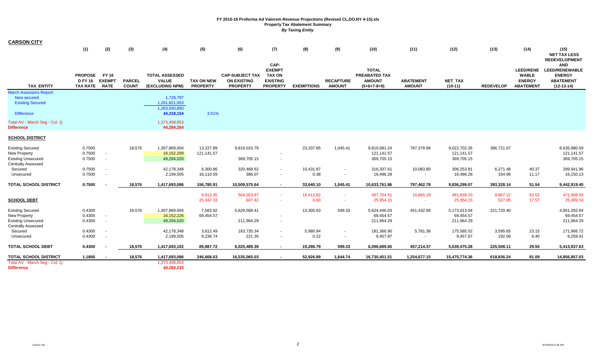| <b>CARSON CITY</b>                                                                                       |                                                 |                  |                               |                                                          |                                      |                                                                 |                                                                              |                   |                                   |                                                                 |                                   |                                           |                    |                                                                       |                                                                                          |
|----------------------------------------------------------------------------------------------------------|-------------------------------------------------|------------------|-------------------------------|----------------------------------------------------------|--------------------------------------|-----------------------------------------------------------------|------------------------------------------------------------------------------|-------------------|-----------------------------------|-----------------------------------------------------------------|-----------------------------------|-------------------------------------------|--------------------|-----------------------------------------------------------------------|------------------------------------------------------------------------------------------|
|                                                                                                          | (1)                                             | (2)              | (3)                           | (4)                                                      | (5)                                  | (6)                                                             | (7)                                                                          | (8)               | (9)                               | (10)                                                            | (11)                              | (12)                                      | (13)               | (14)                                                                  | (15)<br><b>NET TAX LESS</b><br><b>REDEVELOPMENT</b>                                      |
| <b>TAX ENTITY</b>                                                                                        | PROPOSE FY 16<br>DFY 16 EXEMPT<br>TAX RATE RATE |                  | <b>PARCEL</b><br><b>COUNT</b> | <b>TOTAL ASSESSED</b><br><b>VALUE</b><br>(EXCLUDING NPM) | <b>TAX ON NEW</b><br><b>PROPERTY</b> | <b>CAP-SUBJECT TAX</b><br><b>ON EXISTING</b><br><b>PROPERTY</b> | CAP-<br><b>EXEMPT</b><br><b>TAX ON</b><br><b>EXISTING</b><br><b>PROPERTY</b> | <b>EXEMPTIONS</b> | <b>RECAPTURE</b><br><b>AMOUNT</b> | <b>TOTAL</b><br>PREABATED TAX<br><b>AMOUNT</b><br>$(5+6+7-8+9)$ | <b>ABATEMENT</b><br><b>AMOUNT</b> | NET_TAX<br>$(10-11)$                      | <b>REDEVELOP</b>   | <b>LEED/RENE</b><br><b>WABLE</b><br><b>ENERGY</b><br><b>ABATEMENT</b> | <b>AND</b><br><b>LEED/RENEWABLE</b><br><b>ENERGY</b><br><b>ABATEMENT</b><br>$(12-13-14)$ |
| <b>March Assessors Report:</b><br>New secured<br><b>Existing Secured</b>                                 |                                                 |                  |                               | 1,729,797<br>1,261,821,053<br>1.263.550.850              |                                      |                                                                 |                                                                              |                   |                                   |                                                                 |                                   |                                           |                    |                                                                       |                                                                                          |
| <b>Difference</b>                                                                                        |                                                 |                  |                               | 44,318,154                                               | 3.51%                                |                                                                 |                                                                              |                   |                                   |                                                                 |                                   |                                           |                    |                                                                       |                                                                                          |
| Total AV - March Seg - Col. Q<br><b>Difference</b>                                                       |                                                 |                  |                               | 1,373,408,853<br>44,284,264                              |                                      |                                                                 |                                                                              |                   |                                   |                                                                 |                                   |                                           |                    |                                                                       |                                                                                          |
| <b>SCHOOL DISTRICT</b>                                                                                   |                                                 |                  |                               |                                                          |                                      |                                                                 |                                                                              |                   |                                   |                                                                 |                                   |                                           |                    |                                                                       |                                                                                          |
| <b>Existing Secured</b><br>New Property<br><b>Existing Unsecured</b><br>Centrally Assessed               | 0.7500<br>0.7500<br>0.7500                      | $\sim$           | 18,576                        | 1,307,869,004<br>16,152,209<br>49,294,020                | 13,227.89<br>121,141.57              | 9,819,015.79<br>369,705.15                                      | $\sim$                                                                       | 23,207.85         | 1,045.41                          | 9,810,081.24<br>121,141.57<br>369,705.15                        | 787,378.98                        | 9,022,702.26<br>121, 141.57<br>369,705.15 | 386,721.67         |                                                                       | 8,635,980.59<br>121,141.57<br>369,705.15                                                 |
| Secured<br>Unsecured                                                                                     | 0.7500<br>0.7500                                | $\sim$<br>$\sim$ |                               | 42,178,348<br>2,199,505                                  | 6,300.86<br>16,110.59                | 320,468.62<br>386.07                                            | $\sim$<br>$\sim$                                                             | 10,431.87<br>0.38 | $\sim$<br>$\sim$                  | 316,337.61<br>16,496.28                                         | 10,083.80                         | 306,253.81<br>16,496.28                   | 6,271.48<br>334.99 | 40.37<br>11.17                                                        | 299,941.96<br>16,150.13                                                                  |
| TOTAL SCHOOL DISTRICT                                                                                    | 0.7500                                          |                  | 18,576                        | 1,417,693,086                                            | 156,780.91                           | 10,509,575.64                                                   | $\sim$                                                                       | 33,640.10         | 1,045.41                          | 10,633,761.86                                                   | 797,462.78                        | 9,836,299.07                              | 393,328.14         | 51.54                                                                 | 9,442,919.40                                                                             |
| <b>SCHOOL DEBT</b>                                                                                       |                                                 |                  |                               |                                                          | 9,913.35<br>25,347.33                | 504,203.97<br>607.42                                            |                                                                              | 16,412.82<br>0.60 | $\sim$                            | 497,704.51<br>25,954.15                                         | 15,865.18                         | 481,839.33<br>25,954.15                   | 9,867.12<br>527.05 | 63.52<br>17.57                                                        | 471,908.69<br>25,409.53                                                                  |
| <b>Existing Secured</b><br><b>New Property</b><br><b>Existing Unsecured</b><br><b>Centrally Assessed</b> | 0.4300<br>0.4300<br>0.4300                      | $\sim$<br>$\sim$ | 18,576                        | 1,307,869,004<br>16,152,226<br>49,294,020                | 7,583.92<br>69,454.57                | 5,629,568.41<br>211,964.29                                      |                                                                              | 13,305.63         | 599.33                            | 5,624,446.03<br>69,454.57<br>211,964.29                         | 451,432.99                        | 5,173,013.04<br>69,454.57<br>211,964.29   | 221,720.40         |                                                                       | 4,951,292.64<br>69,454.57<br>211,964.29                                                  |
| Secured<br>Unsecured                                                                                     | 0.4300<br>0.4300                                | $\sim$           |                               | 42,178,348<br>2,199,505                                  | 3,612.49<br>9,236.74                 | 183,735.34<br>221.35                                            |                                                                              | 5,980.94<br>0.22  | $\sim$<br>$\sim$                  | 181,366.90<br>9,457.87                                          | 5,781.38                          | 175,585.52<br>9,457.87                    | 3,595.65<br>192.06 | 23.15<br>6.40                                                         | 171,966.72<br>9,259.41                                                                   |
| <b>TOTAL SCHOOL DEBT</b>                                                                                 | 0.4300                                          |                  | 18,576                        | 1,417,693,102                                            | 89,887.72                            | 6,025,489.39                                                    | $\overline{\phantom{a}}$                                                     | 19,286.79         | 599.33                            | 6,096,689.65                                                    | 457,214.37                        | 5,639,475.28                              | 225,508.11         | 29.55                                                                 | 5,413,937.63                                                                             |
| <b>TOTAL SCHOOL DISTRICT</b>                                                                             | 1.1800                                          |                  | 18,576                        | 1,417,693,086                                            | 246,668.63                           | 16,535,065.03                                                   | $\sim$                                                                       | 52,926.89         | 1,644.74                          | 16,730,451.51                                                   | 1,254,677.15                      | 15,475,774.36                             | 618,836.24         | 81.09                                                                 | 14,856,857.03                                                                            |
| Total AV - March Seg - Col. Q<br><b>Difference</b>                                                       |                                                 |                  |                               | 1,373,408,853<br>44,284,233                              |                                      |                                                                 |                                                                              |                   |                                   |                                                                 |                                   |                                           |                    |                                                                       |                                                                                          |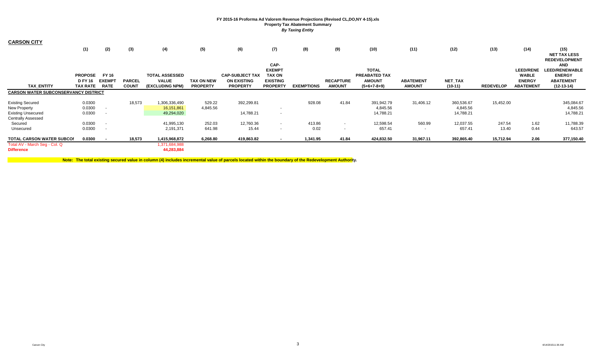| <b>CARSON CITY</b>                                 |                 |               |               |                             |                   |                        |                                  |                   |                  |                                      |                  |                |                  |                               |                                        |
|----------------------------------------------------|-----------------|---------------|---------------|-----------------------------|-------------------|------------------------|----------------------------------|-------------------|------------------|--------------------------------------|------------------|----------------|------------------|-------------------------------|----------------------------------------|
|                                                    | (1)             | (2)           | (3)           | (4)                         | (5)               | (6)                    | (7)                              | (8)               | (9)              | (10)                                 | (11)             | (12)           | (13)             | (14)                          | (15)                                   |
|                                                    |                 |               |               |                             |                   |                        |                                  |                   |                  |                                      |                  |                |                  |                               | <b>NET TAX LESS</b>                    |
|                                                    |                 |               |               |                             |                   |                        |                                  |                   |                  |                                      |                  |                |                  |                               | <b>REDEVELOPMENT</b>                   |
|                                                    |                 |               |               |                             |                   |                        | CAP-                             |                   |                  |                                      |                  |                |                  |                               | <b>AND</b>                             |
|                                                    | <b>PROPOSE</b>  | <b>FY 16</b>  |               | <b>TOTAL ASSESSED</b>       |                   | <b>CAP-SUBJECT TAX</b> | <b>EXEMPT</b>                    |                   |                  | <b>TOTAL</b><br><b>PREABATED TAX</b> |                  |                |                  | <b>LEED/RENE</b>              | <b>LEED/RENEWABLE</b><br><b>ENERGY</b> |
|                                                    | <b>D FY 16</b>  | <b>EXEMPT</b> | <b>PARCEL</b> | <b>VALUE</b>                | <b>TAX ON NEW</b> | <b>ON EXISTING</b>     | <b>TAX ON</b><br><b>EXISTING</b> |                   | <b>RECAPTURE</b> | <b>AMOUNT</b>                        | <b>ABATEMENT</b> | <b>NET TAX</b> |                  | <b>WABLE</b><br><b>ENERGY</b> | <b>ABATEMENT</b>                       |
| <b>TAX ENTITY</b>                                  | <b>TAX RATE</b> | <b>RATE</b>   | <b>COUNT</b>  | (EXCLUDING NPM)             | <b>PROPERTY</b>   | <b>PROPERTY</b>        | <b>PROPERTY</b>                  | <b>EXEMPTIONS</b> | <b>AMOUNT</b>    | $(5+6+7-8+9)$                        | <b>AMOUNT</b>    | $(10-11)$      | <b>REDEVELOP</b> | <b>ABATEMENT</b>              | $(12-13-14)$                           |
| <b>CARSON WATER SUBCONSERVANCY DISTRICT</b>        |                 |               |               |                             |                   |                        |                                  |                   |                  |                                      |                  |                |                  |                               |                                        |
| <b>Existing Secured</b>                            | 0.0300          |               | 18,573        | 1,306,336,490               | 529.22            | 392,299.81             |                                  | 928.08            | 41.84            | 391,942.79                           | 31,406.12        | 360,536.67     | 15,452.00        |                               | 345,084.67                             |
| New Property                                       | 0.0300          |               |               | 16,151,861                  | 4,845.56          |                        | $\overline{\phantom{a}}$         |                   |                  | 4,845.56                             |                  | 4,845.56       |                  |                               | 4,845.56                               |
| <b>Existing Unsecured</b>                          | 0.0300          |               |               | 49,294,020                  |                   | 14,788.21              | $\sim$                           |                   |                  | 14,788.21                            |                  | 14,788.21      |                  |                               | 14,788.21                              |
| <b>Centrally Assessed</b>                          |                 |               |               |                             |                   |                        |                                  |                   |                  |                                      |                  |                |                  |                               |                                        |
| Secured                                            | 0.0300          |               |               | 41,995,130                  | 252.03            | 12,760.36              | $\sim$                           | 413.86            | $\sim$           | 12,598.54                            | 560.99           | 12,037.55      | 247.54           | 1.62                          | 11,788.39                              |
| Unsecured                                          | 0.0300          |               |               | 2,191,371                   | 641.98            | 15.44                  | $\sim$                           | 0.02              | $\sim$           | 657.41                               | $\sim$           | 657.41         | 13.40            | 0.44                          | 643.57                                 |
| <b>TOTAL CARSON WATER SUBCOI</b>                   | 0.0300          |               | 18,573        | 1,415,968,872               | 6,268.80          | 419,863.82             | $\sim$                           | 1,341.95          | 41.84            | 424,832.50                           | 31,967.11        | 392,865.40     | 15,712.94        | 2.06                          | 377,150.40                             |
| Total AV - March Seg - Col. Q<br><b>Difference</b> |                 |               |               | 1,371,684,988<br>44,283,884 |                   |                        |                                  |                   |                  |                                      |                  |                |                  |                               |                                        |

**Note: The total existing secured value in column (4) includes incremental value of parcels located within the boundary of the Redevelopment Authority.**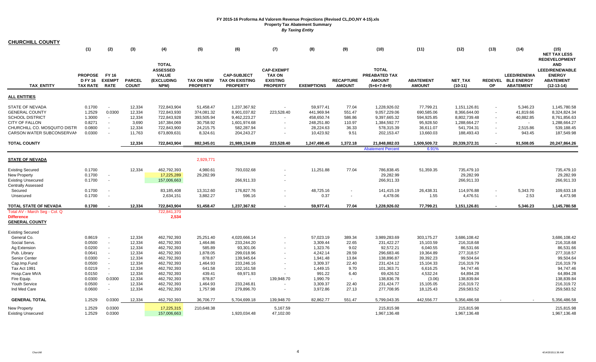| <b>CHURCHILL COUNTY</b>                                |                                                     |                                              |                               |                                                                       |                                      |                                                                 |                                                                          |                   |                                   |                                                                 |                                   |                            |           |                                                              |                                                                                          |
|--------------------------------------------------------|-----------------------------------------------------|----------------------------------------------|-------------------------------|-----------------------------------------------------------------------|--------------------------------------|-----------------------------------------------------------------|--------------------------------------------------------------------------|-------------------|-----------------------------------|-----------------------------------------------------------------|-----------------------------------|----------------------------|-----------|--------------------------------------------------------------|------------------------------------------------------------------------------------------|
|                                                        | (1)                                                 | (2)                                          | (3)                           | (4)                                                                   | (5)                                  | (6)                                                             | (7)                                                                      | (8)               | (9)                               | (10)                                                            | (11)                              | (12)                       | (13)      | (14)                                                         | (15)<br><b>NET TAX LESS</b><br><b>REDEVELOPMENT</b>                                      |
| <b>TAX ENTITY</b>                                      | <b>PROPOSE</b><br><b>D FY 16</b><br><b>TAX RATE</b> | <b>FY 16</b><br><b>EXEMPT</b><br><b>RATE</b> | <b>PARCEL</b><br><b>COUNT</b> | <b>TOTAL</b><br><b>ASSESSED</b><br><b>VALUE</b><br>(EXCLUDING<br>NPM) | <b>TAX ON NEW</b><br><b>PROPERTY</b> | <b>CAP-SUBJECT</b><br><b>TAX ON EXISTING</b><br><b>PROPERTY</b> | <b>CAP-EXEMPT</b><br><b>TAX ON</b><br><b>EXISTING</b><br><b>PROPERTY</b> | <b>EXEMPTIONS</b> | <b>RECAPTURE</b><br><b>AMOUNT</b> | <b>TOTAL</b><br>PREABATED TAX<br><b>AMOUNT</b><br>$(5+6+7-8+9)$ | <b>ABATEMENT</b><br><b>AMOUNT</b> | NET_TAX<br>$(10-11)$       | <b>OP</b> | <b>LEED/RENEWA</b><br>REDEVEL BLE ENERGY<br><b>ABATEMENT</b> | <b>AND</b><br><b>LEED/RENEWABLE</b><br><b>ENERGY</b><br><b>ABATEMENT</b><br>$(12-13-14)$ |
| <b>ALL ENTITIES</b>                                    |                                                     |                                              |                               |                                                                       |                                      |                                                                 |                                                                          |                   |                                   |                                                                 |                                   |                            |           |                                                              |                                                                                          |
| <b>STATE OF NEVADA</b>                                 | 0.1700                                              | $\sim$                                       | 12,334                        | 722,843,904                                                           | 51,458.47                            | 1,237,367.92                                                    |                                                                          | 59,977.41         | 77.04                             | 1,228,926.02                                                    | 77,799.21                         | 1,151,126.81               |           | 5,346.23                                                     | 1,145,780.58                                                                             |
| <b>GENERAL COUNTY</b>                                  | 1.2529                                              | 0.0300                                       | 12,334                        | 722,843,930                                                           | 374,081.32                           | 8,901,037.82                                                    | 223,528.40                                                               | 441,969.94        | 551.47                            | 9,057,229.06                                                    | 690,585.06                        | 8,366,644.00               |           | 41,819.66                                                    | 8,324,824.34                                                                             |
| <b>SCHOOL DISTRICT</b>                                 | 1.3000                                              | $\sim$                                       | 12,334                        | 722,843,928                                                           | 393,505.94                           | 9,462,223.27                                                    |                                                                          | 458,650.74        | 586.86                            | 9,397,665.32                                                    | 594,925.85                        | 8,802,739.48               |           | 40,882.85                                                    | 8,761,856.63                                                                             |
| <b>CITY OF FALLON</b>                                  | 0.8271                                              | $\sim$                                       | 3,690                         | 167,384,069                                                           | 30,758.92                            | 1,601,974.68                                                    |                                                                          | 248,251.80        | 110.97                            | 1,384,592.77                                                    | 95,928.50                         | 1,288,664.27               |           | $\sim$                                                       | 1,288,664.27                                                                             |
| CHURCHILL CO. MOSQUITO DISTR                           | 0.0800                                              | $\sim$                                       | 12,334                        | 722,843,900                                                           | 24,215.75                            | 582,287.94                                                      |                                                                          | 28,224.63         | 36.33                             | 578,315.39                                                      | 36,611.07                         | 541,704.31                 |           | 2,515.86                                                     | 539,188.45                                                                               |
| CARSON WATER SUBCONSERVAN                              | 0.0300                                              | $\sim$                                       | 11,763                        | 673,809,631                                                           | 8,324.61                             | 204,243.27                                                      |                                                                          | 10,423.92         | 9.51                              | 202,153.47                                                      | 13,660.03                         | 188,493.43                 |           | 943.45                                                       | 187,549.98                                                                               |
| <b>TOTAL COUNTY</b>                                    |                                                     |                                              | 12,334                        | 722,843,904                                                           | 882,345.01                           | 21,989,134.89                                                   | 223,528.40                                                               | 1,247,498.45      | 1,372.18                          | 21,848,882.03                                                   | 1,509,509.72                      | 20,339,372.31              |           | 91,508.05                                                    | 20,247,864.26                                                                            |
|                                                        |                                                     |                                              |                               |                                                                       |                                      |                                                                 |                                                                          |                   |                                   | <b>Abatement Percent</b>                                        | 6.91%                             |                            |           |                                                              |                                                                                          |
| <b>STATE OF NEVADA</b>                                 |                                                     |                                              |                               |                                                                       | 2,929,771                            |                                                                 |                                                                          |                   |                                   |                                                                 |                                   |                            |           |                                                              |                                                                                          |
| <b>Existing Secured</b>                                | 0.1700                                              |                                              | 12,334                        | 462,792,393                                                           | 4,980.61                             | 793,032.68                                                      |                                                                          | 11,251.88         | 77.04                             | 786,838.45                                                      | 51,359.35                         | 735,479.10                 |           |                                                              | 735,479.10                                                                               |
| <b>New Property</b>                                    | 0.1700                                              | $\sim$                                       |                               | 17,225,289                                                            | 29,282.99                            |                                                                 |                                                                          |                   |                                   | 29,282.99                                                       |                                   | 29,282.99                  |           |                                                              | 29,282.99                                                                                |
| <b>Existing Unsecured</b><br><b>Centrally Assessed</b> | 0.1700                                              | $\sim$                                       |                               | 157,006,663                                                           |                                      | 266,911.33                                                      |                                                                          |                   |                                   | 266,911.33                                                      |                                   | 266,911.33                 |           |                                                              | 266,911.33                                                                               |
|                                                        |                                                     | $\sim$                                       |                               |                                                                       |                                      |                                                                 |                                                                          |                   |                                   |                                                                 |                                   |                            |           |                                                              |                                                                                          |
| Secured<br>Unsecured                                   | 0.1700<br>0.1700                                    | $\sim$                                       |                               | 83,185,408<br>2,634,151                                               | 13,312.60<br>3,882.27                | 176,827.76<br>596.16                                            | $\blacksquare$                                                           | 48,725.16<br>0.37 | $\sim$                            | 141,415.19<br>4,478.06                                          | 26,438.31<br>1.55                 | 114,976.88<br>4,476.51     | $\sim$    | 5,343.70<br>2.53                                             | 109,633.18<br>4,473.98                                                                   |
| TOTAL STATE OF NEVADA                                  | 0.1700                                              |                                              | 12,334                        | 722,843,904                                                           | 51,458.47                            | 1,237,367.92                                                    |                                                                          | 59,977.41         | 77.04                             | 1,228,926.02                                                    | 77,799.21                         | 1,151,126.81               |           | 5,346.23                                                     | 1,145,780.58                                                                             |
| Total AV - March Seg - Col. Q                          |                                                     |                                              |                               | 722,841,370                                                           |                                      |                                                                 |                                                                          |                   |                                   |                                                                 |                                   |                            |           |                                                              |                                                                                          |
| <b>Difference</b><br><b>GENERAL COUNTY</b>             |                                                     |                                              |                               | 2,534                                                                 |                                      |                                                                 |                                                                          |                   |                                   |                                                                 |                                   |                            |           |                                                              |                                                                                          |
| <b>Existing Secured</b>                                |                                                     |                                              |                               |                                                                       |                                      |                                                                 |                                                                          |                   |                                   |                                                                 |                                   |                            |           |                                                              |                                                                                          |
| General Co.                                            | 0.8619                                              | $\sim$                                       | 12,334                        | 462,792,393                                                           | 25,251.40                            | 4,020,666.14                                                    |                                                                          | 57,023.19         | 389.34                            | 3,989,283.69                                                    | 303,175.27                        | 3,686,108.42               |           |                                                              | 3,686,108.42                                                                             |
| Social Servs.                                          | 0.0500                                              | $\sim$                                       | 12,334                        | 462,792,393                                                           | 1,464.86                             | 233,244.20                                                      |                                                                          | 3,309.44          | 22.65                             | 231,422.27                                                      | 15,103.59                         | 216,318.68                 |           |                                                              | 216,318.68                                                                               |
| Ag Extension                                           | 0.0200                                              | $\sim$                                       | 12,334                        | 462,792,393                                                           | 585.89                               | 93,301.06                                                       |                                                                          | 1,323.76          | 9.02                              | 92,572.21                                                       | 6,040.55                          | 86,531.66                  |           |                                                              | 86,531.66                                                                                |
| Pub. Library                                           | 0.0641                                              | $\sim$                                       | 12,334                        | 462,792,393                                                           | 1,878.05                             | 299,018.96                                                      |                                                                          | 4,242.14          | 28.59                             | 296,683.46                                                      | 19,364.89                         | 277,318.57                 |           |                                                              | 277,318.57                                                                               |
| Senior Center                                          | 0.0300                                              | $\sim$                                       | 12,334                        | 462,792,393                                                           | 878.87                               | 139,945.64                                                      |                                                                          | 1,941.48          | 13.84                             | 138,896.87                                                      | 39,392.23                         | 99,504.64                  |           |                                                              | 99,504.64                                                                                |
| Cap.Imp.Fund                                           | 0.0500                                              | $\sim$                                       | 12,334                        | 462,792,393                                                           | 1,464.93                             | 233,246.16                                                      |                                                                          | 3,309.37          | 22.40                             | 231,424.12                                                      | 15,104.33                         | 216,319.79                 |           |                                                              | 216,319.79                                                                               |
| Tax Act 1991                                           | 0.0219                                              | $\sim$                                       | 12,334                        | 462,792,393                                                           | 641.58                               | 102,161.58                                                      |                                                                          | 1,449.15          | 9.70                              | 101,363.71                                                      | 6,616.25                          | 94,747.46                  |           |                                                              | 94,747.46                                                                                |
| Hosp.Care MVA                                          | 0.0150                                              | $\sim$                                       | 12,334                        | 462,792,393                                                           | 439.41                               | 69,971.93                                                       |                                                                          | 991.22            | 6.40                              | 69,426.52                                                       | 4,532.24                          | 64,894.28                  |           |                                                              | 64,894.28                                                                                |
| Fire Equip.                                            | 0.0300                                              | 0.0300                                       | 12,334                        | 462,792,393                                                           | 878.87                               |                                                                 | 139,948.70                                                               | 1,990.79          |                                   | 138,836.78                                                      | (3.06)                            | 138,839.84                 |           |                                                              | 138,839.84                                                                               |
| Youth Service                                          | 0.0500                                              | $\sim$                                       | 12,334                        | 462,792,393                                                           | 1,464.93                             | 233,246.81                                                      |                                                                          | 3,309.37          | 22.40                             | 231,424.77                                                      | 15,105.05                         | 216,319.72                 |           |                                                              | 216,319.72                                                                               |
| Ind Med Care                                           | 0.0600                                              | $\sim$                                       | 12,334                        | 462,792,393                                                           | 1,757.98                             | 279,896.70                                                      | $\blacksquare$                                                           | 3,972.86          | 27.13                             | 277,708.95                                                      | 18,125.43                         | 259,583.52                 |           |                                                              | 259,583.52                                                                               |
| <b>GENERAL TOTAL</b>                                   | 1.2529                                              | 0.0300                                       | 12,334                        | 462,792,393                                                           | 36,706.77                            | 5,704,699.18                                                    | 139,948.70                                                               | 82,862.77         | 551.47                            | 5,799,043.35                                                    | 442,556.77                        | 5,356,486.58               |           |                                                              | 5,356,486.58                                                                             |
| New Property<br><b>Existing Unsecured</b>              | 1.2529<br>1.2529                                    | 0.0300<br>0.0300                             |                               | 17,225,315<br>157,006,663                                             | 210,648.38                           | 1,920,034.48                                                    | 5,167.59<br>47,102.00                                                    |                   |                                   | 215,815.98<br>1,967,136.48                                      |                                   | 215,815.98<br>1,967,136.48 |           |                                                              | 215,815.98<br>1,967,136.48                                                               |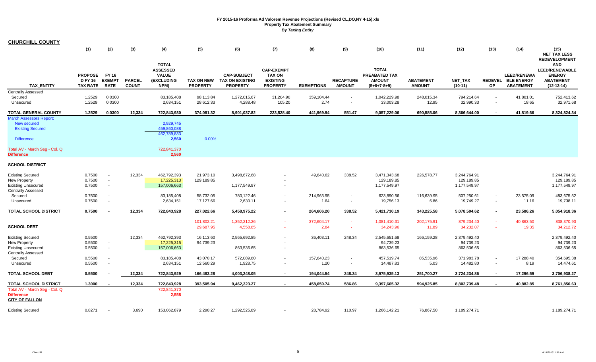| <b>CHURCHILL COUNTY</b>                                                                                                                                    |                                                     |                                                      |                               |                                                                          |                               |                                                                 |                                                                          |                    |                                   |                                                                        |                                   |                                            |           |                                                              |                                                                                          |
|------------------------------------------------------------------------------------------------------------------------------------------------------------|-----------------------------------------------------|------------------------------------------------------|-------------------------------|--------------------------------------------------------------------------|-------------------------------|-----------------------------------------------------------------|--------------------------------------------------------------------------|--------------------|-----------------------------------|------------------------------------------------------------------------|-----------------------------------|--------------------------------------------|-----------|--------------------------------------------------------------|------------------------------------------------------------------------------------------|
|                                                                                                                                                            | (1)                                                 | (2)                                                  | (3)                           | (4)                                                                      | (5)                           | (6)                                                             | (7)                                                                      | (8)                | (9)                               | (10)                                                                   | (11)                              | (12)                                       | (13)      | (14)                                                         | (15)<br><b>NET TAX LESS</b><br><b>REDEVELOPMENT</b>                                      |
| <b>TAX ENTITY</b>                                                                                                                                          | <b>PROPOSE</b><br><b>D FY 16</b><br><b>TAX RATE</b> | <b>FY 16</b><br><b>EXEMPT</b><br><b>RATE</b>         | <b>PARCEL</b><br><b>COUNT</b> | <b>TOTAL</b><br><b>ASSESSED</b><br><b>VALUE</b><br>(EXCLUDING<br>NPM)    | TAX ON NEW<br><b>PROPERTY</b> | <b>CAP-SUBJECT</b><br><b>TAX ON EXISTING</b><br><b>PROPERTY</b> | <b>CAP-EXEMPT</b><br><b>TAX ON</b><br><b>EXISTING</b><br><b>PROPERTY</b> | <b>EXEMPTIONS</b>  | <b>RECAPTURE</b><br><b>AMOUNT</b> | <b>TOTAL</b><br><b>PREABATED TAX</b><br><b>AMOUNT</b><br>$(5+6+7-8+9)$ | <b>ABATEMENT</b><br><b>AMOUNT</b> | NET_TAX<br>$(10-11)$                       | <b>OP</b> | <b>LEED/RENEWA</b><br>REDEVEL BLE ENERGY<br><b>ABATEMENT</b> | <b>AND</b><br><b>LEED/RENEWABLE</b><br><b>ENERGY</b><br><b>ABATEMENT</b><br>$(12-13-14)$ |
| <b>Centrally Assessed</b>                                                                                                                                  |                                                     |                                                      |                               |                                                                          |                               |                                                                 |                                                                          |                    |                                   |                                                                        |                                   |                                            |           |                                                              |                                                                                          |
| Secured<br>Unsecured                                                                                                                                       | 1.2529<br>1.2529                                    | 0.0300<br>0.0300                                     |                               | 83,185,408<br>2,634,151                                                  | 98,113.84<br>28,612.33        | 1,272,015.67<br>4,288.48                                        | 31,204.90<br>105.20                                                      | 359,104.44<br>2.74 | $\sim$<br>$\sim$                  | 1,042,229.98<br>33,003.28                                              | 248,015.34<br>12.95               | 794,214.64<br>32,990.33                    | $\sim$    | 41,801.01<br>18.65                                           | 752,413.62<br>32,971.68                                                                  |
| <b>TOTAL GENERAL COUNTY</b>                                                                                                                                | 1.2529                                              | 0.0300                                               | 12,334                        | 722,843,930                                                              | 374,081.32                    | 8,901,037.82                                                    | 223,528.40                                                               | 441,969.94         | 551.47                            | 9,057,229.06                                                           | 690,585.06                        | 8,366,644.00                               |           | 41,819.66                                                    | 8,324,824.34                                                                             |
| <b>March Assessors Report:</b><br><b>New secured</b><br><b>Existing Secured</b><br><b>Difference</b><br>Total AV - March Seg - Col. Q<br><b>Difference</b> |                                                     |                                                      |                               | 2,929,745<br>459,860,088<br>462,789,833<br>2,560<br>722,841,370<br>2,560 | 0.00%                         |                                                                 |                                                                          |                    |                                   |                                                                        |                                   |                                            |           |                                                              |                                                                                          |
| <b>SCHOOL DISTRICT</b>                                                                                                                                     |                                                     |                                                      |                               |                                                                          |                               |                                                                 |                                                                          |                    |                                   |                                                                        |                                   |                                            |           |                                                              |                                                                                          |
| <b>Existing Secured</b><br>New Property<br><b>Existing Unsecured</b>                                                                                       | 0.7500<br>0.7500<br>0.7500                          | $\sim$<br>$\overline{\phantom{a}}$<br>$\blacksquare$ | 12,334                        | 462,792,393<br>17,225,313<br>157,006,663                                 | 21,973.10<br>129,189.85       | 3,498,672.68<br>1,177,549.97                                    |                                                                          | 49,640.62          | 338.52                            | 3,471,343.68<br>129,189.85<br>1,177,549.97                             | 226,578.77                        | 3,244,764.91<br>129,189.85<br>1,177,549.97 |           |                                                              | 3,244,764.91<br>129,189.85<br>1,177,549.97                                               |
| <b>Centrally Assessed</b><br>Secured                                                                                                                       | 0.7500                                              | $\sim$                                               |                               | 83,185,408                                                               | 58,732.05                     | 780,122.46                                                      | $\sim$                                                                   | 214,963.95         | $\sim$                            | 623,890.56                                                             | 116,639.95                        | 507,250.61                                 | $\sim$    | 23,575.09                                                    | 483,675.52                                                                               |
| Unsecured                                                                                                                                                  | 0.7500                                              | $\sim$                                               |                               | 2,634,151                                                                | 17,127.66                     | 2,630.11                                                        |                                                                          | 1.64               | $\sim$                            | 19,756.13                                                              | 6.86                              | 19,749.27                                  | $\sim$    | 11.16                                                        | 19,738.11                                                                                |
| <b>TOTAL SCHOOL DISTRICT</b>                                                                                                                               | 0.7500                                              |                                                      | 12,334                        | 722,843,928                                                              | 227,022.66                    | 5,458,975.22                                                    | $\sim$                                                                   | 264,606.20         | 338.52                            | 5,421,730.19                                                           | 343,225.58                        | 5,078,504.62                               | $\sim$    | 23,586.26                                                    | 5,054,918.36                                                                             |
| <b>SCHOOL DEBT</b>                                                                                                                                         |                                                     |                                                      |                               |                                                                          | 101,802.21<br>29,687.95       | 1,352,212.26<br>4,558.85                                        | $\sim$                                                                   | 372,604.17<br>2.84 | $\sim$<br>$\sim$                  | 1,081,410.31<br>34,243.96                                              | 202,175.91<br>11.89               | 879,234.40<br>34,232.07                    | $\sim$    | 40,863.50<br>19.35                                           | 838,370.90<br>34,212.72                                                                  |
| <b>Existing Secured</b><br>New Property<br><b>Existing Unsecured</b><br><b>Centrally Assessed</b>                                                          | 0.5500<br>0.5500<br>0.5500                          | $\blacksquare$<br>$\sim$                             | 12,334                        | 462,792,393<br>17,225,315<br>157,006,663                                 | 16,113.60<br>94,739.23        | 2,565,692.85<br>863,536.65                                      |                                                                          | 36,403.11          | 248.34                            | 2,545,651.68<br>94,739.23<br>863,536.65                                | 166,159.28                        | 2,379,492.40<br>94,739.23<br>863,536.65    |           |                                                              | 2,379,492.40<br>94,739.23<br>863,536.65                                                  |
| Secured                                                                                                                                                    | 0.5500                                              | $\sim$                                               |                               | 83,185,408                                                               | 43,070.17                     | 572,089.80                                                      | $\sim$                                                                   | 157,640.23         |                                   | 457,519.74                                                             | 85,535.96                         | 371,983.78                                 |           | 17,288.40                                                    | 354,695.38                                                                               |
| Unsecured                                                                                                                                                  | 0.5500                                              | $\blacksquare$                                       |                               | 2,634,151                                                                | 12,560.29                     | 1,928.75                                                        | $\sim$                                                                   | 1.20               | $\sim$                            | 14,487.83                                                              | 5.03                              | 14,482.80                                  | $\sim$    | 8.19                                                         | 14,474.61                                                                                |
| <b>TOTAL SCHOOL DEBT</b>                                                                                                                                   | 0.5500                                              |                                                      | 12,334                        | 722,843,929                                                              | 166,483.28                    | 4,003,248.05                                                    | $\sim$                                                                   | 194,044.54         | 248.34                            | 3,975,935.13                                                           | 251,700.27                        | 3,724,234.86                               |           | 17,296.59                                                    | 3,706,938.27                                                                             |
| <b>TOTAL SCHOOL DISTRICT</b>                                                                                                                               | 1.3000                                              | $\blacksquare$                                       | 12,334                        | 722,843,928                                                              | 393,505.94                    | 9,462,223.27                                                    | $\sim$                                                                   | 458,650.74         | 586.86                            | 9,397,665.32                                                           | 594,925.85                        | 8,802,739.48                               |           | 40,882.85                                                    | 8,761,856.63                                                                             |
| Total AV - March Seg - Col. Q<br><b>Difference</b><br><b>CITY OF FALLON</b>                                                                                |                                                     |                                                      |                               | 722,841,370<br>2,558                                                     |                               |                                                                 |                                                                          |                    |                                   |                                                                        |                                   |                                            |           |                                                              |                                                                                          |
| <b>Existing Secured</b>                                                                                                                                    | 0.8271                                              | $\sim$                                               | 3,690                         | 153,062,879                                                              | 2.290.27                      | 1,292,525.89                                                    |                                                                          | 28.784.92          | 110.97                            | 1,266,142.21                                                           | 76,867.50                         | 1,189,274.71                               |           |                                                              | 1,189,274.71                                                                             |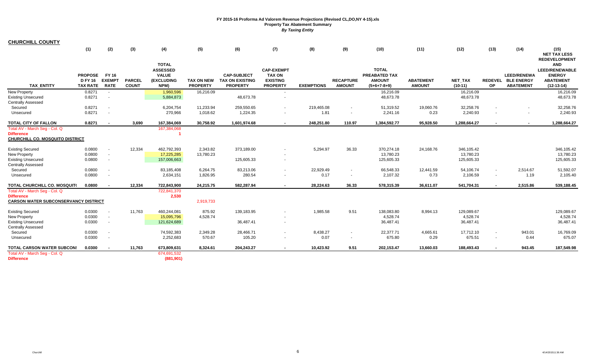| <b>CHURCHILL COUNTY</b>                                                               |                                                     |                                              |                               |                                                                       |                                      |                                                                 |                                                                          |                   |                                   |                                                                        |                                   |                             |        |                                                              |                                                                                          |
|---------------------------------------------------------------------------------------|-----------------------------------------------------|----------------------------------------------|-------------------------------|-----------------------------------------------------------------------|--------------------------------------|-----------------------------------------------------------------|--------------------------------------------------------------------------|-------------------|-----------------------------------|------------------------------------------------------------------------|-----------------------------------|-----------------------------|--------|--------------------------------------------------------------|------------------------------------------------------------------------------------------|
|                                                                                       | (1)                                                 | (2)                                          | (3)                           | (4)                                                                   | (5)                                  | (6)                                                             | (7)                                                                      | (8)               | (9)                               | (10)                                                                   | (11)                              | (12)                        | (13)   | (14)                                                         | (15)<br><b>NET TAX LESS</b><br><b>REDEVELOPMENT</b>                                      |
| <b>TAX ENTITY</b>                                                                     | <b>PROPOSE</b><br><b>D FY 16</b><br><b>TAX RATE</b> | <b>FY 16</b><br><b>EXEMPT</b><br><b>RATE</b> | <b>PARCEL</b><br><b>COUNT</b> | <b>TOTAL</b><br><b>ASSESSED</b><br><b>VALUE</b><br>(EXCLUDING<br>NPM) | <b>TAX ON NEW</b><br><b>PROPERTY</b> | <b>CAP-SUBJECT</b><br><b>TAX ON EXISTING</b><br><b>PROPERTY</b> | <b>CAP-EXEMPT</b><br><b>TAX ON</b><br><b>EXISTING</b><br><b>PROPERTY</b> | <b>EXEMPTIONS</b> | <b>RECAPTURE</b><br><b>AMOUNT</b> | <b>TOTAL</b><br><b>PREABATED TAX</b><br><b>AMOUNT</b><br>$(5+6+7-8+9)$ | <b>ABATEMENT</b><br><b>AMOUNT</b> | <b>NET TAX</b><br>$(10-11)$ | OP     | <b>LEED/RENEWA</b><br>REDEVEL BLE ENERGY<br><b>ABATEMENT</b> | <b>AND</b><br><b>LEED/RENEWABLE</b><br><b>ENERGY</b><br><b>ABATEMENT</b><br>$(12-13-14)$ |
| <b>New Property</b>                                                                   | 0.8271                                              | $\sim$                                       |                               | 1,960,596                                                             | 16,216.09                            |                                                                 | $\sim$                                                                   |                   |                                   | 16,216.09                                                              |                                   | 16,216.09                   |        |                                                              | 16.216.09                                                                                |
| <b>Existing Unsecured</b><br>Centrally Assessed                                       | 0.8271                                              |                                              |                               | 5,884,873                                                             |                                      | 48,673.78                                                       |                                                                          |                   |                                   | 48,673.78                                                              |                                   | 48,673.78                   |        |                                                              | 48,673.78                                                                                |
| Secured                                                                               | 0.8271                                              |                                              |                               | 6,204,754                                                             | 11,233.94                            | 259,550.65                                                      |                                                                          | 219,465.08        | $\sim$                            | 51,319.52                                                              | 19,060.76                         | 32,258.76                   |        | $\sim$                                                       | 32,258.76                                                                                |
| Unsecured                                                                             | 0.8271                                              |                                              |                               | 270,966                                                               | 1,018.62                             | 1,224.35                                                        |                                                                          | 1.81              | $\sim$                            | 2,241.16                                                               | 0.23                              | 2,240.93                    |        | $\sim$                                                       | 2,240.93                                                                                 |
| <b>TOTAL CITY OF FALLON</b>                                                           | 0.8271                                              | $\sim$                                       | 3,690                         | 167,384,069                                                           | 30,758.92                            | 1,601,974.68                                                    | $\sim$                                                                   | 248,251.80        | 110.97                            | 1,384,592.77                                                           | 95,928.50                         | 1,288,664.27                |        | $\sim$                                                       | 1,288,664.27                                                                             |
| Total AV - March Seg - Col. Q<br><b>Difference</b><br>CHURCHILL CO. MOSQUITO DISTRICT |                                                     |                                              |                               | 167,384,068                                                           |                                      |                                                                 |                                                                          |                   |                                   |                                                                        |                                   |                             |        |                                                              |                                                                                          |
|                                                                                       |                                                     |                                              |                               |                                                                       |                                      |                                                                 |                                                                          |                   |                                   |                                                                        |                                   |                             |        |                                                              |                                                                                          |
| <b>Existing Secured</b>                                                               | 0.0800                                              |                                              | 12,334                        | 462,792,393                                                           | 2,343.82                             | 373,189.00                                                      |                                                                          | 5,294.97          | 36.33                             | 370,274.18                                                             | 24,168.76                         | 346,105.42                  |        |                                                              | 346,105.42                                                                               |
| <b>New Property</b>                                                                   | 0.0800                                              | $\sim$                                       |                               | 17,225,285                                                            | 13,780.23                            |                                                                 | $\sim$                                                                   |                   |                                   | 13,780.23                                                              |                                   | 13,780.23                   |        |                                                              | 13,780.23                                                                                |
| <b>Existing Unsecured</b><br>Centrally Assessed                                       | 0.0800                                              |                                              |                               | 157,006,663                                                           |                                      | 125,605.33                                                      |                                                                          |                   |                                   | 125,605.33                                                             |                                   | 125,605.33                  |        |                                                              | 125,605.33                                                                               |
| Secured                                                                               | 0.0800                                              |                                              |                               | 83,185,408                                                            | 6,264.75                             | 83,213.06                                                       | $\sim$                                                                   | 22,929.49         |                                   | 66,548.33                                                              | 12,441.59                         | 54,106.74                   |        | 2,514.67                                                     | 51,592.07                                                                                |
| Unsecured                                                                             | 0.0800                                              |                                              |                               | 2,634,151                                                             | 1,826.95                             | 280.54                                                          |                                                                          | 0.17              | $\sim$                            | 2,107.32                                                               | 0.73                              | 2,106.59                    | $\sim$ | 1.19                                                         | 2,105.40                                                                                 |
| TOTAL CHURCHILL CO. MOSQUIT(                                                          | 0.0800                                              |                                              | 12,334                        | 722,843,900                                                           | 24,215.75                            | 582,287.94                                                      | $\mathbf{r}$                                                             | 28.224.63         | 36.33                             | 578,315.39                                                             | 36,611.07                         | 541,704.31                  |        | 2,515.86                                                     | 539,188.45                                                                               |
| Total AV - March Seg - Col. Q                                                         |                                                     |                                              |                               | 722,841,370                                                           |                                      |                                                                 |                                                                          |                   |                                   |                                                                        |                                   |                             |        |                                                              |                                                                                          |
| <b>Difference</b>                                                                     |                                                     |                                              |                               | 2,530                                                                 |                                      |                                                                 |                                                                          |                   |                                   |                                                                        |                                   |                             |        |                                                              |                                                                                          |
| <b>CARSON WATER SUBCONSERVANCY DISTRICT</b>                                           |                                                     |                                              |                               |                                                                       | 2,919,733                            |                                                                 |                                                                          |                   |                                   |                                                                        |                                   |                             |        |                                                              |                                                                                          |
| <b>Existing Secured</b>                                                               | 0.0300                                              | $\sim$                                       | 11,763                        | 460,244,081                                                           | 875.92                               | 139,183.95                                                      | $\sim$                                                                   | 1,985.58          | 9.51                              | 138,083.80                                                             | 8,994.13                          | 129,089.67                  |        |                                                              | 129,089.67                                                                               |
| <b>New Property</b>                                                                   | 0.0300                                              | $\sim$                                       |                               | 15,095,796                                                            | 4,528.74                             |                                                                 |                                                                          |                   |                                   | 4,528.74                                                               |                                   | 4,528.74                    |        |                                                              | 4,528.74                                                                                 |
| <b>Existing Unsecured</b>                                                             | 0.0300                                              | $\sim$                                       |                               | 121,624,689                                                           |                                      | 36,487.41                                                       | $\sim$                                                                   |                   |                                   | 36,487.41                                                              |                                   | 36,487.41                   |        |                                                              | 36,487.41                                                                                |
| Centrally Assessed                                                                    |                                                     |                                              |                               |                                                                       |                                      |                                                                 |                                                                          |                   |                                   |                                                                        |                                   |                             |        |                                                              |                                                                                          |
| Secured<br>Unsecured                                                                  | 0.0300<br>0.0300                                    |                                              |                               | 74,592,383<br>2,252,683                                               | 2,349.28<br>570.67                   | 28,466.71<br>105.20                                             | $\sim$<br>$\sim$                                                         | 8,438.27<br>0.07  | $\sim$<br>$\sim$                  | 22,377.71<br>675.80                                                    | 4,665.61<br>0.29                  | 17,712.10<br>675.51         | $\sim$ | 943.01<br>0.44                                               | 16,769.09<br>675.07                                                                      |
|                                                                                       |                                                     |                                              |                               |                                                                       |                                      |                                                                 |                                                                          |                   |                                   |                                                                        |                                   |                             |        |                                                              |                                                                                          |
| <b>TOTAL CARSON WATER SUBCON!</b><br>Total AV - March Seg - Col. Q                    | 0.0300                                              |                                              | 11,763                        | 673,809,631<br>674,691,532                                            | 8,324.61                             | 204,243.27                                                      | $\sim$                                                                   | 10,423.92         | 9.51                              | 202,153.47                                                             | 13,660.03                         | 188,493.43                  |        | 943.45                                                       | 187,549.98                                                                               |
| <b>Difference</b>                                                                     |                                                     |                                              |                               | (881, 901)                                                            |                                      |                                                                 |                                                                          |                   |                                   |                                                                        |                                   |                             |        |                                                              |                                                                                          |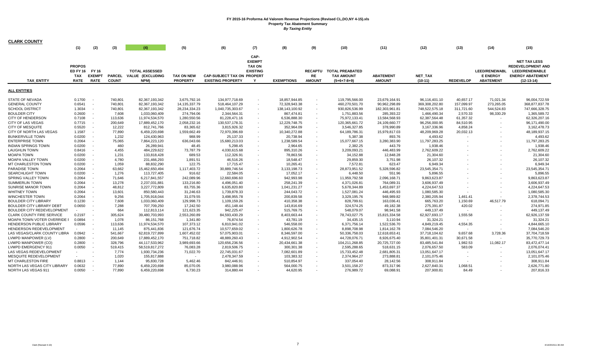| <b>CLARK COUNTY</b>              |               |                          |               |                       |                          |                                   |                 |                   |                |                        |                  |                |                          |                      |                          |
|----------------------------------|---------------|--------------------------|---------------|-----------------------|--------------------------|-----------------------------------|-----------------|-------------------|----------------|------------------------|------------------|----------------|--------------------------|----------------------|--------------------------|
|                                  | (1)           | (2)                      | (3)           | (4)                   | (5)                      | (6)                               | (7)             | (8)               | (9)            | (10)                   | (11)             | (12)           | (13)                     | (14)                 | (15)                     |
|                                  |               |                          |               |                       |                          |                                   |                 |                   |                |                        |                  |                |                          |                      |                          |
|                                  |               |                          |               |                       |                          |                                   | CAP-            |                   |                |                        |                  |                |                          |                      |                          |
|                                  |               |                          |               |                       |                          |                                   | <b>EXEMPT</b>   |                   |                |                        |                  |                |                          |                      | <b>NET TAX LESS</b>      |
|                                  | <b>PROPOS</b> |                          |               |                       |                          |                                   | <b>TAX ON</b>   |                   |                |                        |                  |                |                          |                      | <b>REDEVELOPMENT AND</b> |
|                                  |               | ED FY 16 FY 16           |               | <b>TOTAL ASSESSED</b> |                          |                                   | <b>EXISTING</b> |                   | <b>RECAPTU</b> | <b>TOTAL PREABATED</b> |                  |                |                          | <b>LEED/RENEWABL</b> | <b>LEED/RENEWABLE</b>    |
|                                  | <b>TAX</b>    | <b>EXEMPT</b>            | <b>PARCEL</b> | VALUE (EXCLUDING      | <b>TAX ON NEW</b>        | <b>CAP-SUBJECT TAX ON PROPERT</b> |                 |                   | <b>RE</b>      | <b>TAX AMOUNT</b>      | <b>ABATEMENT</b> | <b>NET TAX</b> |                          | <b>E ENERGY</b>      | <b>ENERGY ABATEMENT</b>  |
| <b>TAX ENTITY</b>                | <b>RATE</b>   | <b>RATE</b>              | <b>COUNT</b>  | NPM)                  | <b>PROPERTY</b>          | <b>EXISTING PROPERTY</b>          | Y               | <b>EXEMPTIONS</b> | <b>AMOUNT</b>  | $(5+6+7-8+9)$          | <b>AMOUNT</b>    | $(10-11)$      | <b>REDEVELOP</b>         | <b>ABATEMENT</b>     | $(12-13-14)$             |
| <b>ALL ENTITIES</b>              |               |                          |               |                       |                          |                                   |                 |                   |                |                        |                  |                |                          |                      |                          |
|                                  |               |                          |               |                       |                          |                                   |                 |                   |                |                        |                  |                |                          |                      |                          |
| <b>STATE OF NEVADA</b>           | 0.1700        |                          | 740.801       | 82,367,193,342        | 3,675,792.16             | 134,977,718.69                    |                 | 18,857,944.85     |                | 119,795,566.00         | 23,679,164.91    | 96,116,401.10  | 40,657.17                | 71,021.34            | 96.004.722.59            |
| <b>GENERAL COUNTY</b>            | 0.6541        | $\overline{\phantom{a}}$ | 740,801       | 82,367,193,342        | 14, 135, 337. 79         | 518,464,107.29                    |                 | 72,328,943.38     |                | 460,270,501.70         | 90,962,298.89    | 369,308,202.80 | 157,099.97               | 273,265.05           | 368,877,837.78           |
| <b>SCHOOL DISTRICT</b>           | 1.3034        | $\sim$                   | 740,801       | 82,367,193,342        | 28,234,334.23            | 1,040,735,303.67                  |                 | 138,143,100.92    | $\sim$         | 930,826,536.99         | 182,303,961.81   | 748,522,575.18 | 311,721.60               | 544,524.83           | 747,666,328.75           |
| <b>BOULDER CITY</b>              | 0.2600        | $\overline{\phantom{a}}$ | 7,608         | 1,033,060,409         | 274,794.06               | 2,344,564.31                      |                 | 867,474.81        |                | 1,751,883.56           | 285,393.22       | 1,466,490.34   | 2,570.33                 | 98,330.29            | 1,365,589.72             |
| <b>CITY OF HENDERSON</b>         | 0.7108        | $\sim$                   | 113,636       | 11,974,534,570        | 1,280,550.56             | 81,228,471.16                     |                 | 6,536,888.30      |                | 75,972,133.41          | 13,584,568.93    | 62,387,564.48  | 61,357.32                |                      | 62,326,207.16            |
| <b>CITY OF LAS VEGAS</b>         | 0.7715        | $\sim$                   | 200,649       | 17,889,452,170        | 2,058,232.16             | 130,537,178.31                    |                 | 12,229,748.75     |                | 120,365,661.72         | 24,109,660.77    | 96,256,000.95  | 84,510.95                |                      | 96,171,490.00            |
| <b>CITY OF MESQUITE</b>          | 0.5520        | $\overline{\phantom{a}}$ | 12,222        | 812,741,766           | 83,365.62                | 3,815,926.32                      |                 | 352,964.09        |                | 3,546,327.85           | 378,990.89       | 3,167,336.96   | 4,858.24                 |                      | 3,162,478.73             |
| CITY OF NORTH LAS VEGAS          | 1.1587        | $\sim$                   | 77.890        | 6,459,220,698         | 1,559,662.49             | 72,970,396.69                     |                 | 10,340,272.88     |                | 64,189,786.31          | 15,979,817.03    | 48,209,969.28  | 20,032.13                |                      | 48,189,937.15            |
| <b>BUNKERVILLE TOWN</b>          | 0.0200        | $\sim$                   | 1,232         | 124,430,963           | 988.99                   | 25,137.33                         |                 | 20,738.94         |                | 5,387.38               | 893.76           | 4,493.62       |                          |                      | 4,493.62                 |
| <b>ENTERPRISE TOWN</b>           | 0.2064        | $\sim$                   | 75,065        | 7,864,223,120         | 636,043.66               | 15,680,213.03                     |                 | 1,238,589.54      |                | 15,077,667.15          | 3,280,383.90     | 11,797,283.25  |                          |                      | 11,797,283.25            |
| <b>INDIAN SPRINGS TOWN</b>       | 0.0200        | $\overline{\phantom{a}}$ | 460           | 26,289,941            | 48.45                    | 5,298.45                          |                 | 2,964.65          |                | 2,382.25               | 443.79           | 1,938.46       |                          |                      | 1,938.46                 |
| <b>LAUGHLIN TOWN</b>             | 0.8416        | $\overline{\phantom{a}}$ | 4,455         | 484,229,622           | 73,787.79                | 4,030,615.68                      |                 | 895,310.26        |                | 3,209,093.21           | 446,483.99       | 2,762,609.22   |                          |                      | 2,762,609.22             |
| <b>MOAPA TOWN</b>                | 0.0200        | $\overline{\phantom{a}}$ | 1,231         | 133,818,428           | 689.53                   | 112,326.91                        |                 | 78,863.56         |                | 34,152.88              | 12,848.28        | 21,304.60      |                          |                      | 21,304.60                |
| <b>MOAPA VALLEY TOWN</b>         | 0.0200        |                          | 4,780         | 231,466,293           | 1,891.51                 | 46,516.26                         |                 | 18,548.47         |                | 29,859.30              | 3,751.98         | 26,107.32      |                          |                      | 26,107.32                |
| <b>MT CHARLESTON TOWN</b>        | 0.0200        |                          | 1,059         | 88,832,290            | 122.75                   | 17,715.47                         |                 | 10,265.41         |                | 7,572.81               | 623.47           | 6,949.34       |                          |                      | 6,949.34                 |
| <b>PARADISE TOWN</b>             | 0.2064        |                          | 63,662        | 15,462,650,494        | 1,117,403.72             | 30,889,746.54                     |                 | 3,133,198.73      |                | 28,873,951.52          | 5,328,596.82     | 23,545,354.71  |                          |                      | 23,545,354.71            |
| <b>SEARCHLIGHT TOWN</b>          | 0.0200        | $\overline{\phantom{a}}$ | 1,276         | 113,727,405           | 916.62                   | 22,584.05                         |                 | 17,052.17         |                | 6,448.50               | 551.96           | 5,896.55       |                          |                      | 5,896.55                 |
| SPRING VALLEY TOWN               | 0.2064        |                          | 71,646        | 6,217,841,557         | 242,089.96               | 12,660,696.60                     |                 | 942,993.98        |                | 11,959,792.58          | 2,096,168.71     | 9,863,623.87   |                          |                      | 9,863,623.87             |
| <b>SUMMERLIN TOWN</b>            | 0.2064        | $\overline{\phantom{a}}$ | 13,278        | 2,237,031,881         | 133,216.80               | 4,496,051.40                      |                 | 258,241.39        |                | 4,371,026.81           | 764,089.31       | 3,606,937.49   |                          |                      | 3,606,937.49             |
| <b>SUNRISE MANOR TOWN</b>        | 0.2064        | $\overline{\phantom{a}}$ | 48,812        | 3,227,772,809         | 83,755.36                | 6,635,820.80                      |                 | 1,041,231.27      | $\sim$         | 5,678,344.89           | 1,453,697.37     | 4,224,647.53   |                          |                      | 4,224,647.53             |
| WHITNEY TOWN                     | 0.2064        | $\overline{a}$           | 13,601        | 850,580,443           | 31,246.63                | 1,739,878.33                      |                 | 244,043.72        |                | 1,527,081.24           | 446,495.93       | 1,080,585.30   |                          |                      | 1,080,585.30             |
| <b>WINCHESTER TOWN</b>           | 0.2064        | $\overline{\phantom{a}}$ | 9,256         | 1,705,918,044         | 31,079.55                | 3,498,955.78                      |                 | 200,839.58        |                | 3,329,195.76           | 948,989.82       | 2,380,205.94   | 1,461.41                 |                      | 2,378,744.53             |
| <b>BOULDER CITY LIBRARY</b>      | 0.1230        | $\overline{\phantom{a}}$ | 7,608         | 1,033,060,409         | 129,998.73               | 1,109,159.26                      |                 | 410,358.38        |                | 828,799.61             | 163,036.41       | 665,763.20     | 1,150.69                 | 46,517.79            | 618,094.71               |
| <b>BOULDER CITY LIBRARY DEBT</b> | 0.0650        | $\overline{\phantom{a}}$ | 7,288         | 707,709,250           | 17,242.50                | 451,148.44                        |                 | 143,816.69        |                | 324,574.25             | 49,182.38        | 275,391.87     | 420.02                   |                      | 274,971.85               |
| BOULDER CITY REDEVELOPMENT       |               | $\overline{\phantom{a}}$ | 664           | 112,813,114           | 121,623.35               | 942,225.47                        |                 | 515,769.75        |                | 548,079.07             | 98,941.58        | 449,137.49     |                          |                      | 449,137.49               |
| <b>CLARK COUNTY FIRE SERVICE</b> | 0.2197        | $\overline{\phantom{a}}$ | 305,624       | 39,480,703,993        | 2,553,260.89             | 84,593,430.29                     |                 | 8,403,663.44      |                | 78,743,027.75          | 15,815,334.58    | 62,927,693.17  | 1,555.58                 |                      | 62,926,137.59            |
| MOAPA TOWN VOTER OVERRIDE I      | 0.0894        | $\overline{\phantom{a}}$ | 1.078         | 86,151,768            | 1,341.80                 | 76,874.54                         |                 | 43,781.19         |                | 34,435.15              | 3,110.94         | 31,324.21      |                          |                      | 31,324.21                |
| HENDERSON PUBLIC LIBRARY         | 0.0596        |                          | 113,636       | 11,974,534,570        | 107,373.12               | 6,810,941.02                      |                 | 546,558.00        |                | 6,371,756.14           | 1,522,536.70     | 4,849,219.45   | 4,554.35                 |                      | 4,844,665.10             |
| HENDERSON REDEVELOPMENT          | $\sim$        | $\overline{a}$           | 11,145        | 875,441,836           |                          | 10,577,659.02                     |                 |                   |                | 8,898,708.98           |                  |                | $\overline{\phantom{a}}$ |                      | 7,084,546.20             |
| LAS VEGAS/CLARK COUNTY LIBRA     | 0.0942        | $\overline{\phantom{a}}$ | 541,667       |                       | 121,676.74               |                                   |                 | 1,800,626.78      |                |                        | 1,814,162.78     | 7,084,546.20   | 9,657.68                 |                      | 37,704,718.59            |
|                                  | 0.2800        |                          | 200.649       | 62,819,727,899        | 1,607,452.02             | 57,075,903.01                     |                 | 8,346,597.00      |                | 50,336,758.03          | 12,618,653.41    | 37,718,104.62  | 30.671.58                | 3,728.36             |                          |
| LVMPD MANPOWER (LV)              |               | $\overline{\phantom{a}}$ |               | 17,889,452,170        | 751,718.82               | 48,889,260.43                     |                 | 4,912,902.54      |                | 44,728,076.71          | 8,926,675.40     | 35,801,401.31  |                          |                      | 35,770,729.73            |
| LVMPD MANPOWER (CO)              | 0.2800        | $\overline{\phantom{a}}$ | 328,796       | 44,117,533,962        | 3,989,693.66             | 120,656,236.56                    |                 | 20,434,661.38     |                | 104,211,268.85         | 20,725,727.00    | 83,485,541.84  | 1,982.53                 | 11,082.17            | 83,472,477.14            |
| <b>LVMPD EMERGENCY 911</b>       | 0.0050        | $\overline{\phantom{a}}$ | 519,415       | 58,519,817,272        | 76,083.28                | 2,819,506.75                      |                 | 300,301.38        |                | 2,595,288.65           | 518,631.15       | 2,076,657.50   | 583.09                   |                      | 2,076,074.41             |
| <b>LAS VEGAS REDEVELOPMENT</b>   | $\sim$        |                          | 7,774         | 1,930,734,236         | 71,022.70                | 22,745,031.67                     |                 | 7,082,601.89      |                | 15,733,452.48          | 2,681,805.31     | 13.051.647.17  |                          |                      | 13,051,647.17            |
| MESQUITE REDEVELOPMENT           | $\sim$        | $\overline{\phantom{a}}$ | 1,020         | 155,817,888           | $\overline{\phantom{a}}$ | 2,478,347.59                      |                 | 103,383.32        |                | 2,374,964.27           | 273,888.81       | 2,101,075.46   | $\overline{\phantom{a}}$ |                      | 2,101,075.46             |
| <b>MT CHARLESTON FIRE</b>        | 0.8813        |                          | 1,144         | 95,830,728            | 5,462.46                 | 842,446.91                        |                 | 510,854.97        |                | 337,054.40             | 28,142.56        | 308,911.84     |                          |                      | 308,911.84               |
| NORTH LAS VEGAS CITY LIBRARY     | 0.0632        |                          | 77,890        | 6,459,220,698         | 85,070.05                | 3,980,088.96                      |                 | 564,000.75        |                | 3,501,158.27           | 873,317.96       | 2,627,840.31   | 1,068.51                 |                      | 2,626,771.80             |
| NORTH LAS VEGAS 911              | 0.0050        |                          | 77.890        | 6,459,220,698         | 6,730.23                 | 314,880.44                        |                 | 44,620.95         |                | 276,989.72             | 69,088.91        | 207.900.81     | 84.49                    |                      | 207,816.33               |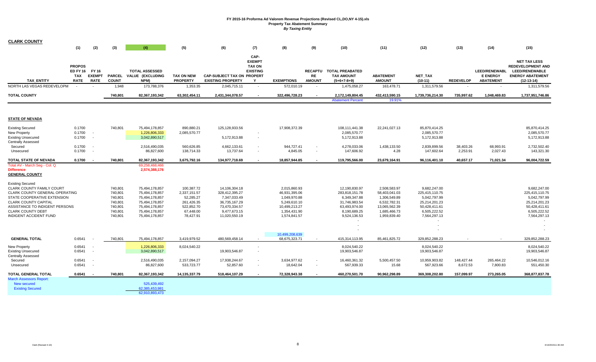| <b>CLARK COUNTY</b>                                |                |               |               |                                  |                   |                                   |                          |                   |                          |                          |                  |                  |                  |                          |                          |
|----------------------------------------------------|----------------|---------------|---------------|----------------------------------|-------------------|-----------------------------------|--------------------------|-------------------|--------------------------|--------------------------|------------------|------------------|------------------|--------------------------|--------------------------|
|                                                    | (1)            | (2)           | (3)           | (4)                              | (5)               | (6)                               | (7)                      | (8)               | (9)                      | (10)                     | (11)             | (12)             | (13)             | (14)                     | (15)                     |
|                                                    |                |               |               |                                  |                   |                                   | CAP-                     |                   |                          |                          |                  |                  |                  |                          |                          |
|                                                    |                |               |               |                                  |                   |                                   | <b>EXEMPT</b>            |                   |                          |                          |                  |                  |                  |                          | <b>NET TAX LESS</b>      |
|                                                    | <b>PROPOS</b>  |               |               |                                  |                   |                                   | <b>TAX ON</b>            |                   |                          |                          |                  |                  |                  |                          | <b>REDEVELOPMENT AND</b> |
|                                                    | ED FY 16 FY 16 |               |               | <b>TOTAL ASSESSED</b>            |                   |                                   | <b>EXISTING</b>          |                   |                          | RECAPTU TOTAL PREABATED  |                  |                  |                  | <b>LEED/RENEWABL</b>     | LEED/RENEWABLE           |
|                                                    | <b>TAX</b>     | <b>EXEMPT</b> | <b>PARCEL</b> | VALUE (EXCLUDING                 | <b>TAX ON NEW</b> | <b>CAP-SUBJECT TAX ON PROPERT</b> |                          |                   | <b>RE</b>                | <b>TAX AMOUNT</b>        | <b>ABATEMENT</b> | NET_TAX          |                  | <b>E ENERGY</b>          | <b>ENERGY ABATEMENT</b>  |
| <b>TAX ENTITY</b>                                  | <b>RATE</b>    | <b>RATE</b>   | <b>COUNT</b>  | NPM)                             | <b>PROPERTY</b>   | <b>EXISTING PROPERTY</b>          | Y                        | <b>EXEMPTIONS</b> | <b>AMOUNT</b>            | $(5+6+7-8+9)$            | <b>AMOUNT</b>    | $(10-11)$        | <b>REDEVELOP</b> | <b>ABATEMENT</b>         | $(12-13-14)$             |
| NORTH LAS VEGAS REDEVELOPM                         |                |               | 1,948         | 173,788,376                      | 1,353.35          | 2,045,715.11                      |                          | 572,010.19        |                          | 1,475,058.27             | 163,478.71       | 1,311,579.56     |                  | $\overline{\phantom{a}}$ | 1,311,579.56             |
| <b>TOTAL COUNTY</b>                                |                |               | 740,801       | 82,367,193,342                   | 63,302,454.11     | 2,431,344,078.57                  | $\overline{\phantom{a}}$ | 322,496,728.23    |                          | 2,172,149,804.45         | 432,413,590.15   | 1,739,736,214.30 | 735,997.62       | 1,048,469.83             | 1,737,951,746.86         |
|                                                    |                |               |               |                                  |                   |                                   |                          |                   |                          | <b>Abatement Percent</b> | 19.91%           |                  |                  |                          |                          |
|                                                    |                |               |               |                                  |                   |                                   |                          |                   |                          |                          |                  |                  |                  |                          |                          |
| <b>STATE OF NEVADA</b>                             |                |               |               |                                  |                   |                                   |                          |                   |                          |                          |                  |                  |                  |                          |                          |
| <b>Existing Secured</b>                            | 0.1700         |               | 740,801       | 75,494,178,857                   | 890,880.21        | 125,128,933.56                    |                          | 17,908,372.39     |                          | 108,111,441.38           | 22,241,027.13    | 85,870,414.25    |                  |                          | 85,870,414.25            |
| New Property                                       | 0.1700         | $\sim$        |               | 1,226,806,333                    | 2,085,570.77      |                                   |                          |                   |                          | 2,085,570.77             |                  | 2,085,570.77     |                  |                          | 2,085,570.77             |
| <b>Existing Unsecured</b>                          | 0.1700         |               |               | 3,042,890,517                    |                   | 5,172,913.88                      | $\overline{\phantom{a}}$ |                   |                          | 5,172,913.88             |                  | 5,172,913.88     |                  |                          | 5,172,913.88             |
| Centrally Assessed                                 |                |               |               |                                  |                   |                                   |                          |                   |                          |                          |                  |                  |                  |                          |                          |
| Secured                                            | 0.1700         |               |               | 2,516,490,035                    | 560,626.85        | 4,662,133.61                      | $\overline{\phantom{a}}$ | 944,727.41        | $\overline{\phantom{a}}$ | 4,278,033.06             | 1,438,133.50     | 2,839,899.56     | 38,403.26        | 68,993.91                | 2,732,502.40             |
| Unsecured                                          | 0.1700         |               |               | 86,827,600                       | 138,714.33        | 13,737.64                         |                          | 4,845.05          |                          | 147,606.92               | 4.28             | 147,602.64       | 2,253.91         | 2,027.43                 | 143,321.30               |
| TOTAL STATE OF NEVADA                              | 0.1700         |               | 740,801       | 82,367,193,342                   | 3,675,792.16      | 134,977,718.69                    |                          | 18,857,944.85     |                          | 119,795,566.00           | 23,679,164.91    | 96,116,401.10    | 40,657.17        | 71,021.34                | 96,004,722.59            |
| Total AV - March Seg - Col. Q<br><b>Difference</b> |                |               |               | 69,258,468,466<br>2,574,388,176  |                   |                                   |                          |                   |                          |                          |                  |                  |                  |                          |                          |
| <b>GENERAL COUNTY</b>                              |                |               |               |                                  |                   |                                   |                          |                   |                          |                          |                  |                  |                  |                          |                          |
| <b>Existing Secured</b>                            |                |               |               |                                  |                   |                                   |                          |                   |                          |                          |                  |                  |                  |                          |                          |
| <b>CLARK COUNTY FAMILY COURT</b>                   |                |               | 740,801       | 75,494,178,857                   | 100,387.72        | 14,106,304.18                     |                          | 2,015,860.93      |                          | 12,190,830.97            | 2,508,583.97     | 9,682,247.00     |                  |                          | 9,682,247.00             |
| CLARK COUNTY GENERAL OPERATING                     |                |               | 740,801       | 75,494,178,857                   | 2,337,151.57      | 328,412,395.27                    |                          | 46,931,395.06     |                          | 283,818,151.78           | 58,403,041.03    | 225,415,110.75   |                  |                          | 225,415,110.75           |
| STATE COOPERATIVE EXTENSION                        |                |               | 740,801       | 75,494,178,857                   | 52,285.27         | 7,347,033.49                      |                          | 1,049,970.88      |                          | 6,349,347.88             | 1,306,549.89     | 5,042,797.99     |                  |                          | 5,042,797.99             |
| <b>CLARK COUNTY CAPITAL</b>                        |                |               | 740,801       | 75,494,178,857                   | 261,426.35        | 36,735,167.29                     |                          | 5,249,610.10      |                          | 31,746,983.54            | 6,532,782.31     | 25,214,201.23    |                  |                          | 25,214,201.23            |
| ASSISTANCE TO INDIGENT PERSONS                     |                |               | 740,801       | 75,494,178,857                   | 522,852.70        | 73,470,334.57                     |                          | 10,499,213.27     |                          | 63,493,974.00            | 13,065,562.39    | 50.428.411.61    |                  |                          | 50,428,411.61            |
| <b>CLARK COUNTY DEBT</b>                           |                |               | 740,801       | 75,494,178,857                   | 67,448.00         | 9,477,673.15                      |                          | 1,354,431.90      |                          | 8,190,689.25             | 1,685,466.73     | 6,505,222.52     |                  |                          | 6,505,222.52             |
| INDIGENT ACCIDENT FUND                             |                |               | 740,801       | 75,494,178,857                   | 78,427.91         | 11,020,550.19                     |                          | 1,574,841.57      |                          | 9,524,136.53             | 1,959,839.40     | 7,564,297.13     |                  |                          | 7,564,297.13             |
|                                                    |                |               |               |                                  |                   |                                   |                          |                   |                          |                          |                  |                  |                  |                          |                          |
|                                                    |                |               |               |                                  |                   |                                   |                          |                   |                          |                          |                  |                  |                  |                          |                          |
|                                                    |                |               |               |                                  |                   |                                   |                          | 10,499,208,639    |                          |                          |                  |                  |                  |                          |                          |
| <b>GENERAL TOTAL</b>                               | 0.6541         |               | 740,801       | 75,494,178,857                   | 3,419,979.52      | 480,569,458.14                    |                          | 68,675,323.71     |                          | 415,314,113.95           | 85,461,825.72    | 329,852,288.23   |                  |                          | 329,852,288.23           |
| New Property                                       | 0.6541         |               |               | 1,226,806,333                    | 8,024,540.22      |                                   |                          |                   |                          | 8,024,540.22             |                  | 8,024,540.22     |                  |                          | 8,024,540.22             |
| <b>Existing Unsecured</b>                          | 0.6541         |               |               | 3,042,890,517                    |                   | 19,903,546.87                     |                          |                   |                          | 19,903,546.87            |                  | 19,903,546.87    |                  |                          | 19,903,546.87            |
| <b>Centrally Assessed</b>                          |                |               |               |                                  |                   |                                   |                          |                   |                          |                          |                  |                  |                  |                          |                          |
| Secured                                            | 0.6541         |               |               | 2,516,490,035                    | 2,157,094.27      | 17,938,244.67                     |                          | 3,634,977.62      |                          | 16,460,361.32            | 5,500,457.50     | 10,959,903.82    | 148,427.44       | 265,464.22               | 10,546,012.16            |
| Unsecured                                          | 0.6541         |               |               | 86,827,600                       | 533,723.77        | 52,857.60                         | $\overline{\phantom{a}}$ | 18,642.04         |                          | 567,939.33               | 15.68            | 567,923.66       | 8,672.53         | 7,800.83                 | 551,450.30               |
| TOTAL GENERAL TOTAL                                | 0.6541         |               | 740,801       | 82,367,193,342                   | 14,135,337.79     | 518,464,107.29                    |                          | 72,328,943.38     |                          | 460,270,501.70           | 90,962,298.89    | 369,308,202.80   | 157,099.97       | 273,265.05               | 368,877,837.78           |
| <b>March Assessors Report:</b>                     |                |               |               |                                  |                   |                                   |                          |                   |                          |                          |                  |                  |                  |                          |                          |
| New secured                                        |                |               |               | 525,439,492                      |                   |                                   |                          |                   |                          |                          |                  |                  |                  |                          |                          |
| <b>Existing Secured</b>                            |                |               |               | 62,385,453,981<br>62,910,893,473 |                   |                                   |                          |                   |                          |                          |                  |                  |                  |                          |                          |
|                                                    |                |               |               |                                  |                   |                                   |                          |                   |                          |                          |                  |                  |                  |                          |                          |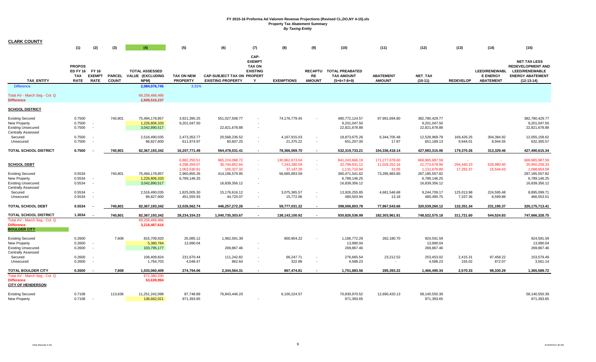| <b>CLARK COUNTY</b>                                                                                          |                                                               |                                              |                               |                                                                   |                                              |                                                               |                                                                        |                                             |                                                      |                                                                  |                                          |                                                                  |                                   |                                                             |                                                                                                                     |
|--------------------------------------------------------------------------------------------------------------|---------------------------------------------------------------|----------------------------------------------|-------------------------------|-------------------------------------------------------------------|----------------------------------------------|---------------------------------------------------------------|------------------------------------------------------------------------|---------------------------------------------|------------------------------------------------------|------------------------------------------------------------------|------------------------------------------|------------------------------------------------------------------|-----------------------------------|-------------------------------------------------------------|---------------------------------------------------------------------------------------------------------------------|
|                                                                                                              | (1)                                                           | (2)                                          | (3)                           | (4)                                                               | (5)                                          | (6)                                                           | (7)                                                                    | (8)                                         | (9)                                                  | (10)                                                             | (11)                                     | (12)                                                             | (13)                              | (14)                                                        | (15)                                                                                                                |
| TAX_ENTITY                                                                                                   | <b>PROPOS</b><br><b>ED FY 16</b><br><b>TAX</b><br><b>RATE</b> | <b>FY 16</b><br><b>EXEMPT</b><br><b>RATE</b> | <b>PARCEL</b><br><b>COUNT</b> | <b>TOTAL ASSESSED</b><br>VALUE (EXCLUDING<br>NPM)                 | <b>TAX ON NEW</b><br><b>PROPERTY</b>         | <b>CAP-SUBJECT TAX ON PROPERT</b><br><b>EXISTING PROPERTY</b> | CAP-<br><b>EXEMPT</b><br><b>TAX ON</b><br><b>EXISTING</b><br>Y         | <b>EXEMPTIONS</b>                           | <b>RE</b><br><b>AMOUNT</b>                           | RECAPTU TOTAL PREABATED<br><b>TAX AMOUNT</b><br>$(5+6+7-8+9)$    | <b>ABATEMENT</b><br><b>AMOUNT</b>        | NET_TAX<br>$(10-11)$                                             | <b>REDEVELOP</b>                  | <b>LEED/RENEWABL</b><br><b>E ENERGY</b><br><b>ABATEMENT</b> | <b>NET TAX LESS</b><br><b>REDEVELOPMENT AND</b><br><b>LEED/RENEWABLE</b><br><b>ENERGY ABATEMENT</b><br>$(12-13-14)$ |
| <b>Difference</b>                                                                                            |                                                               |                                              |                               | 2,084,076,745                                                     | 3.31%                                        |                                                               |                                                                        |                                             |                                                      |                                                                  |                                          |                                                                  |                                   |                                                             |                                                                                                                     |
| Total AV - March Seg - Col. Q<br><b>Difference</b>                                                           |                                                               |                                              |                               | 69,258,468,466<br>2,609,516,237                                   |                                              |                                                               |                                                                        |                                             |                                                      |                                                                  |                                          |                                                                  |                                   |                                                             |                                                                                                                     |
| <b>SCHOOL DISTRICT</b>                                                                                       |                                                               |                                              |                               |                                                                   |                                              |                                                               |                                                                        |                                             |                                                      |                                                                  |                                          |                                                                  |                                   |                                                             |                                                                                                                     |
| <b>Existing Secured</b><br>New Property<br><b>Existing Unsecured</b><br><b>Centrally Assessed</b><br>Secured | 0.7500<br>0.7500<br>0.7500<br>0.7500                          |                                              | 740,801                       | 75,494,178,857<br>1,226,806,333<br>3,042,890,517<br>2,516,490,035 | 3,921,395.25<br>9,201,047.50<br>2,473,353.77 | 551,027,508.77<br>22,821,678.88<br>20,568,236.52              | $\blacksquare$<br>$\overline{\phantom{a}}$<br>$\overline{\phantom{a}}$ | 74,176,779.45<br>4,167,915.03               | $\overline{\phantom{a}}$<br>$\overline{\phantom{a}}$ | 480,772,124.57<br>9,201,047.50<br>22,821,678.88<br>18,873,675.26 | 97,991,694.80<br>6,344,705.48            | 382,780,429.77<br>9,201,047.50<br>22,821,678.88<br>12,528,969.79 | 169,426.25                        | 304,384.92                                                  | 382,780,429.77<br>9,201,047.50<br>22,821,678.88<br>12,055,158.62                                                    |
| Unsecured                                                                                                    | 0.7500                                                        |                                              |                               | 86,827,600                                                        | 611,974.97                                   | 60,607.25                                                     | $\overline{\phantom{a}}$                                               | 21,375.22                                   | $\overline{\phantom{a}}$                             | 651,207.00                                                       | 17.87                                    | 651,189.13                                                       | 9,944.01                          | 8,944.55                                                    | 632,300.57                                                                                                          |
| <b>TOTAL SCHOOL DISTRICT</b>                                                                                 | 0.7500                                                        |                                              | 740,801                       | 82,367,193,342                                                    | 16,207,771.49                                | 594,478,031.41                                                |                                                                        | 78,366,069.70                               |                                                      | 532,319,733.21                                                   | 104,336,418.14                           | 427,983,315.06                                                   | 179,370.26                        | 313,329.46                                                  | 427,490,615.34                                                                                                      |
| <b>SCHOOL DEBT</b>                                                                                           |                                                               |                                              |                               |                                                                   | 6,882,250.51<br>4,298,359.07<br>1,063,530.91 | 965,224,088.72<br>35,744,852.64<br>105,327.32                 | a.<br>$\sim$<br>$\sim$                                                 | 130,862,673.04<br>7,243,280.59<br>37,147.28 | $\sim$<br>$\sim$<br>$\sim$                           | 841,243,666.19<br>32,799,931.12<br>1,131,710.94                  | 171,277,678.60<br>11,026,252.16<br>31.05 | 669,965,987.59<br>21,773,678.96<br>1,131,679.89                  | $\sim$<br>294,440.23<br>17,281.37 | 528,980.40<br>15,544.43                                     | 669,965,987.59<br>20,950,258.33<br>1,098,854.09                                                                     |
| <b>Existing Secured</b><br>New Property<br><b>Existing Unsecured</b><br><b>Centrally Assessed</b>            | 0.5534<br>0.5534<br>0.5534                                    |                                              | 740,801                       | 75,494,178,857<br>1,226,806,333<br>3,042,890,517                  | 2,960,855.26<br>6,789,146.25                 | 414,196,579.95<br>16,839,356.12                               | $\overline{\phantom{a}}$<br>$\overline{\phantom{a}}$                   | 56,685,893.59                               |                                                      | 360,471,541.62<br>6,789,146.25<br>16,839,356.12                  | 73,285,983.80                            | 287, 185, 557.82<br>6,789,146.25<br>16,839,356.12                |                                   |                                                             | 287, 185, 557.82<br>6,789,146.25<br>16,839,356.12                                                                   |
| Secured<br>Unsecured                                                                                         | 0.5534<br>0.5534                                              |                                              |                               | 2,516,490,035<br>86,827,600                                       | 1,825,005.30<br>451,555.93                   | 15,176,616.12<br>44,720.07                                    | $\overline{\phantom{a}}$<br>$\overline{\phantom{a}}$                   | 3,075,365.57<br>15,772.06                   | $\overline{\phantom{a}}$<br>$\overline{\phantom{a}}$ | 13,926,255.85<br>480,503.94                                      | 4,681,546.68<br>13.18                    | 9,244,709.17<br>480,490.75                                       | 125,013.98<br>7,337.36            | 224,595.48<br>6,599.88                                      | 8,895,099.71<br>466,553.51                                                                                          |
| TOTAL SCHOOL DEBT                                                                                            | 0.5534                                                        |                                              | 740,801                       | 82,367,193,342                                                    | 12,026,562.74                                | 446,257,272.26                                                | $\overline{a}$                                                         | 59,777,031.22                               | $\overline{a}$                                       | 398,506,803.78                                                   | 77,967,543.66                            | 320,539,260.12                                                   | 132,351.34                        | 231,195.37                                                  | 320, 175, 713. 41                                                                                                   |
| <b>TOTAL SCHOOL DISTRICT</b><br>Total AV - March Seg - Col. Q<br><b>Difference</b><br><b>BOULDER CITY</b>    | 1.3034                                                        |                                              | 740,801                       | 82,367,193,342<br>69,258,468,466<br>3,218,487,616                 | 28,234,334.23                                | 1,040,735,303.67                                              |                                                                        | 138,143,100.92                              |                                                      | 930,826,536.99                                                   | 182,303,961.81                           | 748,522,575.18                                                   | 311,721.60                        | 544,524.83                                                  | 747,666,328.75                                                                                                      |
| <b>Existing Secured</b><br><b>New Property</b><br><b>Existing Unsecured</b><br><b>Centrally Assessed</b>     | 0.2600<br>0.2600<br>0.2600                                    |                                              | 7,608                         | 815,709,920<br>5,380,784<br>103,795,177                           | 25,085.12<br>13,990.04                       | 1,962,591.39<br>269,867.46                                    | $\blacksquare$                                                         | 800,904.22                                  | $\overline{\phantom{a}}$                             | 1,186,772.29<br>13,990.04<br>269,867.46                          | 262,180.70                               | 924,591.59<br>13,990.04<br>269,867.46                            |                                   |                                                             | 924,591.59<br>13,990.04<br>269,867.46                                                                               |
| Secured<br>Unsecured                                                                                         | 0.2600<br>0.2600                                              |                                              |                               | 106,409,824<br>1,764,703                                          | 231,670.44<br>4,048.47                       | 111,242.82<br>862.64                                          | $\overline{a}$<br>$\overline{\phantom{a}}$                             | 66,247.71<br>322.88                         | $\overline{\phantom{a}}$<br>$\overline{\phantom{a}}$ | 276,665.54<br>4,588.23                                           | 23,212.52<br>$\sim$                      | 253,453.02<br>4,588.23                                           | 2,415.31<br>155.02                | 97,458.22<br>872.07                                         | 153,579.49<br>3,561.14                                                                                              |
| <b>TOTAL BOULDER CITY</b><br>Total AV - March Seg - Col. Q<br><b>Difference</b>                              | 0.2600                                                        |                                              | 7,608                         | 1,033,060,409<br>671,380,330<br>53,639,994                        | 274,794.06                                   | 2,344,564.31                                                  |                                                                        | 867,474.81                                  |                                                      | 1,751,883.56                                                     | 285,393.22                               | 1,466,490.34                                                     | 2,570.33                          | 98,330.29                                                   | 1,365,589.72                                                                                                        |
| <b>CITY OF HENDERSON</b><br><b>Existing Secured</b><br>New Property                                          | 0.7108<br>0.7108                                              |                                              | 113,636                       | 11,251,242,098<br>136,662,021                                     | 87,748.89<br>971,393.65                      | 76,843,446.20                                                 |                                                                        | 6,100,224.57                                |                                                      | 70,830,970.52<br>971,393.65                                      | 12,690,420.13                            | 58,140,550.39<br>971,393.65                                      |                                   |                                                             | 58,140,550.39<br>971,393.65                                                                                         |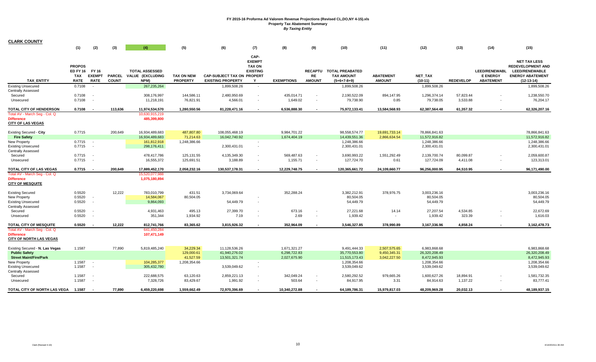| <b>CLARK COUNTY</b>                                                                  |                                                              |                              |                               |                                                   |                                      |                                                               |                                                                |                              |                                                      |                                                              |                                   |                                               |                       |                                                             |                                                                                                                     |
|--------------------------------------------------------------------------------------|--------------------------------------------------------------|------------------------------|-------------------------------|---------------------------------------------------|--------------------------------------|---------------------------------------------------------------|----------------------------------------------------------------|------------------------------|------------------------------------------------------|--------------------------------------------------------------|-----------------------------------|-----------------------------------------------|-----------------------|-------------------------------------------------------------|---------------------------------------------------------------------------------------------------------------------|
|                                                                                      | (1)                                                          | (2)                          | (3)                           | (4)                                               | (5)                                  | (6)                                                           | (7)                                                            | (8)                          | (9)                                                  | (10)                                                         | (11)                              | (12)                                          | (13)                  | (14)                                                        | (15)                                                                                                                |
| <b>TAX ENTITY</b>                                                                    | <b>PROPOS</b><br>ED FY 16 FY 16<br><b>TAX</b><br><b>RATE</b> | <b>EXEMPT</b><br><b>RATE</b> | <b>PARCEL</b><br><b>COUNT</b> | <b>TOTAL ASSESSED</b><br>VALUE (EXCLUDING<br>NPM) | <b>TAX ON NEW</b><br><b>PROPERTY</b> | <b>CAP-SUBJECT TAX ON PROPERT</b><br><b>EXISTING PROPERTY</b> | CAP-<br><b>EXEMPT</b><br><b>TAX ON</b><br><b>EXISTING</b><br>Y | <b>EXEMPTIONS</b>            | <b>RECAPTU</b><br>RE<br><b>AMOUNT</b>                | <b>TOTAL PREABATED</b><br><b>TAX AMOUNT</b><br>$(5+6+7-8+9)$ | <b>ABATEMENT</b><br><b>AMOUNT</b> | <b>NET TAX</b><br>$(10-11)$                   | <b>REDEVELOP</b>      | <b>LEED/RENEWABL</b><br><b>E ENERGY</b><br><b>ABATEMENT</b> | <b>NET TAX LESS</b><br><b>REDEVELOPMENT AND</b><br><b>LEED/RENEWABLE</b><br><b>ENERGY ABATEMENT</b><br>$(12-13-14)$ |
| <b>Existing Unsecured</b>                                                            | 0.7108                                                       |                              |                               | 267, 235, 264                                     |                                      | 1,899,508.26                                                  | $\sim$                                                         |                              |                                                      | 1,899,508.26                                                 |                                   | 1,899,508.26                                  |                       |                                                             | 1,899,508.26                                                                                                        |
| Centrally Assessed<br>Secured<br>Unsecured                                           | 0.7108<br>0.7108                                             | $\sim$                       |                               | 308,176,997<br>11,218,191                         | 144,586.11<br>76,821.91              | 2,480,950.69<br>4,566.01                                      | $\sim$<br>$\sim$                                               | 435,014.71<br>1,649.02       | $\overline{\phantom{a}}$<br>$\overline{\phantom{a}}$ | 2,190,522.09<br>79,738.90                                    | 894,147.95<br>0.85                | 1,296,374.14<br>79,738.05                     | 57,823.44<br>3,533.88 |                                                             | 1,238,550.70<br>76,204.17                                                                                           |
| TOTAL CITY OF HENDERSON                                                              | 0.7108                                                       |                              | 113,636                       | 11,974,534,570                                    | 1,280,550.56                         | 81,228,471.16                                                 | $\sim$                                                         | 6,536,888.30                 | $\sim$                                               | 75,972,133.41                                                | 13,584,568.93                     | 62,387,564.48                                 | 61,357.32             | $\sim$                                                      | 62,326,207.16                                                                                                       |
| Total AV - March Seq - Col. Q<br><b>Difference</b><br><b>CITY OF LAS VEGAS</b>       |                                                              |                              |                               | 10,630,915,219<br>485,399,800                     |                                      |                                                               |                                                                |                              |                                                      |                                                              |                                   |                                               |                       |                                                             |                                                                                                                     |
| Existing Secured - City                                                              | 0.7715                                                       |                              | 200,649                       | 16,934,489,683                                    | 487,807.80                           | 108,055,468.19                                                |                                                                | 9,984,701.22                 |                                                      | 98,558,574.77                                                | 19,691,733.14                     | 78,866,841.63                                 |                       |                                                             | 78,866,841.63                                                                                                       |
| <b>Fire Safety</b><br>New Property<br><b>Existing Unsecured</b>                      | $0.7715 -$<br>0.7715                                         | $\sim$                       |                               | 16,934,489,683<br>161,812,918<br>298,176,411      | 71,214.63<br>1,248,386.66            | 16,042,740.92<br>2,300,431.01                                 | $\sim$<br>$\sim$                                               | 1,674,404.19                 |                                                      | 14,439,551.36<br>1,248,386.66<br>2,300,431.01                | 2,866,634.54                      | 11,572,916.82<br>1,248,386.66<br>2,300,431.01 |                       |                                                             | 11,572,916.82<br>1,248,386.66<br>2,300,431.01                                                                       |
| <b>Centrally Assessed</b><br>Secured                                                 | 0.7715                                                       |                              |                               | 478,417,786                                       | 125,131.55                           | 4,135,349.30                                                  | $\overline{\phantom{a}}$                                       | 569,487.63                   |                                                      | 3,690,993.22                                                 | 1,551,292.49                      | 2,139,700.74                                  | 80,099.87             |                                                             | 2,059,600.87                                                                                                        |
| Unsecured                                                                            | 0.7715                                                       |                              |                               | 16,555,372                                        | 125,691.51                           | 3,188.89                                                      | $\sim$                                                         | 1,155.71                     | $\overline{\phantom{a}}$                             | 127,724.70                                                   | 0.61                              | 127,724.09                                    | 4,411.08              |                                                             | 123,313.01                                                                                                          |
| TOTAL CITY OF LAS VEGAS                                                              | 0.7715                                                       |                              | 200,649                       | 17,889,452,170                                    | 2,058,232.16                         | 130,537,178.31                                                | $\sim$                                                         | 12,229,748.75                | $\sim$                                               | 120,365,661.72                                               | 24,109,660.77                     | 96,256,000.95                                 | 84,510.95             | $\sim$                                                      | 96,171,490.00                                                                                                       |
| Total AV - March Seg - Col. Q<br><b>Difference</b><br><b>CITY OF MESQUITE</b>        |                                                              |                              |                               | 15,520,077,988<br>1,075,180,894                   |                                      |                                                               |                                                                |                              |                                                      |                                                              |                                   |                                               |                       |                                                             |                                                                                                                     |
| <b>Existing Secured</b><br>New Property<br><b>Existing Unsecured</b>                 | 0.5520<br>0.5520<br>0.5520                                   | $\overline{\phantom{a}}$     | 12,222                        | 783,010,799<br>14,584,067<br>9,864,093            | 431.51<br>80,504.05                  | 3,734,069.64<br>54,449.79                                     |                                                                | 352,288.24                   |                                                      | 3,382,212.91<br>80,504.05<br>54,449.79                       | 378,976.75                        | 3,003,236.16<br>80,504.05<br>54,449.79        |                       |                                                             | 3,003,236.16<br>80,504.05<br>54,449.79                                                                              |
| Centrally Assessed<br>Secured<br>Unsecured                                           | 0.5520<br>0.5520                                             |                              |                               | 4,931,463<br>351,344                              | 495.13<br>1,934.92                   | 27,399.70<br>7.19                                             |                                                                | 673.16<br>2.69               |                                                      | 27,221.68<br>1,939.42                                        | 14.14<br>$\overline{\phantom{a}}$ | 27,207.54<br>1,939.42                         | 4,534.85<br>323.39    |                                                             | 22,672.69<br>1,616.03                                                                                               |
| TOTAL CITY OF MESQUITE                                                               | 0.5520                                                       |                              | 12,222                        | 812,741,766                                       | 83,365.62                            | 3,815,926.32                                                  |                                                                | 352,964.09                   |                                                      | 3,546,327.85                                                 | 378,990.89                        | 3,167,336.96                                  | 4,858.24              |                                                             | 3,162,478.73                                                                                                        |
| Total AV - March Seg - Col. Q<br><b>Difference</b><br><b>CITY OF NORTH LAS VEGAS</b> |                                                              |                              |                               | 641,450,284<br>107,471,149                        |                                      |                                                               |                                                                |                              |                                                      |                                                              |                                   |                                               |                       |                                                             |                                                                                                                     |
| Existing Secured - N. Las Vegas                                                      | 1.1587                                                       |                              | 77,890                        | 5,819,485,240                                     | 34,229.34                            | 11,128,536.26                                                 |                                                                | 1,671,321.27                 |                                                      | 9,491,444.33                                                 | 2,507,575.65                      | 6,983,868.68                                  |                       |                                                             | 6,983,868.68                                                                                                        |
| <b>Public Safety</b><br><b>Street Maint/Fire/Park</b>                                |                                                              |                              |                               |                                                   | 129,000.61<br>41,527.59              | 41,940,276.02<br>13,501,321.74                                |                                                                | 6,298,722.83<br>2,027,675.90 |                                                      | 35,770,553.80<br>11,515,173.43                               | 9,450,345.31<br>3,042,227.50      | 26,320,208.49<br>8,472,945.93                 |                       |                                                             | 26,320,208.49<br>8,472,945.93                                                                                       |
| <b>New Property</b><br><b>Existing Unsecured</b><br><b>Centrally Assessed</b>        | 1.1587<br>1.1587                                             | $\sim$<br>$\sim$ $-$         |                               | 104,285,377<br>305,432,780                        | 1,208,354.66                         | 3,539,049.62                                                  | $\sim$<br>$\sim$                                               |                              |                                                      | 1,208,354.66<br>3,539,049.62                                 |                                   | 1,208,354.66<br>3,539,049.62                  |                       |                                                             | 1,208,354.66<br>3,539,049.62                                                                                        |
| Secured<br>Unsecured                                                                 | 1.1587<br>1.1587                                             | $\sim$                       |                               | 222,688,575<br>7,328,726                          | 63,120.63<br>83,429.67               | 2,859,221.13<br>1,991.92                                      | $\overline{\phantom{a}}$                                       | 342,049.24<br>503.64         | $\overline{\phantom{a}}$                             | 2,580,292.52<br>84,917.95                                    | 979,665.26<br>3.31                | 1,600,627.26<br>84,914.63                     | 18,894.91<br>1,137.22 |                                                             | 1,581,732.35<br>83,777.41                                                                                           |
| TOTAL CITY OF NORTH LAS VEGA                                                         | 1.1587                                                       |                              | 77.890                        | 6,459,220,698                                     | 1,559,662.49                         | 72,970,396.69                                                 |                                                                | 10,340,272.88                |                                                      | 64,189,786.31                                                | 15,979,817.03                     | 48,209,969.28                                 | 20,032.13             |                                                             | 48,189,937.15                                                                                                       |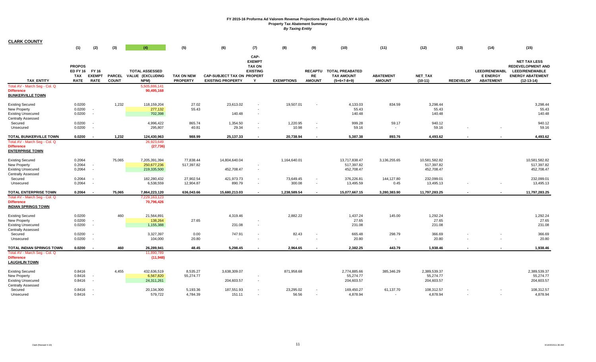| <b>CLARK COUNTY</b>                                                                               |                                                              |                                 |                               |                                                                    |                                      |                                                               |                                                                |                                   |                            |                                                               |                                    |                                           |                  |                                                             |                                                                                                                     |
|---------------------------------------------------------------------------------------------------|--------------------------------------------------------------|---------------------------------|-------------------------------|--------------------------------------------------------------------|--------------------------------------|---------------------------------------------------------------|----------------------------------------------------------------|-----------------------------------|----------------------------|---------------------------------------------------------------|------------------------------------|-------------------------------------------|------------------|-------------------------------------------------------------|---------------------------------------------------------------------------------------------------------------------|
|                                                                                                   | (1)                                                          | (2)                             | (3)                           | (4)                                                                | (5)                                  | (6)                                                           | (7)                                                            | (8)                               | (9)                        | (10)                                                          | (11)                               | (12)                                      | (13)             | (14)                                                        | (15)                                                                                                                |
| <b>TAX ENTITY</b>                                                                                 | <b>PROPOS</b><br>ED FY 16 FY 16<br><b>TAX</b><br><b>RATE</b> | <b>EXEMPT</b><br><b>RATE</b>    | <b>PARCEL</b><br><b>COUNT</b> | <b>TOTAL ASSESSED</b><br>VALUE (EXCLUDING<br>NPM)<br>5,505,886,141 | <b>TAX ON NEW</b><br><b>PROPERTY</b> | <b>CAP-SUBJECT TAX ON PROPERT</b><br><b>EXISTING PROPERTY</b> | CAP-<br><b>EXEMPT</b><br><b>TAX ON</b><br><b>EXISTING</b><br>Y | <b>EXEMPTIONS</b>                 | <b>RE</b><br><b>AMOUNT</b> | RECAPTU TOTAL PREABATED<br><b>TAX AMOUNT</b><br>$(5+6+7-8+9)$ | <b>ABATEMENT</b><br><b>AMOUNT</b>  | NET_TAX<br>$(10-11)$                      | <b>REDEVELOP</b> | <b>LEED/RENEWABL</b><br><b>E ENERGY</b><br><b>ABATEMENT</b> | <b>NET TAX LESS</b><br><b>REDEVELOPMENT AND</b><br><b>LEED/RENEWABLE</b><br><b>ENERGY ABATEMENT</b><br>$(12-13-14)$ |
| Total AV - March Seq - Col. Q<br><b>Difference</b><br><b>BUNKERVILLE TOWN</b>                     |                                                              |                                 |                               | 90,495,168                                                         |                                      |                                                               |                                                                |                                   |                            |                                                               |                                    |                                           |                  |                                                             |                                                                                                                     |
| <b>Existing Secured</b><br>New Property<br><b>Existing Unsecured</b><br><b>Centrally Assessed</b> | 0.0200<br>0.0200<br>0.0200                                   | . .<br>$\overline{\phantom{a}}$ | 1,232                         | 118,159,204<br>277,132<br>702,398                                  | 27.02<br>55.43                       | 23,613.02<br>140.48                                           | $\overline{\phantom{a}}$                                       | 19,507.01                         |                            | 4,133.03<br>55.43<br>140.48                                   | 834.59                             | 3,298.44<br>55.43<br>140.48               |                  |                                                             | 3,298.44<br>55.43<br>140.48                                                                                         |
| Secured<br>Unsecured                                                                              | 0.0200<br>0.0200                                             |                                 |                               | 4,996,422<br>295,807                                               | 865.74<br>40.81                      | 1,354.50<br>29.34                                             | $\overline{\phantom{a}}$<br>$\overline{\phantom{a}}$           | 1,220.95<br>10.98                 | $\sim$<br>$\sim$           | 999.28<br>59.16                                               | 59.17<br>$\sim$                    | 940.12<br>59.16                           |                  |                                                             | 940.12<br>59.16                                                                                                     |
| TOTAL BUNKERVILLE TOWN                                                                            | 0.0200                                                       |                                 | 1,232                         | 124,430,963                                                        | 988.99                               | 25,137.33                                                     | $\overline{\phantom{a}}$                                       | 20,738.94                         | $\sim$                     | 5,387.38                                                      | 893.76                             | 4,493.62                                  | $\sim$           |                                                             | 4,493.62                                                                                                            |
| Total AV - March Seg - Col. Q<br><b>Difference</b><br><b>ENTERPRISE TOWN</b>                      |                                                              |                                 |                               | 26,923,649<br>(27, 736)                                            |                                      |                                                               |                                                                |                                   |                            |                                                               |                                    |                                           |                  |                                                             |                                                                                                                     |
| <b>Existing Secured</b><br>New Property<br><b>Existing Unsecured</b><br><b>Centrally Assessed</b> | 0.2064<br>0.2064<br>0.2064                                   | $\overline{\phantom{a}}$        | 75,065                        | 7,205,391,394<br>250,677,236<br>219,335,500                        | 77,838.44<br>517,397.82              | 14,804,640.04<br>452,708.47                                   | $\overline{\phantom{a}}$                                       | 1,164,640.01                      |                            | 13,717,838.47<br>517,397.82<br>452,708.47                     | 3,136,255.65                       | 10,581,582.82<br>517,397.82<br>452,708.47 |                  |                                                             | 10,581,582.82<br>517,397.82<br>452,708.47                                                                           |
| Secured<br>Unsecured                                                                              | 0.2064<br>0.2064                                             |                                 |                               | 182,280,432<br>6,538,559                                           | 27,902.54<br>12,904.87               | 421,973.73<br>890.79                                          | $\overline{\phantom{a}}$                                       | 73,649.45<br>300.08               | $\sim$                     | 376,226.81<br>13,495.59                                       | 144,127.80<br>0.45                 | 232,099.01<br>13,495.13                   |                  |                                                             | 232,099.01<br>13,495.13                                                                                             |
| <b>TOTAL ENTERPRISE TOWN</b>                                                                      | 0.2064                                                       |                                 | 75,065                        | 7,864,223,120                                                      | 636,043.66                           | 15,680,213.03                                                 |                                                                | 1,238,589.54                      |                            | 15,077,667.15                                                 | 3,280,383.90                       | 11,797,283.25                             |                  |                                                             | 11,797,283.25                                                                                                       |
| Total AV - March Seg - Col. Q<br><b>Difference</b><br><b>INDIAN SPRINGS TOWN</b>                  |                                                              |                                 |                               | 7,229,163,123<br>70,796,426                                        |                                      |                                                               |                                                                |                                   |                            |                                                               |                                    |                                           |                  |                                                             |                                                                                                                     |
| <b>Existing Secured</b><br>New Property<br><b>Existing Unsecured</b><br><b>Centrally Assessed</b> | 0.0200<br>0.0200<br>0.0200                                   | $\overline{\phantom{a}}$        | 460                           | 21,564,891<br>138,264<br>1,155,388                                 | 27.65                                | 4,319.46<br>231.08                                            |                                                                | 2,882.22                          |                            | 1,437.24<br>27.65<br>231.08                                   | 145.00                             | 1,292.24<br>27.65<br>231.08               |                  |                                                             | 1,292.24<br>27.65<br>231.08                                                                                         |
| Secured<br>Unsecured                                                                              | 0.0200<br>0.0200                                             |                                 |                               | 3,327,397<br>104,000                                               | 0.00<br>20.80                        | 747.91                                                        |                                                                | 82.43<br>$\overline{\phantom{a}}$ |                            | 665.48<br>20.80                                               | 298.79<br>$\overline{\phantom{a}}$ | 366.69<br>20.80                           |                  |                                                             | 366.69<br>20.80                                                                                                     |
| <b>TOTAL INDIAN SPRINGS TOWN</b>                                                                  | 0.0200                                                       |                                 | 460                           | 26,289,941                                                         | 48.45                                | 5.298.45                                                      |                                                                | 2.964.65                          |                            | 2,382.25                                                      | 443.79                             | 1.938.46                                  |                  |                                                             | 1,938.46                                                                                                            |
| Total AV - March Seg - Col. Q<br><b>Difference</b><br><b>LAUGHLIN TOWN</b>                        |                                                              |                                 |                               | 11,890,789<br>(11, 948)                                            |                                      |                                                               |                                                                |                                   |                            |                                                               |                                    |                                           |                  |                                                             |                                                                                                                     |
| <b>Existing Secured</b><br>New Property<br><b>Existing Unsecured</b><br><b>Centrally Assessed</b> | 0.8416<br>0.8416<br>0.8416                                   | . .                             | 4,455                         | 432,636,519<br>6,567,820<br>24,311,261                             | 8,535.27<br>55,274.77                | 3,638,309.07<br>204,603.57                                    |                                                                | 871,958.68                        |                            | 2,774,885.66<br>55,274.77<br>204,603.57                       | 385,346.29                         | 2,389,539.37<br>55,274.77<br>204,603.57   |                  |                                                             | 2,389,539.37<br>55,274.77<br>204,603.57                                                                             |
| Secured<br>Unsecured                                                                              | 0.8416<br>0.8416                                             |                                 |                               | 20,134,300<br>579,722                                              | 5,193.36<br>4,784.39                 | 187,551.93<br>151.11                                          |                                                                | 23,295.02<br>56.56                |                            | 169,450.27<br>4,878.94                                        | 61,137.70                          | 108,312.57<br>4,878.94                    |                  |                                                             | 108,312.57<br>4,878.94                                                                                              |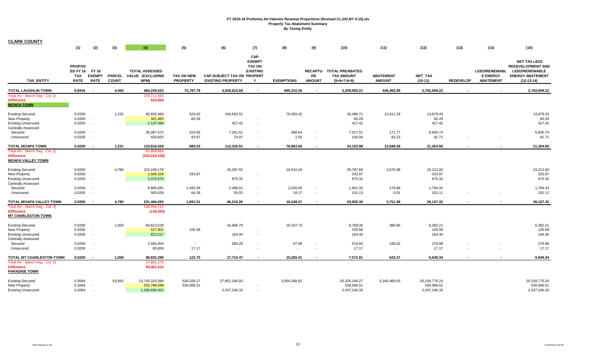| <b>CLARK COUNTY</b>                                                                               |                                                        |                                       |                               |                                                   |                                      |                                                               |                                                                |                   |                                                      |                                                              |                                   |                                             |                  |                                                             |                                                                                                                     |
|---------------------------------------------------------------------------------------------------|--------------------------------------------------------|---------------------------------------|-------------------------------|---------------------------------------------------|--------------------------------------|---------------------------------------------------------------|----------------------------------------------------------------|-------------------|------------------------------------------------------|--------------------------------------------------------------|-----------------------------------|---------------------------------------------|------------------|-------------------------------------------------------------|---------------------------------------------------------------------------------------------------------------------|
|                                                                                                   | (1)                                                    | (2)                                   | (3)                           | (4)                                               | (5)                                  | (6)                                                           | (7)                                                            | (8)               | (9)                                                  | (10)                                                         | (11)                              | (12)                                        | (13)             | (14)                                                        | (15)                                                                                                                |
|                                                                                                   |                                                        |                                       |                               |                                                   |                                      |                                                               |                                                                |                   |                                                      |                                                              |                                   |                                             |                  |                                                             |                                                                                                                     |
| <b>TAX ENTITY</b>                                                                                 | <b>PROPOS</b><br><b>ED FY 16</b><br>TAX<br><b>RATE</b> | FY 16<br><b>EXEMPT</b><br><b>RATE</b> | <b>PARCEL</b><br><b>COUNT</b> | <b>TOTAL ASSESSED</b><br>VALUE (EXCLUDING<br>NPM) | <b>TAX ON NEW</b><br><b>PROPERTY</b> | <b>CAP-SUBJECT TAX ON PROPERT</b><br><b>EXISTING PROPERTY</b> | CAP-<br><b>EXEMPT</b><br><b>TAX ON</b><br><b>EXISTING</b><br>Y | <b>EXEMPTIONS</b> | <b>RECAPTU</b><br><b>RE</b><br><b>AMOUNT</b>         | <b>TOTAL PREABATED</b><br><b>TAX AMOUNT</b><br>$(5+6+7-8+9)$ | <b>ABATEMENT</b><br><b>AMOUNT</b> | NET_TAX<br>$(10-11)$                        | <b>REDEVELOP</b> | <b>LEED/RENEWABL</b><br><b>E ENERGY</b><br><b>ABATEMENT</b> | <b>NET TAX LESS</b><br><b>REDEVELOPMENT AND</b><br><b>LEED/RENEWABLE</b><br><b>ENERGY ABATEMENT</b><br>$(12-13-14)$ |
| TOTAL LAUGHLIN TOWN                                                                               | 0.8416                                                 |                                       | 4,455                         | 484,229,622                                       | 73,787.79                            | 4,030,615.68                                                  | $\overline{\phantom{a}}$                                       | 895,310.26        | $\sim$                                               | 3,209,093.21                                                 | 446,483.99                        | 2,762,609.22                                |                  |                                                             | 2,762,609.22                                                                                                        |
| Total AV - March Seg - Col. Q<br><b>Difference</b><br><b>MOAPA TOWN</b>                           |                                                        |                                       |                               | 379,711,500<br>910,864                            |                                      |                                                               |                                                                |                   |                                                      |                                                              |                                   |                                             |                  |                                                             |                                                                                                                     |
| <b>Existing Secured</b><br>New Property<br><b>Existing Unsecured</b><br><b>Centrally Assessed</b> | 0.0200<br>0.0200<br>0.0200                             | $\overline{\phantom{a}}$              | 1,231                         | 95,832,469<br>301,465<br>2,137,098                | 320.62<br>60.29                      | 104,563.51<br>427.42                                          |                                                                | 78,393.42         |                                                      | 26,490.71<br>60.29<br>427.42                                 | 12,611.28                         | 13,879.43<br>60.29<br>427.42                |                  |                                                             | 13,879.43<br>60.29<br>427.42                                                                                        |
| Secured<br>Unsecured                                                                              | 0.0200<br>0.0200                                       | $\overline{\phantom{a}}$              |                               | 35,087,572<br>459,825                             | 224.65<br>83.97                      | 7,261.51<br>74.47                                             | $\overline{\phantom{a}}$<br>$\overline{\phantom{a}}$           | 468.64<br>1.50    | $\overline{\phantom{a}}$<br>$\overline{\phantom{a}}$ | 7,017.51<br>156.94                                           | 171.77<br>65.23                   | 6,845.74<br>91.71                           |                  |                                                             | 6,845.74<br>91.71                                                                                                   |
| <b>TOTAL MOAPA TOWN</b>                                                                           | 0.0200                                                 |                                       | 1,231                         | 133,818,428                                       | 689.53                               | 112,326.91                                                    |                                                                | 78,863.56         |                                                      | 34,152.88                                                    | 12,848.28                         | 21,304.60                                   |                  |                                                             | 21,304.60                                                                                                           |
| Total AV - March Seg - Col. Q<br><b>Difference</b><br><b>MOAPA VALLEY TOWN</b>                    |                                                        |                                       |                               | 61,869,664<br>(320,018,336)                       |                                      |                                                               |                                                                |                   |                                                      |                                                              |                                   |                                             |                  |                                                             |                                                                                                                     |
| <b>Existing Secured</b><br>New Property<br><b>Existing Unsecured</b><br><b>Centrally Assessed</b> | 0.0200<br>0.0200<br>0.0200                             | $\overline{\phantom{a}}$              | 4,780                         | 216,108,179<br>1,669,329<br>3,376,575             | 333.87                               | 43,297.92<br>675.32                                           | $\overline{\phantom{a}}$                                       | 16,510.24         |                                                      | 26,787.68<br>333.87<br>675.32                                | 3,575.08                          | 23,212.60<br>333.87<br>675.32               |                  |                                                             | 23,212.60<br>333.87<br>675.32                                                                                       |
| Secured<br>Unsecured                                                                              | 0.0200<br>0.0200                                       | $\overline{\phantom{a}}$              |                               | 9,806,581<br>505,629                              | 1,493.36<br>64.28                    | 2,488.01<br>55.02                                             | $\overline{\phantom{a}}$<br>$\overline{\phantom{a}}$           | 2,020.05<br>18.17 | $\overline{\phantom{a}}$<br>$\sim$                   | 1,961.32<br>101.13                                           | 176.88<br>0.01                    | 1,784.43<br>101.11                          |                  |                                                             | 1,784.43<br>101.11                                                                                                  |
| TOTAL MOAPA VALLEY TOWN                                                                           | 0.0200                                                 |                                       | 4,780                         | 231,466,293                                       | 1,891.51                             | 46,516.26                                                     |                                                                | 18,548.47         |                                                      | 29,859.30                                                    | 3,751.98                          | 26,107.32                                   |                  |                                                             | 26,107.32                                                                                                           |
| Total AV - March Seg - Col. Q<br><b>Difference</b><br><b>MT CHARLESTON TOWN</b>                   |                                                        |                                       |                               | 149,054,722<br>(139, 629)                         |                                      |                                                               |                                                                |                   |                                                      |                                                              |                                   |                                             |                  |                                                             |                                                                                                                     |
| <b>Existing Secured</b><br>New Property<br><b>Existing Unsecured</b><br><b>Centrally Assessed</b> | 0.0200<br>0.0200<br>0.0200                             | $\overline{\phantom{a}}$              | 1,059                         | 84,813,528<br>527,902<br>822,017                  | 105.58                               | 16,966.79<br>164.40                                           | $\overline{\phantom{a}}$                                       | 10,197.73         |                                                      | 6,769.06<br>105.58<br>164.40                                 | 386.85                            | 6,382.21<br>105.58<br>164.40                |                  |                                                             | 6,382.21<br>105.58<br>164.40                                                                                        |
| Secured<br>Unsecured                                                                              | 0.0200<br>0.0200                                       |                                       |                               | 2,583,004<br>85,839                               | $\sim$<br>17.17                      | 584.28                                                        |                                                                | 67.68             |                                                      | 516.60<br>17.17                                              | 236.62<br>$\sim$                  | 279.98<br>17.17                             |                  |                                                             | 279.98<br>17.17                                                                                                     |
| TOTAL MT CHARLESTON TOWN                                                                          | 0.0200                                                 |                                       | 1,059                         | 88,832,290                                        | 122.75                               | 17,715.47                                                     |                                                                | 10,265.41         |                                                      | 7,572.81                                                     | 623.47                            | 6,949.34                                    |                  |                                                             | 6,949.34                                                                                                            |
| Total AV - March Seg - Col. Q<br><b>Difference</b><br><b>PARADISE TOWN</b>                        |                                                        |                                       |                               | 37,861,379<br>50,461,024                          |                                      |                                                               |                                                                |                   |                                                      |                                                              |                                   |                                             |                  |                                                             |                                                                                                                     |
| <b>Existing Secured</b><br>New Property<br><b>Existing Unsecured</b>                              | 0.2064<br>0.2064<br>0.2064                             |                                       | 63,662                        | 13,743,315,584<br>256,786,098<br>1,180,836,401    | 528,328.17<br>530,006.51             | 27,851,184.92<br>2,437,246.33                                 |                                                                | 3,054,268.82      |                                                      | 25,325,244.27<br>530,006.51<br>2,437,246.33                  | 5,165,469.03                      | 20,159,775.24<br>530,006.51<br>2,437,246.33 |                  |                                                             | 20.159.775.24<br>530,006.51<br>2,437,246.33                                                                         |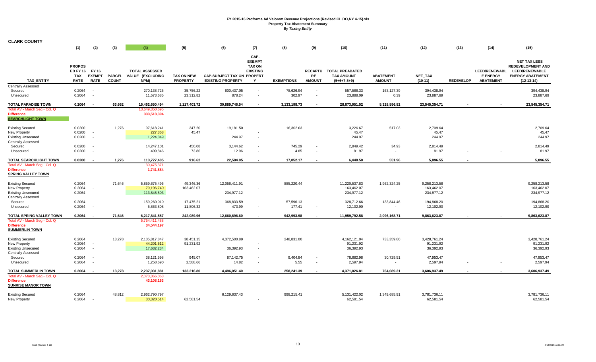| <b>CLARK COUNTY</b>                                                                                            | (1)                                                          | (2)                                                  | (3)                           | (4)                                               | (5)                                  | (6)                                                           | (7)                                                            | (8)                 | (9)                                                  | (10)                                                          | (11)                                   | (12)                                     | (13)             | (14)                                                        | (15)                                                                                                         |
|----------------------------------------------------------------------------------------------------------------|--------------------------------------------------------------|------------------------------------------------------|-------------------------------|---------------------------------------------------|--------------------------------------|---------------------------------------------------------------|----------------------------------------------------------------|---------------------|------------------------------------------------------|---------------------------------------------------------------|----------------------------------------|------------------------------------------|------------------|-------------------------------------------------------------|--------------------------------------------------------------------------------------------------------------|
| <b>TAX ENTITY</b>                                                                                              | <b>PROPOS</b><br>ED FY 16 FY 16<br><b>TAX</b><br><b>RATE</b> | <b>EXEMPT</b><br><b>RATE</b>                         | <b>PARCEL</b><br><b>COUNT</b> | <b>TOTAL ASSESSED</b><br>VALUE (EXCLUDING<br>NPM) | <b>TAX ON NEW</b><br><b>PROPERTY</b> | <b>CAP-SUBJECT TAX ON PROPERT</b><br><b>EXISTING PROPERTY</b> | CAP-<br><b>EXEMPT</b><br><b>TAX ON</b><br><b>EXISTING</b><br>Y | <b>EXEMPTIONS</b>   | <b>RE</b><br><b>AMOUNT</b>                           | RECAPTU TOTAL PREABATED<br><b>TAX AMOUNT</b><br>$(5+6+7-8+9)$ | <b>ABATEMENT</b><br><b>AMOUNT</b>      | NET_TAX<br>$(10-11)$                     | <b>REDEVELOP</b> | <b>LEED/RENEWABL</b><br><b>E ENERGY</b><br><b>ABATEMENT</b> | <b>NET TAX LESS</b><br><b>REDEVELOPMENT AND</b><br>LEED/RENEWABLE<br><b>ENERGY ABATEMENT</b><br>$(12-13-14)$ |
| Centrally Assessed<br>Secured<br>Unsecured                                                                     | 0.2064<br>0.2064                                             | $\overline{\phantom{a}}$                             |                               | 270,138,725<br>11,573,685                         | 35,756.22<br>23,312.82               | 600,437.05<br>878.24                                          | $\overline{\phantom{a}}$<br>$\overline{\phantom{a}}$           | 78,626.94<br>302.97 | $\overline{\phantom{a}}$<br>$\overline{\phantom{a}}$ | 557,566.33<br>23,888.09                                       | 163,127.39<br>0.39                     | 394,438.94<br>23,887.69                  |                  |                                                             | 394,438.94<br>23,887.69                                                                                      |
| <b>TOTAL PARADISE TOWN</b>                                                                                     | 0.2064                                                       |                                                      | 63,662                        | 15,462,650,494                                    | 1,117,403.72                         | 30,889,746.54                                                 | $\overline{a}$                                                 | 3,133,198.73        | $\overline{\phantom{a}}$                             | 28,873,951.52                                                 | 5,328,596.82                           | 23,545,354.71                            |                  |                                                             | 23,545,354.71                                                                                                |
| Total AV - March Seg - Col. Q<br><b>Difference</b><br><b>SEARCHLIGHT TOWN</b>                                  |                                                              |                                                      |                               | 13,649,350,695<br>333,518,394                     |                                      |                                                               |                                                                |                     |                                                      |                                                               |                                        |                                          |                  |                                                             |                                                                                                              |
| <b>Existing Secured</b><br>New Property<br><b>Existing Unsecured</b><br><b>Centrally Assessed</b>              | 0.0200<br>0.0200<br>0.0200                                   | $\sim$                                               | 1,276                         | 97,618,241<br>227,368<br>1,224,849                | 347.20<br>45.47                      | 19,181.50<br>244.97                                           |                                                                | 16,302.03           |                                                      | 3,226.67<br>45.47<br>244.97                                   | 517.03                                 | 2,709.64<br>45.47<br>244.97              |                  |                                                             | 2,709.64<br>45.47<br>244.97                                                                                  |
| Secured<br>Unsecured                                                                                           | 0.0200<br>0.0200                                             |                                                      |                               | 14,247,101<br>409,846                             | 450.08<br>73.86                      | 3,144.62<br>12.96                                             | $\overline{\phantom{a}}$<br>$\overline{\phantom{a}}$           | 745.29<br>4.85      | $\overline{\phantom{a}}$<br>$\overline{\phantom{a}}$ | 2,849.42<br>81.97                                             | 34.93<br>$\overline{\phantom{a}}$      | 2,814.49<br>81.97                        |                  |                                                             | 2,814.49<br>81.97                                                                                            |
| TOTAL SEARCHLIGHT TOWN<br>Total AV - March Seg - Col. Q<br><b>Difference</b><br><b>SPRING VALLEY TOWN</b>      | 0.0200                                                       |                                                      | 1,276                         | 113,727,405<br>30,475,371<br>1,741,884            | 916.62                               | 22,584.05                                                     |                                                                | 17,052.17           |                                                      | 6,448.50                                                      | 551.96                                 | 5.896.55                                 | $\sim$           |                                                             | 5,896.55                                                                                                     |
| <b>Existing Secured</b><br>New Property<br><b>Existing Unsecured</b><br><b>Centrally Assessed</b>              | 0.2064<br>0.2064<br>0.2064                                   | $\overline{\phantom{a}}$<br>$\overline{\phantom{a}}$ | 71,646                        | 5,859,675,496<br>79,196,740<br>113,845,503        | 49,346.36<br>163,462.07              | 12,056,411.91<br>234,977.12                                   |                                                                | 885,220.44          |                                                      | 11,220,537.83<br>163,462.07<br>234,977.12                     | 1,962,324.25                           | 9,258,213.58<br>163,462.07<br>234,977.12 |                  |                                                             | 9,258,213.58<br>163,462.07<br>234,977.12                                                                     |
| Secured<br>Unsecured                                                                                           | 0.2064<br>0.2064                                             | $\sim$                                               |                               | 159,260,010<br>5,863,808                          | 17,475.21<br>11,806.32               | 368,833.59<br>473.99                                          |                                                                | 57,596.13<br>177.41 | $\overline{\phantom{a}}$<br>$\overline{\phantom{a}}$ | 328,712.66<br>12,102.90                                       | 133,844.46<br>$\overline{\phantom{a}}$ | 194,868.20<br>12,102.90                  |                  |                                                             | 194,868.20<br>12,102.90                                                                                      |
| <b>TOTAL SPRING VALLEY TOWN</b><br>Total AV - March Seq - Col. Q<br><b>Difference</b><br><b>SUMMERLIN TOWN</b> | 0.2064                                                       |                                                      | 71.646                        | 6,217,841,557<br>5,754,411,488<br>34,544,197      | 242.089.96                           | 12.660.696.60                                                 |                                                                | 942.993.98          |                                                      | 11.959.792.58                                                 | 2,096,168.71                           | 9.863.623.87                             | $\blacksquare$   |                                                             | 9,863,623.87                                                                                                 |
| <b>Existing Secured</b><br><b>New Property</b><br><b>Existing Unsecured</b><br><b>Centrally Assessed</b>       | 0.2064<br>0.2064<br>0.2064                                   | $\overline{\phantom{a}}$<br>$\sim$                   | 13,278                        | 2,135,817,847<br>44,201,512<br>17,632,234         | 38,451.15<br>91,231.92               | 4,372,500.89<br>36,392.93                                     | $\blacksquare$                                                 | 248,831.00          |                                                      | 4, 162, 121.04<br>91,231.92<br>36,392.93                      | 733,359.80                             | 3,428,761.24<br>91,231.92<br>36,392.93   |                  |                                                             | 3,428,761.24<br>91,231.92<br>36,392.93                                                                       |
| Secured<br>Unsecured                                                                                           | 0.2064<br>0.2064                                             | $\sim$                                               |                               | 38,121,598<br>1,258,690                           | 945.07<br>2,588.66                   | 87,142.75<br>14.82                                            | $\overline{\phantom{a}}$                                       | 9,404.84<br>5.55    | $\overline{\phantom{a}}$                             | 78,682.98<br>2,597.94                                         | 30,729.51<br>$\sim$                    | 47,953.47<br>2,597.94                    |                  |                                                             | 47,953.47<br>2,597.94                                                                                        |
| <b>TOTAL SUMMERLIN TOWN</b><br>Total AV - March Seq - Col. Q<br><b>Difference</b><br><b>SUNRISE MANOR TOWN</b> | 0.2064                                                       |                                                      | 13,278                        | 2,237,031,881<br>2,073,366,063<br>43,108,163      | 133,216.80                           | 4.496.051.40                                                  |                                                                | 258,241.39          |                                                      | 4,371,026.81                                                  | 764,089.31                             | 3,606,937.49                             |                  |                                                             | 3,606,937.49                                                                                                 |
| <b>Existing Secured</b><br>New Property                                                                        | 0.2064<br>0.2064                                             |                                                      | 48,812                        | 2,962,790,797<br>30,320,514                       | 62,581.54                            | 6,129,637.43                                                  |                                                                | 998,215.41          |                                                      | 5,131,422.02<br>62,581.54                                     | 1,349,685.91                           | 3,781,736.11<br>62,581.54                |                  |                                                             | 3,781,736.11<br>62,581.54                                                                                    |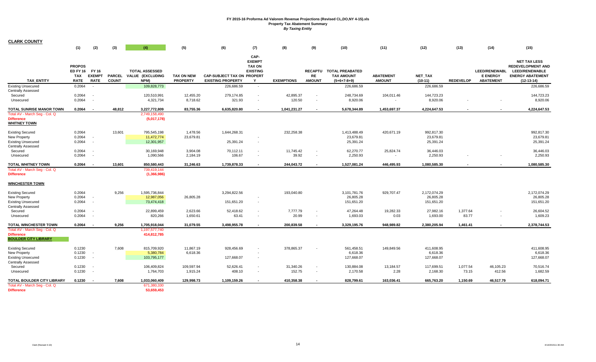| <b>CLARK COUNTY</b>                                                                                      |                                                       |                                                      |                               |                                                          |                                      |                                                               |                                                                |                     |                                                      |                                                               |                                        |                                         |                   |                                                             |                                                                                                                     |
|----------------------------------------------------------------------------------------------------------|-------------------------------------------------------|------------------------------------------------------|-------------------------------|----------------------------------------------------------|--------------------------------------|---------------------------------------------------------------|----------------------------------------------------------------|---------------------|------------------------------------------------------|---------------------------------------------------------------|----------------------------------------|-----------------------------------------|-------------------|-------------------------------------------------------------|---------------------------------------------------------------------------------------------------------------------|
|                                                                                                          | (1)                                                   | (2)                                                  | (3)                           | (4)                                                      | (5)                                  | (6)                                                           | (7)                                                            | (8)                 | (9)                                                  | (10)                                                          | (11)                                   | (12)                                    | (13)              | (14)                                                        | (15)                                                                                                                |
| <b>TAX ENTITY</b>                                                                                        | <b>PROPOS</b><br>ED FY 16 FY 16<br>TAX<br><b>RATE</b> | <b>EXEMPT</b><br><b>RATE</b>                         | <b>PARCEL</b><br><b>COUNT</b> | <b>TOTAL ASSESSED</b><br><b>VALUE (EXCLUDING</b><br>NPM) | <b>TAX ON NEW</b><br><b>PROPERTY</b> | <b>CAP-SUBJECT TAX ON PROPERT</b><br><b>EXISTING PROPERTY</b> | CAP-<br><b>EXEMPT</b><br><b>TAX ON</b><br><b>EXISTING</b><br>Y | <b>EXEMPTIONS</b>   | <b>RE</b><br><b>AMOUNT</b>                           | RECAPTU TOTAL PREABATED<br><b>TAX AMOUNT</b><br>$(5+6+7-8+9)$ | <b>ABATEMENT</b><br><b>AMOUNT</b>      | NET_TAX<br>$(10-11)$                    | <b>REDEVELOP</b>  | <b>LEED/RENEWABL</b><br><b>E ENERGY</b><br><b>ABATEMENT</b> | <b>NET TAX LESS</b><br><b>REDEVELOPMENT AND</b><br><b>LEED/RENEWABLE</b><br><b>ENERGY ABATEMENT</b><br>$(12-13-14)$ |
| <b>Existing Unsecured</b>                                                                                | 0.2064                                                | $\overline{\phantom{a}}$                             |                               | 109,828,773                                              |                                      | 226,686.59                                                    | $\sim$                                                         |                     |                                                      | 226,686.59                                                    |                                        | 226,686.59                              |                   |                                                             | 226,686.59                                                                                                          |
| <b>Centrally Assessed</b><br>Secured<br>Unsecured                                                        | 0.2064<br>0.2064                                      |                                                      |                               | 120,510,991<br>4,321,734                                 | 12,455.20<br>8,718.62                | 279,174.85<br>321.93                                          | $\overline{\phantom{a}}$<br>$\overline{\phantom{a}}$           | 42,895.37<br>120.50 | $\overline{\phantom{a}}$<br>$\overline{\phantom{a}}$ | 248,734.69<br>8,920.06                                        | 104,011.46<br>$\overline{\phantom{a}}$ | 144,723.23<br>8,920.06                  |                   |                                                             | 144,723.23<br>8,920.06                                                                                              |
| TOTAL SUNRISE MANOR TOWN                                                                                 | 0.2064                                                | . .                                                  | 48,812                        | 3,227,772,809                                            | 83,755.36                            | 6,635,820.80                                                  |                                                                | 1,041,231.27        |                                                      | 5,678,344.89                                                  | 1,453,697.37                           | 4,224,647.53                            |                   |                                                             | 4,224,647.53                                                                                                        |
| Total AV - March Seg - Col. Q<br><b>Difference</b><br><b>WHITNEY TOWN</b>                                |                                                       |                                                      |                               | 2,749,158,490<br>(5,017,178)                             |                                      |                                                               |                                                                |                     |                                                      |                                                               |                                        |                                         |                   |                                                             |                                                                                                                     |
| <b>Existing Secured</b><br><b>New Property</b><br><b>Existing Unsecured</b><br><b>Centrally Assessed</b> | 0.2064<br>0.2064<br>0.2064                            | $\overline{\phantom{a}}$<br>$\overline{\phantom{a}}$ | 13,601                        | 795,545,198<br>11,472,774<br>12,301,957                  | 1,478.56<br>23,679.81                | 1,644,268.31<br>25,391.24                                     | $\overline{\phantom{a}}$                                       | 232,258.38          |                                                      | 1,413,488.49<br>23,679.81<br>25,391.24                        | 420,671.19                             | 992,817.30<br>23,679.81<br>25,391.24    |                   |                                                             | 992,817.30<br>23,679.81<br>25,391.24                                                                                |
| Secured                                                                                                  | 0.2064                                                |                                                      |                               | 30,169,948                                               | 3,904.08                             | 70,112.11                                                     | $\overline{\phantom{a}}$                                       | 11,745.42           | $\overline{\phantom{a}}$                             | 62,270.77                                                     | 25,824.74                              | 36,446.03                               |                   |                                                             | 36,446.03                                                                                                           |
| Unsecured                                                                                                | 0.2064                                                |                                                      |                               | 1,090,566                                                | 2,184.19                             | 106.67                                                        | $\overline{\phantom{a}}$                                       | 39.92               | $\blacksquare$                                       | 2,250.93                                                      | $\overline{\phantom{a}}$               | 2,250.93                                |                   |                                                             | 2,250.93                                                                                                            |
| TOTAL WHITNEY TOWN                                                                                       | 0.2064                                                |                                                      | 13,601                        | 850,580,443                                              | 31,246.63                            | 1,739,878.33                                                  | $\overline{a}$                                                 | 244,043.72          | $\sim$                                               | 1,527,081.24                                                  | 446,495.93                             | 1,080,585.30                            |                   |                                                             | 1,080,585.30                                                                                                        |
| Total AV - March Seg - Col. Q<br><b>Difference</b>                                                       |                                                       |                                                      |                               | 739,419,144<br>(1,366,986)                               |                                      |                                                               |                                                                |                     |                                                      |                                                               |                                        |                                         |                   |                                                             |                                                                                                                     |
| <b>WINCHESTER TOWN</b>                                                                                   |                                                       |                                                      |                               |                                                          |                                      |                                                               |                                                                |                     |                                                      |                                                               |                                        |                                         |                   |                                                             |                                                                                                                     |
| <b>Existing Secured</b><br>New Property<br><b>Existing Unsecured</b><br>Centrally Assessed               | 0.2064<br>0.2064<br>0.2064                            | $\overline{\phantom{a}}$<br>$\overline{\phantom{a}}$ | 9,256                         | 1,595,736,844<br>12,987,056<br>73,474,418                | 26,805.28                            | 3,294,822.56<br>151,651.20                                    | $\overline{\phantom{a}}$<br>$\overline{\phantom{a}}$           | 193,040.80          |                                                      | 3,101,781.76<br>26,805.28<br>151,651.20                       | 929,707.47                             | 2,172,074.29<br>26,805.28<br>151,651.20 |                   |                                                             | 2,172,074.29<br>26,805.28<br>151,651.20                                                                             |
| Secured<br>Unsecured                                                                                     | 0.2064<br>0.2064                                      |                                                      |                               | 22,899,459<br>820,266                                    | 2,623.66<br>1,650.61                 | 52,418.62<br>63.41                                            | $\overline{\phantom{a}}$<br>$\overline{\phantom{a}}$           | 7,777.79<br>20.99   | $\overline{\phantom{a}}$<br>$\overline{\phantom{a}}$ | 47,264.48<br>1,693.03                                         | 19,282.33<br>0.03                      | 27,982.16<br>1,693.00                   | 1,377.64<br>83.77 |                                                             | 26,604.52<br>1,609.23                                                                                               |
| TOTAL WINCHESTER TOWN                                                                                    | 0.2064                                                | . .                                                  | 9.256                         | 1,705,918,044                                            | 31,079.55                            | 3,498,955.78                                                  | $\overline{\phantom{a}}$                                       | 200.839.58          | $\overline{\phantom{a}}$                             | 3,329,195.76                                                  | 948.989.82                             | 2,380,205.94                            | 1.461.41          | $\sim$                                                      | 2,378,744.53                                                                                                        |
| Total AV - March Seg - Col. Q<br><b>Difference</b><br><b>BOULDER CITY LIBRARY</b>                        |                                                       |                                                      |                               | 1,197,577,740<br>414,812,785                             |                                      |                                                               |                                                                |                     |                                                      |                                                               |                                        |                                         |                   |                                                             |                                                                                                                     |
| <b>Existing Secured</b><br>New Property<br><b>Existing Unsecured</b><br><b>Centrally Assessed</b>        | 0.1230<br>0.1230<br>0.1230                            | $\overline{\phantom{a}}$<br>$\overline{\phantom{a}}$ | 7,608                         | 815,709,920<br>5,380,784<br>103,795,177                  | 11,867.19<br>6,618.36                | 928,456.69<br>127,668.07                                      | $\blacksquare$<br>$\sim$                                       | 378,865.37          | $\overline{\phantom{a}}$                             | 561,458.51<br>6,618.36<br>127,668.07                          | 149,849.56                             | 411,608.95<br>6,618.36<br>127,668.07    |                   |                                                             | 411,608.95<br>6,618.36<br>127,668.07                                                                                |
| Secured<br>Unsecured                                                                                     | 0.1230<br>0.1230                                      | $\overline{\phantom{a}}$                             |                               | 106,409,824<br>1,764,703                                 | 109,597.94<br>1,915.24               | 52,626.41<br>408.10                                           | $\sim$<br>$\overline{\phantom{a}}$                             | 31,340.26<br>152.75 | $\overline{\phantom{a}}$<br>$\overline{\phantom{a}}$ | 130,884.08<br>2,170.58                                        | 13,184.57<br>2.28                      | 117,699.51<br>2,168.30                  | 1,077.54<br>73.15 | 46,105.23<br>412.56                                         | 70,516.74<br>1,682.59                                                                                               |
| TOTAL BOULDER CITY LIBRARY                                                                               | 0.1230                                                | $\overline{\phantom{a}}$                             | 7,608                         | 1,033,060,409                                            | 129,998.73                           | 1,109,159.26                                                  |                                                                | 410,358.38          | $\overline{\phantom{a}}$                             | 828,799.61                                                    | 163,036.41                             | 665,763.20                              | 1,150.69          | 46,517.79                                                   | 618,094.71                                                                                                          |
| Total AV - March Seg - Col. Q<br><b>Difference</b>                                                       |                                                       |                                                      |                               | 671,380,330<br>53,659,453                                |                                      |                                                               |                                                                |                     |                                                      |                                                               |                                        |                                         |                   |                                                             |                                                                                                                     |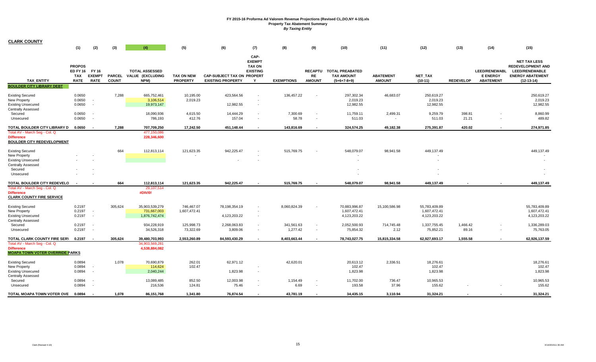| <b>CLARK COUNTY</b>                                                                                                       |                                                        |                                       |                               |                                                   |                               |                                                               |                                                                |                        |                                                      |                                                              |                                      |                                               |                   |                                                             |                                                                                                                     |
|---------------------------------------------------------------------------------------------------------------------------|--------------------------------------------------------|---------------------------------------|-------------------------------|---------------------------------------------------|-------------------------------|---------------------------------------------------------------|----------------------------------------------------------------|------------------------|------------------------------------------------------|--------------------------------------------------------------|--------------------------------------|-----------------------------------------------|-------------------|-------------------------------------------------------------|---------------------------------------------------------------------------------------------------------------------|
|                                                                                                                           | (1)                                                    | (2)                                   | (3)                           | (4)                                               | (5)                           | (6)                                                           | (7)                                                            | (8)                    | (9)                                                  | (10)                                                         | (11)                                 | (12)                                          | (13)              | (14)                                                        | (15)                                                                                                                |
| <b>TAX ENTITY</b>                                                                                                         | <b>PROPOS</b><br><b>ED FY 16</b><br>TAX<br><b>RATE</b> | FY 16<br><b>EXEMPT</b><br><b>RATE</b> | <b>PARCEL</b><br><b>COUNT</b> | <b>TOTAL ASSESSED</b><br>VALUE (EXCLUDING<br>NPM) | TAX ON NEW<br><b>PROPERTY</b> | <b>CAP-SUBJECT TAX ON PROPERT</b><br><b>EXISTING PROPERTY</b> | CAP-<br><b>EXEMPT</b><br><b>TAX ON</b><br><b>EXISTING</b><br>Y | <b>EXEMPTIONS</b>      | <b>RECAPTU</b><br>RE<br><b>AMOUNT</b>                | <b>TOTAL PREABATED</b><br><b>TAX AMOUNT</b><br>$(5+6+7-8+9)$ | <b>ABATEMENT</b><br><b>AMOUNT</b>    | NET_TAX<br>$(10-11)$                          | <b>REDEVELOP</b>  | <b>LEED/RENEWABL</b><br><b>E ENERGY</b><br><b>ABATEMENT</b> | <b>NET TAX LESS</b><br><b>REDEVELOPMENT AND</b><br><b>LEED/RENEWABLE</b><br><b>ENERGY ABATEMENT</b><br>$(12-13-14)$ |
| <b>BOULDER CITY LIBRARY DEBT</b>                                                                                          |                                                        |                                       |                               |                                                   |                               |                                                               |                                                                |                        |                                                      |                                                              |                                      |                                               |                   |                                                             |                                                                                                                     |
| <b>Existing Secured</b><br>New Property<br><b>Existing Unsecured</b><br>Centrally Assessed                                | 0.0650<br>0.0650<br>0.0650                             | $\sim$<br>$\overline{\phantom{a}}$    | 7,288                         | 665,752,461<br>3,106,514<br>19,973,147            | 10,195.00<br>2,019.23         | 423,564.56<br>12,982.55                                       | $\overline{\phantom{a}}$                                       | 136,457.22             |                                                      | 297,302.34<br>2,019.23<br>12,982.55                          | 46,683.07                            | 250,619.27<br>2,019.23<br>12,982.55           |                   |                                                             | 250,619.27<br>2,019.23<br>12,982.55                                                                                 |
| Secured<br>Unsecured                                                                                                      | 0.0650<br>0.0650                                       |                                       |                               | 18,090,936<br>786,193                             | 4,615.50<br>412.76            | 14,444.29<br>157.04                                           |                                                                | 7,300.69<br>58.78      | $\overline{\phantom{a}}$<br>$\overline{\phantom{a}}$ | 11,759.11<br>511.03                                          | 2,499.31<br>$\overline{\phantom{a}}$ | 9,259.79<br>511.03                            | 398.81<br>21.21   |                                                             | 8,860.99<br>489.82                                                                                                  |
| TOTAL BOULDER CITY LIBRARY D 0.0650<br>Total AV - March Seg - Col. Q<br>Difference<br><b>BOULDER CITY REDEVELOPMENT</b>   |                                                        | $\overline{\phantom{a}}$              | 7,288                         | 707,709,250<br>477,150,086<br>228,346,600         | 17,242.50                     | 451,148.44                                                    | $\overline{\phantom{a}}$                                       | 143,816.69             | $\sim$                                               | 324,574.25                                                   | 49,182.38                            | 275,391.87                                    | 420.02            | $\sim$                                                      | 274,971.85                                                                                                          |
| <b>Existing Secured</b><br>New Property<br><b>Existing Unsecured</b><br><b>Centrally Assessed</b><br>Secured<br>Unsecured |                                                        |                                       | 664                           | 112,813,114                                       | 121,623.35                    | 942,225.47                                                    |                                                                | 515,769.75             |                                                      | 548,079.07                                                   | 98,941.58                            | 449,137.49                                    |                   |                                                             | 449,137.49                                                                                                          |
| TOTAL BOULDER CITY REDEVELO                                                                                               |                                                        |                                       | 664                           | 112,813,114                                       | 121,623.35                    | 942,225.47                                                    |                                                                | 515,769.75             |                                                      | 548,079.07                                                   | 98,941.58                            | 449,137.49                                    |                   |                                                             | 449,137.49                                                                                                          |
| Total AV - March Seg - Col. Q<br><b>Difference</b><br><b>CLARK COUNTY FIRE SERVICE</b>                                    |                                                        |                                       |                               | 29,107,514<br>#DIV/0!                             |                               |                                                               |                                                                |                        |                                                      |                                                              |                                      |                                               |                   |                                                             |                                                                                                                     |
| <b>Existing Secured</b><br>New Property<br><b>Existing Unsecured</b><br><b>Centrally Assessed</b>                         | 0.2197<br>0.2197<br>0.2197                             | $\sim$<br>$\sim$                      | 305,624                       | 35,903,539,279<br>731,667,003<br>1,876,742,474    | 746,467.07<br>1,607,472.41    | 78,198,354.19<br>4,123,203.22                                 | $\overline{\phantom{a}}$<br>$\overline{\phantom{a}}$           | 8,060,824.39           | $\overline{\phantom{a}}$                             | 70,883,996.87<br>1,607,472.41<br>4,123,203.22                | 15,100,586.98                        | 55,783,409.89<br>1,607,472.41<br>4,123,203.22 |                   |                                                             | 55,783,409.89<br>1,607,472.41<br>4,123,203.22                                                                       |
| Secured<br>Unsecured                                                                                                      | 0.2197<br>0.2197                                       | $\sim$                                |                               | 934,228,919<br>34,526,318                         | 125,998.73<br>73,322.69       | 2,268,063.83<br>3,809.06                                      | $\overline{\phantom{a}}$<br>$\sim$                             | 341,561.63<br>1,277.42 | $\overline{\phantom{a}}$<br>$\overline{\phantom{a}}$ | 2,052,500.93<br>75,854.32                                    | 714,745.48<br>2.12                   | 1,337,755.45<br>75,852.21                     | 1,466.42<br>89.16 | $\overline{\phantom{a}}$                                    | 1,336,289.03<br>75,763.05                                                                                           |
| TOTAL CLARK COUNTY FIRE SERV                                                                                              | 0.2197                                                 | $\sim$                                | 305.624                       | 39,480,703,993                                    | 2,553,260.89                  | 84,593,430.29                                                 | $\overline{\phantom{a}}$                                       | 8,403,663.44           |                                                      | 78,743,027.75                                                | 15,815,334.58                        | 62,927,693.17                                 | 1.555.58          |                                                             | 62,926,137.59                                                                                                       |
| Total AV - March Seq - Col. Q<br><b>Difference</b><br><b>MOAPA TOWN VOTER OVERRIDE PARKS</b>                              |                                                        |                                       |                               | 34,903,569,281<br>4,538,884,082                   |                               |                                                               |                                                                |                        |                                                      |                                                              |                                      |                                               |                   |                                                             |                                                                                                                     |
| <b>Existing Secured</b><br>New Property<br><b>Existing Unsecured</b><br><b>Centrally Assessed</b>                         | 0.0894<br>0.0894<br>0.0894                             |                                       | 1,078                         | 70,690,879<br>114,624<br>2,040,244                | 262.01<br>102.47              | 62,971.12<br>1,823.98                                         |                                                                | 42,620.01              |                                                      | 20,613.12<br>102.47<br>1,823.98                              | 2,336.51                             | 18,276.61<br>102.47<br>1,823.98               |                   |                                                             | 18,276.61<br>102.47<br>1,823.98                                                                                     |
| Secured<br>Unsecured                                                                                                      | 0.0894<br>0.0894                                       |                                       |                               | 13,089,485<br>216,536                             | 852.50<br>124.81              | 12,003.98<br>75.46                                            |                                                                | 1,154.49<br>6.69       |                                                      | 11,702.00<br>193.58                                          | 736.47<br>37.96                      | 10,965.53<br>155.62                           |                   |                                                             | 10,965.53<br>155.62                                                                                                 |
| TOTAL MOAPA TOWN VOTER OVE                                                                                                | 0.0894                                                 |                                       | 1,078                         | 86,151,768                                        | 1,341.80                      | 76,874.54                                                     |                                                                | 43,781.19              |                                                      | 34,435.15                                                    | 3,110.94                             | 31,324.21                                     |                   |                                                             | 31,324.21                                                                                                           |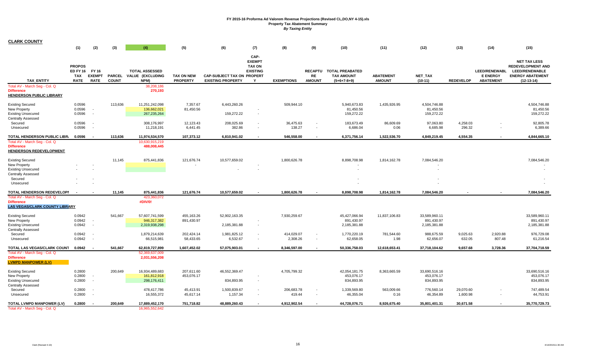| <b>CLARK COUNTY</b>                                                                                                       |                                                              |                              |                               |                                                                            |                                      |                                                               |                                                                |                         |                                                      |                                                               |                                   |                                                      |                       |                                                             |                                                                                                                     |
|---------------------------------------------------------------------------------------------------------------------------|--------------------------------------------------------------|------------------------------|-------------------------------|----------------------------------------------------------------------------|--------------------------------------|---------------------------------------------------------------|----------------------------------------------------------------|-------------------------|------------------------------------------------------|---------------------------------------------------------------|-----------------------------------|------------------------------------------------------|-----------------------|-------------------------------------------------------------|---------------------------------------------------------------------------------------------------------------------|
|                                                                                                                           | (1)                                                          | (2)                          | (3)                           | (4)                                                                        | (5)                                  | (6)                                                           | (7)                                                            | (8)                     | (9)                                                  | (10)                                                          | (11)                              | (12)                                                 | (13)                  | (14)                                                        | (15)                                                                                                                |
| TAX_ENTITY<br>Total AV - March Seg - Col. Q<br><b>Difference</b><br>HENDERSON PUBLIC LIBRARY                              | <b>PROPOS</b><br>ED FY 16 FY 16<br><b>TAX</b><br><b>RATE</b> | <b>EXEMPT</b><br><b>RATE</b> | <b>PARCEL</b><br><b>COUNT</b> | <b>TOTAL ASSESSED</b><br>VALUE (EXCLUDING<br>NPM)<br>38,208,186<br>270,193 | <b>TAX ON NEW</b><br><b>PROPERTY</b> | <b>CAP-SUBJECT TAX ON PROPERT</b><br><b>EXISTING PROPERTY</b> | CAP-<br><b>EXEMPT</b><br><b>TAX ON</b><br><b>EXISTING</b><br>Y | <b>EXEMPTIONS</b>       | <b>RE</b><br><b>AMOUNT</b>                           | RECAPTU TOTAL PREABATED<br><b>TAX AMOUNT</b><br>$(5+6+7-8+9)$ | <b>ABATEMENT</b><br><b>AMOUNT</b> | NET_TAX<br>$(10-11)$                                 | <b>REDEVELOP</b>      | <b>LEED/RENEWABL</b><br><b>E ENERGY</b><br><b>ABATEMENT</b> | <b>NET TAX LESS</b><br><b>REDEVELOPMENT AND</b><br><b>LEED/RENEWABLE</b><br><b>ENERGY ABATEMENT</b><br>$(12-13-14)$ |
| <b>Existing Secured</b><br>New Property<br><b>Existing Unsecured</b><br><b>Centrally Assessed</b><br>Secured              | 0.0596<br>0.0596<br>0.0596<br>0.0596                         | $\sim$<br>$\sim$<br>$\sim$   | 113,636                       | 11,251,242,098<br>136,662,021<br>267,235,264<br>308,176,997                | 7,357.67<br>81,450.56<br>12,123.43   | 6,443,260.26<br>159,272.22<br>208,025.69                      | $\overline{\phantom{a}}$                                       | 509,944.10<br>36,475.63 |                                                      | 5,940,673.83<br>81,450.56<br>159,272.22<br>183,673.49         | 1,435,926.95<br>86,609.69         | 4,504,746.88<br>81,450.56<br>159,272.22<br>97,063.80 | 4,258.03              |                                                             | 4,504,746.88<br>81,450.56<br>159,272.22<br>92,805.78                                                                |
| Unsecured                                                                                                                 | 0.0596                                                       |                              |                               | 11,218,191                                                                 | 6,441.45                             | 382.86                                                        |                                                                | 138.27                  | $\overline{\phantom{a}}$                             | 6,686.04                                                      | 0.06                              | 6,685.98                                             | 296.32                |                                                             | 6,389.66                                                                                                            |
| TOTAL HENDERSON PUBLIC LIBR. 0.0596                                                                                       |                                                              |                              | 113.636                       | 11,974,534,570                                                             | 107,373.12                           | 6,810,941.02                                                  |                                                                | 546.558.00              |                                                      | 6,371,756.14                                                  | 1,522,536.70                      | 4,849,219.45                                         | 4.554.35              |                                                             | 4,844,665.10                                                                                                        |
| Total AV - March Seg - Col. Q<br><b>Difference</b><br><b>HENDERSON REDEVELOPMENT</b>                                      |                                                              |                              |                               | 10,630,915,219<br>488,008,445                                              |                                      |                                                               |                                                                |                         |                                                      |                                                               |                                   |                                                      |                       |                                                             |                                                                                                                     |
| <b>Existing Secured</b><br>New Property<br><b>Existing Unsecured</b><br>Centrally Assessed                                |                                                              |                              | 11,145                        | 875,441,836                                                                | 121,676.74                           | 10,577,659.02                                                 |                                                                | 1,800,626.78            |                                                      | 8,898,708.98                                                  | 1,814,162.78                      | 7,084,546.20                                         |                       |                                                             | 7,084,546.20                                                                                                        |
| Secured<br>Unsecured                                                                                                      |                                                              |                              |                               |                                                                            |                                      |                                                               |                                                                |                         |                                                      |                                                               |                                   |                                                      |                       |                                                             |                                                                                                                     |
| TOTAL HENDERSON REDEVELOPI<br>Total AV - March Seg - Col. Q<br><b>Difference</b><br><b>LAS VEGAS/CLARK COUNTY LIBRARY</b> |                                                              |                              | 11,145                        | 875,441,836<br>423,360,072<br>#DIV/0!                                      | 121,676.74                           | 10,577,659.02                                                 |                                                                | 1,800,626.78            |                                                      | 8,898,708.98                                                  | 1,814,162.78                      | 7,084,546.20                                         |                       |                                                             | 7,084,546.20                                                                                                        |
| <b>Existing Secured</b><br>New Property<br><b>Existing Unsecured</b><br><b>Centrally Assessed</b>                         | 0.0942<br>0.0942<br>0.0942                                   | $\sim$<br>$\sim$             | 541,667                       | 57,607,741,599<br>946,317,382<br>2,319,938,298                             | 455,163.26<br>891,430.97             | 52,902,163.35<br>2,185,381.88                                 |                                                                | 7,930,259.67            |                                                      | 45,427,066.94<br>891,430.97<br>2,185,381.88                   | 11,837,106.83                     | 33,589,960.11<br>891,430.97<br>2,185,381.88          |                       |                                                             | 33,589,960.11<br>891,430.97<br>2,185,381.88                                                                         |
| Secured<br>Unsecured                                                                                                      | 0.0942<br>0.0942                                             | $\sim$                       |                               | 1,879,214,639<br>66,515,981                                                | 202,424.14<br>58,433.65              | 1,981,825.12<br>6,532.67                                      | $\overline{\phantom{a}}$                                       | 414,029.07<br>2,308.26  | $\overline{\phantom{a}}$<br>$\overline{\phantom{a}}$ | 1,770,220.19<br>62,658.05                                     | 781,544.60<br>1.98                | 988,675.59<br>62,656.07                              | 9,025.63<br>632.05    | 2,920.88<br>807.48                                          | 976,729.08<br>61,216.54                                                                                             |
| TOTAL LAS VEGAS/CLARK COUNT                                                                                               | 0.0942                                                       | $\overline{\phantom{a}}$     | 541,667                       | 62,819,727,899                                                             | 1,607,452.02                         | 57,075,903.01                                                 |                                                                | 8,346,597.00            |                                                      | 50,336,758.03                                                 | 12,618,653.41                     | 37,718,104.62                                        | 9,657.68              | 3,728.36                                                    | 37,704,718.59                                                                                                       |
| Total AV - March Seg - Col. Q<br><b>Difference</b><br><b>LVMPD MANPOWER (LV)</b>                                          |                                                              |                              |                               | 52,369,637,009<br>2,031,556,208                                            |                                      |                                                               |                                                                |                         |                                                      |                                                               |                                   |                                                      |                       |                                                             |                                                                                                                     |
| <b>Existing Secured</b><br>New Property<br><b>Existing Unsecured</b><br><b>Centrally Assessed</b>                         | 0.2800<br>0.2800<br>0.2800                                   | $\sim$<br>$\sim$             | 200,649                       | 16,934,489,683<br>161,812,918<br>298,176,411                               | 207,611.60<br>453,076.17             | 46,552,369.47<br>834,893.95                                   | $\overline{\phantom{a}}$                                       | 4,705,799.32            |                                                      | 42,054,181.75<br>453,076.17<br>834,893.95                     | 8,363,665.59                      | 33,690,516.16<br>453,076.17<br>834,893.95            |                       |                                                             | 33,690,516.16<br>453,076.17<br>834,893.95                                                                           |
| Secured<br>Unsecured                                                                                                      | 0.2800<br>0.2800                                             | $\sim$<br>$\sim$             |                               | 478,417,786<br>16,555,372                                                  | 45,413.91<br>45,617.14               | 1,500,839.67<br>1,157.34                                      | $\overline{\phantom{a}}$<br>$\overline{\phantom{a}}$           | 206,683.78<br>419.44    | $\overline{\phantom{a}}$<br>$\overline{\phantom{a}}$ | 1,339,569.80<br>46,355.04                                     | 563,009.66<br>0.16                | 776,560.14<br>46,354.89                              | 29,070.60<br>1,600.98 | $\overline{\phantom{a}}$                                    | 747,489.54<br>44,753.91                                                                                             |
| TOTAL LVMPD MANPOWER (LV)<br>Total AV - March Seq - Col. Q                                                                | 0.2800                                                       |                              | 200.649                       | 17,889,452,170<br>16,965,552,642                                           | 751,718.82                           | 48,889,260.43                                                 |                                                                | 4,912,902.54            |                                                      | 44,728,076.71                                                 | 8,926,675.40                      | 35,801,401.31                                        | 30,671.58             |                                                             | 35,770,729.73                                                                                                       |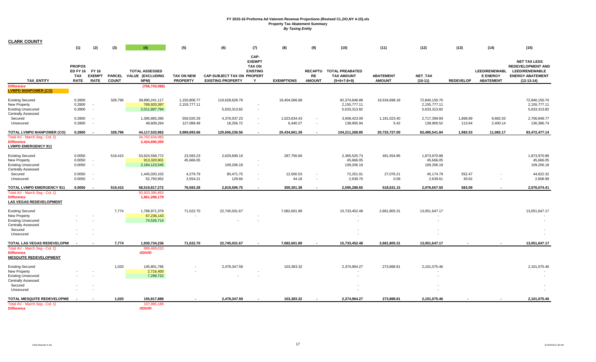| <b>CLARK COUNTY</b>                                                                                                             |                                                              |                                                      |                               |                                                                      |                                      |                                                               |                                                                |                          |                                                      |                                                              |                                   |                                               |                    |                                                             |                                                                                                                     |
|---------------------------------------------------------------------------------------------------------------------------------|--------------------------------------------------------------|------------------------------------------------------|-------------------------------|----------------------------------------------------------------------|--------------------------------------|---------------------------------------------------------------|----------------------------------------------------------------|--------------------------|------------------------------------------------------|--------------------------------------------------------------|-----------------------------------|-----------------------------------------------|--------------------|-------------------------------------------------------------|---------------------------------------------------------------------------------------------------------------------|
|                                                                                                                                 | (1)                                                          | (2)                                                  | (3)                           | (4)                                                                  | (5)                                  | (6)                                                           | (7)                                                            | (8)                      | (9)                                                  | (10)                                                         | (11)                              | (12)                                          | (13)               | (14)                                                        | (15)                                                                                                                |
| <b>TAX ENTITY</b><br><b>Difference</b>                                                                                          | <b>PROPOS</b><br>ED FY 16 FY 16<br><b>TAX</b><br><b>RATE</b> | <b>EXEMPT</b><br><b>RATE</b>                         | <b>PARCEL</b><br><b>COUNT</b> | <b>TOTAL ASSESSED</b><br>VALUE (EXCLUDING<br>NPM)<br>(756, 743, 086) | <b>TAX ON NEW</b><br><b>PROPERTY</b> | <b>CAP-SUBJECT TAX ON PROPERT</b><br><b>EXISTING PROPERTY</b> | CAP-<br><b>EXEMPT</b><br><b>TAX ON</b><br><b>EXISTING</b><br>Y | <b>EXEMPTIONS</b>        | <b>RECAPTU</b><br>RE<br><b>AMOUNT</b>                | <b>TOTAL PREABATED</b><br><b>TAX AMOUNT</b><br>$(5+6+7-8+9)$ | <b>ABATEMENT</b><br><b>AMOUNT</b> | NET_TAX<br>$(10-11)$                          | <b>REDEVELOP</b>   | <b>LEED/RENEWABL</b><br><b>E ENERGY</b><br><b>ABATEMENT</b> | <b>NET TAX LESS</b><br><b>REDEVELOPMENT AND</b><br><b>LEED/RENEWABLE</b><br><b>ENERGY ABATEMENT</b><br>$(12-13-14)$ |
| <b>LVMPD MANPOWER (CO)</b><br><b>Existing Secured</b><br>New Property<br><b>Existing Unsecured</b><br><b>Centrally Assessed</b> | 0.2800<br>0.2800<br>0.2800                                   | $\overline{\phantom{a}}$                             | 328,796                       | 39,890,241,117<br>769,920,397<br>2,011,897,794                       | 1,150,806.77<br>2,155,777.11         | 110,628,628.79<br>5,633,313.82                                | $\overline{\phantom{a}}$                                       | 19,404,586.68            |                                                      | 92,374,848.88<br>2,155,777.11<br>5,633,313.82                | 19,534,698.18                     | 72.840.150.70<br>2,155,777.11<br>5,633,313.82 |                    |                                                             | 72,840,150.70<br>2,155,777.11<br>5,633,313.82                                                                       |
| Secured<br>Unsecured                                                                                                            | 0.2800<br>0.2800                                             |                                                      |                               | 1,395,865,390<br>49,609,264                                          | 556,020.29<br>127,089.49             | 4,376,037.23<br>18,256.72                                     | $\sim$<br>$\sim$                                               | 1,023,634.43<br>6,440.27 | $\overline{\phantom{a}}$<br>$\overline{\phantom{a}}$ | 3,908,423.09<br>138,905.94                                   | 1,191,023.40<br>5.42              | 2,717,399.69<br>138,900.52                    | 1,868.89<br>113.64 | 8,682.03<br>2,400.14                                        | 2,706,848.77<br>136,386.74                                                                                          |
| <b>TOTAL LVMPD MANPOWER (CO)</b><br>Total AV - March Seg - Col. Q<br><b>Difference</b><br><b>LVMPD EMERGENCY 911</b>            | 0.2800                                                       |                                                      | 328,796                       | 44,117,533,962<br>34,762,634,083<br>2,424,690,350                    | 3,989,693.66                         | 120,656,236.56                                                |                                                                | 20,434,661.38            | $\overline{a}$                                       | 104,211,268.85                                               | 20,725,727.00                     | 83,485,541.84                                 | 1.982.53           | 11,082.17                                                   | 83,472,477.14                                                                                                       |
| <b>Existing Secured</b><br>New Property<br><b>Existing Unsecured</b><br><b>Centrally Assessed</b>                               | 0.0050<br>0.0050<br>0.0050                                   | $\overline{\phantom{a}}$<br>$\overline{\phantom{a}}$ | 519,415                       | 53,924,558,772<br>913,320,901<br>2,184,123,545                       | 23,583.23<br>45,666.05               | 2,629,699.16<br>109,206.18                                    | $\overline{\phantom{a}}$                                       | 287,756.66               |                                                      | 2,365,525.73<br>45,666.05<br>109,206.18                      | 491,554.85                        | 1,873,970.88<br>45,666.05<br>109,206.18       |                    |                                                             | 1,873,970.88<br>45,666.05<br>109,206.18                                                                             |
| Secured<br>Unsecured                                                                                                            | 0.0050<br>0.0050                                             |                                                      |                               | 1,445,020,102<br>52,793,952                                          | 4,279.79<br>2,554.21                 | 80,471.75<br>129.66                                           | $\overline{\phantom{a}}$<br>$\overline{\phantom{a}}$           | 12,500.53<br>44.18       | $\overline{\phantom{a}}$<br>$\overline{\phantom{a}}$ | 72,251.01<br>2,639.70                                        | 27,076.21<br>0.09                 | 45,174.79<br>2,639.61                         | 552.47<br>30.62    |                                                             | 44,622.32<br>2,608.99                                                                                               |
| TOTAL LVMPD EMERGENCY 911<br>Total AV - March Seg - Col. Q<br><b>Difference</b><br><b>LAS VEGAS REDEVELOPMENT</b>               | 0.0050                                                       | $\sim$                                               | 519,415                       | 58,519,817,272<br>50,903,395,893<br>1,861,288,179                    | 76,083.28                            | 2,819,506.75                                                  | $\overline{a}$                                                 | 300,301.38               | $\overline{\phantom{a}}$                             | 2,595,288.65                                                 | 518,631.15                        | 2,076,657.50                                  | 583.09             |                                                             | 2,076,074.41                                                                                                        |
| <b>Existing Secured</b><br>New Property<br><b>Existing Unsecured</b><br><b>Centrally Assessed</b><br>Secured                    |                                                              |                                                      | 7,774                         | 1,788,971,379<br>67,236,143<br>74,526,714                            | 71,022.70                            | 22,745,031.67                                                 |                                                                | 7,082,601.89             |                                                      | 15,733,452.48                                                | 2,681,805.31                      | 13,051,647.17                                 |                    |                                                             | 13,051,647.17                                                                                                       |
| Unsecured                                                                                                                       |                                                              |                                                      |                               |                                                                      |                                      |                                                               |                                                                |                          |                                                      |                                                              |                                   |                                               |                    |                                                             |                                                                                                                     |
| TOTAL LAS VEGAS REDEVELOPMI<br>Total AV - March Seg - Col. Q<br><b>Difference</b><br><b>MESQUITE REDEVELOPMENT</b>              | $\overline{\phantom{a}}$                                     |                                                      | 7,774                         | 1,930,734,236<br>689,469,010<br>#DIV/0!                              | 71,022.70                            | 22,745,031.67                                                 |                                                                | 7,082,601.89             |                                                      | 15,733,452.48                                                | 2,681,805.31                      | 13,051,647.17                                 |                    |                                                             | 13,051,647.17                                                                                                       |
| <b>Existing Secured</b><br>New Property<br><b>Existing Unsecured</b><br><b>Centrally Assessed</b><br>Secured                    |                                                              |                                                      | 1,020                         | 145,801,766<br>2,716,400<br>7,299,722                                |                                      | 2,478,347.59                                                  |                                                                | 103,383.32               |                                                      | 2,374,964.27                                                 | 273,888.81                        | 2,101,075.46                                  |                    |                                                             | 2,101,075.46                                                                                                        |
| Unsecured                                                                                                                       |                                                              |                                                      |                               |                                                                      |                                      |                                                               |                                                                |                          |                                                      |                                                              |                                   |                                               |                    |                                                             |                                                                                                                     |
| TOTAL MESQUITE REDEVELOPME<br>Total AV - March Seg - Col. Q<br><b>Difference</b>                                                |                                                              |                                                      | 1,020                         | 155,817,888<br>107,985,189<br>#DIV/0!                                |                                      | 2.478.347.59                                                  |                                                                | 103.383.32               |                                                      | 2.374.964.27                                                 | 273,888.81                        | 2,101,075.46                                  |                    |                                                             | 2,101,075.46                                                                                                        |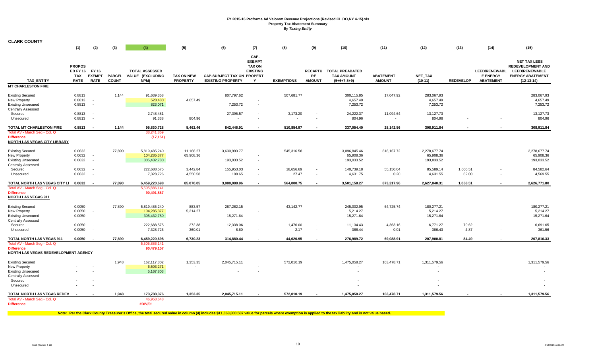| <b>CLARK COUNTY</b>                                                                                                              |                                                        |                                                      |              |                                                          |                                      |                                                               |                                                                |                    |                                            |                                                               |                                       |                                         |                   |                                                             |                                                                                                                     |
|----------------------------------------------------------------------------------------------------------------------------------|--------------------------------------------------------|------------------------------------------------------|--------------|----------------------------------------------------------|--------------------------------------|---------------------------------------------------------------|----------------------------------------------------------------|--------------------|--------------------------------------------|---------------------------------------------------------------|---------------------------------------|-----------------------------------------|-------------------|-------------------------------------------------------------|---------------------------------------------------------------------------------------------------------------------|
|                                                                                                                                  | (1)                                                    | (2)                                                  | (3)          | (4)                                                      | (5)                                  | (6)                                                           | (7)                                                            | (8)                | (9)                                        | (10)                                                          | (11)                                  | (12)                                    | (13)              | (14)                                                        | (15)                                                                                                                |
| <b>TAX ENTITY</b>                                                                                                                | <b>PROPOS</b><br><b>ED FY 16</b><br>TAX<br><b>RATE</b> | FY 16<br><b>EXEMPT</b><br><b>RATE</b>                | <b>COUNT</b> | <b>TOTAL ASSESSED</b><br>PARCEL VALUE (EXCLUDING<br>NPM) | <b>TAX ON NEW</b><br><b>PROPERTY</b> | <b>CAP-SUBJECT TAX ON PROPERT</b><br><b>EXISTING PROPERTY</b> | CAP-<br><b>EXEMPT</b><br><b>TAX ON</b><br><b>EXISTING</b><br>Y | <b>EXEMPTIONS</b>  | RE<br><b>AMOUNT</b>                        | RECAPTU TOTAL PREABATED<br><b>TAX AMOUNT</b><br>$(5+6+7-8+9)$ | <b>ABATEMENT</b><br><b>AMOUNT</b>     | NET_TAX<br>$(10-11)$                    | <b>REDEVELOP</b>  | <b>LEED/RENEWABL</b><br><b>E ENERGY</b><br><b>ABATEMENT</b> | <b>NET TAX LESS</b><br><b>REDEVELOPMENT AND</b><br><b>LEED/RENEWABLE</b><br><b>ENERGY ABATEMENT</b><br>$(12-13-14)$ |
| <b>MT CHARLESTON FIRE</b>                                                                                                        |                                                        |                                                      |              |                                                          |                                      |                                                               |                                                                |                    |                                            |                                                               |                                       |                                         |                   |                                                             |                                                                                                                     |
| <b>Existing Secured</b><br>New Property<br><b>Existing Unsecured</b><br><b>Centrally Assessed</b>                                | 0.8813<br>0.8813<br>0.8813                             | $\overline{\phantom{a}}$<br>$\overline{\phantom{a}}$ | 1,144        | 91,639,358<br>528,480<br>823,071                         | 4,657.49                             | 807,797.62<br>7,253.72                                        | $\overline{\phantom{a}}$                                       | 507,681.77         |                                            | 300,115.85<br>4,657.49<br>7,253.72                            | 17,047.92                             | 283,067.93<br>4,657.49<br>7,253.72      |                   |                                                             | 283,067.93<br>4,657.49<br>7,253.72                                                                                  |
| Secured<br>Unsecured                                                                                                             | 0.8813<br>0.8813                                       | $\overline{\phantom{a}}$                             |              | 2,748,481<br>91,338                                      | $\sim$<br>804.96                     | 27,395.57                                                     | $\overline{\phantom{a}}$                                       | 3,173.20           |                                            | 24,222.37<br>804.96                                           | 11,094.64<br>$\overline{\phantom{a}}$ | 13,127.73<br>804.96                     |                   |                                                             | 13,127.73<br>804.96                                                                                                 |
| TOTAL MT CHARLESTON FIRE                                                                                                         | 0.8813                                                 | . .                                                  | 1,144        | 95,830,728                                               | 5.462.46                             | 842,446.91                                                    | $\blacksquare$                                                 | 510,854.97         | $\blacksquare$                             | 337,054.40                                                    | 28,142.56                             | 308,911.84                              | $\blacksquare$    |                                                             | 308,911.84                                                                                                          |
| Total AV - March Seg - Col. Q<br><b>Difference</b><br>NORTH LAS VEGAS CITY LIBRARY                                               |                                                        |                                                      |              | 38,241,869<br>(17, 151)                                  |                                      |                                                               |                                                                |                    |                                            |                                                               |                                       |                                         |                   |                                                             |                                                                                                                     |
| <b>Existing Secured</b><br>New Property<br><b>Existing Unsecured</b><br><b>Centrally Assessed</b>                                | 0.0632<br>0.0632<br>0.0632                             | $\sim$<br>$\overline{\phantom{a}}$                   | 77,890       | 5,819,485,240<br>104,285,377<br>305,432,780              | 11,168.27<br>65,908.36               | 3,630,993.77<br>193,033.52                                    | $\overline{\phantom{a}}$<br>$\blacksquare$                     | 545,316.58         |                                            | 3,096,845.46<br>65,908.36<br>193,033.52                       | 818, 167.72                           | 2,278,677.74<br>65,908.36<br>193,033.52 |                   |                                                             | 2.278.677.74<br>65,908.36<br>193,033.52                                                                             |
| Secured<br>Unsecured                                                                                                             | 0.0632<br>0.0632                                       | $\overline{\phantom{a}}$<br>$\overline{\phantom{a}}$ |              | 222,688,575<br>7,328,726                                 | 3,442.84<br>4,550.58                 | 155,953.03<br>108.65                                          | $\overline{\phantom{a}}$<br>$\overline{\phantom{a}}$           | 18,656.69<br>27.47 | $\blacksquare$<br>$\overline{\phantom{a}}$ | 140,739.18<br>4,631.75                                        | 55,150.04<br>0.20                     | 85,589.14<br>4,631.55                   | 1,006.51<br>62.00 | $\overline{\phantom{a}}$                                    | 84,582.64<br>4,569.55                                                                                               |
| TOTAL NORTH LAS VEGAS CITY LI 0.0632                                                                                             |                                                        |                                                      | 77,890       | 6,459,220,698                                            | 85,070.05                            | 3,980,088.96                                                  | $\overline{a}$                                                 | 564,000.75         |                                            | 3,501,158.27                                                  | 873,317.96                            | 2,627,840.31                            | 1,068.51          | $\sim$                                                      | 2,626,771.80                                                                                                        |
| Total AV - March Seg - Col. Q<br><b>Difference</b><br><b>NORTH LAS VEGAS 911</b>                                                 |                                                        |                                                      |              | 5,505,886,141<br>90,491,867                              |                                      |                                                               |                                                                |                    |                                            |                                                               |                                       |                                         |                   |                                                             |                                                                                                                     |
| <b>Existing Secured</b><br>New Property<br><b>Existing Unsecured</b><br><b>Centrally Assessed</b>                                | 0.0050<br>0.0050<br>0.0050                             | $\overline{\phantom{a}}$                             | 77,890       | 5,819,485,240<br>104,285,377<br>305,432,780              | 883.57<br>5,214.27                   | 287,262.15<br>15,271.64                                       | $\overline{\phantom{a}}$                                       | 43,142.77          |                                            | 245,002.95<br>5,214.27<br>15,271.64                           | 64,725.74                             | 180,277.21<br>5,214.27<br>15,271.64     |                   |                                                             | 180,277.21<br>5,214.27<br>15,271.64                                                                                 |
| Secured<br>Unsecured                                                                                                             | 0.0050<br>0.0050                                       | $\overline{\phantom{a}}$                             |              | 222,688,575<br>7,328,726                                 | 272.38<br>360.01                     | 12,338.06<br>8.60                                             | $\overline{\phantom{a}}$                                       | 1,476.00<br>2.17   | $\overline{\phantom{a}}$<br>$\blacksquare$ | 11,134.43<br>366.44                                           | 4,363.16<br>0.01                      | 6,771.27<br>366.43                      | 79.62<br>4.87     |                                                             | 6,691.65<br>361.56                                                                                                  |
| <b>TOTAL NORTH LAS VEGAS 911</b>                                                                                                 | 0.0050                                                 | $\overline{\phantom{a}}$                             | 77,890       | 6,459,220,698                                            | 6,730.23                             | 314,880.44                                                    |                                                                | 44,620.95          |                                            | 276,989.72                                                    | 69,088.91                             | 207,900.81                              | 84.49             |                                                             | 207,816.33                                                                                                          |
| Total AV - March Seg - Col. Q<br><b>Difference</b><br>NORTH LAS VEGAS REDEVELOPMENT AGENCY                                       |                                                        |                                                      |              | 5,505,886,141<br>90,479,157                              |                                      |                                                               |                                                                |                    |                                            |                                                               |                                       |                                         |                   |                                                             |                                                                                                                     |
| <b>Existing Secured</b><br><b>New Property</b><br><b>Existing Unsecured</b><br><b>Centrally Assessed</b><br>Secured<br>Unsecured |                                                        |                                                      | 1,948        | 162,117,302<br>6,503,271<br>5,167,803                    | 1,353.35                             | 2,045,715.11                                                  |                                                                | 572,010.19         |                                            | 1,475,058.27<br>$\overline{\phantom{a}}$                      | 163,478.71                            | 1,311,579.56                            |                   |                                                             | 1,311,579.56                                                                                                        |
| TOTAL NORTH LAS VEGAS REDEV<br>Total AV - March Seg - Col. Q<br><b>Difference</b>                                                | $\overline{\phantom{a}}$                               |                                                      | 1,948        | 173,788,376<br>46,953,648<br>#DIV/0!                     | 1,353.35                             | 2,045,715.11                                                  |                                                                | 572,010.19         |                                            | 1,475,058.27                                                  | 163,478.71                            | 1,311,579.56                            |                   |                                                             | 1,311,579.56                                                                                                        |

Note: Per the Clark County Treasurer's Office, the total secured value in column (4) includes \$11,063,800,587 value for parcels where exemption is applied to the tax liability and is not value based.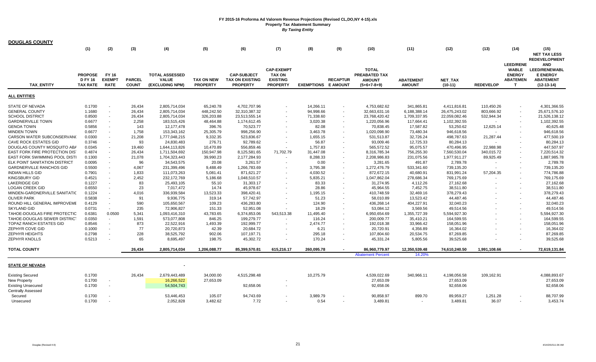| <b>DOUGLAS COUNTY</b>                      | (1)                                                 | (2)                                   | (3)                           | (4)                                                      | (5)                                  | (6)                                                             | (7)                                                                      | (8)                        | (9)                      | (10)                                                                   | (11)                              | (12)                        | (13)             | (14)                                                                       | (15)<br><b>NET TAX LESS</b><br><b>REDEVELOPMENT</b>                                       |
|--------------------------------------------|-----------------------------------------------------|---------------------------------------|-------------------------------|----------------------------------------------------------|--------------------------------------|-----------------------------------------------------------------|--------------------------------------------------------------------------|----------------------------|--------------------------|------------------------------------------------------------------------|-----------------------------------|-----------------------------|------------------|----------------------------------------------------------------------------|-------------------------------------------------------------------------------------------|
| <b>TAX ENTITY</b>                          | <b>PROPOSE</b><br><b>D FY 16</b><br><b>TAX RATE</b> | FY 16<br><b>EXEMPT</b><br><b>RATE</b> | <b>PARCEL</b><br><b>COUNT</b> | <b>TOTAL ASSESSED</b><br><b>VALUE</b><br>(EXCLUDING NPM) | <b>TAX ON NEW</b><br><b>PROPERTY</b> | <b>CAP-SUBJECT</b><br><b>TAX ON EXISTING</b><br><b>PROPERTY</b> | <b>CAP-EXEMPT</b><br><b>TAX ON</b><br><b>EXISTING</b><br><b>PROPERTY</b> | <b>EXEMPTIONS E AMOUNT</b> | <b>RECAPTUR</b>          | <b>TOTAL</b><br><b>PREABATED TAX</b><br><b>AMOUNT</b><br>$(5+6+7-8+9)$ | <b>ABATEMENT</b><br><b>AMOUNT</b> | <b>NET TAX</b><br>$(10-11)$ | <b>REDEVELOP</b> | <b>LEED/RENE</b><br><b>WABLE</b><br><b>ENERGY</b><br><b>ABATEMEN</b><br>T. | <b>AND</b><br><b>LEED/RENEWABL</b><br><b>E ENERGY</b><br><b>ABATEMENT</b><br>$(12-13-14)$ |
| ALL ENTITIES                               |                                                     |                                       |                               |                                                          |                                      |                                                                 |                                                                          |                            |                          |                                                                        |                                   |                             |                  |                                                                            |                                                                                           |
| <b>STATE OF NEVADA</b>                     | 0.1700                                              |                                       | 26,434                        | 2,805,714,034                                            | 65,240.78                            | 4,702,707.96                                                    |                                                                          | 14,266.11                  |                          | 4,753,682.62                                                           | 341,865.81                        | 4,411,816.81                | 110,450.26       |                                                                            | 4,301,366.55                                                                              |
| <b>GENERAL COUNTY</b>                      | 1.1680                                              |                                       | 26,434                        | 2,805,714,034                                            | 448,242.50                           | 32,310,387.32                                                   |                                                                          | 94,998.66                  |                          | 32,663,631.16                                                          | 6,188,388.14                      | 26,475,243.02               | 803,666.92       |                                                                            | 25,671,576.10                                                                             |
| <b>SCHOOL DISTRICT</b>                     | 0.8500                                              | $\sim$                                | 26,434                        | 2,805,714,034                                            | 326,203.88                           | 23,513,555.14                                                   |                                                                          | 71,338.60                  | $\sim$                   | 23,768,420.42                                                          | 1,709,337.95                      | 22,059,082.46               | 532,944.34       | $\overline{\phantom{a}}$                                                   | 21,526,138.12                                                                             |
| <b>GARDNERVILLE TOWN</b>                   | 0.6677                                              | $\sim$                                | 2,258                         | 183,515,426                                              | 48,464.88                            | 1,174,612.45                                                    |                                                                          | 3,020.38                   |                          | 1,220,056.96                                                           | 117,664.41                        | 1,102,392.55                |                  |                                                                            | 1,102,392.55                                                                              |
| <b>GENOA TOWN</b>                          | 0.5856                                              |                                       | 143                           | 12,177,478                                               | 396.76                               | 70,523.77                                                       |                                                                          | 82.08                      | $\overline{\phantom{a}}$ | 70,838.45                                                              | 17,587.82                         | 53,250.62                   | 12,625.14        |                                                                            | 40,625.48                                                                                 |
| <b>MINDEN TOWN</b>                         | 0.6677                                              |                                       | 1,758                         | 153,343,162                                              | 25,305.79                            | 998,256.90                                                      |                                                                          | 3,463.78                   |                          | 1,020,098.90                                                           | 73,480.34                         | 946,618.56                  |                  |                                                                            | 946,618.56                                                                                |
| CARSON WATER SUBCONSERVANO                 | 0.0300                                              |                                       | 21,208                        | 1,777,048,215                                            | 9,332.35                             | 523,836.67                                                      |                                                                          | 1,655.15                   |                          | 531,513.87                                                             | 32,726.24                         | 498,787.63                  | 21,287.44        |                                                                            | 477,500.19                                                                                |
| <b>CAVE ROCK ESTATES GID</b>               | 0.3746                                              |                                       | 93                            | 24,830,483                                               | 276.71                               | 92,789.62                                                       |                                                                          | 56.87                      |                          | 93,009.46                                                              | 12,725.33                         | 80,284.13                   | $\blacksquare$   |                                                                            | 80,284.13                                                                                 |
| DOUGLAS COUNTY MOSQUITO ABA                | 0.0345                                              |                                       | 19,460                        | 1,644,113,826                                            | 10,470.89                            | 556,859.46                                                      |                                                                          | 1,757.83                   |                          | 565,572.52                                                             | 95,075.57                         | 470,496.95                  | 22,988.98        |                                                                            | 447,507.97                                                                                |
| <b>EAST FORK FIRE PROTECTION DIST</b>      | 0.4874                                              |                                       | 26,434                        | 1,711,504,692                                            | 150,947.98                           | 8,125,581.65                                                    | 71,702.79                                                                | 31,447.08                  |                          | 8,316,785.34                                                           | 756,255.30                        | 7,560,530.04                | 340,015.72       |                                                                            | 7,220,514.32                                                                              |
| EAST FORK SWIMMING POOL DISTI              | 0.1300                                              |                                       | 21,078                        | 1,704,323,443                                            | 39,990.23                            | 2,177,284.93                                                    |                                                                          | 8,288.33                   |                          | 2,208,986.83                                                           | 231,075.56                        | 1,977,911.27                | 89,925.49        |                                                                            | 1,887,985.78                                                                              |
| <b>ELK POINT SANITATION DISTRICT</b>       | 0.0095                                              |                                       | 96                            | 34,543,575                                               | 20.08                                | 3,261.57                                                        |                                                                          | 0.00                       |                          | 3,281.65                                                               | 491.87                            | 2,789.78                    | $\sim$           |                                                                            | 2,789.78                                                                                  |
| <b>GARDNERVILLE RANCHOS GID</b>            | 0.5500                                              |                                       | 4,067                         | 231,399,496                                              | 9,488.49                             | 1,266,783.69                                                    |                                                                          | 3,795.38                   |                          | 1,272,476.79                                                           | 533,341.60                        | 739,135.20                  |                  |                                                                            | 739,135.20                                                                                |
| <b>INDIAN HILLS GID</b>                    | 0.7901                                              | $\sim$                                | 1,833                         | 111,073,263                                              | 5,081.41                             | 871,621.27                                                      |                                                                          | 4,030.52                   | $\overline{\phantom{a}}$ | 872,672.15                                                             | 40,680.91                         | 831,991.24                  | 57,204.35        |                                                                            | 774,786.88                                                                                |
| <b>KINGSBURY GID</b>                       | 0.4521                                              |                                       | 2,452                         | 232,172,769                                              | 5,186.68                             | 1,048,510.57                                                    |                                                                          | 5,835.21                   |                          | 1,047,862.04                                                           | 278,686.34                        | 769,175.69                  |                  |                                                                            | 769,175.69                                                                                |
| <b>LAKERIDGE GID</b>                       | 0.1227                                              |                                       | 83                            | 25,493,105                                               | 55.10                                | 31,303.17                                                       |                                                                          | 83.33                      |                          | 31,274.95                                                              | 4,112.26                          | 27,162.68                   |                  |                                                                            | 27,162.68                                                                                 |
| <b>LOGAN CREEK GID</b>                     | 0.6550                                              |                                       | 23                            | 7,017,472                                                | 14.74                                | 45,978.67                                                       |                                                                          | 28.86                      |                          | 45,964.55                                                              | 7,452.75                          | 38,511.80                   |                  |                                                                            | 38,511.80                                                                                 |
| MINDEN-GARDNERVILLE SANITATIC              | 0.1224                                              |                                       | 4,016                         | 336,939,584                                              | 13,523.33                            | 398,420.41                                                      |                                                                          | 1,195.15                   |                          | 410,748.59                                                             | 32,469.16                         | 378,279.43                  |                  |                                                                            | 378,279.43                                                                                |
| <b>OLIVER PARK</b>                         | 0.5838                                              |                                       | 91                            | 9,936,775                                                | 319.14                               | 57,742.97                                                       |                                                                          | 51.23                      |                          | 58,010.89                                                              | 13,523.42                         | 44,487.46                   |                  |                                                                            | 44,487.46                                                                                 |
| ROUND HILL GENERAL IMPROVEME               | 0.4129                                              |                                       | 590                           | 105,650,567                                              | 109.23                               | 436,283.80                                                      |                                                                          | 124.90                     |                          | 436,268.14                                                             | 404,227.91                        | 32,040.23                   |                  |                                                                            | 32,040.23                                                                                 |
| <b>SKYLAND GID</b>                         | 0.0731                                              |                                       | 235                           | 72,906,827                                               | 151.33                               | 52,951.08                                                       |                                                                          | 18.29                      |                          | 53,084.12                                                              | 3,569.56                          | 49,514.56                   |                  |                                                                            | 49,514.56                                                                                 |
| TAHOE-DOUGLAS FIRE PROTECTIC               | 0.6381                                              | 0.0500                                | 5,341                         | 1,093,416,310                                            | 43,783.65                            | 6,374,853.06                                                    | 543,513.38                                                               | 11,495.40                  |                          | 6,950,654.69                                                           | 1,355,727.39                      | 5,594,927.30                |                  |                                                                            | 5,594,927.30                                                                              |
| TAHOE-DOUGLAS SEWER DISTRICT               | 0.0350                                              | $\overline{\phantom{a}}$              |                               |                                                          |                                      |                                                                 |                                                                          | 116.24                     |                          |                                                                        |                                   |                             |                  |                                                                            | 164,599.55                                                                                |
|                                            |                                                     |                                       | 1,591                         | 573,077,808                                              | 846.25                               | 199,279.77                                                      |                                                                          |                            |                          | 200,009.77                                                             | 35,410.21                         | 164,599.55                  |                  |                                                                            |                                                                                           |
| TOPAZ RANCH ESTATES GID<br>ZEPHYR COVE GID | 0.8546                                              | $\overline{\phantom{a}}$<br>$\sim$    | 873<br>77                     | 22,522,916                                               | 1,493.39                             | 192,999.77                                                      |                                                                          | 2,474.77                   |                          | 192,018.38                                                             | 33,966.42<br>4,356.89             | 158,051.96                  |                  |                                                                            | 158,051.96<br>16,364.02                                                                   |
| ZEPHYR HEIGHTS                             | 0.1000                                              |                                       |                               | 20,720,873                                               | 42.39                                | 20,684.72                                                       |                                                                          | 6.21                       |                          | 20,720.91                                                              |                                   | 16,364.02                   |                  |                                                                            |                                                                                           |
| <b>ZEPHYR KNOLLS</b>                       | 0.2798<br>0.5213                                    |                                       | 228<br>65                     | 38,525,792<br>8,695,497                                  | 902.06<br>198.75                     | 107,197.71<br>45,302.72                                         |                                                                          | 295.18<br>170.24           | $\overline{\phantom{a}}$ | 107,804.60<br>45,331.24                                                | 20,534.75<br>5,805.56             | 87,269.85<br>39,525.68      |                  |                                                                            | 87,269.85<br>39,525.68                                                                    |
|                                            |                                                     |                                       |                               |                                                          |                                      |                                                                 |                                                                          |                            |                          |                                                                        |                                   |                             |                  |                                                                            |                                                                                           |
| <b>TOTAL COUNTY</b>                        |                                                     |                                       | 26,434                        | 2,805,714,034                                            | 1,206,088.77                         | 85,399,570.81                                                   | 615,216.17                                                               | 260,095.78                 |                          | 86,960,779.97                                                          | 12,350,539.48                     | 74,610,240.50               | 1,991,108.66     |                                                                            | 72,619,131.84                                                                             |
|                                            |                                                     |                                       |                               |                                                          |                                      |                                                                 |                                                                          |                            |                          | <b>Abatement Percent</b>                                               | 14.20%                            |                             |                  |                                                                            |                                                                                           |
| <b>STATE OF NEVADA</b>                     |                                                     |                                       |                               |                                                          |                                      |                                                                 |                                                                          |                            |                          |                                                                        |                                   |                             |                  |                                                                            |                                                                                           |
| <b>Existing Secured</b>                    | 0.1700                                              |                                       | 26,434                        | 2,679,443,489                                            | 34,000.00                            | 4,515,298.48                                                    |                                                                          | 10,275.79                  |                          | 4,539,022.69                                                           | 340,966.11                        | 4,198,056.58                | 109,162.91       |                                                                            | 4,088,893.67                                                                              |
| New Property                               | 0.1700                                              |                                       |                               | 16,266,522                                               | 27,653.09                            |                                                                 |                                                                          |                            |                          | 27,653.09                                                              |                                   | 27,653.09                   |                  |                                                                            | 27,653.09                                                                                 |
| <b>Existing Unsecured</b>                  | 0.1700                                              | $\sim$                                |                               | 54,504,743                                               |                                      | 92,658.06                                                       |                                                                          |                            |                          | 92,658.06                                                              |                                   | 92,658.06                   |                  |                                                                            | 92,658.06                                                                                 |
| <b>Centrally Assessed</b>                  |                                                     |                                       |                               |                                                          |                                      |                                                                 |                                                                          |                            |                          |                                                                        |                                   |                             |                  |                                                                            |                                                                                           |
| Secured                                    | 0.1700                                              |                                       |                               | 53,446,453                                               | 105.07                               | 94,743.69                                                       |                                                                          | 3,989.79                   |                          | 90,858.97                                                              | 899.70                            | 89,959.27                   | 1,251.28         |                                                                            | 88,707.99                                                                                 |
| Unsecured                                  | 0.1700                                              |                                       |                               | 2,052,828                                                | 3,482.62                             | 7.72                                                            |                                                                          | 0.54                       |                          | 3,489.81                                                               |                                   | 3,489.81                    | 36.07            |                                                                            | 3,453.74                                                                                  |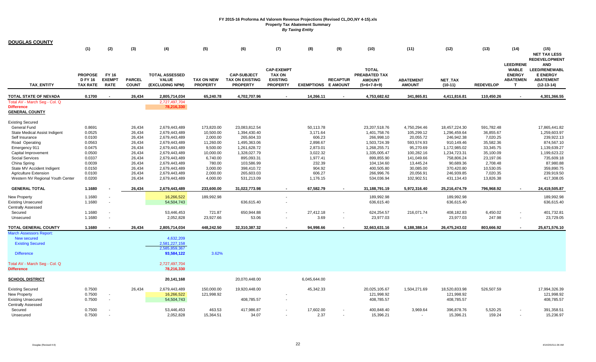| <b>DOUGLAS COUNTY</b>                              |                                                     |                                       |                               |                                                          |                                      |                                                                 |                                                                          |                            |                 |                                                                 |                                   |                         |                    |                                                        |                                                                                    |
|----------------------------------------------------|-----------------------------------------------------|---------------------------------------|-------------------------------|----------------------------------------------------------|--------------------------------------|-----------------------------------------------------------------|--------------------------------------------------------------------------|----------------------------|-----------------|-----------------------------------------------------------------|-----------------------------------|-------------------------|--------------------|--------------------------------------------------------|------------------------------------------------------------------------------------|
|                                                    | (1)                                                 | (2)                                   | (3)                           | (4)                                                      | (5)                                  | (6)                                                             | (7)                                                                      | (8)                        | (9)             | (10)                                                            | (11)                              | (12)                    | (13)               | (14)<br><b>LEED/RENE</b>                               | (15)<br><b>NET TAX LESS</b><br><b>REDEVELOPMENT</b>                                |
| <b>TAX ENTITY</b>                                  | <b>PROPOSE</b><br><b>D FY 16</b><br><b>TAX RATE</b> | FY 16<br><b>EXEMPT</b><br><b>RATE</b> | <b>PARCEL</b><br><b>COUNT</b> | <b>TOTAL ASSESSED</b><br><b>VALUE</b><br>(EXCLUDING NPM) | <b>TAX ON NEW</b><br><b>PROPERTY</b> | <b>CAP-SUBJECT</b><br><b>TAX ON EXISTING</b><br><b>PROPERTY</b> | <b>CAP-EXEMPT</b><br><b>TAX ON</b><br><b>EXISTING</b><br><b>PROPERTY</b> | <b>EXEMPTIONS E AMOUNT</b> | <b>RECAPTUR</b> | <b>TOTAL</b><br>PREABATED TAX<br><b>AMOUNT</b><br>$(5+6+7-8+9)$ | <b>ABATEMENT</b><br><b>AMOUNT</b> | NET_TAX<br>$(10-11)$    | <b>REDEVELOP</b>   | <b>WABLE</b><br><b>ENERGY</b><br><b>ABATEMEN</b><br>T. | <b>AND</b><br>LEED/RENEWABL<br><b>E ENERGY</b><br><b>ABATEMENT</b><br>$(12-13-14)$ |
| TOTAL STATE OF NEVADA                              | 0.1700                                              |                                       | 26,434                        | 2,805,714,034                                            | 65,240.78                            | 4,702,707.96                                                    |                                                                          | 14,266.11                  |                 | 4,753,682.62                                                    | 341,865.81                        | 4,411,816.81            | 110,450.26         |                                                        | 4,301,366.55                                                                       |
| Total AV - March Seg - Col. Q                      |                                                     |                                       |                               | 2,727,497,704                                            |                                      |                                                                 |                                                                          |                            |                 |                                                                 |                                   |                         |                    |                                                        |                                                                                    |
| <b>Difference</b>                                  |                                                     |                                       |                               | 78,216,330                                               |                                      |                                                                 |                                                                          |                            |                 |                                                                 |                                   |                         |                    |                                                        |                                                                                    |
| <b>GENERAL COUNTY</b>                              |                                                     |                                       |                               |                                                          |                                      |                                                                 |                                                                          |                            |                 |                                                                 |                                   |                         |                    |                                                        |                                                                                    |
| Existing Secured                                   |                                                     |                                       |                               |                                                          |                                      |                                                                 |                                                                          |                            |                 |                                                                 |                                   |                         |                    |                                                        |                                                                                    |
| <b>General Fund</b>                                | 0.8691                                              |                                       | 26,434                        | 2,679,443,489                                            | 173,820.00                           | 23,083,812.54                                                   |                                                                          | 50,113.78                  |                 | 23,207,518.76                                                   | 4,750,294.46                      | 18,457,224.30           | 591,782.48         |                                                        | 17,865,441.82                                                                      |
| State Medical Assist Indigent                      | 0.0525                                              |                                       | 26,434                        | 2,679,443,489                                            | 10,500.00                            | 1,394,430.40                                                    |                                                                          | 3,171.64                   |                 | 1,401,758.76                                                    | 105,299.12                        | 1,296,459.64            | 36,855.67          |                                                        | 1,259,603.97                                                                       |
| Self Insurance                                     | 0.0100                                              |                                       | 26,434                        | 2,679,443,489                                            | 2,000.00                             | 265,604.33                                                      |                                                                          | 606.23                     |                 | 266,998.10                                                      | 20,055.72                         | 246,942.38              | 7,020.25           |                                                        | 239,922.13                                                                         |
| Road Operating                                     | 0.0563                                              |                                       | 26,434                        | 2,679,443,489                                            | 11,260.00                            | 1,495,363.06                                                    |                                                                          | 2,898.67                   |                 | 1,503,724.39                                                    | 593,574.93                        | 910,149.46              | 35,582.36          |                                                        | 874,567.10                                                                         |
| Emergency 911                                      | 0.0475                                              |                                       | 26,434                        | 2,679,443,489                                            | 9,500.00                             | 1,261,628.72                                                    |                                                                          | 2,873.01                   |                 | 1,268,255.71                                                    | 95,270.69                         | 1,172,985.02            | 33,345.75          |                                                        | 1,139,639.27                                                                       |
| Capital Improvement                                | 0.0500                                              |                                       | 26,434                        | 2,679,443,489                                            | 10,000.00                            | 1,328,027.79                                                    |                                                                          | 3,022.32                   |                 | 1,335,005.47                                                    | 100,282.16                        | 1,234,723.31            | 35,100.09          |                                                        | 1,199,623.22                                                                       |
| <b>Social Services</b>                             | 0.0337                                              |                                       | 26,434                        | 2,679,443,489                                            | 6,740.00                             | 895,093.31                                                      |                                                                          | 1,977.41                   |                 | 899,855.90                                                      | 141,049.66                        | 758,806.24              | 23,197.06          |                                                        | 735,609.18                                                                         |
| China Spring                                       | 0.0039                                              |                                       | 26,434                        | 2,679,443,489                                            | 780.00                               | 103,586.99                                                      |                                                                          | 232.39                     |                 | 104,134.60                                                      | 13,445.24                         | 90,689.36               | 2,708.48           |                                                        | 87,980.88                                                                          |
| State MV Accident Indigent                         | 0.0150                                              |                                       | 26,434                        | 2,679,443,489                                            | 3,000.00                             | 398,410.72                                                      |                                                                          | 904.92                     |                 | 400,505.80                                                      | 30,085.00                         | 370,420.80              | 10,530.05          |                                                        | 359,890.75                                                                         |
| <b>Agriculture Extension</b>                       | 0.0100                                              |                                       | 26,434                        | 2,679,443,489                                            | 2,000.00                             | 265,603.03                                                      |                                                                          | 606.27                     |                 | 266,996.76                                                      | 20,056.91                         | 246,939.85              | 7,020.35           |                                                        | 239,919.50                                                                         |
| Western NV Regional Youth Center                   | 0.0200                                              |                                       | 26,434                        | 2,679,443,489                                            | 4,000.00                             | 531,213.09                                                      |                                                                          | 1,176.15                   |                 | 534,036.94                                                      | 102,902.51                        | 431,134.43              | 13,826.38          |                                                        | 417,308.05                                                                         |
| <b>GENERAL TOTAL</b>                               | 1.1680                                              |                                       | 26,434                        | 2,679,443,489                                            | 233,600.00                           | 31,022,773.98                                                   |                                                                          | 67,582.79                  |                 | 31,188,791.19                                                   | 5,972,316.40                      | 25,216,474.79           | 796,968.92         |                                                        | 24,419,505.87                                                                      |
| New Property                                       | 1.1680                                              | $\sim$                                |                               | 16,266,522                                               | 189,992.98                           |                                                                 |                                                                          |                            |                 | 189,992.98                                                      |                                   | 189,992.98              |                    |                                                        | 189,992.98                                                                         |
| <b>Existing Unsecured</b>                          | 1.1680                                              | $\sim$                                |                               | 54,504,743                                               |                                      | 636,615.40                                                      |                                                                          |                            |                 | 636,615.40                                                      |                                   | 636,615.40              |                    |                                                        | 636,615.40                                                                         |
| <b>Centrally Assessed</b>                          |                                                     |                                       |                               |                                                          |                                      |                                                                 |                                                                          |                            |                 |                                                                 |                                   |                         |                    |                                                        |                                                                                    |
| Secured                                            | 1.1680                                              |                                       |                               | 53,446,453                                               | 721.87                               | 650,944.88                                                      |                                                                          | 27,412.18                  |                 | 624,254.57                                                      | 216,071.74                        | 408,182.83              | 6,450.02           |                                                        | 401,732.81                                                                         |
| Unsecured                                          | 1.1680                                              | $\overline{\phantom{a}}$              |                               | 2,052,828                                                | 23,927.66                            | 53.06                                                           |                                                                          | 3.69                       |                 | 23,977.03                                                       |                                   | 23,977.03               | 247.98             |                                                        | 23,729.05                                                                          |
| TOTAL GENERAL COUNTY                               | 1.1680                                              |                                       | 26,434                        | 2,805,714,034                                            | 448,242.50                           | 32,310,387.32                                                   |                                                                          | 94,998.66                  |                 | 32,663,631.16                                                   | 6,188,388.14                      | 26,475,243.02           | 803,666.92         |                                                        | 25,671,576.10                                                                      |
| <b>March Assessors Report:</b>                     |                                                     |                                       |                               |                                                          |                                      |                                                                 |                                                                          |                            |                 |                                                                 |                                   |                         |                    |                                                        |                                                                                    |
| <b>New secured</b>                                 |                                                     |                                       |                               | 4,632,209                                                |                                      |                                                                 |                                                                          |                            |                 |                                                                 |                                   |                         |                    |                                                        |                                                                                    |
| <b>Existing Secured</b>                            |                                                     |                                       |                               | 2,581,227,158                                            |                                      |                                                                 |                                                                          |                            |                 |                                                                 |                                   |                         |                    |                                                        |                                                                                    |
| <b>Difference</b>                                  |                                                     |                                       |                               | 2,585,859,367<br>93,584,122                              | 3.62%                                |                                                                 |                                                                          |                            |                 |                                                                 |                                   |                         |                    |                                                        |                                                                                    |
| Total AV - March Seg - Col. Q<br><b>Difference</b> |                                                     |                                       |                               | 2,727,497,704<br>78,216,330                              |                                      |                                                                 |                                                                          |                            |                 |                                                                 |                                   |                         |                    |                                                        |                                                                                    |
| <b>SCHOOL DISTRICT</b>                             |                                                     |                                       |                               | 20,141,168                                               |                                      | 20,070,448.00                                                   |                                                                          | 6,045,644.00               |                 |                                                                 |                                   |                         |                    |                                                        |                                                                                    |
| <b>Existing Secured</b>                            | 0.7500                                              |                                       | 26,434                        | 2,679,443,489                                            | 150,000.00                           | 19,920,448.00                                                   |                                                                          | 45,342.33                  |                 | 20,025,105.67                                                   | 1,504,271.69                      | 18,520,833.98           | 526,507.59         |                                                        | 17,994,326.39                                                                      |
| <b>New Property</b>                                | 0.7500                                              |                                       |                               | 16,266,522                                               | 121,998.92                           |                                                                 |                                                                          |                            |                 | 121,998.92                                                      |                                   | 121,998.92              |                    |                                                        | 121,998.92                                                                         |
| <b>Existing Unsecured</b>                          | 0.7500                                              | $\sim$                                |                               | 54,504,743                                               |                                      | 408,785.57                                                      |                                                                          |                            |                 | 408,785.57                                                      |                                   | 408,785.57              |                    |                                                        | 408,785.57                                                                         |
| <b>Centrally Assessed</b>                          |                                                     |                                       |                               |                                                          |                                      |                                                                 |                                                                          |                            |                 |                                                                 |                                   |                         |                    |                                                        |                                                                                    |
| Secured<br>Unsecured                               | 0.7500<br>0.7500                                    |                                       |                               | 53,446,453<br>2.052.828                                  | 463.53<br>15.364.51                  | 417,986.87<br>34.07                                             |                                                                          | 17,602.00<br>2.37          |                 | 400,848.40<br>15.396.21                                         | 3,969.64                          | 396,878.76<br>15.396.21 | 5,520.25<br>159.24 |                                                        | 391,358.51<br>15.236.97                                                            |
|                                                    |                                                     |                                       |                               |                                                          |                                      |                                                                 |                                                                          |                            |                 |                                                                 |                                   |                         |                    |                                                        |                                                                                    |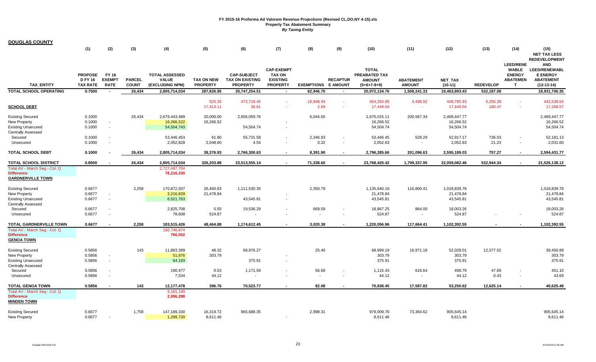| <b>DOUGLAS COUNTY</b>                                                                                     |                                                     |                                       |                               |                                                          |                                      |                                                                 |                                                                          |                            |                 |                                                                 |                                   |                                        |                    |                                                                            |                                                                                           |
|-----------------------------------------------------------------------------------------------------------|-----------------------------------------------------|---------------------------------------|-------------------------------|----------------------------------------------------------|--------------------------------------|-----------------------------------------------------------------|--------------------------------------------------------------------------|----------------------------|-----------------|-----------------------------------------------------------------|-----------------------------------|----------------------------------------|--------------------|----------------------------------------------------------------------------|-------------------------------------------------------------------------------------------|
|                                                                                                           | (1)                                                 | (2)                                   | (3)                           | (4)                                                      | (5)                                  | (6)                                                             | (7)                                                                      | (8)                        | (9)             | (10)                                                            | (11)                              | (12)                                   | (13)               | (14)                                                                       | (15)<br><b>NET TAX LESS</b><br><b>REDEVELOPMENT</b>                                       |
| <b>TAX ENTITY</b>                                                                                         | <b>PROPOSE</b><br><b>D FY 16</b><br><b>TAX RATE</b> | FY 16<br><b>EXEMPT</b><br><b>RATE</b> | <b>PARCEL</b><br><b>COUNT</b> | <b>TOTAL ASSESSED</b><br><b>VALUE</b><br>(EXCLUDING NPM) | <b>TAX ON NEW</b><br><b>PROPERTY</b> | <b>CAP-SUBJECT</b><br><b>TAX ON EXISTING</b><br><b>PROPERTY</b> | <b>CAP-EXEMPT</b><br><b>TAX ON</b><br><b>EXISTING</b><br><b>PROPERTY</b> | <b>EXEMPTIONS E AMOUNT</b> | <b>RECAPTUR</b> | <b>TOTAL</b><br>PREABATED TAX<br><b>AMOUNT</b><br>$(5+6+7-8+9)$ | <b>ABATEMENT</b><br><b>AMOUNT</b> | NET_TAX<br>$(10-11)$                   | <b>REDEVELOP</b>   | <b>LEED/RENE</b><br><b>WABLE</b><br><b>ENERGY</b><br><b>ABATEMEN</b><br>T. | <b>AND</b><br><b>LEED/RENEWABL</b><br><b>E ENERGY</b><br><b>ABATEMENT</b><br>$(12-13-14)$ |
| TOTAL SCHOOL OPERATING                                                                                    | 0.7500                                              |                                       | 26,434                        | 2,805,714,034                                            | 287,826.95                           | 20,747,254.51                                                   | $\sim$                                                                   | 62,946.70                  | $\sim$          | 20,972,134.76                                                   | 1,508,241.33                      | 19,463,893.43                          | 532,187.08         |                                                                            | 18,931,706.35                                                                             |
| <b>SCHOOL DEBT</b>                                                                                        |                                                     |                                       |                               |                                                          | 525.33<br>17,413.11                  | 473,718.45<br>38.61                                             | $\sim$                                                                   | 19,948.93<br>2.69          | $\sim$          | 454,294.85<br>17,449.04                                         | 4,498.92                          | 449,795.93<br>17,449.04                | 6,256.28<br>180.47 |                                                                            | 443,539.64<br>17,268.57                                                                   |
| <b>Existing Secured</b><br>New Property<br><b>Existing Unsecured</b><br><b>Centrally Assessed</b>         | 0.1000<br>0.1000<br>0.1000                          | $\sim$<br>$\sim$                      | 26,434                        | 2,679,443,489<br>16,266,522<br>54,504,743                | 20,000.00<br>16,266.52               | 2,656,059.76<br>54,504.74                                       |                                                                          | 6,044.65                   |                 | 2,670,015.11<br>16,266.52<br>54,504.74                          | 200,567.34                        | 2,469,447.77<br>16,266.52<br>54,504.74 |                    |                                                                            | 2,469,447.77<br>16,266.52<br>54,504.74                                                    |
| Secured<br>Unsecured                                                                                      | 0.1000<br>0.1000                                    |                                       |                               | 53,446,453<br>2,052,828                                  | 61.80<br>2,048.60                    | 55,731.58<br>4.54                                               |                                                                          | 2,346.93<br>0.32           | $\blacksquare$  | 53,446.45<br>2,052.83                                           | 529.29<br>$\sim$                  | 52,917.17<br>2,052.83                  | 736.03<br>21.23    | $\blacksquare$                                                             | 52,181.13<br>2,031.60                                                                     |
| <b>TOTAL SCHOOL DEBT</b>                                                                                  | 0.1000                                              |                                       | 26,434                        | 2,805,714,034                                            | 38,376.93                            | 2,766,300.63                                                    |                                                                          | 8,391.90                   |                 | 2,796,285.66                                                    | 201,096.63                        | 2,595,189.03                           | 757.27             |                                                                            | 2,594,431.77                                                                              |
| <b>TOTAL SCHOOL DISTRICT</b>                                                                              | 0.8500                                              |                                       | 26,434                        | 2,805,714,034                                            | 326,203.88                           | 23,513,555.14                                                   |                                                                          | 71,338.60                  |                 | 23,768,420.42                                                   | 1,709,337.95                      | 22,059,082.46                          | 532,944.34         |                                                                            | 21,526,138.12                                                                             |
| Total AV - March Seg - Col. Q<br><b>Difference</b><br><b>GARDNERVILLE TOWN</b>                            |                                                     |                                       |                               | 2,727,497,704<br>78,216,330                              |                                      |                                                                 |                                                                          |                            |                 |                                                                 |                                   |                                        |                    |                                                                            |                                                                                           |
| <b>Existing Secured</b><br>New Property<br><b>Existing Unsecured</b>                                      | 0.6677<br>0.6677<br>0.6677                          | $\sim$                                | 2,258                         | 170,872,507<br>3,216,839<br>6,521,763                    | 26,460.63<br>21,478.84               | 1,111,530.35<br>43,545.81                                       |                                                                          | 2,350.79                   |                 | 1,135,640.19<br>21,478.84<br>43,545.81                          | 116,800.41                        | 1,018,839.78<br>21,478.84<br>43,545.81 |                    |                                                                            | 1,018,839.78<br>21,478.84<br>43,545.81                                                    |
| <b>Centrally Assessed</b><br>Secured<br>Unsecured                                                         | 0.6677<br>0.6677                                    |                                       |                               | 2,825,708<br>78,608                                      | 0.55<br>524.87                       | 19,536.29                                                       |                                                                          | 669.59                     |                 | 18,867.25<br>524.87                                             | 864.00                            | 18,003.26<br>524.87                    |                    |                                                                            | 18,003.26<br>524.87                                                                       |
| <b>TOTAL GARDNERVILLE TOWN</b><br>Total AV - March Seg - Col. Q<br><b>Difference</b><br><b>GENOA TOWN</b> | 0.6677                                              |                                       | 2,258                         | 183,515,426<br>182,748,874<br>766,552                    | 48,464.88                            | 1,174,612.45                                                    |                                                                          | 3,020.38                   |                 | 1,220,056.96                                                    | 117,664.41                        | 1,102,392.55                           |                    |                                                                            | 1,102,392.55                                                                              |
| <b>Existing Secured</b><br>New Property<br><b>Existing Unsecured</b><br><b>Centrally Assessed</b>         | 0.5856<br>0.5856<br>0.5856                          | $\sim$<br>$\overline{\phantom{a}}$    | 143                           | 11,863,399<br>51,876<br>64,193                           | 48.32<br>303.79                      | 68,976.27<br>375.91                                             |                                                                          | 25.40                      |                 | 68,999.19<br>303.79<br>375.91                                   | 16,971.18                         | 52,028.01<br>303.79<br>375.91          | 12,577.02          |                                                                            | 39,450.99<br>303.79<br>375.91                                                             |
| Secured<br>Unsecured                                                                                      | 0.5856<br>0.5856                                    |                                       |                               | 190,477<br>7,534                                         | 0.53<br>44.12                        | 1,171.59                                                        |                                                                          | 56.68                      |                 | 1,115.43<br>44.12                                               | 616.64                            | 498.79<br>44.12                        | 47.69<br>0.43      |                                                                            | 451.10<br>43.69                                                                           |
| <b>TOTAL GENOA TOWN</b>                                                                                   | 0.5856                                              |                                       | 143                           | 12,177,478                                               | 396.76                               | 70,523.77                                                       |                                                                          | 82.08                      |                 | 70,838.45                                                       | 17,587.82                         | 53,250.62                              | 12,625.14          |                                                                            | 40,625.48                                                                                 |
| Total AV - March Seg - Col. Q<br><b>Difference</b><br><b>MINDEN TOWN</b>                                  |                                                     |                                       |                               | 9,181,190<br>2,996,288                                   |                                      |                                                                 |                                                                          |                            |                 |                                                                 |                                   |                                        |                    |                                                                            |                                                                                           |
| <b>Existing Secured</b><br>New Property                                                                   | 0.6677<br>0.6677                                    |                                       | 1,758                         | 147,189,330<br>1,289,720                                 | 16,319.72<br>8,611.46                | 965,688.35                                                      |                                                                          | 2,998.31                   |                 | 979,009.76<br>8,611.46                                          | 73,364.62                         | 905,645.14<br>8,611.46                 |                    |                                                                            | 905,645.14<br>8,611.46                                                                    |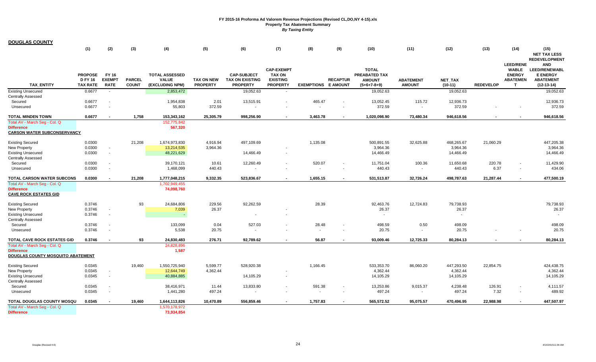| <b>DOUGLAS COUNTY</b>              |                                                     |                                              |                               |                                                          |                                      |                                                                 |                                                                          |                            |                 |                                                                 |                                   |                        |                  |                                                                           |                                                                                    |
|------------------------------------|-----------------------------------------------------|----------------------------------------------|-------------------------------|----------------------------------------------------------|--------------------------------------|-----------------------------------------------------------------|--------------------------------------------------------------------------|----------------------------|-----------------|-----------------------------------------------------------------|-----------------------------------|------------------------|------------------|---------------------------------------------------------------------------|------------------------------------------------------------------------------------|
|                                    | (1)                                                 | (2)                                          | (3)                           | (4)                                                      | (5)                                  | (6)                                                             | (7)                                                                      | (8)                        | (9)             | (10)                                                            | (11)                              | (12)                   | (13)             | (14)                                                                      | (15)<br><b>NET TAX LESS</b><br><b>REDEVELOPMENT</b>                                |
| <b>TAX ENTITY</b>                  | <b>PROPOSE</b><br><b>D FY 16</b><br><b>TAX RATE</b> | <b>FY 16</b><br><b>EXEMPT</b><br><b>RATE</b> | <b>PARCEL</b><br><b>COUNT</b> | <b>TOTAL ASSESSED</b><br><b>VALUE</b><br>(EXCLUDING NPM) | <b>TAX ON NEW</b><br><b>PROPERTY</b> | <b>CAP-SUBJECT</b><br><b>TAX ON EXISTING</b><br><b>PROPERTY</b> | <b>CAP-EXEMPT</b><br><b>TAX ON</b><br><b>EXISTING</b><br><b>PROPERTY</b> | <b>EXEMPTIONS E AMOUNT</b> | <b>RECAPTUR</b> | <b>TOTAL</b><br>PREABATED TAX<br><b>AMOUNT</b><br>$(5+6+7-8+9)$ | <b>ABATEMENT</b><br><b>AMOUNT</b> | NET_TAX<br>$(10-11)$   | <b>REDEVELOP</b> | <b>LEED/RENE</b><br><b>WABLE</b><br><b>ENERGY</b><br><b>ABATEMEN</b><br>т | <b>AND</b><br>LEED/RENEWABL<br><b>E ENERGY</b><br><b>ABATEMENT</b><br>$(12-13-14)$ |
| <b>Existing Unsecured</b>          | 0.6677                                              | $\sim$                                       |                               | 2,853,472                                                |                                      | 19,052.63                                                       | $\sim$                                                                   |                            |                 | 19,052.63                                                       |                                   | 19,052.63              |                  |                                                                           | 19,052.63                                                                          |
| <b>Centrally Assessed</b>          |                                                     |                                              |                               |                                                          |                                      |                                                                 |                                                                          |                            |                 |                                                                 |                                   |                        |                  |                                                                           |                                                                                    |
| Secured                            | 0.6677                                              | $\overline{\phantom{a}}$                     |                               | 1,954,838                                                | 2.01                                 | 13,515.91                                                       |                                                                          | 465.47                     |                 | 13,052.45                                                       | 115.72                            | 12,936.73              |                  |                                                                           | 12,936.73                                                                          |
| Unsecured                          | 0.6677                                              | $\sim$                                       |                               | 55,803                                                   | 372.59                               |                                                                 |                                                                          |                            |                 | 372.59                                                          | $\sim$                            | 372.59                 |                  |                                                                           | 372.59                                                                             |
| <b>TOTAL MINDEN TOWN</b>           | 0.6677                                              |                                              | 1,758                         | 153,343,162                                              | 25,305.79                            | 998,256.90                                                      |                                                                          | 3,463.78                   |                 | 1,020,098.90                                                    | 73,480.34                         | 946,618.56             |                  |                                                                           | 946,618.56                                                                         |
| Total AV - March Seg - Col. Q      |                                                     |                                              |                               | 152,775,842                                              |                                      |                                                                 |                                                                          |                            |                 |                                                                 |                                   |                        |                  |                                                                           |                                                                                    |
| <b>Difference</b>                  |                                                     |                                              |                               | 567,320                                                  |                                      |                                                                 |                                                                          |                            |                 |                                                                 |                                   |                        |                  |                                                                           |                                                                                    |
| <b>CARSON WATER SUBCONSERVANCY</b> |                                                     |                                              |                               |                                                          |                                      |                                                                 |                                                                          |                            |                 |                                                                 |                                   |                        |                  |                                                                           |                                                                                    |
| <b>Existing Secured</b>            | 0.0300                                              |                                              | 21,208                        | 1,674,973,830                                            | 4,916.94                             | 497,109.69                                                      |                                                                          | 1,135.08                   |                 | 500,891.55                                                      | 32,625.88                         | 468,265.67             | 21,060.29        |                                                                           | 447,205.38                                                                         |
| New Property                       | 0.0300                                              | $\sim$                                       |                               | 13,214,535                                               | 3,964.36                             |                                                                 |                                                                          |                            |                 | 3,964.36                                                        |                                   | 3,964.36               |                  |                                                                           | 3,964.36                                                                           |
| <b>Existing Unsecured</b>          | 0.0300                                              | $\sim$                                       |                               | 48,221,629                                               |                                      | 14,466.49                                                       | $\blacksquare$                                                           |                            |                 | 14,466.49                                                       |                                   | 14,466.49              |                  |                                                                           | 14,466.49                                                                          |
| <b>Centrally Assessed</b>          |                                                     |                                              |                               |                                                          |                                      |                                                                 |                                                                          |                            |                 |                                                                 |                                   |                        |                  |                                                                           |                                                                                    |
| Secured                            | 0.0300                                              | $\overline{\phantom{a}}$                     |                               | 39,170,121                                               | 10.61                                | 12,260.49                                                       |                                                                          | 520.07                     |                 | 11,751.04                                                       | 100.36                            | 11,650.68              | 220.78           |                                                                           | 11,429.90                                                                          |
| Unsecured                          | 0.0300                                              | $\sim$                                       |                               | 1,468,099                                                | 440.43                               | $\sim$                                                          |                                                                          | $\sim$                     |                 | 440.43                                                          | $\sim$                            | 440.43                 | 6.37             |                                                                           | 434.06                                                                             |
| TOTAL CARSON WATER SUBCONS         | 0.0300                                              | $\overline{\phantom{a}}$                     | 21,208                        | 1,777,048,215                                            | 9,332.35                             | 523,836.67                                                      |                                                                          | 1,655.15                   |                 | 531,513.87                                                      | 32,726.24                         | 498,787.63             | 21,287.44        |                                                                           | 477,500.19                                                                         |
|                                    |                                                     |                                              |                               |                                                          |                                      |                                                                 |                                                                          |                            |                 |                                                                 |                                   |                        |                  |                                                                           |                                                                                    |
| Total AV - March Seg - Col. Q      |                                                     |                                              |                               | 1,702,949,455                                            |                                      |                                                                 |                                                                          |                            |                 |                                                                 |                                   |                        |                  |                                                                           |                                                                                    |
| <b>Difference</b>                  |                                                     |                                              |                               | 74,098,760                                               |                                      |                                                                 |                                                                          |                            |                 |                                                                 |                                   |                        |                  |                                                                           |                                                                                    |
| <b>CAVE ROCK ESTATES GID</b>       |                                                     |                                              |                               |                                                          |                                      |                                                                 |                                                                          |                            |                 |                                                                 |                                   |                        |                  |                                                                           |                                                                                    |
| <b>Existing Secured</b>            | 0.3746                                              |                                              | 93                            | 24,684,806                                               | 229.56                               | 92,262.59                                                       |                                                                          | 28.39                      |                 | 92,463.76                                                       | 12,724.83                         | 79,738.93              |                  |                                                                           | 79,738.93                                                                          |
| New Property                       | 0.3746                                              | $\blacksquare$                               |                               | 7,039                                                    | 26.37                                |                                                                 |                                                                          |                            |                 | 26.37                                                           |                                   | 26.37                  |                  |                                                                           | 26.37                                                                              |
| <b>Existing Unsecured</b>          | 0.3746                                              | $\sim$                                       |                               |                                                          |                                      | $\sim$                                                          |                                                                          |                            |                 | $\sim$                                                          |                                   | $\sim$                 |                  |                                                                           |                                                                                    |
| <b>Centrally Assessed</b>          |                                                     |                                              |                               |                                                          |                                      |                                                                 |                                                                          |                            |                 |                                                                 |                                   |                        |                  |                                                                           |                                                                                    |
| Secured                            | 0.3746                                              | $\sim$                                       |                               | 133,099                                                  | 0.04                                 | 527.03                                                          |                                                                          | 28.48                      |                 | 498.59                                                          | 0.50                              | 498.09                 |                  |                                                                           | 498.09                                                                             |
| Unsecured                          | 0.3746                                              | $\sim$                                       |                               | 5,538                                                    | 20.75                                |                                                                 |                                                                          |                            |                 | 20.75                                                           | $\sim$                            | 20.75                  |                  |                                                                           | 20.75                                                                              |
| <b>TOTAL CAVE ROCK ESTATES GID</b> | 0.3746                                              | $\blacksquare$                               | 93                            | 24,830,483                                               | 276.71                               | 92,789.62                                                       | $\overline{\phantom{a}}$                                                 | 56.87                      |                 | 93,009.46                                                       | 12,725.33                         | 80,284.13              |                  |                                                                           | 80,284.13                                                                          |
| Total AV - March Seg - Col. Q      |                                                     |                                              |                               | 24,828,896                                               |                                      |                                                                 |                                                                          |                            |                 |                                                                 |                                   |                        |                  |                                                                           |                                                                                    |
| <b>Difference</b>                  |                                                     |                                              |                               | 1,587                                                    |                                      |                                                                 |                                                                          |                            |                 |                                                                 |                                   |                        |                  |                                                                           |                                                                                    |
| DOUGLAS COUNTY MOSQUITO ABATEMENT  |                                                     |                                              |                               |                                                          |                                      |                                                                 |                                                                          |                            |                 |                                                                 |                                   |                        |                  |                                                                           |                                                                                    |
|                                    |                                                     |                                              |                               |                                                          |                                      |                                                                 |                                                                          |                            |                 |                                                                 |                                   |                        |                  |                                                                           |                                                                                    |
| <b>Existing Secured</b>            | 0.0345<br>0.0345                                    | $\overline{\phantom{a}}$                     | 19,460                        | 1,550,725,940<br>12,644,749                              | 5,599.77<br>4,362.44                 | 528,920.38                                                      |                                                                          | 1,166.45                   |                 | 533,353.70<br>4,362.44                                          | 86,060.20                         | 447,293.50<br>4,362.44 | 22,854.75        |                                                                           | 424,438.75<br>4,362.44                                                             |
| New Property                       |                                                     | $\sim$                                       |                               |                                                          |                                      |                                                                 |                                                                          |                            |                 |                                                                 |                                   |                        |                  |                                                                           |                                                                                    |
| <b>Existing Unsecured</b>          | 0.0345                                              |                                              |                               | 40,884,885                                               |                                      | 14,105.29                                                       |                                                                          |                            |                 | 14,105.29                                                       |                                   | 14,105.29              |                  |                                                                           | 14,105.29                                                                          |
| <b>Centrally Assessed</b>          |                                                     |                                              |                               |                                                          |                                      |                                                                 |                                                                          |                            |                 |                                                                 |                                   |                        |                  |                                                                           |                                                                                    |
| Secured                            | 0.0345                                              |                                              |                               | 38,416,971                                               | 11.44                                | 13,833.80                                                       |                                                                          | 591.38                     |                 | 13,253.86                                                       | 9,015.37                          | 4,238.48               | 126.91           |                                                                           | 4,111.57                                                                           |
| Unsecured                          | 0.0345                                              | $\overline{\phantom{a}}$                     |                               | 1,441,280                                                | 497.24                               | $\sim$                                                          |                                                                          |                            |                 | 497.24                                                          | $\sim$                            | 497.24                 | 7.32             |                                                                           | 489.92                                                                             |
| TOTAL DOUGLAS COUNTY MOSQU         | 0.0345                                              |                                              | 19,460                        | 1,644,113,826                                            | 10,470.89                            | 556,859.46                                                      |                                                                          | 1,757.83                   |                 | 565,572.52                                                      | 95,075.57                         | 470,496.95             | 22,988.98        |                                                                           | 447,507.97                                                                         |
| Total AV - March Seg - Col. Q      |                                                     |                                              |                               | 1,570,178,972                                            |                                      |                                                                 |                                                                          |                            |                 |                                                                 |                                   |                        |                  |                                                                           |                                                                                    |
| <b>Difference</b>                  |                                                     |                                              |                               | 73,934,854                                               |                                      |                                                                 |                                                                          |                            |                 |                                                                 |                                   |                        |                  |                                                                           |                                                                                    |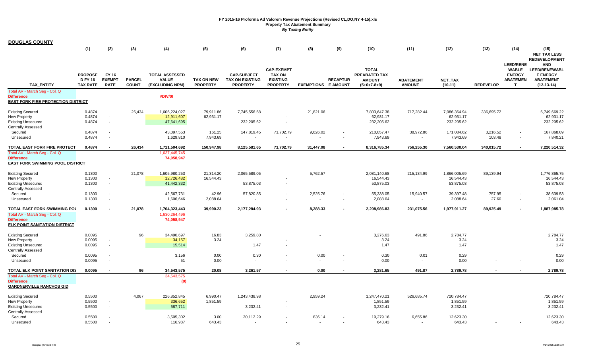| <b>DOUGLAS COUNTY</b>                                                                           |                                                     |                                       |                               |                                                          |                                      |                                                                 |                                                                          |                                    |                 |                                                                        |                                       |                             |                    |                                                                           |                                                                                                                   |
|-------------------------------------------------------------------------------------------------|-----------------------------------------------------|---------------------------------------|-------------------------------|----------------------------------------------------------|--------------------------------------|-----------------------------------------------------------------|--------------------------------------------------------------------------|------------------------------------|-----------------|------------------------------------------------------------------------|---------------------------------------|-----------------------------|--------------------|---------------------------------------------------------------------------|-------------------------------------------------------------------------------------------------------------------|
|                                                                                                 | (1)                                                 | (2)                                   | (3)                           | (4)                                                      | (5)                                  | (6)                                                             | (7)                                                                      | (8)                                | (9)             | (10)                                                                   | (11)                                  | (12)                        | (13)               | (14)                                                                      | (15)<br><b>NET TAX LESS</b>                                                                                       |
| <b>TAX ENTITY</b>                                                                               | <b>PROPOSE</b><br><b>D FY 16</b><br><b>TAX RATE</b> | FY 16<br><b>EXEMPT</b><br><b>RATE</b> | <b>PARCEL</b><br><b>COUNT</b> | <b>TOTAL ASSESSED</b><br><b>VALUE</b><br>(EXCLUDING NPM) | <b>TAX ON NEW</b><br><b>PROPERTY</b> | <b>CAP-SUBJECT</b><br><b>TAX ON EXISTING</b><br><b>PROPERTY</b> | <b>CAP-EXEMPT</b><br><b>TAX ON</b><br><b>EXISTING</b><br><b>PROPERTY</b> | <b>EXEMPTIONS E AMOUNT</b>         | <b>RECAPTUR</b> | <b>TOTAL</b><br><b>PREABATED TAX</b><br><b>AMOUNT</b><br>$(5+6+7-8+9)$ | <b>ABATEMENT</b><br><b>AMOUNT</b>     | <b>NET TAX</b><br>$(10-11)$ | <b>REDEVELOP</b>   | <b>LEED/RENE</b><br><b>WABLE</b><br><b>ENERGY</b><br><b>ABATEMEN</b><br>т | <b>REDEVELOPMENT</b><br><b>AND</b><br><b>LEED/RENEWABL</b><br><b>E ENERGY</b><br><b>ABATEMENT</b><br>$(12-13-14)$ |
| Total AV - March Seq - Col. Q<br><b>Difference</b><br><b>EAST FORK FIRE PROTECTION DISTRICT</b> |                                                     |                                       |                               | #DIV/0!                                                  |                                      |                                                                 |                                                                          |                                    |                 |                                                                        |                                       |                             |                    |                                                                           |                                                                                                                   |
| <b>Existing Secured</b>                                                                         | 0.4874<br>0.4874                                    |                                       | 26,434                        | 1,606,224,027<br>12,911,607                              | 79,911.86                            | 7,745,556.58                                                    |                                                                          | 21,821.06                          |                 | 7,803,647.38                                                           | 717,282.44                            | 7,086,364.94<br>62,931.17   | 336,695.72         |                                                                           | 6,749,669.22                                                                                                      |
| <b>New Property</b><br><b>Existing Unsecured</b><br><b>Centrally Assessed</b>                   | 0.4874                                              | $\overline{\phantom{a}}$              |                               | 47,641,695                                               | 62,931.17                            | 232,205.62                                                      |                                                                          |                                    |                 | 62,931.17<br>232,205.62                                                |                                       | 232,205.62                  |                    |                                                                           | 62,931.17<br>232,205.62                                                                                           |
| Secured<br>Unsecured                                                                            | 0.4874<br>0.4874                                    | $\sim$                                |                               | 43,097,553<br>1,629,810                                  | 161.25<br>7,943.69                   | 147,819.45                                                      | 71,702.79<br>$\sim$                                                      | 9,626.02                           |                 | 210,057.47<br>7,943.69                                                 | 38,972.86<br>$\overline{\phantom{a}}$ | 171,084.62<br>7,943.69      | 3,216.52<br>103.48 |                                                                           | 167,868.09<br>7,840.21                                                                                            |
| TOTAL EAST FORK FIRE PROTECTI                                                                   | 0.4874                                              |                                       | 26,434                        | 1,711,504,692                                            | 150,947.98                           | 8,125,581.65                                                    | 71,702.79                                                                | 31,447.08                          |                 | 8,316,785.34                                                           | 756,255.30                            | 7,560,530.04                | 340,015.72         |                                                                           | 7,220,514.32                                                                                                      |
| Total AV - March Seg - Col. Q<br><b>Difference</b><br>EAST FORK SWIMMING POOL DISTRICT          |                                                     |                                       |                               | 1,637,445,745<br>74,058,947                              |                                      |                                                                 |                                                                          |                                    |                 |                                                                        |                                       |                             |                    |                                                                           |                                                                                                                   |
| <b>Existing Secured</b>                                                                         | 0.1300                                              |                                       | 21,078                        | 1,605,980,253                                            | 21,314.20                            | 2,065,589.05                                                    |                                                                          | 5,762.57                           |                 | 2,081,140.68                                                           | 215,134.99                            | 1,866,005.69                | 89,139.94          |                                                                           | 1,776,865.75                                                                                                      |
| <b>New Property</b><br><b>Existing Unsecured</b><br><b>Centrally Assessed</b>                   | 0.1300<br>0.1300                                    | $\sim$<br>$\sim$                      |                               | 12,726,482<br>41,442,332                                 | 16,544.43                            | 53,875.03                                                       |                                                                          |                                    |                 | 16,544.43<br>53,875.03                                                 |                                       | 16,544.43<br>53,875.03      |                    |                                                                           | 16,544.43<br>53,875.03                                                                                            |
| Secured<br>Unsecured                                                                            | 0.1300<br>0.1300                                    | $\sim$<br>$\sim$                      |                               | 42,567,731<br>1,606,646                                  | 42.96<br>2,088.64                    | 57,820.85                                                       |                                                                          | 2,525.76                           |                 | 55,338.05<br>2,088.64                                                  | 15,940.57<br>$\overline{\phantom{a}}$ | 39,397.48<br>2,088.64       | 757.95<br>27.60    |                                                                           | 38,639.53<br>2,061.04                                                                                             |
| TOTAL EAST FORK SWIMMING PO(                                                                    | 0.1300                                              |                                       | 21,078                        | 1,704,323,443                                            | 39,990.23                            | 2,177,284.93                                                    |                                                                          | 8,288.33                           |                 | 2,208,986.83                                                           | 231,075.56                            | 1,977,911.27                | 89,925.49          |                                                                           | 1,887,985.78                                                                                                      |
| Total AV - March Seg - Col. Q<br><b>Difference</b><br>ELK POINT SANITATION DISTRICT             |                                                     |                                       |                               | 1,630,264,496<br>74,058,947                              |                                      |                                                                 |                                                                          |                                    |                 |                                                                        |                                       |                             |                    |                                                                           |                                                                                                                   |
| <b>Existing Secured</b>                                                                         | 0.0095                                              |                                       | 96                            | 34,490,697                                               | 16.83                                | 3,259.80                                                        |                                                                          |                                    |                 | 3,276.63                                                               | 491.86                                | 2,784.77                    |                    |                                                                           | 2,784.77                                                                                                          |
| New Property<br><b>Existing Unsecured</b><br><b>Centrally Assessed</b>                          | 0.0095<br>0.0095                                    | $\sim$<br>$\sim$                      |                               | 34,157<br>15,514                                         | 3.24                                 | 1.47                                                            |                                                                          |                                    |                 | 3.24<br>1.47                                                           |                                       | 3.24<br>1.47                |                    |                                                                           | 3.24<br>1.47                                                                                                      |
| Secured<br>Unsecured                                                                            | 0.0095<br>0.0095                                    | $\sim$<br>$\sim$                      |                               | 3,156<br>51                                              | 0.00<br>0.00                         | 0.30<br>$\sim$                                                  |                                                                          | 0.00                               |                 | 0.30<br>0.00                                                           | 0.01<br>$\blacksquare$                | 0.29<br>0.00                |                    |                                                                           | 0.29<br>0.00                                                                                                      |
| TOTAL ELK POINT SANITATION DIS                                                                  | 0.0095                                              | $\overline{\phantom{a}}$              | 96                            | 34,543,575                                               | 20.08                                | 3,261.57                                                        |                                                                          | 0.00                               |                 | 3,281.65                                                               | 491.87                                | 2,789.78                    |                    |                                                                           | 2,789.78                                                                                                          |
| Total AV - March Seg - Col. Q<br><b>Difference</b><br><b>GARDNERVILLE RANCHOS GID</b>           |                                                     |                                       |                               | 34,543,575<br>(0)                                        |                                      |                                                                 |                                                                          |                                    |                 |                                                                        |                                       |                             |                    |                                                                           |                                                                                                                   |
| <b>Existing Secured</b>                                                                         | 0.5500                                              |                                       | 4,067                         | 226,852,845                                              | 6,990.47                             | 1,243,438.98                                                    |                                                                          | 2,959.24                           |                 | 1,247,470.21                                                           | 526,685.74                            | 720,784.47                  |                    |                                                                           | 720,784.47                                                                                                        |
| New Property<br><b>Existing Unsecured</b><br><b>Centrally Assessed</b>                          | 0.5500<br>0.5500                                    | $\sim$<br>$\sim$                      |                               | 336,652<br>587,711                                       | 1,851.59                             | 3,232.41                                                        |                                                                          |                                    |                 | 1,851.59<br>3,232.41                                                   |                                       | 1,851.59<br>3,232.41        |                    |                                                                           | 1,851.59<br>3,232.41                                                                                              |
| Secured<br>Unsecured                                                                            | 0.5500<br>0.5500                                    |                                       |                               | 3,505,302<br>116,987                                     | 3.00<br>643.43                       | 20,112.29                                                       |                                                                          | 836.14<br>$\overline{\phantom{a}}$ |                 | 19,279.16<br>643.43                                                    | 6,655.86<br>$\overline{\phantom{a}}$  | 12,623.30<br>643.43         |                    |                                                                           | 12,623.30<br>643.43                                                                                               |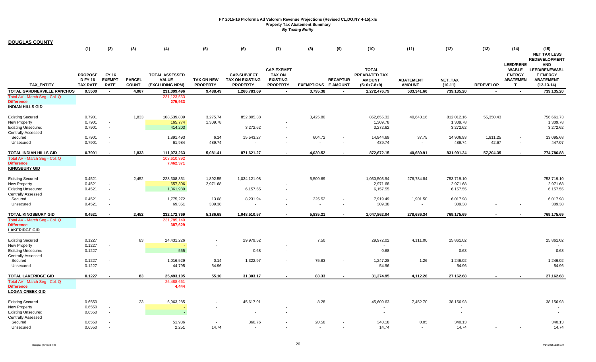| <b>DOUGLAS COUNTY</b>                                                                             |                                                     |                                                      |                               |                                                          |                                      |                                                                 |                                                                          |                            |                 |                                                                 |                                   |                                    |                   |                                                                            |                                                                                    |
|---------------------------------------------------------------------------------------------------|-----------------------------------------------------|------------------------------------------------------|-------------------------------|----------------------------------------------------------|--------------------------------------|-----------------------------------------------------------------|--------------------------------------------------------------------------|----------------------------|-----------------|-----------------------------------------------------------------|-----------------------------------|------------------------------------|-------------------|----------------------------------------------------------------------------|------------------------------------------------------------------------------------|
|                                                                                                   | (1)                                                 | (2)                                                  | (3)                           | (4)                                                      | (5)                                  | (6)                                                             | (7)                                                                      | (8)                        | (9)             | (10)                                                            | (11)                              | (12)                               | (13)              | (14)                                                                       | (15)<br><b>NET TAX LESS</b><br><b>REDEVELOPMENT</b>                                |
| <b>TAX ENTITY</b>                                                                                 | <b>PROPOSE</b><br><b>D FY 16</b><br><b>TAX RATE</b> | FY 16<br><b>EXEMPT</b><br><b>RATE</b>                | <b>PARCEL</b><br><b>COUNT</b> | <b>TOTAL ASSESSED</b><br><b>VALUE</b><br>(EXCLUDING NPM) | <b>TAX ON NEW</b><br><b>PROPERTY</b> | <b>CAP-SUBJECT</b><br><b>TAX ON EXISTING</b><br><b>PROPERTY</b> | <b>CAP-EXEMPT</b><br><b>TAX ON</b><br><b>EXISTING</b><br><b>PROPERTY</b> | <b>EXEMPTIONS E AMOUNT</b> | <b>RECAPTUR</b> | <b>TOTAL</b><br>PREABATED TAX<br><b>AMOUNT</b><br>$(5+6+7-8+9)$ | <b>ABATEMENT</b><br><b>AMOUNT</b> | NET_TAX<br>$(10-11)$               | <b>REDEVELOP</b>  | <b>LEED/RENE</b><br><b>WABLE</b><br><b>ENERGY</b><br><b>ABATEMEN</b><br>T. | <b>AND</b><br>LEED/RENEWABL<br><b>E ENERGY</b><br><b>ABATEMENT</b><br>$(12-13-14)$ |
| <b>TOTAL GARDNERVILLE RANCHOS</b>                                                                 | 0.5500                                              | $\overline{\phantom{a}}$                             | 4,067                         | 231,399,496                                              | 9,488.49                             | 1,266,783.69                                                    | $\overline{\phantom{a}}$                                                 | 3,795.38                   |                 | 1,272,476.79                                                    | 533,341.60                        | 739,135.20                         | $\blacksquare$    | $\overline{\phantom{a}}$                                                   | 739,135.20                                                                         |
| Total AV - March Seg - Col. Q<br><b>Difference</b><br><b>INDIAN HILLS GID</b>                     |                                                     |                                                      |                               | 231, 123, 563<br>275,933                                 |                                      |                                                                 |                                                                          |                            |                 |                                                                 |                                   |                                    |                   |                                                                            |                                                                                    |
| <b>Existing Secured</b><br>New Property<br><b>Existing Unsecured</b>                              | 0.7901<br>0.7901<br>0.7901                          | $\sim$<br>$\sim$                                     | 1,833                         | 108,539,809<br>165,774<br>414,203                        | 3,275.74<br>1,309.78                 | 852,805.38<br>3,272.62                                          |                                                                          | 3,425.80                   |                 | 852,655.32<br>1,309.78<br>3,272.62                              | 40,643.16                         | 812,012.16<br>1,309.78<br>3,272.62 | 55,350.43         |                                                                            | 756,661.73<br>1,309.78<br>3,272.62                                                 |
| <b>Centrally Assessed</b><br>Secured<br>Unsecured                                                 | 0.7901<br>0.7901                                    | $\overline{\phantom{a}}$<br>$\sim$                   |                               | 1,891,493<br>61,984                                      | 6.14<br>489.74                       | 15,543.27                                                       |                                                                          | 604.72                     |                 | 14,944.69<br>489.74                                             | 37.75                             | 14,906.93<br>489.74                | 1,811.25<br>42.67 | $\blacksquare$                                                             | 13,095.68<br>447.07                                                                |
| TOTAL INDIAN HILLS GID                                                                            | 0.7901                                              | $\sim$                                               | 1,833                         | 111,073,263                                              | 5,081.41                             | 871,621.27                                                      |                                                                          | 4,030.52                   |                 | 872,672.15                                                      | 40,680.91                         | 831,991.24                         | 57,204.35         | $\overline{\phantom{a}}$                                                   | 774,786.88                                                                         |
| Total AV - March Seg - Col. Q<br><b>Difference</b><br><b>KINGSBURY GID</b>                        |                                                     |                                                      |                               | 103,610,892<br>7,462,371                                 |                                      |                                                                 |                                                                          |                            |                 |                                                                 |                                   |                                    |                   |                                                                            |                                                                                    |
| <b>Existing Secured</b><br>New Property<br><b>Existing Unsecured</b><br><b>Centrally Assessed</b> | 0.4521<br>0.4521<br>0.4521                          | $\sim$<br>$\sim$                                     | 2,452                         | 228,308,851<br>657,306<br>1,361,989                      | 1,892.55<br>2,971.68                 | 1,034,121.08<br>6,157.55                                        |                                                                          | 5,509.69                   |                 | 1,030,503.94<br>2,971.68<br>6,157.55                            | 276,784.84                        | 753,719.10<br>2,971.68<br>6,157.55 |                   |                                                                            | 753,719.10<br>2,971.68<br>6,157.55                                                 |
| Secured<br>Unsecured                                                                              | 0.4521<br>0.4521                                    | $\sim$<br>$\sim$                                     |                               | 1,775,272<br>69,351                                      | 13.08<br>309.38                      | 8,231.94                                                        |                                                                          | 325.52                     |                 | 7,919.49<br>309.38                                              | 1,901.50                          | 6,017.98<br>309.38                 |                   |                                                                            | 6,017.98<br>309.38                                                                 |
| <b>TOTAL KINGSBURY GID</b>                                                                        | 0.4521                                              | $\overline{\phantom{a}}$                             | 2,452                         | 232,172,769                                              | 5,186.68                             | 1,048,510.57                                                    |                                                                          | 5,835.21                   |                 | 1,047,862.04                                                    | 278,686.34                        | 769,175.69                         |                   |                                                                            | 769,175.69                                                                         |
| Total AV - March Seg - Col. Q<br><b>Difference</b><br><b>LAKERIDGE GID</b>                        |                                                     |                                                      |                               | 231,785,140<br>387,629                                   |                                      |                                                                 |                                                                          |                            |                 |                                                                 |                                   |                                    |                   |                                                                            |                                                                                    |
| <b>Existing Secured</b>                                                                           | 0.1227                                              |                                                      | 83                            | 24,431,226                                               |                                      | 29,979.52                                                       |                                                                          | 7.50                       |                 | 29,972.02                                                       | 4,111.00                          | 25,861.02                          |                   |                                                                            | 25,861.02                                                                          |
| New Property<br><b>Existing Unsecured</b>                                                         | 0.1227<br>0.1227                                    | $\sim$<br>$\sim$                                     |                               | 555                                                      |                                      | 0.68                                                            | ٠                                                                        |                            |                 | 0.68                                                            |                                   | 0.68                               |                   |                                                                            | 0.68                                                                               |
| <b>Centrally Assessed</b><br>Secured<br>Unsecured                                                 | 0.1227<br>0.1227                                    | $\overline{\phantom{a}}$<br>$\overline{\phantom{a}}$ |                               | 1,016,529<br>44,795                                      | 0.14<br>54.96                        | 1,322.97<br>$\sim$                                              |                                                                          | 75.83<br>$\sim$            |                 | 1,247.28<br>54.96                                               | 1.26<br>$\sim$                    | 1,246.02<br>54.96                  |                   |                                                                            | 1,246.02<br>54.96                                                                  |
| <b>TOTAL LAKERIDGE GID</b>                                                                        | 0.1227                                              |                                                      | 83                            | 25,493,105                                               | 55.10                                | 31,303.17                                                       |                                                                          | 83.33                      |                 | 31,274.95                                                       | 4,112.26                          | 27,162.68                          |                   |                                                                            | 27,162.68                                                                          |
| Total AV - March Seg - Col. Q<br><b>Difference</b><br><b>LOGAN CREEK GID</b>                      |                                                     |                                                      |                               | 25,488,661<br>4,444                                      |                                      |                                                                 |                                                                          |                            |                 |                                                                 |                                   |                                    |                   |                                                                            |                                                                                    |
| <b>Existing Secured</b><br>New Property<br><b>Existing Unsecured</b><br><b>Centrally Assessed</b> | 0.6550<br>0.6550<br>0.6550                          | $\sim$<br>$\sim$                                     | 23                            | 6,963,285                                                |                                      | 45,617.91                                                       |                                                                          | 8.28                       |                 | 45,609.63<br>$\sim$                                             | 7,452.70                          | 38,156.93                          |                   |                                                                            | 38,156.93                                                                          |
| Secured<br>Unsecured                                                                              | 0.6550<br>0.6550                                    | $\sim$                                               |                               | 51,936<br>2,251                                          | $\sim$<br>14.74                      | 360.76<br>$\sim$                                                |                                                                          | 20.58<br>$\sim$            |                 | 340.18<br>14.74                                                 | 0.05<br>$\sim$                    | 340.13<br>14.74                    |                   |                                                                            | 340.13<br>14.74                                                                    |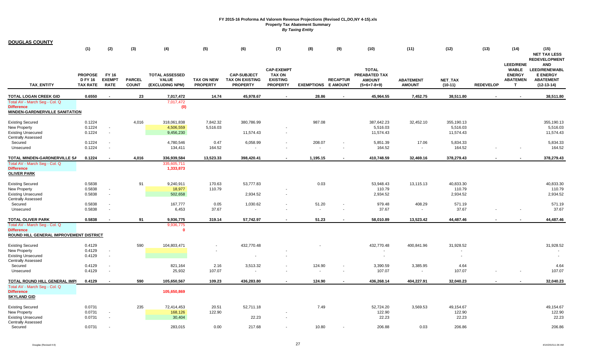| <b>DOUGLAS COUNTY</b>                                                                       |                                                     |                                       |                               |                                                          |                                      |                                                                 |                                                                          |                            |                 |                                                                 |                                   |                      |                  |                                                                           |                                                                                                                   |
|---------------------------------------------------------------------------------------------|-----------------------------------------------------|---------------------------------------|-------------------------------|----------------------------------------------------------|--------------------------------------|-----------------------------------------------------------------|--------------------------------------------------------------------------|----------------------------|-----------------|-----------------------------------------------------------------|-----------------------------------|----------------------|------------------|---------------------------------------------------------------------------|-------------------------------------------------------------------------------------------------------------------|
|                                                                                             | (1)                                                 | (2)                                   | (3)                           | (4)                                                      | (5)                                  | (6)                                                             | (7)                                                                      | (8)                        | (9)             | (10)                                                            | (11)                              | (12)                 | (13)             | (14)                                                                      | (15)<br><b>NET TAX LESS</b>                                                                                       |
| <b>TAX ENTITY</b>                                                                           | <b>PROPOSE</b><br><b>D FY 16</b><br><b>TAX RATE</b> | FY 16<br><b>EXEMPT</b><br><b>RATE</b> | <b>PARCEL</b><br><b>COUNT</b> | <b>TOTAL ASSESSED</b><br><b>VALUE</b><br>(EXCLUDING NPM) | <b>TAX ON NEW</b><br><b>PROPERTY</b> | <b>CAP-SUBJECT</b><br><b>TAX ON EXISTING</b><br><b>PROPERTY</b> | <b>CAP-EXEMPT</b><br><b>TAX ON</b><br><b>EXISTING</b><br><b>PROPERTY</b> | <b>EXEMPTIONS E AMOUNT</b> | <b>RECAPTUR</b> | <b>TOTAL</b><br>PREABATED TAX<br><b>AMOUNT</b><br>$(5+6+7-8+9)$ | <b>ABATEMENT</b><br><b>AMOUNT</b> | NET_TAX<br>$(10-11)$ | <b>REDEVELOP</b> | <b>LEED/RENE</b><br><b>WABLE</b><br><b>ENERGY</b><br><b>ABATEMEN</b><br>T | <b>REDEVELOPMENT</b><br><b>AND</b><br><b>LEED/RENEWABL</b><br><b>E ENERGY</b><br><b>ABATEMENT</b><br>$(12-13-14)$ |
| <b>TOTAL LOGAN CREEK GID</b>                                                                | 0.6550                                              | $\overline{\phantom{a}}$              | 23                            | 7,017,472                                                | 14.74                                | 45,978.67                                                       | $\sim$                                                                   | 28.86                      |                 | 45,964.55                                                       | 7,452.75                          | 38,511.80            |                  |                                                                           | 38,511.80                                                                                                         |
| Total AV - March Seq - Col. Q<br><b>Difference</b><br><b>MINDEN-GARDNERVILLE SANITATION</b> |                                                     |                                       |                               | 7,017,472<br>(0)                                         |                                      |                                                                 |                                                                          |                            |                 |                                                                 |                                   |                      |                  |                                                                           |                                                                                                                   |
| <b>Existing Secured</b>                                                                     | 0.1224                                              |                                       | 4,016                         | 318,061,838                                              | 7,842.32                             | 380,786.99                                                      |                                                                          | 987.08                     |                 | 387,642.23                                                      | 32,452.10                         | 355,190.13           |                  |                                                                           | 355,190.13                                                                                                        |
| New Property                                                                                | 0.1224                                              | $\sim$                                |                               | 4,506,559                                                | 5,516.03                             |                                                                 |                                                                          |                            |                 | 5,516.03                                                        |                                   | 5,516.03             |                  |                                                                           | 5,516.03                                                                                                          |
| <b>Existing Unsecured</b>                                                                   | 0.1224                                              | $\sim$                                |                               | 9,456,230                                                |                                      | 11,574.43                                                       |                                                                          |                            |                 | 11,574.43                                                       |                                   | 11,574.43            |                  |                                                                           | 11,574.43                                                                                                         |
| <b>Centrally Assessed</b>                                                                   |                                                     |                                       |                               |                                                          |                                      |                                                                 |                                                                          |                            |                 |                                                                 |                                   |                      |                  |                                                                           |                                                                                                                   |
| Secured                                                                                     | 0.1224                                              | $\overline{\phantom{a}}$              |                               | 4,780,546                                                | 0.47                                 | 6,058.99                                                        |                                                                          | 208.07                     |                 | 5,851.39                                                        | 17.06                             | 5,834.33             |                  |                                                                           | 5,834.33                                                                                                          |
| Unsecured                                                                                   | 0.1224                                              | $\sim$                                |                               | 134,411                                                  | 164.52                               | $\blacksquare$                                                  |                                                                          | $\blacksquare$             |                 | 164.52                                                          | $\sim$                            | 164.52               |                  |                                                                           | 164.52                                                                                                            |
| TOTAL MINDEN-GARDNERVILLE SA                                                                | 0.1224                                              | $\sim$                                | 4,016                         | 336,939,584                                              | 13,523.33                            | 398,420.41                                                      | $\overline{\phantom{a}}$                                                 | 1,195.15                   |                 | 410,748.59                                                      | 32,469.16                         | 378,279.43           | $\blacksquare$   |                                                                           | 378,279.43                                                                                                        |
| Total AV - March Seg - Col. Q                                                               |                                                     |                                       |                               | 335,605,711                                              |                                      |                                                                 |                                                                          |                            |                 |                                                                 |                                   |                      |                  |                                                                           |                                                                                                                   |
| <b>Difference</b>                                                                           |                                                     |                                       |                               | 1,333,873                                                |                                      |                                                                 |                                                                          |                            |                 |                                                                 |                                   |                      |                  |                                                                           |                                                                                                                   |
| <b>OLIVER PARK</b>                                                                          |                                                     |                                       |                               |                                                          |                                      |                                                                 |                                                                          |                            |                 |                                                                 |                                   |                      |                  |                                                                           |                                                                                                                   |
| <b>Existing Secured</b>                                                                     | 0.5838                                              |                                       | 91                            | 9,240,911                                                | 170.63                               | 53,777.83                                                       |                                                                          | 0.03                       |                 | 53,948.43                                                       | 13,115.13                         | 40,833.30            |                  |                                                                           | 40,833.30                                                                                                         |
| New Property                                                                                | 0.5838                                              | $\sim$                                |                               | 18,977                                                   | 110.79                               |                                                                 |                                                                          |                            |                 | 110.79                                                          |                                   | 110.79               |                  |                                                                           | 110.79                                                                                                            |
| <b>Existing Unsecured</b>                                                                   | 0.5838                                              | $\sim$                                |                               | 502,658                                                  |                                      | 2,934.52                                                        | $\blacksquare$                                                           |                            |                 | 2,934.52                                                        |                                   | 2,934.52             |                  |                                                                           | 2,934.52                                                                                                          |
| <b>Centrally Assessed</b>                                                                   |                                                     |                                       |                               |                                                          |                                      |                                                                 |                                                                          |                            |                 |                                                                 |                                   |                      |                  |                                                                           |                                                                                                                   |
| Secured                                                                                     | 0.5838                                              | $\overline{\phantom{a}}$              |                               | 167,777                                                  | 0.05                                 | 1,030.62                                                        | $\overline{\phantom{a}}$                                                 | 51.20                      |                 | 979.48                                                          | 408.29                            | 571.19               |                  |                                                                           | 571.19                                                                                                            |
| Unsecured                                                                                   | 0.5838                                              | $\sim$                                |                               | 6,453                                                    | 37.67                                | $\sim$                                                          | $\sim$                                                                   | $\overline{\phantom{a}}$   | $\sim$          | 37.67                                                           | $\sim$                            | 37.67                |                  |                                                                           | 37.67                                                                                                             |
| <b>TOTAL OLIVER PARK</b>                                                                    | 0.5838                                              | $\overline{\phantom{a}}$              | 91                            | 9,936,775                                                | 319.14                               | 57,742.97                                                       | $\overline{\phantom{a}}$                                                 | 51.23                      |                 | 58,010.89                                                       | 13,523.42                         | 44,487.46            |                  |                                                                           | 44,487.46                                                                                                         |
| Total AV - March Seg - Col. Q                                                               |                                                     |                                       |                               | 9,936,775                                                |                                      |                                                                 |                                                                          |                            |                 |                                                                 |                                   |                      |                  |                                                                           |                                                                                                                   |
| <b>Difference</b>                                                                           |                                                     |                                       |                               | - 0                                                      |                                      |                                                                 |                                                                          |                            |                 |                                                                 |                                   |                      |                  |                                                                           |                                                                                                                   |
| ROUND HILL GENERAL IMPROVEMENT DISTRICT                                                     |                                                     |                                       |                               |                                                          |                                      |                                                                 |                                                                          |                            |                 |                                                                 |                                   |                      |                  |                                                                           |                                                                                                                   |
| <b>Existing Secured</b>                                                                     | 0.4129                                              |                                       | 590                           | 104,803,471                                              |                                      | 432,770.48                                                      |                                                                          |                            |                 | 432,770.48                                                      | 400,841.96                        | 31,928.52            |                  |                                                                           | 31,928.52                                                                                                         |
| New Property                                                                                | 0.4129                                              | $\sim$                                |                               |                                                          |                                      |                                                                 |                                                                          |                            |                 |                                                                 |                                   |                      |                  |                                                                           |                                                                                                                   |
| <b>Existing Unsecured</b>                                                                   | 0.4129                                              | $\sim$                                |                               |                                                          |                                      | $\overline{\phantom{a}}$                                        |                                                                          |                            |                 | ÷                                                               |                                   |                      |                  |                                                                           |                                                                                                                   |
| <b>Centrally Assessed</b>                                                                   |                                                     |                                       |                               |                                                          |                                      |                                                                 |                                                                          |                            |                 |                                                                 |                                   |                      |                  |                                                                           |                                                                                                                   |
| Secured                                                                                     | 0.4129                                              | $\overline{\phantom{a}}$              |                               | 821,164                                                  | 2.16                                 | 3,513.32                                                        |                                                                          | 124.90                     |                 | 3,390.59                                                        | 3,385.95                          | 4.64                 |                  |                                                                           | 4.64                                                                                                              |
| Unsecured                                                                                   | 0.4129                                              | ÷.                                    |                               | 25,932                                                   | 107.07                               | $\sim$                                                          |                                                                          | $\mathbf{r}$               | $\sim$          | 107.07                                                          | $\sim$                            | 107.07               |                  |                                                                           | 107.07                                                                                                            |
| <b>TOTAL ROUND HILL GENERAL IMPI</b>                                                        | 0.4129                                              | $\overline{\phantom{a}}$              | 590                           | 105,650,567                                              | 109.23                               | 436,283.80                                                      |                                                                          | 124.90                     |                 | 436,268.14                                                      | 404,227.91                        | 32,040.23            |                  |                                                                           | 32,040.23                                                                                                         |
| Total AV - March Seg - Col. Q                                                               |                                                     |                                       |                               |                                                          |                                      |                                                                 |                                                                          |                            |                 |                                                                 |                                   |                      |                  |                                                                           |                                                                                                                   |
| <b>Difference</b>                                                                           |                                                     |                                       |                               | 105,650,869                                              |                                      |                                                                 |                                                                          |                            |                 |                                                                 |                                   |                      |                  |                                                                           |                                                                                                                   |
| <b>SKYLAND GID</b>                                                                          |                                                     |                                       |                               |                                                          |                                      |                                                                 |                                                                          |                            |                 |                                                                 |                                   |                      |                  |                                                                           |                                                                                                                   |
| <b>Existing Secured</b>                                                                     | 0.0731                                              |                                       | 235                           | 72,414,453                                               | 20.51                                | 52,711.18                                                       |                                                                          | 7.49                       |                 | 52,724.20                                                       | 3,569.53                          | 49,154.67            |                  |                                                                           | 49,154.67                                                                                                         |
| New Property                                                                                | 0.0731                                              | $\overline{\phantom{a}}$              |                               | 168,126                                                  | 122.90                               |                                                                 |                                                                          |                            |                 | 122.90                                                          |                                   | 122.90               |                  |                                                                           | 122.90                                                                                                            |
| <b>Existing Unsecured</b>                                                                   | 0.0731                                              | $\overline{\phantom{a}}$              |                               | 30,404                                                   |                                      | 22.23                                                           |                                                                          |                            |                 | 22.23                                                           |                                   | 22.23                |                  |                                                                           | 22.23                                                                                                             |
| <b>Centrally Assessed</b>                                                                   |                                                     |                                       |                               |                                                          |                                      |                                                                 |                                                                          |                            |                 |                                                                 |                                   |                      |                  |                                                                           |                                                                                                                   |
| Secured                                                                                     | 0.0731                                              |                                       |                               | 283,015                                                  | 0.00                                 | 217.68                                                          |                                                                          | 10.80                      |                 | 206.88                                                          | 0.03                              | 206.86               |                  |                                                                           | 206.86                                                                                                            |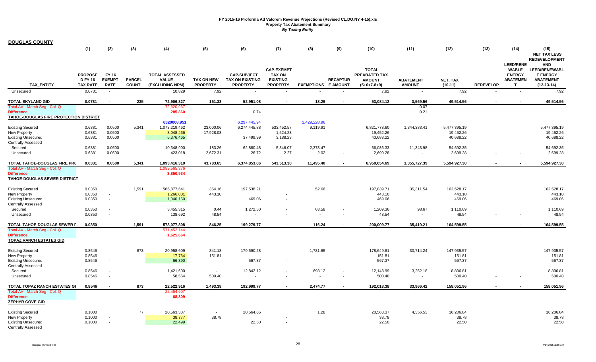| <b>DOUGLAS COUNTY</b>                              |                 |                          |               |                       |                   |                        |                                    |                            |                 |                               |                  |              |                  |                               |                                         |
|----------------------------------------------------|-----------------|--------------------------|---------------|-----------------------|-------------------|------------------------|------------------------------------|----------------------------|-----------------|-------------------------------|------------------|--------------|------------------|-------------------------------|-----------------------------------------|
|                                                    | (1)             | (2)                      | (3)           | (4)                   | (5)               | (6)                    | (7)                                | (8)                        | (9)             | (10)                          | (11)             | (12)         | (13)             | (14)                          | (15)                                    |
|                                                    |                 |                          |               |                       |                   |                        |                                    |                            |                 |                               |                  |              |                  |                               | <b>NET TAX LESS</b>                     |
|                                                    |                 |                          |               |                       |                   |                        |                                    |                            |                 |                               |                  |              |                  |                               | <b>REDEVELOPMENT</b>                    |
|                                                    |                 |                          |               |                       |                   |                        |                                    |                            |                 |                               |                  |              |                  | <b>LEED/RENE</b>              | <b>AND</b>                              |
|                                                    | <b>PROPOSE</b>  | FY 16                    |               | <b>TOTAL ASSESSED</b> |                   | <b>CAP-SUBJECT</b>     | <b>CAP-EXEMPT</b><br><b>TAX ON</b> |                            |                 | <b>TOTAL</b><br>PREABATED TAX |                  |              |                  | <b>WABLE</b><br><b>ENERGY</b> | <b>LEED/RENEWABL</b><br><b>E ENERGY</b> |
|                                                    | <b>D FY 16</b>  | <b>EXEMPT</b>            | <b>PARCEL</b> | <b>VALUE</b>          | <b>TAX ON NEW</b> | <b>TAX ON EXISTING</b> | <b>EXISTING</b>                    |                            | <b>RECAPTUR</b> | <b>AMOUNT</b>                 | <b>ABATEMENT</b> | NET_TAX      |                  | <b>ABATEMEN</b>               | <b>ABATEMENT</b>                        |
| <b>TAX ENTITY</b>                                  | <b>TAX RATE</b> | <b>RATE</b>              | <b>COUNT</b>  | (EXCLUDING NPM)       | <b>PROPERTY</b>   | <b>PROPERTY</b>        | <b>PROPERTY</b>                    | <b>EXEMPTIONS E AMOUNT</b> |                 | $(5+6+7-8+9)$                 | <b>AMOUNT</b>    | $(10-11)$    | <b>REDEVELOP</b> | T.                            | $(12-13-14)$                            |
| Unsecured                                          | 0.0731          | $\sim$                   |               | 10,829                | 7.92              |                        |                                    |                            |                 | 7.92                          | $\sim$           | 7.92         |                  | $\sim$                        | 7.92                                    |
| <b>TOTAL SKYLAND GID</b>                           | 0.0731          | $\overline{\phantom{a}}$ | 235           | 72,906,827            | 151.33            | 52,951.08              |                                    | 18.29                      |                 | 53,084.12                     | 3,569.56         | 49,514.56    |                  |                               | 49,514.56                               |
| Total AV - March Seg - Col. Q<br><b>Difference</b> |                 |                          |               | 72,620,967<br>285,860 |                   | 0.74                   |                                    |                            |                 |                               | 0.07<br>0.21     |              |                  |                               |                                         |
| TAHOE-DOUGLAS FIRE PROTECTION DISTRICT             |                 |                          |               |                       |                   |                        |                                    |                            |                 |                               |                  |              |                  |                               |                                         |
|                                                    |                 |                          |               | 6320008.951           |                   | 6,297,445.94           |                                    | 1,429,228.96               |                 |                               |                  |              |                  |                               |                                         |
| <b>Existing Secured</b>                            | 0.6381          | 0.0500                   | 5,341         | 1,073,219,462         | 23,000.06         | 6,274,445.88           | 533,452.57                         | 9,119.91                   |                 | 6,821,778.60                  | 1,344,383.41     | 5,477,395.19 |                  |                               | 5,477,395.19                            |
| New Property                                       | 0.6381          | 0.0500                   |               | 3,048,466             | 17,928.03         |                        | 1,524.23                           |                            |                 | 19,452.26                     |                  | 19,452.26    |                  |                               | 19,452.26                               |
| <b>Existing Unsecured</b>                          | 0.6381          | 0.0500                   |               | 6,376,465             |                   | 37,499.99              | 3,188.23                           |                            |                 | 40,688.22                     |                  | 40,688.22    |                  |                               | 40,688.22                               |
| <b>Centrally Assessed</b>                          |                 |                          |               |                       |                   |                        |                                    |                            |                 |                               |                  |              |                  |                               |                                         |
| Secured                                            | 0.6381          | 0.0500                   |               | 10,348,900            | 183.26            | 62,880.48              | 5,346.07                           | 2,373.47                   |                 | 66,036.33                     | 11,343.98        | 54,692.35    |                  |                               | 54,692.35                               |
| Unsecured                                          | 0.6381          | 0.0500                   |               | 423,018               | 2,672.31          | 26.72                  | 2.27                               | 2.02                       |                 | 2,699.28                      | $\sim$           | 2,699.28     |                  |                               | 2,699.28                                |
| TOTAL TAHOE-DOUGLAS FIRE PRC                       | 0.6381          | 0.0500                   | 5,341         | 1,093,416,310         | 43,783.65         | 6,374,853.06           | 543,513.38                         | 11,495.40                  |                 | 6,950,654.69                  | 1,355,727.39     | 5,594,927.30 |                  |                               | 5,594,927.30                            |
| Total AV - March Seq - Col. Q                      |                 |                          |               | 1,089,565,376         |                   |                        |                                    |                            |                 |                               |                  |              |                  |                               |                                         |
| <b>Difference</b>                                  |                 |                          |               | 3,850,934             |                   |                        |                                    |                            |                 |                               |                  |              |                  |                               |                                         |
| TAHOE-DOUGLAS SEWER DISTRICT                       |                 |                          |               |                       |                   |                        |                                    |                            |                 |                               |                  |              |                  |                               |                                         |
|                                                    | 0.0350          |                          | 1,591         | 566,877,641           | 354.16            | 197,538.21             |                                    | 52.66                      |                 | 197,839.71                    | 35,311.54        | 162,528.17   |                  |                               | 162,528.17                              |
| <b>Existing Secured</b><br>New Property            | 0.0350          | $\overline{\phantom{a}}$ |               | 1,266,001             | 443.10            |                        |                                    |                            |                 | 443.10                        |                  | 443.10       |                  |                               | 443.10                                  |
| <b>Existing Unsecured</b>                          | 0.0350          | $\overline{\phantom{a}}$ |               | 1,340,160             |                   | 469.06                 | $\blacksquare$                     |                            |                 | 469.06                        |                  | 469.06       |                  |                               | 469.06                                  |
| <b>Centrally Assessed</b>                          |                 |                          |               |                       |                   |                        |                                    |                            |                 |                               |                  |              |                  |                               |                                         |
| Secured                                            | 0.0350          |                          |               | 3,455,315             | 0.44              | 1,272.50               | $\blacksquare$                     | 63.58                      |                 | 1,209.36                      | 98.67            | 1,110.69     |                  |                               | 1,110.69                                |
| Unsecured                                          | 0.0350          | $\overline{\phantom{a}}$ |               | 138,692               | 48.54             | $\sim$                 |                                    | $\overline{\phantom{a}}$   |                 | 48.54                         |                  | 48.54        |                  |                               | 48.54                                   |
|                                                    |                 |                          |               |                       |                   |                        |                                    |                            |                 |                               |                  |              |                  |                               |                                         |
| TOTAL TAHOE-DOUGLAS SEWER D                        | 0.0350          | $\overline{\phantom{a}}$ | 1,591         | 573,077,808           | 846.25            | 199,279.77             |                                    | 116.24                     |                 | 200,009.77                    | 35,410.21        | 164,599.55   |                  |                               | 164,599.55                              |
| Total AV - March Seg - Col. Q                      |                 |                          |               | 571,452,144           |                   |                        |                                    |                            |                 |                               |                  |              |                  |                               |                                         |
| <b>Difference</b>                                  |                 |                          |               | 1,625,664             |                   |                        |                                    |                            |                 |                               |                  |              |                  |                               |                                         |
| <b>TOPAZ RANCH ESTATES GID</b>                     |                 |                          |               |                       |                   |                        |                                    |                            |                 |                               |                  |              |                  |                               |                                         |
| <b>Existing Secured</b>                            | 0.8546          |                          | 873           | 20,958,609            | 841.18            | 179,590.28             |                                    | 1,781.65                   |                 | 178,649.81                    | 30,714.24        | 147,935.57   |                  |                               | 147,935.57                              |
| New Property                                       | 0.8546          | $\overline{\phantom{a}}$ |               | 17,764                | 151.81            |                        |                                    |                            |                 | 151.81                        |                  | 151.81       |                  |                               | 151.81                                  |
| <b>Existing Unsecured</b>                          | 0.8546          | $\overline{\phantom{a}}$ |               | 66,390                |                   | 567.37                 | $\blacksquare$                     |                            |                 | 567.37                        |                  | 567.37       |                  |                               | 567.37                                  |
| <b>Centrally Assessed</b>                          |                 |                          |               |                       |                   |                        |                                    |                            |                 |                               |                  |              |                  |                               |                                         |
| Secured                                            | 0.8546          |                          |               | 1,421,600             | $\sim$            | 12,842.12              |                                    | 693.12                     |                 | 12,148.99                     | 3,252.18         | 8,896.81     |                  |                               | 8,896.81                                |
| Unsecured                                          | 0.8546          | $\overline{\phantom{a}}$ |               | 58,554                | 500.40            |                        |                                    |                            |                 | 500.40                        | $\sim$           | 500.40       |                  |                               | 500.40                                  |
| TOTAL TOPAZ RANCH ESTATES GI                       | 0.8546          |                          | 873           | 22,522,916            | 1.493.39          | 192,999.77             |                                    | 2,474.77                   |                 | 192,018.38                    | 33,966.42        | 158,051.96   |                  |                               | 158,051.96                              |
| Total AV - March Seg - Col. Q                      |                 |                          |               | 22,454,607            |                   |                        |                                    |                            |                 |                               |                  |              |                  |                               |                                         |
| <b>Difference</b>                                  |                 |                          |               | 68,309                |                   |                        |                                    |                            |                 |                               |                  |              |                  |                               |                                         |
| <b>ZEPHYR COVE GID</b>                             |                 |                          |               |                       |                   |                        |                                    |                            |                 |                               |                  |              |                  |                               |                                         |
| <b>Existing Secured</b>                            | 0.1000          |                          | $77$          | 20,563,337            | $\sim$            | 20,564.65              |                                    | 1.28                       |                 | 20,563.37                     | 4,356.53         | 16,206.84    |                  |                               | 16,206.84                               |
| New Property                                       | 0.1000          |                          |               | 38,777                | 38.78             |                        |                                    |                            |                 | 38.78                         |                  | 38.78        |                  |                               | 38.78                                   |
| <b>Existing Unsecured</b>                          | 0.1000          | $\overline{\phantom{a}}$ |               | 22,499                |                   | 22.50                  |                                    |                            |                 | 22.50                         |                  | 22.50        |                  |                               | 22.50                                   |
| <b>Centrally Assessed</b>                          |                 |                          |               |                       |                   |                        |                                    |                            |                 |                               |                  |              |                  |                               |                                         |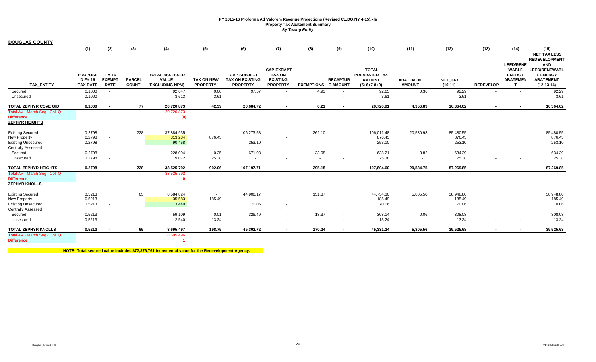| <b>DOUGLAS COUNTY</b>                                                       |                                                     |                                       |                               |                                                          |                                      |                                                                 |                                                                          |                            |                 |                                                                        |                                   |                      |                          |                                                                           |                                                                                    |
|-----------------------------------------------------------------------------|-----------------------------------------------------|---------------------------------------|-------------------------------|----------------------------------------------------------|--------------------------------------|-----------------------------------------------------------------|--------------------------------------------------------------------------|----------------------------|-----------------|------------------------------------------------------------------------|-----------------------------------|----------------------|--------------------------|---------------------------------------------------------------------------|------------------------------------------------------------------------------------|
|                                                                             | (1)                                                 | (2)                                   | (3)                           | (4)                                                      | (5)                                  | (6)                                                             | (7)                                                                      | (8)                        | (9)             | (10)                                                                   | (11)                              | (12)                 | (13)                     | (14)                                                                      | (15)<br><b>NET TAX LESS</b><br><b>REDEVELOPMENT</b>                                |
| <b>TAX ENTITY</b>                                                           | <b>PROPOSE</b><br><b>D FY 16</b><br><b>TAX RATE</b> | FY 16<br><b>EXEMPT</b><br><b>RATE</b> | <b>PARCEL</b><br><b>COUNT</b> | <b>TOTAL ASSESSED</b><br><b>VALUE</b><br>(EXCLUDING NPM) | <b>TAX ON NEW</b><br><b>PROPERTY</b> | <b>CAP-SUBJECT</b><br><b>TAX ON EXISTING</b><br><b>PROPERTY</b> | <b>CAP-EXEMPT</b><br><b>TAX ON</b><br><b>EXISTING</b><br><b>PROPERTY</b> | <b>EXEMPTIONS E AMOUNT</b> | <b>RECAPTUR</b> | <b>TOTAL</b><br><b>PREABATED TAX</b><br><b>AMOUNT</b><br>$(5+6+7-8+9)$ | <b>ABATEMENT</b><br><b>AMOUNT</b> | NET_TAX<br>$(10-11)$ | <b>REDEVELOP</b>         | <b>LEED/RENE</b><br><b>WABLE</b><br><b>ENERGY</b><br><b>ABATEMEN</b><br>т | <b>AND</b><br>LEED/RENEWABL<br><b>E ENERGY</b><br><b>ABATEMENT</b><br>$(12-13-14)$ |
| Secured                                                                     | 0.1000                                              | $\sim$                                |                               | 92,647                                                   | 0.00                                 | 97.57                                                           | $\sim$                                                                   | 4.93                       |                 | 92.65                                                                  | 0.36                              | 92.29                | $\sim$                   |                                                                           | 92.29                                                                              |
| Unsecured                                                                   | 0.1000                                              |                                       |                               | 3,613                                                    | 3.61                                 | $\sim$                                                          | $\overline{\phantom{a}}$                                                 | $\overline{\phantom{a}}$   |                 | 3.61                                                                   |                                   | 3.61                 |                          |                                                                           | 3.61                                                                               |
| TOTAL ZEPHYR COVE GID                                                       | 0.1000                                              |                                       | 77                            | 20,720,873                                               | 42.39                                | 20,684.72                                                       | $\blacksquare$                                                           | 6.21                       | $\blacksquare$  | 20,720.91                                                              | 4,356.89                          | 16,364.02            | $\overline{\phantom{a}}$ | $\blacksquare$                                                            | 16,364.02                                                                          |
| Total AV - March Seg - Col. Q<br><b>Difference</b><br><b>ZEPHYR HEIGHTS</b> |                                                     |                                       |                               | 20,720,873<br>(0)                                        |                                      |                                                                 |                                                                          |                            |                 |                                                                        |                                   |                      |                          |                                                                           |                                                                                    |
| <b>Existing Secured</b>                                                     | 0.2798                                              |                                       | 228                           | 37,884,935                                               | $\overline{\phantom{a}}$             | 106,273.58                                                      |                                                                          | 262.10                     |                 | 106,011.48                                                             | 20,530.93                         | 85,480.55            |                          |                                                                           | 85,480.55                                                                          |
| New Property                                                                | 0.2798                                              |                                       |                               | 313,234                                                  | 876.43                               |                                                                 | $\overline{\phantom{a}}$                                                 |                            |                 | 876.43                                                                 |                                   | 876.43               |                          |                                                                           | 876.43                                                                             |
| <b>Existing Unsecured</b><br><b>Centrally Assessed</b>                      | 0.2798                                              | $\sim$                                |                               | 90,458                                                   |                                      | 253.10                                                          | $\sim$                                                                   |                            |                 | 253.10                                                                 |                                   | 253.10               |                          |                                                                           | 253.10                                                                             |
| Secured                                                                     | 0.2798                                              |                                       |                               | 228,094                                                  | 0.25                                 | 671.03                                                          | $\sim$                                                                   | 33.08                      |                 | 638.21                                                                 | 3.82                              | 634.39               |                          |                                                                           | 634.39                                                                             |
| Unsecured                                                                   | 0.2798                                              | $\sim$                                |                               | 9,072                                                    | 25.38                                | $\sim$                                                          | $\sim$                                                                   | $\overline{\phantom{a}}$   | $\sim$          | 25.38                                                                  | $\sim$                            | 25.38                |                          |                                                                           | 25.38                                                                              |
| <b>TOTAL ZEPHYR HEIGHTS</b>                                                 | 0.2798                                              | $\overline{\phantom{a}}$              | 228                           | 38,525,792                                               | 902.06                               | 107,197.71                                                      |                                                                          | 295.18                     |                 | 107,804.60                                                             | 20,534.75                         | 87,269.85            |                          |                                                                           | 87,269.85                                                                          |
| Total AV - March Seg - Col. Q<br><b>Difference</b>                          |                                                     |                                       |                               | 38,525,792<br>n                                          |                                      |                                                                 |                                                                          |                            |                 |                                                                        |                                   |                      |                          |                                                                           |                                                                                    |
| <b>ZEPHYR KNOLLS</b>                                                        |                                                     |                                       |                               |                                                          |                                      |                                                                 |                                                                          |                            |                 |                                                                        |                                   |                      |                          |                                                                           |                                                                                    |
| <b>Existing Secured</b>                                                     | 0.5213                                              |                                       | 65                            | 8,584,824                                                | $\sim$                               | 44,906.17                                                       |                                                                          | 151.87                     |                 | 44,754.30                                                              | 5,805.50                          | 38,948.80            |                          |                                                                           | 38,948.80                                                                          |
| New Property                                                                | 0.5213                                              | $\sim$                                |                               | 35,583                                                   | 185.49                               |                                                                 |                                                                          |                            |                 | 185.49                                                                 |                                   | 185.49               |                          |                                                                           | 185.49                                                                             |
| <b>Existing Unsecured</b><br><b>Centrally Assessed</b>                      | 0.5213                                              | $\sim$                                |                               | 13,440                                                   |                                      | 70.06                                                           | $\overline{\phantom{a}}$                                                 |                            |                 | 70.06                                                                  |                                   | 70.06                |                          |                                                                           | 70.06                                                                              |
| Secured                                                                     | 0.5213                                              | $\sim$                                |                               | 59,109                                                   | 0.01                                 | 326.49                                                          | $\overline{\phantom{a}}$                                                 | 18.37                      | $\sim$          | 308.14                                                                 | 0.06                              | 308.08               |                          |                                                                           | 308.08                                                                             |
| Unsecured                                                                   | 0.5213                                              | $\sim$                                |                               | 2,540                                                    | 13.24                                | $\sim$                                                          | $\sim$                                                                   | $\sim$                     |                 | 13.24                                                                  | $\sim$                            | 13.24                |                          |                                                                           | 13.24                                                                              |
| <b>TOTAL ZEPHYR KNOLLS</b>                                                  | 0.5213                                              | $\overline{\phantom{a}}$              | 65                            | 8,695,497                                                | 198.75                               | 45,302.72                                                       | $\blacksquare$                                                           | 170.24                     |                 | 45,331.24                                                              | 5,805.56                          | 39,525.68            | $\blacksquare$           |                                                                           | 39,525.68                                                                          |
| Total AV - March Seg - Col. Q                                               |                                                     |                                       |                               | 8,695,496                                                |                                      |                                                                 |                                                                          |                            |                 |                                                                        |                                   |                      |                          |                                                                           |                                                                                    |
| <b>Difference</b>                                                           |                                                     |                                       |                               |                                                          |                                      |                                                                 |                                                                          |                            |                 |                                                                        |                                   |                      |                          |                                                                           |                                                                                    |

**NOTE: Total secured value includes \$72,376,761 incremental value for the Redevelopment Agency.**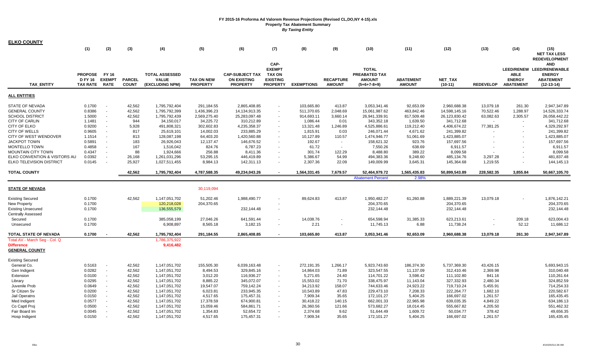| <b>ELKO COUNTY</b>            |                 |                |               |                       |                   |                        |                          |                   |                          |                                      |                  |               |                  |                  |                                         |
|-------------------------------|-----------------|----------------|---------------|-----------------------|-------------------|------------------------|--------------------------|-------------------|--------------------------|--------------------------------------|------------------|---------------|------------------|------------------|-----------------------------------------|
|                               | (1)             | (2)            | (3)           | (4)                   | (5)               | (6)                    | (7)                      | (8)               | (9)                      | (10)                                 | (11)             | (12)          | (13)             | (14)             | (15)                                    |
|                               |                 |                |               |                       |                   |                        |                          |                   |                          |                                      |                  |               |                  |                  | <b>NET TAX LESS</b>                     |
|                               |                 |                |               |                       |                   |                        |                          |                   |                          |                                      |                  |               |                  |                  | <b>REDEVELOPMENT</b>                    |
|                               |                 |                |               |                       |                   |                        | CAP-<br><b>EXEMPT</b>    |                   |                          |                                      |                  |               |                  |                  | <b>AND</b><br>LEED/RENEW LEED/RENEWABLE |
|                               | <b>PROPOSE</b>  | <b>FY 16</b>   |               | <b>TOTAL ASSESSED</b> |                   | <b>CAP-SUBJECT TAX</b> | <b>TAX ON</b>            |                   |                          | <b>TOTAL</b><br><b>PREABATED TAX</b> |                  |               |                  | <b>ABLE</b>      | <b>ENERGY</b>                           |
|                               | <b>D FY 16</b>  | <b>EXEMPT</b>  | <b>PARCEL</b> | <b>VALUE</b>          | <b>TAX ON NEW</b> | <b>ON EXISTING</b>     | <b>EXISTING</b>          |                   | <b>RECAPTURE</b>         | <b>AMOUNT</b>                        | <b>ABATEMENT</b> | NET_TAX       |                  | <b>ENERGY</b>    | <b>ABATEMENT</b>                        |
| <b>TAX ENTITY</b>             | <b>TAX RATE</b> | <b>RATE</b>    | <b>COUNT</b>  | (EXCLUDING NPM)       | <b>PROPERTY</b>   | <b>PROPERTY</b>        | <b>PROPERTY</b>          | <b>EXEMPTIONS</b> | <b>AMOUNT</b>            | $(5+6+7-8+9)$                        | <b>AMOUNT</b>    | $(10-11)$     | <b>REDEVELOP</b> | <b>ABATEMENT</b> | $(12-13-14)$                            |
| <u>ALL ENTITIES</u>           |                 |                |               |                       |                   |                        |                          |                   |                          |                                      |                  |               |                  |                  |                                         |
|                               |                 |                |               |                       |                   |                        |                          |                   |                          |                                      |                  |               |                  |                  |                                         |
| STATE OF NEVADA               | 0.1700          |                | 42,562        | 1,795,792,404         | 291,184.55        | 2,865,408.85           |                          | 103,665.80        | 413.87                   | 3,053,341.46                         | 92,653.09        | 2,960,688.38  | 13,079.18        | 261.30           | 2,947,347.89                            |
| <b>GENERAL COUNTY</b>         | 0.8386          | $\sim$         | 42,562        | 1,795,792,399         | 1,436,396.23      | 14, 134, 913. 35       | $\blacksquare$           | 511,370.65        | 2,048.69                 | 15,061,987.62                        | 463,842.46       | 14,598,145.16 | 70,522.46        | 1,288.97         | 14,526,333.74                           |
| <b>SCHOOL DISTRICT</b>        | 1.5000          | $\sim$         | 42,562        | 1,795,792,439         | 2,569,275.40      | 25,283,097.48          | $\blacksquare$           | 914,693.11        | 3,660.14                 | 26,941,339.91                        | 817,509.48       | 26,123,830.42 | 63,082.63        | 2,305.57         | 26,058,442.22                           |
| <b>CITY OF CARLIN</b>         | 1.1481          | $\sim$         | 944           | 34,150,017            | 34,225.72         | 310,212.89             |                          | 1,086.44          | 0.01                     | 343,352.18                           | 1,639.50         | 341,712.68    | $\sim$           | $\sim$           | 341,712.68                              |
| CITY OF ELKO                  | 0.9200          | $\sim$         | 5,928         | 491,808,321           | 302,602.83        | 4,235,358.37           | $\blacksquare$           | 13,321.48         | 1,246.89                 | 4,525,886.61                         | 119,212.40       | 4,406,674.22  | 77,381.25        |                  | 4,329,292.97                            |
| <b>CITY OF WELLS</b>          | 0.9605          | $\sim$         | 817           | 25,619,101            | 14,002.03         | 233,885.29             |                          | 1,815.91          | 0.03                     | 246,071.44                           | 4,671.62         | 241,399.82    |                  |                  | 241,399.82                              |
| CITY OF WEST WENDOVER         | 1.1514          | $\sim$         | 813           | 128,087,198           | 64,403.20         | 1,420,560.88           |                          | 10,127.89         | 110.57                   | 1,474,946.77                         | 51,061.69        | 1,423,885.07  |                  |                  | 1,423,885.07                            |
| <b>JACKPOT TOWN</b>           | 0.5891          |                | 183           | 26,926,043            | 12,137.47         | 146,676.52             | $\blacksquare$           | 192.67            | $\sim$                   | 158,621.32                           | 923.76           | 157,697.56    |                  |                  | 157,697.56                              |
| MONTELLO TOWN                 | 0.4858          | $\sim$         | 167           | 1,516,042             | 824.76            | 6,787.23               |                          | 61.72             | $\sim$                   | 7,550.26                             | 638.69           | 6,911.57      |                  |                  | 6,911.57                                |
| <b>MOUNTAIN CITY TOWN</b>     | 0.4347          | $\sim$         | 88            | 1,924,666             | 256.88            | 8,411.36               | $\overline{\phantom{a}}$ | 301.74            | 122.29                   | 8,488.80                             | 389.22           | 8,099.58      |                  |                  | 8,099.58                                |
| ELKO CONVENTION & VISITORS AU | 0.0392          |                | 26,168        | 1,261,031,296         | 53,295.15         | 446,419.89             | $\blacksquare$           | 5,386.67          | 54.99                    | 494,383.36                           | 9,248.60         | 485,134.76    | 3,297.28         |                  | 481,837.48                              |
| ELKO TELEVISION DISTRICT      | 0.0145          |                | 25,927        | 1,027,511,455         | 8,984.13          | 142,311.13             |                          | 2,307.36          | 22.09                    | 149,009.99                           | 3,645.31         | 145,364.68    | 1,219.55         |                  | 144,145.13                              |
| <b>TOTAL COUNTY</b>           |                 |                | 42,562        | 1,795,792,404         | 4,787,588.35      | 49,234,043.26          |                          | 1,564,331.45      | 7,679.57                 | 52,464,979.72                        | 1,565,435.83     | 50,899,543.89 | 228,582.35       | 3,855.84         | 50,667,105.70                           |
|                               |                 |                |               |                       |                   |                        |                          |                   |                          | <b>Abatement Percent</b>             | 2.98%            |               |                  |                  |                                         |
| <b>STATE OF NEVADA</b>        |                 |                |               |                       | 30,119,094        |                        |                          |                   |                          |                                      |                  |               |                  |                  |                                         |
| <b>Existing Secured</b>       | 0.1700          |                | 42,562        | 1,147,051,702         | 51,202.46         | 1,988,490.77           |                          | 89,624.83         | 413.87                   | 1,950,482.27                         | 61,260.88        | 1,889,221.39  | 13,079.18        |                  | 1,876,142.21                            |
| New Property                  | 0.1700          |                |               | 120,218,028           | 204,370.65        |                        |                          |                   |                          | 204,370.65                           |                  | 204,370.65    |                  |                  | 204,370.65                              |
| <b>Existing Unsecured</b>     | 0.1700          |                |               | 136,555,579           |                   | 232,144.48             |                          |                   |                          | 232,144.48                           |                  | 232,144.48    |                  |                  | 232,144.48                              |
| <b>Centrally Assessed</b>     |                 |                |               |                       |                   |                        |                          |                   |                          |                                      |                  |               |                  |                  |                                         |
| Secured                       | 0.1700          |                |               | 385,058,199           | 27,046.26         | 641,591.44             | $\sim$                   | 14,038.76         |                          | 654,598.94                           | 31,385.33        | 623,213.61    |                  | 209.18           | 623,004.43                              |
| Unsecured                     | 0.1700          |                |               | 6,908,897             | 8,565.18          | 3,182.15               | $\blacksquare$           | 2.21              | $\overline{\phantom{a}}$ | 11,745.13                            | 6.88             | 11,738.24     | ٠                | 52.12            | 11,686.12                               |
|                               |                 |                |               |                       |                   |                        |                          |                   |                          |                                      |                  |               |                  |                  |                                         |
| TOTAL STATE OF NEVADA         | 0.1700          |                | 42,562        | 1,795,792,404         | 291,184.55        | 2,865,408.85           |                          | 103,665.80        | 413.87                   | 3,053,341.46                         | 92,653.09        | 2,960,688.38  | 13,079.18        | 261.30           | 2,947,347.89                            |
| Total AV - March Seg - Col. Q |                 |                |               | 1,786,375,922         |                   |                        |                          |                   |                          |                                      |                  |               |                  |                  |                                         |
| <b>Difference</b>             |                 |                |               | 9,416,482             |                   |                        |                          |                   |                          |                                      |                  |               |                  |                  |                                         |
| <b>GENERAL COUNTY</b>         |                 |                |               |                       |                   |                        |                          |                   |                          |                                      |                  |               |                  |                  |                                         |
| <b>Existing Secured</b>       |                 |                |               |                       |                   |                        |                          |                   |                          |                                      |                  |               |                  |                  |                                         |
| General Co.                   | 0.5163          |                | 42,562        | 1,147,051,702         | 155,505.30        | 6,039,163.48           | $\overline{\phantom{a}}$ | 272,191.35        | 1,266.17                 | 5,923,743.60                         | 186,374.30       | 5,737,369.30  | 43,426.15        |                  | 5,693,943.15                            |
| Gen Indigent                  | 0.0282          | $\sim$         | 42,562        | 1,147,051,702         | 8,494.53          | 329,845.16             | $\sim$                   | 14,864.03         | 71.89                    | 323,547.55                           | 11,137.09        | 312,410.46    | 2,369.98         |                  | 310,040.48                              |
| Extension                     | 0.0100          | $\blacksquare$ | 42,562        | 1,147,051,702         | 3,012.20          | 116,936.27             | $\sim$                   | 5,271.65          | 24.40                    | 114,701.22                           | 3,598.42         | 111,102.80    | 841.16           |                  | 110,261.64                              |
| Library                       | 0.0295          | $\sim$         | 42,562        | 1,147,051,702         | 8,885.22          | 345,072.07             | $\blacksquare$           | 15,553.02         | 71.70                    | 338,475.97                           | 11,143.04        | 327,332.93    | 2,480.34         |                  | 324,852.59                              |
| Juvenile Prob                 | 0.0649          | $\sim$         | 42,562        | 1,147,051,702         | 19,547.07         | 759,142.24             |                          | 34,213.92         | 158.07                   | 744,633.46                           | 24,923.22        | 719,710.24    | 5,455.91         |                  | 714,254.33                              |
| Sr Citizen Sv                 | 0.0200          | $\sim$         | 42,562        | 1,147,051,702         | 6,023.81          | 233,945.35             | $\sim$                   | 10,543.89         | 47.83                    | 229,473.10                           | 7,208.33         | 222,264.77    | 1,682.10         |                  | 220,582.67                              |
| Jail Operatns                 | 0.0150          | $\sim$         | 42,562        | 1,147,051,702         | 4,517.65          | 175,457.31             |                          | 7,909.34          | 35.65                    | 172,101.27                           | 5,404.25         | 166,697.02    | 1,261.57         |                  | 165,435.45                              |
| Med Indigent                  | 0.0577          | $\sim$         | 42,562        | 1,147,051,702         | 17,378.59         | 674,900.81             |                          | 30,418.22         | 140.15                   | 662,001.33                           | 22,965.98        | 639,035.35    | 4,849.22         |                  | 634,186.13                              |
| Co Captl Proj                 | 0.0500          |                | 42,562        | 1,147,051,702         | 15,059.46         | 584,861.71             |                          | 26,360.56         | 121.66                   | 573,682.27                           | 18,014.45        | 555,667.82    | 4,205.50         |                  | 551,462.32                              |
| Fair Board Im                 | 0.0045          | $\sim$         | 42,562        | 1,147,051,702         | 1,354.83          | 52,654.72              |                          | 2,374.68          | 9.62                     | 51,644.49                            | 1,609.72         | 50,034.77     | 378.42           |                  | 49,656.35                               |
| Hosp Indigent                 | 0.0150          |                | 42,562        | 1,147,051,702         | 4,517.65          | 175,457.31             |                          | 7,909.34          | 35.65                    | 172,101.27                           | 5,404.25         | 166,697.02    | 1,261.57         |                  | 165,435.45                              |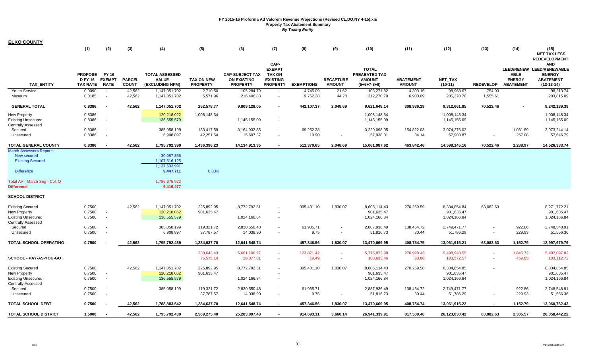| <b>ELKO COUNTY</b>                                                                                       |                                                     |                                              |                               |                                                           |                                      |                                                                 |                                                                       |                      |                                    |                                                                 |                                   |                                            |                    |                                                  |                                                                                       |
|----------------------------------------------------------------------------------------------------------|-----------------------------------------------------|----------------------------------------------|-------------------------------|-----------------------------------------------------------|--------------------------------------|-----------------------------------------------------------------|-----------------------------------------------------------------------|----------------------|------------------------------------|-----------------------------------------------------------------|-----------------------------------|--------------------------------------------|--------------------|--------------------------------------------------|---------------------------------------------------------------------------------------|
|                                                                                                          | (1)                                                 | (2)                                          | (3)                           | (4)                                                       | (5)                                  | (6)                                                             | (7)                                                                   | (8)                  | (9)                                | (10)                                                            | (11)                              | (12)                                       | (13)               | (14)                                             | (15)<br><b>NET TAX LESS</b><br><b>REDEVELOPMENT</b>                                   |
| <b>TAX ENTITY</b>                                                                                        | <b>PROPOSE</b><br><b>D FY 16</b><br><b>TAX RATE</b> | <b>FY 16</b><br><b>EXEMPT</b><br><b>RATE</b> | <b>PARCEL</b><br><b>COUNT</b> | <b>TOTAL ASSESSED</b><br><b>VALUE</b><br>(EXCLUDING NPM)  | <b>TAX ON NEW</b><br><b>PROPERTY</b> | <b>CAP-SUBJECT TAX</b><br><b>ON EXISTING</b><br><b>PROPERTY</b> | CAP-<br><b>EXEMPT</b><br>TAX ON<br><b>EXISTING</b><br><b>PROPERTY</b> | <b>EXEMPTIONS</b>    | <b>RECAPTURE</b><br><b>AMOUNT</b>  | <b>TOTAL</b><br>PREABATED TAX<br><b>AMOUNT</b><br>$(5+6+7-8+9)$ | <b>ABATEMENT</b><br><b>AMOUNT</b> | <b>NET TAX</b><br>$(10-11)$                | <b>REDEVELOP</b>   | <b>ABLE</b><br><b>ENERGY</b><br><b>ABATEMENT</b> | AND<br>LEED/RENEW LEED/RENEWABLE<br><b>ENERGY</b><br><b>ABATEMENT</b><br>$(12-13-14)$ |
| <b>Youth Service</b><br>Museum                                                                           | 0.0090<br>0.0185                                    | $\sim$                                       | 42,562<br>42,562              | 1,147,051,702<br>1,147,051,702                            | 2,710.50<br>5,571.96                 | 105,284.79<br>216,406.83                                        | $\overline{\phantom{a}}$                                              | 4,745.09<br>9,752.28 | 21.62<br>44.28                     | 103,271.82<br>212,270.79                                        | 4,303.15<br>6,900.09              | 98,968.67<br>205,370.70                    | 754.93<br>1,555.61 |                                                  | 98,213.74<br>203,815.09                                                               |
| <b>GENERAL TOTAL</b>                                                                                     | 0.8386                                              |                                              | 42,562                        | 1,147,051,702                                             | 252,578.77                           | 9,809,128.05                                                    | $\blacksquare$                                                        | 442,107.37           | 2,048.69                           | 9,621,648.14                                                    | 308,986.29                        | 9,312,661.85                               | 70,522.46          |                                                  | 9,242,139.39                                                                          |
| New Property<br><b>Existing Unsecured</b><br><b>Centrally Assessed</b>                                   | 0.8386<br>0.8386                                    | $\overline{\phantom{a}}$                     |                               | 120,218,022<br>136,555,579                                | 1,008,148.34                         | 1,145,155.09                                                    | $\sim$                                                                |                      |                                    | 1,008,148.34<br>1,145,155.09                                    |                                   | 1,008,148.34<br>1,145,155.09               |                    |                                                  | 1,008,148.34<br>1,145,155.09                                                          |
| Secured<br>Unsecured                                                                                     | 0.8386<br>0.8386                                    | $\sim$<br>$\blacksquare$                     |                               | 385,058,199<br>6,908,897                                  | 133,417.59<br>42,251.54              | 3,164,932.85<br>15,697.37                                       | $\sim$<br>$\sim$                                                      | 69,252.38<br>10.90   | $\overline{\phantom{a}}$<br>$\sim$ | 3,229,098.05<br>57,938.01                                       | 154,822.03<br>34.14               | 3,074,276.02<br>57,903.87                  |                    | 1,031.89<br>257.08                               | 3,073,244.14<br>57,646.79                                                             |
| <b>TOTAL GENERAL COUNTY</b>                                                                              | 0.8386                                              |                                              | 42,562                        | 1,795,792,399                                             | 1,436,396.23                         | 14,134,913.35                                                   | $\overline{\phantom{0}}$                                              | 511,370.65           | 2,048.69                           | 15,061,987.62                                                   | 463,842.46                        | 14,598,145.16                              | 70,522.46          | 1,288.97                                         | 14,526,333.74                                                                         |
| <b>March Assessors Report:</b><br>New secured<br><b>Existing Secured</b><br><b>Difference</b>            |                                                     |                                              |                               | 30,087,866<br>1,107,516,125<br>1,137,603,991<br>9,447,711 | 0.83%                                |                                                                 |                                                                       |                      |                                    |                                                                 |                                   |                                            |                    |                                                  |                                                                                       |
| Total AV - March Seg - Col. Q<br>Difference<br>SCHOOL DISTRICT                                           |                                                     |                                              |                               | 1,786,375,922<br>9,416,477                                |                                      |                                                                 |                                                                       |                      |                                    |                                                                 |                                   |                                            |                    |                                                  |                                                                                       |
| <b>Existing Secured</b><br>New Property<br><b>Existing Unsecured</b><br><b>Centrally Assessed</b>        | 0.7500<br>0.7500<br>0.7500                          | $\blacksquare$                               | 42,562                        | 1,147,051,702<br>120,218,062<br>136,555,579               | 225,892.95<br>901,635.47             | 8,772,792.51<br>1,024,166.84                                    |                                                                       | 395,401.10           | 1,830.07                           | 8,605,114.43<br>901,635.47<br>1,024,166.84                      | 270,259.59                        | 8,334,854.84<br>901,635.47<br>1,024,166.84 | 63,082.63          |                                                  | 8,271,772.21<br>901,635.47<br>1,024,166.84                                            |
| Secured<br>Unsecured                                                                                     | 0.7500<br>0.7500                                    | $\sim$                                       |                               | 385,058,199<br>6,908,897                                  | 119,321.72<br>37,787.57              | 2,830,550.48<br>14,038.90                                       | $\sim$<br>$\sim$                                                      | 61,935.71<br>9.75    | $\sim$                             | 2,887,936.49<br>51,816.73                                       | 138,464.72<br>30.44               | 2,749,471.77<br>51,786.29                  |                    | 922.86<br>229.93                                 | 2,748,548.91<br>51,556.36                                                             |
| TOTAL SCHOOL OPERATING                                                                                   | 0.7500                                              |                                              | 42,562                        | 1,795,792,439                                             | 1,284,637.70                         | 12,641,548.74                                                   | $\blacksquare$                                                        | 457,346.56           | 1,830.07                           | 13,470,669.95                                                   | 408,754.75                        | 13,061,915.21                              | 63,082.63          | 1,152.79                                         | 12,997,679.79                                                                         |
| <b>SCHOOL - PAY-AS-YOU-GO</b>                                                                            |                                                     |                                              |                               |                                                           | 238,643.43<br>75,575.14              | 5,661,100.97<br>28,077.81                                       | $\sim$<br>×.                                                          | 123,871.42<br>19.49  | a.                                 | 5,775,872.98<br>103,633.46                                      | 276,929.43<br>60.88               | 5,498,943.55<br>103,572.57                 |                    | 1,845.72<br>459.85                               | 5,497,097.82<br>103,112.72                                                            |
| <b>Existing Secured</b><br><b>New Property</b><br><b>Existing Unsecured</b><br><b>Centrally Assessed</b> | 0.7500<br>0.7500<br>0.7500                          | $\blacksquare$                               | 42,562                        | 1,147,051,702<br>120,218,062<br>136,555,579               | 225,892.95<br>901,635.47             | 8,772,792.51<br>1,024,166.84                                    | $\blacksquare$                                                        | 395,401.10           | 1,830.07                           | 8,605,114.43<br>901,635.47<br>1,024,166.84                      | 270,259.58                        | 8,334,854.85<br>901,635.47<br>1,024,166.84 |                    |                                                  | 8,334,854.85<br>901,635.47<br>1,024,166.84                                            |
| Secured<br>Unsecured                                                                                     | 0.7500<br>0.7500                                    | $\overline{\phantom{a}}$                     |                               | 385,058,199                                               | 119,321.72<br>37,787.57              | 2,830,550.48<br>14,038.90                                       | $\sim$<br>$\sim$                                                      | 61,935.71<br>9.75    | $\sim$                             | 2,887,936.49<br>51,816.73                                       | 138,464.72<br>30.44               | 2,749,471.77<br>51,786.29                  | $\sim$<br>$\sim$   | 922.86<br>229.93                                 | 2,748,548.91<br>51,556.36                                                             |
| <b>TOTAL SCHOOL DEBT</b>                                                                                 | 0.7500                                              |                                              | 42,562                        | 1,788,883,542                                             | 1,284,637.70                         | 12,641,548.74                                                   |                                                                       | 457,346.56           | 1,830.07                           | 13,470,669.95                                                   | 408,754.74                        | 13,061,915.22                              |                    | 1,152.79                                         | 13,060,762.43                                                                         |
| <b>TOTAL SCHOOL DISTRICT</b>                                                                             | 1.5000                                              |                                              | 42.562                        | 1,795,792,439                                             | 2,569,275.40                         | 25,283,097.48                                                   |                                                                       | 914,693.11           | 3,660.14                           | 26,941,339.91                                                   | 817,509.48                        | 26,123,830.42                              | 63,082.63          | 2,305.57                                         | 26,058,442.22                                                                         |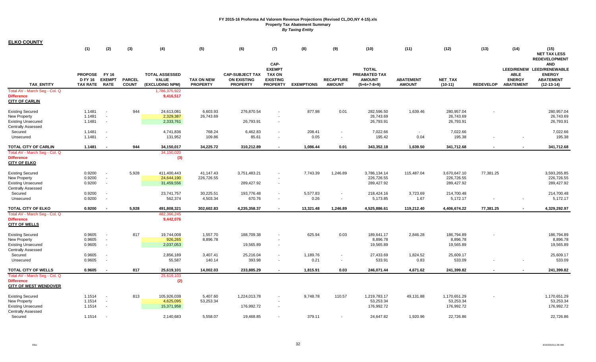| <b>ELKO COUNTY</b>                                                                                        |                                                    |                                              |                               |                                                          |                                      |                                                                 |                                                                              |                   |                                    |                                                                 |                                   |                                          |                  |                                                  |                                                                                              |
|-----------------------------------------------------------------------------------------------------------|----------------------------------------------------|----------------------------------------------|-------------------------------|----------------------------------------------------------|--------------------------------------|-----------------------------------------------------------------|------------------------------------------------------------------------------|-------------------|------------------------------------|-----------------------------------------------------------------|-----------------------------------|------------------------------------------|------------------|--------------------------------------------------|----------------------------------------------------------------------------------------------|
|                                                                                                           | (1)                                                | (2)                                          | (3)                           | (4)                                                      | (5)                                  | (6)                                                             | (7)                                                                          | (8)               | (9)                                | (10)                                                            | (11)                              | (12)                                     | (13)             | (14)                                             | (15)<br><b>NET TAX LESS</b><br><b>REDEVELOPMENT</b>                                          |
| <b>TAX ENTITY</b>                                                                                         | <b>PROPOSE</b><br><b>DFY 16</b><br><b>TAX RATE</b> | <b>FY 16</b><br><b>EXEMPT</b><br><b>RATE</b> | <b>PARCEL</b><br><b>COUNT</b> | <b>TOTAL ASSESSED</b><br><b>VALUE</b><br>(EXCLUDING NPM) | <b>TAX ON NEW</b><br><b>PROPERTY</b> | <b>CAP-SUBJECT TAX</b><br><b>ON EXISTING</b><br><b>PROPERTY</b> | CAP-<br><b>EXEMPT</b><br><b>TAX ON</b><br><b>EXISTING</b><br><b>PROPERTY</b> | <b>EXEMPTIONS</b> | <b>RECAPTURE</b><br><b>AMOUNT</b>  | <b>TOTAL</b><br>PREABATED TAX<br><b>AMOUNT</b><br>$(5+6+7-8+9)$ | <b>ABATEMENT</b><br><b>AMOUNT</b> | <b>NET TAX</b><br>$(10-11)$              | <b>REDEVELOP</b> | <b>ABLE</b><br><b>ENERGY</b><br><b>ABATEMENT</b> | <b>AND</b><br>LEED/RENEW LEED/RENEWABLE<br><b>ENERGY</b><br><b>ABATEMENT</b><br>$(12-13-14)$ |
| Total AV - March Seg - Col. Q<br><b>Difference</b><br><b>CITY OF CARLIN</b>                               |                                                    |                                              |                               | 1,786,375,922<br>9,416,517                               |                                      |                                                                 |                                                                              |                   |                                    |                                                                 |                                   |                                          |                  |                                                  |                                                                                              |
| <b>Existing Secured</b><br>New Property<br><b>Existing Unsecured</b><br><b>Centrally Assessed</b>         | 1.1481<br>1.1481<br>1.1481                         | $\sim$<br>$\sim$<br>$\sim$                   | 944                           | 24,613,081<br>2,329,387<br>2,333,761                     | 6,603.93<br>26,743.69                | 276,870.54<br>26,793.91                                         | $\blacksquare$                                                               | 877.98            | 0.01                               | 282,596.50<br>26,743.69<br>26,793.91                            | 1,639.46                          | 280,957.04<br>26,743.69<br>26,793.91     |                  |                                                  | 280,957.04<br>26,743.69<br>26,793.91                                                         |
| Secured<br>Unsecured                                                                                      | 1.1481<br>1.1481                                   | $\sim$<br>$\sim$                             |                               | 4,741,836<br>131,952                                     | 768.24<br>109.86                     | 6,462.83<br>85.61                                               | $\sim$<br>$\sim$                                                             | 208.41<br>0.05    | $\overline{\phantom{a}}$<br>$\sim$ | 7,022.66<br>195.42                                              | 0.04                              | 7,022.66<br>195.38                       |                  |                                                  | 7,022.66<br>195.38                                                                           |
| TOTAL CITY OF CARLIN<br>Total AV - March Seg - Col. Q<br><b>Difference</b><br><b>CITY OF ELKO</b>         | 1.1481                                             |                                              | 944                           | 34,150,017<br>34, 150, 020<br>(3)                        | 34,225.72                            | 310,212.89                                                      | $\blacksquare$                                                               | 1,086.44          | 0.01                               | 343,352.18                                                      | 1,639.50                          | 341,712.68                               |                  |                                                  | 341,712.68                                                                                   |
| <b>Existing Secured</b><br>New Property<br><b>Existing Unsecured</b><br><b>Centrally Assessed</b>         | 0.9200<br>0.9200<br>0.9200                         | $\sim$<br>$\sim$<br>$\sim$                   | 5,928                         | 411,400,443<br>24,644,190<br>31,459,556                  | 41,147.43<br>226,726.55              | 3,751,483.21<br>289,427.92                                      | $\sim$<br>$\sim$                                                             | 7,743.39          | 1,246.89                           | 3,786,134.14<br>226,726.55<br>289,427.92                        | 115,487.04                        | 3,670,647.10<br>226,726.55<br>289,427.92 | 77,381.25        |                                                  | 3,593,265.85<br>226,726.55<br>289,427.92                                                     |
| Secured<br>Unsecured                                                                                      | 0.9200<br>0.9200                                   | $\sim$<br>$\sim$                             |                               | 23,741,757<br>562,374                                    | 30,225.51<br>4,503.34                | 193,776.48<br>670.76                                            | $\sim$<br>$\sim$                                                             | 5,577.83<br>0.26  | $\overline{\phantom{a}}$<br>$\sim$ | 218,424.16<br>5,173.85                                          | 3,723.69<br>1.67                  | 214,700.48<br>5,172.17                   |                  |                                                  | 214,700.48<br>5,172.17                                                                       |
| <b>TOTAL CITY OF ELKO</b>                                                                                 | 0.9200                                             | $\blacksquare$                               | 5,928                         | 491,808,321                                              | 302,602.83                           | 4,235,358.37                                                    | $\blacksquare$                                                               | 13,321.48         | 1,246.89                           | 4,525,886.61                                                    | 119,212.40                        | 4,406,674.22                             | 77,381.25        |                                                  | 4,329,292.97                                                                                 |
| Total AV - March Seg - Col. Q<br><b>Difference</b><br><b>CITY OF WELLS</b>                                |                                                    |                                              |                               | 482,366,245<br>9,442,076                                 |                                      |                                                                 |                                                                              |                   |                                    |                                                                 |                                   |                                          |                  |                                                  |                                                                                              |
| <b>Existing Secured</b><br>New Property<br><b>Existing Unsecured</b><br><b>Centrally Assessed</b>         | 0.9605<br>0.9605<br>0.9605                         | $\sim$<br>$\sim$<br>$\sim$                   | 817                           | 19,744,008<br>926,265<br>2,037,053                       | 1,557.70<br>8,896.78                 | 188,709.38<br>19,565.89                                         | $\overline{\phantom{a}}$<br>$\blacksquare$                                   | 625.94            | 0.03                               | 189,641.17<br>8,896.78<br>19,565.89                             | 2,846.28                          | 186,794.89<br>8,896.78<br>19,565.89      |                  |                                                  | 186,794.89<br>8,896.78<br>19,565.89                                                          |
| Secured<br>Unsecured                                                                                      | 0.9605<br>0.9605                                   | $\sim$<br>$\sim$                             |                               | 2,856,189<br>55,587                                      | 3,407.41<br>140.14                   | 25,216.04<br>393.98                                             | $\sim$<br>$\sim$                                                             | 1,189.76<br>0.21  | $\sim$                             | 27,433.69<br>533.91                                             | 1,824.52<br>0.83                  | 25,609.17<br>533.09                      |                  |                                                  | 25,609.17<br>533.09                                                                          |
| TOTAL CITY OF WELLS<br>Total AV - March Seg - Col. Q<br><b>Difference</b><br><b>CITY OF WEST WENDOVER</b> | 0.9605                                             |                                              | 817                           | 25,619,101<br>25,619,103<br>(2)                          | 14,002.03                            | 233,885.29                                                      | $\blacksquare$                                                               | 1,815.91          | 0.03                               | 246,071.44                                                      | 4,671.62                          | 241,399.82                               |                  |                                                  | 241,399.82                                                                                   |
| <b>Existing Secured</b><br>New Property<br><b>Existing Unsecured</b><br><b>Centrally Assessed</b>         | 1.1514<br>1.1514<br>1.1514                         | $\sim$<br>$\sim$<br>$\sim$                   | 813                           | 105,926,038<br>4,625,095<br>15,371,958                   | 5,407.60<br>53,253.34                | 1,224,013.78<br>176,992.72                                      | $\overline{\phantom{a}}$<br>$\blacksquare$                                   | 9,748.78          | 110.57                             | 1,219,783.17<br>53,253.34<br>176,992.72                         | 49,131.88                         | 1,170,651.29<br>53,253.34<br>176,992.72  |                  |                                                  | 1,170,651.29<br>53,253.34<br>176,992.72                                                      |
| Secured                                                                                                   | 1.1514                                             |                                              |                               | 2,140,683                                                | 5,558.07                             | 19.468.85                                                       |                                                                              | 379.11            |                                    | 24,647.82                                                       | 1.920.96                          | 22.726.86                                |                  |                                                  | 22,726.86                                                                                    |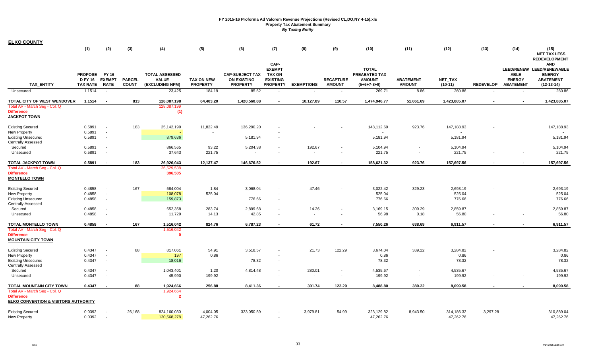| <b>TAX ENTITY</b>                                                                          | (1)<br><b>PROPOSE</b><br><b>D FY 16</b> | (2)<br><b>FY 16</b><br><b>EXEMPT</b> | (3)<br><b>PARCEL</b><br><b>COUNT</b> | (4)<br><b>TOTAL ASSESSED</b><br><b>VALUE</b><br>(EXCLUDING NPM) | (5)<br><b>TAX ON NEW</b><br><b>PROPERTY</b> | (6)<br><b>CAP-SUBJECT TAX</b><br><b>ON EXISTING</b><br><b>PROPERTY</b> | (7)<br>CAP-<br><b>EXEMPT</b><br><b>TAX ON</b><br><b>EXISTING</b><br><b>PROPERTY</b> | (8)<br><b>EXEMPTIONS</b> | (9)<br><b>RECAPTURE</b>  | (10)<br><b>TOTAL</b><br>PREABATED TAX<br><b>AMOUNT</b> | (11)<br><b>ABATEMENT</b><br><b>AMOUNT</b> | (12)<br><b>NET TAX</b>  | (13)<br><b>REDEVELOP</b> | (14)<br><b>ABLE</b><br><b>ENERGY</b><br><b>ABATEMENT</b> | (15)<br><b>NET TAX LESS</b><br><b>REDEVELOPMENT</b><br><b>AND</b><br>LEED/RENEW LEED/RENEWABLE<br><b>ENERGY</b><br><b>ABATEMENT</b><br>$(12-13-14)$ |
|--------------------------------------------------------------------------------------------|-----------------------------------------|--------------------------------------|--------------------------------------|-----------------------------------------------------------------|---------------------------------------------|------------------------------------------------------------------------|-------------------------------------------------------------------------------------|--------------------------|--------------------------|--------------------------------------------------------|-------------------------------------------|-------------------------|--------------------------|----------------------------------------------------------|-----------------------------------------------------------------------------------------------------------------------------------------------------|
| Unsecured                                                                                  | <b>TAX RATE</b><br>1.1514               | <b>RATE</b><br>$\sim$                |                                      | 23,425                                                          | 184.19                                      | 85.52                                                                  | $\sim$                                                                              | $\sim$                   | <b>AMOUNT</b><br>$\sim$  | $(5+6+7-8+9)$<br>269.71                                | 8.86                                      | $(10-11)$<br>260.86     | $\overline{\phantom{a}}$ |                                                          | 260.86                                                                                                                                              |
|                                                                                            |                                         |                                      |                                      |                                                                 |                                             |                                                                        |                                                                                     |                          |                          |                                                        |                                           |                         |                          |                                                          |                                                                                                                                                     |
| <b>TOTAL CITY OF WEST WENDOVER</b>                                                         | 1.1514                                  |                                      | 813                                  | 128,087,198                                                     | 64,403.20                                   | 1,420,560.88                                                           | $\blacksquare$                                                                      | 10,127.89                | 110.57                   | 1,474,946.77                                           | 51,061.69                                 | 1,423,885.07            | $\blacksquare$           |                                                          | 1,423,885.07                                                                                                                                        |
| Total AV - March Seg - Col. Q<br><b>Difference</b><br><b>JACKPOT TOWN</b>                  |                                         |                                      |                                      | 128,087,199<br>(1)                                              |                                             |                                                                        |                                                                                     |                          |                          |                                                        |                                           |                         |                          |                                                          |                                                                                                                                                     |
| <b>Existing Secured</b><br><b>New Property</b>                                             | 0.5891<br>0.5891                        | $\sim$                               | 183                                  | 25, 142, 199                                                    | 11,822.49                                   | 136,290.20                                                             |                                                                                     |                          |                          | 148,112.69                                             | 923.76                                    | 147,188.93              |                          |                                                          | 147,188.93                                                                                                                                          |
| <b>Existing Unsecured</b><br>Centrally Assessed                                            | 0.5891                                  | $\sim$                               |                                      | 879,636                                                         |                                             | 5,181.94                                                               |                                                                                     |                          |                          | 5,181.94                                               |                                           | 5,181.94                |                          |                                                          | 5,181.94                                                                                                                                            |
| Secured<br>Unsecured                                                                       | 0.5891<br>0.5891                        |                                      |                                      | 866,565<br>37,643                                               | 93.22<br>221.75                             | 5,204.38                                                               |                                                                                     | 192.67<br>$\sim$         |                          | 5,104.94<br>221.75                                     | $\sim$                                    | 5,104.94<br>221.75      |                          |                                                          | 5,104.94<br>221.75                                                                                                                                  |
| <b>TOTAL JACKPOT TOWN</b>                                                                  | 0.5891                                  |                                      | 183                                  | 26,926,043                                                      | 12,137.47                                   | 146,676.52                                                             |                                                                                     | 192.67                   |                          | 158,621.32                                             | 923.76                                    | 157,697.56              |                          |                                                          | 157,697.56                                                                                                                                          |
| Total AV - March Seg - Col. Q<br><b>Difference</b><br><b>MONTELLO TOWN</b>                 |                                         |                                      |                                      | 26,529,538<br>396,505                                           |                                             |                                                                        |                                                                                     |                          |                          |                                                        |                                           |                         |                          |                                                          |                                                                                                                                                     |
| <b>Existing Secured</b><br><b>New Property</b>                                             | 0.4858<br>0.4858                        |                                      | 167                                  | 584,004<br>108,078                                              | 1.84<br>525.04                              | 3,068.04                                                               |                                                                                     | 47.46                    |                          | 3,022.42<br>525.04                                     | 329.23                                    | 2,693.19<br>525.04      |                          |                                                          | 2,693.19<br>525.04                                                                                                                                  |
| <b>Existing Unsecured</b><br><b>Centrally Assessed</b>                                     | 0.4858                                  |                                      |                                      | 159,873                                                         |                                             | 776.66                                                                 | $\sim$                                                                              |                          |                          | 776.66                                                 |                                           | 776.66                  |                          |                                                          | 776.66                                                                                                                                              |
| Secured<br>Unsecured                                                                       | 0.4858<br>0.4858                        |                                      |                                      | 652,358<br>11,729                                               | 283.74<br>14.13                             | 2,899.68<br>42.85                                                      | $\sim$<br>$\overline{\phantom{a}}$                                                  | 14.26<br>$\sim$          | $\blacksquare$<br>٠      | 3,169.15<br>56.98                                      | 309.29<br>0.18                            | 2,859.87<br>56.80       |                          |                                                          | 2,859.87<br>56.80                                                                                                                                   |
| <b>TOTAL MONTELLO TOWN</b>                                                                 | 0.4858                                  |                                      | 167                                  | 1,516,042                                                       | 824.76                                      | 6,787.23                                                               | $\sim$                                                                              | 61.72                    | $\overline{\phantom{a}}$ | 7,550.26                                               | 638.69                                    | 6,911.57                | $\overline{\phantom{a}}$ |                                                          | 6,911.57                                                                                                                                            |
| Total AV - March Seg - Col. Q<br><b>Difference</b><br><b>MOUNTAIN CITY TOWN</b>            |                                         |                                      |                                      | 1,516,042<br>-0                                                 |                                             |                                                                        |                                                                                     |                          |                          |                                                        |                                           |                         |                          |                                                          |                                                                                                                                                     |
| <b>Existing Secured</b><br><b>New Property</b>                                             | 0.4347<br>0.4347                        |                                      | 88                                   | 817,061<br>197                                                  | 54.91<br>0.86                               | 3,518.57                                                               |                                                                                     | 21.73                    | 122.29                   | 3,674.04<br>0.86                                       | 389.22                                    | 3,284.82<br>0.86        |                          |                                                          | 3,284.82<br>0.86                                                                                                                                    |
| <b>Existing Unsecured</b><br><b>Centrally Assessed</b>                                     | 0.4347                                  | $\sim$                               |                                      | 18,016                                                          |                                             | 78.32                                                                  | $\sim$                                                                              |                          |                          | 78.32                                                  |                                           | 78.32                   |                          |                                                          | 78.32                                                                                                                                               |
| Secured<br>Unsecured                                                                       | 0.4347<br>0.4347                        |                                      |                                      | 1,043,401<br>45,990                                             | 1.20<br>199.92                              | 4,814.48<br>$\overline{\phantom{a}}$                                   | $\sim$<br>$\overline{\phantom{a}}$                                                  | 280.01<br>$\sim$         | $\sim$<br>$\sim$         | 4,535.67<br>199.92                                     | $\sim$<br>$\sim$                          | 4,535.67<br>199.92      |                          |                                                          | 4,535.67<br>199.92                                                                                                                                  |
| TOTAL MOUNTAIN CITY TOWN                                                                   | 0.4347                                  |                                      | 88                                   | 1,924,666                                                       | 256.88                                      | 8,411.36                                                               |                                                                                     | 301.74                   | 122.29                   | 8,488.80                                               | 389.22                                    | 8,099.58                |                          |                                                          | 8,099.58                                                                                                                                            |
| Total AV - March Seg - Col. Q<br><b>Difference</b><br>ELKO CONVENTION & VISITORS AUTHORITY |                                         |                                      |                                      | 1,924,664<br>-2                                                 |                                             |                                                                        |                                                                                     |                          |                          |                                                        |                                           |                         |                          |                                                          |                                                                                                                                                     |
| <b>Existing Secured</b><br>New Property                                                    | 0.0392<br>0.0392                        |                                      | 26,168                               | 824,160,030<br>120,568,278                                      | 4,004.05<br>47,262.76                       | 323,050.59                                                             |                                                                                     | 3,979.81                 | 54.99                    | 323,129.82<br>47,262.76                                | 8,943.50                                  | 314,186.32<br>47,262.76 | 3,297.28                 |                                                          | 310,889.04<br>47,262.76                                                                                                                             |

**ELKO COUNTY**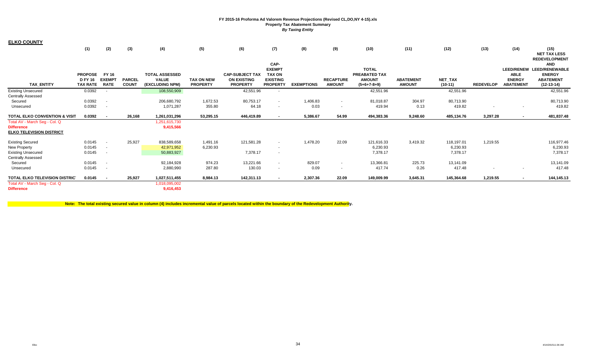(1) (2) (3) (4) (5) (6) (7) (8) (9) (10) (11) (12) (13) (14) (15) **TAX\_ENTITY PROPOSED FY 16 TAX RATE FY 16 EXEMPT RATE PARCEL COUNT TOTAL ASSESSED VALUE (EXCLUDING NPM) TAX ON NEW PROPERTY CAP-SUBJECT TAX ON EXISTING PROPERTY CAP-EXEMPT TAX ON EXISTING PROPERTY EXEMPTIONS RECAPTURE AMOUNT TOTAL PREABATED TAX AMOUNT (5+6+7-8+9) ABATEMENT AMOUNT NET\_TAX (10-11) REDEVELOP LEED/RENEW LEED/RENEWABLE ABLE ENERGY ABATEMENT NET TAX LESS REDEVELOPMENT AND ENERGY ABATEMENT (12-13-14)**  Existing Unsecured 0.0392 - 108,550,909 42,551.96 - 42,551.96 42,551.96 42,551.96 Centrally Assessed Secured 0.0392 - 206,680,792 1,672.53 80,753.17 1,406.83 81,018.87 80,713.90 80,713.90 Unsecured 0.0392 - 1,071,287 355.80 64.18 0.03 419.94 419.82 419.82 **TOTAL ELKO CONVENTION & VISIT 0.0392 - 0.0392 26,168 1,261,031,296 53,295.15 446,419.89 - 5,386.67 54.99 494,383.36 9,248.60 485,134.76 3,297.28 - 481,837.48** Total AV - March Seg - Col. Q 1,251,615,730 **Difference 9,415,566 ELKO TELEVISION DISTRICT**Existing Secured 0.0145 - 25,927 838,589,658 1,491.16 121,581.28 - 1,478.20 22.09 121,616.33 3,419.32 118,197.01 1,219.55 116,977.46 New Property 0.0145 - 42,971,952 6,230.93 6,230.93 6,230.93 Existing Unsecured 0.0145 - 50,883,927 7,378.17 7,378.17 Centrally Assessed Secured 0.0145 - 92,184,928 974.23 13,221.66 829.07 13,366.81 225.73 13,141.09 13,141.09 Unsecured 0.0145 - 2,880,990 287.80 130.03 0.09 417.74 0.26 417.48 417.48 **TOTAL ELKO TELEVISION DISTRIC 0.0145 - 0.0145 25,927 1,027,511,455 8,984.13 142,311.13 - 2,307.36 22.09 149,009.99 3,645.31 145,364.68 1,219.55 - 144,145.13** Total AV - March Seg - Col. Q 1,018,095,002 **Difference9,416,453**

**Note: The total existing secured value in column (4) includes incremental value of parcels located within the boundary of the Redevelopment Authority.**

**ELKO COUNTY**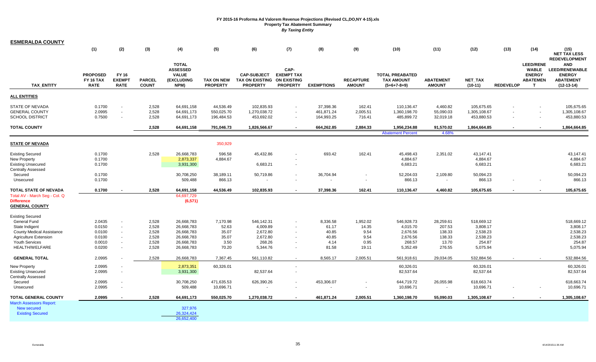| <u>ESMERALDA COUNTY</u>                                                                                                                       |                                                          |                                              |                                                    |                                                                                  |                                                      |                                                                      |                                                                    |                                                      |                                                    |                                                                      |                                                            |                                                                      |                  |                                                                               |                                                                                                           |
|-----------------------------------------------------------------------------------------------------------------------------------------------|----------------------------------------------------------|----------------------------------------------|----------------------------------------------------|----------------------------------------------------------------------------------|------------------------------------------------------|----------------------------------------------------------------------|--------------------------------------------------------------------|------------------------------------------------------|----------------------------------------------------|----------------------------------------------------------------------|------------------------------------------------------------|----------------------------------------------------------------------|------------------|-------------------------------------------------------------------------------|-----------------------------------------------------------------------------------------------------------|
|                                                                                                                                               | (1)                                                      | (2)                                          | (3)                                                | (4)                                                                              | (5)                                                  | (6)                                                                  | (7)                                                                | (8)                                                  | (9)                                                | (10)                                                                 | (11)                                                       | (12)                                                                 | (13)             | (14)                                                                          | (15)<br><b>NET TAX LESS</b>                                                                               |
| TAX_ENTITY                                                                                                                                    | <b>PROPOSED</b><br><b>FY 16 TAX</b><br><b>RATE</b>       | <b>FY 16</b><br><b>EXEMPT</b><br><b>RATE</b> | <b>PARCEL</b><br><b>COUNT</b>                      | <b>TOTAL</b><br><b>ASSESSED</b><br><b>VALUE</b><br>(EXCLUDING<br>NPM)            | <b>TAX ON NEW</b><br><b>PROPERTY</b>                 | <b>CAP-SUBJECT</b><br><b>TAX ON EXISTING</b><br><b>PROPERTY</b>      | CAP-<br><b>EXEMPT TAX</b><br><b>ON EXISTING</b><br><b>PROPERTY</b> | <b>EXEMPTIONS</b>                                    | <b>RECAPTURE</b><br><b>AMOUNT</b>                  | <b>TOTAL PREABATED</b><br><b>TAX AMOUNT</b><br>$(5+6+7-8+9)$         | <b>ABATEMENT</b><br><b>AMOUNT</b>                          | <b>NET TAX</b><br>$(10-11)$                                          | <b>REDEVELOP</b> | <b>LEED/RENE</b><br>WABLE<br><b>ENERGY</b><br><b>ABATEMEN</b><br>$\mathbf{T}$ | <b>REDEVELOPMENT</b><br><b>AND</b><br>LEED/RENEWABLE<br><b>ENERGY</b><br><b>ABATEMENT</b><br>$(12-13-14)$ |
| <b>ALL ENTITIES</b>                                                                                                                           |                                                          |                                              |                                                    |                                                                                  |                                                      |                                                                      |                                                                    |                                                      |                                                    |                                                                      |                                                            |                                                                      |                  |                                                                               |                                                                                                           |
| STATE OF NEVADA<br>GENERAL COUNTY<br>SCHOOL DISTRICT                                                                                          | 0.1700<br>2.0995<br>0.7500                               | $\sim$<br>$\sim$                             | 2,528<br>2,528<br>2,528                            | 64,691,158<br>64,691,173<br>64,691,173                                           | 44,536.49<br>550,025.70<br>196,484.53                | 102,835.93<br>1,270,038.72<br>453,692.02                             | $\sim$                                                             | 37,398.36<br>461,871.24<br>164,993.25                | 162.41<br>2,005.51<br>716.41                       | 110,136.47<br>1,360,198.70<br>485,899.72                             | 4,460.82<br>55,090.03<br>32,019.18                         | 105,675.65<br>1,305,108.67<br>453,880.53                             |                  | $\sim$                                                                        | 105,675.65<br>1,305,108.67<br>453,880.53                                                                  |
| <b>TOTAL COUNTY</b>                                                                                                                           |                                                          |                                              | 2,528                                              | 64,691,158                                                                       | 791,046.73                                           | 1,826,566.67                                                         | $\sim$                                                             | 664,262.85                                           | 2,884.33                                           | 1,956,234.88                                                         | 91,570.02                                                  | 1,864,664.85                                                         |                  |                                                                               | 1,864,664.85                                                                                              |
|                                                                                                                                               |                                                          |                                              |                                                    |                                                                                  |                                                      |                                                                      |                                                                    |                                                      |                                                    | <b>Abatement Percent</b>                                             | 4.68%                                                      |                                                                      |                  |                                                                               |                                                                                                           |
| <b>STATE OF NEVADA</b>                                                                                                                        |                                                          |                                              |                                                    |                                                                                  | 350,929                                              |                                                                      |                                                                    |                                                      |                                                    |                                                                      |                                                            |                                                                      |                  |                                                                               |                                                                                                           |
| <b>Existing Secured</b><br><b>New Property</b><br><b>Existing Unsecured</b><br><b>Centrally Assessed</b>                                      | 0.1700<br>0.1700<br>0.1700                               |                                              | 2,528                                              | 26,668,783<br>2,873,337<br>3,931,300                                             | 596.58<br>4,884.67                                   | 45,432.86<br>6,683.21                                                |                                                                    | 693.42                                               | 162.41                                             | 45,498.43<br>4,884.67<br>6,683.21                                    | 2,351.02                                                   | 43,147.41<br>4,884.67<br>6,683.21                                    |                  |                                                                               | 43,147.41<br>4,884.67<br>6,683.21                                                                         |
| Secured<br>Unsecured                                                                                                                          | 0.1700<br>0.1700                                         |                                              |                                                    | 30,708,250<br>509,488                                                            | 38,189.11<br>866.13                                  | 50,719.86                                                            |                                                                    | 36,704.94                                            |                                                    | 52,204.03<br>866.13                                                  | 2,109.80                                                   | 50,094.23<br>866.13                                                  |                  |                                                                               | 50,094.23<br>866.13                                                                                       |
| TOTAL STATE OF NEVADA<br>Total AV - March Seg - Col. Q<br>Difference<br><b>GENERAL COUNTY</b>                                                 | 0.1700                                                   |                                              | 2,528                                              | 64,691,158<br>64,697,729<br>(6, 571)                                             | 44,536.49                                            | 102,835.93                                                           |                                                                    | 37,398.36                                            | 162.41                                             | 110,136.47                                                           | 4,460.82                                                   | 105,675.65                                                           |                  |                                                                               | 105,675.65                                                                                                |
| <b>Existing Secured</b>                                                                                                                       |                                                          |                                              |                                                    |                                                                                  |                                                      |                                                                      |                                                                    |                                                      |                                                    |                                                                      |                                                            |                                                                      |                  |                                                                               |                                                                                                           |
| General Fund<br>State Indigent<br><b>County Medical Assistance</b><br><b>Agriculture Extension</b><br><b>Youth Services</b><br>HEALTH/WELFARE | 2.0435<br>0.0150<br>0.0100<br>0.0100<br>0.0010<br>0.0200 | $\sim$<br>$\sim$<br>$\sim$                   | 2,528<br>2,528<br>2,528<br>2,528<br>2,528<br>2,528 | 26,668,783<br>26,668,783<br>26,668,783<br>26,668,783<br>26,668,783<br>26,668,783 | 7,170.98<br>52.63<br>35.07<br>35.07<br>3.50<br>70.20 | 546,142.31<br>4,009.89<br>2,672.80<br>2,672.80<br>268.26<br>5,344.76 |                                                                    | 8,336.58<br>61.17<br>40.85<br>40.85<br>4.14<br>81.58 | 1,952.02<br>14.35<br>9.54<br>9.54<br>0.95<br>19.11 | 546,928.73<br>4,015.70<br>2,676.56<br>2,676.56<br>268.57<br>5,352.49 | 28,259.61<br>207.53<br>138.33<br>138.33<br>13.70<br>276.55 | 518,669.12<br>3,808.17<br>2,538.23<br>2,538.23<br>254.87<br>5,075.94 |                  |                                                                               | 518,669.12<br>3,808.17<br>2,538.23<br>2,538.23<br>254.87<br>5,075.94                                      |
| <b>GENERAL TOTAL</b>                                                                                                                          | 2.0995                                                   |                                              | 2,528                                              | 26,668,783                                                                       | 7,367.45                                             | 561,110.82                                                           |                                                                    | 8,565.17                                             | 2,005.51                                           | 561,918.61                                                           | 29,034.05                                                  | 532,884.56                                                           |                  |                                                                               | 532,884.56                                                                                                |
| New Property<br><b>Existing Unsecured</b><br>Centrally Assessed                                                                               | 2.0995<br>2.0995                                         | $\sim$<br>$\sim$                             |                                                    | 2,873,351<br>3,931,300                                                           | 60,326.01                                            | 82,537.64                                                            |                                                                    |                                                      |                                                    | 60,326.01<br>82,537.64                                               |                                                            | 60,326.01<br>82,537.64                                               |                  |                                                                               | 60,326.01<br>82,537.64                                                                                    |
| Secured<br>Unsecured                                                                                                                          | 2.0995<br>2.0995                                         | $\sim$<br>$\overline{\phantom{a}}$           |                                                    | 30,708,250<br>509,488                                                            | 471,635.53<br>10,696.71                              | 626,390.26                                                           |                                                                    | 453,306.07                                           |                                                    | 644,719.72<br>10,696.71                                              | 26,055.98<br>$\sim$                                        | 618,663.74<br>10,696.71                                              |                  |                                                                               | 618,663.74<br>10,696.71                                                                                   |
| <b>TOTAL GENERAL COUNTY</b><br><b>March Assessors Report:</b><br><b>New secured</b><br><b>Existing Secured</b>                                | 2.0995                                                   |                                              | 2,528                                              | 64,691,173<br>327,976<br>26,324,424                                              | 550,025.70                                           | 1,270,038.72                                                         |                                                                    | 461,871.24                                           | 2,005.51                                           | 1,360,198.70                                                         | 55,090.03                                                  | 1,305,108.67                                                         |                  |                                                                               | 1,305,108.67                                                                                              |
|                                                                                                                                               |                                                          |                                              |                                                    | 26.652.400                                                                       |                                                      |                                                                      |                                                                    |                                                      |                                                    |                                                                      |                                                            |                                                                      |                  |                                                                               |                                                                                                           |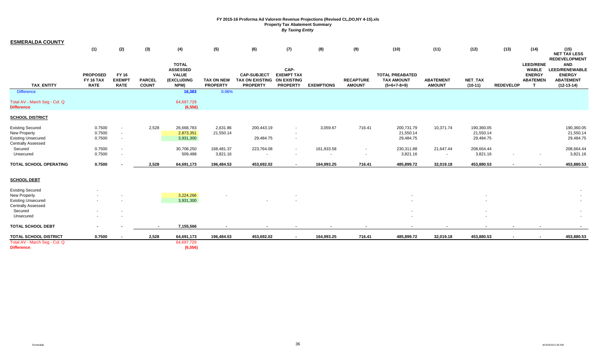| <b>ESMERALDA COUNTY</b>                                              |                                             |                                              |                               |                                                                       |                                      |                                                                 |                                                                    |                      |                                                      |                                                              |                                   |                                      |                  |                                                                           |                                                                                                                  |
|----------------------------------------------------------------------|---------------------------------------------|----------------------------------------------|-------------------------------|-----------------------------------------------------------------------|--------------------------------------|-----------------------------------------------------------------|--------------------------------------------------------------------|----------------------|------------------------------------------------------|--------------------------------------------------------------|-----------------------------------|--------------------------------------|------------------|---------------------------------------------------------------------------|------------------------------------------------------------------------------------------------------------------|
|                                                                      | (1)                                         | (2)                                          | (3)                           | (4)                                                                   | (5)                                  | (6)                                                             | (7)                                                                | (8)                  | (9)                                                  | (10)                                                         | (11)                              | (12)                                 | (13)             | (14)                                                                      | (15)<br><b>NET TAX LESS</b>                                                                                      |
| <b>TAX ENTITY</b>                                                    | <b>PROPOSED</b><br>FY 16 TAX<br><b>RATE</b> | <b>FY 16</b><br><b>EXEMPT</b><br><b>RATE</b> | <b>PARCEL</b><br><b>COUNT</b> | <b>TOTAL</b><br><b>ASSESSED</b><br><b>VALUE</b><br>(EXCLUDING<br>NPM) | <b>TAX ON NEW</b><br><b>PROPERTY</b> | <b>CAP-SUBJECT</b><br><b>TAX ON EXISTING</b><br><b>PROPERTY</b> | CAP-<br><b>EXEMPT TAX</b><br><b>ON EXISTING</b><br><b>PROPERTY</b> | <b>EXEMPTIONS</b>    | <b>RECAPTURE</b><br><b>AMOUNT</b>                    | <b>TOTAL PREABATED</b><br><b>TAX AMOUNT</b><br>$(5+6+7-8+9)$ | <b>ABATEMENT</b><br><b>AMOUNT</b> | NET_TAX<br>$(10-11)$                 | <b>REDEVELOP</b> | <b>LEED/RENE</b><br><b>WABLE</b><br><b>ENERGY</b><br><b>ABATEMEN</b><br>T | <b>REDEVELOPMENT</b><br><b>AND</b><br><b>LEED/RENEWABLE</b><br><b>ENERGY</b><br><b>ABATEMENT</b><br>$(12-13-14)$ |
| <b>Difference</b>                                                    |                                             |                                              |                               | 16,383                                                                | 0.06%                                |                                                                 |                                                                    |                      |                                                      |                                                              |                                   |                                      |                  |                                                                           |                                                                                                                  |
| Total AV - March Seg - Col. Q<br><b>Difference</b>                   |                                             |                                              |                               | 64,697,729<br>(6, 556)                                                |                                      |                                                                 |                                                                    |                      |                                                      |                                                              |                                   |                                      |                  |                                                                           |                                                                                                                  |
| <b>SCHOOL DISTRICT</b>                                               |                                             |                                              |                               |                                                                       |                                      |                                                                 |                                                                    |                      |                                                      |                                                              |                                   |                                      |                  |                                                                           |                                                                                                                  |
| <b>Existing Secured</b><br>New Property<br><b>Existing Unsecured</b> | 0.7500<br>0.7500<br>0.7500                  | $\sim$<br>$\sim$<br>$\sim$                   | 2,528                         | 26,668,783<br>2,873,351<br>3,931,300                                  | 2,631.86<br>21,550.14                | 200,443.19<br>29,484.75                                         | $\sim$                                                             | 3,059.67             | 716.41                                               | 200,731.79<br>21,550.14<br>29,484.75                         | 10,371.74                         | 190,360.05<br>21,550.14<br>29,484.75 |                  |                                                                           | 190,360.05<br>21,550.14<br>29,484.75                                                                             |
| <b>Centrally Assessed</b><br>Secured<br>Unsecured                    | 0.7500<br>0.7500                            | $\sim$<br>$\sim$                             |                               | 30,708,250<br>509,488                                                 | 168,481.37<br>3,821.16               | 223,764.08<br>$\sim$                                            |                                                                    | 161,933.58<br>$\sim$ | $\overline{\phantom{a}}$<br>$\overline{\phantom{a}}$ | 230,311.88<br>3,821.16                                       | 21,647.44<br>$\sim$               | 208,664.44<br>3,821.16               |                  | $\sim$                                                                    | 208,664.44<br>3,821.16                                                                                           |
| TOTAL SCHOOL OPERATING                                               | 0.7500                                      |                                              | 2,528                         | 64,691,173                                                            | 196,484.53                           | 453,692.02                                                      | $\sim$                                                             | 164,993.25           | 716.41                                               | 485,899.72                                                   | 32,019.18                         | 453,880.53                           |                  | $\sim$                                                                    | 453,880.53                                                                                                       |
| <b>SCHOOL DEBT</b>                                                   |                                             |                                              |                               |                                                                       |                                      |                                                                 |                                                                    |                      |                                                      |                                                              |                                   |                                      |                  |                                                                           |                                                                                                                  |
| <b>Existing Secured</b>                                              |                                             |                                              |                               |                                                                       |                                      |                                                                 |                                                                    |                      |                                                      |                                                              |                                   |                                      |                  |                                                                           |                                                                                                                  |
| New Property<br><b>Existing Unsecured</b><br>Centrally Assessed      |                                             |                                              |                               | 3,224,266<br>3,931,300                                                |                                      |                                                                 |                                                                    |                      |                                                      |                                                              |                                   |                                      |                  |                                                                           |                                                                                                                  |
| Secured<br>Unsecured                                                 |                                             | $\sim$<br>$\sim$                             |                               |                                                                       |                                      |                                                                 |                                                                    |                      |                                                      |                                                              |                                   |                                      |                  |                                                                           |                                                                                                                  |
| <b>TOTAL SCHOOL DEBT</b>                                             |                                             |                                              | $\sim$                        | 7,155,566                                                             |                                      |                                                                 |                                                                    |                      |                                                      |                                                              |                                   |                                      |                  |                                                                           |                                                                                                                  |
| <b>TOTAL SCHOOL DISTRICT</b>                                         | 0.7500                                      |                                              | 2,528                         | 64,691,173                                                            | 196,484.53                           | 453,692.02                                                      |                                                                    | 164,993.25           | 716.41                                               | 485,899.72                                                   | 32,019.18                         | 453,880.53                           |                  |                                                                           | 453,880.53                                                                                                       |
| Total AV - March Seg - Col. Q<br><b>Difference</b>                   |                                             |                                              |                               | 64,697,729<br>(6, 556)                                                |                                      |                                                                 |                                                                    |                      |                                                      |                                                              |                                   |                                      |                  |                                                                           |                                                                                                                  |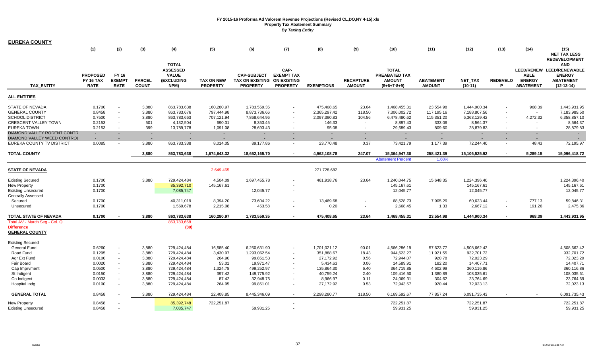| <b>EUREKA COUNTY</b>          |                                                    |                                              |                               |                                                                              |                               |                                                                 |                                                                    |                   |                                   |                                                                 |                                   |                             |                          |                                                  |                                                                                              |
|-------------------------------|----------------------------------------------------|----------------------------------------------|-------------------------------|------------------------------------------------------------------------------|-------------------------------|-----------------------------------------------------------------|--------------------------------------------------------------------|-------------------|-----------------------------------|-----------------------------------------------------------------|-----------------------------------|-----------------------------|--------------------------|--------------------------------------------------|----------------------------------------------------------------------------------------------|
|                               | (1)                                                | (2)                                          | (3)                           | (4)                                                                          | (5)                           | (6)                                                             | (7)                                                                | (8)               | (9)                               | (10)                                                            | (11)                              | (12)                        | (13)                     | (14)                                             | (15)<br><b>NET TAX LESS</b><br><b>REDEVELOPMENT</b>                                          |
| <b>TAX_ENTITY</b>             | <b>PROPOSED</b><br><b>FY 16 TAX</b><br><b>RATE</b> | <b>FY 16</b><br><b>EXEMPT</b><br><b>RATE</b> | <b>PARCEL</b><br><b>COUNT</b> | <b>TOTAL</b><br><b>ASSESSED</b><br><b>VALUE</b><br><b>(EXCLUDING</b><br>NPM) | TAX ON NEW<br><b>PROPERTY</b> | <b>CAP-SUBJECT</b><br><b>TAX ON EXISTING</b><br><b>PROPERTY</b> | CAP-<br><b>EXEMPT TAX</b><br><b>ON EXISTING</b><br><b>PROPERTY</b> | <b>EXEMPTIONS</b> | <b>RECAPTURE</b><br><b>AMOUNT</b> | <b>TOTAL</b><br>PREABATED TAX<br><b>AMOUNT</b><br>$(5+6+7-8+9)$ | <b>ABATEMENT</b><br><b>AMOUNT</b> | <b>NET TAX</b><br>$(10-11)$ | <b>REDEVELO</b><br>P.    | <b>ABLE</b><br><b>ENERGY</b><br><b>ABATEMENT</b> | <b>AND</b><br>LEED/RENEW LEED/RENEWABLE<br><b>ENERGY</b><br><b>ABATEMENT</b><br>$(12-13-14)$ |
| <b>ALL ENTITIES</b>           |                                                    |                                              |                               |                                                                              |                               |                                                                 |                                                                    |                   |                                   |                                                                 |                                   |                             |                          |                                                  |                                                                                              |
| <b>STATE OF NEVADA</b>        | 0.1700                                             | $\blacksquare$                               | 3,880                         | 863,783,638                                                                  | 160,280.97                    | 1,783,559.35                                                    | $\sim$                                                             | 475,408.65        | 23.64                             | 1,468,455.31                                                    | 23,554.98                         | 1,444,900.34                |                          | 968.39                                           | 1,443,931.95                                                                                 |
| <b>GENERAL COUNTY</b>         | 0.8458                                             | $\sim$                                       | 3,880                         | 863,783,676                                                                  | 797.444.98                    | 8.873.736.66                                                    | $\sim$                                                             | 2,365,297.42      | 118.50                            | 7,306,002.72                                                    | 117,195.16                        | 7.188.807.56                |                          | $\sim$                                           | 7,183,989.50                                                                                 |
| <b>SCHOOL DISTRICT</b>        | 0.7500                                             | $\sim$                                       | 3,880                         | 863,783,663                                                                  | 707,121.94                    | 7,868,644.96                                                    | $\sim$                                                             | 2,097,390.83      | 104.56                            | 6,478,480.62                                                    | 115,351.20                        | 6,363,129.42                | $\sim$                   | 4,272.32                                         | 6,358,857.10                                                                                 |
| <b>CRESCENT VALLEY TOWN</b>   | 0.2153                                             | $\sim$                                       | 501                           | 4,132,504                                                                    | 690.31                        | 8,353.45                                                        | $\sim$                                                             | 146.33            | $\sim$                            | 8,897.43                                                        | 333.06                            | 8,564.37                    | $\sim$                   | $\sim$                                           | 8,564.37                                                                                     |
| <b>EUREKA TOWN</b>            | 0.2153                                             | $\sim$                                       | 399                           | 13,789,778                                                                   | 1,091.08                      | 28,693.43                                                       | $\sim$                                                             | 95.08             | $\sim$                            | 29,689.43                                                       | 809.60                            | 28,879.83                   | $\sim$                   | $\sim$                                           | 28,879.83                                                                                    |
| DIAMOND VALLEY RODENT CONTR   | $\sim$                                             | $\sim$                                       | $\sim$                        |                                                                              | ٠                             | $\sim$                                                          | ÷.                                                                 | $\sim$            | $\sim$                            | $\sim$                                                          | $\sim$                            | $\sim$                      | $\sim$                   | $\sim$                                           | $\sim$                                                                                       |
| DIAMOND VALLEY WEED CONTROL   |                                                    |                                              | $\sim$                        |                                                                              | $\sim$                        | $\sim$                                                          |                                                                    |                   |                                   | $\sim$                                                          | $\sim$                            | $\sim$                      |                          | $\sim$                                           | $\sim$                                                                                       |
| EUREKA COUNTY TV DISTRICT     | 0.0085                                             | $\sim$                                       | 3,880                         | 863,783,338                                                                  | 8,014.05                      | 89,177.86                                                       | $\sim$                                                             | 23,770.48         | 0.37                              | 73,421.79                                                       | 1,177.39                          | 72,244.40                   | $\sim$                   | 48.43                                            | 72,195.97                                                                                    |
| <b>TOTAL COUNTY</b>           |                                                    |                                              | 3,880                         | 863,783,638                                                                  | 1,674,643.32                  | 18,652,165.70                                                   | $\sim$                                                             | 4,962,108.78      | 247.07                            | 15,364,947.30                                                   | 258,421.39                        | 15,106,525.92               | $\sim$                   | 5,289.15                                         | 15,096,418.72                                                                                |
|                               |                                                    |                                              |                               |                                                                              |                               |                                                                 |                                                                    |                   |                                   | <b>Abatement Percent</b>                                        | 1.68%                             |                             |                          |                                                  |                                                                                              |
| <b>STATE OF NEVADA</b>        |                                                    |                                              |                               |                                                                              | 2,649,465                     |                                                                 |                                                                    | 271,728,682       |                                   |                                                                 |                                   |                             |                          |                                                  |                                                                                              |
| <b>Existing Secured</b>       | 0.1700                                             |                                              | 3,880                         | 729,424,484                                                                  | 4,504.09                      | 1,697,455.78                                                    |                                                                    | 461,938.76        | 23.64                             | 1,240,044.75                                                    | 15,648.35                         | 1,224,396.40                |                          |                                                  | 1,224,396.40                                                                                 |
| New Property                  | 0.1700                                             |                                              |                               | 85,392,710                                                                   | 145, 167.61                   |                                                                 |                                                                    |                   |                                   | 145,167.61                                                      |                                   | 145,167.61                  |                          |                                                  | 145, 167.61                                                                                  |
| <b>Existing Unsecured</b>     | 0.1700                                             |                                              |                               | 7,085,747                                                                    |                               | 12,045.77                                                       |                                                                    |                   |                                   | 12,045.77                                                       |                                   | 12,045.77                   |                          |                                                  | 12,045.77                                                                                    |
| <b>Centrally Assessed</b>     |                                                    |                                              |                               |                                                                              |                               |                                                                 |                                                                    |                   |                                   |                                                                 |                                   |                             |                          |                                                  |                                                                                              |
| Secured                       | 0.1700                                             |                                              |                               | 40,311,019                                                                   | 8,394.20                      | 73,604.22                                                       |                                                                    | 13,469.68         |                                   | 68,528.73                                                       | 7,905.29                          | 60,623.44                   | $\sim$                   | 777.13                                           | 59,846.31                                                                                    |
| Unsecured                     | 0.1700                                             |                                              |                               | 1,569,678                                                                    | 2,215.08                      | 453.58                                                          |                                                                    | 0.20              | $\sim$                            | 2,668.45                                                        | 1.33                              | 2,667.12                    | $\blacksquare$           | 191.26                                           | 2,475.86                                                                                     |
| TOTAL STATE OF NEVADA         | 0.1700                                             |                                              | 3,880                         | 863,783,638                                                                  | 160,280.97                    | 1,783,559.35                                                    |                                                                    | 475,408.65        | 23.64                             | 1,468,455.31                                                    | 23,554.98                         | 1,444,900.34                | $\overline{\phantom{a}}$ | 968.39                                           | 1,443,931.95                                                                                 |
| Total AV - March Seg - Col. Q |                                                    |                                              |                               | 863,783,668                                                                  |                               |                                                                 |                                                                    |                   |                                   |                                                                 |                                   |                             |                          |                                                  |                                                                                              |
| <b>Difference</b>             |                                                    |                                              |                               | (30)                                                                         |                               |                                                                 |                                                                    |                   |                                   |                                                                 |                                   |                             |                          |                                                  |                                                                                              |
| <b>GENERAL COUNTY</b>         |                                                    |                                              |                               |                                                                              |                               |                                                                 |                                                                    |                   |                                   |                                                                 |                                   |                             |                          |                                                  |                                                                                              |
| <b>Existing Secured</b>       |                                                    |                                              |                               |                                                                              |                               |                                                                 |                                                                    |                   |                                   |                                                                 |                                   |                             |                          |                                                  |                                                                                              |
| <b>General Fund</b>           | 0.6260                                             | $\sim$                                       | 3,880                         | 729,424,484                                                                  | 16,585.40                     | 6,250,631.90                                                    | $\sim$                                                             | 1,701,021.12      | 90.01                             | 4,566,286.19                                                    | 57,623.77                         | 4,508,662.42                |                          |                                                  | 4,508,662.42                                                                                 |
| Road Fund                     | 0.1295                                             | $\sim$                                       | 3,880                         | 729,424,484                                                                  | 3,430.97                      | 1,293,062.54                                                    |                                                                    | 351,888.67        | 18.43                             | 944,623.27                                                      | 11,921.55                         | 932,701.72                  |                          |                                                  | 932,701.72                                                                                   |
| Agr Ext Fund                  | 0.0100                                             | $\blacksquare$                               | 3,880                         | 729,424,484                                                                  | 264.90                        | 99,851.53                                                       |                                                                    | 27,172.92         | 0.56                              | 72,944.07                                                       | 920.78                            | 72,023.29                   |                          |                                                  | 72,023.29                                                                                    |
| Fair Board                    | 0.0020                                             | $\sim$                                       | 3,880                         | 729,424,484                                                                  | 53.01                         | 19,971.47                                                       |                                                                    | 5,434.63          | 0.06                              | 14,589.91                                                       | 182.20                            | 14,407.71                   |                          |                                                  | 14,407.71                                                                                    |
| Cap Imprvment                 | 0.0500                                             |                                              | 3,880                         | 729,424,484                                                                  | 1,324.78                      | 499,252.97                                                      |                                                                    | 135,864.30        | 6.40                              | 364,719.85                                                      | 4,602.99                          | 360,116.86                  |                          |                                                  | 360,116.86                                                                                   |
| St Indigent                   | 0.0150                                             | $\sim$                                       | 3,880                         | 729,424,484                                                                  | 397.42                        | 149,775.92                                                      |                                                                    | 40,759.24         | 2.40                              | 109,416.50                                                      | 1,380.89                          | 108,035.61                  |                          |                                                  | 108,035.61                                                                                   |
| Co Indigent                   | 0.0033                                             | $\blacksquare$                               | 3,880                         | 729,424,484                                                                  | 87.42                         | 32,948.75                                                       |                                                                    | 8,966.97          | 0.11                              | 24,069.31                                                       | 304.62                            | 23,764.69                   |                          |                                                  | 23,764.69                                                                                    |
| Hospital Indg                 | 0.0100                                             | $\sim$                                       | 3,880                         | 729,424,484                                                                  | 264.95                        | 99,851.01                                                       | $\sim$                                                             | 27,172.92         | 0.53                              | 72,943.57                                                       | 920.44                            | 72,023.13                   |                          |                                                  | 72,023.13                                                                                    |
| <b>GENERAL TOTAL</b>          | 0.8458                                             |                                              | 3,880                         | 729,424,484                                                                  | 22,408.85                     | 8,445,346.09                                                    | $\sim$                                                             | 2,298,280.77      | 118.50                            | 6,169,592.67                                                    | 77,857.24                         | 6,091,735.43                |                          |                                                  | 6,091,735.43                                                                                 |
| New Property                  | 0.8458                                             |                                              |                               | 85,392,748                                                                   | 722,251.87                    |                                                                 |                                                                    |                   |                                   | 722,251.87                                                      |                                   | 722,251.87                  |                          |                                                  | 722,251.87                                                                                   |
| <b>Existing Unsecured</b>     | 0.8458                                             |                                              |                               | 7,085,747                                                                    |                               | 59,931.25                                                       |                                                                    |                   |                                   | 59,931.25                                                       |                                   | 59,931.25                   |                          |                                                  | 59,931.25                                                                                    |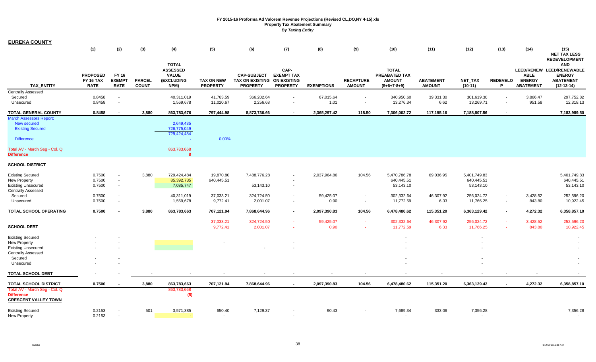| <b>EUREKA COUNTY</b>                                                                                                      |                                                    |                                              |                               |                                                                              |                                      |                                                                 |                                                                    |                   |                                   |                                                                 |                                   |                                         |                      |                                                  |                                                                                              |
|---------------------------------------------------------------------------------------------------------------------------|----------------------------------------------------|----------------------------------------------|-------------------------------|------------------------------------------------------------------------------|--------------------------------------|-----------------------------------------------------------------|--------------------------------------------------------------------|-------------------|-----------------------------------|-----------------------------------------------------------------|-----------------------------------|-----------------------------------------|----------------------|--------------------------------------------------|----------------------------------------------------------------------------------------------|
|                                                                                                                           | (1)                                                | (2)                                          | $(3)$                         | (4)                                                                          | (5)                                  | (6)                                                             | (7)                                                                | (8)               | (9)                               | (10)                                                            | (11)                              | (12)                                    | (13)                 | (14)                                             | (15)<br><b>NET TAX LESS</b><br><b>REDEVELOPMENT</b>                                          |
| TAX_ENTITY                                                                                                                | <b>PROPOSED</b><br><b>FY 16 TAX</b><br><b>RATE</b> | <b>FY 16</b><br><b>EXEMPT</b><br><b>RATE</b> | <b>PARCEL</b><br><b>COUNT</b> | <b>TOTAL</b><br><b>ASSESSED</b><br><b>VALUE</b><br><b>(EXCLUDING</b><br>NPM) | <b>TAX ON NEW</b><br><b>PROPERTY</b> | <b>CAP-SUBJECT</b><br><b>TAX ON EXISTING</b><br><b>PROPERTY</b> | CAP-<br><b>EXEMPT TAX</b><br><b>ON EXISTING</b><br><b>PROPERTY</b> | <b>EXEMPTIONS</b> | <b>RECAPTURE</b><br><b>AMOUNT</b> | <b>TOTAL</b><br>PREABATED TAX<br><b>AMOUNT</b><br>$(5+6+7-8+9)$ | <b>ABATEMENT</b><br><b>AMOUNT</b> | <b>NET TAX</b><br>$(10-11)$             | <b>REDEVELO</b><br>P | <b>ABLE</b><br><b>ENERGY</b><br><b>ABATEMENT</b> | <b>AND</b><br>LEED/RENEW LEED/RENEWABLE<br><b>ENERGY</b><br><b>ABATEMENT</b><br>$(12-13-14)$ |
| <b>Centrally Assessed</b><br>Secured<br>Unsecured                                                                         | 0.8458<br>0.8458                                   | $\sim$<br>$\sim$                             |                               | 40,311,019<br>1,569,678                                                      | 41,763.59<br>11,020.67               | 366,202.64<br>2,256.68                                          |                                                                    | 67,015.64<br>1.01 | $\sim$                            | 340,950.60<br>13,276.34                                         | 39,331.30<br>6.62                 | 301,619.30<br>13,269.71                 |                      | 3,866.47<br>951.58                               | 297,752.82<br>12,318.13                                                                      |
| <b>TOTAL GENERAL COUNTY</b>                                                                                               | 0.8458                                             |                                              | 3,880                         | 863,783,676                                                                  | 797,444.98                           | 8,873,736.66                                                    |                                                                    | 2,365,297.42      | 118.50                            | 7,306,002.72                                                    | 117,195.16                        | 7,188,807.56                            |                      |                                                  | 7,183,989.50                                                                                 |
| <b>March Assessors Report:</b><br>New secured<br><b>Existing Secured</b><br><b>Difference</b>                             |                                                    |                                              |                               | 2,649,435<br>726,775,049<br>729,424,484<br>$\sim$                            | 0.00%                                |                                                                 |                                                                    |                   |                                   |                                                                 |                                   |                                         |                      |                                                  |                                                                                              |
| Total AV - March Seg - Col. Q<br><b>Difference</b>                                                                        |                                                    |                                              |                               | 863,783,668<br>$\mathbf{R}$                                                  |                                      |                                                                 |                                                                    |                   |                                   |                                                                 |                                   |                                         |                      |                                                  |                                                                                              |
| <b>SCHOOL DISTRICT</b>                                                                                                    |                                                    |                                              |                               |                                                                              |                                      |                                                                 |                                                                    |                   |                                   |                                                                 |                                   |                                         |                      |                                                  |                                                                                              |
| <b>Existing Secured</b><br><b>New Property</b><br><b>Existing Unsecured</b>                                               | 0.7500<br>0.7500<br>0.7500                         | $\sim$<br>$\sim$<br>$\sim$                   | 3,880                         | 729,424,484<br>85,392,735<br>7,085,747                                       | 19,870.80<br>640,445.51              | 7,488,776.28<br>53,143.10                                       | $\overline{a}$                                                     | 2,037,964.86      | 104.56                            | 5,470,786.78<br>640,445.51<br>53,143.10                         | 69,036.95                         | 5,401,749.83<br>640,445.51<br>53,143.10 |                      |                                                  | 5,401,749.83<br>640,445.51<br>53,143.10                                                      |
| <b>Centrally Assessed</b><br>Secured<br>Unsecured                                                                         | 0.7500<br>0.7500                                   | $\sim$<br>$\sim$                             |                               | 40,311,019<br>1,569,678                                                      | 37,033.21<br>9,772.41                | 324,724.50<br>2,001.07                                          |                                                                    | 59,425.07<br>0.90 | $\blacksquare$<br>$\sim$          | 302,332.64<br>11,772.59                                         | 46,307.92<br>6.33                 | 256,024.72<br>11,766.25                 |                      | 3,428.52<br>843.80                               | 252,596.20<br>10,922.45                                                                      |
| TOTAL SCHOOL OPERATING                                                                                                    | 0.7500                                             |                                              | 3,880                         | 863,783,663                                                                  | 707,121.94                           | 7,868,644.96                                                    | $\sim$                                                             | 2,097,390.83      | 104.56                            | 6,478,480.62                                                    | 115,351.20                        | 6,363,129.42                            |                      | 4,272.32                                         | 6,358,857.10                                                                                 |
| <b>SCHOOL DEBT</b>                                                                                                        |                                                    |                                              |                               |                                                                              | 37,033.21<br>9,772.41                | 324,724.50<br>2,001.07                                          |                                                                    | 59,425.07<br>0.90 | $\sim$                            | 302,332.64<br>11,772.59                                         | 46,307.92<br>6.33                 | 256,024.72<br>11,766.25                 |                      | 3,428.52<br>843.80                               | 252,596.20<br>10,922.45                                                                      |
| <b>Existing Secured</b><br>New Property<br><b>Existing Unsecured</b><br><b>Centrally Assessed</b><br>Secured<br>Unsecured |                                                    |                                              |                               |                                                                              |                                      |                                                                 |                                                                    |                   |                                   |                                                                 |                                   | $\blacksquare$                          |                      |                                                  |                                                                                              |
| <b>TOTAL SCHOOL DEBT</b>                                                                                                  |                                                    |                                              |                               |                                                                              |                                      |                                                                 |                                                                    |                   |                                   |                                                                 |                                   |                                         |                      |                                                  |                                                                                              |
| <b>TOTAL SCHOOL DISTRICT</b><br>Total AV - March Seg - Col. Q<br><b>Difference</b><br><b>CRESCENT VALLEY TOWN</b>         | 0.7500                                             |                                              | 3,880                         | 863,783,663<br>863,783,668<br>(5)                                            | 707,121.94                           | 7,868,644.96                                                    | $\sim$                                                             | 2,097,390.83      | 104.56                            | 6,478,480.62                                                    | 115,351.20                        | 6,363,129.42                            |                      | 4,272.32                                         | 6,358,857.10                                                                                 |
| <b>Existing Secured</b><br>New Property                                                                                   | 0.2153<br>0.2153                                   |                                              | 501                           | 3,571,385                                                                    | 650.40                               | 7,129.37                                                        |                                                                    | 90.43             |                                   | 7,689.34                                                        | 333.06                            | 7,356.28                                |                      |                                                  | 7,356.28<br>$\sim$                                                                           |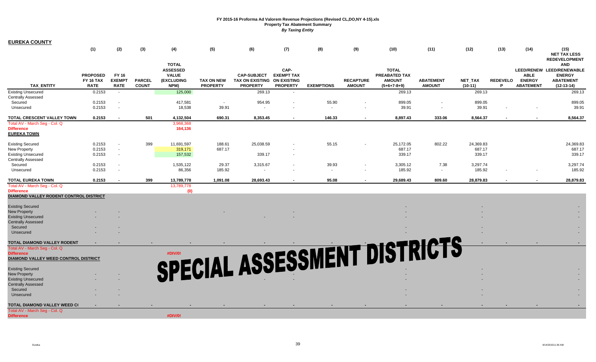| <b>EUREKA COUNTY</b>                   |                                                    |                                       |                               |                                                                       |                                      |                                                                 |                                                                    |                   |                                   |                                                                 |                                   |                             |                      |                                                  |                                                                                              |
|----------------------------------------|----------------------------------------------------|---------------------------------------|-------------------------------|-----------------------------------------------------------------------|--------------------------------------|-----------------------------------------------------------------|--------------------------------------------------------------------|-------------------|-----------------------------------|-----------------------------------------------------------------|-----------------------------------|-----------------------------|----------------------|--------------------------------------------------|----------------------------------------------------------------------------------------------|
|                                        | (1)                                                | (2)                                   | (3)                           | (4)                                                                   | (5)                                  | (6)                                                             | (7)                                                                | (8)               | (9)                               | (10)                                                            | (11)                              | (12)                        | (13)                 | (14)                                             | (15)<br><b>NET TAX LESS</b><br><b>REDEVELOPMENT</b>                                          |
| <b>TAX ENTITY</b>                      | <b>PROPOSED</b><br><b>FY 16 TAX</b><br><b>RATE</b> | FY 16<br><b>EXEMPT</b><br><b>RATE</b> | <b>PARCEL</b><br><b>COUNT</b> | <b>TOTAL</b><br><b>ASSESSED</b><br><b>VALUE</b><br>(EXCLUDING<br>NPM) | <b>TAX ON NEW</b><br><b>PROPERTY</b> | <b>CAP-SUBJECT</b><br><b>TAX ON EXISTING</b><br><b>PROPERTY</b> | CAP-<br><b>EXEMPT TAX</b><br><b>ON EXISTING</b><br><b>PROPERTY</b> | <b>EXEMPTIONS</b> | <b>RECAPTURE</b><br><b>AMOUNT</b> | <b>TOTAL</b><br>PREABATED TAX<br><b>AMOUNT</b><br>$(5+6+7-8+9)$ | <b>ABATEMENT</b><br><b>AMOUNT</b> | <b>NET TAX</b><br>$(10-11)$ | <b>REDEVELO</b><br>P | <b>ABLE</b><br><b>ENERGY</b><br><b>ABATEMENT</b> | <b>AND</b><br>LEED/RENEW LEED/RENEWABLE<br><b>ENERGY</b><br><b>ABATEMENT</b><br>$(12-13-14)$ |
| <b>Existing Unsecured</b>              | 0.2153                                             | $\sim$                                |                               | 125,000                                                               |                                      | 269.13                                                          | $\overline{\phantom{a}}$                                           |                   |                                   | 269.13                                                          |                                   | 269.13                      |                      |                                                  | 269.13                                                                                       |
| <b>Centrally Assessed</b>              |                                                    |                                       |                               |                                                                       |                                      |                                                                 |                                                                    |                   |                                   |                                                                 |                                   |                             |                      |                                                  |                                                                                              |
| Secured                                | 0.2153                                             | $\sim$                                |                               | 417,581                                                               | $\sim$                               | 954.95                                                          |                                                                    | 55.90             | $\blacksquare$                    | 899.05                                                          | $\overline{\phantom{a}}$          | 899.05                      |                      |                                                  | 899.05                                                                                       |
| Unsecured                              | 0.2153                                             |                                       |                               | 18,538                                                                | 39.91                                |                                                                 |                                                                    | $\sim$            |                                   | 39.91                                                           |                                   | 39.91                       |                      |                                                  | 39.91                                                                                        |
| TOTAL CRESCENT VALLEY TOWN             | 0.2153                                             |                                       | 501                           | 4,132,504                                                             | 690.31                               | 8,353.45                                                        |                                                                    | 146.33            | $\sim$                            | 8,897.43                                                        | 333.06                            | 8,564.37                    |                      |                                                  | 8,564.37                                                                                     |
| Total AV - March Seg - Col. Q          |                                                    |                                       |                               | 3,968,368                                                             |                                      |                                                                 |                                                                    |                   |                                   |                                                                 |                                   |                             |                      |                                                  |                                                                                              |
| <b>Difference</b>                      |                                                    |                                       |                               | 164,136                                                               |                                      |                                                                 |                                                                    |                   |                                   |                                                                 |                                   |                             |                      |                                                  |                                                                                              |
| <b>EUREKA TOWN</b>                     |                                                    |                                       |                               |                                                                       |                                      |                                                                 |                                                                    |                   |                                   |                                                                 |                                   |                             |                      |                                                  |                                                                                              |
| <b>Existing Secured</b>                | 0.2153                                             |                                       | 399                           | 11,691,597                                                            | 188.61                               | 25,038.59                                                       |                                                                    | 55.15             |                                   | 25,172.05                                                       | 802.22                            | 24,369.83                   |                      |                                                  | 24,369.83                                                                                    |
| New Property                           | 0.2153                                             | $\sim$                                |                               | 319,171                                                               | 687.17                               |                                                                 |                                                                    |                   |                                   | 687.17                                                          |                                   | 687.17                      |                      |                                                  | 687.17                                                                                       |
| <b>Existing Unsecured</b>              | 0.2153                                             | $\sim$                                |                               | 157,532                                                               |                                      | 339.17                                                          |                                                                    |                   |                                   | 339.17                                                          |                                   | 339.17                      |                      |                                                  | 339.17                                                                                       |
| <b>Centrally Assessed</b>              |                                                    |                                       |                               |                                                                       |                                      |                                                                 |                                                                    |                   |                                   |                                                                 |                                   |                             |                      |                                                  |                                                                                              |
| Secured                                | 0.2153                                             | $\sim$                                |                               | 1,535,122                                                             | 29.37                                | 3,315.67                                                        |                                                                    | 39.93             |                                   | 3,305.12                                                        | 7.38                              | 3,297.74                    |                      |                                                  | 3,297.74                                                                                     |
| Unsecured                              | 0.2153                                             | $\sim$                                |                               | 86,356                                                                | 185.92                               | $\sim$                                                          |                                                                    | $\sim$            |                                   | 185.92                                                          | $\sim$                            | 185.92                      |                      |                                                  | 185.92                                                                                       |
| <b>TOTAL EUREKA TOWN</b>               | 0.2153                                             |                                       | 399                           | 13,789,778                                                            | 1,091.08                             | 28,693.43                                                       |                                                                    | 95.08             | $\sim$                            | 29,689.43                                                       | 809.60                            | 28,879.83                   |                      |                                                  | 28,879.83                                                                                    |
| Total AV - March Seq - Col. Q          |                                                    |                                       |                               | 13,789,778                                                            |                                      |                                                                 |                                                                    |                   |                                   |                                                                 |                                   |                             |                      |                                                  |                                                                                              |
| <b>Difference</b>                      |                                                    |                                       |                               | (0)                                                                   |                                      |                                                                 |                                                                    |                   |                                   |                                                                 |                                   |                             |                      |                                                  |                                                                                              |
| DIAMOND VALLEY RODENT CONTROL DISTRICT |                                                    |                                       |                               |                                                                       |                                      |                                                                 |                                                                    |                   |                                   |                                                                 |                                   |                             |                      |                                                  |                                                                                              |
| <b>Existing Secured</b>                |                                                    |                                       |                               |                                                                       |                                      |                                                                 |                                                                    |                   |                                   |                                                                 |                                   |                             |                      |                                                  |                                                                                              |
| <b>New Property</b>                    |                                                    |                                       |                               |                                                                       |                                      |                                                                 |                                                                    |                   |                                   |                                                                 |                                   |                             |                      |                                                  |                                                                                              |
| <b>Existing Unsecured</b>              |                                                    |                                       |                               |                                                                       |                                      |                                                                 |                                                                    |                   |                                   |                                                                 |                                   |                             |                      |                                                  |                                                                                              |
| <b>Centrally Assessed</b>              |                                                    |                                       |                               |                                                                       |                                      |                                                                 |                                                                    |                   |                                   |                                                                 |                                   |                             |                      |                                                  |                                                                                              |
| Secured                                |                                                    |                                       |                               |                                                                       |                                      |                                                                 |                                                                    |                   |                                   |                                                                 |                                   |                             |                      |                                                  |                                                                                              |
| Unsecured                              |                                                    |                                       |                               |                                                                       |                                      |                                                                 |                                                                    |                   |                                   |                                                                 |                                   |                             |                      |                                                  |                                                                                              |
| TOTAL DIAMOND VALLEY RODENT            |                                                    |                                       |                               |                                                                       |                                      |                                                                 |                                                                    |                   |                                   | SPECIAL ASSESSMENT DISTRICTS                                    |                                   |                             |                      |                                                  |                                                                                              |
| Total AV - March Seg - Col. Q          |                                                    |                                       |                               |                                                                       |                                      |                                                                 |                                                                    |                   |                                   |                                                                 |                                   |                             |                      |                                                  |                                                                                              |
| <b>Difference</b>                      |                                                    |                                       |                               |                                                                       |                                      |                                                                 |                                                                    |                   |                                   |                                                                 |                                   |                             |                      |                                                  |                                                                                              |
| DIAMOND VALLEY WEED CONTROL DISTRICT   |                                                    |                                       |                               |                                                                       |                                      |                                                                 |                                                                    |                   |                                   |                                                                 |                                   |                             |                      |                                                  |                                                                                              |
| <b>Existing Secured</b>                |                                                    |                                       |                               |                                                                       |                                      |                                                                 |                                                                    |                   |                                   |                                                                 |                                   |                             |                      |                                                  |                                                                                              |
| <b>New Property</b>                    |                                                    |                                       |                               |                                                                       |                                      |                                                                 |                                                                    |                   |                                   |                                                                 |                                   |                             |                      |                                                  |                                                                                              |
| <b>Existing Unsecured</b>              |                                                    |                                       |                               |                                                                       |                                      |                                                                 |                                                                    |                   |                                   |                                                                 |                                   |                             |                      |                                                  |                                                                                              |
| <b>Centrally Assessed</b>              |                                                    |                                       |                               |                                                                       |                                      |                                                                 |                                                                    |                   |                                   |                                                                 |                                   |                             |                      |                                                  |                                                                                              |
| Secured                                |                                                    |                                       |                               |                                                                       |                                      |                                                                 |                                                                    |                   |                                   |                                                                 |                                   |                             |                      |                                                  |                                                                                              |
| Unsecured                              |                                                    |                                       |                               |                                                                       |                                      |                                                                 |                                                                    |                   |                                   |                                                                 |                                   |                             |                      |                                                  |                                                                                              |
| TOTAL DIAMOND VALLEY WEED C(           |                                                    |                                       |                               |                                                                       |                                      |                                                                 |                                                                    |                   |                                   |                                                                 |                                   |                             |                      |                                                  |                                                                                              |
| Total AV - March Seg - Col. Q          |                                                    |                                       |                               |                                                                       |                                      |                                                                 |                                                                    |                   |                                   |                                                                 |                                   |                             |                      |                                                  |                                                                                              |
| <b>Difference</b>                      |                                                    |                                       |                               | #DIV/0!                                                               |                                      |                                                                 |                                                                    |                   |                                   |                                                                 |                                   |                             |                      |                                                  |                                                                                              |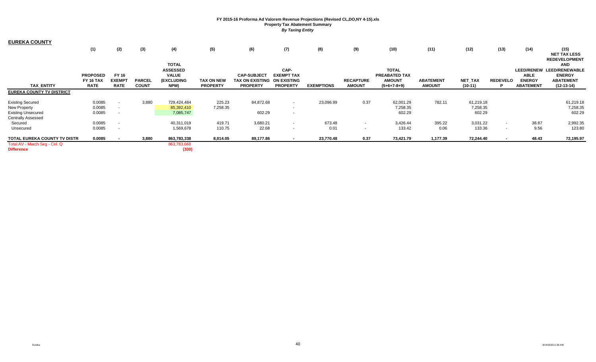| <b>EUREKA COUNTY</b>             |                 |               |               |                                 |                   |                             |                           |                   |                  |                               |                  |           |                 |                  |                                                     |
|----------------------------------|-----------------|---------------|---------------|---------------------------------|-------------------|-----------------------------|---------------------------|-------------------|------------------|-------------------------------|------------------|-----------|-----------------|------------------|-----------------------------------------------------|
|                                  | (1)             | (2)           | (3)           | (4)                             | (5)               | (6)                         | (7)                       | (8)               | (9)              | (10)                          | (11)             | (12)      | (13)            | (14)             | (15)<br><b>NET TAX LESS</b><br><b>REDEVELOPMENT</b> |
|                                  |                 |               |               | <b>TOTAL</b>                    |                   |                             |                           |                   |                  |                               |                  |           |                 |                  | <b>AND</b>                                          |
|                                  | <b>PROPOSED</b> | <b>FY 16</b>  |               | <b>ASSESSED</b><br><b>VALUE</b> |                   | <b>CAP-SUBJECT</b>          | CAP-<br><b>EXEMPT TAX</b> |                   |                  | <b>TOTAL</b><br>PREABATED TAX |                  |           |                 | <b>ABLE</b>      | LEED/RENEW LEED/RENEWABLE<br><b>ENERGY</b>          |
|                                  | FY 16 TAX       | <b>EXEMPT</b> | <b>PARCEL</b> | <b>(EXCLUDING</b>               | <b>TAX ON NEW</b> | TAX ON EXISTING ON EXISTING |                           |                   | <b>RECAPTURE</b> | <b>AMOUNT</b>                 | <b>ABATEMENT</b> | NET_TAX   | <b>REDEVELO</b> | <b>ENERGY</b>    | <b>ABATEMENT</b>                                    |
| <b>TAX ENTITY</b>                | <b>RATE</b>     | <b>RATE</b>   | <b>COUNT</b>  | NPM)                            | <b>PROPERTY</b>   | <b>PROPERTY</b>             | <b>PROPERTY</b>           | <b>EXEMPTIONS</b> | <b>AMOUNT</b>    | $(5+6+7-8+9)$                 | <b>AMOUNT</b>    | $(10-11)$ |                 | <b>ABATEMENT</b> | $(12-13-14)$                                        |
| <b>EUREKA COUNTY TV DISTRICT</b> |                 |               |               |                                 |                   |                             |                           |                   |                  |                               |                  |           |                 |                  |                                                     |
| <b>Existing Secured</b>          | 0.0085          | $\sim$        | 3,880         | 729,424,484                     | 225.23            | 84,872.68                   | $\sim$                    | 23,096.99         | 0.37             | 62,001.29                     | 782.11           | 61,219.18 |                 |                  | 61,219.18                                           |
| New Property                     | 0.0085          | $\sim$        |               | 85,392,410                      | 7,258.35          |                             | $\sim$                    |                   |                  | 7,258.35                      |                  | 7,258.35  |                 |                  | 7,258.35                                            |
| <b>Existing Unsecured</b>        | 0.0085          |               |               | 7,085,747                       |                   | 602.29                      |                           |                   |                  | 602.29                        |                  | 602.29    |                 |                  | 602.29                                              |
| <b>Centrally Assessed</b>        |                 |               |               |                                 |                   |                             |                           |                   |                  |                               |                  |           |                 |                  |                                                     |
| Secured                          | 0.0085          | $\sim$        |               | 40,311,019                      | 419.71            | 3,680.21                    | $\sim$                    | 673.48            |                  | 3,426.44                      | 395.22           | 3,031.22  | $\sim$          | 38.87            | 2,992.35                                            |
| Unsecured                        | 0.0085          |               |               | 1,569,678                       | 110.75            | 22.68                       | $\overline{\phantom{a}}$  | 0.01              |                  | 133.42                        | 0.06             | 133.36    | $\sim$          | 9.56             | 123.80                                              |
| TOTAL EUREKA COUNTY TV DISTR     | 0.0085          |               | 3,880         | 863,783,338                     | 8,014.05          | 89,177.86                   |                           | 23,770.48         | 0.37             | 73,421.79                     | 1,177.39         | 72,244.40 |                 | 48.43            | 72,195.97                                           |
| Total AV - March Seg - Col. Q    |                 |               |               | 863,783,668                     |                   |                             |                           |                   |                  |                               |                  |           |                 |                  |                                                     |
| <b>Difference</b>                |                 |               |               | (330)                           |                   |                             |                           |                   |                  |                               |                  |           |                 |                  |                                                     |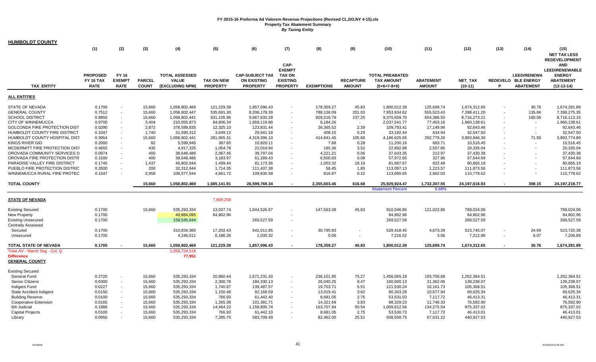| <b>HUMBOLDT COUNTY</b>         |                  |                          |               |                       |                   |                        |                 |                   |                  |                                           |                       |                |      |                          |                       |
|--------------------------------|------------------|--------------------------|---------------|-----------------------|-------------------|------------------------|-----------------|-------------------|------------------|-------------------------------------------|-----------------------|----------------|------|--------------------------|-----------------------|
|                                | (1)              | (2)                      | (3)           | (4)                   | (5)               | (6)                    | (7)             | (8)               | (9)              | (10)                                      | (11)                  | (12)           | (13) | (14)                     | (15)                  |
|                                |                  |                          |               |                       |                   |                        |                 |                   |                  |                                           |                       |                |      |                          | <b>NET TAX LESS</b>   |
|                                |                  |                          |               |                       |                   |                        |                 |                   |                  |                                           |                       |                |      |                          | <b>REDEVELOPMENT</b>  |
|                                |                  |                          |               |                       |                   |                        | CAP-            |                   |                  |                                           |                       |                |      |                          | <b>AND</b>            |
|                                |                  |                          |               |                       |                   |                        | <b>EXEMPT</b>   |                   |                  |                                           |                       |                |      |                          | <b>LEED/RENEWABLE</b> |
|                                | <b>PROPOSED</b>  | FY 16                    |               | <b>TOTAL ASSESSED</b> |                   | <b>CAP-SUBJECT TAX</b> | <b>TAX ON</b>   |                   |                  | <b>TOTAL PREABATED</b>                    |                       |                |      | <b>LEED/RENEWA</b>       | <b>ENERGY</b>         |
|                                | <b>FY 16 TAX</b> | <b>EXEMPT</b>            | <b>PARCEL</b> | <b>VALUE</b>          | <b>TAX ON NEW</b> | <b>ON EXISTING</b>     | <b>EXISTING</b> |                   | <b>RECAPTURE</b> | <b>TAX AMOUNT</b>                         | <b>ABATEMENT</b>      | <b>NET TAX</b> |      | REDEVELO BLE ENERGY      | <b>ABATEMENT</b>      |
| <b>TAX ENTITY</b>              | <b>RATE</b>      | <b>RATE</b>              | <b>COUNT</b>  | (EXCLUDING NPM)       | <b>PROPERTY</b>   | <b>PROPERTY</b>        | <b>PROPERTY</b> | <b>EXEMPTIONS</b> | <b>AMOUNT</b>    | $(5+6+7-8+9)$                             | <b>AMOUNT</b>         | $(10-11)$      | P    | <b>ABATEMENT</b>         | $(12-13-14)$          |
| <b>ALL ENTITIES</b>            |                  |                          |               |                       |                   |                        |                 |                   |                  |                                           |                       |                |      |                          |                       |
| <b>STATE OF NEVADA</b>         | 0.1700           |                          | 15,660        | 1,058,802,469         | 121,229.39        | 1,857,096.43           |                 | 178,359.27        | 45.83            | 1,800,012.39                              | 125,699.74            | 1,674,312.65   |      | 30.76                    | 1,674,281.89          |
| <b>GENERAL COUNTY</b>          | 0.7512           | $\sim$                   | 15,660        | 1,058,802,447         | 535,691.30        | 8,206,178.39           |                 | 788,136.09        | 201.03           | 7,953,934.62                              | 555,523.43            | 7,398,411.20   |      | 135.84                   | 7,398,275.35          |
| <b>SCHOOL DISTRICT</b>         | 0.8850           | $\sim$                   | 15,660        | 1,058,802,441         | 631,105.96        | 9,667,833.28           |                 | 928,516.79        | 237.25           | 9,370,659.70                              | 654,386.50            | 8,716,273.21   |      | 160.05                   | 8,716,113.15          |
| CITY OF WINNEMUCCA             | 0.9700           | $\sim$                   | 3,404         | 210,055,873           | 84,606.34         | 1,959,119.68           |                 | 6,184.26          | $\sim$           | 2,037,541.77                              | 77,403.16             | 1,960,138.61   |      | $\overline{\phantom{a}}$ | 1,960,138.61          |
| GOLCONDA FIRE PROTECTION DIST  | 0.0290           | $\overline{\phantom{a}}$ | 2,872         | 378,589,835           | 12,325.10         | 123,831.44             |                 | 26,365.52         | 2.39             | 109,793.41                                | 17,149.96             | 92,643.46      |      | $\overline{\phantom{a}}$ | 92,643.46             |
| HUMBOLDT COUNTY FIRE DISTRICT  | 0.1047           |                          | 1,740         | 31,690,312            | 3,649.12          | 29,941.18              |                 | 408.15            | 0.29             | 33,182.44                                 | 634.94                | 32,547.50      |      |                          | 32,547.50             |
| HUMBOLDT COUNTY HOSPITAL DIST  | 0.3954           |                          | 15,660        | 1,058,802,441         | 281,965.31        | 4,319,396.10           |                 | 414,841.45        | 105.69           | 4,186,625.65                              | 292,779.26            | 3,893,846.39   |      | 71.50                    | 3,893,774.89          |
| KINGS RIVER GID                | 0.2000           |                          | 82            | 5,599,945             | 387.65            | 10,820.11              |                 | 7.88              | 0.28             | 11,200.16                                 | 683.71                | 10,516.45      |      |                          | 10,516.45             |
| MCDERMITT FIRE PROTECTION DIST | 0.4655           |                          | 435           | 4,917,325             | 1,054.78          | 22,019.94              |                 | 185.36            | 3.52             | 22,892.88                                 | 2,557.85              | 20,335.04      |      | $\overline{\phantom{a}}$ | 20,335.04             |
| OROVADA COMMUNITY SERVICES D   | 0.0974           |                          | 400           | 38,648,480            | 2,067.46          | 39,797.04              |                 | 4,221.21          | 0.06             | 37,643.35                                 | 212.97                | 37,430.38      |      |                          | 37,430.38             |
| OROVADA FIRE PROTECTION DISTR  | 0.1500           |                          | 400           | 38,648,486            | 3,183.97          | 61,289.43              |                 | 6,500.83          | 0.08             | 57,972.65                                 | 327.96                | 57,644.69      |      |                          | 57,644.69             |
| PARADISE VALLEY FIRE DISTRICT  | 0.1745           |                          | 1,437         | 46,802,944            | 1,499.44          | 81,173.36              |                 | 1,003.32          | 18.19            | 81,687.67                                 | 822.48                | 80,865.19      |      |                          | 80,865.19             |
| PUEBLO FIRE PROTECTION DISTRIC | 0.3500           |                          | 200           | 32,312,944            | 1,714.35          | 111,437.38             |                 | 56.45             | 1.85             | 113,097.13                                | 1,223.57              | 111,873.56     |      |                          | 111,873.56            |
| WINNEMUCCA RURAL FIRE PROTEC   | 0.1047           |                          | 2,958         | 108,577,544           | 4,661.72          | 109,835.58             |                 | 816.87            | 0.22             | 113,680.65                                | 2,902.03              | 110,778.62     |      |                          | 110,778.62            |
|                                |                  |                          |               |                       |                   |                        |                 |                   |                  |                                           |                       |                |      |                          |                       |
| <b>TOTAL COUNTY</b>            |                  |                          | 15,660        | 1,058,802,469         | 1,685,141.91      | 26,599,769.34          | $\sim$          | 2,355,603.46      | 616.68           | 25,929,924.47<br><b>Abatement Percent</b> | 1,732,307.55<br>6.68% | 24,197,616.93  |      | 398.15                   | 24, 197, 218. 77      |
|                                |                  |                          |               |                       |                   |                        |                 |                   |                  |                                           |                       |                |      |                          |                       |
| <b>STATE OF NEVADA</b>         |                  |                          |               |                       | 7,669,259         |                        |                 |                   |                  |                                           |                       |                |      |                          |                       |
| <b>Existing Secured</b>        | 0.1700           |                          | 15,660        | 535,293,334           | 13,037.74         | 1,044,526.67           |                 | 147,563.38        | 45.83            | 910,046.86                                | 121,022.80            | 789,024.06     |      |                          | 789,024.06            |
| <b>New Property</b>            | 0.1700           |                          |               | 49,884,095            | 84,802.96         |                        |                 |                   |                  | 84,802.96                                 |                       | 84,802.96      |      |                          | 84,802.96             |
| <b>Existing Unsecured</b>      | 0.1700           |                          |               | 158,545,644           |                   | 269,527.59             |                 |                   |                  | 269,527.59                                |                       | 269,527.59     |      |                          | 269,527.59            |
| <b>Centrally Assessed</b>      |                  |                          |               |                       |                   |                        |                 |                   |                  |                                           |                       |                |      |                          |                       |
| Secured                        | 0.1700           |                          |               | 310,834,385           | 17,202.43         | 542,011.85             |                 | 30,795.83         |                  | 528,418.45                                | 4,673.39              | 523,745.07     |      | 24.69                    | 523,720.38            |
| Unsecured                      | 0.1700           |                          |               | 4,245,011             | 6,186.26          | 1,030.32               | $\sim$          | 0.06              | $\sim$           | 7,216.52                                  | 3.56                  | 7,212.96       |      | 6.07                     | 7,206.89              |
| TOTAL STATE OF NEVADA          | 0.1700           |                          | 15,660        | 1,058,802,469         | 121,229.39        | 1,857,096.43           |                 | 178,359.27        | 45.83            | 1,800,012.39                              | 125,699.74            | 1,674,312.65   |      | 30.76                    | 1,674,281.89          |
| Total AV - March Seg - Col. Q  |                  |                          |               | 1,058,724,518         |                   |                        |                 |                   |                  |                                           |                       |                |      |                          |                       |
| <b>Difference</b>              |                  |                          |               | 77,951                |                   |                        |                 |                   |                  |                                           |                       |                |      |                          |                       |
| <b>GENERAL COUNTY</b>          |                  |                          |               |                       |                   |                        |                 |                   |                  |                                           |                       |                |      |                          |                       |
| <b>Existing Secured</b>        |                  |                          |               |                       |                   |                        |                 |                   |                  |                                           |                       |                |      |                          |                       |
| <b>General Fund</b>            | 0.2720           |                          | 15,660        | 535,293,334           | 20,860.44         | 1,671,231.43           |                 | 236,101.95        | 75.27            | 1,456,065.19                              | 193,700.68            | 1,262,364.51   |      |                          | 1,262,364.51          |
| <b>Senior Citizens</b>         | 0.0300           | $\sim$                   | 15,660        | 535,293,334           | 2,300.78          | 184,330.13             |                 | 26,040.25         | 9.47             | 160,600.13                                | 21,362.06             | 139,238.07     |      |                          | 139,238.07            |
| Indigent Fund                  | 0.0227           | $\sim$                   | 15,660        | 535,293,334           | 1,740.87          | 139,487.57             |                 | 19,703.71         | 5.51             | 121,530.24                                | 16,161.73             | 105,368.51     |      |                          | 105,368.51            |
| State Accident Indigent        | 0.0150           | $\sim$                   | 15,660        | 535,293,334           | 1,150.48          | 92,168.59              |                 | 13,019.41         | 3.62             | 80,303.28                                 | 10,677.94             | 69,625.34      |      |                          | 69,625.34             |
| <b>Building Reserve</b>        | 0.0100           | $\sim$                   | 15,660        | 535,293,334           | 766.93            | 61,442.40              |                 | 8,681.05          | 2.75             | 53,531.03                                 | 7,117.72              | 46,413.31      |      |                          | 46,413.31             |
| <b>Cooperative Extension</b>   | 0.0165           | $\sim$                   | 15,660        | 535,293,334           | 1,265.38          | 101,381.71             |                 | 14,321.69         | 3.83             | 88,329.23                                 | 11,746.33             | 76,582.90      |      |                          | 76,582.90             |
| 6th Judicial                   | 0.1886           |                          | 15,660        | 535,293,334           | 14,464.22         | 1,158,805.74           |                 | 163,707.94        | 50.54            | 1,009,612.56                              | 134,275.54            | 875,337.02     |      |                          | 875,337.02            |
| <b>Capital Projects</b>        | 0.0100           |                          | 15,660        | 535,293,334           | 766.93            | 61,442.10              |                 | 8,681.05          | 2.75             | 53,530.73                                 | 7,117.72              | 46,413.01      |      |                          | 46,413.01             |
| Library                        | 0.0950           |                          | 15,660        | 535,293,334           | 7,285.75          | 583,709.49             |                 | 82,462.00         | 25.51            | 508,558.75                                | 67,631.22             | 440,927.53     |      |                          | 440,927.53            |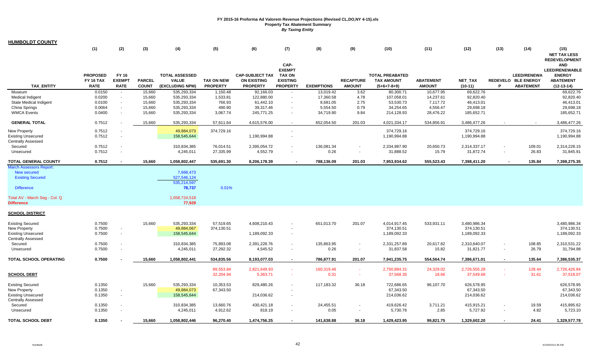| <b>HUMBOLDT COUNTY</b>                                                  |                                             |                                       |                               |                                                          |                                      |                                                                 |                                                                       |                   |                                   |                                                              |                                   |                         |        |                                                               |                                                                                          |
|-------------------------------------------------------------------------|---------------------------------------------|---------------------------------------|-------------------------------|----------------------------------------------------------|--------------------------------------|-----------------------------------------------------------------|-----------------------------------------------------------------------|-------------------|-----------------------------------|--------------------------------------------------------------|-----------------------------------|-------------------------|--------|---------------------------------------------------------------|------------------------------------------------------------------------------------------|
|                                                                         | (1)                                         | (2)                                   | (3)                           | (4)                                                      | (5)                                  | (6)                                                             | (7)                                                                   | (8)               | (9)                               | (10)                                                         | (11)                              | (12)                    | (13)   | (14)                                                          | (15)<br><b>NET TAX LESS</b><br><b>REDEVELOPMENT</b>                                      |
| <b>TAX ENTITY</b>                                                       | <b>PROPOSED</b><br>FY 16 TAX<br><b>RATE</b> | FY 16<br><b>EXEMPT</b><br><b>RATE</b> | <b>PARCEL</b><br><b>COUNT</b> | <b>TOTAL ASSESSED</b><br><b>VALUE</b><br>(EXCLUDING NPM) | <b>TAX ON NEW</b><br><b>PROPERTY</b> | <b>CAP-SUBJECT TAX</b><br><b>ON EXISTING</b><br><b>PROPERTY</b> | CAP-<br><b>EXEMPT</b><br>TAX ON<br><b>EXISTING</b><br><b>PROPERTY</b> | <b>EXEMPTIONS</b> | <b>RECAPTURE</b><br><b>AMOUNT</b> | <b>TOTAL PREABATED</b><br><b>TAX AMOUNT</b><br>$(5+6+7-8+9)$ | <b>ABATEMENT</b><br><b>AMOUNT</b> | NET_TAX<br>$(10-11)$    | P      | <b>LEED/RENEWA</b><br>REDEVELO BLE ENERGY<br><b>ABATEMENT</b> | <b>AND</b><br><b>LEED/RENEWABLE</b><br><b>ENERGY</b><br><b>ABATEMENT</b><br>$(12-13-14)$ |
| Museum                                                                  | 0.0150                                      | $\sim$                                | 15,660                        | 535,293,334                                              | 1,150.48                             | 92,166.03                                                       |                                                                       | 13,019.42         | 3.62                              | 80,300.71                                                    | 10,677.95                         | 69,622.76               |        |                                                               | 69,622.76                                                                                |
| <b>Medical Indigent</b>                                                 | 0.0200                                      |                                       | 15,660                        | 535,293,334                                              | 1,533.81                             | 122,880.00                                                      |                                                                       | 17,360.58         | 4.78                              | 107,058.01                                                   | 14,237.61                         | 92,820.40               |        |                                                               | 92,820.40                                                                                |
| <b>State Medical Indigent</b>                                           | 0.0100                                      | $\sim$                                | 15,660                        | 535,293,334                                              | 766.93                               | 61,442.10                                                       | $\sim$                                                                | 8,681.05          | 2.75                              | 53,530.73                                                    | 7,117.72                          | 46,413.01               |        |                                                               | 46,413.01                                                                                |
| China Springs                                                           | 0.0064                                      | $\sim$                                | 15,660                        | 535,293,334                                              | 490.90                               | 39,317.46                                                       |                                                                       | 5,554.50          | 0.79                              | 34,254.65                                                    | 4,556.47                          | 29,698.18               |        |                                                               | 29,698.18                                                                                |
| <b>WMCA Events</b>                                                      | 0.0400                                      |                                       | 15,660                        | 535,293,334                                              | 3,067.74                             | 245,771.25                                                      |                                                                       | 34,719.90         | 9.84                              | 214,128.93                                                   | 28,476.22                         | 185,652.71              |        |                                                               | 185,652.71                                                                               |
| <b>GENERAL TOTAL</b>                                                    | 0.7512                                      |                                       | 15,660                        | 535,293,334                                              | 57,611.64                            | 4,615,576.00                                                    |                                                                       | 652,054.50        | 201.03                            | 4,021,334.17                                                 | 534,856.91                        | 3,486,477.26            |        |                                                               | 3,486,477.26                                                                             |
| New Property                                                            | 0.7512                                      | $\sim$                                |                               | 49,884,073                                               | 374,729.16                           |                                                                 |                                                                       |                   |                                   | 374,729.16                                                   |                                   | 374,729.16              |        |                                                               | 374,729.16                                                                               |
| <b>Existing Unsecured</b>                                               | 0.7512                                      | $\sim$                                |                               | 158,545,644                                              |                                      | 1,190,994.88                                                    |                                                                       |                   |                                   | 1,190,994.88                                                 |                                   | 1,190,994.88            |        |                                                               | 1,190,994.88                                                                             |
| <b>Centrally Assessed</b>                                               |                                             |                                       |                               |                                                          |                                      |                                                                 |                                                                       |                   |                                   |                                                              |                                   |                         |        |                                                               |                                                                                          |
| Secured                                                                 | 0.7512                                      |                                       |                               | 310,834,385                                              | 76,014.51                            | 2,395,054.72                                                    |                                                                       | 136,081.34        |                                   | 2,334,987.90                                                 | 20,650.73                         | 2,314,337.17            |        | 109.01                                                        | 2,314,228.15                                                                             |
| Unsecured                                                               | 0.7512                                      |                                       |                               | 4,245,011                                                | 27,335.99                            | 4,552.79                                                        | $\sim$                                                                | 0.26              | $\sim$                            | 31,888.52                                                    | 15.79                             | 31,872.74               | $\sim$ | 26.83                                                         | 31,845.91                                                                                |
| <b>TOTAL GENERAL COUNTY</b>                                             | 0.7512                                      |                                       | 15,660                        | 1,058,802,447                                            | 535,691.30                           | 8,206,178.39                                                    |                                                                       | 788,136.09        | 201.03                            | 7,953,934.62                                                 | 555,523.43                        | 7,398,411.20            |        | 135.84                                                        | 7,398,275.35                                                                             |
| <b>March Assessors Report</b><br>New secured<br><b>Existing Secured</b> |                                             |                                       |                               | 7,668,473<br>527,546,124<br>535,214,597                  |                                      |                                                                 |                                                                       |                   |                                   |                                                              |                                   |                         |        |                                                               |                                                                                          |
| <b>Difference</b>                                                       |                                             |                                       |                               | 78,737                                                   | 0.01%                                |                                                                 |                                                                       |                   |                                   |                                                              |                                   |                         |        |                                                               |                                                                                          |
| Total AV - March Seg - Col. Q<br><b>Difference</b>                      |                                             |                                       |                               | 1,058,724,518<br>77,929                                  |                                      |                                                                 |                                                                       |                   |                                   |                                                              |                                   |                         |        |                                                               |                                                                                          |
| <b>SCHOOL DISTRICT</b>                                                  |                                             |                                       |                               |                                                          |                                      |                                                                 |                                                                       |                   |                                   |                                                              |                                   |                         |        |                                                               |                                                                                          |
| <b>Existing Secured</b>                                                 | 0.7500                                      |                                       | 15,660                        | 535,293,334                                              | 57,519.65                            | 4,608,210.43                                                    |                                                                       | 651,013.70        | 201.07                            | 4,014,917.45                                                 | 533,931.11                        | 3,480,986.34            |        |                                                               | 3,480,986.34                                                                             |
| New Property                                                            | 0.7500                                      | $\sim$                                |                               | 49,884,067                                               | 374,130.51                           |                                                                 |                                                                       |                   |                                   | 374,130.51                                                   |                                   | 374,130.51              |        |                                                               | 374,130.51                                                                               |
| <b>Existing Unsecured</b>                                               | 0.7500                                      | $\sim$                                |                               | 158,545,644                                              |                                      | 1,189,092.33                                                    | $\sim$                                                                |                   |                                   | 1,189,092.33                                                 |                                   | 1,189,092.33            |        |                                                               | 1,189,092.33                                                                             |
| <b>Centrally Assessed</b>                                               |                                             |                                       |                               |                                                          |                                      |                                                                 |                                                                       |                   |                                   |                                                              |                                   |                         |        |                                                               |                                                                                          |
| Secured                                                                 | 0.7500                                      |                                       |                               | 310,834,385                                              | 75,893.08                            | 2,391,228.76                                                    |                                                                       | 135,863.95        |                                   | 2,331,257.89                                                 | 20,617.82                         | 2,310,640.07            |        | 108.85                                                        | 2,310,531.22                                                                             |
| Unsecured                                                               | 0.7500                                      |                                       |                               | 4,245,011                                                | 27,292.32                            | 4,545.52                                                        | $\sim$                                                                | 0.26              | $\sim$                            | 31,837.58                                                    | 15.82                             | 31,821.77               | $\sim$ | 26.79                                                         | 31,794.98                                                                                |
| TOTAL SCHOOL OPERATING                                                  | 0.7500                                      |                                       | 15,660                        | 1,058,802,441                                            | 534,835.56                           | 8,193,077.03                                                    | $\blacksquare$                                                        | 786,877.91        | 201.07                            | 7,941,235.75                                                 | 554,564.74                        | 7,386,671.01            |        | 135.64                                                        | 7,386,535.37                                                                             |
|                                                                         |                                             |                                       |                               |                                                          | 89,553.84                            | 2,821,649.93                                                    | $\sim$                                                                | 160,319.46        | $\sim$                            | 2,750,884.31                                                 | 24,329.02                         | 2,726,555.28            |        | 128.44                                                        | 2,726,426.84                                                                             |
| <b>SCHOOL DEBT</b>                                                      |                                             |                                       |                               |                                                          | 32,204.94                            | 5,363.71                                                        |                                                                       | 0.31              |                                   | 37,568.35                                                    | 18.66                             | 37,549.68               |        | 31.61                                                         | 37,518.07                                                                                |
|                                                                         |                                             |                                       |                               |                                                          |                                      |                                                                 |                                                                       |                   |                                   |                                                              |                                   |                         |        |                                                               |                                                                                          |
| <b>Existing Secured</b>                                                 | 0.1350<br>0.1350                            |                                       | 15,660                        | 535,293,334<br>49,884,073                                | 10,353.53<br>67,343.50               | 829,480.26                                                      |                                                                       | 117,183.32        | 36.18                             | 722,686.65<br>67,343.50                                      | 96,107.70                         | 626,578.95<br>67,343.50 |        |                                                               | 626,578.95<br>67,343.50                                                                  |
| New Property<br><b>Existing Unsecured</b>                               | 0.1350                                      | $\sim$                                |                               | 158,545,644                                              |                                      | 214,036.62                                                      | $\sim$                                                                |                   |                                   | 214,036.62                                                   |                                   | 214,036.62              |        |                                                               | 214,036.62                                                                               |
| <b>Centrally Assessed</b>                                               |                                             |                                       |                               |                                                          |                                      |                                                                 |                                                                       |                   |                                   |                                                              |                                   |                         |        |                                                               |                                                                                          |
| Secured                                                                 | 0.1350                                      |                                       |                               | 310,834,385                                              | 13,660.76                            | 430,421.18                                                      |                                                                       | 24,455.51         |                                   | 419,626.42                                                   | 3,711.21                          | 415,915.21              |        | 19.59                                                         | 415,895.62                                                                               |
| Unsecured                                                               | 0.1350                                      |                                       |                               | 4,245,011                                                | 4,912.62                             | 818.19                                                          |                                                                       | 0.05              |                                   | 5,730.76                                                     | 2.85                              | 5,727.92                |        | 4.82                                                          | 5,723.10                                                                                 |
| <b>TOTAL SCHOOL DEBT</b>                                                | 0.1350                                      |                                       | 15.660                        | 1,058,802,446                                            | 96.270.40                            | 1,474,756.25                                                    |                                                                       | 141,638.88        | 36.18                             | 1.429.423.95                                                 | 99,821.75                         | 1,329,602.20            |        | 24.41                                                         | 1,329,577.78                                                                             |
|                                                                         |                                             |                                       |                               |                                                          |                                      |                                                                 |                                                                       |                   |                                   |                                                              |                                   |                         |        |                                                               |                                                                                          |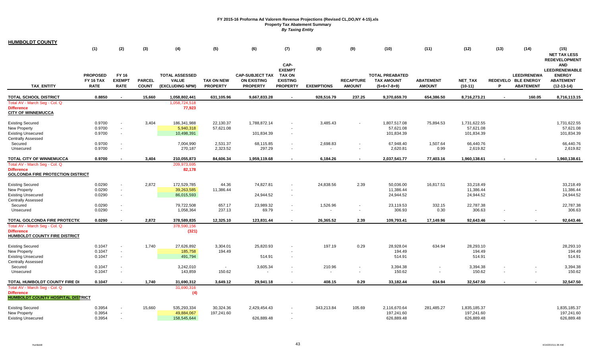| <b>HUMBOLDT COUNTY</b>                                                                                                      |                                                    |                                       |                               |                                                          |                                      |                                                                 |                                                                       |                   |                                   |                                                              |                                                      |                                          |      |                                                               |                                                                                          |
|-----------------------------------------------------------------------------------------------------------------------------|----------------------------------------------------|---------------------------------------|-------------------------------|----------------------------------------------------------|--------------------------------------|-----------------------------------------------------------------|-----------------------------------------------------------------------|-------------------|-----------------------------------|--------------------------------------------------------------|------------------------------------------------------|------------------------------------------|------|---------------------------------------------------------------|------------------------------------------------------------------------------------------|
|                                                                                                                             | (1)                                                | (2)                                   | (3)                           | (4)                                                      | (5)                                  | (6)                                                             | (7)                                                                   | (8)               | (9)                               | (10)                                                         | (11)                                                 | (12)                                     | (13) | (14)                                                          | (15)<br><b>NET TAX LESS</b><br><b>REDEVELOPMENT</b>                                      |
| <b>TAX ENTITY</b>                                                                                                           | <b>PROPOSED</b><br><b>FY 16 TAX</b><br><b>RATE</b> | FY 16<br><b>EXEMPT</b><br><b>RATE</b> | <b>PARCEL</b><br><b>COUNT</b> | <b>TOTAL ASSESSED</b><br><b>VALUE</b><br>(EXCLUDING NPM) | <b>TAX ON NEW</b><br><b>PROPERTY</b> | <b>CAP-SUBJECT TAX</b><br><b>ON EXISTING</b><br><b>PROPERTY</b> | CAP-<br><b>EXEMPT</b><br>TAX ON<br><b>EXISTING</b><br><b>PROPERTY</b> | <b>EXEMPTIONS</b> | <b>RECAPTURE</b><br><b>AMOUNT</b> | <b>TOTAL PREABATED</b><br><b>TAX AMOUNT</b><br>$(5+6+7-8+9)$ | <b>ABATEMENT</b><br><b>AMOUNT</b>                    | <b>NET TAX</b><br>$(10-11)$              | P    | <b>LEED/RENEWA</b><br>REDEVELO BLE ENERGY<br><b>ABATEMENT</b> | <b>AND</b><br><b>LEED/RENEWABLE</b><br><b>ENERGY</b><br><b>ABATEMENT</b><br>$(12-13-14)$ |
| TOTAL SCHOOL DISTRICT                                                                                                       | 0.8850                                             |                                       | 15,660                        | 1,058,802,441                                            | 631,105.96                           | 9,667,833.28                                                    |                                                                       | 928,516.79        | 237.25                            | 9,370,659.70                                                 | 654,386.50                                           | 8,716,273.21                             |      | 160.05                                                        | 8,716,113.15                                                                             |
| Total AV - March Seg - Col. Q<br>Difference<br><b>CITY OF WINNEMUCCA</b>                                                    |                                                    |                                       |                               | 1,058,724,518<br>77,923                                  |                                      |                                                                 |                                                                       |                   |                                   |                                                              |                                                      |                                          |      |                                                               |                                                                                          |
| <b>Existing Secured</b><br><b>New Property</b><br><b>Existing Unsecured</b>                                                 | 0.9700<br>0.9700<br>0.9700                         | $\sim$<br>$\sim$                      | 3,404                         | 186,341,988<br>5,940,318<br>10,498,391                   | 22,130.37<br>57,621.08               | 1,788,872.14<br>101,834.39                                      |                                                                       | 3,485.43          |                                   | 1,807,517.08<br>57,621.08<br>101,834.39                      | 75,894.53                                            | 1,731,622.55<br>57,621.08<br>101,834.39  |      |                                                               | 1,731,622.55<br>57,621.08<br>101,834.39                                                  |
| <b>Centrally Assessed</b><br>Secured<br>Unsecured                                                                           | 0.9700<br>0.9700                                   |                                       |                               | 7,004,990<br>270,187                                     | 2,531.37<br>2,323.52                 | 68,115.85<br>297.29                                             |                                                                       | 2,698.83          | $\blacksquare$                    | 67,948.40<br>2,620.81                                        | 1,507.64<br>0.99                                     | 66,440.76<br>2,619.82                    |      |                                                               | 66,440.76<br>2,619.82                                                                    |
| TOTAL CITY OF WINNEMUCCA                                                                                                    | 0.9700                                             |                                       | 3,404                         | 210,055,873                                              | 84.606.34                            | 1,959,119.68                                                    |                                                                       | 6,184.26          |                                   | 2,037,541.77                                                 | 77,403.16                                            | 1,960,138.61                             |      |                                                               | 1,960,138.61                                                                             |
| Total AV - March Seg - Col. Q<br><b>Difference</b><br><u>GOLCONDA FIRE PROTECTION DISTRICT</u>                              |                                                    |                                       |                               | 209,973,695<br>82,178                                    |                                      |                                                                 |                                                                       |                   |                                   |                                                              |                                                      |                                          |      |                                                               |                                                                                          |
| <b>Existing Secured</b><br>New Property<br><b>Existing Unsecured</b>                                                        | 0.0290<br>0.0290<br>0.0290                         | $\sim$                                | 2,872                         | 172,529,785<br>39,263,585<br>86,015,593                  | 44.36<br>11,386.44                   | 74.827.81<br>24,944.52                                          |                                                                       | 24,838.56         | 2.39                              | 50.036.00<br>11,386.44<br>24,944.52                          | 16,817.51                                            | 33,218.49<br>11,386.44<br>24,944.52      |      |                                                               | 33,218.49<br>11,386.44<br>24,944.52                                                      |
| <b>Centrally Assessed</b><br>Secured<br>Unsecured                                                                           | 0.0290<br>0.0290                                   |                                       |                               | 79,722,508<br>1,058,364                                  | 657.17<br>237.13                     | 23,989.32<br>69.79                                              |                                                                       | 1,526.96          | $\sim$                            | 23,119.53<br>306.93                                          | 332.15<br>0.30                                       | 22,787.38<br>306.63                      |      |                                                               | 22,787.38<br>306.63                                                                      |
| TOTAL GOLCONDA FIRE PROTECTIC<br>Total AV - March Seg - Col. Q<br><b>Difference</b><br><b>HUMBOLDT COUNTY FIRE DISTRICT</b> | 0.0290                                             |                                       | 2,872                         | 378,589,835<br>378,590,156<br>(321)                      | 12,325.10                            | 123,831.44                                                      |                                                                       | 26,365.52         | 2.39                              | 109,793.41                                                   | 17,149.96                                            | 92,643.46                                |      |                                                               | 92,643.46                                                                                |
| <b>Existing Secured</b><br><b>New Property</b><br><b>Existing Unsecured</b>                                                 | 0.1047<br>0.1047<br>0.1047                         | $\sim$<br>$\sim$                      | 1,740                         | 27,626,892<br>185,758<br>491,794                         | 3,304.01<br>194.49                   | 25,820.93<br>514.91                                             |                                                                       | 197.19            | 0.29                              | 28,928.04<br>194.49<br>514.91                                | 634.94                                               | 28,293.10<br>194.49<br>514.91            |      |                                                               | 28,293.10<br>194.49<br>514.91                                                            |
| <b>Centrally Assessed</b><br>Secured<br>Unsecured                                                                           | 0.1047<br>0.1047                                   |                                       |                               | 3,242,010<br>143,859                                     | $\sim$<br>150.62                     | 3,605.34<br>$\overline{\phantom{a}}$                            |                                                                       | 210.96<br>$\sim$  | $\sim$<br>$\sim$                  | 3,394.38<br>150.62                                           | $\overline{\phantom{a}}$<br>$\overline{\phantom{a}}$ | 3,394.38<br>150.62                       |      |                                                               | 3,394.38<br>150.62                                                                       |
| TOTAL HUMBOLDT COUNTY FIRE DI<br>Total AV - March Seg - Col. Q<br><b>Difference</b><br>HUMBOLDT COUNTY HOSPITAL DISTRICT    | 0.1047                                             |                                       | 1,740                         | 31,690,312<br>31,690,316<br>(4)                          | 3,649.12                             | 29,941.18                                                       |                                                                       | 408.15            | 0.29                              | 33,182.44                                                    | 634.94                                               | 32,547.50                                |      | $\blacksquare$                                                | 32,547.50                                                                                |
| <b>Existing Secured</b><br>New Property<br><b>Existing Unsecured</b>                                                        | 0.3954<br>0.3954<br>0.3954                         |                                       | 15,660                        | 535,293,334<br>49,884,067<br>158,545,644                 | 30,324.36<br>197,241.60              | 2,429,454.43<br>626,889.48                                      |                                                                       | 343,213.84        | 105.69                            | 2,116,670.64<br>197,241.60<br>626,889.48                     | 281,485.27                                           | 1,835,185.37<br>197,241.60<br>626,889.48 |      |                                                               | 1,835,185.37<br>197,241.60<br>626,889.48                                                 |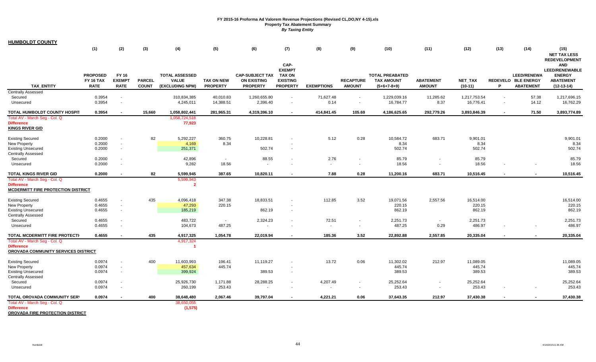**HUMBOLDT COUNTY**

|                                                                                           | (1)                                                | (2)                                                  | (3)                           | (4)                                                      | (5)                                  | (6)                                                             | (7)                                                                          | (8)                               | (9)                                | (10)                                                         | (11)                              | (12)                          | (13)                     | (14)                                                          | (15)<br><b>NET TAX LESS</b><br><b>REDEVELOPMENT</b>                                      |
|-------------------------------------------------------------------------------------------|----------------------------------------------------|------------------------------------------------------|-------------------------------|----------------------------------------------------------|--------------------------------------|-----------------------------------------------------------------|------------------------------------------------------------------------------|-----------------------------------|------------------------------------|--------------------------------------------------------------|-----------------------------------|-------------------------------|--------------------------|---------------------------------------------------------------|------------------------------------------------------------------------------------------|
| <b>TAX ENTITY</b>                                                                         | <b>PROPOSED</b><br><b>FY 16 TAX</b><br><b>RATE</b> | FY 16<br><b>EXEMPT</b><br><b>RATE</b>                | <b>PARCEL</b><br><b>COUNT</b> | <b>TOTAL ASSESSED</b><br><b>VALUE</b><br>(EXCLUDING NPM) | <b>TAX ON NEW</b><br><b>PROPERTY</b> | <b>CAP-SUBJECT TAX</b><br><b>ON EXISTING</b><br><b>PROPERTY</b> | CAP-<br><b>EXEMPT</b><br><b>TAX ON</b><br><b>EXISTING</b><br><b>PROPERTY</b> | <b>EXEMPTIONS</b>                 | <b>RECAPTURE</b><br><b>AMOUNT</b>  | <b>TOTAL PREABATED</b><br><b>TAX AMOUNT</b><br>$(5+6+7-8+9)$ | <b>ABATEMENT</b><br><b>AMOUNT</b> | <b>NET TAX</b><br>$(10-11)$   | P                        | <b>LEED/RENEWA</b><br>REDEVELO BLE ENERGY<br><b>ABATEMENT</b> | <b>AND</b><br><b>LEED/RENEWABLE</b><br><b>ENERGY</b><br><b>ABATEMENT</b><br>$(12-13-14)$ |
| <b>Centrally Assessed</b><br>Secured<br>Unsecured                                         | 0.3954<br>0.3954                                   | $\sim$                                               |                               | 310,834,385<br>4,245,011                                 | 40,010.83<br>14,388.51               | 1,260,655.80<br>2,396.40                                        | $\sim$                                                                       | 71,627.48<br>0.14                 | $\sim$                             | 1,229,039.16<br>16,784.77                                    | 11,285.62<br>8.37                 | 1,217,753.54<br>16,776.41     | $\blacksquare$<br>$\sim$ | 57.38<br>14.12                                                | 1,217,696.15<br>16,762.29                                                                |
| TOTAL HUMBOLDT COUNTY HOSPIT                                                              | 0.3954                                             |                                                      | 15,660                        | 1,058,802,441                                            | 281,965.31                           | 4,319,396.10                                                    |                                                                              | 414,841.45                        | 105.69                             | 4,186,625.65                                                 | 292,779.26                        | 3,893,846.39                  | $\blacksquare$           | 71.50                                                         | 3,893,774.89                                                                             |
| Total AV - March Seg - Col. Q<br><b>Difference</b><br><b>KINGS RIVER GID</b>              |                                                    |                                                      |                               | 1,058,724,518<br>77,923                                  |                                      |                                                                 |                                                                              |                                   |                                    |                                                              |                                   |                               |                          |                                                               |                                                                                          |
| <b>Existing Secured</b><br><b>New Property</b><br><b>Existing Unsecured</b>               | 0.2000<br>0.2000<br>0.2000                         | $\overline{\phantom{a}}$<br>$\sim$<br>$\sim$         | 82                            | 5,292,227<br>4,169<br>251,371                            | 360.75<br>8.34                       | 10,228.81<br>502.74                                             |                                                                              | 5.12                              | 0.28                               | 10,584.72<br>8.34<br>502.74                                  | 683.71                            | 9,901.01<br>8.34<br>502.74    |                          |                                                               | 9,901.01<br>8.34<br>502.74                                                               |
| <b>Centrally Assessed</b><br>Secured                                                      | 0.2000                                             | $\overline{\phantom{a}}$                             |                               | 42,896                                                   | $\sim$                               | 88.55                                                           |                                                                              | 2.76                              |                                    | 85.79                                                        |                                   | 85.79                         |                          |                                                               | 85.79                                                                                    |
| Unsecured<br><b>TOTAL KINGS RIVER GID</b>                                                 | 0.2000<br>0.2000                                   | $\overline{\phantom{a}}$                             | 82                            | 9,282<br>5,599,945                                       | 18.56<br>387.65                      | 10,820.11                                                       |                                                                              | $\sim$<br>7.88                    | 0.28                               | 18.56<br>11,200.16                                           | 683.71                            | 18.56<br>10,516.45            |                          |                                                               | 18.56<br>10,516.45                                                                       |
| Total AV - March Seg - Col. Q<br><b>Difference</b><br>MCDERMITT FIRE PROTECTION DISTRICT  |                                                    |                                                      |                               | 5,599,943<br>$\overline{2}$                              |                                      |                                                                 |                                                                              |                                   |                                    |                                                              |                                   |                               |                          |                                                               |                                                                                          |
| <b>Existing Secured</b><br><b>New Property</b><br><b>Existing Unsecured</b>               | 0.4655<br>0.4655<br>0.4655                         | $\sim$<br>$\sim$<br>$\sim$                           | 435                           | 4,096,418<br>47,293<br>185,219                           | 347.38<br>220.15                     | 18,833.51<br>862.19                                             |                                                                              | 112.85                            | 3.52                               | 19,071.56<br>220.15<br>862.19                                | 2,557.56                          | 16,514.00<br>220.15<br>862.19 |                          |                                                               | 16,514.00<br>220.15<br>862.19                                                            |
| <b>Centrally Assessed</b><br>Secured<br>Unsecured                                         | 0.4655<br>0.4655                                   | $\sim$                                               |                               | 483,722<br>104,673                                       | $\sim$<br>487.25                     | 2,324.23                                                        |                                                                              | 72.51<br>$\overline{\phantom{a}}$ | $\sim$<br>$\sim$                   | 2,251.73<br>487.25                                           | $\sim$<br>0.29                    | 2,251.73<br>486.97            |                          |                                                               | 2,251.73<br>486.97                                                                       |
| TOTAL MCDERMITT FIRE PROTECTI                                                             | 0.4655                                             | $\overline{\phantom{a}}$                             | 435                           | 4,917,325                                                | 1,054.78                             | 22,019.94                                                       |                                                                              | 185.36                            | 3.52                               | 22,892.88                                                    | 2,557.85                          | 20,335.04                     |                          |                                                               | 20,335.04                                                                                |
| Total AV - March Seg - Col. Q<br><b>Difference</b><br>OROVADA COMMUNITY SERVICES DISTRICT |                                                    |                                                      |                               | 4,917,324                                                |                                      |                                                                 |                                                                              |                                   |                                    |                                                              |                                   |                               |                          |                                                               |                                                                                          |
| <b>Existing Secured</b><br><b>New Property</b><br><b>Existing Unsecured</b>               | 0.0974<br>0.0974<br>0.0974                         | $\overline{\phantom{a}}$<br>$\sim$                   | 400                           | 11,603,993<br>457,634<br>399,924                         | 196.41<br>445.74                     | 11,119.27<br>389.53                                             |                                                                              | 13.72                             | 0.06                               | 11,302.02<br>445.74<br>389.53                                | 212.97                            | 11,089.05<br>445.74<br>389.53 |                          |                                                               | 11,089.05<br>445.74<br>389.53                                                            |
| <b>Centrally Assessed</b><br>Secured<br>Unsecured                                         | 0.0974<br>0.0974                                   | $\overline{\phantom{a}}$<br>$\overline{\phantom{a}}$ |                               | 25,926,730<br>260,199                                    | 1,171.88<br>253.43                   | 28,288.25                                                       |                                                                              | 4,207.49                          | $\overline{\phantom{a}}$<br>$\sim$ | 25,252.64<br>253.43                                          |                                   | 25,252.64<br>253.43           |                          |                                                               | 25,252.64<br>253.43                                                                      |
| TOTAL OROVADA COMMUNITY SERV<br>Total AV - March Seg - Col. Q<br><b>Difference</b>        | 0.0974                                             | $\sim$                                               | 400                           | 38,648,480<br>38,650,055<br>(1, 575)                     | 2,067.46                             | 39,797.04                                                       |                                                                              | 4,221.21                          | 0.06                               | 37,643.35                                                    | 212.97                            | 37,430.38                     |                          |                                                               | 37,430.38                                                                                |

**OROVADA FIRE PROTECTION DISTRICT**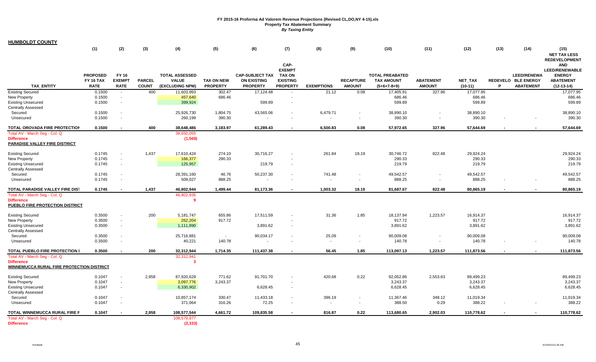| <b>HUMBOLDT COUNTY</b> |  |
|------------------------|--|
|------------------------|--|

|                                                                       | (1)                                                | (2)                                   | (3)                           | (4)                                                      | (5)                                  | (6)                                                             | (7)                                                                          | (8)                      | (9)                               | (10)                                                         | (11)                              | (12)                        | (13) | (14)                                                          | (15)<br><b>NET TAX LESS</b>                                                                                      |
|-----------------------------------------------------------------------|----------------------------------------------------|---------------------------------------|-------------------------------|----------------------------------------------------------|--------------------------------------|-----------------------------------------------------------------|------------------------------------------------------------------------------|--------------------------|-----------------------------------|--------------------------------------------------------------|-----------------------------------|-----------------------------|------|---------------------------------------------------------------|------------------------------------------------------------------------------------------------------------------|
| <b>TAX ENTITY</b>                                                     | <b>PROPOSED</b><br><b>FY 16 TAX</b><br><b>RATE</b> | FY 16<br><b>EXEMPT</b><br><b>RATE</b> | <b>PARCEL</b><br><b>COUNT</b> | <b>TOTAL ASSESSED</b><br><b>VALUE</b><br>(EXCLUDING NPM) | <b>TAX ON NEW</b><br><b>PROPERTY</b> | <b>CAP-SUBJECT TAX</b><br><b>ON EXISTING</b><br><b>PROPERTY</b> | CAP-<br><b>EXEMPT</b><br><b>TAX ON</b><br><b>EXISTING</b><br><b>PROPERTY</b> | <b>EXEMPTIONS</b>        | <b>RECAPTURE</b><br><b>AMOUNT</b> | <b>TOTAL PREABATED</b><br><b>TAX AMOUNT</b><br>$(5+6+7-8+9)$ | <b>ABATEMENT</b><br><b>AMOUNT</b> | <b>NET TAX</b><br>$(10-11)$ | P    | <b>LEED/RENEWA</b><br>REDEVELO BLE ENERGY<br><b>ABATEMENT</b> | <b>REDEVELOPMENT</b><br><b>AND</b><br><b>LEED/RENEWABLE</b><br><b>ENERGY</b><br><b>ABATEMENT</b><br>$(12-13-14)$ |
| <b>Existing Secured</b>                                               | 0.1500                                             | $\sim$                                | 400                           | 11,603,993                                               | 302.47                               | 17,124.48                                                       |                                                                              | 21.12                    | 0.08                              | 17,405.91                                                    | 327.96                            | 17,077.95                   |      |                                                               | 17,077.95                                                                                                        |
| New Property                                                          | 0.1500                                             | $\sim$                                |                               | 457,640                                                  | 686.46                               |                                                                 |                                                                              |                          |                                   | 686.46                                                       |                                   | 686.46                      |      |                                                               | 686.46                                                                                                           |
| <b>Existing Unsecured</b>                                             | 0.1500                                             | $\sim$                                |                               | 399,924                                                  |                                      | 599.89                                                          |                                                                              |                          |                                   | 599.89                                                       |                                   | 599.89                      |      |                                                               | 599.89                                                                                                           |
| <b>Centrally Assessed</b>                                             |                                                    |                                       |                               |                                                          |                                      |                                                                 |                                                                              |                          |                                   |                                                              |                                   |                             |      |                                                               |                                                                                                                  |
| Secured                                                               | 0.1500                                             | $\sim$                                |                               | 25,926,730                                               | 1,804.75                             | 43,565.06                                                       |                                                                              | 6,479.71                 |                                   | 38,890.10                                                    |                                   | 38,890.10                   |      |                                                               | 38,890.10                                                                                                        |
| Unsecured                                                             | 0.1500                                             | $\sim$                                |                               | 260,199                                                  | 390.30                               |                                                                 |                                                                              |                          |                                   | 390.30                                                       |                                   | 390.30                      |      |                                                               | 390.30                                                                                                           |
| TOTAL OROVADA FIRE PROTECTION                                         | 0.1500                                             |                                       | 400                           | 38,648,486                                               | 3,183.97                             | 61,289.43                                                       |                                                                              | 6,500.83                 | 0.08                              | 57,972.65                                                    | 327.96                            | 57,644.69                   |      |                                                               | 57,644.69                                                                                                        |
| Total AV - March Seg - Col. Q                                         |                                                    |                                       |                               | 38,650,055                                               |                                      |                                                                 |                                                                              |                          |                                   |                                                              |                                   |                             |      |                                                               |                                                                                                                  |
| <b>Difference</b><br>PARADISE VALLEY FIRE DISTRICT                    |                                                    |                                       |                               | (1, 569)                                                 |                                      |                                                                 |                                                                              |                          |                                   |                                                              |                                   |                             |      |                                                               |                                                                                                                  |
| <b>Existing Secured</b>                                               | 0.1745                                             | $\sim$                                | 1,437                         | 17,610,424                                               | 274.10                               | 30,716.27                                                       |                                                                              | 261.84                   | 18.19                             | 30,746.72                                                    | 822.48                            | 29,924.24                   |      |                                                               | 29,924.24                                                                                                        |
| <b>New Property</b>                                                   | 0.1745                                             | $\sim$                                |                               | 166,377                                                  | 290.33                               |                                                                 |                                                                              |                          |                                   | 290.33                                                       |                                   | 290.33                      |      |                                                               | 290.33                                                                                                           |
| <b>Existing Unsecured</b>                                             | 0.1745                                             | $\sim$                                |                               | 125,957                                                  |                                      | 219.79                                                          |                                                                              |                          |                                   | 219.79                                                       |                                   | 219.79                      |      |                                                               | 219.79                                                                                                           |
| <b>Centrally Assessed</b>                                             |                                                    |                                       |                               |                                                          |                                      |                                                                 |                                                                              |                          |                                   |                                                              |                                   |                             |      |                                                               |                                                                                                                  |
| Secured                                                               | 0.1745                                             | $\sim$                                |                               | 28,391,160                                               | 46.76                                | 50,237.30                                                       |                                                                              | 741.48                   |                                   | 49,542.57                                                    |                                   | 49,542.57                   |      |                                                               | 49,542.57                                                                                                        |
| Unsecured                                                             | 0.1745                                             | $\sim$                                |                               | 509,027                                                  | 888.25                               |                                                                 |                                                                              | $\sim$                   | $\sim$                            | 888.25                                                       | $\blacksquare$                    | 888.25                      |      |                                                               | 888.25                                                                                                           |
| TOTAL PARADISE VALLEY FIRE DIS1                                       | 0.1745                                             | $\blacksquare$                        | 1,437                         | 46,802,944                                               | 1,499.44                             | 81,173.36                                                       |                                                                              | 1,003.32                 | 18.19                             | 81,687.67                                                    | 822.48                            | 80,865.19                   |      |                                                               | 80,865.19                                                                                                        |
| Total AV - March Seg - Col. Q                                         |                                                    |                                       |                               | 46,802,935                                               |                                      |                                                                 |                                                                              |                          |                                   |                                                              |                                   |                             |      |                                                               |                                                                                                                  |
| <b>Difference</b><br>PUEBLO FIRE PROTECTION DISTRICT                  |                                                    |                                       |                               | -9                                                       |                                      |                                                                 |                                                                              |                          |                                   |                                                              |                                   |                             |      |                                                               |                                                                                                                  |
| <b>Existing Secured</b>                                               | 0.3500                                             | $\sim$                                | 200                           | 5,181,747                                                | 655.86                               | 17,511.59                                                       |                                                                              | 31.36                    | 1.85                              | 18,137.94                                                    | 1,223.57                          | 16,914.37                   |      |                                                               | 16,914.37                                                                                                        |
| New Property                                                          | 0.3500                                             | $\sim$                                |                               | 262,204                                                  | 917.72                               |                                                                 |                                                                              |                          |                                   | 917.72                                                       |                                   | 917.72                      |      |                                                               | 917.72                                                                                                           |
| <b>Existing Unsecured</b><br><b>Centrally Assessed</b>                | 0.3500                                             | $\sim$                                |                               | 1,111,890                                                |                                      | 3,891.62                                                        |                                                                              |                          |                                   | 3,891.62                                                     |                                   | 3,891.62                    |      |                                                               | 3,891.62                                                                                                         |
| Secured                                                               | 0.3500                                             | $\sim$                                |                               | 25,716,881                                               | $\sim$                               | 90,034.17                                                       |                                                                              | 25.09                    | $\sim$                            | 90,009.08                                                    |                                   | 90,009.08                   |      |                                                               | 90,009.08                                                                                                        |
| Unsecured                                                             | 0.3500                                             | ÷.                                    |                               | 40,221                                                   | 140.78                               |                                                                 |                                                                              | $\overline{\phantom{a}}$ | $\sim$                            | 140.78                                                       |                                   | 140.78                      |      |                                                               | 140.78                                                                                                           |
| TOTAL PUEBLO FIRE PROTECTION I                                        | 0.3500                                             |                                       | 200                           | 32,312,944                                               | 1,714.35                             | 111,437.38                                                      |                                                                              | 56.45                    | 1.85                              | 113,097.13                                                   | 1,223.57                          | 111,873.56                  |      |                                                               | 111,873.56                                                                                                       |
| Total AV - March Seg - Col. Q                                         |                                                    |                                       |                               | 32,312,941                                               |                                      |                                                                 |                                                                              |                          |                                   |                                                              |                                   |                             |      |                                                               |                                                                                                                  |
| <b>Difference</b><br><u>WINNEMUCCA RURAL FIRE PROTECTION DISTRICT</u> |                                                    |                                       |                               | -3                                                       |                                      |                                                                 |                                                                              |                          |                                   |                                                              |                                   |                             |      |                                                               |                                                                                                                  |
| <b>Existing Secured</b>                                               | 0.1047                                             | $\sim$                                | 2,958                         | 87,920,629                                               | 771.62                               | 91,701.70                                                       |                                                                              | 420.68                   | 0.22                              | 92,052.86                                                    | 2,553.63                          | 89,499.23                   |      |                                                               | 89,499.23                                                                                                        |
| <b>New Property</b>                                                   | 0.1047                                             | $\sim$                                |                               | 3,097,776                                                | 3,243.37                             |                                                                 |                                                                              |                          |                                   | 3,243.37                                                     |                                   | 3,243.37                    |      |                                                               | 3,243.37                                                                                                         |
| <b>Existing Unsecured</b>                                             | 0.1047                                             | $\sim$                                |                               | 6,330,902                                                |                                      | 6,628.45                                                        | $\sim$                                                                       |                          |                                   | 6,628.45                                                     |                                   | 6,628.45                    |      |                                                               | 6,628.45                                                                                                         |
| <b>Centrally Assessed</b>                                             |                                                    |                                       |                               |                                                          |                                      |                                                                 |                                                                              |                          |                                   |                                                              |                                   |                             |      |                                                               |                                                                                                                  |
| Secured                                                               | 0.1047                                             | $\sim$                                |                               | 10,857,174                                               | 330.47                               | 11,433.18                                                       |                                                                              | 396.19                   | $\sim$                            | 11,367.46                                                    | 348.12                            | 11,019.34                   |      |                                                               | 11,019.34                                                                                                        |
| Unsecured                                                             | 0.1047                                             | $\sim$                                |                               | 371,064                                                  | 316.26                               | 72.25                                                           |                                                                              | $\sim$                   | $\sim$                            | 388.50                                                       | 0.29                              | 388.22                      |      |                                                               | 388.22                                                                                                           |
| TOTAL WINNEMUCCA RURAL FIRE P                                         | 0.1047                                             |                                       | 2,958                         | 108,577,544                                              | 4,661.72                             | 109,835.58                                                      |                                                                              | 816.87                   | 0.22                              | 113,680.65                                                   | 2,902.03                          | 110,778.62                  |      |                                                               | 110,778.62                                                                                                       |
| Total AV - March Seg - Col. Q                                         |                                                    |                                       |                               | 108,579,877                                              |                                      |                                                                 |                                                                              |                          |                                   |                                                              |                                   |                             |      |                                                               |                                                                                                                  |
| <b>Difference</b>                                                     |                                                    |                                       |                               | (2, 333)                                                 |                                      |                                                                 |                                                                              |                          |                                   |                                                              |                                   |                             |      |                                                               |                                                                                                                  |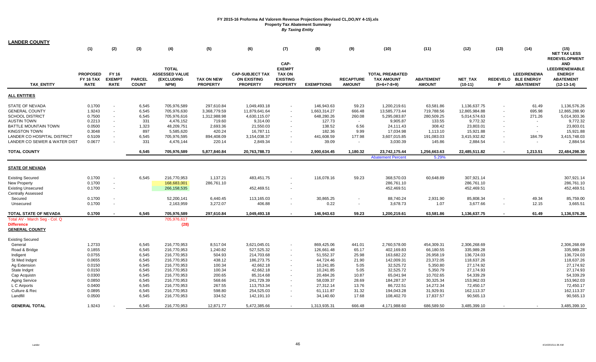| LANDER COUNTY                              |                                                    |                                              |                               |                                                      |                                      |                                                                 |                                                                              |                   |                                   |                                                              |                                   |                      |        |                                                        |                                                                                                                  |
|--------------------------------------------|----------------------------------------------------|----------------------------------------------|-------------------------------|------------------------------------------------------|--------------------------------------|-----------------------------------------------------------------|------------------------------------------------------------------------------|-------------------|-----------------------------------|--------------------------------------------------------------|-----------------------------------|----------------------|--------|--------------------------------------------------------|------------------------------------------------------------------------------------------------------------------|
|                                            | (1)                                                | (2)                                          | (3)                           | (4)                                                  | (5)                                  | (6)                                                             | (7)                                                                          | (8)               | (9)                               | (10)                                                         | (11)                              | (12)                 | (13)   | (14)                                                   | (15)<br><b>NET TAX LESS</b>                                                                                      |
| <b>TAX ENTITY</b>                          | <b>PROPOSED</b><br><b>FY 16 TAX</b><br><b>RATE</b> | <b>FY 16</b><br><b>EXEMPT</b><br><b>RATE</b> | <b>PARCEL</b><br><b>COUNT</b> | <b>TOTAL</b><br>ASSESSED VALUE<br>(EXCLUDING<br>NPM) | <b>TAX ON NEW</b><br><b>PROPERTY</b> | <b>CAP-SUBJECT TAX</b><br><b>ON EXISTING</b><br><b>PROPERTY</b> | CAP-<br><b>EXEMPT</b><br><b>TAX ON</b><br><b>EXISTING</b><br><b>PROPERTY</b> | <b>EXEMPTIONS</b> | <b>RECAPTURE</b><br><b>AMOUNT</b> | <b>TOTAL PREABATED</b><br><b>TAX AMOUNT</b><br>$(5+6+7-8+9)$ | <b>ABATEMENT</b><br><b>AMOUNT</b> | NET_TAX<br>$(10-11)$ | P      | LEED/RENEWA<br>REDEVELO BLE ENERGY<br><b>ABATEMENT</b> | <b>REDEVELOPMENT</b><br><b>AND</b><br><b>LEED/RENEWABLE</b><br><b>ENERGY</b><br><b>ABATEMENT</b><br>$(12-13-14)$ |
| <b>ALL ENTITIES</b>                        |                                                    |                                              |                               |                                                      |                                      |                                                                 |                                                                              |                   |                                   |                                                              |                                   |                      |        |                                                        |                                                                                                                  |
| STATE OF NEVADA                            | 0.1700                                             |                                              | 6,545                         | 705,976,589                                          | 297,610.84                           | 1,049,493.18                                                    | $\sim$                                                                       | 146,943.63        | 59.23                             | 1,200,219.61                                                 | 63,581.86                         | 1,136,637.75         |        | 61.49                                                  | 1,136,576.26                                                                                                     |
| <b>GENERAL COUNTY</b>                      | 1.9243                                             | $\sim$                                       | 6,545                         | 705,976,630                                          | 3,368,779.59                         | 11,879,641.64                                                   | $\sim$                                                                       | 1,663,314.27      | 666.48                            | 13,585,773.44                                                | 719,788.56                        | 12,865,984.88        |        | 695.98                                                 | 12,865,288.90                                                                                                    |
| SCHOOL DISTRICT                            | 0.7500                                             |                                              | 6,545                         | 705,976,616                                          | 1,312,988.98                         | 4,630,115.07                                                    |                                                                              | 648,280.26        | 260.08                            | 5,295,083.87                                                 | 280,509.25                        | 5,014,574.63         |        | 271.26                                                 | 5,014,303.36                                                                                                     |
| <b>AUSTIN TOWN</b>                         | 0.2213                                             | $\overline{\phantom{a}}$                     | 331                           | 4,476,152                                            | 719.60                               | 9,314.00                                                        | $\sim$                                                                       | 127.73            | $\sim$                            | 9,905.87                                                     | 133.55                            | 9,772.32             |        | $\sim$                                                 | 9,772.32                                                                                                         |
| BATTLE MOUNTAIN TOWN                       | 0.0500                                             | $\overline{\phantom{a}}$                     | 1,323                         | 48,209,751                                           | 2,693.36                             | 21,550.03                                                       |                                                                              | 138.52            | 6.56                              | 24,111.43                                                    | 308.42                            | 23,803.01            |        | $\sim$                                                 | 23,803.01                                                                                                        |
| <b>KINGSTON TOWN</b>                       | 0.3048                                             | $\overline{\phantom{a}}$                     | 897                           | 5,585,620                                            | 420.24                               | 16,787.11                                                       | $\sim$                                                                       | 182.36            | 9.99                              | 17,034.98                                                    | 1,113.10                          | 15,921.88            |        | $\sim$                                                 | 15,921.88                                                                                                        |
| LANDER CO HOSPITAL DISTRICT                | 0.5109                                             | $\overline{\phantom{a}}$                     | 6,545                         | 705,976,595                                          | 894,408.09                           | 3,154,038.37                                                    | $\sim$                                                                       | 441,608.59        | 177.98                            | 3,607,015.85                                                 | 191,083.03                        | 3,415,932.82         |        | 184.79                                                 | 3,415,748.03                                                                                                     |
| LANDER CO SEWER & WATER DIST               | 0.0677                                             |                                              | 331                           | 4,476,144                                            | 220.14                               | 2,849.34                                                        |                                                                              | 39.09             | $\sim$                            | 3,030.39                                                     | 145.86                            | 2,884.54             |        | $\sim$                                                 | 2,884.54                                                                                                         |
| <b>TOTAL COUNTY</b>                        |                                                    |                                              | 6,545                         | 705,976,589                                          | 5,877,840.84                         | 20,763,788.73                                                   |                                                                              | 2,900,634.45      | 1,180.32                          | 23,742,175.44                                                | 1,256,663.63                      | 22,485,511.82        |        | 1,213.51                                               | 22,484,298.30                                                                                                    |
|                                            |                                                    |                                              |                               |                                                      |                                      |                                                                 |                                                                              |                   |                                   | <b>Abatement Percent</b>                                     | 5.29%                             |                      |        |                                                        |                                                                                                                  |
| <u>STATE OF NEVADA</u>                     |                                                    |                                              |                               |                                                      |                                      |                                                                 |                                                                              |                   |                                   |                                                              |                                   |                      |        |                                                        |                                                                                                                  |
| <b>Existing Secured</b>                    | 0.1700                                             | $\overline{\phantom{a}}$                     | 6,545                         | 216,770,953                                          | 1,137.21                             | 483,451.75                                                      |                                                                              | 116,078.16        | 59.23                             | 368,570.03                                                   | 60,648.89                         | 307,921.14           |        |                                                        | 307,921.14                                                                                                       |
| New Property                               | 0.1700                                             | $\overline{\phantom{a}}$                     |                               | 168,683,001                                          | 286,761.10                           |                                                                 |                                                                              |                   |                                   | 286,761.10                                                   |                                   | 286,761.10           |        |                                                        | 286,761.10                                                                                                       |
| <b>Existing Unsecured</b>                  | 0.1700                                             | $\overline{\phantom{a}}$                     |                               | 266,158,535                                          |                                      | 452,469.51                                                      | $\sim$                                                                       |                   |                                   | 452,469.51                                                   |                                   | 452,469.51           |        |                                                        | 452,469.51                                                                                                       |
| <b>Centrally Assessed</b>                  |                                                    |                                              |                               |                                                      |                                      |                                                                 |                                                                              |                   |                                   |                                                              |                                   |                      |        |                                                        |                                                                                                                  |
| Secured                                    | 0.1700                                             | $\overline{\phantom{a}}$                     |                               | 52,200,141                                           | 6,440.45                             | 113,165.03                                                      | ۰.                                                                           | 30,865.25         |                                   | 88,740.24                                                    | 2,931.90                          | 85,808.34            |        | 49.34                                                  | 85,759.00                                                                                                        |
| Unsecured                                  | 0.1700                                             |                                              |                               | 2,163,959                                            | 3,272.07                             | 406.88                                                          | $\sim$                                                                       | 0.22              | $\sim$                            | 3,678.73                                                     | 1.07                              | 3,677.66             | $\sim$ | 12.15                                                  | 3,665.51                                                                                                         |
| TOTAL STATE OF NEVADA                      | 0.1700                                             |                                              | 6,545                         | 705,976,589                                          | 297,610.84                           | 1,049,493.18                                                    |                                                                              | 146,943.63        | 59.23                             | 1,200,219.61                                                 | 63,581.86                         | 1,136,637.75         |        | 61.49                                                  | 1,136,576.26                                                                                                     |
| Total AV - March Seg - Col. Q              |                                                    |                                              |                               | 705,976,617                                          |                                      |                                                                 |                                                                              |                   |                                   |                                                              |                                   |                      |        |                                                        |                                                                                                                  |
| <b>Difference</b><br><b>GENERAL COUNTY</b> |                                                    |                                              |                               | (28)                                                 |                                      |                                                                 |                                                                              |                   |                                   |                                                              |                                   |                      |        |                                                        |                                                                                                                  |
| <b>Existing Secured</b>                    |                                                    |                                              |                               |                                                      |                                      |                                                                 |                                                                              |                   |                                   |                                                              |                                   |                      |        |                                                        |                                                                                                                  |
| General                                    | 1.2733                                             |                                              | 6,545                         | 216,770,953                                          | 8,517.04                             | 3,621,045.01                                                    | $\sim$                                                                       | 869,425.06        | 441.01                            | 2,760,578.00                                                 | 454,309.31                        | 2,306,268.69         |        |                                                        | 2,306,268.69                                                                                                     |
| Road & Bridge                              | 0.1855                                             |                                              | 6,545                         | 216,770,953                                          | 1,240.82                             | 527,525.32                                                      | $\sim$                                                                       | 126,661.48        | 65.17                             | 402,169.83                                                   | 66,180.55                         | 335,989.28           |        |                                                        | 335,989.28                                                                                                       |
| Indigent                                   | 0.0755                                             |                                              | 6,545                         | 216,770,953                                          | 504.93                               | 214,703.68                                                      | $\sim$                                                                       | 51,552.37         | 25.98                             | 163,682.22                                                   | 26,958.19                         | 136,724.03           |        |                                                        | 136,724.03                                                                                                       |
| St Med Indgnt                              | 0.0655                                             |                                              | 6,545                         | 216,770,953                                          | 438.12                               | 186,273.75                                                      |                                                                              | 44,724.46         | 21.90                             | 142,009.31                                                   | 23,372.05                         | 118,637.26           |        |                                                        | 118,637.26                                                                                                       |
| Ag Extension                               | 0.0150                                             |                                              | 6,545                         | 216,770,953                                          | 100.34                               | 42,662.18                                                       | $\sim$                                                                       | 10,241.85         | 5.05                              | 32,525.72                                                    | 5,350.80                          | 27,174.92            |        |                                                        | 27,174.92                                                                                                        |
| State Indgnt                               | 0.0150                                             |                                              | 6,545                         | 216,770,953                                          | 100.34                               | 42,662.18                                                       |                                                                              | 10,241.85         | 5.05                              | 32,525.72                                                    | 5,350.79                          | 27,174.93            |        |                                                        | 27,174.93                                                                                                        |
| Cap Acquistn                               | 0.0300                                             |                                              | 6,545                         | 216,770,953                                          | 200.65                               | 85,314.68                                                       | $\sim$                                                                       | 20,484.26         | 10.87                             | 65,041.94                                                    | 10,702.65                         | 54,339.29            |        |                                                        | 54,339.29                                                                                                        |
| <b>Aging Service</b>                       | 0.0850                                             |                                              | 6,545                         | 216,770,953                                          | 568.66                               | 241,729.39                                                      | $\sim$                                                                       | 58,039.37         | 28.69                             | 184,287.37                                                   | 30,325.34                         | 153,962.03           |        |                                                        | 153,962.03                                                                                                       |
| L C Airports                               | 0.0400                                             |                                              | 6,545                         | 216,770,953                                          | 267.55                               | 113,753.34                                                      | $\sim$                                                                       | 27,312.14         | 13.76                             | 86,722.51                                                    | 14,272.34                         | 72,450.17            |        |                                                        | 72,450.17                                                                                                        |
| Culture & Rec                              | 0.0895                                             |                                              | 6,545                         | 216,770,953                                          | 598.80                               | 254,525.03                                                      | $\sim$                                                                       | 61,111.87         | 31.32                             | 194,043.28                                                   | 31,929.91                         | 162,113.37           |        |                                                        | 162,113.37                                                                                                       |
| Landfill                                   | 0.0500                                             |                                              | 6,545                         | 216,770,953                                          | 334.52                               | 142,191.10                                                      |                                                                              | 34,140.60         | 17.68                             | 108,402.70                                                   | 17,837.57                         | 90,565.13            |        |                                                        | 90,565.13                                                                                                        |
| <b>GENERAL TOTAL</b>                       | 1.9243                                             |                                              | 6,545                         | 216,770,953                                          | 12,871.77                            | 5,472,385.66                                                    |                                                                              | 1,313,935.31      | 666.48                            | 4,171,988.60                                                 | 686,589.50                        | 3.485.399.10         |        |                                                        | 3,485,399.10                                                                                                     |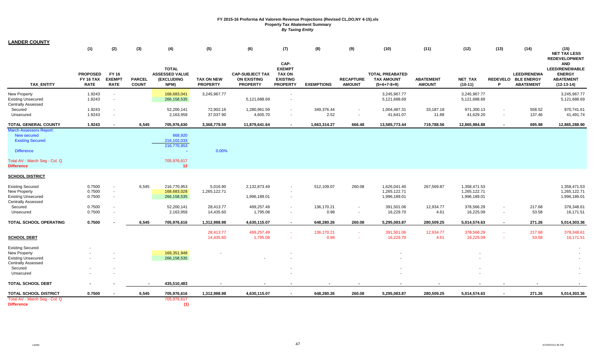| <b>LANDER COUNTY</b>                                                                                                                                |                                                    |                                                                        |                               |                                                             |                                      |                                                                 |                                                                              |                    |                                   |                                                              |                                   |                                              |                                            |                                                               |                                                                                          |
|-----------------------------------------------------------------------------------------------------------------------------------------------------|----------------------------------------------------|------------------------------------------------------------------------|-------------------------------|-------------------------------------------------------------|--------------------------------------|-----------------------------------------------------------------|------------------------------------------------------------------------------|--------------------|-----------------------------------|--------------------------------------------------------------|-----------------------------------|----------------------------------------------|--------------------------------------------|---------------------------------------------------------------|------------------------------------------------------------------------------------------|
|                                                                                                                                                     | (1)                                                | (2)                                                                    | (3)                           | (4)                                                         | (5)                                  | (6)                                                             | (7)                                                                          | (8)                | (9)                               | (10)                                                         | (11)                              | (12)                                         | (13)                                       | (14)                                                          | (15)<br><b>NET TAX LESS</b><br><b>REDEVELOPMENT</b>                                      |
| <b>TAX ENTITY</b>                                                                                                                                   | <b>PROPOSED</b><br><b>FY 16 TAX</b><br><b>RATE</b> | FY 16<br><b>EXEMPT</b><br><b>RATE</b>                                  | <b>PARCEL</b><br><b>COUNT</b> | <b>TOTAL</b><br><b>ASSESSED VALUE</b><br>(EXCLUDING<br>NPM) | <b>TAX ON NEW</b><br><b>PROPERTY</b> | <b>CAP-SUBJECT TAX</b><br><b>ON EXISTING</b><br><b>PROPERTY</b> | CAP-<br><b>EXEMPT</b><br><b>TAX ON</b><br><b>EXISTING</b><br><b>PROPERTY</b> | <b>EXEMPTIONS</b>  | <b>RECAPTURE</b><br><b>AMOUNT</b> | <b>TOTAL PREABATED</b><br><b>TAX AMOUNT</b><br>$(5+6+7-8+9)$ | <b>ABATEMENT</b><br><b>AMOUNT</b> | NET_TAX<br>$(10-11)$                         | P                                          | <b>LEED/RENEWA</b><br>REDEVELO BLE ENERGY<br><b>ABATEMENT</b> | <b>AND</b><br><b>LEED/RENEWABLE</b><br><b>ENERGY</b><br><b>ABATEMENT</b><br>$(12-13-14)$ |
| <b>New Property</b><br><b>Existing Unsecured</b><br><b>Centrally Assessed</b>                                                                       | 1.9243<br>1.9243                                   | $\overline{\phantom{a}}$<br>$\overline{\phantom{a}}$                   |                               | 168,683,041<br>266, 158, 535                                | 3,245,967.77                         | 5,121,688.69                                                    | $\sim$<br>$\sim$                                                             |                    |                                   | 3,245,967.77<br>5,121,688.69                                 |                                   | 3,245,967.77<br>5,121,688.69                 |                                            |                                                               | 3,245,967.77<br>5,121,688.69                                                             |
| Secured<br>Unsecured                                                                                                                                | 1.9243<br>1.9243                                   | $\overline{\phantom{a}}$                                               |                               | 52,200,141<br>2,163,959                                     | 72,902.16<br>37,037.90               | 1,280,961.59<br>4,605.70                                        | $\sim$<br>$\sim$                                                             | 349,376.44<br>2.52 |                                   | 1,004,487.31<br>41,641.07                                    | 33,187.18<br>11.88                | 971,300.13<br>41,629.20                      | $\blacksquare$<br>÷.                       | 558.52<br>137.46                                              | 970,741.61<br>41,491.74                                                                  |
| TOTAL GENERAL COUNTY                                                                                                                                | 1.9243                                             | $\overline{\phantom{a}}$                                               | 6,545                         | 705,976,630                                                 | 3,368,779.59                         | 11,879,641.64                                                   |                                                                              | 1,663,314.27       | 666.48                            | 13,585,773.44                                                | 719,788.56                        | 12,865,984.88                                |                                            | 695.98                                                        | 12,865,288.90                                                                            |
| <b>March Assessors Report:</b><br>New secured<br><b>Existing Secured</b><br><b>Difference</b><br>Total AV - March Seg - Col. Q<br><b>Difference</b> |                                                    |                                                                        |                               | 668,920<br>216,102,033<br>216,770,953<br>705,976,617<br>13  | 0.00%                                |                                                                 |                                                                              |                    |                                   |                                                              |                                   |                                              |                                            |                                                               |                                                                                          |
| <b>SCHOOL DISTRICT</b>                                                                                                                              |                                                    |                                                                        |                               |                                                             |                                      |                                                                 |                                                                              |                    |                                   |                                                              |                                   |                                              |                                            |                                                               |                                                                                          |
| <b>Existing Secured</b><br>New Property<br><b>Existing Unsecured</b>                                                                                | 0.7500<br>0.7500<br>0.7500                         | $\blacksquare$<br>$\overline{\phantom{a}}$<br>$\overline{\phantom{a}}$ | 6,545                         | 216,770,953<br>168,683,028<br>266,158,535                   | 5,016.90<br>1,265,122.71             | 2,132,873.49<br>1,996,189.01                                    | $\overline{\phantom{a}}$                                                     | 512,109.07         | 260.08                            | 1,626,041.40<br>1,265,122.71<br>1,996,189.01                 | 267,569.87                        | 1,358,471.53<br>1,265,122.71<br>1,996,189.01 |                                            |                                                               | 1,358,471.53<br>1,265,122.71<br>1,996,189.01                                             |
| <b>Centrally Assessed</b><br>Secured<br>Unsecured                                                                                                   | 0.7500<br>0.7500                                   | $\overline{\phantom{a}}$                                               |                               | 52,200,141<br>2,163,959                                     | 28,413.77<br>14,435.60               | 499,257.49<br>1,795.08                                          | $\sim$<br>$\sim$                                                             | 136,170.21<br>0.98 | $\sim$<br>$\sim$                  | 391,501.06<br>16,229.70                                      | 12,934.77<br>4.61                 | 378,566.29<br>16,225.09                      | $\overline{a}$<br>$\overline{\phantom{a}}$ | 217.68<br>53.58                                               | 378,348.61<br>16,171.51                                                                  |
| TOTAL SCHOOL OPERATING                                                                                                                              | 0.7500                                             |                                                                        | 6,545                         | 705,976,616                                                 | 1,312,988.98                         | 4,630,115.07                                                    | $\blacksquare$                                                               | 648,280.26         | 260.08                            | 5,295,083.87                                                 | 280,509.25                        | 5,014,574.63                                 | $\sim$                                     | 271.26                                                        | 5,014,303.36                                                                             |
| <b>SCHOOL DEBT</b>                                                                                                                                  |                                                    |                                                                        |                               |                                                             | 28,413.77<br>14,435.60               | 499,257.49<br>1,795.08                                          | $\sim$<br>$\sim$                                                             | 136,170.21<br>0.98 | $\sim$<br>$\sim$                  | 391,501.06<br>16,229.70                                      | 12,934.77<br>4.61                 | 378,566.29<br>16,225.09                      | $\sim$                                     | 217.68<br>53.58                                               | 378,348.61<br>16,171.51                                                                  |
| <b>Existing Secured</b><br>New Property                                                                                                             |                                                    |                                                                        |                               | 169,351,948                                                 |                                      |                                                                 |                                                                              |                    |                                   |                                                              |                                   |                                              |                                            |                                                               |                                                                                          |
| <b>Existing Unsecured</b><br><b>Centrally Assessed</b><br>Secured                                                                                   |                                                    |                                                                        |                               | 266,158,535                                                 |                                      |                                                                 |                                                                              |                    |                                   |                                                              |                                   |                                              |                                            |                                                               |                                                                                          |
| Unsecured                                                                                                                                           |                                                    |                                                                        |                               |                                                             |                                      |                                                                 |                                                                              |                    |                                   |                                                              |                                   |                                              |                                            |                                                               |                                                                                          |
| <b>TOTAL SCHOOL DEBT</b>                                                                                                                            |                                                    |                                                                        | $\blacksquare$                | 435,510,483                                                 |                                      |                                                                 |                                                                              |                    |                                   |                                                              |                                   |                                              |                                            |                                                               |                                                                                          |
| <b>TOTAL SCHOOL DISTRICT</b>                                                                                                                        | 0.7500                                             |                                                                        | 6,545                         | 705,976,616                                                 | 1,312,988.98                         | 4,630,115.07                                                    |                                                                              | 648,280.26         | 260.08                            | 5,295,083.87                                                 | 280,509.25                        | 5,014,574.63                                 |                                            | 271.26                                                        | 5,014,303.36                                                                             |
| Total AV - March Seg - Col. Q<br><b>Difference</b>                                                                                                  |                                                    |                                                                        |                               | 705,976,617<br>(1)                                          |                                      |                                                                 |                                                                              |                    |                                   |                                                              |                                   |                                              |                                            |                                                               |                                                                                          |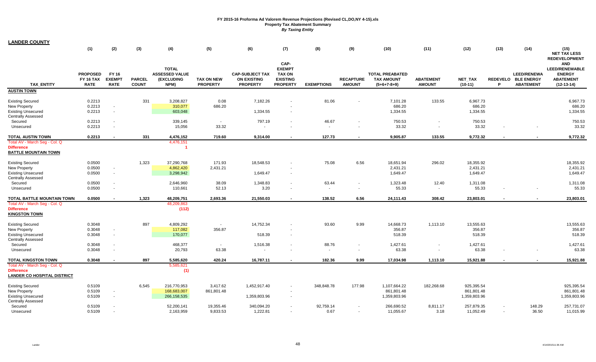**LANDER COUNTY**

|                                                                                                                 | (1)                                                | (2)                                          | (3)                           | (4)                                                         | (5)                                  | (6)                                                             | (7)                                                                          | (8)                      | (9)                               | (10)                                                         | (11)                              | (12)                                     | (13)   | (14)                                                          | (15)<br><b>NET TAX LESS</b><br><b>REDEVELOPMENT</b>                                      |
|-----------------------------------------------------------------------------------------------------------------|----------------------------------------------------|----------------------------------------------|-------------------------------|-------------------------------------------------------------|--------------------------------------|-----------------------------------------------------------------|------------------------------------------------------------------------------|--------------------------|-----------------------------------|--------------------------------------------------------------|-----------------------------------|------------------------------------------|--------|---------------------------------------------------------------|------------------------------------------------------------------------------------------|
| <b>TAX ENTITY</b>                                                                                               | <b>PROPOSED</b><br><b>FY 16 TAX</b><br><b>RATE</b> | <b>FY 16</b><br><b>EXEMPT</b><br><b>RATE</b> | <b>PARCEL</b><br><b>COUNT</b> | <b>TOTAL</b><br><b>ASSESSED VALUE</b><br>(EXCLUDING<br>NPM) | <b>TAX ON NEW</b><br><b>PROPERTY</b> | <b>CAP-SUBJECT TAX</b><br><b>ON EXISTING</b><br><b>PROPERTY</b> | CAP-<br><b>EXEMPT</b><br><b>TAX ON</b><br><b>EXISTING</b><br><b>PROPERTY</b> | <b>EXEMPTIONS</b>        | <b>RECAPTURE</b><br><b>AMOUNT</b> | <b>TOTAL PREABATED</b><br><b>TAX AMOUNT</b><br>$(5+6+7-8+9)$ | <b>ABATEMENT</b><br><b>AMOUNT</b> | NET_TAX<br>$(10-11)$                     | P      | <b>LEED/RENEWA</b><br>REDEVELO BLE ENERGY<br><b>ABATEMENT</b> | <b>AND</b><br><b>LEED/RENEWABLE</b><br><b>ENERGY</b><br><b>ABATEMENT</b><br>$(12-13-14)$ |
| <b>AUSTIN TOWN</b>                                                                                              |                                                    |                                              |                               |                                                             |                                      |                                                                 |                                                                              |                          |                                   |                                                              |                                   |                                          |        |                                                               |                                                                                          |
| <b>Existing Secured</b><br><b>New Property</b><br><b>Existing Unsecured</b><br><b>Centrally Assessed</b>        | 0.2213<br>0.2213<br>0.2213                         | $\overline{\phantom{a}}$<br>$\sim$           | 331                           | 3,208,827<br>310,077<br>603,048                             | 0.08<br>686.20                       | 7,182.26<br>1,334.55                                            |                                                                              | 81.06                    |                                   | 7,101.28<br>686.20<br>1,334.55                               | 133.55                            | 6,967.73<br>686.20<br>1,334.55           |        |                                                               | 6,967.73<br>686.20<br>1,334.55                                                           |
| Secured                                                                                                         | 0.2213                                             | $\sim$                                       |                               | 339,145                                                     | $\sim$                               | 797.19                                                          | $\sim$                                                                       | 46.67                    |                                   | 750.53                                                       |                                   | 750.53                                   |        |                                                               | 750.53                                                                                   |
| Unsecured                                                                                                       | 0.2213                                             | $\sim$                                       |                               | 15,056                                                      | 33.32                                |                                                                 |                                                                              | $\overline{\phantom{a}}$ | $\sim$                            | 33.32                                                        |                                   | 33.32                                    |        |                                                               | 33.32                                                                                    |
| <b>TOTAL AUSTIN TOWN</b>                                                                                        | 0.2213                                             |                                              | 331                           | 4,476,152                                                   | 719.60                               | 9,314.00                                                        |                                                                              | 127.73                   |                                   | 9,905.87                                                     | 133.55                            | 9,772.32                                 |        |                                                               | 9,772.32                                                                                 |
| Total AV - March Seg - Col. Q<br><b>Difference</b><br><b>BATTLE MOUNTAIN TOWN</b>                               |                                                    |                                              |                               | 4,476,151                                                   |                                      |                                                                 |                                                                              |                          |                                   |                                                              |                                   |                                          |        |                                                               |                                                                                          |
| <b>Existing Secured</b><br>New Property<br><b>Existing Unsecured</b><br><b>Centrally Assessed</b>               | 0.0500<br>0.0500<br>0.0500                         | $\overline{\phantom{a}}$<br>$\sim$           | 1,323                         | 37,290,768<br>4,862,420<br>3,298,942                        | 171.93<br>2,431.21                   | 18,548.53<br>1,649.47                                           | $\sim$                                                                       | 75.08                    | 6.56                              | 18,651.94<br>2,431.21<br>1,649.47                            | 296.02                            | 18,355.92<br>2,431.21<br>1,649.47        |        |                                                               | 18,355.92<br>2,431.21<br>1,649.47                                                        |
| Secured<br>Unsecured                                                                                            | 0.0500<br>0.0500                                   | $\sim$<br>$\sim$                             |                               | 2,646,960<br>110,661                                        | 38.09<br>52.13                       | 1,348.83<br>3.20                                                | $\sim$<br>$\sim$                                                             | 63.44<br>$\blacksquare$  | $\sim$                            | 1,323.48<br>55.33                                            | 12.40<br>$\sim$                   | 1,311.08<br>55.33                        |        |                                                               | 1,311.08<br>55.33                                                                        |
| TOTAL BATTLE MOUNTAIN TOWN                                                                                      | 0.0500                                             |                                              | 1,323                         | 48,209,751                                                  | 2,693.36                             | 21,550.03                                                       |                                                                              | 138.52                   | 6.56                              | 24,111.43                                                    | 308.42                            | 23,803.01                                |        |                                                               | 23,803.01                                                                                |
| Total AV - March Seg - Col. Q<br><b>Difference</b><br><b>KINGSTON TOWN</b>                                      |                                                    |                                              |                               | 48,209,863<br>(112)                                         |                                      |                                                                 |                                                                              |                          |                                   |                                                              |                                   |                                          |        |                                                               |                                                                                          |
| <b>Existing Secured</b><br><b>New Property</b><br><b>Existing Unsecured</b>                                     | 0.3048<br>0.3048<br>0.3048                         | $\sim$<br>$\sim$                             | 897                           | 4,809,292<br>117,082<br>170,077                             | $\sim$<br>356.87                     | 14,752.34<br>518.39                                             |                                                                              | 93.60                    | 9.99                              | 14,668.73<br>356.87<br>518.39                                | 1,113.10                          | 13,555.63<br>356.87<br>518.39            |        |                                                               | 13,555.63<br>356.87<br>518.39                                                            |
| <b>Centrally Assessed</b><br>Secured<br>Unsecured                                                               | 0.3048<br>0.3048                                   |                                              |                               | 468,377<br>20,793                                           | $\sim$<br>63.38                      | 1,516.38                                                        |                                                                              | 88.76<br>$\blacksquare$  | $\sim$                            | 1,427.61<br>63.38                                            |                                   | 1,427.61<br>63.38                        |        |                                                               | 1,427.61<br>63.38                                                                        |
|                                                                                                                 |                                                    |                                              |                               |                                                             |                                      |                                                                 |                                                                              |                          |                                   |                                                              |                                   |                                          |        |                                                               |                                                                                          |
| TOTAL KINGSTON TOWN<br>Total AV - March Seg - Col. Q<br><b>Difference</b><br><b>LANDER CO HOSPITAL DISTRICT</b> | 0.3048                                             |                                              | 897                           | 5,585,620<br>5,585,621<br>(1)                               | 420.24                               | 16,787.11                                                       |                                                                              | 182.36                   | 9.99                              | 17,034.98                                                    | 1,113.10                          | 15,921.88                                |        |                                                               | 15,921.88                                                                                |
| <b>Existing Secured</b><br>New Property<br><b>Existing Unsecured</b><br><b>Centrally Assessed</b>               | 0.5109<br>0.5109<br>0.5109                         | $\overline{\phantom{a}}$<br>$\sim$           | 6,545                         | 216,770,953<br>168,683,007<br>266,158,535                   | 3,417.62<br>861,801.48               | 1,452,917.40<br>1,359,803.96                                    | $\sim$<br>$\sim$                                                             | 348,848.78               | 177.98                            | 1,107,664.22<br>861,801.48<br>1,359,803.96                   | 182,268.68                        | 925,395.54<br>861,801.48<br>1,359,803.96 |        |                                                               | 925,395.54<br>861,801.48<br>1,359,803.96                                                 |
| Secured<br>Unsecured                                                                                            | 0.5109<br>0.5109                                   | $\sim$                                       |                               | 52,200,141<br>2,163,959                                     | 19,355.46<br>9,833.53                | 340,094.20<br>1,222.81                                          |                                                                              | 92,759.14<br>0.67        | $\sim$                            | 266,690.52<br>11,055.67                                      | 8,811.17<br>3.18                  | 257,879.35<br>11,052.49                  | $\sim$ | 148.29<br>36.50                                               | 257,731.07<br>11,015.99                                                                  |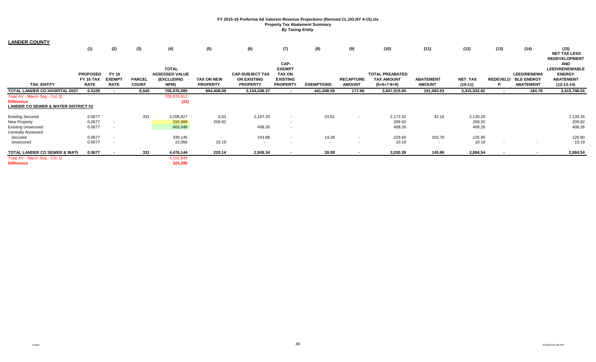| <b>LANDER COUNTY</b>                    |                  |                          |               |                       |                   |                        |                 |                   |                          |                        |                          |              |                 |                    |                                    |
|-----------------------------------------|------------------|--------------------------|---------------|-----------------------|-------------------|------------------------|-----------------|-------------------|--------------------------|------------------------|--------------------------|--------------|-----------------|--------------------|------------------------------------|
|                                         | (1)              | (2)                      | (3)           | (4)                   | (5)               | (6)                    | (7)             | (8)               | (9)                      | (10)                   | (11)                     | (12)         | (13)            | (14)               | (15)<br><b>NET TAX LESS</b>        |
|                                         |                  |                          |               |                       |                   |                        | CAP-            |                   |                          |                        |                          |              |                 |                    | <b>REDEVELOPMENT</b><br><b>AND</b> |
|                                         |                  |                          |               | <b>TOTAL</b>          |                   |                        | <b>EXEMPT</b>   |                   |                          |                        |                          |              |                 |                    | <b>LEED/RENEWABLE</b>              |
|                                         | <b>PROPOSED</b>  | FY 16                    |               | <b>ASSESSED VALUE</b> |                   | <b>CAP-SUBJECT TAX</b> | <b>TAX ON</b>   |                   |                          | <b>TOTAL PREABATED</b> |                          |              |                 | <b>LEED/RENEWA</b> | <b>ENERGY</b>                      |
|                                         | <b>FY 16 TAX</b> | <b>EXEMPT</b>            | <b>PARCEL</b> | (EXCLUDING            | <b>TAX ON NEW</b> | <b>ON EXISTING</b>     | <b>EXISTING</b> |                   | <b>RECAPTURE</b>         | <b>TAX AMOUNT</b>      | <b>ABATEMENT</b>         | NET_TAX      | <b>REDEVELO</b> | <b>BLE ENERGY</b>  | <b>ABATEMENT</b>                   |
| <b>TAX ENTITY</b>                       | <b>RATE</b>      | <b>RATE</b>              | <b>COUNT</b>  | NPM)                  | <b>PROPERTY</b>   | <b>PROPERTY</b>        | <b>PROPERTY</b> | <b>EXEMPTIONS</b> | <b>AMOUNT</b>            | $(5+6+7-8+9)$          | <b>AMOUNT</b>            | $(10-11)$    | P               | <b>ABATEMENT</b>   | $(12-13-14)$                       |
| TOTAL LANDER CO HOSPITAL DIST           | 0.5109           |                          | 6,545         | 705,976,595           | 894,408.09        | 3,154,038.37           |                 | 441,608.59        | 177.98                   | 3,607,015.85           | 191,083.03               | 3,415,932.82 |                 | 184.79             | 3,415,748.03                       |
| Total AV - March Seg - Col. Q           |                  |                          |               | 705,976,617           |                   |                        |                 |                   |                          |                        |                          |              |                 |                    |                                    |
| <b>Difference</b>                       |                  |                          |               | (22)                  |                   |                        |                 |                   |                          |                        |                          |              |                 |                    |                                    |
| LANDER CO SEWER & WATER DISTRICT #2     |                  |                          |               |                       |                   |                        |                 |                   |                          |                        |                          |              |                 |                    |                                    |
| <b>Existing Secured</b>                 | 0.0677           |                          | 331           | 3,208,827             | 0.03              | 2,197.20               | $\sim$          | 24.81             | $\sim$                   | 2,172.42               | 42.16                    | 2,130.26     |                 |                    | 2,130.26                           |
| New Property                            | 0.0677           |                          |               | 310,069               | 209.92            |                        | $\sim$          |                   |                          | 209.92                 |                          | 209.92       |                 |                    | 209.92                             |
| <b>Existing Unsecured</b>               | 0.0677           | . .                      |               | 603,048               |                   | 408.26                 | $\sim$          |                   |                          | 408.26                 |                          | 408.26       |                 |                    | 408.26                             |
| <b>Centrally Assessed</b>               |                  |                          |               |                       |                   |                        |                 |                   |                          |                        |                          |              |                 |                    |                                    |
| Secured                                 | 0.0677           | $\overline{\phantom{a}}$ |               | 339,145               | $\sim$            | 243.88                 | $\sim$          | 14.28             | $\sim$                   | 229.60                 | 103.70                   | 125.90       |                 |                    | 125.90                             |
| Unsecured                               | 0.0677           |                          |               | 15,056                | 10.19             | $\sim$                 |                 | $\sim$            | $\sim$                   | 10.19                  | $\overline{\phantom{a}}$ | 10.19        |                 |                    | 10.19                              |
| <b>TOTAL LANDER CO SEWER &amp; WATI</b> | 0.0677           |                          | 331           | 4,476,144             | 220.14            | 2,849.34               |                 | 39.09             | $\overline{\phantom{a}}$ | 3,030.39               | 145.86                   | 2,884.54     |                 |                    | 2,884.54                           |
| Total AV - March Seg - Col. Q           |                  |                          |               | 4,151,849             |                   |                        |                 |                   |                          |                        |                          |              |                 |                    |                                    |
| <b>Difference</b>                       |                  |                          |               | 324,295               |                   |                        |                 |                   |                          |                        |                          |              |                 |                    |                                    |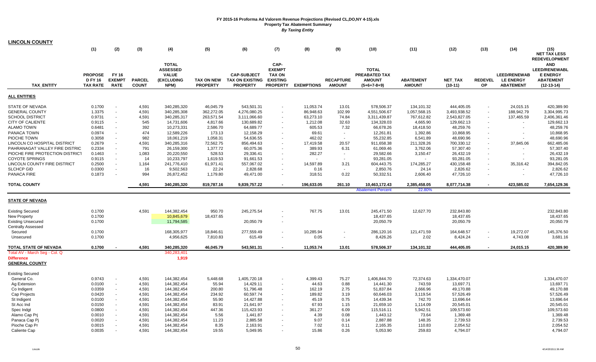| <b>LINCOLN COUNTY</b>                      |                  |               |                |                            |                         |                            |                          |                        |                  |                              |                            |                            |                          |                         |                                    |
|--------------------------------------------|------------------|---------------|----------------|----------------------------|-------------------------|----------------------------|--------------------------|------------------------|------------------|------------------------------|----------------------------|----------------------------|--------------------------|-------------------------|------------------------------------|
|                                            | (1)              | (2)           | (3)            | (4)                        | (5)                     | (6)                        | (7)                      | (8)                    | (9)              | (10)                         | (11)                       | (12)                       | (13)                     | (14)                    | (15)                               |
|                                            |                  |               |                |                            |                         |                            |                          |                        |                  |                              |                            |                            |                          |                         | <b>NET TAX LESS</b>                |
|                                            |                  |               |                | <b>TOTAL</b>               |                         |                            | CAP-                     |                        |                  |                              |                            |                            |                          |                         | <b>REDEVELOPMENT</b><br><b>AND</b> |
|                                            |                  |               |                | <b>ASSESSED</b>            |                         |                            | <b>EXEMPT</b>            |                        |                  | <b>TOTAL</b>                 |                            |                            |                          |                         | <b>LEED/RENEWABL</b>               |
|                                            | <b>PROPOSE</b>   | <b>FY 16</b>  |                | <b>VALUE</b>               |                         | <b>CAP-SUBJECT</b>         | <b>TAX ON</b>            |                        |                  | PREABATED TAX                |                            |                            |                          | <b>LEED/RENEWAB</b>     | <b>E ENERGY</b>                    |
|                                            | <b>D FY 16</b>   | <b>EXEMPT</b> | <b>PARCEL</b>  | (EXCLUDING                 | <b>TAX ON NEW</b>       | <b>TAX ON EXISTING</b>     | <b>EXISTING</b>          |                        | <b>RECAPTURE</b> | <b>AMOUNT</b>                | <b>ABATEMENT</b>           | NET_TAX                    | <b>REDEVEL</b>           | <b>LE ENERGY</b>        | <b>ABATEMENT</b>                   |
| <b>TAX ENTITY</b>                          | <b>TAX RATE</b>  | <b>RATE</b>   | <b>COUNT</b>   | NPM)                       | <b>PROPERTY</b>         | <b>PROPERTY</b>            | <b>PROPERTY</b>          | <b>EXEMPTIONS</b>      | <b>AMOUNT</b>    | $(5+6+7-8+9)$                | <b>AMOUNT</b>              | $(10-11)$                  | OP                       | <b>ABATEMENT</b>        | $(12-13-14)$                       |
| <b>ALL ENTITIES</b>                        |                  |               |                |                            |                         |                            |                          |                        |                  |                              |                            |                            |                          |                         |                                    |
|                                            |                  |               |                |                            |                         |                            |                          |                        |                  |                              |                            |                            |                          |                         |                                    |
| STATE OF NEVADA<br><b>GENERAL COUNTY</b>   | 0.1700<br>1.3375 | $\sim$        | 4,591<br>4,591 | 340,285,320<br>340,285,308 | 46,045.79<br>362,272.05 | 543,501.31<br>4,276,080.25 | $\sim$                   | 11,053.74<br>86,948.63 | 13.01<br>102.99  | 578,506.37                   | 134,101.32                 | 444,405.05<br>3,493,938.52 | $\overline{\phantom{a}}$ | 24,015.15<br>188,942.79 | 420,389.90                         |
| <b>SCHOOL DISTRICT</b>                     | 0.9731           | $\sim$        | 4,591          | 340,285,317                | 263,571.54              | 3,111,066.60               |                          | 63,273.10              | 74.84            | 4,551,506.67<br>3,311,439.87 | 1,057,568.15<br>767,612.82 | 2,543,827.05               |                          | 137,465.59              | 3,304,995.73<br>2,406,361.46       |
| <b>CITY OF CALIENTE</b>                    | 0.9115           | $\sim$        | 545            | 14,731,606                 | 4,817.66                | 130,689.82                 |                          | 1,212.08               | 32.63            | 134,328.03                   | 4,665.90                   | 129,662.13                 |                          |                         | 129,662.13                         |
| <b>ALAMO TOWN</b>                          | 0.6481           | $\sim$        | 392            | 10,273,331                 | 2,586.70                | 64,689.77                  | $\sim$                   | 605.53                 | 7.32             | 66,678.26                    | 18,418.50                  | 48,259.76                  |                          |                         | 48,259.76                          |
| PANACA TOWN                                | 0.0974           | $\sim$        | 474            | 12,589,226                 | 173.13                  | 12,158.29                  |                          | 69.61                  |                  | 12,261.81                    | 1,392.86                   | 10,868.95                  |                          |                         | 10,868.95                          |
| PIOCHE TOWN                                | 0.3058           | $\sim$        | 982            | 18,061,219                 | 1,058.31                | 54,636.55                  |                          | 462.02                 |                  | 55,232.85                    | 6,541.89                   | 48,690.96                  |                          |                         | 48,690.96                          |
| LINCOLN CO HOSPITAL DISTRICT               | 0.2679           | $\sim$        | 4,591          | 340,285,316                | 72,562.75               | 856,494.63                 | $\sim$                   | 17,419.58              | 20.57            | 911,658.38                   | 211,328.26                 | 700,330.12                 |                          | 37,845.06               | 662,485.06                         |
| PAHRANAGAT VALLEY FIRE DISTRIC             | 0.2334           | $\sim$        | 791            | 26,159,300                 | 1,377.72                | 60,075.36                  |                          | 389.93                 | 6.31             | 61,069.46                    | 3,762.06                   | 57,307.40                  |                          |                         | 57,307.40                          |
| PIOCHE FIRE PROTECTION DISTRICT            | 0.1463           |               | 1,083          | 20,220,550                 | 528.53                  | 29,336.41                  |                          | 282.27                 | $\sim$           | 29,582.66                    | 3,150.47                   | 26,432.19                  |                          |                         | 26,432.19                          |
| <b>COYOTE SPRINGS</b>                      | 0.9115           | $\sim$        | 14             | 10,233,797                 | 1,619.53                | 91,661.53                  | $\sim$                   |                        | $\sim$           | 93,281.05                    | $\sim$                     | 93,281.05                  |                          |                         | 93,281.05                          |
| LINCOLN COUNTY FIRE DISTRICT               | 0.2500           | $\sim$        | 1,164          | 241,776,410                | 61,971.41               | 557,067.02                 |                          | 14,597.89              | 3.21             | 604,443.75                   | 174,285.27                 | 430,158.48                 |                          | 35,316.42               | 394,842.05                         |
| <b>SLCHCP GID</b>                          | 0.0300           | $\sim$        | 16             | 9,502,563                  | 22.24                   | 2,828.68                   |                          | 0.16                   | $\sim$           | 2,850.76                     | 24.14                      | 2,826.62                   |                          |                         | 2,826.62                           |
| PANACA FIRE                                | 0.1873           | $\sim$        | 994            | 26,872,452                 | 1,179.80                | 49,471.00                  | $\blacksquare$           | 318.51                 | 0.22             | 50,332.51                    | 2,606.40                   | 47,726.10                  |                          | $\blacksquare$          | 47,726.10                          |
| <b>TOTAL COUNTY</b>                        |                  |               | 4,591          | 340,285,320                | 819,787.16              | 9,839,757.22               |                          | 196,633.05             | 261.10           | 10,463,172.43                | 2,385,458.05               | 8,077,714.38               |                          | 423,585.02              | 7,654,129.36                       |
|                                            |                  |               |                |                            |                         |                            |                          |                        |                  | <b>Abatement Percent</b>     | 22.80%                     |                            |                          |                         |                                    |
| <b>STATE OF NEVADA</b>                     |                  |               |                |                            |                         |                            |                          |                        |                  |                              |                            |                            |                          |                         |                                    |
|                                            |                  |               |                |                            |                         |                            |                          |                        |                  |                              |                            |                            |                          |                         |                                    |
| <b>Existing Secured</b>                    | 0.1700           |               | 4,591          | 144,382,454                | 950.70                  | 245,275.54                 |                          | 767.75                 | 13.01            | 245,471.50                   | 12,627.70                  | 232,843.80                 |                          |                         | 232,843.80                         |
| New Property                               | 0.1700           |               |                | 10,845,679                 | 18,437.65               |                            |                          |                        |                  | 18,437.65                    |                            | 18,437.65                  |                          |                         | 18,437.65                          |
| <b>Existing Unsecured</b>                  | 0.1700           |               |                | 11,794,585                 |                         | 20,050.79                  | $\overline{\phantom{a}}$ |                        |                  | 20,050.79                    |                            | 20,050.79                  |                          |                         | 20,050.79                          |
| Centrally Assessed                         |                  |               |                |                            |                         |                            |                          |                        |                  |                              |                            |                            |                          |                         |                                    |
| Secured                                    | 0.1700           |               |                | 168,305,977                | 18,846.61               | 277,559.49                 |                          | 10,285.94              |                  | 286,120.16                   | 121,471.59                 | 164,648.57                 |                          | 19,272.07               | 145,376.50                         |
| Unsecured                                  | 0.1700           |               |                | 4,956,625                  | 7,810.83                | 615.49                     | $\sim$                   | 0.05                   | $\sim$           | 8,426.26                     | 2.02                       | 8,424.24                   | $\sim$                   | 4,743.08                | 3,681.16                           |
| <b>TOTAL STATE OF NEVADA</b>               | 0.1700           |               | 4,591          | 340,285,320                | 46,045.79               | 543,501.31                 |                          | 11,053.74              | 13.01            | 578,506.37                   | 134,101.32                 | 444,405.05                 |                          | 24,015.15               | 420,389.90                         |
| Total AV - March Seg - Col. Q              |                  |               |                | 340,283,401                |                         |                            |                          |                        |                  |                              |                            |                            |                          |                         |                                    |
| <b>Difference</b><br><b>GENERAL COUNTY</b> |                  |               |                | 1,919                      |                         |                            |                          |                        |                  |                              |                            |                            |                          |                         |                                    |
|                                            |                  |               |                |                            |                         |                            |                          |                        |                  |                              |                            |                            |                          |                         |                                    |
| Existing Secured                           |                  |               |                |                            |                         |                            |                          |                        |                  |                              |                            |                            |                          |                         |                                    |
| General Co.                                | 0.9743           |               | 4,591          | 144,382,454                | 5,448.68                | 1,405,720.18               |                          | 4,399.43               | 75.27            | 1,406,844.70                 | 72,374.63                  | 1,334,470.07               |                          |                         | 1,334,470.07                       |
| Ag Extension                               | 0.0100           | $\sim$        | 4,591          | 144,382,454                | 55.94                   | 14,429.11                  | $\blacksquare$           | 44.63                  | 0.88             | 14,441.30                    | 743.59                     | 13,697.71                  |                          |                         | 13,697.71                          |
| Co Indigent                                | 0.0359           | $\sim$        | 4,591          | 144,382,454                | 200.80                  | 51,796.48                  |                          | 162.19                 | 2.75             | 51,837.84                    | 2,666.96                   | 49,170.88                  |                          |                         | 49,170.88                          |
| Cap Projects                               | 0.0420           |               | 4,591          | 144,382,454                | 234.92                  | 60,597.74                  |                          | 189.82                 | 3.19             | 60,646.03                    | 3,119.54                   | 57,526.49                  |                          |                         | 57,526.49                          |
| St Indigent                                | 0.0100           | $\sim$        | 4,591          | 144,382,454                | 55.90                   | 14,427.88                  |                          | 45.19                  | 0.75             | 14,439.34                    | 742.70                     | 13,696.64                  |                          |                         | 13,696.64                          |
| St Acc Ind                                 | 0.0150           | $\sim$        | 4,591          | 144,382,454                | 83.91                   | 21,641.97                  |                          | 67.93                  | 1.15             | 21,659.10                    | 1,114.09                   | 20,545.01                  |                          |                         | 20,545.01                          |
| Spec Indgt                                 | 0.0800           |               | 4,591          | 144,382,454                | 447.36                  | 115,423.93                 |                          | 361.27                 | 6.09             | 115,516.11                   | 5,942.51                   | 109,573.60                 |                          |                         | 109,573.60                         |
| Alamo Cap Prj                              | 0.0010           |               | 4,591          | 144,382,454                | 5.56                    | 1,441.87                   |                          | 4.39                   | 0.08             | 1,443.12                     | 73.64                      | 1,369.48                   |                          |                         | 1,369.48                           |
| Panaca Cap Pj                              | 0.0020           |               | 4,591          | 144,382,454                | 11.23                   | 2,885.58                   |                          | 9.07                   | 0.14             | 2,887.88                     | 148.35                     | 2,739.53                   |                          |                         | 2,739.53                           |
| Pioche Cap Pr                              | 0.0015           |               | 4,591          | 144,382,454                | 8.35                    | 2,163.91                   |                          | 7.02                   | 0.11             | 2,165.35                     | 110.83                     | 2,054.52                   |                          |                         | 2,054.52                           |
| Caliente Cap                               | 0.0035           |               | 4,591          | 144,382,454                | 19.55                   | 5,049.95                   |                          | 15.86                  | 0.26             | 5,053.90                     | 259.83                     | 4,794.07                   |                          |                         | 4,794.07                           |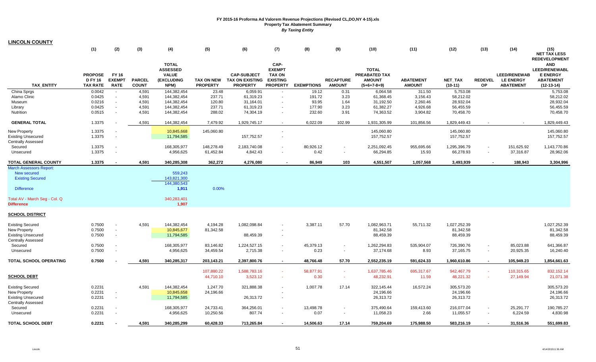| <b>LINCOLN COUNTY</b>                                                                                                                               |                                                     |                                                                |                               |                                                                              |                                                 |                                                                 |                                                                              |                               |                                             |                                                                        |                                   |                                                                   |                       |                                                             |                                                                                           |
|-----------------------------------------------------------------------------------------------------------------------------------------------------|-----------------------------------------------------|----------------------------------------------------------------|-------------------------------|------------------------------------------------------------------------------|-------------------------------------------------|-----------------------------------------------------------------|------------------------------------------------------------------------------|-------------------------------|---------------------------------------------|------------------------------------------------------------------------|-----------------------------------|-------------------------------------------------------------------|-----------------------|-------------------------------------------------------------|-------------------------------------------------------------------------------------------|
|                                                                                                                                                     | (1)                                                 | (2)                                                            | (3)                           | (4)                                                                          | (5)                                             | (6)                                                             | (7)                                                                          | (8)                           | (9)                                         | (10)                                                                   | (11)                              | (12)                                                              | (13)                  | (14)                                                        | (15)<br><b>NET TAX LESS</b><br><b>REDEVELOPMENT</b>                                       |
| <b>TAX ENTITY</b>                                                                                                                                   | <b>PROPOSE</b><br><b>D FY 16</b><br><b>TAX RATE</b> | FY 16<br><b>EXEMPT</b><br><b>RATE</b>                          | <b>PARCEL</b><br><b>COUNT</b> | <b>TOTAL</b><br><b>ASSESSED</b><br><b>VALUE</b><br><b>(EXCLUDING</b><br>NPM) | <b>TAX ON NEW</b><br><b>PROPERTY</b>            | <b>CAP-SUBJECT</b><br><b>TAX ON EXISTING</b><br><b>PROPERTY</b> | CAP-<br><b>EXEMPT</b><br><b>TAX ON</b><br><b>EXISTING</b><br><b>PROPERTY</b> | <b>EXEMPTIONS</b>             | <b>RECAPTURE</b><br><b>AMOUNT</b>           | <b>TOTAL</b><br><b>PREABATED TAX</b><br><b>AMOUNT</b><br>$(5+6+7-8+9)$ | <b>ABATEMENT</b><br><b>AMOUNT</b> | <b>NET TAX</b><br>$(10-11)$                                       | <b>REDEVEL</b><br>OP. | <b>LEED/RENEWAB</b><br><b>LE ENERGY</b><br><b>ABATEMENT</b> | <b>AND</b><br><b>LEED/RENEWABL</b><br><b>E ENERGY</b><br><b>ABATEMENT</b><br>$(12-13-14)$ |
| China Sprgs                                                                                                                                         | 0.0042                                              | $\sim$                                                         | 4,591                         | 144,382,454                                                                  | 23.48                                           | 6,059.91                                                        |                                                                              | 19.12                         | 0.31                                        | 6,064.58                                                               | 311.50                            | 5,753.08                                                          |                       |                                                             | 5,753.08                                                                                  |
| Alamo Clinic                                                                                                                                        | 0.0425                                              | $\mathbf{r}$                                                   | 4,591                         | 144,382,454                                                                  | 237.71                                          | 61,319.23                                                       | $\sim$                                                                       | 191.72                        | 3.23                                        | 61,368.45                                                              | 3,156.43                          | 58,212.02                                                         |                       |                                                             | 58,212.02                                                                                 |
| Museum                                                                                                                                              | 0.0216<br>0.0425                                    | $\sim$<br>$\sim$                                               | 4,591<br>4,591                | 144,382,454<br>144,382,454                                                   | 120.80<br>237.71                                | 31,164.01<br>61,319.23                                          | $\sim$<br>$\sim$                                                             | 93.95<br>177.90               | 1.64<br>3.23                                | 31,192.50<br>61,382.27                                                 | 2,260.46<br>4,926.68              | 28,932.04<br>56,455.59                                            |                       |                                                             | 28,932.04<br>56,455.59                                                                    |
| Library<br>Nutrition                                                                                                                                | 0.0515                                              | $\sim$                                                         | 4,591                         | 144,382,454                                                                  | 288.02                                          | 74,304.19                                                       |                                                                              | 232.60                        | 3.91                                        | 74,363.52                                                              | 3,904.82                          | 70,458.70                                                         |                       |                                                             | 70,458.70                                                                                 |
| <b>GENERAL TOTAL</b>                                                                                                                                | 1.3375                                              |                                                                | 4,591                         | 144,382,454                                                                  | 7,479.92                                        | 1,929,745.17                                                    | $\sim$                                                                       | 6,022.09                      | 102.99                                      | 1,931,305.99                                                           | 101,856.56                        | 1,829,449.43                                                      |                       |                                                             | 1,829,449.43                                                                              |
| <b>New Property</b><br><b>Existing Unsecured</b>                                                                                                    | 1.3375<br>1.3375                                    | $\overline{\phantom{a}}$<br>$\sim$                             |                               | 10,845,668<br>11,794,585                                                     | 145,060.80                                      | 157,752.57                                                      | $\overline{\phantom{a}}$                                                     |                               |                                             | 145,060.80<br>157,752.57                                               |                                   | 145,060.80<br>157,752.57                                          |                       |                                                             | 145,060.80<br>157,752.57                                                                  |
| <b>Centrally Assessed</b><br>Secured                                                                                                                | 1.3375                                              | $\sim$                                                         |                               | 168,305,977                                                                  | 148,278.49                                      | 2,183,740.08                                                    |                                                                              | 80,926.12                     |                                             | 2,251,092.45                                                           | 955,695.66                        | 1,295,396.79                                                      |                       | 151,625.92                                                  | 1,143,770.86                                                                              |
| Unsecured                                                                                                                                           | 1.3375                                              | $\sim$                                                         |                               | 4,956,625                                                                    | 61,452.84                                       | 4,842.43                                                        |                                                                              | 0.42                          | $\sim$                                      | 66,294.85                                                              | 15.93                             | 66,278.93                                                         | $\blacksquare$        | 37,316.87                                                   | 28,962.06                                                                                 |
| <b>TOTAL GENERAL COUNTY</b>                                                                                                                         | 1.3375                                              |                                                                | 4,591                         | 340,285,308                                                                  | 362,272                                         | 4,276,080                                                       |                                                                              | 86,949                        | 103                                         | 4,551,507                                                              | 1,057,568                         | 3,493,939                                                         |                       | 188,943                                                     | 3,304,996                                                                                 |
| <b>March Assessors Report:</b><br>New secured<br><b>Existing Secured</b><br><b>Difference</b><br>Total AV - March Seg - Col. Q<br><b>Difference</b> |                                                     |                                                                |                               | 559,243<br>143,821,300<br>144,380,543<br>1,911<br>340,283,401<br>1,907       | 0.00%                                           |                                                                 |                                                                              |                               |                                             |                                                                        |                                   |                                                                   |                       |                                                             |                                                                                           |
| <b>SCHOOL DISTRICT</b>                                                                                                                              |                                                     |                                                                |                               |                                                                              |                                                 |                                                                 |                                                                              |                               |                                             |                                                                        |                                   |                                                                   |                       |                                                             |                                                                                           |
| <b>Existing Secured</b><br><b>New Property</b><br><b>Existing Unsecured</b><br><b>Centrally Assessed</b><br>Secured<br>Unsecured                    | 0.7500<br>0.7500<br>0.7500<br>0.7500<br>0.7500      | $\sim$<br>$\blacksquare$<br>$\sim$<br>$\sim$<br>$\blacksquare$ | 4,591                         | 144,382,454<br>10,845,677<br>11,794,585<br>168,305,977<br>4,956,625          | 4,194.28<br>81,342.58<br>83,146.82<br>34,459.54 | 1,082,098.84<br>88,459.39<br>1,224,527.15<br>2,715.38           | $\overline{\phantom{a}}$<br>$\overline{\phantom{a}}$<br>$\sim$               | 3,387.11<br>45,379.13<br>0.23 | 57.70<br>$\overline{\phantom{a}}$<br>$\sim$ | 1,082,963.71<br>81,342.58<br>88,459.39<br>1,262,294.83<br>37,174.68    | 55,711.32<br>535,904.07<br>8.93   | 1,027,252.39<br>81,342.58<br>88,459.39<br>726,390.76<br>37,165.75 | $\sim$<br>$\sim$      | 85,023.88<br>20,925.35                                      | 1,027,252.39<br>81,342.58<br>88,459.39<br>641,366.87<br>16,240.40                         |
| <b>TOTAL SCHOOL OPERATING</b>                                                                                                                       | 0.7500                                              |                                                                | 4,591                         | 340,285,317                                                                  | 203,143.21                                      | 2,397,800.76                                                    |                                                                              | 48,766.48                     | 57.70                                       | 2,552,235.19                                                           | 591,624.33                        | 1,960,610.86                                                      |                       | 105,949.23                                                  | 1,854,661.63                                                                              |
| <b>SCHOOL DEBT</b>                                                                                                                                  |                                                     |                                                                |                               |                                                                              | 107,880.22<br>44,710.10                         | 1,588,783.16<br>3,523.12                                        | $\sim$                                                                       | 58,877.91<br>0.30             | $\sim$                                      | 1,637,785.46<br>48,232.91                                              | 695,317.67<br>11.59               | 942,467.79<br>48,221.32                                           |                       | 110,315.65<br>27,149.94                                     | 832, 152.14<br>21,071.38                                                                  |
| <b>Existing Secured</b><br>New Property<br><b>Existing Unsecured</b>                                                                                | 0.2231<br>0.2231<br>0.2231                          | $\overline{\phantom{a}}$<br>$\sim$                             | 4,591                         | 144,382,454<br>10,845,658<br>11,794,585                                      | 1,247.70<br>24,196.66                           | 321,888.38<br>26,313.72                                         | $\overline{\phantom{a}}$                                                     | 1,007.78                      | 17.14                                       | 322,145.44<br>24,196.66<br>26,313.72                                   | 16,572.24                         | 305,573.20<br>24,196.66<br>26,313.72                              |                       |                                                             | 305,573.20<br>24,196.66<br>26,313.72                                                      |
| <b>Centrally Assessed</b><br>Secured<br>Unsecured                                                                                                   | 0.2231<br>0.2231                                    | $\blacksquare$<br>÷,                                           |                               | 168,305,977<br>4,956,625                                                     | 24,733.41<br>10,250.56                          | 364,256.01<br>807.74                                            | $\overline{\phantom{a}}$                                                     | 13,498.78<br>0.07             |                                             | 375,490.64<br>11,058.23                                                | 159,413.60<br>2.66                | 216,077.04<br>11,055.57                                           |                       | 25,291.77<br>6,224.59                                       | 190,785.27<br>4,830.98                                                                    |
| <b>TOTAL SCHOOL DEBT</b>                                                                                                                            | 0.2231                                              |                                                                | 4.591                         | 340.285.299                                                                  | 60,428.33                                       | 713.265.84                                                      |                                                                              | 14.506.63                     | 17.14                                       | 759,204.69                                                             | 175.988.50                        | 583.216.19                                                        |                       | 31,516.36                                                   | 551,699.83                                                                                |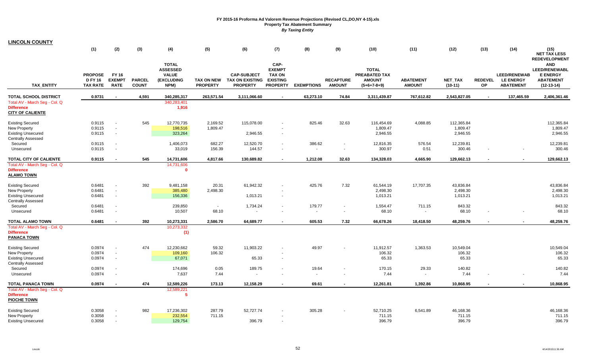| <b>LINCOLN COUNTY</b>                                                                                    |                                                     |                                                      |                               |                                                                              |                               |                                                                 |                                                                              |                   |                                   |                                                                        |                                   |                      |                          |                                                             |                                                                                    |
|----------------------------------------------------------------------------------------------------------|-----------------------------------------------------|------------------------------------------------------|-------------------------------|------------------------------------------------------------------------------|-------------------------------|-----------------------------------------------------------------|------------------------------------------------------------------------------|-------------------|-----------------------------------|------------------------------------------------------------------------|-----------------------------------|----------------------|--------------------------|-------------------------------------------------------------|------------------------------------------------------------------------------------|
|                                                                                                          | (1)                                                 | (2)                                                  | (3)                           | (4)                                                                          | (5)                           | (6)                                                             | (7)                                                                          | (8)               | (9)                               | (10)                                                                   | (11)                              | (12)                 | (13)                     | (14)                                                        | (15)<br><b>NET TAX LESS</b><br><b>REDEVELOPMENT</b>                                |
| <b>TAX ENTITY</b>                                                                                        | <b>PROPOSE</b><br><b>D FY 16</b><br><b>TAX RATE</b> | <b>FY 16</b><br><b>EXEMPT</b><br><b>RATE</b>         | <b>PARCEL</b><br><b>COUNT</b> | <b>TOTAL</b><br><b>ASSESSED</b><br><b>VALUE</b><br><b>(EXCLUDING</b><br>NPM) | TAX ON NEW<br><b>PROPERTY</b> | <b>CAP-SUBJECT</b><br><b>TAX ON EXISTING</b><br><b>PROPERTY</b> | CAP-<br><b>EXEMPT</b><br><b>TAX ON</b><br><b>EXISTING</b><br><b>PROPERTY</b> | <b>EXEMPTIONS</b> | <b>RECAPTURE</b><br><b>AMOUNT</b> | <b>TOTAL</b><br><b>PREABATED TAX</b><br><b>AMOUNT</b><br>$(5+6+7-8+9)$ | <b>ABATEMENT</b><br><b>AMOUNT</b> | NET_TAX<br>$(10-11)$ | <b>REDEVEL</b><br>ОP     | <b>LEED/RENEWAB</b><br><b>LE ENERGY</b><br><b>ABATEMENT</b> | <b>AND</b><br>LEED/RENEWABL<br><b>E ENERGY</b><br><b>ABATEMENT</b><br>$(12-13-14)$ |
| <b>TOTAL SCHOOL DISTRICT</b>                                                                             | 0.9731                                              |                                                      | 4,591                         | 340,285,317                                                                  | 263,571.54                    | 3,111,066.60                                                    |                                                                              | 63,273.10         | 74.84                             | 3,311,439.87                                                           | 767,612.82                        | 2,543,827.05         | $\overline{\phantom{a}}$ | 137,465.59                                                  | 2,406,361.46                                                                       |
| Total AV - March Seg - Col. Q<br><b>Difference</b><br><b>CITY OF CALIENTE</b>                            |                                                     |                                                      |                               | 340,283,401<br>1,916                                                         |                               |                                                                 |                                                                              |                   |                                   |                                                                        |                                   |                      |                          |                                                             |                                                                                    |
| <b>Existing Secured</b>                                                                                  | 0.9115                                              | $\sim$                                               | 545                           | 12,770,735                                                                   | 2,169.52                      | 115,078.00                                                      |                                                                              | 825.46            | 32.63                             | 116,454.69                                                             | 4,088.85                          | 112,365.84           |                          |                                                             | 112,365.84                                                                         |
| <b>New Property</b><br><b>Existing Unsecured</b><br><b>Centrally Assessed</b>                            | 0.9115<br>0.9115                                    | $\sim$<br>$\overline{\phantom{a}}$                   |                               | 198,516<br>323,264                                                           | 1,809.47                      | 2,946.55                                                        |                                                                              |                   |                                   | 1,809.47<br>2,946.55                                                   |                                   | 1,809.47<br>2,946.55 |                          |                                                             | 1,809.47<br>2,946.55                                                               |
| Secured                                                                                                  | 0.9115                                              | $\overline{\phantom{a}}$                             |                               | 1,406,073                                                                    | 682.27                        | 12,520.70                                                       |                                                                              | 386.62            |                                   | 12,816.35                                                              | 576.54                            | 12,239.81            |                          |                                                             | 12,239.81                                                                          |
| Unsecured                                                                                                | 0.9115                                              | $\sim$                                               |                               | 33,019                                                                       | 156.39                        | 144.57                                                          |                                                                              | $\sim$            |                                   | 300.97                                                                 | 0.51                              | 300.46               |                          |                                                             | 300.46                                                                             |
| <b>TOTAL CITY OF CALIENTE</b><br>Total AV - March Seg - Col. Q<br><b>Difference</b><br><b>ALAMO TOWN</b> | 0.9115                                              | $\blacksquare$                                       | 545                           | 14,731,606<br>14,731,606<br>$\mathbf{0}$                                     | 4,817.66                      | 130,689.82                                                      |                                                                              | 1,212.08          | 32.63                             | 134,328.03                                                             | 4,665.90                          | 129,662.13           |                          |                                                             | 129,662.13                                                                         |
| <b>Existing Secured</b>                                                                                  | 0.6481                                              | $\sim$                                               | 392                           | 9,481,158                                                                    | 20.31                         | 61,942.32                                                       |                                                                              | 425.76            | 7.32                              | 61,544.19                                                              | 17,707.35                         | 43,836.84            |                          |                                                             | 43,836.84                                                                          |
| <b>New Property</b><br><b>Existing Unsecured</b><br><b>Centrally Assessed</b>                            | 0.6481<br>0.6481                                    | $\sim$<br>$\blacksquare$                             |                               | 385,480<br>156,336                                                           | 2,498.30                      | 1,013.21                                                        | $\sim$                                                                       |                   |                                   | 2,498.30<br>1,013.21                                                   |                                   | 2,498.30<br>1,013.21 |                          |                                                             | 2,498.30<br>1,013.21                                                               |
| Secured<br>Unsecured                                                                                     | 0.6481<br>0.6481                                    | $\sim$<br>$\sim$                                     |                               | 239,850<br>10,507                                                            | $\sim$<br>68.10               | 1,734.24<br>$\blacksquare$                                      | $\sim$                                                                       | 179.77<br>$\sim$  | $\sim$                            | 1,554.47<br>68.10                                                      | 711.15<br>$\sim$                  | 843.32<br>68.10      |                          |                                                             | 843.32<br>68.10                                                                    |
| <b>TOTAL ALAMO TOWN</b>                                                                                  | 0.6481                                              | $\blacksquare$                                       | 392                           | 10,273,331                                                                   | 2,586.70                      | 64,689.77                                                       |                                                                              | 605.53            | 7.32                              | 66,678.26                                                              | 18,418.50                         | 48,259.76            |                          |                                                             | 48,259.76                                                                          |
| Total AV - March Seg - Col. Q<br><b>Difference</b><br><b>PANACA TOWN</b>                                 |                                                     |                                                      |                               | 10,273,332<br>(1)                                                            |                               |                                                                 |                                                                              |                   |                                   |                                                                        |                                   |                      |                          |                                                             |                                                                                    |
| <b>Existing Secured</b>                                                                                  | 0.0974                                              | $\sim$                                               | 474                           | 12,230,662                                                                   | 59.32                         | 11,903.22                                                       |                                                                              | 49.97             |                                   | 11,912.57                                                              | 1,363.53                          | 10,549.04            |                          |                                                             | 10,549.04                                                                          |
| <b>New Property</b><br><b>Existing Unsecured</b><br><b>Centrally Assessed</b>                            | 0.0974<br>0.0974                                    | $\blacksquare$<br>$\sim$                             |                               | 109,160<br>67,071                                                            | 106.32                        | 65.33                                                           |                                                                              |                   |                                   | 106.32<br>65.33                                                        |                                   | 106.32<br>65.33      |                          |                                                             | 106.32<br>65.33                                                                    |
| Secured<br>Unsecured                                                                                     | 0.0974<br>0.0974                                    | $\overline{\phantom{a}}$<br>$\overline{\phantom{a}}$ |                               | 174,696<br>7,637                                                             | 0.05<br>7.44                  | 189.75                                                          |                                                                              | 19.64<br>$\sim$   |                                   | 170.15<br>7.44                                                         | 29.33                             | 140.82<br>7.44       |                          |                                                             | 140.82<br>7.44                                                                     |
| <b>TOTAL PANACA TOWN</b>                                                                                 | 0.0974                                              | $\blacksquare$                                       | 474                           | 12,589,226                                                                   | 173.13                        | 12,158.29                                                       |                                                                              | 69.61             |                                   | 12,261.81                                                              | 1,392.86                          | 10,868.95            |                          |                                                             | 10,868.95                                                                          |
| Total AV - March Seg - Col. Q<br><b>Difference</b><br><b>PIOCHE TOWN</b>                                 |                                                     |                                                      |                               | 12,589,221<br>-5                                                             |                               |                                                                 |                                                                              |                   |                                   |                                                                        |                                   |                      |                          |                                                             |                                                                                    |
| <b>Existing Secured</b>                                                                                  | 0.3058                                              | $\overline{\phantom{a}}$                             | 982                           | 17,236,302                                                                   | 287.79                        | 52,727.74                                                       |                                                                              | 305.28            |                                   | 52,710.25                                                              | 6,541.89                          | 46,168.36            |                          |                                                             | 46,168.36                                                                          |
| <b>New Property</b><br><b>Existing Unsecured</b>                                                         | 0.3058<br>0.3058                                    | $\sim$<br>$\sim$                                     |                               | 232,554<br>129,754                                                           | 711.15                        | 396.79                                                          |                                                                              |                   |                                   | 711.15<br>396.79                                                       |                                   | 711.15<br>396.79     |                          |                                                             | 711.15<br>396.79                                                                   |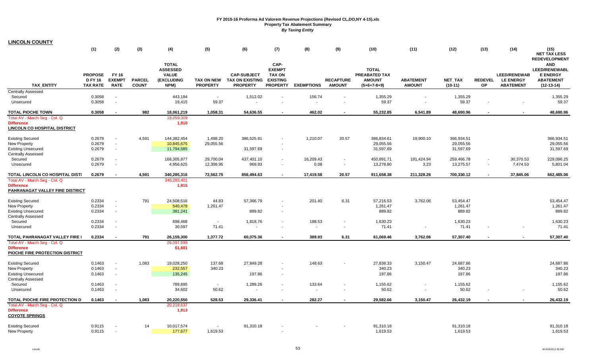| <b>LINCOLN COUNTY</b>                                                                     |                                                     |                                              |                               |                                                                              |                                   |                                                                 |                                                                              |                   |                                   |                                                                        |                                   |                                      |                             |                                                             |                                                                                                                   |
|-------------------------------------------------------------------------------------------|-----------------------------------------------------|----------------------------------------------|-------------------------------|------------------------------------------------------------------------------|-----------------------------------|-----------------------------------------------------------------|------------------------------------------------------------------------------|-------------------|-----------------------------------|------------------------------------------------------------------------|-----------------------------------|--------------------------------------|-----------------------------|-------------------------------------------------------------|-------------------------------------------------------------------------------------------------------------------|
|                                                                                           | (1)                                                 | (2)                                          | (3)                           | (4)                                                                          | (5)                               | (6)                                                             | (7)                                                                          | (8)               | (9)                               | (10)                                                                   | (11)                              | (12)                                 | (13)                        | (14)                                                        | (15)<br><b>NET TAX LESS</b>                                                                                       |
| <b>TAX ENTITY</b>                                                                         | <b>PROPOSE</b><br><b>D FY 16</b><br><b>TAX RATE</b> | <b>FY 16</b><br><b>EXEMPT</b><br><b>RATE</b> | <b>PARCEL</b><br><b>COUNT</b> | <b>TOTAL</b><br><b>ASSESSED</b><br><b>VALUE</b><br><b>(EXCLUDING</b><br>NPM) | TAX ON NEW<br><b>PROPERTY</b>     | <b>CAP-SUBJECT</b><br><b>TAX ON EXISTING</b><br><b>PROPERTY</b> | CAP-<br><b>EXEMPT</b><br><b>TAX ON</b><br><b>EXISTING</b><br><b>PROPERTY</b> | <b>EXEMPTIONS</b> | <b>RECAPTURE</b><br><b>AMOUNT</b> | <b>TOTAL</b><br><b>PREABATED TAX</b><br><b>AMOUNT</b><br>$(5+6+7-8+9)$ | <b>ABATEMENT</b><br><b>AMOUNT</b> | NET_TAX<br>$(10-11)$                 | <b>REDEVEL</b><br><b>OP</b> | <b>LEED/RENEWAB</b><br><b>LE ENERGY</b><br><b>ABATEMENT</b> | <b>REDEVELOPMENT</b><br><b>AND</b><br><b>LEED/RENEWABL</b><br><b>E ENERGY</b><br><b>ABATEMENT</b><br>$(12-13-14)$ |
| <b>Centrally Assessed</b>                                                                 |                                                     |                                              |                               |                                                                              |                                   |                                                                 |                                                                              |                   |                                   |                                                                        |                                   |                                      |                             |                                                             |                                                                                                                   |
| Secured<br>Unsecured                                                                      | 0.3058<br>0.3058                                    | $\sim$<br>$\sim$                             |                               | 443,194<br>19,415                                                            | $\sim$<br>59.37                   | 1,512.02                                                        | $\sim$                                                                       | 156.74            |                                   | 1,355.29<br>59.37                                                      | $\sim$<br>$\sim$                  | 1,355.29<br>59.37                    |                             |                                                             | 1,355.29<br>59.37                                                                                                 |
| <b>TOTAL PIOCHE TOWN</b>                                                                  | 0.3058                                              | $\overline{\phantom{a}}$                     | 982                           | 18,061,219                                                                   | 1,058.31                          | 54,636.55                                                       | $\overline{\phantom{a}}$                                                     | 462.02            |                                   | 55,232.85                                                              | 6,541.89                          | 48,690.96                            |                             |                                                             | 48,690.96                                                                                                         |
| Total AV - March Seg - Col. Q<br><b>Difference</b><br><b>LINCOLN CO HOSPITAL DISTRICT</b> |                                                     |                                              |                               | 18,059,309<br>1,910                                                          |                                   |                                                                 |                                                                              |                   |                                   |                                                                        |                                   |                                      |                             |                                                             |                                                                                                                   |
| <b>Existing Secured</b><br><b>New Property</b><br><b>Existing Unsecured</b>               | 0.2679<br>0.2679<br>0.2679                          | $\sim$<br>$\sim$<br>$\blacksquare$           | 4,591                         | 144,382,454<br>10,845,675<br>11,794,585                                      | 1,498.20<br>29,055.56             | 386,525.91<br>31,597.69                                         | $\overline{\phantom{a}}$<br>$\overline{\phantom{a}}$                         | 1,210.07          | 20.57                             | 386,834.61<br>29,055.56<br>31,597.69                                   | 19,900.10                         | 366,934.51<br>29,055.56<br>31,597.69 |                             |                                                             | 366,934.51<br>29,055.56<br>31,597.69                                                                              |
| <b>Centrally Assessed</b><br>Secured                                                      | 0.2679                                              | $\sim$                                       |                               | 168,305,977                                                                  | 29,700.04                         | 437,401.10                                                      | $\blacksquare$                                                               | 16.209.43         | $\blacksquare$                    | 450,891.71                                                             | 191,424.94                        | 259,466.78                           |                             | 30,370.53                                                   | 229,096.25                                                                                                        |
| Unsecured                                                                                 | 0.2679                                              | $\blacksquare$                               |                               | 4,956,625                                                                    | 12,308.95                         | 969.93                                                          | $\overline{\phantom{a}}$                                                     | 0.08              | $\overline{\phantom{a}}$          | 13,278.80                                                              | 3.23                              | 13,275.57                            |                             | 7,474.53                                                    | 5,801.04                                                                                                          |
| TOTAL LINCOLN CO HOSPITAL DISTI                                                           | 0.2679                                              | $\blacksquare$                               | 4,591                         | 340,285,316                                                                  | 72,562.75                         | 856,494.63                                                      | $\sim$                                                                       | 17,419.58         | 20.57                             | 911,658.38                                                             | 211,328.26                        | 700,330.12                           | $\sim$                      | 37,845.06                                                   | 662,485.06                                                                                                        |
| Total AV - March Seg - Col. Q<br><b>Difference</b><br>PAHRANAGAT VALLEY FIRE DISTRICT     |                                                     |                                              |                               | 340,283,401<br>1,915                                                         |                                   |                                                                 |                                                                              |                   |                                   |                                                                        |                                   |                                      |                             |                                                             |                                                                                                                   |
| <b>Existing Secured</b>                                                                   | 0.2334                                              | $\blacksquare$                               | 791                           | 24,508,516                                                                   | 44.83                             | 57,366.79                                                       | $\overline{\phantom{a}}$                                                     | 201.40            | 6.31                              | 57,216.53                                                              | 3,762.06                          | 53,454.47                            |                             |                                                             | 53,454.47                                                                                                         |
| <b>New Property</b><br><b>Existing Unsecured</b><br><b>Centrally Assessed</b>             | 0.2334<br>0.2334                                    | $\sim$<br>$\blacksquare$                     |                               | 540,478<br>381,241                                                           | 1,261.47                          | 889.82                                                          | $\sim$                                                                       |                   |                                   | 1,261.47<br>889.82                                                     |                                   | 1,261.47<br>889.82                   |                             |                                                             | 1,261.47<br>889.82                                                                                                |
| Secured<br>Unsecured                                                                      | 0.2334<br>0.2334                                    | $\sim$<br>$\blacksquare$                     |                               | 698,468<br>30,597                                                            | $\overline{\phantom{a}}$<br>71.41 | 1,818.76                                                        | $\overline{\phantom{a}}$                                                     | 188.53            | $\overline{\phantom{a}}$          | 1,630.23<br>71.41                                                      | $\blacksquare$                    | 1,630.23<br>71.41                    |                             | $\overline{\phantom{a}}$                                    | 1,630.23<br>71.41                                                                                                 |
| TOTAL PAHRANAGAT VALLEY FIRE                                                              | 0.2334                                              | $\blacksquare$                               | 791                           | 26,159,300                                                                   | 1,377.72                          | 60,075.36                                                       |                                                                              | 389.93            | 6.31                              | 61,069.46                                                              | 3,762.06                          | 57,307.40                            |                             |                                                             | 57,307.40                                                                                                         |
| Total AV - March Seg - Col. Q<br><b>Difference</b><br>PIOCHE FIRE PROTECTION DISTRICT     |                                                     |                                              |                               | 26,097,699<br>61,601                                                         |                                   |                                                                 |                                                                              |                   |                                   |                                                                        |                                   |                                      |                             |                                                             |                                                                                                                   |
| <b>Existing Secured</b>                                                                   | 0.1463                                              | $\sim$                                       | 1,083                         | 19,028,250                                                                   | 137.68                            | 27,849.28                                                       |                                                                              | 148.63            |                                   | 27,838.33                                                              | 3,150.47                          | 24,687.86                            |                             |                                                             | 24,687.86                                                                                                         |
| New Property<br><b>Existing Unsecured</b><br><b>Centrally Assessed</b>                    | 0.1463<br>0.1463                                    | $\mathcal{L}$<br>$\sim$                      |                               | 232,557<br>135,245                                                           | 340.23                            | 197.86                                                          | $\sim$                                                                       |                   |                                   | 340.23<br>197.86                                                       |                                   | 340.23<br>197.86                     |                             |                                                             | 340.23<br>197.86                                                                                                  |
| Secured<br>Unsecured                                                                      | 0.1463<br>0.1463                                    | $\sim$<br>$\blacksquare$                     |                               | 789,895<br>34,602                                                            | $\sim$<br>50.62                   | 1,289.26                                                        | $\blacksquare$<br>$\overline{\phantom{a}}$                                   | 133.64            | $\overline{\phantom{a}}$          | 1,155.62<br>50.62                                                      | $\blacksquare$                    | 1,155.62<br>50.62                    |                             |                                                             | 1,155.62<br>50.62                                                                                                 |
| TOTAL PIOCHE FIRE PROTECTION D                                                            | 0.1463                                              | $\blacksquare$                               | 1,083                         | 20,220,550                                                                   | 528.53                            | 29,336.41                                                       |                                                                              | 282.27            |                                   | 29,582.66                                                              | 3,150.47                          | 26,432.19                            |                             | $\blacksquare$                                              | 26,432.19                                                                                                         |
| Total AV - March Seg - Col. Q<br><b>Difference</b><br><b>COYOTE SPRINGS</b>               |                                                     |                                              |                               | 20,218,637<br>1,913                                                          |                                   |                                                                 |                                                                              |                   |                                   |                                                                        |                                   |                                      |                             |                                                             |                                                                                                                   |
| <b>Existing Secured</b><br>New Property                                                   | 0.9115<br>0.9115                                    |                                              | 14                            | 10,017,574<br>177,677                                                        | 1,619.53                          | 91,310.18                                                       |                                                                              |                   |                                   | 91,310.18<br>1,619.53                                                  |                                   | 91,310.18<br>1,619.53                |                             |                                                             | 91,310.18<br>1,619.53                                                                                             |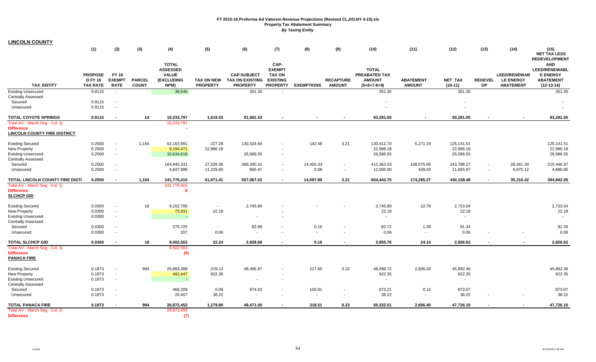| <b>LINCOLN COUNTY</b>                |                                                     |                                       |                               |                                                                       |                                      |                                                                 |                                                                              |                   |                                   |                                                                        |                                   |                          |                       |                                                             |                                                                                    |
|--------------------------------------|-----------------------------------------------------|---------------------------------------|-------------------------------|-----------------------------------------------------------------------|--------------------------------------|-----------------------------------------------------------------|------------------------------------------------------------------------------|-------------------|-----------------------------------|------------------------------------------------------------------------|-----------------------------------|--------------------------|-----------------------|-------------------------------------------------------------|------------------------------------------------------------------------------------|
|                                      | (1)                                                 | (2)                                   | (3)                           | (4)                                                                   | (5)                                  | (6)                                                             | (7)                                                                          | (8)               | (9)                               | (10)                                                                   | (11)                              | (12)                     | (13)                  | (14)                                                        | (15)<br><b>NET TAX LESS</b><br><b>REDEVELOPMENT</b>                                |
| <b>TAX ENTITY</b>                    | <b>PROPOSE</b><br><b>D FY 16</b><br><b>TAX RATE</b> | FY 16<br><b>EXEMPT</b><br><b>RATE</b> | <b>PARCEL</b><br><b>COUNT</b> | <b>TOTAL</b><br><b>ASSESSED</b><br><b>VALUE</b><br>(EXCLUDING<br>NPM) | <b>TAX ON NEW</b><br><b>PROPERTY</b> | <b>CAP-SUBJECT</b><br><b>TAX ON EXISTING</b><br><b>PROPERTY</b> | CAP-<br><b>EXEMPT</b><br><b>TAX ON</b><br><b>EXISTING</b><br><b>PROPERTY</b> | <b>EXEMPTIONS</b> | <b>RECAPTURE</b><br><b>AMOUNT</b> | <b>TOTAL</b><br><b>PREABATED TAX</b><br><b>AMOUNT</b><br>$(5+6+7-8+9)$ | <b>ABATEMENT</b><br><b>AMOUNT</b> | NET_TAX<br>$(10-11)$     | <b>REDEVEL</b><br>OP. | <b>LEED/RENEWAB</b><br><b>LE ENERGY</b><br><b>ABATEMENT</b> | <b>AND</b><br>LEED/RENEWABL<br><b>E ENERGY</b><br><b>ABATEMENT</b><br>$(12-13-14)$ |
| <b>Existing Unsecured</b>            | 0.9115                                              | $\sim$                                |                               | 38,546                                                                |                                      | 351.35                                                          |                                                                              |                   |                                   | 351.35                                                                 |                                   | 351.35                   |                       |                                                             | 351.35                                                                             |
| <b>Centrally Assessed</b>            |                                                     |                                       |                               |                                                                       |                                      |                                                                 |                                                                              |                   |                                   |                                                                        |                                   |                          |                       |                                                             |                                                                                    |
| Secured                              | 0.9115                                              | $\sim$                                |                               |                                                                       |                                      |                                                                 |                                                                              |                   |                                   |                                                                        |                                   |                          |                       |                                                             |                                                                                    |
| Unsecured                            | 0.9115                                              | $\sim$                                |                               |                                                                       |                                      |                                                                 |                                                                              |                   |                                   |                                                                        |                                   | $\overline{\phantom{a}}$ |                       |                                                             |                                                                                    |
| <b>TOTAL COYOTE SPRINGS</b>          | 0.9115                                              |                                       | 14                            | 10,233,797                                                            | 1,619.53                             | 91,661.53                                                       |                                                                              |                   |                                   | 93,281.05                                                              |                                   | 93,281.05                |                       |                                                             | 93,281.05                                                                          |
| Total AV - March Seg - Col. Q        |                                                     |                                       |                               | 10,233,797                                                            |                                      |                                                                 |                                                                              |                   |                                   |                                                                        |                                   |                          |                       |                                                             |                                                                                    |
| <b>Difference</b>                    |                                                     |                                       |                               |                                                                       |                                      |                                                                 |                                                                              |                   |                                   |                                                                        |                                   |                          |                       |                                                             |                                                                                    |
| <b>LINCOLN COUNTY FIRE DISTRICT</b>  |                                                     |                                       |                               |                                                                       |                                      |                                                                 |                                                                              |                   |                                   |                                                                        |                                   |                          |                       |                                                             |                                                                                    |
| <b>Existing Secured</b>              | 0.2500                                              | $\sim$                                | 1,164                         | 52,163,991                                                            | 227.28                               | 130,324.69                                                      |                                                                              | 142.48            | 3.21                              | 130,412.70                                                             | 5,271.19                          | 125,141.51               |                       |                                                             | 125,141.51                                                                         |
| <b>New Property</b>                  | 0.2500                                              | $\sim$                                |                               | 9,194,471                                                             | 22,986.18                            |                                                                 |                                                                              |                   |                                   | 22,986.18                                                              |                                   | 22,986.18                |                       |                                                             | 22,986.18                                                                          |
| <b>Existing Unsecured</b>            | 0.2500                                              | $\sim$                                |                               | 10,634,618                                                            |                                      | 26,586.55                                                       |                                                                              |                   |                                   | 26,586.55                                                              |                                   | 26,586.55                |                       |                                                             | 26,586.55                                                                          |
| <b>Centrally Assessed</b>            |                                                     |                                       |                               |                                                                       |                                      |                                                                 |                                                                              |                   |                                   |                                                                        |                                   |                          |                       |                                                             |                                                                                    |
| Secured                              | 0.2500                                              | $\sim$                                |                               | 164,945,331                                                           | 27,528.36                            | 399,290.31                                                      |                                                                              | 14,455.33         |                                   | 412,363.33                                                             | 168,575.06                        | 243,788.27               |                       | 28,341.30                                                   | 215,446.97                                                                         |
| Unsecured                            | 0.2500                                              | $\sim$                                |                               | 4,837,999                                                             | 11,229.60                            | 865.47                                                          |                                                                              | 0.08              |                                   | 12,095.00                                                              | 439.03                            | 11,655.97                | $\blacksquare$        | 6,975.12                                                    | 4,680.85                                                                           |
| TOTAL LINCOLN COUNTY FIRE DISTI      | 0.2500                                              |                                       | 1,164                         | 241,776,410                                                           | 61,971.41                            | 557,067.02                                                      |                                                                              | 14,597.89         | 3.21                              | 604,443.75                                                             | 174,285.27                        | 430,158.48               |                       | 35,316.42                                                   | 394,842.05                                                                         |
| Total AV - March Seg - Col. Q        |                                                     |                                       |                               | 241,776,402                                                           |                                      |                                                                 |                                                                              |                   |                                   |                                                                        |                                   |                          |                       |                                                             |                                                                                    |
| <b>Difference</b>                    |                                                     |                                       |                               | -8                                                                    |                                      |                                                                 |                                                                              |                   |                                   |                                                                        |                                   |                          |                       |                                                             |                                                                                    |
| <b>SLCHCP GID</b>                    |                                                     |                                       |                               |                                                                       |                                      |                                                                 |                                                                              |                   |                                   |                                                                        |                                   |                          |                       |                                                             |                                                                                    |
|                                      |                                                     |                                       |                               |                                                                       |                                      |                                                                 |                                                                              |                   |                                   |                                                                        |                                   |                          |                       |                                                             |                                                                                    |
| <b>Existing Secured</b>              | 0.0300                                              | $\sim$                                | 16                            | 9,152,700                                                             | $\sim$                               | 2,745.80                                                        |                                                                              |                   |                                   | 2,745.80                                                               | 22.76                             | 2,723.04                 |                       |                                                             | 2,723.04                                                                           |
| New Property                         | 0.0300                                              | $\sim$                                |                               | 73,931                                                                | 22.18                                |                                                                 |                                                                              |                   |                                   | 22.18                                                                  |                                   | 22.18                    |                       |                                                             | 22.18                                                                              |
| <b>Existing Unsecured</b>            | 0.0300                                              | $\sim$                                |                               |                                                                       |                                      | $\blacksquare$                                                  |                                                                              |                   |                                   | $\sim$                                                                 |                                   | $\sim$                   |                       |                                                             | $\sim$                                                                             |
| <b>Centrally Assessed</b><br>Secured | 0.0300                                              | $\sim$                                |                               | 275,725                                                               | $\sim$                               | 82.88                                                           |                                                                              | 0.16              |                                   | 82.72                                                                  | 1.38                              | 81.34                    |                       |                                                             | 81.34                                                                              |
| Unsecured                            | 0.0300                                              | $\sim$                                |                               | 207                                                                   | $0.06\,$                             | $\sim$                                                          |                                                                              | $\sim$            | $\sim$                            | 0.06                                                                   | $\sim$                            | 0.06                     |                       |                                                             | 0.06                                                                               |
|                                      |                                                     |                                       |                               |                                                                       |                                      |                                                                 |                                                                              |                   |                                   |                                                                        |                                   |                          |                       |                                                             |                                                                                    |
| <b>TOTAL SLCHCP GID</b>              | 0.0300                                              |                                       | 16                            | 9,502,563                                                             | 22.24                                | 2,828.68                                                        |                                                                              | 0.16              |                                   | 2,850.76                                                               | 24.14                             | 2,826.62                 |                       |                                                             | 2,826.62                                                                           |
| Total AV - March Seg - Col. Q        |                                                     |                                       |                               | 9,502,563                                                             |                                      |                                                                 |                                                                              |                   |                                   |                                                                        |                                   |                          |                       |                                                             |                                                                                    |
| <b>Difference</b>                    |                                                     |                                       |                               | (0)                                                                   |                                      |                                                                 |                                                                              |                   |                                   |                                                                        |                                   |                          |                       |                                                             |                                                                                    |
| <b>PANACA FIRE</b>                   |                                                     |                                       |                               |                                                                       |                                      |                                                                 |                                                                              |                   |                                   |                                                                        |                                   |                          |                       |                                                             |                                                                                    |
| <b>Existing Secured</b>              | 0.1873                                              | $\sim$                                | 994                           | 25,893,388                                                            | 219.13                               | 48,496.97                                                       |                                                                              | 217.60            | 0.22                              | 48,498.72                                                              | 2,606.26                          | 45,892.46                |                       |                                                             | 45,892.46                                                                          |
| <b>New Property</b>                  | 0.1873                                              | $\sim$                                |                               | 492,447                                                               | 922.35                               |                                                                 |                                                                              |                   |                                   | 922.35                                                                 |                                   | 922.35                   |                       |                                                             | 922.35                                                                             |
| <b>Existing Unsecured</b>            | 0.1873                                              | $\sim$                                |                               | $\sim$                                                                |                                      | $\sim$                                                          |                                                                              |                   |                                   | $\sim$                                                                 |                                   | $\sim$                   |                       |                                                             | $\sim$                                                                             |
| <b>Centrally Assessed</b>            |                                                     |                                       |                               |                                                                       |                                      |                                                                 |                                                                              |                   |                                   |                                                                        |                                   |                          |                       |                                                             |                                                                                    |
| Secured                              | 0.1873                                              | $\sim$                                |                               | 466,209                                                               | 0.09                                 | 974.03                                                          |                                                                              | 100.91            |                                   | 873.21                                                                 | 0.14                              | 873.07                   |                       |                                                             | 873.07                                                                             |
| Unsecured                            | 0.1873                                              | $\sim$                                |                               | 20,407                                                                | 38.22                                | $\blacksquare$                                                  |                                                                              | $\blacksquare$    |                                   | 38.22                                                                  | $\sim$                            | 38.22                    |                       | $\sim$                                                      | 38.22                                                                              |
| <b>TOTAL PANACA FIRE</b>             | 0.1873                                              |                                       | 994                           | 26,872,452                                                            | 1,179.80                             | 49,471.00                                                       |                                                                              | 318.51            | 0.22                              | 50,332.51                                                              | 2,606.40                          | 47,726.10                |                       |                                                             | 47,726.10                                                                          |
| Total AV - March Seg - Col. Q        |                                                     |                                       |                               | 26,872,459                                                            |                                      |                                                                 |                                                                              |                   |                                   |                                                                        |                                   |                          |                       |                                                             |                                                                                    |
| <b>Difference</b>                    |                                                     |                                       |                               | (7)                                                                   |                                      |                                                                 |                                                                              |                   |                                   |                                                                        |                                   |                          |                       |                                                             |                                                                                    |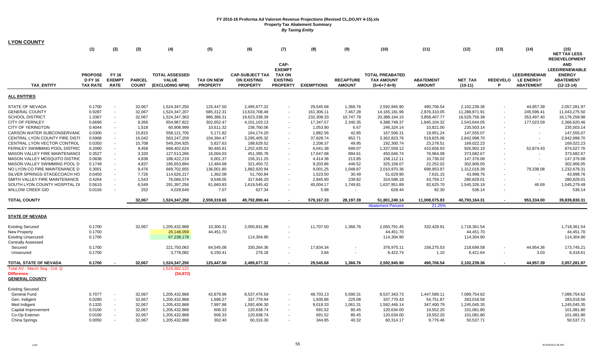| <b>LYON COUNTY</b>                         |                                                     |                                              |                               |                                                          |                                      |                                                                 |                                                                              |                   |                                   |                                                              |                                   |                      |                      |                                                             |                                                                                                                  |
|--------------------------------------------|-----------------------------------------------------|----------------------------------------------|-------------------------------|----------------------------------------------------------|--------------------------------------|-----------------------------------------------------------------|------------------------------------------------------------------------------|-------------------|-----------------------------------|--------------------------------------------------------------|-----------------------------------|----------------------|----------------------|-------------------------------------------------------------|------------------------------------------------------------------------------------------------------------------|
|                                            | (1)                                                 | (2)                                          | (3)                           | (4)                                                      | (5)                                  | (6)                                                             | (7)                                                                          | (8)               | (9)                               | (10)                                                         | (11)                              | (12)                 | (13)                 | (14)                                                        | (15)                                                                                                             |
|                                            |                                                     |                                              |                               |                                                          |                                      |                                                                 |                                                                              |                   |                                   |                                                              |                                   |                      |                      |                                                             | <b>NET TAX LESS</b>                                                                                              |
| <b>TAX ENTITY</b>                          | <b>PROPOSE</b><br><b>D FY 16</b><br><b>TAX RATE</b> | <b>FY 16</b><br><b>EXEMPT</b><br><b>RATE</b> | <b>PARCEL</b><br><b>COUNT</b> | <b>TOTAL ASSESSED</b><br><b>VALUE</b><br>(EXCLUDING NPM) | <b>TAX ON NEW</b><br><b>PROPERTY</b> | <b>CAP-SUBJECT TAX</b><br><b>ON EXISTING</b><br><b>PROPERTY</b> | CAP-<br><b>EXEMPT</b><br><b>TAX ON</b><br><b>EXISTING</b><br><b>PROPERTY</b> | <b>EXEMPTIONS</b> | <b>RECAPTURE</b><br><b>AMOUNT</b> | <b>TOTAL PREABATED</b><br><b>TAX AMOUNT</b><br>$(5+6+7-8+9)$ | <b>ABATEMENT</b><br><b>AMOUNT</b> | NET_TAX<br>$(10-11)$ | <b>REDEVELO</b><br>P | <b>LEED/RENEWAB</b><br><b>LE ENERGY</b><br><b>ABATEMENT</b> | <b>REDEVELOPMENT</b><br><b>AND</b><br><b>LEED/RENEWABLE</b><br><b>ENERGY</b><br><b>ABATEMENT</b><br>$(12-13-14)$ |
| <b>ALL ENTITIES</b>                        |                                                     |                                              |                               |                                                          |                                      |                                                                 |                                                                              |                   |                                   |                                                              |                                   |                      |                      |                                                             |                                                                                                                  |
| <b>STATE OF NEVADA</b>                     | 0.1700                                              | $\blacksquare$                               | 32,067                        | 1,524,347,250                                            | 125,447.50                           | 2,495,677.32                                                    | $\blacksquare$                                                               | 29,545.68         | 1,366.76                          | 2,592,945.90                                                 | 490,706.54                        | 2,102,239.36         |                      | 44,957.39                                                   | 2,057,281.97                                                                                                     |
| <b>GENERAL COUNTY</b>                      | 0.9287                                              | $\blacksquare$                               | 32,067                        | 1,524,347,207                                            | 685,312.31                           | 13,633,708.48                                                   | $\blacksquare$                                                               | 161,306.11        | 7,467.28                          | 14, 165, 181. 96                                             | 2,876,310.05                      | 11,288,871.91        | $\blacksquare$       | 245,596.41                                                  | 11,043,275.50                                                                                                    |
| <b>SCHOOL DISTRICT</b>                     | 1.3367                                              | $\sim$                                       | 32,067                        | 1,524,347,363                                            | 986,386.31                           | 19,623,338.39                                                   | $\blacksquare$                                                               | 232,308.33        | 10,747.78                         | 20,388,164.15                                                | 3,858,407.77                      | 16,529,756.38        |                      | 353,497.40                                                  | 16,176,258.98                                                                                                    |
| <b>CITY OF FERNLEY</b>                     | 0.6696                                              | $\sim$                                       | 9,356                         | 654.967.822                                              | 302,652.47                           | 4.101.103.13                                                    |                                                                              | 17,347.57         | 2,340.35                          | 4,388,748.37                                                 | 1,845,104.32                      | 2,543,644.05         |                      | 177,023.59                                                  | 2,366,620.46                                                                                                     |
| <b>CITY OF YERINGTON</b>                   | 0.4044                                              | $\blacksquare$                               | 1,518                         | 60,908,999                                               | 10,611.32                            | 236,760.06                                                      | $\blacksquare$                                                               | 1,053.90          | 6.67                              | 246,324.14                                                   | 10,821.00                         | 235,503.14           | $\sim$               | $\sim$                                                      | 235,503.14                                                                                                       |
| CARSON WATER SUBCONSERVANC                 | 0.0300                                              | $\blacksquare$                               | 15,815                        | 558,121,705                                              | 5,171.82                             | 164,174.20                                                      |                                                                              | 1,882.56          | 42.85                             | 167,506.31                                                   | 19,951.24                         | 147,555.07           |                      | $\blacksquare$                                              | 147,555.07                                                                                                       |
| CENTRAL LYON COUNTY FIRE DISTI             | 0.5968                                              | $\blacksquare$                               | 16,042                        | 563,247,259                                              | 104,394.47                           | 3,295,405.32                                                    | $\blacksquare$                                                               | 37,828.74         | 852.71                            | 3,362,823.76                                                 | 519,825.06                        | 2,842,998.70         |                      | $\blacksquare$                                              | 2,842,998.70                                                                                                     |
| CENTRAL LYON VECTOR CONTROL                | 0.0350                                              | $\blacksquare$                               | 15,708                        | 549,204,925                                              | 5,827.63                             | 188,629.52                                                      | $\blacksquare$                                                               | 2,206.37          | 49.95                             | 192,300.74                                                   | 23,278.51                         | 169,022.23           |                      |                                                             | 169,022.23                                                                                                       |
| FERNLEY SWIMMING POOL DISTRIC              | 0.2000                                              | $\sim$                                       | 9,458                         | 668,402,624                                              | 90,465.91                            | 1,252,435.52                                                    |                                                                              | 6,041.38          | 699.07                            | 1,337,559.12                                                 | 410,656.93                        | 926,902.19           |                      | 52,874.43                                                   | 874,027.76                                                                                                       |
| MASON VALLEY FIRE MAINTENANCE              | 0.3527                                              | $\sim$                                       | 3,320                         | 127,513,266                                              | 16,004.03                            | 451,395.78                                                      | $\blacksquare$                                                               | 17,647.68         | 894.61                            | 450,646.74                                                   | 76,964.08                         | 373,682.67           | $\sim$               |                                                             | 373,682.67                                                                                                       |
| <b>MASON VALLEY MOSQUITO DISTRIC</b>       | 0.0838                                              | $\blacksquare$                               | 4,838                         | 188,422,219                                              | 6,001.37                             | 156,311.25                                                      | $\blacksquare$                                                               | 4,414.36          | 213.85                            | 158,112.11                                                   | 10,736.02                         | 147,376.08           | $\sim$               | $\sim$                                                      | 147,376.08                                                                                                       |
| MASON VALLEY SWIMMING POOL D               | 0.1749                                              | $\blacksquare$                               | 4,837                         | 185,653,894                                              | 12,464.68                            | 321,450.72                                                      |                                                                              | 9,203.86          | 446.52                            | 325,158.07                                                   | 22,252.02                         | 302,906.05           |                      | $\blacksquare$                                              | 302,906.05                                                                                                       |
| NO LYON CO FIRE MAINTENANCE D              | 0.3001                                              | $\blacksquare$                               | 9,476                         | 669,702,655                                              | 136,001.80                           | 1,882,920.94                                                    | $\blacksquare$                                                               | 9,001.25          | 1,048.87                          | 2,010,970.36                                                 | 698,953.97                        | 1,312,016.39         |                      | 79,338.08                                                   | 1,232,678.31                                                                                                     |
| SILVER SPRINGS-STAGECOACH HO               | 0.0450                                              | $\sim$                                       | 7,726                         | 114,626,217                                              | 1,362.08                             | 51,760.84                                                       | $\overline{\phantom{a}}$                                                     | 1,523.50          | 30.49                             | 51,629.90                                                    | 7,631.15                          | 43,998.76            |                      | $\sim$                                                      | 43,998.76                                                                                                        |
| SMITH VALLEY FIRE MAINTENANCE              | 0.4264                                              | $\overline{\phantom{a}}$                     | 1,543                         | 76,066,574                                               | 9,548.05                             | 317,646.20                                                      |                                                                              | 2,845.90          | 239.82                            | 324,588.18                                                   | 43,759.17                         | 280,829.01           |                      | $\sim$                                                      | 280,829.01                                                                                                       |
| SOUTH LYON COUNTY HOSPITAL DI              | 0.5615                                              | $\blacksquare$                               | 6,549                         | 291,397,256                                              | 61,660.83                            | 1,619,545.42                                                    | $\blacksquare$                                                               | 45,004.17         | 1,749.81                          | 1,637,951.89                                                 | 92,625.70                         | 1,545,326.19         | $\blacksquare$       | 46.69                                                       | 1,545,279.49                                                                                                     |
| <b>WILLOW CREEK GID</b>                    | 0.0156                                              | $\blacksquare$                               | 252                           | 4,028,649                                                | 7.07                                 | 627.34                                                          | $\blacksquare$                                                               | 5.98              | $\blacksquare$                    | 628.44                                                       | 92.30                             | 536.14               |                      |                                                             | 536.14                                                                                                           |
| <b>TOTAL COUNTY</b>                        |                                                     |                                              | 32,067                        | 1,524,347,250                                            | 2,559,319.65                         | 49,792,890.44                                                   | $\blacksquare$                                                               | 579,167.33        | 28,197.39                         | 51,801,240.14<br><b>Abatement Percent</b>                    | 11,008,075.83<br>21.25%           | 40,793,164.31        | $\blacksquare$       | 953,334.00                                                  | 39,839,830.31                                                                                                    |
|                                            |                                                     |                                              |                               |                                                          |                                      |                                                                 |                                                                              |                   |                                   |                                                              |                                   |                      |                      |                                                             |                                                                                                                  |
| <b>STATE OF NEVADA</b>                     |                                                     |                                              |                               |                                                          |                                      |                                                                 |                                                                              |                   |                                   |                                                              |                                   |                      |                      |                                                             |                                                                                                                  |
| <b>Existing Secured</b>                    | 0.1700                                              |                                              | 32,067                        | 1,205,432,868                                            | 10,300.31                            | 2,050,831.88                                                    | $\blacksquare$                                                               | 11,707.50         | 1,366.76                          | 2,050,791.45                                                 | 332,429.91                        | 1,718,361.54         |                      |                                                             | 1,718,361.54                                                                                                     |
| New Property                               | 0.1700                                              |                                              |                               | 26,148,059                                               | 44,451.70                            |                                                                 |                                                                              |                   |                                   | 44,451.70                                                    |                                   | 44,451.70            |                      |                                                             | 44,451.70                                                                                                        |
| <b>Existing Unsecured</b>                  | 0.1700                                              |                                              |                               | 67,238,178                                               |                                      | 114,304.90                                                      | $\blacksquare$                                                               |                   |                                   | 114,304.90                                                   |                                   | 114,304.90           |                      |                                                             | 114,304.90                                                                                                       |
| <b>Centrally Assessed</b>                  |                                                     |                                              |                               |                                                          |                                      |                                                                 |                                                                              |                   |                                   |                                                              |                                   |                      |                      |                                                             |                                                                                                                  |
| Secured                                    | 0.1700                                              |                                              |                               | 221,750,063                                              | 64,545.08                            | 330,264.36                                                      | $\blacksquare$                                                               | 17,834.34         |                                   | 376,975.11                                                   | 158,275.53                        | 218,699.58           |                      | 44,954.36                                                   | 173,745.21                                                                                                       |
| Unsecured                                  | 0.1700                                              |                                              |                               | 3,778,082                                                | 6,150.41                             | 276.18                                                          | $\blacksquare$                                                               | 3.84              | $\overline{\phantom{a}}$          | 6,422.74                                                     | 1.10                              | 6,421.64             | $\blacksquare$       | 3.03                                                        | 6,418.61                                                                                                         |
| TOTAL STATE OF NEVADA                      | 0.1700                                              |                                              | 32,067                        | 1,524,347,250                                            | 125,447.50                           | 2,495,677.32                                                    |                                                                              | 29,545.68         | 1,366.76                          | 2,592,945.90                                                 | 490,706.54                        | 2,102,239.36         |                      | 44,957.39                                                   | 2,057,281.97                                                                                                     |
| Total AV - March Seg - Col. Q              |                                                     |                                              |                               | 1,524,382,122                                            |                                      |                                                                 |                                                                              |                   |                                   |                                                              |                                   |                      |                      |                                                             |                                                                                                                  |
| <b>Difference</b><br><b>GENERAL COUNTY</b> |                                                     |                                              |                               | (34, 872)                                                |                                      |                                                                 |                                                                              |                   |                                   |                                                              |                                   |                      |                      |                                                             |                                                                                                                  |
| <b>Existing Secured</b>                    |                                                     |                                              |                               |                                                          |                                      |                                                                 |                                                                              |                   |                                   |                                                              |                                   |                      |                      |                                                             |                                                                                                                  |
| General Fund                               | 0.7077                                              |                                              | 32,067                        | 1,205,432,868                                            | 42,879.96                            | 8,537,476.59                                                    | $\overline{\phantom{a}}$                                                     | 48,703.13         | 5,690.31                          | 8,537,343.73                                                 | 1,447,589.11                      | 7,089,754.62         |                      |                                                             | 7,089,754.62                                                                                                     |
| Gen. Indigent                              | 0.0280                                              | $\blacksquare$                               | 32,067                        | 1,205,432,868                                            | 1,696.27                             | 337,779.94                                                      | $\blacksquare$                                                               | 1,930.86          | 225.08                            | 337,770.43                                                   | 54,751.87                         | 283,018.56           |                      |                                                             | 283,018.56                                                                                                       |
| Med Indigent                               | 0.1320                                              | $\sim$                                       | 32,067                        | 1,205,432,868                                            | 7,997.86                             | 1,592,406.30                                                    |                                                                              | 9,019.33          | 1,061.31                          | 1,592,446.14                                                 | 347,400.79                        | 1,245,045.35         |                      |                                                             | 1,245,045.35                                                                                                     |
| Capital Improvement                        | 0.0100                                              | $\blacksquare$                               | 32,067                        | 1,205,432,868                                            | 606.33                               | 120,638.74                                                      |                                                                              | 691.52            | 80.45                             | 120,634.00                                                   | 19,552.20                         | 101,081.80           |                      |                                                             | 101,081.80                                                                                                       |
| Co-Op Extensn                              | 0.0100                                              | $\overline{\phantom{a}}$                     | 32,067                        | 1,205,432,868                                            | 606.33                               | 120,638.74                                                      |                                                                              | 691.52            | 80.45                             | 120,634.00                                                   | 19,552.20                         | 101,081.80           |                      |                                                             | 101,081.80                                                                                                       |
| China Springs                              | 0.0050                                              |                                              | 32,067                        | 1,205,432,868                                            | 302.40                               | 60,316.30                                                       |                                                                              | 344.85            | 40.32                             | 60,314.17                                                    | 9,776.46                          | 50,537.71            |                      |                                                             | 50,537.71                                                                                                        |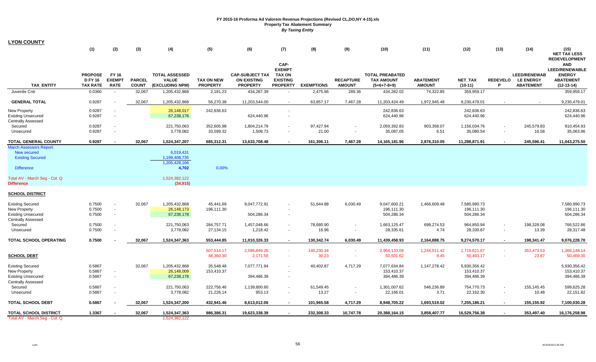| <b>LYON COUNTY</b>                                                                                                             |                                                     |                                              |                               |                                                                       |                                      |                                                                 |                                                                              |                     |                                   |                                                              |                                   |                                          |                  |                                                               |                                                                                          |
|--------------------------------------------------------------------------------------------------------------------------------|-----------------------------------------------------|----------------------------------------------|-------------------------------|-----------------------------------------------------------------------|--------------------------------------|-----------------------------------------------------------------|------------------------------------------------------------------------------|---------------------|-----------------------------------|--------------------------------------------------------------|-----------------------------------|------------------------------------------|------------------|---------------------------------------------------------------|------------------------------------------------------------------------------------------|
|                                                                                                                                | (1)                                                 | (2)                                          | (3)                           | (4)                                                                   | (5)                                  | (6)                                                             | (7)                                                                          | (8)                 | (9)                               | (10)                                                         | (11)                              | (12)                                     | (13)             | (14)                                                          | (15)<br><b>NET TAX LESS</b><br><b>REDEVELOPMENT</b>                                      |
| <b>TAX ENTITY</b>                                                                                                              | <b>PROPOSE</b><br><b>D FY 16</b><br><b>TAX RATE</b> | FY 16<br><b>EXEMPT</b><br><b>RATE</b>        | <b>PARCEL</b><br><b>COUNT</b> | <b>TOTAL ASSESSED</b><br><b>VALUE</b><br>(EXCLUDING NPM)              | <b>TAX ON NEW</b><br><b>PROPERTY</b> | <b>CAP-SUBJECT TAX</b><br><b>ON EXISTING</b><br><b>PROPERTY</b> | CAP-<br><b>EXEMPT</b><br><b>TAX ON</b><br><b>EXISTING</b><br><b>PROPERTY</b> | <b>EXEMPTIONS</b>   | <b>RECAPTURE</b><br><b>AMOUNT</b> | <b>TOTAL PREABATED</b><br><b>TAX AMOUNT</b><br>$(5+6+7-8+9)$ | <b>ABATEMENT</b><br><b>AMOUNT</b> | NET_TAX<br>$(10-11)$                     |                  | <b>LEED/RENEWAB</b><br>REDEVELO LE ENERGY<br><b>ABATEMENT</b> | <b>AND</b><br><b>LEED/RENEWABLE</b><br><b>ENERGY</b><br><b>ABATEMENT</b><br>$(12-13-14)$ |
| Juvenile Cntr                                                                                                                  | 0.0360                                              |                                              | 32,067                        | 1,205,432,868                                                         | 2,181.23                             | 434,287.39                                                      | $\sim$                                                                       | 2,475.96            | 289.36                            | 434,282.02                                                   | 74,322.85                         | 359,959.17                               |                  |                                                               | 359,959.17                                                                               |
| <b>GENERAL TOTAL</b>                                                                                                           | 0.9287                                              |                                              | 32,067                        | 1,205,432,868                                                         | 56,270.38                            | 11,203,544.00                                                   | $\sim$                                                                       | 63,857.17           | 7,467.28                          | 11,203,424.49                                                | 1,972,945.48                      | 9,230,479.01                             |                  |                                                               | 9,230,479.01                                                                             |
| <b>New Property</b><br><b>Existing Unsecured</b><br><b>Centrally Assessed</b>                                                  | 0.9287<br>0.9287                                    |                                              |                               | 26,148,017<br>67,238,178                                              | 242,836.63                           | 624,440.96                                                      |                                                                              |                     |                                   | 242,836.63<br>624,440.96                                     |                                   | 242,836.63<br>624,440.96                 |                  |                                                               | 242,836.63<br>624,440.96                                                                 |
| Secured<br>Unsecured                                                                                                           | 0.9287<br>0.9287                                    | $\sim$                                       |                               | 221,750,063<br>3,778,082                                              | 352,605.98<br>33,599.32              | 1,804,214.79<br>1,508.73                                        | $\blacksquare$                                                               | 97,427.94<br>21.00  | $\overline{\phantom{a}}$          | 2,059,392.83<br>35,087.05                                    | 903,358.07<br>6.51                | 1,156,034.76<br>35,080.54                | $\sim$           | 245,579.83<br>16.58                                           | 910,454.93<br>35,063.96                                                                  |
| <b>TOTAL GENERAL COUNTY</b>                                                                                                    | 0.9287                                              |                                              | 32,067                        | 1,524,347,207                                                         | 685,312.31                           | 13,633,708.48                                                   |                                                                              | 161,306.11          | 7,467.28                          | 14, 165, 181. 96                                             | 2,876,310.05                      | 11,288,871.91                            | $\sim$           | 245,596.41                                                    | 11,043,275.50                                                                            |
| <b>March Assessors Report:</b><br>New secured<br><b>Existing Secured</b><br><b>Difference</b><br>Total AV - March Seg - Col. Q |                                                     |                                              |                               | 6,019,431<br>1,199,408,735<br>1,205,428,166<br>4,702<br>1,524,382,122 | 0.00%                                |                                                                 |                                                                              |                     |                                   |                                                              |                                   |                                          |                  |                                                               |                                                                                          |
| <b>Difference</b><br><b>SCHOOL DISTRICT</b>                                                                                    |                                                     |                                              |                               | (34, 915)                                                             |                                      |                                                                 |                                                                              |                     |                                   |                                                              |                                   |                                          |                  |                                                               |                                                                                          |
| <b>Existing Secured</b><br><b>New Property</b><br><b>Existing Unsecured</b><br><b>Centrally Assessed</b>                       | 0.7500<br>0.7500<br>0.7500                          | $\overline{\phantom{a}}$<br>$\sim$<br>$\sim$ | 32,067                        | 1,205,432,868<br>26,148,173<br>67,238,178                             | 45,441.69<br>196,111.30              | 9,047,772.91<br>504,286.34                                      |                                                                              | 51,644.88           | 6,030.49                          | 9,047,600.21<br>196,111.30<br>504,286.34                     | 1,466,609.48                      | 7,580,990.73<br>196,111.30<br>504,286.34 |                  |                                                               | 7,580,990.73<br>196,111.30<br>504,286.34                                                 |
| Secured<br>Unsecured                                                                                                           | 0.7500<br>0.7500                                    |                                              |                               | 221,750,063<br>3,778,082                                              | 284,757.71<br>27,134.15              | 1,457,048.66<br>1,218.42                                        | $\sim$<br>$\sim$                                                             | 78,680.90<br>16.96  |                                   | 1,663,125.47<br>28,335.61                                    | 698,274.53<br>4.74                | 964,850.94<br>28,330.87                  | $\sim$           | 198,328.08<br>13.39                                           | 766,522.86<br>28,317.48                                                                  |
| TOTAL SCHOOL OPERATING                                                                                                         | 0.7500                                              |                                              | 32,067                        | 1,524,347,363                                                         | 553,444.85                           | 11,010,326.33                                                   | $\sim$                                                                       | 130,342.74          | 6,030.49                          | 11,439,458.93                                                | 2,164,888.75                      | 9,274,570.17                             | $\sim$           | 198,341.47                                                    | 9,076,228.70                                                                             |
| <b>SCHOOL DEBT</b>                                                                                                             |                                                     |                                              |                               |                                                                       | 507,514.17<br>48,360.30              | 2,596,849.26<br>2,171.56                                        | $\sim$                                                                       | 140,230.34<br>30.23 | $\sim$<br>$\sim$                  | 2,964,133.09<br>50,501.62                                    | 1,244,511.42<br>8.45              | 1,719,621.67<br>50,493.17                | $\sim$<br>$\sim$ | 353,473.53<br>23.87                                           | 1,366,148.14<br>50,469.30                                                                |
| <b>Existing Secured</b><br>New Property<br><b>Existing Unsecured</b><br><b>Centrally Assessed</b>                              | 0.5867<br>0.5867<br>0.5867                          | $\sim$<br>$\sim$                             | 32,067                        | 1,205,432,868<br>26,148,009<br>67,238,178                             | 35,548.48<br>153,410.37              | 7,077,771.94<br>394,486.39                                      |                                                                              | 40,402.87           | 4,717.29                          | 7,077,634.84<br>153,410.37<br>394,486.39                     | 1,147,278.42                      | 5,930,356.42<br>153,410.37<br>394,486.39 |                  |                                                               | 5,930,356.42<br>153,410.37<br>394,486.39                                                 |
| Secured<br>Unsecured                                                                                                           | 0.5867<br>0.5867                                    |                                              |                               | 221,750,063<br>3,778,082                                              | 222,756.46<br>21,226.14              | 1,139,800.60<br>953.13                                          |                                                                              | 61,549.45<br>13.27  |                                   | 1,301,007.62<br>22,166.01                                    | 546,236.89<br>3.71                | 754,770.73<br>22,162.30                  |                  | 155,145.45<br>10.48                                           | 599,625.28<br>22,151.82                                                                  |
| <b>TOTAL SCHOOL DEBT</b>                                                                                                       | 0.5867                                              |                                              | 32,067                        | 1,524,347,200                                                         | 432,941.46                           | 8,613,012.06                                                    |                                                                              | 101,965.58          | 4,717.29                          | 8,948,705.22                                                 | 1,693,519.02                      | 7,255,186.21                             |                  | 155,155.92                                                    | 7,100,030.28                                                                             |
| <b>TOTAL SCHOOL DISTRICT</b><br>Total AV - March Seg - Col. Q                                                                  | 1.3367                                              |                                              | 32,067                        | 1,524,347,363<br>1.524.382.122                                        | 986,386.31                           | 19,623,338.39                                                   |                                                                              | 232,308.33          | 10,747.78                         | 20,388,164.15                                                | 3,858,407.77                      | 16,529,756.38                            |                  | 353,497.40                                                    | 16,176,258.98                                                                            |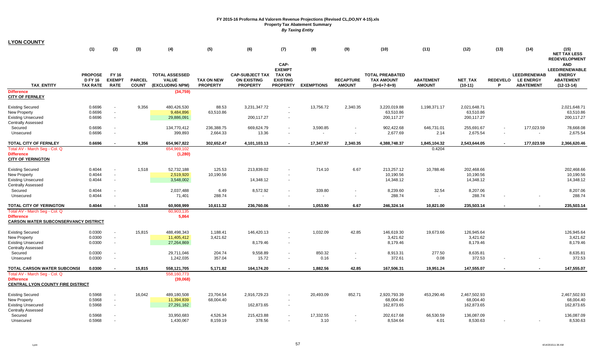| <b>LYON COUNTY</b> |
|--------------------|
|--------------------|

|                                                                                                                                      | (1)                                                 | (2)                                              | (3)                           | (4)                                                      | (5)                                  | (6)                                                             | (7)                                                                          | (8)                | (9)                               | (10)                                                         | (11)                              | (12)                                     | (13)                 | (14)                                                        | (15)                                                                                                                                    |
|--------------------------------------------------------------------------------------------------------------------------------------|-----------------------------------------------------|--------------------------------------------------|-------------------------------|----------------------------------------------------------|--------------------------------------|-----------------------------------------------------------------|------------------------------------------------------------------------------|--------------------|-----------------------------------|--------------------------------------------------------------|-----------------------------------|------------------------------------------|----------------------|-------------------------------------------------------------|-----------------------------------------------------------------------------------------------------------------------------------------|
| <b>TAX ENTITY</b>                                                                                                                    | <b>PROPOSE</b><br><b>D FY 16</b><br><b>TAX RATE</b> | FY 16<br><b>EXEMPT</b><br><b>RATE</b>            | <b>PARCEL</b><br><b>COUNT</b> | <b>TOTAL ASSESSED</b><br><b>VALUE</b><br>(EXCLUDING NPM) | <b>TAX ON NEW</b><br><b>PROPERTY</b> | <b>CAP-SUBJECT TAX</b><br><b>ON EXISTING</b><br><b>PROPERTY</b> | CAP-<br><b>EXEMPT</b><br><b>TAX ON</b><br><b>EXISTING</b><br><b>PROPERTY</b> | <b>EXEMPTIONS</b>  | <b>RECAPTURE</b><br><b>AMOUNT</b> | <b>TOTAL PREABATED</b><br><b>TAX AMOUNT</b><br>$(5+6+7-8+9)$ | <b>ABATEMENT</b><br><b>AMOUNT</b> | NET_TAX<br>$(10-11)$                     | <b>REDEVELO</b><br>P | <b>LEED/RENEWAB</b><br><b>LE ENERGY</b><br><b>ABATEMENT</b> | <b>NET TAX LESS</b><br><b>REDEVELOPMENT</b><br><b>AND</b><br><b>LEED/RENEWABLE</b><br><b>ENERGY</b><br><b>ABATEMENT</b><br>$(12-13-14)$ |
| <b>Difference</b><br><b>CITY OF FERNLEY</b>                                                                                          |                                                     |                                                  |                               | (34, 759)                                                |                                      |                                                                 |                                                                              |                    |                                   |                                                              |                                   |                                          |                      |                                                             |                                                                                                                                         |
| <b>Existing Secured</b><br><b>New Property</b><br><b>Existing Unsecured</b><br><b>Centrally Assessed</b>                             | 0.6696<br>0.6696<br>0.6696                          | $\blacksquare$<br>$\blacksquare$                 | 9,356                         | 480,426,530<br>9,484,896<br>29,886,091                   | 88.53<br>63,510.86                   | 3,231,347.72<br>200,117.27                                      | $\sim$                                                                       | 13,756.72          | 2,340.35                          | 3,220,019.88<br>63,510.86<br>200,117.27                      | 1,198,371.17                      | 2,021,648.71<br>63,510.86<br>200, 117.27 |                      |                                                             | 2,021,648.71<br>63,510.86<br>200,117.27                                                                                                 |
| Secured<br>Unsecured                                                                                                                 | 0.6696<br>0.6696                                    | $\overline{\phantom{a}}$                         |                               | 134,770,412<br>399,893                                   | 236,388.75<br>2,664.33               | 669,624.79<br>13.36                                             | $\sim$                                                                       | 3,590.85<br>$\sim$ | $\blacksquare$                    | 902,422.68<br>2,677.69                                       | 646,731.01<br>2.14                | 255,691.67<br>2,675.54                   | $\sim$               | 177,023.59<br>$\sim$                                        | 78,668.08<br>2,675.54                                                                                                                   |
| <b>TOTAL CITY OF FERNLEY</b>                                                                                                         | 0.6696                                              | $\blacksquare$                                   | 9,356                         | 654,967,822                                              | 302,652.47                           | 4,101,103.13                                                    | $\overline{\phantom{a}}$                                                     | 17,347.57          | 2,340.35                          | 4,388,748.37                                                 | 1,845,104.32                      | 2,543,644.05                             |                      | 177,023.59                                                  | 2,366,620.46                                                                                                                            |
| Total AV - March Seq - Col. Q<br><b>Difference</b><br><b>CITY OF YERINGTON</b>                                                       |                                                     |                                                  |                               | 654,969,102<br>(1, 280)                                  |                                      |                                                                 |                                                                              |                    |                                   |                                                              | 0.4204                            |                                          |                      |                                                             |                                                                                                                                         |
| <b>Existing Secured</b><br><b>New Property</b><br><b>Existing Unsecured</b><br><b>Centrally Assessed</b>                             | 0.4044<br>0.4044<br>0.4044                          | $\blacksquare$                                   | 1,518                         | 52,732,188<br>2,519,920<br>3,548,002                     | 125.53<br>10,190.56                  | 213,839.02<br>14,348.12                                         |                                                                              | 714.10             | 6.67                              | 213,257.12<br>10,190.56<br>14,348.12                         | 10,788.46                         | 202,468.66<br>10,190.56<br>14,348.12     |                      |                                                             | 202,468.66<br>10,190.56<br>14,348.12                                                                                                    |
| Secured<br>Unsecured                                                                                                                 | 0.4044<br>0.4044                                    | $\overline{\phantom{a}}$                         |                               | 2,037,488<br>71,401                                      | 6.49<br>288.74                       | 8,572.92                                                        | $\sim$<br>٠                                                                  | 339.80             | $\blacksquare$                    | 8,239.60<br>288.74                                           | 32.54                             | 8,207.06<br>288.74                       |                      |                                                             | 8,207.06<br>288.74                                                                                                                      |
| TOTAL CITY OF YERINGTON<br>Total AV - March Seg - Col. Q<br><b>Difference</b><br><b>CARSON WATER SUBCONSERVANCY DISTRICT</b>         | 0.4044                                              |                                                  | 1,518                         | 60,908,999<br>60,903,135<br>5,864                        | 10,611.32                            | 236,760.06                                                      |                                                                              | 1,053.90           | 6.67                              | 246,324.14                                                   | 10,821.00                         | 235,503.14                               |                      |                                                             | 235,503.14                                                                                                                              |
| <b>Existing Secured</b><br><b>New Property</b><br><b>Existing Unsecured</b><br><b>Centrally Assessed</b>                             | 0.0300<br>0.0300<br>0.0300                          | $\sim$<br>$\blacksquare$                         | 15,815                        | 488,498,343<br>11,405,412<br>27,264,869                  | 1,188.41<br>3,421.62                 | 146,420.13<br>8,179.46                                          | $\sim$                                                                       | 1,032.09           | 42.85                             | 146,619.30<br>3,421.62<br>8,179.46                           | 19,673.66                         | 126,945.64<br>3,421.62<br>8,179.46       |                      |                                                             | 126,945.64<br>3,421.62<br>8,179.46                                                                                                      |
| Secured<br>Unsecured                                                                                                                 | 0.0300<br>0.0300                                    | $\overline{a}$                                   |                               | 29,711,046<br>1,242,035                                  | 204.74<br>357.04                     | 9,558.89<br>15.72                                               | $\sim$                                                                       | 850.32<br>0.16     | $\blacksquare$                    | 8,913.31<br>372.61                                           | 277.50<br>0.08                    | 8,635.81<br>372.53                       |                      |                                                             | 8,635.81<br>372.53                                                                                                                      |
| <b>TOTAL CARSON WATER SUBCONSI</b><br>Total AV - March Seg - Col. Q<br><b>Difference</b><br><b>CENTRAL LYON COUNTY FIRE DISTRICT</b> | 0.0300                                              | $\overline{\phantom{a}}$                         | 15,815                        | 558,121,705<br>558,160,773<br>(39,068)                   | 5,171.82                             | 164,174.20                                                      | $\sim$                                                                       | 1,882.56           | 42.85                             | 167,506.31                                                   | 19,951.24                         | 147,555.07                               |                      |                                                             | 147,555.07                                                                                                                              |
| <b>Existing Secured</b><br><b>New Property</b><br><b>Existing Unsecured</b><br><b>Centrally Assessed</b>                             | 0.5968<br>0.5968<br>0.5968                          | $\blacksquare$<br>$\mathbf{r}$<br>$\blacksquare$ | 16,042                        | 489,180,508<br>11,394,839<br>27,291,162                  | 23,704.54<br>68,004.40               | 2,916,729.23<br>162,873.65                                      | $\sim$                                                                       | 20,493.09          | 852.71                            | 2,920,793.39<br>68,004.40<br>162,873.65                      | 453,290.46                        | 2,467,502.93<br>68,004.40<br>162,873.65  |                      |                                                             | 2,467,502.93<br>68,004.40<br>162,873.65                                                                                                 |
| Secured<br>Unsecured                                                                                                                 | 0.5968<br>0.5968                                    |                                                  |                               | 33,950,683<br>1,430,067                                  | 4,526.34<br>8,159.19                 | 215,423.88<br>378.56                                            | $\sim$                                                                       | 17,332.55<br>3.10  |                                   | 202,617.68<br>8,534.64                                       | 66,530.59<br>4.01                 | 136,087.09<br>8,530.63                   |                      |                                                             | 136,087.09<br>8,530.63                                                                                                                  |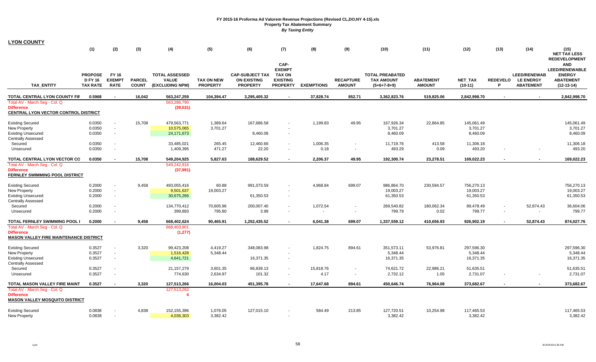| <b>LYON COUNTY</b>                                                                                                                   |                                                     |                                              |                               |                                                          |                                      |                                                                 |                                                                              |                   |                                   |                                                              |                                   |                                      |                      |                                                             |                                                                                   |
|--------------------------------------------------------------------------------------------------------------------------------------|-----------------------------------------------------|----------------------------------------------|-------------------------------|----------------------------------------------------------|--------------------------------------|-----------------------------------------------------------------|------------------------------------------------------------------------------|-------------------|-----------------------------------|--------------------------------------------------------------|-----------------------------------|--------------------------------------|----------------------|-------------------------------------------------------------|-----------------------------------------------------------------------------------|
|                                                                                                                                      | (1)                                                 | (2)                                          | (3)                           | (4)                                                      | (5)                                  | (6)                                                             | (7)                                                                          | (8)               | (9)                               | (10)                                                         | (11)                              | (12)                                 | (13)                 | (14)                                                        | (15)<br><b>NET TAX LESS</b><br><b>REDEVELOPMENT</b>                               |
| <b>TAX ENTITY</b>                                                                                                                    | <b>PROPOSE</b><br><b>D FY 16</b><br><b>TAX RATE</b> | FY 16<br><b>EXEMPT</b><br><b>RATE</b>        | <b>PARCEL</b><br><b>COUNT</b> | <b>TOTAL ASSESSED</b><br><b>VALUE</b><br>(EXCLUDING NPM) | <b>TAX ON NEW</b><br><b>PROPERTY</b> | <b>CAP-SUBJECT TAX</b><br><b>ON EXISTING</b><br><b>PROPERTY</b> | CAP-<br><b>EXEMPT</b><br><b>TAX ON</b><br><b>EXISTING</b><br><b>PROPERTY</b> | <b>EXEMPTIONS</b> | <b>RECAPTURE</b><br><b>AMOUNT</b> | <b>TOTAL PREABATED</b><br><b>TAX AMOUNT</b><br>$(5+6+7-8+9)$ | <b>ABATEMENT</b><br><b>AMOUNT</b> | <b>NET TAX</b><br>$(10-11)$          | <b>REDEVELO</b><br>P | <b>LEED/RENEWAB</b><br><b>LE ENERGY</b><br><b>ABATEMENT</b> | AND<br><b>LEED/RENEWABLE</b><br><b>ENERGY</b><br><b>ABATEMENT</b><br>$(12-13-14)$ |
| TOTAL CENTRAL LYON COUNTY FIF                                                                                                        | 0.5968                                              |                                              | 16,042                        | 563,247,259                                              | 104,394.47                           | 3,295,405.32                                                    | $\blacksquare$                                                               | 37,828.74         | 852.71                            | 3,362,823.76                                                 | 519,825.06                        | 2,842,998.70                         |                      |                                                             | 2,842,998.70                                                                      |
| Total AV - March Seg - Col. Q<br><b>Difference</b><br><b>CENTRAL LYON VECTOR CONTROL DISTRICT</b>                                    |                                                     |                                              |                               | 563,286,790<br>(39, 531)                                 |                                      |                                                                 |                                                                              |                   |                                   |                                                              |                                   |                                      |                      |                                                             |                                                                                   |
| <b>Existing Secured</b><br><b>New Property</b><br><b>Existing Unsecured</b>                                                          | 0.0350<br>0.0350<br>0.0350                          | $\sim$<br>$\sim$                             | 15,708                        | 479,563,771<br>10,575,065<br>24,171,673                  | 1,389.64<br>3,701.27                 | 167,686.58<br>8,460.09                                          | $\sim$                                                                       | 1,199.83          | 49.95                             | 167,926.34<br>3,701.27<br>8,460.09                           | 22,864.85                         | 145,061.49<br>3,701.27<br>8,460.09   |                      |                                                             | 145,061.49<br>3,701.27<br>8,460.09                                                |
| <b>Centrally Assessed</b><br>Secured<br>Unsecured                                                                                    | 0.0350<br>0.0350                                    |                                              |                               | 33,485,021<br>1,409,395                                  | 265.45<br>471.27                     | 12,460.66<br>22.20                                              |                                                                              | 1,006.35<br>0.18  | $\sim$                            | 11,719.76<br>493.29                                          | 413.58<br>0.09                    | 11,306.18<br>493.20                  |                      |                                                             | 11,306.18<br>493.20                                                               |
| TOTAL CENTRAL LYON VECTOR CO                                                                                                         | 0.0350                                              |                                              | 15,708                        | 549,204,925                                              | 5,827.63                             | 188,629.52                                                      |                                                                              | 2,206.37          | 49.95                             | 192,300.74                                                   | 23,278.51                         | 169,022.23                           |                      |                                                             | 169,022.23                                                                        |
| Total AV - March Seg - Col. Q<br><b>Difference</b><br>FERNLEY SWIMMING POOL DISTRICT                                                 |                                                     |                                              |                               | 549,242,916<br>(37, 991)                                 |                                      |                                                                 |                                                                              |                   |                                   |                                                              |                                   |                                      |                      |                                                             |                                                                                   |
| <b>Existing Secured</b><br><b>New Property</b><br><b>Existing Unsecured</b>                                                          | 0.2000<br>0.2000<br>0.2000                          | $\sim$                                       | 9,458                         | 493,055,416<br>9,501,637<br>30,675,266                   | 60.88<br>19,003.27                   | 991,073.59<br>61,350.53                                         |                                                                              | 4,968.84          | 699.07                            | 986,864.70<br>19,003.27<br>61,350.53                         | 230,594.57                        | 756,270.13<br>19,003.27<br>61,350.53 |                      |                                                             | 756,270.13<br>19,003.27<br>61,350.53                                              |
| <b>Centrally Assessed</b><br>Secured<br>Unsecured                                                                                    | 0.2000<br>0.2000                                    | $\sim$<br>$\overline{\phantom{a}}$           |                               | 134,770,412<br>399,893                                   | 70,605.96<br>795.80                  | 200,007.40<br>3.99                                              |                                                                              | 1,072.54          | $\overline{\phantom{a}}$          | 269,540.82<br>799.79                                         | 180,062.34<br>0.02                | 89,478.49<br>799.77                  |                      | 52,874.43                                                   | 36,604.06<br>799.77                                                               |
| TOTAL FERNLEY SWIMMING POOL I<br>Total AV - March Seg - Col. Q<br><b>Difference</b><br><b>MASON VALLEY FIRE MAINTENANCE DISTRICT</b> | 0.2000                                              |                                              | 9,458                         | 668,402,624<br>668,403,901<br>(1, 277)                   | 90,465.91                            | 1,252,435.52                                                    |                                                                              | 6,041.38          | 699.07                            | 1,337,559.12                                                 | 410,656.93                        | 926,902.19                           |                      | 52,874.43                                                   | 874,027.76                                                                        |
| <b>Existing Secured</b><br><b>New Property</b><br><b>Existing Unsecured</b><br><b>Centrally Assessed</b>                             | 0.3527<br>0.3527<br>0.3527                          | $\overline{\phantom{a}}$<br>$\sim$<br>$\sim$ | 3,320                         | 99,423,208<br>1,516,428<br>4,641,721                     | 4,419.27<br>5,348.44                 | 348,083.98<br>16,371.35                                         | $\sim$                                                                       | 1,824.75          | 894.61                            | 351,573.11<br>5,348.44<br>16,371.35                          | 53,976.81                         | 297,596.30<br>5,348.44<br>16,371.35  |                      |                                                             | 297,596.30<br>5,348.44<br>16,371.35                                               |
| Secured<br>Unsecured                                                                                                                 | 0.3527<br>0.3527                                    | $\sim$                                       |                               | 21, 157, 279<br>774,630                                  | 3,601.35<br>2,634.97                 | 86,839.13<br>101.32                                             | $\sim$                                                                       | 15,818.76<br>4.17 |                                   | 74,621.72<br>2,732.12                                        | 22,986.21<br>1.05                 | 51,635.51<br>2,731.07                |                      |                                                             | 51,635.51<br>2,731.07                                                             |
| TOTAL MASON VALLEY FIRE MAINT<br>Total AV - March Seg - Col. Q<br><b>Difference</b><br><b>MASON VALLEY MOSQUITO DISTRICT</b>         | 0.3527                                              | $\sim$                                       | 3,320                         | 127,513,266<br>127,513,262<br>4                          | 16,004.03                            | 451,395.78                                                      | $\blacksquare$                                                               | 17,647.68         | 894.61                            | 450,646.74                                                   | 76,964.08                         | 373,682.67                           |                      |                                                             | 373,682.67                                                                        |
| <b>Existing Secured</b><br><b>New Property</b>                                                                                       | 0.0838<br>0.0838                                    |                                              | 4,838                         | 152, 155, 396<br>4,036,303                               | 1,076.05<br>3,382.42                 | 127,015.10                                                      |                                                                              | 584.49            | 213.85                            | 127,720.51<br>3,382.42                                       | 10,254.98                         | 117,465.53<br>3,382.42               |                      |                                                             | 117,465.53<br>3,382.42                                                            |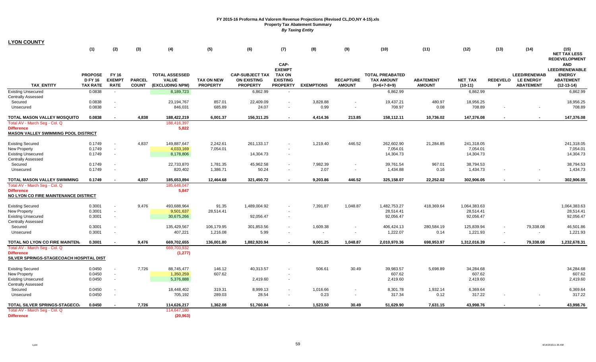|                                                                                                  | (1)                                                 | (2)                                   | (3)                           | (4)                                                      | (5)                                  | (6)                                                             | (7)<br>CAP-                                                          | (8)               | (9)                               | (10)                                                         | (11)                              | (12)                        | (13)                     | (14)                                                        | (15)<br><b>NET TAX LESS</b><br><b>REDEVELOPMENT</b><br><b>AND</b>          |
|--------------------------------------------------------------------------------------------------|-----------------------------------------------------|---------------------------------------|-------------------------------|----------------------------------------------------------|--------------------------------------|-----------------------------------------------------------------|----------------------------------------------------------------------|-------------------|-----------------------------------|--------------------------------------------------------------|-----------------------------------|-----------------------------|--------------------------|-------------------------------------------------------------|----------------------------------------------------------------------------|
| <b>TAX ENTITY</b>                                                                                | <b>PROPOSE</b><br><b>D FY 16</b><br><b>TAX RATE</b> | FY 16<br><b>EXEMPT</b><br><b>RATE</b> | <b>PARCEL</b><br><b>COUNT</b> | <b>TOTAL ASSESSED</b><br><b>VALUE</b><br>(EXCLUDING NPM) | <b>TAX ON NEW</b><br><b>PROPERTY</b> | <b>CAP-SUBJECT TAX</b><br><b>ON EXISTING</b><br><b>PROPERTY</b> | <b>EXEMPT</b><br><b>TAX ON</b><br><b>EXISTING</b><br><b>PROPERTY</b> | <b>EXEMPTIONS</b> | <b>RECAPTURE</b><br><b>AMOUNT</b> | <b>TOTAL PREABATED</b><br><b>TAX AMOUNT</b><br>$(5+6+7-8+9)$ | <b>ABATEMENT</b><br><b>AMOUNT</b> | <b>NET TAX</b><br>$(10-11)$ | <b>REDEVELO</b><br>P     | <b>LEED/RENEWAB</b><br><b>LE ENERGY</b><br><b>ABATEMENT</b> | <b>LEED/RENEWABLE</b><br><b>ENERGY</b><br><b>ABATEMENT</b><br>$(12-13-14)$ |
| <b>Existing Unsecured</b>                                                                        | 0.0838                                              | $\sim$                                |                               | 8,189,723                                                |                                      | 6,862.99                                                        | $\sim$                                                               |                   |                                   | 6,862.99                                                     |                                   | 6,862.99                    |                          |                                                             | 6,862.99                                                                   |
| <b>Centrally Assessed</b><br>Secured                                                             | 0.0838                                              |                                       |                               | 23,194,767                                               | 857.01                               | 22,409.09                                                       |                                                                      | 3,828.88          |                                   | 19,437.21                                                    | 480.97                            | 18,956.25                   |                          |                                                             | 18,956.25                                                                  |
| Unsecured                                                                                        | 0.0838                                              |                                       |                               | 846,031                                                  | 685.89                               | 24.07                                                           |                                                                      | 0.99              | $\sim$                            | 708.97                                                       | 0.08                              | 708.89                      |                          |                                                             | 708.89                                                                     |
| TOTAL MASON VALLEY MOSQUITO                                                                      | 0.0838                                              |                                       | 4,838                         | 188,422,219                                              | 6,001.37                             | 156,311.25                                                      |                                                                      | 4,414.36          | 213.85                            | 158,112.11                                                   | 10,736.02                         | 147,376.08                  |                          |                                                             | 147,376.08                                                                 |
| Total AV - March Seg - Col. Q<br><b>Difference</b><br><b>MASON VALLEY SWIMMING POOL DISTRICT</b> |                                                     |                                       |                               | 188,416,397<br>5,822                                     |                                      |                                                                 |                                                                      |                   |                                   |                                                              |                                   |                             |                          |                                                             |                                                                            |
| <b>Existing Secured</b>                                                                          | 0.1749                                              |                                       | 4,837                         | 149,887,647                                              | 2,242.61                             | 261, 133. 17                                                    |                                                                      | 1,219.40          | 446.52                            | 262,602.90                                                   | 21,284.85                         | 241,318.05                  |                          |                                                             | 241,318.05                                                                 |
| <b>New Property</b>                                                                              | 0.1749                                              |                                       |                               | 4,033,169                                                | 7,054.01                             |                                                                 |                                                                      |                   |                                   | 7,054.01                                                     |                                   | 7.054.01                    |                          |                                                             | 7,054.01                                                                   |
| <b>Existing Unsecured</b><br><b>Centrally Assessed</b>                                           | 0.1749                                              |                                       |                               | 8,178,806                                                |                                      | 14,304.73                                                       | $\sim$                                                               |                   |                                   | 14,304.73                                                    |                                   | 14,304.73                   |                          |                                                             | 14,304.73                                                                  |
| Secured                                                                                          | 0.1749<br>0.1749                                    | $\sim$                                |                               | 22,733,870<br>820,402                                    | 1,781.35<br>1,386.71                 | 45,962.58<br>50.24                                              | $\sim$                                                               | 7,982.39          |                                   | 39,761.54<br>1,434.88                                        | 967.01<br>0.16                    | 38,794.53                   |                          |                                                             | 38,794.53<br>1,434.73                                                      |
| Unsecured                                                                                        |                                                     |                                       |                               |                                                          |                                      |                                                                 | $\sim$                                                               | 2.07              | $\overline{\phantom{a}}$          |                                                              |                                   | 1,434.73                    |                          |                                                             |                                                                            |
| TOTAL MASON VALLEY SWIMMING                                                                      | 0.1749                                              |                                       | 4,837                         | 185,653,894                                              | 12,464.68                            | 321,450.72                                                      | $\overline{\phantom{a}}$                                             | 9,203.86          | 446.52                            | 325,158.07                                                   | 22,252.02                         | 302,906.05                  | $\overline{\phantom{a}}$ |                                                             | 302,906.05                                                                 |
| Total AV - March Seg - Col. Q<br><b>Difference</b><br>NO LYON CO FIRE MAINTENANCE DISTRICT       |                                                     |                                       |                               | 185,648,047<br>5,847                                     |                                      |                                                                 |                                                                      |                   |                                   |                                                              |                                   |                             |                          |                                                             |                                                                            |
| <b>Existing Secured</b>                                                                          | 0.3001                                              |                                       | 9,476                         | 493,688,964                                              | 91.35                                | 1,489,004.92                                                    |                                                                      | 7,391.87          | 1,048.87                          | 1,482,753.27                                                 | 418,369.64                        | 1,064,383.63                |                          |                                                             | 1,064,383.63                                                               |
| New Property                                                                                     | 0.3001                                              | $\sim$                                |                               | 9,501,637                                                | 28,514.41                            |                                                                 |                                                                      |                   |                                   | 28,514.41                                                    |                                   | 28,514.41                   |                          |                                                             | 28,514.41                                                                  |
| <b>Existing Unsecured</b>                                                                        | 0.3001                                              | $\sim$                                |                               | 30,675,266                                               |                                      | 92,056.47                                                       | $\sim$                                                               |                   |                                   | 92,056.47                                                    |                                   | 92,056.47                   |                          |                                                             | 92,056.47                                                                  |
| <b>Centrally Assessed</b><br>Secured                                                             | 0.3001                                              |                                       |                               | 135,429,567                                              | 106,179.95                           | 301,853.56                                                      | $\sim$                                                               | 1,609.38          |                                   | 406,424.13                                                   | 280,584.19                        | 125,839.94                  |                          | 79,338.08                                                   | 46,501.86                                                                  |
| Unsecured                                                                                        | 0.3001                                              |                                       |                               | 407,221                                                  | 1,216.08                             | 5.99                                                            |                                                                      |                   |                                   | 1,222.07                                                     | 0.14                              | 1,221.93                    |                          | $\sim$                                                      | 1,221.93                                                                   |
| TOTAL NO LYON CO FIRE MAINTEN.                                                                   | 0.3001                                              |                                       | 9,476                         | 669,702,655                                              | 136,001.80                           | 1,882,920.94                                                    | $\blacksquare$                                                       | 9,001.25          | 1,048.87                          | 2,010,970.36                                                 | 698,953.97                        | 1,312,016.39                |                          | 79,338.08                                                   | 1,232,678.31                                                               |
| Total AV - March Seg - Col. Q                                                                    |                                                     |                                       |                               | 669,703,932                                              |                                      |                                                                 |                                                                      |                   |                                   |                                                              |                                   |                             |                          |                                                             |                                                                            |
| <b>Difference</b><br>SILVER SPRINGS-STAGECOACH HOSPITAL DIST                                     |                                                     |                                       |                               | (1, 277)                                                 |                                      |                                                                 |                                                                      |                   |                                   |                                                              |                                   |                             |                          |                                                             |                                                                            |
| <b>Existing Secured</b>                                                                          | 0.0450                                              |                                       | 7,726                         | 88,745,477                                               | 146.12                               | 40,313.57                                                       |                                                                      | 506.61            | 30.49                             | 39,983.57                                                    | 5,698.89                          | 34,284.68                   |                          |                                                             | 34,284.68                                                                  |
| New Property                                                                                     | 0.0450                                              | $\sim$                                |                               | 1,350,259                                                | 607.62                               |                                                                 |                                                                      |                   |                                   | 607.62                                                       |                                   | 607.62                      |                          |                                                             | 607.62                                                                     |
| <b>Existing Unsecured</b><br><b>Centrally Assessed</b>                                           | 0.0450                                              |                                       |                               | 5,376,888                                                |                                      | 2,419.60                                                        |                                                                      |                   |                                   | 2,419.60                                                     |                                   | 2,419.60                    |                          |                                                             | 2,419.60                                                                   |
| Secured                                                                                          | 0.0450                                              |                                       |                               | 18,448,402                                               | 319.31                               | 8,999.13                                                        | $\sim$                                                               | 1,016.66          |                                   | 8,301.78                                                     | 1,932.14                          | 6,369.64                    |                          |                                                             | 6,369.64                                                                   |
| Unsecured                                                                                        | 0.0450                                              | $\sim$                                |                               | 705,192                                                  | 289.03                               | 28.54                                                           | $\sim$                                                               | 0.23              | $\sim$                            | 317.34                                                       | 0.12                              | 317.22                      |                          |                                                             | 317.22                                                                     |
| TOTAL SILVER SPRINGS-STAGECO.                                                                    | 0.0450                                              |                                       | 7,726                         | 114,626,217                                              | 1,362.08                             | 51,760.84                                                       |                                                                      | 1,523.50          | 30.49                             | 51,629.90                                                    | 7,631.15                          | 43,998.76                   |                          |                                                             | 43,998.76                                                                  |
| Total AV - March Seg - Col. Q                                                                    |                                                     |                                       |                               | 114.647.180                                              |                                      |                                                                 |                                                                      |                   |                                   |                                                              |                                   |                             |                          |                                                             |                                                                            |
| <b>Difference</b>                                                                                |                                                     |                                       |                               | (20, 963)                                                |                                      |                                                                 |                                                                      |                   |                                   |                                                              |                                   |                             |                          |                                                             |                                                                            |

**LYON COUNTY**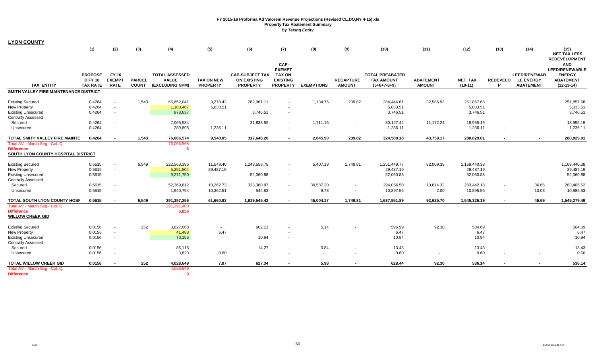| <b>LYON COUNTY</b> |  |  |  |
|--------------------|--|--|--|
|--------------------|--|--|--|

| CAP-<br><b>AND</b><br><b>EXEMPT</b><br><b>PROPOSE</b><br>FY 16<br><b>TOTAL ASSESSED</b><br><b>CAP-SUBJECT TAX</b><br><b>TOTAL PREABATED</b><br><b>LEED/RENEWAB</b><br><b>TAX ON</b><br><b>EXEMPT</b><br><b>PARCEL</b><br><b>VALUE</b><br><b>EXISTING</b><br><b>DFY16</b><br><b>TAX ON NEW</b><br><b>ON EXISTING</b><br><b>RECAPTURE</b><br><b>TAX AMOUNT</b><br><b>ABATEMENT</b><br>NET_TAX<br><b>REDEVELO</b><br><b>LE ENERGY</b><br><b>TAX ENTITY</b><br><b>COUNT</b><br>(EXCLUDING NPM)<br><b>PROPERTY</b><br><b>AMOUNT</b><br><b>AMOUNT</b><br>$(10-11)$<br><b>ABATEMENT</b><br><b>TAX RATE</b><br><b>RATE</b><br><b>PROPERTY</b><br><b>PROPERTY</b><br><b>EXEMPTIONS</b><br>$(5+6+7-8+9)$<br>P<br>SMITH VALLEY FIRE MAINTENANCE DISTRICT<br>0.4264<br>1,543<br>3,278.43<br>282,061.11<br>1,134.75<br>239.82<br>32,586.93<br>251,857.68<br><b>Existing Secured</b><br>66,652,041<br>284,444.61<br>0.4264<br>5,033.51<br>5,033.51<br>5,033.51<br><b>New Property</b><br>1,180,467<br>0.4264<br>878,637<br>3,746.51<br>3,746.51<br>3,746.51<br><b>Existing Unsecured</b><br>$\overline{\phantom{a}}$<br>$\sim$<br><b>Centrally Assessed</b><br>1,711.15<br>11,172.24<br>Secured<br>0.4264<br>7,065,534<br>31,838.59<br>30,127.44<br>18,955.19<br>$\sim$<br>0.4264<br>289,895<br>1,236.11<br>1,236.11<br>1,236.11<br>Unsecured<br>$\sim$<br>$\overline{\phantom{a}}$<br>TOTAL SMITH VALLEY FIRE MAINTE<br>0.4264<br>43,759.17<br>1,543<br>76,066,574<br>9,548.05<br>317,646.20<br>2,845.90<br>239.82<br>324,588.18<br>280,829.01<br>$\sim$<br>Total AV - March Seg - Col. Q<br>76,066,568<br><b>Difference</b><br>6<br>SOUTH LYON COUNTY HOSPITAL DISTRICT<br>6.549<br><b>Existing Secured</b><br>0.5615<br>222,563,396<br>11,548.40<br>1,243,558.75<br>5,407.19<br>1,749.81<br>1,251,449.77<br>82,009.39<br>1,169,440.38<br>$\sim$<br>0.5615<br>29,487.19<br>5,251,504<br>29,487.19<br>29,487.19<br>New Property<br>$\sim$<br>0.5615<br>9,271,750<br>52,060.88<br>52,060.88<br><b>Existing Unsecured</b><br>52,060.88<br>$\sim$<br>$\sim$<br><b>Centrally Assessed</b><br>0.5615<br>10,262.73<br>39,587.20<br>Secured<br>52,369,812<br>323,380.97<br>294,056.50<br>10,614.32<br>283,442.18<br>36.66<br>$\sim$<br>0.5615<br>1,940,794<br>10,362.51<br>544.83<br>9.78<br>10,897.56<br>2.00<br>10,895.56<br>10.03<br>Unsecured<br>$\sim$<br>$\sim$<br>$\sim$<br>TOTAL SOUTH LYON COUNTY HOSF<br>0.5615<br>6,549<br>61,660.83<br>1,637,951.89<br>92,625.70<br>46.69<br>291,397,256<br>1,619,545.42<br>45,004.17<br>1,749.81<br>1,545,326.19<br>$\sim$<br>$\sim$<br>$\sim$<br>Total AV - March Seg - Col. Q<br>291,391,400<br>5,856<br><b>Difference</b><br><b>WILLOW CREEK GID</b><br>252<br>602.13<br>92.30<br>0.0156<br>5.14<br>596.99<br>504.69<br><b>Existing Secured</b><br>3,827,068<br>$\sim$<br>6.47<br>6.47<br>6.47<br>0.0156<br>41,488<br>New Property<br>$\sim$<br><b>Existing Unsecured</b><br>70,155<br>10.94<br>10.94<br>10.94<br>0.0156<br>$\sim$<br><b>Centrally Assessed</b> | (1) | (2) | (3) | (4) | (5) | (6) | (7) | (8) | (9) | (10) | (11) | (12) | (13) | (14) | (15)<br><b>NET TAX LESS</b><br><b>REDEVELOPMENT</b>                        |
|---------------------------------------------------------------------------------------------------------------------------------------------------------------------------------------------------------------------------------------------------------------------------------------------------------------------------------------------------------------------------------------------------------------------------------------------------------------------------------------------------------------------------------------------------------------------------------------------------------------------------------------------------------------------------------------------------------------------------------------------------------------------------------------------------------------------------------------------------------------------------------------------------------------------------------------------------------------------------------------------------------------------------------------------------------------------------------------------------------------------------------------------------------------------------------------------------------------------------------------------------------------------------------------------------------------------------------------------------------------------------------------------------------------------------------------------------------------------------------------------------------------------------------------------------------------------------------------------------------------------------------------------------------------------------------------------------------------------------------------------------------------------------------------------------------------------------------------------------------------------------------------------------------------------------------------------------------------------------------------------------------------------------------------------------------------------------------------------------------------------------------------------------------------------------------------------------------------------------------------------------------------------------------------------------------------------------------------------------------------------------------------------------------------------------------------------------------------------------------------------------------------------------------------------------------------------------------------------------------------------------------------------------------------------------------------------------------------------------------------------------------------------------------------------------------------------------------------------------------------------------------------------------------------------------------------------------------------------------------------------|-----|-----|-----|-----|-----|-----|-----|-----|-----|------|------|------|------|------|----------------------------------------------------------------------------|
|                                                                                                                                                                                                                                                                                                                                                                                                                                                                                                                                                                                                                                                                                                                                                                                                                                                                                                                                                                                                                                                                                                                                                                                                                                                                                                                                                                                                                                                                                                                                                                                                                                                                                                                                                                                                                                                                                                                                                                                                                                                                                                                                                                                                                                                                                                                                                                                                                                                                                                                                                                                                                                                                                                                                                                                                                                                                                                                                                                                             |     |     |     |     |     |     |     |     |     |      |      |      |      |      | <b>LEED/RENEWABLE</b><br><b>ENERGY</b><br><b>ABATEMENT</b><br>$(12-13-14)$ |
|                                                                                                                                                                                                                                                                                                                                                                                                                                                                                                                                                                                                                                                                                                                                                                                                                                                                                                                                                                                                                                                                                                                                                                                                                                                                                                                                                                                                                                                                                                                                                                                                                                                                                                                                                                                                                                                                                                                                                                                                                                                                                                                                                                                                                                                                                                                                                                                                                                                                                                                                                                                                                                                                                                                                                                                                                                                                                                                                                                                             |     |     |     |     |     |     |     |     |     |      |      |      |      |      |                                                                            |
|                                                                                                                                                                                                                                                                                                                                                                                                                                                                                                                                                                                                                                                                                                                                                                                                                                                                                                                                                                                                                                                                                                                                                                                                                                                                                                                                                                                                                                                                                                                                                                                                                                                                                                                                                                                                                                                                                                                                                                                                                                                                                                                                                                                                                                                                                                                                                                                                                                                                                                                                                                                                                                                                                                                                                                                                                                                                                                                                                                                             |     |     |     |     |     |     |     |     |     |      |      |      |      |      | 251,857.68<br>5,033.51<br>3,746.51                                         |
|                                                                                                                                                                                                                                                                                                                                                                                                                                                                                                                                                                                                                                                                                                                                                                                                                                                                                                                                                                                                                                                                                                                                                                                                                                                                                                                                                                                                                                                                                                                                                                                                                                                                                                                                                                                                                                                                                                                                                                                                                                                                                                                                                                                                                                                                                                                                                                                                                                                                                                                                                                                                                                                                                                                                                                                                                                                                                                                                                                                             |     |     |     |     |     |     |     |     |     |      |      |      |      |      | 18,955.19<br>1,236.11                                                      |
|                                                                                                                                                                                                                                                                                                                                                                                                                                                                                                                                                                                                                                                                                                                                                                                                                                                                                                                                                                                                                                                                                                                                                                                                                                                                                                                                                                                                                                                                                                                                                                                                                                                                                                                                                                                                                                                                                                                                                                                                                                                                                                                                                                                                                                                                                                                                                                                                                                                                                                                                                                                                                                                                                                                                                                                                                                                                                                                                                                                             |     |     |     |     |     |     |     |     |     |      |      |      |      |      | 280,829.01                                                                 |
|                                                                                                                                                                                                                                                                                                                                                                                                                                                                                                                                                                                                                                                                                                                                                                                                                                                                                                                                                                                                                                                                                                                                                                                                                                                                                                                                                                                                                                                                                                                                                                                                                                                                                                                                                                                                                                                                                                                                                                                                                                                                                                                                                                                                                                                                                                                                                                                                                                                                                                                                                                                                                                                                                                                                                                                                                                                                                                                                                                                             |     |     |     |     |     |     |     |     |     |      |      |      |      |      |                                                                            |
|                                                                                                                                                                                                                                                                                                                                                                                                                                                                                                                                                                                                                                                                                                                                                                                                                                                                                                                                                                                                                                                                                                                                                                                                                                                                                                                                                                                                                                                                                                                                                                                                                                                                                                                                                                                                                                                                                                                                                                                                                                                                                                                                                                                                                                                                                                                                                                                                                                                                                                                                                                                                                                                                                                                                                                                                                                                                                                                                                                                             |     |     |     |     |     |     |     |     |     |      |      |      |      |      | 1,169,440.38<br>29,487.19<br>52,060.88                                     |
|                                                                                                                                                                                                                                                                                                                                                                                                                                                                                                                                                                                                                                                                                                                                                                                                                                                                                                                                                                                                                                                                                                                                                                                                                                                                                                                                                                                                                                                                                                                                                                                                                                                                                                                                                                                                                                                                                                                                                                                                                                                                                                                                                                                                                                                                                                                                                                                                                                                                                                                                                                                                                                                                                                                                                                                                                                                                                                                                                                                             |     |     |     |     |     |     |     |     |     |      |      |      |      |      | 283,405.52<br>10,885.53                                                    |
|                                                                                                                                                                                                                                                                                                                                                                                                                                                                                                                                                                                                                                                                                                                                                                                                                                                                                                                                                                                                                                                                                                                                                                                                                                                                                                                                                                                                                                                                                                                                                                                                                                                                                                                                                                                                                                                                                                                                                                                                                                                                                                                                                                                                                                                                                                                                                                                                                                                                                                                                                                                                                                                                                                                                                                                                                                                                                                                                                                                             |     |     |     |     |     |     |     |     |     |      |      |      |      |      | 1,545,279.49                                                               |
|                                                                                                                                                                                                                                                                                                                                                                                                                                                                                                                                                                                                                                                                                                                                                                                                                                                                                                                                                                                                                                                                                                                                                                                                                                                                                                                                                                                                                                                                                                                                                                                                                                                                                                                                                                                                                                                                                                                                                                                                                                                                                                                                                                                                                                                                                                                                                                                                                                                                                                                                                                                                                                                                                                                                                                                                                                                                                                                                                                                             |     |     |     |     |     |     |     |     |     |      |      |      |      |      | 504.69<br>6.47<br>10.94                                                    |
| 14.27<br>0.84<br>Secured<br>0.0156<br>86,116<br>13.43<br>13.43<br>$\sim$<br>$\sim$<br>$\blacksquare$<br>0.60<br>0.0156<br>3,823<br>0.60<br>0.60<br>Unsecured<br>$\sim$<br>$\blacksquare$<br>$\sim$                                                                                                                                                                                                                                                                                                                                                                                                                                                                                                                                                                                                                                                                                                                                                                                                                                                                                                                                                                                                                                                                                                                                                                                                                                                                                                                                                                                                                                                                                                                                                                                                                                                                                                                                                                                                                                                                                                                                                                                                                                                                                                                                                                                                                                                                                                                                                                                                                                                                                                                                                                                                                                                                                                                                                                                          |     |     |     |     |     |     |     |     |     |      |      |      |      |      | 13.43<br>0.60                                                              |
| TOTAL WILLOW CREEK GID<br>0.0156<br>252<br>4,028,649<br>7.07<br>627.34<br>5.98<br>628.44<br>92.30<br>536.14<br>4,028,649<br>Total AV - March Seq - Col. Q<br><b>Difference</b><br>n                                                                                                                                                                                                                                                                                                                                                                                                                                                                                                                                                                                                                                                                                                                                                                                                                                                                                                                                                                                                                                                                                                                                                                                                                                                                                                                                                                                                                                                                                                                                                                                                                                                                                                                                                                                                                                                                                                                                                                                                                                                                                                                                                                                                                                                                                                                                                                                                                                                                                                                                                                                                                                                                                                                                                                                                         |     |     |     |     |     |     |     |     |     |      |      |      |      |      | 536.14                                                                     |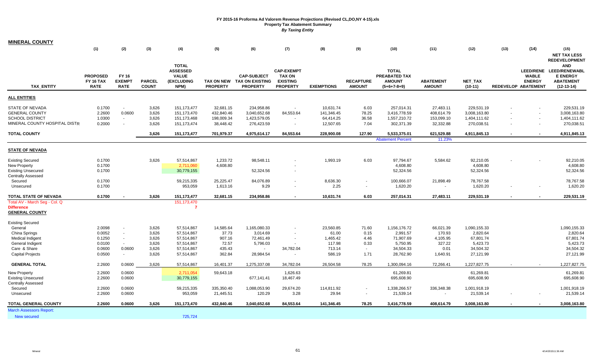| <b>MINERAL COUNTY</b>                   |                                 |                              |                               |                          |                               |                                           |                                       |                   |                                   |                                |                                   |                        |      |                                      |                                    |
|-----------------------------------------|---------------------------------|------------------------------|-------------------------------|--------------------------|-------------------------------|-------------------------------------------|---------------------------------------|-------------------|-----------------------------------|--------------------------------|-----------------------------------|------------------------|------|--------------------------------------|------------------------------------|
|                                         | (1)                             | (2)                          | (3)                           | (4)                      | (5)                           | (6)                                       | (7)                                   | (8)               | (9)                               | (10)                           | (11)                              | (12)                   | (13) | (14)                                 | (15)                               |
|                                         |                                 |                              |                               |                          |                               |                                           |                                       |                   |                                   |                                |                                   |                        |      |                                      | <b>NET TAX LESS</b>                |
|                                         |                                 |                              |                               | <b>TOTAL</b>             |                               |                                           |                                       |                   |                                   |                                |                                   |                        |      |                                      | <b>REDEVELOPMENT</b><br><b>AND</b> |
|                                         |                                 |                              |                               | <b>ASSESSED</b>          |                               |                                           | <b>CAP-EXEMPT</b>                     |                   |                                   | <b>TOTAL</b>                   |                                   |                        |      | <b>LEED/RENE</b>                     | <b>LEED/RENEWABL</b>               |
|                                         | <b>PROPOSED</b>                 | <b>FY 16</b>                 |                               | <b>VALUE</b>             |                               | <b>CAP-SUBJECT</b>                        | <b>TAX ON</b>                         |                   |                                   | PREABATED TAX                  |                                   |                        |      | <b>WABLE</b>                         | <b>E ENERGY</b>                    |
| <b>TAX ENTITY</b>                       | <b>FY 16 TAX</b><br><b>RATE</b> | <b>EXEMPT</b><br><b>RATE</b> | <b>PARCEL</b><br><b>COUNT</b> | (EXCLUDING<br>NPM)       | TAX ON NEW<br><b>PROPERTY</b> | <b>TAX ON EXISTING</b><br><b>PROPERTY</b> | <b>EXISTING</b><br><b>PROPERTY</b>    | <b>EXEMPTIONS</b> | <b>RECAPTURE</b><br><b>AMOUNT</b> | <b>AMOUNT</b><br>$(5+6+7-8+9)$ | <b>ABATEMENT</b><br><b>AMOUNT</b> | NET_TAX<br>$(10-11)$   |      | <b>ENERGY</b><br>REDEVELOP ABATEMENT | <b>ABATEMENT</b><br>$(12-13-14)$   |
|                                         |                                 |                              |                               |                          |                               |                                           |                                       |                   |                                   |                                |                                   |                        |      |                                      |                                    |
| <b>ALL ENTITIES</b>                     |                                 |                              |                               |                          |                               |                                           |                                       |                   |                                   |                                |                                   |                        |      |                                      |                                    |
| STATE OF NEVADA                         | 0.1700                          | $\sim$                       | 3,626                         | 151, 173, 477            | 32,681.15                     | 234,958.86                                | $\sim$                                | 10,631.74         | 6.03                              | 257,014.31                     | 27,483.11                         | 229,531.19             |      | $\sim$                               | 229,531.19                         |
| <b>GENERAL COUNTY</b>                   | 2.2600                          | 0.0600                       | 3,626                         | 151,173,470              | 432,840.46                    | 3,040,652.68                              | 84,553.64                             | 141,346.45        | 78.25                             | 3,416,778.59                   | 408,614.79                        | 3,008,163.80           |      | $\sim$                               | 3,008,163.80                       |
| <b>SCHOOL DISTRICT</b>                  | 1.0300                          | $\sim$                       | 3,626                         | 151, 173, 468            | 198,009.34                    | 1,423,579.05                              |                                       | 64,414.25         | 36.58                             | 1,557,210.72                   | 153,099.10                        | 1,404,111.62           |      | $\sim$                               | 1,404,111.62                       |
| MINERAL COUNTY HOSPITAL DISTR           | 0.2000                          | $\sim$                       | 3,626                         | 151, 173, 474            | 38,448.42                     | 276,423.59                                | $\blacksquare$                        | 12,507.65         | 7.04                              | 302,371.39                     | 32,332.88                         | 270,038.51             |      | $\sim$                               | 270,038.51                         |
| <b>TOTAL COUNTY</b>                     |                                 |                              | 3,626                         | 151, 173, 477            | 701,979.37                    | 4,975,614.17                              | 84,553.64                             | 228,900.08        | 127.90                            | 5,533,375.01                   | 621,529.88                        | 4,911,845.13           |      |                                      | 4,911,845.13                       |
|                                         |                                 |                              |                               |                          |                               |                                           |                                       |                   |                                   | <b>Abatement Percent</b>       | 11.23%                            |                        |      |                                      |                                    |
| <b>STATE OF NEVADA</b>                  |                                 |                              |                               |                          |                               |                                           |                                       |                   |                                   |                                |                                   |                        |      |                                      |                                    |
| <b>Existing Secured</b>                 | 0.1700                          |                              | 3,626                         | 57,514,867               | 1,233.72                      | 98,548.11                                 |                                       | 1,993.19          | 6.03                              | 97,794.67                      | 5,584.62                          | 92,210.05              |      |                                      | 92,210.05                          |
| <b>New Property</b>                     | 0.1700                          |                              |                               | 2,711,060                | 4,608.80                      |                                           |                                       |                   |                                   | 4,608.80                       |                                   | 4,608.80               |      |                                      | 4,608.80                           |
| <b>Existing Unsecured</b>               | 0.1700                          |                              |                               | 30,779,155               |                               | 52,324.56                                 |                                       |                   |                                   | 52,324.56                      |                                   | 52,324.56              |      |                                      | 52,324.56                          |
| <b>Centrally Assessed</b>               |                                 |                              |                               |                          |                               |                                           |                                       |                   |                                   |                                |                                   |                        |      |                                      |                                    |
| Secured                                 | 0.1700                          |                              |                               | 59,215,335               | 25,225.47                     | 84,076.89                                 |                                       | 8,636.30          |                                   | 100,666.07                     | 21,898.49                         | 78,767.58              |      |                                      | 78,767.58                          |
| Unsecured                               | 0.1700                          |                              |                               | 953,059                  | 1,613.16                      | 9.29                                      | $\sim$                                | 2.25              | $\sim$                            | 1,620.20                       |                                   | 1,620.20               |      |                                      | 1,620.20                           |
| TOTAL STATE OF NEVADA                   | 0.1700                          |                              | 3,626                         | 151, 173, 477            | 32,681.15                     | 234,958.86                                |                                       | 10,631.74         | 6.03                              | 257,014.31                     | 27,483.11                         | 229,531.19             |      |                                      | 229,531.19                         |
| Total AV - March Seg - Col. Q           |                                 |                              |                               | 151, 173, 470            |                               |                                           |                                       |                   |                                   |                                |                                   |                        |      |                                      |                                    |
| <b>Difference</b>                       |                                 |                              |                               | -7                       |                               |                                           |                                       |                   |                                   |                                |                                   |                        |      |                                      |                                    |
| <b>GENERAL COUNTY</b>                   |                                 |                              |                               |                          |                               |                                           |                                       |                   |                                   |                                |                                   |                        |      |                                      |                                    |
| <b>Existing Secured</b>                 |                                 |                              |                               |                          |                               |                                           |                                       |                   |                                   |                                |                                   |                        |      |                                      |                                    |
| General                                 | 2.0098                          | $\sim$                       | 3,626                         | 57,514,867               | 14,585.64                     | 1,165,080.33                              |                                       | 23,560.85         | 71.60                             | 1,156,176.72                   | 66,021.39                         | 1,090,155.33           |      |                                      | 1,090,155.33                       |
| China Springs                           | 0.0052                          | $\sim$                       | 3,626                         | 57,514,867               | 37.73                         | 3,014.69                                  |                                       | 61.00             | 0.15                              | 2,991.57                       | 170.93                            | 2,820.64               |      |                                      | 2,820.64                           |
| Medical Indigent                        | 0.1250                          | $\sim$                       | 3,626                         | 57,514,867               | 907.16                        | 72,461.49                                 | $\sim$                                | 1,465.42          | 4.46                              | 71,907.69                      | 4,105.95                          | 67,801.74              |      |                                      | 67,801.74                          |
| General Indigent                        | 0.0100                          | $\sim$                       | 3,626                         | 57,514,867               | 72.57                         | 5,796.03                                  |                                       | 117.98            | 0.33                              | 5,750.95                       | 327.22                            | 5,423.73               |      |                                      | 5,423.73                           |
| Care & Share<br><b>Capital Projects</b> | 0.0600<br>0.0500                | 0.0600<br>$\sim$             | 3,626<br>3,626                | 57,514,867<br>57,514,867 | 435.43<br>362.84              | $\sim$<br>28,984.54                       | 34,782.04<br>$\overline{\phantom{a}}$ | 713.14<br>586.19  | $\sim$<br>1.71                    | 34,504.33<br>28,762.90         | 0.01<br>1,640.91                  | 34,504.32<br>27,121.99 |      |                                      | 34,504.32<br>27,121.99             |
|                                         |                                 |                              |                               |                          |                               |                                           |                                       |                   |                                   |                                |                                   |                        |      |                                      |                                    |
| <b>GENERAL TOTAL</b>                    | 2.2600                          | 0.0600                       | 3,626                         | 57,514,867               | 16,401.37                     | 1,275,337.08                              | 34,782.04                             | 26,504.58         | 78.25                             | 1,300,094.16                   | 72,266.41                         | 1,227,827.75           |      |                                      | 1,227,827.75                       |
| <b>New Property</b>                     | 2.2600                          | 0.0600                       |                               | 2,711,054                | 59,643.18                     |                                           | 1,626.63                              |                   |                                   | 61,269.81                      |                                   | 61,269.81              |      |                                      | 61,269.81                          |
| <b>Existing Unsecured</b>               | 2.2600                          | 0.0600                       |                               | 30,779,155               |                               | 677,141.41                                | 18,467.49                             |                   |                                   | 695,608.90                     |                                   | 695,608.90             |      |                                      | 695,608.90                         |
| <b>Centrally Assessed</b>               |                                 |                              |                               |                          |                               |                                           |                                       |                   |                                   |                                |                                   |                        |      |                                      |                                    |
| Secured                                 | 2.2600                          | 0.0600                       |                               | 59,215,335               | 335,350.40                    | 1,088,053.90                              | 29,674.20                             | 114,811.92        |                                   | 1,338,266.57                   | 336,348.38                        | 1,001,918.19           |      |                                      | 1,001,918.19                       |
| Unsecured                               | 2.2600                          | 0.0600                       |                               | 953,059                  | 21,445.51                     | 120.29                                    | 3.28                                  | 29.94             | $\sim$                            | 21,539.14                      |                                   | 21,539.14              |      |                                      | 21,539.14                          |
| <b>TOTAL GENERAL COUNTY</b>             | 2.2600                          | 0.0600                       | 3,626                         | 151,173,470              | 432,840.46                    | 3,040,652.68                              | 84,553.64                             | 141,346.45        | 78.25                             | 3,416,778.59                   | 408,614.79                        | 3,008,163.80           |      |                                      | 3,008,163.80                       |
| <b>March Assessors Report:</b>          |                                 |                              |                               |                          |                               |                                           |                                       |                   |                                   |                                |                                   |                        |      |                                      |                                    |
| <b>New secured</b>                      |                                 |                              |                               | 725,724                  |                               |                                           |                                       |                   |                                   |                                |                                   |                        |      |                                      |                                    |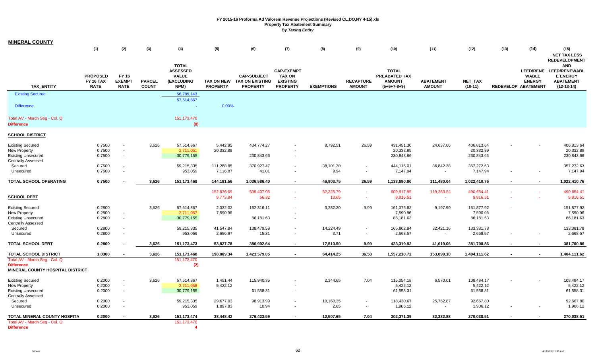| <b>MINERAL COUNTY</b>                                                                             |                                                    |                                                      |                               |                                                                       |                               |                                                                 |                                                                          |                    |                                   |                                                                 |                                       |                                       |                     |                               |                                                                                                                      |
|---------------------------------------------------------------------------------------------------|----------------------------------------------------|------------------------------------------------------|-------------------------------|-----------------------------------------------------------------------|-------------------------------|-----------------------------------------------------------------|--------------------------------------------------------------------------|--------------------|-----------------------------------|-----------------------------------------------------------------|---------------------------------------|---------------------------------------|---------------------|-------------------------------|----------------------------------------------------------------------------------------------------------------------|
|                                                                                                   | (1)                                                | (2)                                                  | (3)                           | (4)                                                                   | (5)                           | (6)                                                             | (7)                                                                      | (8)                | (9)                               | (10)                                                            | (11)                                  | (12)                                  | (13)                | (14)                          | (15)<br><b>NET TAX LESS</b>                                                                                          |
| <b>TAX ENTITY</b>                                                                                 | <b>PROPOSED</b><br><b>FY 16 TAX</b><br><b>RATE</b> | <b>FY 16</b><br><b>EXEMPT</b><br><b>RATE</b>         | <b>PARCEL</b><br><b>COUNT</b> | <b>TOTAL</b><br><b>ASSESSED</b><br><b>VALUE</b><br>(EXCLUDING<br>NPM) | TAX ON NEW<br><b>PROPERTY</b> | <b>CAP-SUBJECT</b><br><b>TAX ON EXISTING</b><br><b>PROPERTY</b> | <b>CAP-EXEMPT</b><br><b>TAX ON</b><br><b>EXISTING</b><br><b>PROPERTY</b> | <b>EXEMPTIONS</b>  | <b>RECAPTURE</b><br><b>AMOUNT</b> | <b>TOTAL</b><br>PREABATED TAX<br><b>AMOUNT</b><br>$(5+6+7-8+9)$ | <b>ABATEMENT</b><br><b>AMOUNT</b>     | NET_TAX<br>$(10-11)$                  | REDEVELOP ABATEMENT | <b>WABLE</b><br><b>ENERGY</b> | <b>REDEVELOPMENT</b><br><b>AND</b><br>LEED/RENE LEED/RENEWABL<br><b>E ENERGY</b><br><b>ABATEMENT</b><br>$(12-13-14)$ |
| <b>Existing Secured</b>                                                                           |                                                    |                                                      |                               | 56,789,143                                                            |                               |                                                                 |                                                                          |                    |                                   |                                                                 |                                       |                                       |                     |                               |                                                                                                                      |
| <b>Difference</b>                                                                                 |                                                    |                                                      |                               | 57,514,867<br>$\sim$                                                  | 0.00%                         |                                                                 |                                                                          |                    |                                   |                                                                 |                                       |                                       |                     |                               |                                                                                                                      |
| Total AV - March Seg - Col. Q<br><b>Difference</b>                                                |                                                    |                                                      |                               | 151,173,470<br>(0)                                                    |                               |                                                                 |                                                                          |                    |                                   |                                                                 |                                       |                                       |                     |                               |                                                                                                                      |
| <b>SCHOOL DISTRICT</b>                                                                            |                                                    |                                                      |                               |                                                                       |                               |                                                                 |                                                                          |                    |                                   |                                                                 |                                       |                                       |                     |                               |                                                                                                                      |
| <b>Existing Secured</b><br>New Property<br><b>Existing Unsecured</b><br><b>Centrally Assessed</b> | 0.7500<br>0.7500<br>0.7500                         | $\blacksquare$<br>$\blacksquare$<br>$\sim$           | 3,626                         | 57,514,867<br>2,711,051<br>30,779,155                                 | 5,442.95<br>20,332.89         | 434,774.27<br>230,843.66                                        |                                                                          | 8,792.51           | 26.59                             | 431,451.30<br>20,332.89<br>230,843.66                           | 24,637.66                             | 406,813.64<br>20,332.89<br>230,843.66 |                     |                               | 406,813.64<br>20,332.89<br>230,843.66                                                                                |
| Secured<br>Unsecured                                                                              | 0.7500<br>0.7500                                   | $\blacksquare$<br>$\blacksquare$                     |                               | 59,215,335<br>953,059                                                 | 111,288.85<br>7,116.87        | 370,927.47<br>41.01                                             | $\sim$                                                                   | 38,101.30<br>9.94  | $\blacksquare$<br>$\blacksquare$  | 444,115.01<br>7,147.94                                          | 86,842.38<br>$\overline{\phantom{a}}$ | 357,272.63<br>7,147.94                |                     |                               | 357,272.63<br>7,147.94                                                                                               |
| TOTAL SCHOOL OPERATING                                                                            | 0.7500                                             |                                                      | 3,626                         | 151,173,468                                                           | 144,181.56                    | 1,036,586.40                                                    | $\sim$                                                                   | 46,903.75          | 26.59                             | 1,133,890.80                                                    | 111,480.04                            | 1,022,410.76                          |                     |                               | 1,022,410.76                                                                                                         |
| <b>SCHOOL DEBT</b>                                                                                |                                                    |                                                      |                               |                                                                       | 152,836.69<br>9,773.84        | 509,407.05<br>56.32                                             | $\sim$                                                                   | 52,325.79<br>13.65 | $\sim$<br>$\sim$                  | 609,917.95<br>9,816.51                                          | 119,263.54<br>$\sim$                  | 490,654.41<br>9,816.51                |                     |                               | 490,654.41<br>9,816.51                                                                                               |
| <b>Existing Secured</b><br>New Property<br><b>Existing Unsecured</b>                              | 0.2800<br>0.2800<br>0.2800                         | $\blacksquare$<br>$\sim$                             | 3,626                         | 57,514,867<br>2,711,057<br>30,779,155                                 | 2,032.02<br>7,590.96          | 162,316.11<br>86,181.63                                         |                                                                          | 3,282.30           | 9.99                              | 161,075.82<br>7,590.96<br>86,181.63                             | 9,197.90                              | 151,877.92<br>7,590.96<br>86,181.63   |                     |                               | 151,877.92<br>7,590.96<br>86,181.63                                                                                  |
| <b>Centrally Assessed</b><br>Secured<br>Unsecured                                                 | 0.2800<br>0.2800                                   | $\blacksquare$<br>$\blacksquare$                     |                               | 59,215,335<br>953,059                                                 | 41,547.84<br>2,656.97         | 138,479.59<br>15.31                                             |                                                                          | 14,224.49<br>3.71  | $\blacksquare$<br>$\blacksquare$  | 165,802.94<br>2,668.57                                          | 32,421.16<br>$\sim$                   | 133,381.78<br>2,668.57                |                     |                               | 133,381.78<br>2,668.57                                                                                               |
| <b>TOTAL SCHOOL DEBT</b>                                                                          | 0.2800                                             |                                                      | 3,626                         | 151, 173, 473                                                         | 53,827.78                     | 386,992.64                                                      |                                                                          | 17,510.50          | 9.99                              | 423,319.92                                                      | 41,619.06                             | 381,700.86                            |                     |                               | 381,700.86                                                                                                           |
| <b>TOTAL SCHOOL DISTRICT</b><br>Total AV - March Seg - Col. Q                                     | 1.0300                                             |                                                      | 3,626                         | 151,173,468<br>151, 173, 470                                          | 198,009.34                    | 1,423,579.05                                                    | $\sim$                                                                   | 64,414.25          | 36.58                             | 1,557,210.72                                                    | 153,099.10                            | 1,404,111.62                          |                     |                               | 1,404,111.62                                                                                                         |
| <b>Difference</b><br><b>MINERAL COUNTY HOSPITAL DISTRICT</b>                                      |                                                    |                                                      |                               | (2)                                                                   |                               |                                                                 |                                                                          |                    |                                   |                                                                 |                                       |                                       |                     |                               |                                                                                                                      |
| <b>Existing Secured</b><br>New Property<br><b>Existing Unsecured</b><br><b>Centrally Assessed</b> | 0.2000<br>0.2000<br>0.2000                         | $\blacksquare$<br>$\overline{\phantom{a}}$<br>$\sim$ | 3,626                         | 57,514,867<br>2,711,058<br>30,779,155                                 | 1,451.44<br>5,422.12          | 115,940.35<br>61,558.31                                         |                                                                          | 2,344.65           | 7.04                              | 115,054.18<br>5,422.12<br>61,558.31                             | 6,570.01                              | 108,484.17<br>5,422.12<br>61,558.31   |                     |                               | 108,484.17<br>5,422.12<br>61,558.31                                                                                  |
| Secured<br>Unsecured                                                                              | 0.2000<br>0.2000                                   | $\blacksquare$<br>$\sim$                             |                               | 59,215,335<br>953,059                                                 | 29,677.03<br>1,897.83         | 98,913.99<br>10.94                                              |                                                                          | 10,160.35<br>2.65  | $\blacksquare$<br>$\blacksquare$  | 118,430.67<br>1,906.12                                          | 25,762.87<br>$\sim$                   | 92,667.80<br>1,906.12                 |                     |                               | 92,667.80<br>1,906.12                                                                                                |
| TOTAL MINERAL COUNTY HOSPITA                                                                      | 0.2000                                             |                                                      | 3,626                         | 151, 173, 474                                                         | 38,448.42                     | 276,423.59                                                      |                                                                          | 12,507.65          | 7.04                              | 302,371.39                                                      | 32,332.88                             | 270,038.51                            |                     |                               | 270,038.51                                                                                                           |
| Total AV - March Seg - Col. Q<br><b>Difference</b>                                                |                                                    |                                                      |                               | 151, 173, 470<br>$\overline{\mathbf{4}}$                              |                               |                                                                 |                                                                          |                    |                                   |                                                                 |                                       |                                       |                     |                               |                                                                                                                      |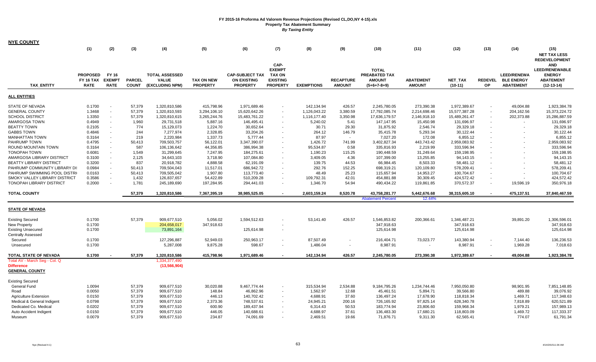| <b>NYE COUNTY</b>                               |                                             |                                              |                               |                                                          |                                      |                                                                 |                                                     |                   |                                   |                                                 |                                   |                             |                             |                                                             |                                                                                    |
|-------------------------------------------------|---------------------------------------------|----------------------------------------------|-------------------------------|----------------------------------------------------------|--------------------------------------|-----------------------------------------------------------------|-----------------------------------------------------|-------------------|-----------------------------------|-------------------------------------------------|-----------------------------------|-----------------------------|-----------------------------|-------------------------------------------------------------|------------------------------------------------------------------------------------|
|                                                 | (1)                                         | (2)                                          | (3)                           | (4)                                                      | (5)                                  | (6)                                                             | (7)                                                 | (8)               | (9)                               | (10)                                            | (11)                              | (12)                        | (13)                        | (14)                                                        | (15)                                                                               |
|                                                 |                                             |                                              |                               |                                                          |                                      |                                                                 | CAP-<br><b>EXEMPT</b>                               |                   |                                   | <b>TOTAL</b>                                    |                                   |                             |                             |                                                             | <b>NET TAX LESS</b><br><b>REDEVELOPMENT</b><br><b>AND</b><br><b>LEED/RENEWABLE</b> |
| <b>TAX_ENTITY</b>                               | <b>PROPOSED</b><br>FY 16 TAX<br><b>RATE</b> | <b>FY 16</b><br><b>EXEMPT</b><br><b>RATE</b> | <b>PARCEL</b><br><b>COUNT</b> | <b>TOTAL ASSESSED</b><br><b>VALUE</b><br>(EXCLUDING NPM) | <b>TAX ON NEW</b><br><b>PROPERTY</b> | <b>CAP-SUBJECT TAX</b><br><b>ON EXISTING</b><br><b>PROPERTY</b> | <b>TAX ON</b><br><b>EXISTING</b><br><b>PROPERTY</b> | <b>EXEMPTIONS</b> | <b>RECAPTURE</b><br><b>AMOUNT</b> | PREABATED TAX<br><b>AMOUNT</b><br>$(5+6+7-8+9)$ | <b>ABATEMENT</b><br><b>AMOUNT</b> | <b>NET TAX</b><br>$(10-11)$ | <b>REDEVEL</b><br><b>OP</b> | <b>LEED/RENEWA</b><br><b>BLE ENERGY</b><br><b>ABATEMENT</b> | <b>ENERGY</b><br><b>ABATEMENT</b><br>$(12-13-14)$                                  |
| <b>ALL ENTITIES</b>                             |                                             |                                              |                               |                                                          |                                      |                                                                 |                                                     |                   |                                   |                                                 |                                   |                             |                             |                                                             |                                                                                    |
| <b>STATE OF NEVADA</b>                          | 0.1700                                      | $\sim$                                       | 57,379                        | 1,320,810,586                                            | 415,798.96                           | 1,971,689.46                                                    |                                                     | 142,134.94        | 426.57                            | 2,245,780.05                                    | 273,390.38                        | 1,972,389.67                |                             | 49,004.88                                                   | 1,923,384.78                                                                       |
| <b>GENERAL COUNTY</b>                           | 1.3468                                      | $\sim$                                       | 57,379                        | 1,320,810,593                                            | 3,294,106.10                         | 15,620,642.26                                                   | $\sim$                                              | 1,126,043.22      | 3,380.59                          | 17,792,085.74                                   | 2,214,698.46                      | 15,577,387.28               |                             | 204,162.56                                                  | 15,373,224.72                                                                      |
| <b>SCHOOL DISTRICT</b>                          | 1.3350                                      | $\sim$                                       | 57,379                        | 1,320,810,615                                            | 3,265,244.76                         | 15,483,761.22                                                   | $\blacksquare$                                      | 1,116,177.40      | 3,350.98                          | 17,636,179.57                                   | 2,146,918.10                      | 15,489,261.47               |                             | 202,373.88                                                  | 15,286,887.59                                                                      |
| AMARGOSA TOWN                                   | 0.4949                                      | $\sim$                                       | 1,960                         | 29,731,518                                               | 5,887.16                             | 146,495.41                                                      | $\sim$                                              | 5,240.02          | 5.41                              | 147,147.95                                      | 15,450.98                         | 131,696.97                  |                             | $\blacksquare$                                              | 131,696.97                                                                         |
| <b>BEATTY TOWN</b>                              | 0.2105                                      | $\sim$                                       | 774                           | 15,129,073                                               | 1,224.70                             | 30,652.64                                                       |                                                     | 30.71             | 29.30                             | 31,875.92                                       | 2,546.74                          | 29,329.18                   |                             |                                                             | 29,329.18                                                                          |
| <b>GABBS TOWN</b>                               | 0.4846                                      | $\sim$                                       | 244                           | 7,277,974                                                | 2,328.85                             | 33,204.26                                                       |                                                     | 264.12            | 146.79                            | 35,415.78                                       | 5,293.34                          | 30,122.44                   |                             |                                                             | 30,122.44                                                                          |
| <b>MANHATTAN TOWN</b>                           | 0.3164                                      | $\sim$                                       | 219                           | 2,220,984                                                | 1,337.73                             | 5,777.44                                                        |                                                     | 87.97             | $\sim$                            | 7,027.20                                        | 172.08                            | 6,855.12                    |                             |                                                             | 6,855.12                                                                           |
| PAHRUMP TOWN                                    | 0.4795                                      | $\sim$                                       | 50,413                        | 709,503,757                                              | 56,122.01                            | 3,347,390.07                                                    |                                                     | 1,426.72          | 741.99                            | 3,402,827.34                                    | 443,743.42                        | 2,959,083.92                |                             |                                                             | 2,959,083.92                                                                       |
| ROUND MOUNTAIN TOWN                             | 0.3164                                      |                                              | 587                           | 106,136,642                                              | 44,356.85                            | 386,994.38                                                      |                                                     | 95,534.87         | 0.58                              | 335,816.93                                      | 2,219.99                          | 333,596.94                  |                             |                                                             | 333,596.94                                                                         |
| <b>TONOPAH TOWN</b>                             | 0.6081                                      | $\sim$                                       | 1,549                         | 31,299,645                                               | 7,247.95                             | 184,275.61                                                      | $\sim$                                              | 1,190.23          | 115.25                            | 190,448.59                                      | 31,249.64                         | 159,198.95                  |                             |                                                             | 159,198.95                                                                         |
| AMARGOSA LIBRARY DISTRICT                       | 0.3100                                      | $\sim$                                       | 2,125                         | 34,643,103                                               | 3,718.90                             | 107,084.80                                                      | $\sim$                                              | 3,409.05          | 4.36                              | 107,399.00                                      | 13,255.85                         | 94,143.15                   |                             |                                                             | 94,143.15                                                                          |
| <b>BEATTY LIBRARY DISTRICT</b>                  | 0.3200                                      |                                              | 837                           | 20,918,782                                               | 4,888.58                             | 62,191.09                                                       |                                                     | 139.75            | 44.53                             | 66,984.45                                       | 8,503.33                          | 58,481.12                   |                             |                                                             | 58,481.12                                                                          |
| PAHRUMP COMMUNITY LIBRARY DI:                   | 0.0984                                      | $\sim$                                       | 50,413                        | 709,504,043                                              | 11,517.01                            | 686,942.72                                                      | $\sim$                                              | 292.76            | 152.25                            | 698,319.21                                      | 120,109.80                        | 578,209.41                  |                             |                                                             | 578,209.41                                                                         |
| PAHRUMP SWIMMING POOL DISTRI                    | 0.0163                                      | $\sim$                                       | 50,413                        | 709,505,042                                              | 1,907.80                             | 113,773.40                                                      |                                                     | 48.49             | 25.23                             | 115,657.94                                      | 14,953.27                         | 100,704.67                  |                             |                                                             | 100,704.67                                                                         |
| SMOKY VALLEY LIBRARY DISTRICT                   | 0.3586                                      | $\sim$                                       | 1,432                         | 126,837,657                                              | 54,422.89                            | 510,209.28                                                      | $\sim$                                              | 109,792.31        | 42.01                             | 454,881.88                                      | 30,309.45                         | 424,572.42                  |                             |                                                             | 424,572.42                                                                         |
| <b>TONOPAH LIBRARY DISTRICT</b>                 | 0.2000                                      | $\sim$                                       | 1,781                         | 245,189,690                                              | 197,284.95                           | 294,441.03                                                      | $\overline{a}$                                      | 1,346.70          | 54.94                             | 490,434.22                                      | 119,861.85                        | 370,572.37                  |                             | 19,596.19                                                   | 350,976.18                                                                         |
| <b>TOTAL COUNTY</b>                             |                                             |                                              | 57,379                        | 1,320,810,586                                            | 7,367,395.19                         | 38,985,525.05                                                   |                                                     | 2,603,159.24      | 8,520.78                          | 43,758,281.77                                   | 5,442,676.68                      | 38,315,605.10               |                             | 475,137.51                                                  | 37,840,467.59                                                                      |
|                                                 |                                             |                                              |                               |                                                          |                                      |                                                                 |                                                     |                   |                                   | <b>Abatement Percent</b>                        | 12.44%                            |                             |                             |                                                             |                                                                                    |
| <b>STATE OF NEVADA</b>                          |                                             |                                              |                               |                                                          |                                      |                                                                 |                                                     |                   |                                   |                                                 |                                   |                             |                             |                                                             |                                                                                    |
| <b>Existing Secured</b>                         | 0.1700                                      |                                              | 57,379                        | 909,677,510                                              | 5,056.02                             | 1,594,512.63                                                    |                                                     | 53,141.40         | 426.57                            | 1,546,853.82                                    | 200,366.61                        | 1,346,487.21                |                             | 39,891.20                                                   | 1,306,596.01                                                                       |
| New Property                                    | 0.1700                                      |                                              |                               | 204,658,017                                              | 347,918.63                           |                                                                 |                                                     |                   |                                   | 347,918.63                                      |                                   | 347,918.63                  |                             |                                                             | 347,918.63                                                                         |
| <b>Existing Unsecured</b><br>Centrally Assessed | 0.1700                                      |                                              |                               | 73,891,164                                               |                                      | 125,614.98                                                      | ٠                                                   |                   |                                   | 125,614.98                                      |                                   | 125,614.98                  |                             |                                                             | 125,614.98                                                                         |
| Secured                                         | 0.1700                                      |                                              |                               | 127,296,887                                              | 52,949.03                            | 250,963.17                                                      | $\sim$                                              | 87,507.49         |                                   | 216,404.71                                      | 73,023.77                         | 143,380.94                  |                             | 7,144.40                                                    | 136,236.53                                                                         |
| Unsecured                                       | 0.1700                                      |                                              |                               | 5,287,008                                                | 9,875.28                             | 598.67                                                          |                                                     | 1,486.04          |                                   | 8,987.91                                        |                                   | 8,987.91                    |                             | 1,969.28                                                    | 7,018.63                                                                           |
| TOTAL STATE OF NEVADA                           | 0.1700                                      |                                              | 57,379                        | 1,320,810,586                                            | 415,798.96                           | 1,971,689.46                                                    |                                                     | 142,134.94        | 426.57                            | 2,245,780.05                                    | 273,390.38                        | 1,972,389.67                |                             | 49,004.88                                                   | 1,923,384.78                                                                       |
| Total AV - March Seg - Col. Q                   |                                             |                                              |                               | 1,334,377,490                                            |                                      |                                                                 |                                                     |                   |                                   |                                                 |                                   |                             |                             |                                                             |                                                                                    |
| <b>Difference</b><br><b>GENERAL COUNTY</b>      |                                             |                                              |                               | (13, 566, 904)                                           |                                      |                                                                 |                                                     |                   |                                   |                                                 |                                   |                             |                             |                                                             |                                                                                    |
| <b>Existing Secured</b>                         |                                             |                                              |                               |                                                          |                                      |                                                                 |                                                     |                   |                                   |                                                 |                                   |                             |                             |                                                             |                                                                                    |
| General Fund                                    | 1.0094                                      |                                              | 57,379                        | 909,677,510                                              | 30,020.88                            | 9,467,774.44                                                    | ٠                                                   | 315,534.94        | 2,534.88                          | 9,184,795.26                                    | 1,234,744.46                      | 7,950,050.80                |                             | 98,901.95                                                   | 7,851,148.85                                                                       |
| Road                                            | 0.0050                                      |                                              | 57,379                        | 909,677,510                                              | 148.84                               | 46,862.96                                                       | $\blacksquare$                                      | 1,562.97          | 12.68                             | 45,461.51                                       | 5,894.71                          | 39,566.80                   |                             | 489.88                                                      | 39,076.92                                                                          |
| <b>Agriculture Extension</b>                    | 0.0150                                      |                                              | 57,379                        | 909,677,510                                              | 446.13                               | 140,702.42                                                      | $\sim$                                              | 4,688.91          | 37.60                             | 136,497.24                                      | 17,678.90                         | 118,818.34                  |                             | 1,469.71                                                    | 117,348.63                                                                         |
| Medical & General Indigent                      | 0.0798                                      |                                              | 57,379                        | 909,677,510                                              | 2,373.36                             | 748,537.61                                                      |                                                     | 24,945.21         | 200.16                            | 726,165.92                                      | 97,825.14                         | 628,340.78                  |                             | 7,818.89                                                    | 620,521.89                                                                         |
| Dedicated Co. Medical                           | 0.0202                                      |                                              | 57,379                        | 909,677,510                                              | 600.90                               | 189,437.94                                                      |                                                     | 6,314.43          | 50.53                             | 183,774.94                                      | 23,806.60                         | 159,968.34                  |                             | 1,979.21                                                    | 157,989.13                                                                         |
| Auto Accident Indigent                          | 0.0150                                      |                                              | 57,379                        | 909,677,510                                              | 446.05                               | 140,688.61                                                      |                                                     | 4,688.97          | 37.61                             | 136,483.30                                      | 17,680.21                         | 118,803.09                  |                             | 1,469.72                                                    | 117,333.37                                                                         |
| Museum                                          | 0.0079                                      |                                              | 57,379                        | 909,677,510                                              | 234.87                               | 74,091.69                                                       |                                                     | 2,469.51          | 19.66                             | 71,876.71                                       | 9,311.30                          | 62,565.41                   |                             | 774.07                                                      | 61,791.34                                                                          |

 $\mathcal{A}$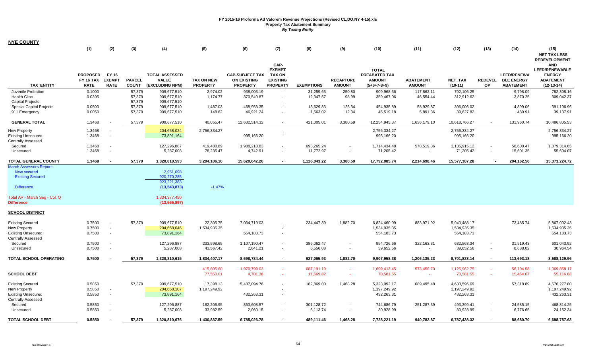| <b>NYE COUNTY</b>                                                                                   |                                                    |                                       |                               |                                                           |                                      |                                                                 |                                                                              |                         |                                   |                                                                        |                                   |                                            |                             |                                                             |                                                                                          |
|-----------------------------------------------------------------------------------------------------|----------------------------------------------------|---------------------------------------|-------------------------------|-----------------------------------------------------------|--------------------------------------|-----------------------------------------------------------------|------------------------------------------------------------------------------|-------------------------|-----------------------------------|------------------------------------------------------------------------|-----------------------------------|--------------------------------------------|-----------------------------|-------------------------------------------------------------|------------------------------------------------------------------------------------------|
|                                                                                                     | (1)                                                | (2)                                   | (3)                           | (4)                                                       | (5)                                  | (6)                                                             | (7)                                                                          | (8)                     | (9)                               | (10)                                                                   | (11)                              | (12)                                       | (13)                        | (14)                                                        | (15)<br><b>NET TAX LESS</b><br><b>REDEVELOPMENT</b>                                      |
| <b>TAX ENTITY</b>                                                                                   | <b>PROPOSED</b><br><b>FY 16 TAX</b><br><b>RATE</b> | FY 16<br><b>EXEMPT</b><br><b>RATE</b> | <b>PARCEL</b><br><b>COUNT</b> | <b>TOTAL ASSESSED</b><br><b>VALUE</b><br>(EXCLUDING NPM)  | <b>TAX ON NEW</b><br><b>PROPERTY</b> | <b>CAP-SUBJECT TAX</b><br><b>ON EXISTING</b><br><b>PROPERTY</b> | CAP-<br><b>EXEMPT</b><br><b>TAX ON</b><br><b>EXISTING</b><br><b>PROPERTY</b> | <b>EXEMPTIONS</b>       | <b>RECAPTURE</b><br><b>AMOUNT</b> | <b>TOTAL</b><br><b>PREABATED TAX</b><br><b>AMOUNT</b><br>$(5+6+7-8+9)$ | <b>ABATEMENT</b><br><b>AMOUNT</b> | <b>NET TAX</b><br>$(10-11)$                | <b>REDEVEL</b><br><b>OP</b> | <b>LEED/RENEWA</b><br><b>BLE ENERGY</b><br><b>ABATEMENT</b> | <b>AND</b><br><b>LEED/RENEWABLE</b><br><b>ENERGY</b><br><b>ABATEMENT</b><br>$(12-13-14)$ |
| Juvenile Probation                                                                                  | 0.1000                                             |                                       | 57,379                        | 909,677,510                                               | 2,974.02                             | 938,003.19                                                      | $\sim$                                                                       | 31,259.65               | 250.80                            | 909,968.36                                                             | 117,862.11                        | 792,106.25                                 |                             | 9,798.09                                                    | 782,308.16                                                                               |
| <b>Health Clinc</b>                                                                                 | 0.0395                                             |                                       | 57,379                        | 909,677,510                                               | 1,174.77                             | 370,540.87                                                      | $\sim$                                                                       | 12,347.57               | 98.99                             | 359,467.06                                                             | 46,554.44                         | 312,912.62                                 |                             | 3,870.25                                                    | 309,042.37                                                                               |
| <b>Capital Projects</b>                                                                             | $\sim$                                             |                                       | 57,379                        | 909,677,510                                               | $\sim$                               |                                                                 |                                                                              |                         | $\sim$                            |                                                                        |                                   | $\sim$                                     |                             | $\sim$                                                      |                                                                                          |
| <b>Special Capital Projects</b>                                                                     | 0.0500                                             |                                       | 57,379                        | 909,677,510                                               | 1,487.03                             | 468,953.35                                                      |                                                                              | 15,629.83               | 125.34                            | 454,935.89                                                             | 58,929.87                         | 396,006.02                                 |                             | 4,899.06                                                    | 391,106.96                                                                               |
| 911 Emergency                                                                                       | 0.0050                                             |                                       | 57,379                        | 909,677,510                                               | 148.62                               | 46,921.24                                                       | $\sim$                                                                       | 1,563.02                | 12.34                             | 45,519.18                                                              | 5,891.36                          | 39,627.82                                  |                             | 489.91                                                      | 39,137.91                                                                                |
| <b>GENERAL TOTAL</b>                                                                                | 1.3468                                             |                                       | 57,379                        | 909,677,510                                               | 40,055.47                            | 12,632,514.32                                                   |                                                                              | 421,005.01              | 3,380.59                          | 12,254,945.37                                                          | 1,636,179.10                      | 10,618,766.27                              |                             | 131,960.74                                                  | 10,486,805.53                                                                            |
| <b>New Property</b>                                                                                 | 1.3468                                             |                                       |                               | 204,658,024                                               | 2,756,334.27                         |                                                                 |                                                                              |                         |                                   | 2,756,334.27                                                           |                                   | 2,756,334.27                               |                             |                                                             | 2,756,334.27                                                                             |
| <b>Existing Unsecured</b>                                                                           | 1.3468                                             |                                       |                               | 73,891,164                                                |                                      | 995,166.20                                                      | $\sim$                                                                       |                         |                                   | 995,166.20                                                             |                                   | 995,166.20                                 |                             |                                                             | 995,166.20                                                                               |
| <b>Centrally Assessed</b>                                                                           |                                                    |                                       |                               |                                                           |                                      |                                                                 |                                                                              |                         |                                   |                                                                        |                                   |                                            |                             |                                                             |                                                                                          |
| Secured                                                                                             | 1.3468                                             |                                       |                               | 127,296,887                                               | 419,480.89                           | 1,988,218.83                                                    | $\sim$                                                                       | 693,265.24              |                                   | 1,714,434.48                                                           | 578,519.36                        | 1,135,915.12                               |                             | 56,600.47                                                   | 1,079,314.65                                                                             |
| Unsecured                                                                                           | 1.3468                                             |                                       |                               | 5,287,008                                                 | 78,235.47                            | 4,742.91                                                        | $\sim$                                                                       | 11,772.97               | $\sim$                            | 71,205.42                                                              | $\sim$                            | 71,205.42                                  |                             | 15,601.35                                                   | 55,604.07                                                                                |
| TOTAL GENERAL COUNTY                                                                                | 1.3468                                             |                                       | 57,379                        | 1,320,810,593                                             | 3,294,106.10                         | 15,620,642.26                                                   |                                                                              | 1,126,043.22            | 3,380.59                          | 17,792,085.74                                                          | 2,214,698.46                      | 15,577,387.28                              |                             | 204,162.56                                                  | 15,373,224.72                                                                            |
| <b>March Assessors Report</b><br><b>New secured</b><br><b>Existing Secured</b><br><b>Difference</b> |                                                    |                                       |                               | 2,951,098<br>920,270,285<br>923,221,383<br>(13, 543, 873) | $-1.47%$                             |                                                                 |                                                                              |                         |                                   |                                                                        |                                   |                                            |                             |                                                             |                                                                                          |
| Total AV - March Seg - Col. Q<br><b>Difference</b>                                                  |                                                    |                                       |                               | 1,334,377,490<br>(13, 566, 897)                           |                                      |                                                                 |                                                                              |                         |                                   |                                                                        |                                   |                                            |                             |                                                             |                                                                                          |
| <b>SCHOOL DISTRICT</b>                                                                              |                                                    |                                       |                               |                                                           |                                      |                                                                 |                                                                              |                         |                                   |                                                                        |                                   |                                            |                             |                                                             |                                                                                          |
| <b>Existing Secured</b><br>New Property<br><b>Existing Unsecured</b><br><b>Centrally Assessed</b>   | 0.7500<br>0.7500<br>0.7500                         | $\sim$<br>$\sim$                      | 57,379                        | 909,677,510<br>204,658,046<br>73,891,164                  | 22,305.75<br>1,534,935.35            | 7,034,719.03<br>554,183.73                                      | $\sim$                                                                       | 234,447.39              | 1,882.70                          | 6,824,460.09<br>1,534,935.35<br>554,183.73                             | 883,971.92                        | 5,940,488.17<br>1,534,935.35<br>554,183.73 |                             | 73,485.74                                                   | 5,867,002.43<br>1,534,935.35<br>554,183.73                                               |
| Secured<br>Unsecured                                                                                | 0.7500<br>0.7500                                   | $\sim$                                |                               | 127,296,887<br>5,287,008                                  | 233,598.65<br>43,567.42              | 1,107,190.47<br>2,641.21                                        | $\sim$<br>$\sim$                                                             | 386,062.47<br>6,556.08  | $\overline{\phantom{a}}$          | 954,726.66<br>39,652.56                                                | 322,163.31                        | 632,563.34<br>39,652.56                    | $\sim$                      | 31,519.43<br>8,688.02                                       | 601,043.92<br>30,964.54                                                                  |
| TOTAL SCHOOL OPERATING                                                                              | 0.7500                                             |                                       | 57,379                        | 1,320,810,615                                             | 1,834,407.17                         | 8,698,734.44                                                    | $\sim$                                                                       | 627,065.93              | 1,882.70                          | 9,907,958.38                                                           | 1,206,135.23                      | 8,701,823.14                               | $\sim$                      | 113,693.18                                                  | 8,588,129.96                                                                             |
| <b>SCHOOL DEBT</b>                                                                                  |                                                    |                                       |                               |                                                           | 415,805.60<br>77,550.01              | 1,970,799.03<br>4,701.36                                        | a.<br>$\sim$                                                                 | 687,191.19<br>11,669.82 | $\sim$<br>÷                       | 1,699,413.45<br>70,581.55                                              | 573,450.70<br>$\sim$              | 1,125,962.75<br>70,581.55                  | <b>Contract</b>             | 56,104.58<br>15,464.67                                      | 1,069,858.17<br>55,116.88                                                                |
| <b>Existing Secured</b>                                                                             | 0.5850                                             |                                       | 57,379                        | 909,677,510                                               | 17,398.13                            | 5,487,094.76                                                    | $\sim$                                                                       | 182,869.00              | 1,468.28                          | 5,323,092.17                                                           | 689,495.48                        | 4,633,596.69                               |                             | 57,318.89                                                   | 4,576,277.80                                                                             |
| New Property                                                                                        | 0.5850                                             |                                       |                               | 204,658,107                                               | 1,197,249.92                         |                                                                 |                                                                              |                         |                                   | 1,197,249.92                                                           |                                   | 1,197,249.92                               |                             |                                                             | 1,197,249.92                                                                             |
| <b>Existing Unsecured</b>                                                                           | 0.5850                                             | $\sim$                                |                               | 73,891,164                                                |                                      | 432,263.31                                                      | $\sim$                                                                       |                         |                                   | 432,263.31                                                             |                                   | 432,263.31                                 |                             |                                                             | 432,263.31                                                                               |
| <b>Centrally Assessed</b>                                                                           |                                                    |                                       |                               |                                                           |                                      |                                                                 |                                                                              |                         |                                   |                                                                        |                                   |                                            |                             |                                                             |                                                                                          |
| Secured                                                                                             | 0.5850                                             |                                       |                               | 127,296,887                                               | 182,206.95                           | 863,608.57                                                      |                                                                              | 301,128.72              |                                   | 744,686.79                                                             | 251,287.39                        | 493,399.41                                 |                             | 24,585.15                                                   | 468,814.25                                                                               |
| Unsecured                                                                                           | 0.5850                                             |                                       |                               | 5,287,008                                                 | 33,982.59                            | 2,060.15                                                        | $\sim$                                                                       | 5,113.74                | $\sim$                            | 30,928.99                                                              |                                   | 30,928.99                                  |                             | 6,776.65                                                    | 24,152.34                                                                                |
| <b>TOTAL SCHOOL DEBT</b>                                                                            | 0.5850                                             |                                       | 57.379                        | 1,320,810,676                                             | 1,430,837.59                         | 6.785.026.78                                                    |                                                                              | 489.111.46              | 1.468.28                          | 7,728,221.19                                                           | 940.782.87                        | 6.787.438.32                               |                             | 88.680.70                                                   | 6,698,757.63                                                                             |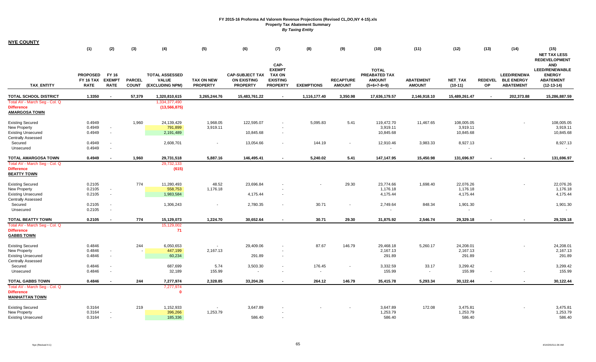| <b>NYE COUNTY</b>                                                           | (1)                             | (2)                          | (3)                           | (4)                             | (5)                                  | (6)                                   | (7)                                    | (8)               | (9)                               | (10)                           | (11)                              | (12)                        | (13)                 | (14)                                  | (15)                                                                                                |
|-----------------------------------------------------------------------------|---------------------------------|------------------------------|-------------------------------|---------------------------------|--------------------------------------|---------------------------------------|----------------------------------------|-------------------|-----------------------------------|--------------------------------|-----------------------------------|-----------------------------|----------------------|---------------------------------------|-----------------------------------------------------------------------------------------------------|
|                                                                             | <b>PROPOSED</b>                 | FY 16                        |                               | <b>TOTAL ASSESSED</b>           |                                      | <b>CAP-SUBJECT TAX</b>                | CAP-<br><b>EXEMPT</b><br><b>TAX ON</b> |                   |                                   | <b>TOTAL</b><br>PREABATED TAX  |                                   |                             |                      | <b>LEED/RENEWA</b>                    | <b>NET TAX LESS</b><br><b>REDEVELOPMENT</b><br><b>AND</b><br><b>LEED/RENEWABLE</b><br><b>ENERGY</b> |
| <b>TAX_ENTITY</b>                                                           | <b>FY 16 TAX</b><br><b>RATE</b> | <b>EXEMPT</b><br><b>RATE</b> | <b>PARCEL</b><br><b>COUNT</b> | <b>VALUE</b><br>(EXCLUDING NPM) | <b>TAX ON NEW</b><br><b>PROPERTY</b> | <b>ON EXISTING</b><br><b>PROPERTY</b> | <b>EXISTING</b><br><b>PROPERTY</b>     | <b>EXEMPTIONS</b> | <b>RECAPTURE</b><br><b>AMOUNT</b> | <b>AMOUNT</b><br>$(5+6+7-8+9)$ | <b>ABATEMENT</b><br><b>AMOUNT</b> | <b>NET TAX</b><br>$(10-11)$ | <b>REDEVEL</b><br>OP | <b>BLE ENERGY</b><br><b>ABATEMENT</b> | <b>ABATEMENT</b><br>$(12-13-14)$                                                                    |
| <b>TOTAL SCHOOL DISTRICT</b>                                                | 1.3350                          | $\sim$                       | 57,379                        | 1,320,810,615                   | 3,265,244.76                         | 15,483,761.22                         | $\overline{\phantom{a}}$               | 1,116,177.40      | 3,350.98                          | 17,636,179.57                  | 2,146,918.10                      | 15,489,261.47               |                      | 202,373.88                            | 15,286,887.59                                                                                       |
| Total AV - March Seg - Col. Q<br><b>Difference</b><br><b>AMARGOSA TOWN</b>  |                                 |                              |                               | 1,334,377,490<br>(13, 566, 875) |                                      |                                       |                                        |                   |                                   |                                |                                   |                             |                      |                                       |                                                                                                     |
| <b>Existing Secured</b><br>New Property                                     | 0.4949<br>0.4949                |                              | 1.960                         | 24,139,429<br>791,899           | 1,968.05<br>3,919.11                 | 122,595.07                            |                                        | 5,095.83          | 5.41                              | 119,472.70<br>3,919.11         | 11,467.65                         | 108,005.05<br>3,919.11      |                      |                                       | 108,005.05<br>3,919.11                                                                              |
| <b>Existing Unsecured</b><br><b>Centrally Assessed</b>                      | 0.4949                          |                              |                               | 2,191,489                       |                                      | 10,845.68                             | $\overline{\phantom{a}}$               |                   |                                   | 10,845.68                      |                                   | 10,845.68                   |                      |                                       | 10,845.68                                                                                           |
| Secured<br>Unsecured                                                        | 0.4949<br>0.4949                |                              |                               | 2,608,701                       | $\overline{\phantom{a}}$             | 13,054.66                             |                                        | 144.19            | $\blacksquare$                    | 12,910.46                      | 3,983.33                          | 8,927.13                    |                      |                                       | 8,927.13                                                                                            |
| <b>TOTAL AMARGOSA TOWN</b>                                                  | 0.4949                          |                              | 1,960                         | 29,731,518                      | 5,887.16                             | 146,495.41                            |                                        | 5,240.02          | 5.41                              | 147,147.95                     | 15,450.98                         | 131,696.97                  |                      | $\blacksquare$                        | 131,696.97                                                                                          |
| Total AV - March Seg - Col. Q<br><b>Difference</b><br><b>BEATTY TOWN</b>    |                                 |                              |                               | 29,732,133<br>(615)             |                                      |                                       |                                        |                   |                                   |                                |                                   |                             |                      |                                       |                                                                                                     |
| <b>Existing Secured</b><br>New Property                                     | 0.2105<br>0.2105                |                              | 774                           | 11,280,493<br>558,753           | 48.52<br>1,176.18                    | 23,696.84                             |                                        |                   | 29.30                             | 23,774.66<br>1,176.18          | 1,698.40                          | 22,076.26<br>1,176.18       |                      |                                       | 22,076.26<br>1,176.18                                                                               |
| <b>Existing Unsecured</b><br>Centrally Assessed<br>Secured                  | 0.2105<br>0.2105                |                              |                               | 1,983,584<br>1,306,243          | $\overline{\phantom{a}}$             | 4,175.44<br>2,780.35                  | $\sim$                                 | 30.71             | $\overline{\phantom{a}}$          | 4,175.44<br>2,749.64           | 848.34                            | 4,175.44<br>1,901.30        |                      |                                       | 4,175.44<br>1,901.30                                                                                |
| Unsecured                                                                   | 0.2105                          |                              |                               |                                 |                                      |                                       |                                        |                   |                                   |                                |                                   |                             |                      |                                       |                                                                                                     |
| <b>TOTAL BEATTY TOWN</b>                                                    | 0.2105                          |                              | 774                           | 15,129,073                      | 1,224.70                             | 30,652.64                             |                                        | 30.71             | 29.30                             | 31,875.92                      | 2,546.74                          | 29,329.18                   |                      | $\blacksquare$                        | 29,329.18                                                                                           |
| Total AV - March Seg - Col. Q<br><b>Difference</b><br><b>GABBS TOWN</b>     |                                 |                              |                               | 15,129,002<br>71                |                                      |                                       |                                        |                   |                                   |                                |                                   |                             |                      |                                       |                                                                                                     |
| <b>Existing Secured</b>                                                     | 0.4846                          |                              | 244                           | 6,050,653                       | $\sim$                               | 29,409.06                             | $\overline{\phantom{a}}$               | 87.67             | 146.79                            | 29,468.18                      | 5,260.17                          | 24,208.01                   |                      | $\overline{\phantom{a}}$              | 24,208.01                                                                                           |
| New Property<br><b>Existing Unsecured</b><br><b>Centrally Assessed</b>      | 0.4846<br>0.4846                |                              |                               | 447,199<br>60,234               | 2,167.13                             | 291.89                                | $\overline{\phantom{a}}$               |                   |                                   | 2,167.13<br>291.89             |                                   | 2,167.13<br>291.89          |                      |                                       | 2,167.13<br>291.89                                                                                  |
| Secured<br>Unsecured                                                        | 0.4846<br>0.4846                |                              |                               | 687,699<br>32,189               | 5.74<br>155.99                       | 3,503.30<br>$\sim$                    | $\sim$                                 | 176.45<br>$\sim$  | $\overline{\phantom{a}}$          | 3,332.59<br>155.99             | 33.17<br>$\sim$                   | 3,299.42<br>155.99          |                      |                                       | 3,299.42<br>155.99                                                                                  |
| <b>TOTAL GABBS TOWN</b>                                                     | 0.4846                          |                              | 244                           | 7,277,974                       | 2,328.85                             | 33,204.26                             |                                        | 264.12            | 146.79                            | 35,415.78                      | 5,293.34                          | 30,122.44                   |                      |                                       | 30,122.44                                                                                           |
| Total AV - March Seg - Col. Q<br><b>Difference</b><br><b>MANHATTAN TOWN</b> |                                 |                              |                               | 7,277,974<br>$\mathbf{0}$       |                                      |                                       |                                        |                   |                                   |                                |                                   |                             |                      |                                       |                                                                                                     |
| <b>Existing Secured</b><br>New Property                                     | 0.3164<br>0.3164                |                              | 219                           | 1,152,933<br>396,266            | 1,253.79                             | 3,647.89                              |                                        |                   |                                   | 3,647.89<br>1,253.79           | 172.08                            | 3,475.81<br>1,253.79        |                      |                                       | 3,475.81<br>1,253.79                                                                                |
| <b>Existing Unsecured</b>                                                   | 0.3164                          |                              |                               | 185,336                         |                                      | 586.40                                | $\sim$                                 |                   |                                   | 586.40                         |                                   | 586.40                      |                      |                                       | 586.40                                                                                              |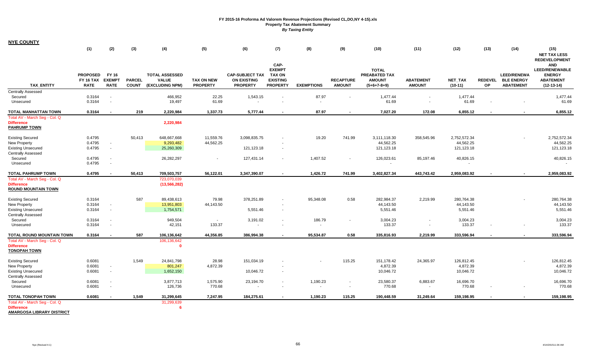| <b>NYE COUNTY</b> |  |
|-------------------|--|
|                   |  |

|                                                                           | (1)                                                | (2)                                   | (3)                           | (4)                                                      | (5)                           | (6)                                                             | (7)                                                                          | (8)               | (9)                               | (10)                                                            | (11)                              | (12)                 | (13)                        | (14)                                                        | (15)                                                                                                                                        |
|---------------------------------------------------------------------------|----------------------------------------------------|---------------------------------------|-------------------------------|----------------------------------------------------------|-------------------------------|-----------------------------------------------------------------|------------------------------------------------------------------------------|-------------------|-----------------------------------|-----------------------------------------------------------------|-----------------------------------|----------------------|-----------------------------|-------------------------------------------------------------|---------------------------------------------------------------------------------------------------------------------------------------------|
| <b>TAX ENTITY</b>                                                         | <b>PROPOSED</b><br><b>FY 16 TAX</b><br><b>RATE</b> | FY 16<br><b>EXEMPT</b><br><b>RATE</b> | <b>PARCEL</b><br><b>COUNT</b> | <b>TOTAL ASSESSED</b><br><b>VALUE</b><br>(EXCLUDING NPM) | TAX ON NEW<br><b>PROPERTY</b> | <b>CAP-SUBJECT TAX</b><br><b>ON EXISTING</b><br><b>PROPERTY</b> | CAP-<br><b>EXEMPT</b><br><b>TAX ON</b><br><b>EXISTING</b><br><b>PROPERTY</b> | <b>EXEMPTIONS</b> | <b>RECAPTURE</b><br><b>AMOUNT</b> | <b>TOTAL</b><br>PREABATED TAX<br><b>AMOUNT</b><br>$(5+6+7-8+9)$ | <b>ABATEMENT</b><br><b>AMOUNT</b> | NET_TAX<br>$(10-11)$ | <b>REDEVEL</b><br><b>OP</b> | <b>LEED/RENEWA</b><br><b>BLE ENERGY</b><br><b>ABATEMENT</b> | <b>NET TAX LESS</b><br><b>REDEVELOPMENT</b><br><b>AND</b><br><b>LEED/RENEWABLE</b><br><b>ENERGY</b><br><b>ABATEMENT</b><br>$(12 - 13 - 14)$ |
| <b>Centrally Assessed</b>                                                 |                                                    |                                       |                               |                                                          |                               |                                                                 |                                                                              |                   |                                   |                                                                 |                                   |                      |                             |                                                             |                                                                                                                                             |
| Secured<br>Unsecured                                                      | 0.3164<br>0.3164                                   | $\sim$<br>$\sim$                      |                               | 466,952<br>19,497                                        | 22.25<br>61.69                | 1,543.15                                                        |                                                                              | 87.97<br>$\sim$   |                                   | 1,477.44<br>61.69                                               |                                   | 1,477.44<br>61.69    |                             | $\overline{\phantom{a}}$                                    | 1,477.44<br>61.69                                                                                                                           |
| TOTAL MANHATTAN TOWN                                                      | 0.3164                                             | $\sim$                                | 219                           | 2,220,984                                                | 1,337.73                      | 5,777.44                                                        | $\overline{\phantom{a}}$                                                     | 87.97             | $\blacksquare$                    | 7,027.20                                                        | 172.08                            | 6,855.12             | $\blacksquare$              | $\blacksquare$                                              | 6,855.12                                                                                                                                    |
| Total AV - March Seg - Col. Q<br><b>Difference</b><br><b>PAHRUMP TOWN</b> |                                                    |                                       |                               | 2,220,984                                                |                               |                                                                 |                                                                              |                   |                                   |                                                                 |                                   |                      |                             |                                                             |                                                                                                                                             |
| <b>Existing Secured</b>                                                   | 0.4795                                             |                                       | 50,413                        | 648,667,668                                              | 11,559.76                     | 3,098,835.75                                                    |                                                                              | 19.20             | 741.99                            | 3,111,118.30                                                    | 358,545.96                        | 2,752,572.34         |                             |                                                             | 2,752,572.34                                                                                                                                |
| <b>New Property</b>                                                       | 0.4795                                             | $\sim$                                |                               | 9,293,482                                                | 44,562.25                     |                                                                 |                                                                              |                   |                                   | 44,562.25                                                       |                                   | 44,562.25            |                             |                                                             | 44,562.25                                                                                                                                   |
| <b>Existing Unsecured</b><br><b>Centrally Assessed</b>                    | 0.4795                                             | $\sim$                                |                               | 25,260,309                                               |                               | 121,123.18                                                      | $\sim$                                                                       |                   |                                   | 121,123.18                                                      |                                   | 121,123.18           |                             |                                                             | 121,123.18                                                                                                                                  |
| Secured<br>Unsecured                                                      | 0.4795<br>0.4795                                   | $\sim$<br>$\sim$                      |                               | 26,282,297                                               | $\sim$                        | 127,431.14                                                      | $\sim$                                                                       | 1,407.52          | $\sim$                            | 126,023.61                                                      | 85,197.46                         | 40,826.15            |                             |                                                             | 40,826.15                                                                                                                                   |
| <b>TOTAL PAHRUMP TOWN</b>                                                 | 0.4795                                             |                                       | 50,413                        | 709,503,757                                              | 56,122.01                     | 3,347,390.07                                                    | $\blacksquare$                                                               | 1,426.72          | 741.99                            | 3,402,827.34                                                    | 443,743.42                        | 2,959,083.92         |                             | $\blacksquare$                                              | 2,959,083.92                                                                                                                                |
| Total AV - March Seg - Col. Q                                             |                                                    |                                       |                               | 723,070,039                                              |                               |                                                                 |                                                                              |                   |                                   |                                                                 |                                   |                      |                             |                                                             |                                                                                                                                             |
| <b>Difference</b><br><b>ROUND MOUNTAIN TOWN</b>                           |                                                    |                                       |                               | (13, 566, 282)                                           |                               |                                                                 |                                                                              |                   |                                   |                                                                 |                                   |                      |                             |                                                             |                                                                                                                                             |
| <b>Existing Secured</b>                                                   | 0.3164                                             |                                       | 587                           | 89,438,613                                               | 79.98                         | 378,251.89                                                      |                                                                              | 95,348.08         | 0.58                              | 282,984.37                                                      | 2,219.99                          | 280,764.38           |                             |                                                             | 280,764.38                                                                                                                                  |
| New Property                                                              | 0.3164                                             | $\sim$                                |                               | 13,951,803                                               | 44,143.50                     |                                                                 |                                                                              |                   |                                   | 44,143.50                                                       |                                   | 44,143.50            |                             |                                                             | 44,143.50                                                                                                                                   |
| <b>Existing Unsecured</b><br><b>Centrally Assessed</b>                    | 0.3164                                             | $\sim$                                |                               | 1,754,571                                                |                               | 5,551.46                                                        | $\sim$                                                                       |                   |                                   | 5,551.46                                                        |                                   | 5,551.46             |                             |                                                             | 5,551.46                                                                                                                                    |
| Secured                                                                   | 0.3164                                             | $\sim$                                |                               | 949,504                                                  | $\blacksquare$                | 3,191.02                                                        | $\sim$                                                                       | 186.79            | $\blacksquare$                    | 3,004.23                                                        | $\overline{\phantom{a}}$          | 3,004.23             |                             |                                                             | 3,004.23                                                                                                                                    |
| Unsecured                                                                 | 0.3164                                             | $\sim$                                |                               | 42,151                                                   | 133.37                        |                                                                 |                                                                              | $\sim$            |                                   | 133.37                                                          | $\sim$                            | 133.37               |                             |                                                             | 133.37                                                                                                                                      |
| TOTAL ROUND MOUNTAIN TOWN                                                 | 0.3164                                             | $\overline{\phantom{a}}$              | 587                           | 106,136,642                                              | 44,356.85                     | 386,994.38                                                      | $\blacksquare$                                                               | 95,534.87         | 0.58                              | 335,816.93                                                      | 2,219.99                          | 333,596.94           | $\blacksquare$              | $\overline{\phantom{a}}$                                    | 333,596.94                                                                                                                                  |
| Total AV - March Seg - Col. Q<br><b>Difference</b><br><b>TONOPAH TOWN</b> |                                                    |                                       |                               | 106,136,642<br>$\Omega$                                  |                               |                                                                 |                                                                              |                   |                                   |                                                                 |                                   |                      |                             |                                                             |                                                                                                                                             |
| <b>Existing Secured</b>                                                   | 0.6081                                             |                                       | 1,549                         | 24,841,798                                               | 28.98                         | 151,034.19                                                      |                                                                              |                   | 115.25                            | 151,178.42                                                      | 24,365.97                         | 126,812.45           |                             |                                                             | 126,812.45                                                                                                                                  |
| New Property                                                              | 0.6081                                             | $\sim$                                |                               | 801,247                                                  | 4,872.39                      |                                                                 |                                                                              |                   |                                   | 4,872.39                                                        |                                   | 4,872.39             |                             |                                                             | 4,872.39                                                                                                                                    |
| <b>Existing Unsecured</b>                                                 | 0.6081                                             | $\sim$                                |                               | 1,652,150                                                |                               | 10,046.72                                                       | $\sim$                                                                       |                   |                                   | 10,046.72                                                       |                                   | 10,046.72            |                             |                                                             | 10,046.72                                                                                                                                   |
| <b>Centrally Assessed</b><br>Secured                                      | 0.6081                                             | $\sim$                                |                               | 3,877,713                                                | 1,575.90                      | 23,194.70                                                       | $\sim$                                                                       | 1,190.23          | $\sim$                            | 23,580.37                                                       | 6,883.67                          | 16,696.70            |                             |                                                             | 16,696.70                                                                                                                                   |
| Unsecured                                                                 | 0.6081                                             | $\sim$                                |                               | 126,736                                                  | 770.68                        |                                                                 |                                                                              |                   | $\blacksquare$                    | 770.68                                                          | $\sim$                            | 770.68               |                             |                                                             | 770.68                                                                                                                                      |
| <b>TOTAL TONOPAH TOWN</b>                                                 | 0.6081                                             |                                       | 1,549                         | 31,299,645                                               | 7,247.95                      | 184,275.61                                                      |                                                                              | 1.190.23          | 115.25                            | 190,448.59                                                      | 31,249.64                         | 159,198.95           |                             |                                                             | 159,198.95                                                                                                                                  |
| Total AV - March Seg - Col. Q                                             |                                                    |                                       |                               | 31,299,639                                               |                               |                                                                 |                                                                              |                   |                                   |                                                                 |                                   |                      |                             |                                                             |                                                                                                                                             |
| <b>Difference</b><br><b>AMARGOSA LIBRARY DISTRICT</b>                     |                                                    |                                       |                               | -6                                                       |                               |                                                                 |                                                                              |                   |                                   |                                                                 |                                   |                      |                             |                                                             |                                                                                                                                             |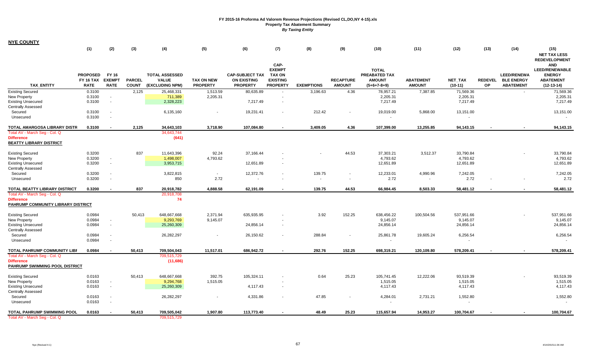| <b>NYE COUNTY</b>                                       |                                                    |                                       |                               |                                                          |                                      |                                                                 |                                                                       |                   |                                   |                                                                        |                                   |                                       |      |                                                              |                                                                                          |
|---------------------------------------------------------|----------------------------------------------------|---------------------------------------|-------------------------------|----------------------------------------------------------|--------------------------------------|-----------------------------------------------------------------|-----------------------------------------------------------------------|-------------------|-----------------------------------|------------------------------------------------------------------------|-----------------------------------|---------------------------------------|------|--------------------------------------------------------------|------------------------------------------------------------------------------------------|
|                                                         | (1)                                                | (2)                                   | (3)                           | (4)                                                      | (5)                                  | (6)                                                             | (7)                                                                   | (8)               | (9)                               | (10)                                                                   | (11)                              | (12)                                  | (13) | (14)                                                         | (15)<br><b>NET TAX LESS</b><br><b>REDEVELOPMENT</b>                                      |
| <b>TAX ENTITY</b>                                       | <b>PROPOSED</b><br><b>FY 16 TAX</b><br><b>RATE</b> | FY 16<br><b>EXEMPT</b><br><b>RATE</b> | <b>PARCEL</b><br><b>COUNT</b> | <b>TOTAL ASSESSED</b><br><b>VALUE</b><br>(EXCLUDING NPM) | <b>TAX ON NEW</b><br><b>PROPERTY</b> | <b>CAP-SUBJECT TAX</b><br><b>ON EXISTING</b><br><b>PROPERTY</b> | CAP-<br><b>EXEMPT</b><br>TAX ON<br><b>EXISTING</b><br><b>PROPERTY</b> | <b>EXEMPTIONS</b> | <b>RECAPTURE</b><br><b>AMOUNT</b> | <b>TOTAL</b><br><b>PREABATED TAX</b><br><b>AMOUNT</b><br>$(5+6+7-8+9)$ | <b>ABATEMENT</b><br><b>AMOUNT</b> | <b>NET TAX</b><br>$(10-11)$           | OP   | <b>LEED/RENEWA</b><br>REDEVEL BLE ENERGY<br><b>ABATEMENT</b> | <b>AND</b><br><b>LEED/RENEWABLE</b><br><b>ENERGY</b><br><b>ABATEMENT</b><br>$(12-13-14)$ |
| <b>Existing Secured</b>                                 | 0.3100                                             |                                       | 2,125                         | 25,468,331                                               | 1,513.59                             | 80,635.89                                                       | $\sim$                                                                | 3,196.63          | 4.36                              | 78,957.21                                                              | 7,387.85                          | 71,569.36                             |      | $\sim$                                                       | 71,569.36                                                                                |
| New Property                                            | 0.3100                                             | $\sim$                                |                               | 711,389                                                  | 2,205.31                             |                                                                 |                                                                       |                   |                                   | 2,205.31                                                               |                                   | 2,205.31                              |      |                                                              | 2,205.31                                                                                 |
| <b>Existing Unsecured</b>                               | 0.3100                                             | $\sim$                                |                               | 2,328,223                                                |                                      | 7,217.49                                                        | $\sim$                                                                |                   |                                   | 7,217.49                                                               |                                   | 7,217.49                              |      |                                                              | 7,217.49                                                                                 |
| <b>Centrally Assessed</b>                               |                                                    |                                       |                               |                                                          |                                      |                                                                 |                                                                       |                   |                                   |                                                                        |                                   |                                       |      |                                                              |                                                                                          |
| Secured<br>Unsecured                                    | 0.3100<br>0.3100                                   | $\sim$<br>$\sim$                      |                               | 6,135,160                                                |                                      | 19,231.41                                                       |                                                                       | 212.42            |                                   | 19,019.00<br>$\blacksquare$                                            | 5,868.00                          | 13,151.00<br>$\overline{\phantom{a}}$ |      |                                                              | 13,151.00                                                                                |
| TOTAL AMARGOSA LIBRARY DISTR                            | 0.3100                                             |                                       | 2,125                         | 34,643,103                                               | 3,718.90                             | 107,084.80                                                      |                                                                       | 3,409.05          | 4.36                              | 107,399.00                                                             | 13,255.85                         | 94,143.15                             |      |                                                              | 94,143.15                                                                                |
| Total AV - March Seg - Col. Q                           |                                                    |                                       |                               | 34.643.744                                               |                                      |                                                                 |                                                                       |                   |                                   |                                                                        |                                   |                                       |      |                                                              |                                                                                          |
| <b>Difference</b><br><b>BEATTY LIBRARY DISTRICT</b>     |                                                    |                                       |                               | (641)                                                    |                                      |                                                                 |                                                                       |                   |                                   |                                                                        |                                   |                                       |      |                                                              |                                                                                          |
| <b>Existing Secured</b>                                 | 0.3200                                             |                                       | 837                           | 11,643,396                                               | 92.24                                | 37,166.44                                                       |                                                                       |                   | 44.53                             | 37,303.21                                                              | 3,512.37                          | 33,790.84                             |      |                                                              | 33,790.84                                                                                |
| New Property                                            | 0.3200                                             | $\sim$                                |                               | 1,498,007                                                | 4,793.62                             |                                                                 |                                                                       |                   |                                   | 4,793.62                                                               |                                   | 4,793.62                              |      |                                                              | 4,793.62                                                                                 |
| <b>Existing Unsecured</b>                               | 0.3200                                             | $\sim$                                |                               | 3,953,715                                                |                                      | 12,651.89                                                       | $\sim$                                                                |                   |                                   | 12,651.89                                                              |                                   | 12,651.89                             |      |                                                              | 12,651.89                                                                                |
| <b>Centrally Assessed</b>                               |                                                    |                                       |                               |                                                          |                                      |                                                                 |                                                                       |                   |                                   |                                                                        |                                   |                                       |      |                                                              |                                                                                          |
| Secured                                                 | 0.3200                                             | $\sim$                                |                               | 3,822,815                                                | $\sim$                               | 12,372.76                                                       |                                                                       | 139.75            |                                   | 12,233.01                                                              | 4,990.96                          | 7,242.05                              |      |                                                              | 7,242.05                                                                                 |
| Unsecured                                               | 0.3200                                             | $\sim$                                |                               | 850                                                      | 2.72                                 | $\sim$                                                          |                                                                       | $\sim$            |                                   | 2.72                                                                   |                                   | 2.72                                  |      |                                                              | 2.72                                                                                     |
| TOTAL BEATTY LIBRARY DISTRICT                           | 0.3200                                             |                                       | 837                           | 20,918,782                                               | 4,888.58                             | 62,191.09                                                       |                                                                       | 139.75            | 44.53                             | 66,984.45                                                              | 8,503.33                          | 58,481.12                             |      |                                                              | 58,481.12                                                                                |
| Total AV - March Seg - Col. Q                           |                                                    |                                       |                               | 20,918,708                                               |                                      |                                                                 |                                                                       |                   |                                   |                                                                        |                                   |                                       |      |                                                              |                                                                                          |
| <b>Difference</b><br>PAHRUMP COMMUNITY LIBRARY DISTRICT |                                                    |                                       |                               | 74                                                       |                                      |                                                                 |                                                                       |                   |                                   |                                                                        |                                   |                                       |      |                                                              |                                                                                          |
| <b>Existing Secured</b>                                 | 0.0984                                             |                                       | 50,413                        | 648,667,668                                              | 2,371.94                             | 635,935.95                                                      |                                                                       | 3.92              | 152.25                            | 638,456.22                                                             | 100,504.56                        | 537,951.66                            |      |                                                              | 537,951.66                                                                               |
| New Property                                            | 0.0984                                             | $\sim$                                |                               | 9,293,769                                                | 9,145.07                             |                                                                 |                                                                       |                   |                                   | 9,145.07                                                               |                                   | 9,145.07                              |      |                                                              | 9,145.07                                                                                 |
| <b>Existing Unsecured</b>                               | 0.0984                                             | $\sim$                                |                               | 25,260,309                                               |                                      | 24,856.14                                                       | $\sim$                                                                |                   |                                   | 24,856.14                                                              |                                   | 24,856.14                             |      |                                                              | 24,856.14                                                                                |
| <b>Centrally Assessed</b>                               |                                                    |                                       |                               |                                                          |                                      |                                                                 |                                                                       |                   |                                   |                                                                        |                                   |                                       |      |                                                              |                                                                                          |
| Secured                                                 | 0.0984                                             | $\sim$                                |                               | 26,282,297                                               |                                      | 26,150.62                                                       | $\blacksquare$                                                        | 288.84            |                                   | 25,861.78                                                              | 19,605.24                         | 6,256.54                              |      |                                                              | 6,256.54                                                                                 |
| Unsecured                                               | 0.0984                                             | $\sim$                                |                               |                                                          |                                      |                                                                 |                                                                       |                   |                                   | $\blacksquare$                                                         |                                   |                                       |      |                                                              |                                                                                          |
| TOTAL PAHRUMP COMMUNITY LIBF                            | 0.0984                                             |                                       | 50,413                        | 709,504,043                                              | 11,517.01                            | 686,942.72                                                      |                                                                       | 292.76            | 152.25                            | 698,319.21                                                             | 120,109.80                        | 578,209.41                            |      |                                                              | 578,209.41                                                                               |
| Total AV - March Seg - Col. Q                           |                                                    |                                       |                               | 709,515,729                                              |                                      |                                                                 |                                                                       |                   |                                   |                                                                        |                                   |                                       |      |                                                              |                                                                                          |
| <b>Difference</b><br>PAHRUMP SWIMMING POOL DISTRICT     |                                                    |                                       |                               | (11,686)                                                 |                                      |                                                                 |                                                                       |                   |                                   |                                                                        |                                   |                                       |      |                                                              |                                                                                          |
| <b>Existing Secured</b>                                 | 0.0163                                             |                                       | 50,413                        | 648,667,668                                              | 392.75                               | 105,324.11                                                      |                                                                       | 0.64              | 25.23                             | 105,741.45                                                             | 12,222.06                         | 93,519.39                             |      |                                                              | 93,519.39                                                                                |
| New Property                                            | 0.0163                                             | $\sim$ $\sim$                         |                               | 9,294,768                                                | 1,515.05                             |                                                                 |                                                                       |                   |                                   | 1,515.05                                                               |                                   | 1,515.05                              |      |                                                              | 1,515.05                                                                                 |
| <b>Existing Unsecured</b>                               | 0.0163                                             | $\sim$                                |                               | 25,260,309                                               |                                      | 4,117.43                                                        | $\sim$                                                                |                   |                                   | 4,117.43                                                               |                                   | 4,117.43                              |      |                                                              | 4,117.43                                                                                 |
| <b>Centrally Assessed</b>                               |                                                    |                                       |                               |                                                          |                                      |                                                                 |                                                                       |                   |                                   |                                                                        |                                   |                                       |      |                                                              |                                                                                          |
| Secured                                                 | 0.0163                                             | $\sim$                                |                               | 26,282,297                                               | $\overline{\phantom{a}}$             | 4,331.86                                                        |                                                                       | 47.85             |                                   | 4,284.01                                                               | 2,731.21                          | 1,552.80                              |      |                                                              | 1,552.80                                                                                 |
| Unsecured                                               | 0.0163                                             | $\sim$                                |                               |                                                          |                                      |                                                                 |                                                                       |                   |                                   | $\blacksquare$                                                         |                                   | $\sim$                                |      |                                                              |                                                                                          |
| TOTAL PAHRUMP SWIMMING POOL                             | 0.0163                                             |                                       | 50,413                        | 709,505,042                                              | 1,907.80                             | 113,773.40                                                      |                                                                       | 48.49             | 25.23                             | 115,657.94                                                             | 14,953.27                         | 100,704.67                            |      |                                                              | 100,704.67                                                                               |
| Total AV - March Seg - Col. Q                           |                                                    |                                       |                               | 709,515,729                                              |                                      |                                                                 |                                                                       |                   |                                   |                                                                        |                                   |                                       |      |                                                              |                                                                                          |

۰.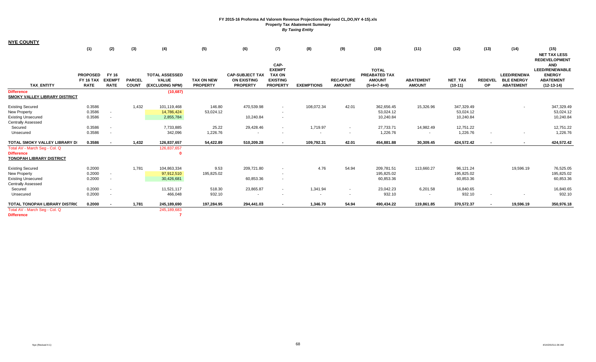|                                                                                                                        | (1)                                                | (2)                                   | (3)                           | (4)                                                      | (5)                                  | (6)                                                             | (7)                                                                          | (8)               | (9)                               | (10)                                                            | (11)                              | (12)                                 | (13)                        | (14)                                                        | (15)<br><b>NET TAX LESS</b>                                                                                      |
|------------------------------------------------------------------------------------------------------------------------|----------------------------------------------------|---------------------------------------|-------------------------------|----------------------------------------------------------|--------------------------------------|-----------------------------------------------------------------|------------------------------------------------------------------------------|-------------------|-----------------------------------|-----------------------------------------------------------------|-----------------------------------|--------------------------------------|-----------------------------|-------------------------------------------------------------|------------------------------------------------------------------------------------------------------------------|
| <b>TAX ENTITY</b>                                                                                                      | <b>PROPOSED</b><br><b>FY 16 TAX</b><br><b>RATE</b> | FY 16<br><b>EXEMPT</b><br><b>RATE</b> | <b>PARCEL</b><br><b>COUNT</b> | <b>TOTAL ASSESSED</b><br><b>VALUE</b><br>(EXCLUDING NPM) | <b>TAX ON NEW</b><br><b>PROPERTY</b> | <b>CAP-SUBJECT TAX</b><br><b>ON EXISTING</b><br><b>PROPERTY</b> | CAP-<br><b>EXEMPT</b><br><b>TAX ON</b><br><b>EXISTING</b><br><b>PROPERTY</b> | <b>EXEMPTIONS</b> | <b>RECAPTURE</b><br><b>AMOUNT</b> | <b>TOTAL</b><br>PREABATED TAX<br><b>AMOUNT</b><br>$(5+6+7-8+9)$ | <b>ABATEMENT</b><br><b>AMOUNT</b> | <b>NET TAX</b><br>$(10-11)$          | <b>REDEVEL</b><br><b>OP</b> | <b>LEED/RENEWA</b><br><b>BLE ENERGY</b><br><b>ABATEMENT</b> | <b>REDEVELOPMENT</b><br><b>AND</b><br><b>LEED/RENEWABLE</b><br><b>ENERGY</b><br><b>ABATEMENT</b><br>$(12-13-14)$ |
| <b>Difference</b><br><b>SMOKY VALLEY LIBRARY DISTRICT</b>                                                              |                                                    |                                       |                               | (10, 687)                                                |                                      |                                                                 |                                                                              |                   |                                   |                                                                 |                                   |                                      |                             |                                                             |                                                                                                                  |
| <b>Existing Secured</b><br>New Property<br><b>Existing Unsecured</b><br><b>Centrally Assessed</b>                      | 0.3586<br>0.3586<br>0.3586                         | $\sim$<br>$\sim$                      | 1,432                         | 101,119,468<br>14,786,424<br>2,855,784                   | 146.80<br>53,024.12                  | 470,539.98<br>10,240.84                                         | $\sim$                                                                       | 108,072.34        | 42.01                             | 362,656.45<br>53,024.12<br>10,240.84                            | 15,326.96                         | 347,329.49<br>53,024.12<br>10,240.84 |                             | $\overline{\phantom{a}}$                                    | 347,329.49<br>53,024.12<br>10,240.84                                                                             |
| Secured<br>Unsecured                                                                                                   | 0.3586<br>0.3586                                   | $\sim$<br>$\sim$                      |                               | 7,733,885<br>342,096                                     | 25.22<br>1,226.76                    | 29,428.46                                                       | $\sim$                                                                       | 1,719.97          | $\sim$<br>$\sim$                  | 27,733.71<br>1,226.76                                           | 14,982.49                         | 12,751.22<br>1,226.76                | $\overline{\phantom{a}}$    | $\sim$                                                      | 12,751.22<br>1,226.76                                                                                            |
| TOTAL SMOKY VALLEY LIBRARY DI<br>Total AV - March Seq - Col. Q<br><b>Difference</b><br><b>TONOPAH LIBRARY DISTRICT</b> | 0.3586                                             |                                       | 1,432                         | 126,837,657<br>126,837,657                               | 54,422.89                            | 510,209.28                                                      | $\sim$                                                                       | 109,792.31        | 42.01                             | 454,881.88                                                      | 30,309.45                         | 424,572.42                           | $\overline{\phantom{a}}$    | $\overline{\phantom{0}}$                                    | 424,572.42                                                                                                       |
| <b>Existing Secured</b><br><b>New Property</b><br><b>Existing Unsecured</b><br><b>Centrally Assessed</b>               | 0.2000<br>0.2000<br>0.2000                         | $\sim$<br>$\sim$                      | 1,781                         | 104,863,334<br>97,912,510<br>30,426,681                  | 9.53<br>195,825.02                   | 209,721.80<br>60,853.36                                         |                                                                              | 4.76              | 54.94                             | 209,781.51<br>195,825.02<br>60,853.36                           | 113,660.27                        | 96,121.24<br>195,825.02<br>60,853.36 |                             | 19,596.19                                                   | 76,525.05<br>195,825.02<br>60,853.36                                                                             |
| Secured<br>Unsecured                                                                                                   | 0.2000<br>0.2000                                   | $\sim$<br>$\sim$                      |                               | 11,521,117<br>466,048                                    | 518.30<br>932.10                     | 23,865.87<br><b>CONTRACTOR</b>                                  | $\sim$                                                                       | 1,341.94          | $\sim$<br>$\sim$                  | 23,042.23<br>932.10                                             | 6,201.58<br><b>COL</b>            | 16,840.65<br>932.10                  | $\overline{\phantom{a}}$    |                                                             | 16,840.65<br>932.10                                                                                              |
| <b>TOTAL TONOPAH LIBRARY DISTRIC</b><br>Total AV - March Seg - Col. Q                                                  | 0.2000                                             |                                       | 1,781                         | 245,189,690<br>245,189,683                               | 197,284.95                           | 294,441.03                                                      |                                                                              | 1,346.70          | 54.94                             | 490,434.22                                                      | 119,861.85                        | 370,572.37                           |                             | 19,596.19                                                   | 350,976.18                                                                                                       |

**Difference7**

**NYE COUNTY**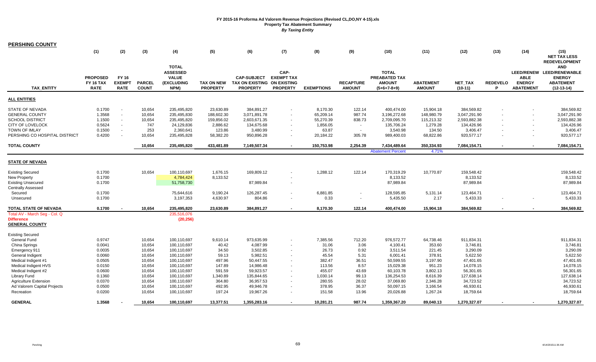| <b>PERSHING COUNTY</b>        |                 |                          |               |                   |                   |                             |                          |                   |                  |                          |                  |              |                 |                  |                           |
|-------------------------------|-----------------|--------------------------|---------------|-------------------|-------------------|-----------------------------|--------------------------|-------------------|------------------|--------------------------|------------------|--------------|-----------------|------------------|---------------------------|
|                               | (1)             | (2)                      | (3)           | (4)               | (5)               | (6)                         | (7)                      | (8)               | (9)              | (10)                     | (11)             | (12)         | (13)            | (14)             | (15)                      |
|                               |                 |                          |               |                   |                   |                             |                          |                   |                  |                          |                  |              |                 |                  | <b>NET TAX LESS</b>       |
|                               |                 |                          |               |                   |                   |                             |                          |                   |                  |                          |                  |              |                 |                  | <b>REDEVELOPMENT</b>      |
|                               |                 |                          |               | <b>TOTAL</b>      |                   |                             |                          |                   |                  |                          |                  |              |                 |                  | <b>AND</b>                |
|                               |                 |                          |               | <b>ASSESSED</b>   |                   |                             | CAP-                     |                   |                  | <b>TOTAL</b>             |                  |              |                 |                  | LEED/RENEW LEED/RENEWABLE |
|                               | <b>PROPOSED</b> | FY 16                    |               | <b>VALUE</b>      |                   | <b>CAP-SUBJECT</b>          | <b>EXEMPT TAX</b>        |                   |                  | PREABATED TAX            |                  |              |                 | <b>ABLE</b>      | <b>ENERGY</b>             |
|                               | FY 16 TAX       | <b>EXEMPT</b>            | <b>PARCEL</b> | <b>(EXCLUDING</b> | <b>TAX ON NEW</b> | TAX ON EXISTING ON EXISTING |                          |                   | <b>RECAPTURE</b> | <b>AMOUNT</b>            | <b>ABATEMENT</b> | NET_TAX      | <b>REDEVELO</b> | <b>ENERGY</b>    | <b>ABATEMENT</b>          |
| <b>TAX ENTITY</b>             | <b>RATE</b>     | <b>RATE</b>              | <b>COUNT</b>  | NPM)              | <b>PROPERTY</b>   | <b>PROPERTY</b>             | <b>PROPERTY</b>          | <b>EXEMPTIONS</b> | <b>AMOUNT</b>    | $(5+6+7-8+9)$            | <b>AMOUNT</b>    | $(10-11)$    | P               | <b>ABATEMENT</b> | $(12-13-14)$              |
| <b>ALL ENTITIES</b>           |                 |                          |               |                   |                   |                             |                          |                   |                  |                          |                  |              |                 |                  |                           |
|                               |                 |                          |               |                   |                   |                             |                          |                   |                  |                          |                  |              |                 |                  |                           |
| <b>STATE OF NEVADA</b>        | 0.1700          | $\mathbf{r}$             | 10,654        | 235,495,820       | 23,630.89         | 384,891.27                  | $\sim$                   | 8,170.30          | 122.14           | 400,474.00               | 15,904.18        | 384,569.82   |                 |                  | 384,569.82                |
| <b>GENERAL COUNTY</b>         | 1.3568          | $\sim$                   | 10,654        | 235,495,830       | 188,602.30        | 3,071,891.78                | $\sim$                   | 65,209.14         | 987.74           | 3,196,272.68             | 148,980.79       | 3,047,291.90 |                 |                  | 3,047,291.90              |
| <b>SCHOOL DISTRICT</b>        | 1.1500          | $\blacksquare$           | 10,654        | 235,495,820       | 159,856.02        | 2,603,671.35                | $\sim$                   | 55,270.39         | 838.73           | 2,709,095.70             | 115,213.32       | 2,593,882.38 |                 | $\sim$           | 2,593,882.38              |
| CITY OF LOVELOCK              | 0.5624          | $\sim$                   | 747           | 24,129,836        | 2,886.62          | 134,675.68                  |                          | 1,856.05          | $\sim$           | 135,706.24               | 1,279.28         | 134,426.96   |                 |                  | 134,426.96                |
| <b>TOWN OF IMLAY</b>          | 0.1500          | $\overline{\phantom{a}}$ | 253           | 2,360,641         | 123.86            | 3,480.99                    |                          | 63.87             | $\sim$           | 3,540.98                 | 134.50           | 3,406.47     |                 |                  | 3,406.47                  |
| PERSHING CO HOSPITAL DISTRICT | 0.4200          |                          | 10,654        | 235,495,828       | 58,382.20         | 950,896.28                  |                          | 20,184.22         | 305.78           | 989,400.03               | 68,822.86        | 920,577.17   |                 | $\sim$           | 920,577.17                |
| <b>TOTAL COUNTY</b>           |                 |                          | 10,654        | 235,495,820       | 433,481.89        | 7,149,507.34                | $\sim$                   | 150,753.98        | 2,254.39         | 7,434,489.64             | 350,334.93       | 7,084,154.71 |                 |                  | 7,084,154.71              |
|                               |                 |                          |               |                   |                   |                             |                          |                   |                  | <b>Abatement Percent</b> | 4.71%            |              |                 |                  |                           |
| <b>STATE OF NEVADA</b>        |                 |                          |               |                   |                   |                             |                          |                   |                  |                          |                  |              |                 |                  |                           |
|                               |                 |                          |               |                   |                   |                             |                          |                   |                  |                          |                  |              |                 |                  |                           |
| <b>Existing Secured</b>       | 0.1700          |                          | 10,654        | 100,110,697       | 1,676.15          | 169,809.12                  |                          | 1,288.12          | 122.14           | 170,319.29               | 10,770.87        | 159,548.42   |                 |                  | 159,548.42                |
| <b>New Property</b>           | 0.1700          |                          |               | 4,784,424         | 8,133.52          |                             |                          |                   |                  | 8,133.52                 |                  | 8,133.52     |                 |                  | 8,133.52                  |
| <b>Existing Unsecured</b>     | 0.1700          |                          |               | 51,758,730        |                   | 87,989.84                   |                          |                   |                  | 87,989.84                |                  | 87,989.84    |                 |                  | 87,989.84                 |
| <b>Centrally Assessed</b>     |                 |                          |               |                   |                   |                             |                          |                   |                  |                          |                  |              |                 |                  |                           |
| Secured                       | 0.1700          |                          |               | 75,644,616        | 9,190.24          | 126,287.45                  |                          | 6,881.85          |                  | 128,595.85               | 5,131.14         | 123,464.71   |                 |                  | 123,464.71                |
| Unsecured                     | 0.1700          |                          |               | 3,197,353         | 4,630.97          | 804.86                      |                          | 0.33              | $\blacksquare$   | 5,435.50                 | 2.17             | 5,433.33     |                 |                  | 5,433.33                  |
| <b>TOTAL STATE OF NEVADA</b>  | 0.1700          |                          | 10,654        | 235,495,820       | 23,630.89         | 384,891.27                  |                          | 8,170.30          | 122.14           | 400,474.00               | 15,904.18        | 384,569.82   |                 |                  | 384,569.82                |
| Total AV - March Seg - Col. Q |                 |                          |               | 235,516,076       |                   |                             |                          |                   |                  |                          |                  |              |                 |                  |                           |
| <b>Difference</b>             |                 |                          |               | (20, 256)         |                   |                             |                          |                   |                  |                          |                  |              |                 |                  |                           |
| <b>GENERAL COUNTY</b>         |                 |                          |               |                   |                   |                             |                          |                   |                  |                          |                  |              |                 |                  |                           |
| <b>Existing Secured</b>       |                 |                          |               |                   |                   |                             |                          |                   |                  |                          |                  |              |                 |                  |                           |
| <b>General Fund</b>           | 0.9747          |                          | 10,654        | 100,110,697       | 9,610.14          | 973,635.99                  | $\sim$                   | 7,385.56          | 712.20           | 976,572.77               | 64,738.46        | 911,834.31   |                 |                  | 911,834.31                |
| China Springs                 | 0.0041          |                          | 10,654        | 100,110,697       | 40.42             | 4,087.99                    | $\sim$                   | 31.06             | 3.06             | 4,100.41                 | 353.60           | 3,746.81     |                 |                  | 3,746.81                  |
| Emergency 911                 | 0.0035          |                          | 10,654        | 100,110,697       | 34.50             | 3,502.85                    |                          | 26.73             | 0.92             | 3,511.54                 | 221.45           | 3,290.09     |                 |                  | 3,290.09                  |
| General Indigent              | 0.0060          |                          | 10,654        | 100,110,697       | 59.13             | 5,982.51                    |                          | 45.54             | 5.31             | 6,001.41                 | 378.91           | 5,622.50     |                 |                  | 5,622.50                  |
| Medical Indigent #1           | 0.0505          |                          | 10,654        | 100,110,697       | 497.96            | 50,447.55                   |                          | 382.47            | 36.51            | 50,599.55                | 3,197.90         | 47,401.65    |                 |                  | 47,401.65                 |
| Medical Indigent HVS          | 0.0150          |                          | 10,654        | 100,110,697       | 147.89            | 14,986.48                   |                          | 113.56            | 8.57             | 15,029.38                | 951.23           | 14,078.15    |                 |                  | 14,078.15                 |
| Medical Indigent #2           | 0.0600          |                          | 10,654        | 100,110,697       | 591.59            | 59,923.57                   |                          | 455.07            | 43.69            | 60,103.78                | 3,802.13         | 56,301.65    |                 |                  | 56,301.65                 |
| <b>Library Fund</b>           | 0.1360          |                          | 10,654        | 100,110,697       | 1,340.89          | 135,844.65                  |                          | 1,030.14          | 99.13            | 136,254.53               | 8,616.39         | 127,638.14   |                 |                  | 127,638.14                |
| <b>Agriculture Extension</b>  | 0.0370          |                          | 10,654        | 100,110,697       | 364.80            | 36,957.53                   |                          | 280.55            | 28.02            | 37,069.80                | 2,346.28         | 34,723.52    |                 |                  | 34,723.52                 |
| Ad Valorem Capital Projects   | 0.0500          |                          | 10,654        | 100,110,697       | 492.95            | 49,946.78                   | $\overline{\phantom{a}}$ | 378.95            | 36.37            | 50,097.15                | 3,166.54         | 46,930.61    |                 |                  | 46,930.61                 |
| Recreation                    | 0.0200          |                          | 10,654        | 100,110,697       | 197.24            | 19,967.26                   |                          | 151.58            | 13.96            | 20,026.88                | 1,267.24         | 18,759.64    |                 |                  | 18,759.64                 |
|                               |                 |                          |               |                   |                   |                             |                          |                   |                  |                          |                  |              |                 |                  |                           |
| <b>GENERAL</b>                | 1.3568          |                          | 10,654        | 100,110,697       | 13,377.51         | 1,355,283.16                |                          | 10,281.21         | 987.74           | 1,359,367.20             | 89,040.13        | 1,270,327.07 |                 |                  | 1,270,327.07              |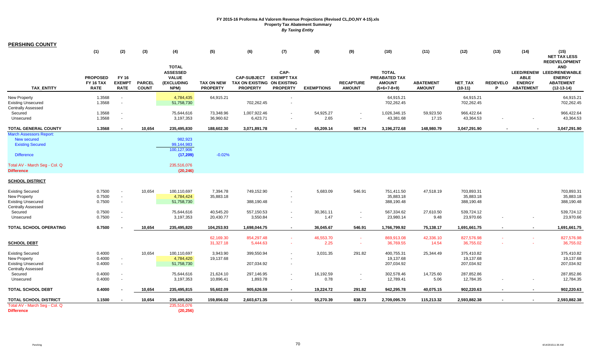| <b>PERSHING COUNTY</b>                                                                                                                              | (1)                                                | (2)                                                | (3)                           | (4)                                                                           | (5)                                  | (6)                                                                  | (7)                                          | (8)               | (9)                               | (10)                                                            | (11)                              | (12)                                  | (13)                 | (14)                                             | (15)<br><b>NET TAX LESS</b>                                                                                          |
|-----------------------------------------------------------------------------------------------------------------------------------------------------|----------------------------------------------------|----------------------------------------------------|-------------------------------|-------------------------------------------------------------------------------|--------------------------------------|----------------------------------------------------------------------|----------------------------------------------|-------------------|-----------------------------------|-----------------------------------------------------------------|-----------------------------------|---------------------------------------|----------------------|--------------------------------------------------|----------------------------------------------------------------------------------------------------------------------|
| <b>TAX ENTITY</b>                                                                                                                                   | <b>PROPOSED</b><br><b>FY 16 TAX</b><br><b>RATE</b> | <b>FY 16</b><br><b>EXEMPT</b><br><b>RATE</b>       | <b>PARCEL</b><br><b>COUNT</b> | <b>TOTAL</b><br><b>ASSESSED</b><br><b>VALUE</b><br><b>(EXCLUDING</b><br>NPM)  | <b>TAX ON NEW</b><br><b>PROPERTY</b> | <b>CAP-SUBJECT</b><br>TAX ON EXISTING ON EXISTING<br><b>PROPERTY</b> | CAP-<br><b>EXEMPT TAX</b><br><b>PROPERTY</b> | <b>EXEMPTIONS</b> | <b>RECAPTURE</b><br><b>AMOUNT</b> | <b>TOTAL</b><br>PREABATED TAX<br><b>AMOUNT</b><br>$(5+6+7-8+9)$ | <b>ABATEMENT</b><br><b>AMOUNT</b> | NET_TAX<br>$(10-11)$                  | <b>REDEVELO</b><br>P | <b>ABLE</b><br><b>ENERGY</b><br><b>ABATEMENT</b> | <b>REDEVELOPMENT</b><br><b>AND</b><br>LEED/RENEW LEED/RENEWABLE<br><b>ENERGY</b><br><b>ABATEMENT</b><br>$(12-13-14)$ |
| <b>New Property</b><br><b>Existing Unsecured</b><br><b>Centrally Assessed</b>                                                                       | 1.3568<br>1.3568                                   | $\blacksquare$<br>$\blacksquare$                   |                               | 4,784,435<br>51,758,730                                                       | 64,915.21                            | 702,262.45                                                           |                                              |                   |                                   | 64,915.21<br>702,262.45                                         |                                   | 64,915.21<br>702,262.45               |                      |                                                  | 64,915.21<br>702,262.45                                                                                              |
| Secured<br>Unsecured                                                                                                                                | 1.3568<br>1.3568                                   | $\blacksquare$<br>$\blacksquare$                   |                               | 75,644,616<br>3,197,353                                                       | 73,348.96<br>36,960.62               | 1,007,922.46<br>6,423.71                                             |                                              | 54,925.27<br>2.65 | $\sim$                            | 1,026,346.15<br>43,381.68                                       | 59,923.50<br>17.15                | 966,422.64<br>43,364.53               |                      |                                                  | 966,422.64<br>43,364.53                                                                                              |
| <b>TOTAL GENERAL COUNTY</b>                                                                                                                         | 1.3568                                             | $\blacksquare$                                     | 10,654                        | 235,495,830                                                                   | 188,602.30                           | 3,071,891.78                                                         |                                              | 65,209.14         | 987.74                            | 3,196,272.68                                                    | 148,980.79                        | 3,047,291.90                          |                      |                                                  | 3,047,291.90                                                                                                         |
| <b>March Assessors Report:</b><br>New secured<br><b>Existing Secured</b><br><b>Difference</b><br>Total AV - March Seg - Col. Q<br><b>Difference</b> |                                                    |                                                    |                               | 982,923<br>99,144,983<br>100,127,906<br>(17, 209)<br>235,516,076<br>(20, 246) | $-0.02%$                             |                                                                      |                                              |                   |                                   |                                                                 |                                   |                                       |                      |                                                  |                                                                                                                      |
| <b>SCHOOL DISTRICT</b>                                                                                                                              |                                                    |                                                    |                               |                                                                               |                                      |                                                                      |                                              |                   |                                   |                                                                 |                                   |                                       |                      |                                                  |                                                                                                                      |
| <b>Existing Secured</b><br>New Property<br><b>Existing Unsecured</b>                                                                                | 0.7500<br>0.7500<br>0.7500                         | $\blacksquare$<br>$\blacksquare$<br>$\blacksquare$ | 10,654                        | 100,110,697<br>4,784,424<br>51,758,730                                        | 7,394.78<br>35,883.18                | 749,152.90<br>388,190.48                                             |                                              | 5,683.09          | 546.91                            | 751,411.50<br>35,883.18<br>388,190.48                           | 47,518.19                         | 703,893.31<br>35,883.18<br>388,190.48 |                      |                                                  | 703,893.31<br>35,883.18<br>388,190.48                                                                                |
| <b>Centrally Assessed</b><br>Secured<br>Unsecured                                                                                                   | 0.7500<br>0.7500                                   | $\sim$<br>$\overline{\phantom{a}}$                 |                               | 75,644,616<br>3,197,353                                                       | 40,545.20<br>20,430.77               | 557,150.53<br>3,550.84                                               |                                              | 30,361.11<br>1.47 | $\sim$<br>$\sim$                  | 567,334.62<br>23,980.14                                         | 27,610.50<br>9.48                 | 539,724.12<br>23,970.66               |                      | $\overline{\phantom{a}}$                         | 539,724.12<br>23,970.66                                                                                              |
| TOTAL SCHOOL OPERATING                                                                                                                              | 0.7500                                             |                                                    | 10,654                        | 235,495,820                                                                   | 104,253.93                           | 1,698,044.75                                                         | $\sim$                                       | 36,045.67         | 546.91                            | 1,766,799.92                                                    | 75,138.17                         | 1,691,661.75                          |                      | $\blacksquare$                                   | 1,691,661.75                                                                                                         |
| <b>SCHOOL DEBT</b>                                                                                                                                  |                                                    |                                                    |                               |                                                                               | 62,169.30<br>31,327.18               | 854,297.48<br>5,444.63                                               | $\sim$                                       | 46,553.70<br>2.25 | $\sim$<br>$\sim$                  | 869,913.08<br>36,769.55                                         | 42,336.10<br>14.54                | 827,576.98<br>36,755.02               |                      |                                                  | 827,576.98<br>36,755.02                                                                                              |
| <b>Existing Secured</b><br>New Property<br><b>Existing Unsecured</b><br><b>Centrally Assessed</b>                                                   | 0.4000<br>0.4000<br>0.4000                         | $\blacksquare$<br>$\blacksquare$                   | 10,654                        | 100,110,697<br>4,784,420<br>51,758,730                                        | 3,943.90<br>19,137.68                | 399,550.94<br>207,034.92                                             |                                              | 3,031.35          | 291.82                            | 400,755.31<br>19,137.68<br>207,034.92                           | 25,344.49                         | 375,410.82<br>19,137.68<br>207,034.92 |                      |                                                  | 375,410.82<br>19,137.68<br>207,034.92                                                                                |
| Secured<br>Unsecured                                                                                                                                | 0.4000<br>0.4000                                   | $\blacksquare$<br>$\overline{\phantom{a}}$         |                               | 75,644,616<br>3,197,353                                                       | 21,624.10<br>10,896.41               | 297,146.95<br>1,893.78                                               | $\sim$                                       | 16,192.59<br>0.78 | $\sim$                            | 302,578.46<br>12,789.41                                         | 14,725.60<br>5.06                 | 287,852.86<br>12,784.35               |                      |                                                  | 287,852.86<br>12,784.35                                                                                              |
| <b>TOTAL SCHOOL DEBT</b>                                                                                                                            | 0.4000                                             |                                                    | 10,654                        | 235,495,815                                                                   | 55,602.09                            | 905,626.59                                                           | $\sim$                                       | 19,224.72         | 291.82                            | 942,295.78                                                      | 40,075.15                         | 902,220.63                            | $\sim$               | $\sim$                                           | 902,220.63                                                                                                           |
| <b>TOTAL SCHOOL DISTRICT</b>                                                                                                                        | 1.1500                                             |                                                    | 10,654                        | 235,495,820                                                                   | 159,856.02                           | 2,603,671.35                                                         |                                              | 55,270.39         | 838.73                            | 2,709,095.70                                                    | 115,213.32                        | 2,593,882.38                          |                      |                                                  | 2,593,882.38                                                                                                         |
| Total AV - March Seg - Col. Q<br><b>Difference</b>                                                                                                  |                                                    |                                                    |                               | 235,516,076<br>(20, 256)                                                      |                                      |                                                                      |                                              |                   |                                   |                                                                 |                                   |                                       |                      |                                                  |                                                                                                                      |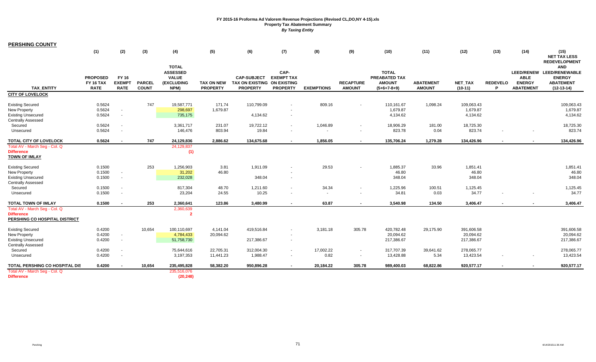| <b>PERSHING COUNTY</b>                                                               |                                                    |                                              |                               |                                                                              |                                      |                                                                      |                                              |                    |                                   |                                                                 |                                   |                                       |                      |                                                  |                                                                                              |
|--------------------------------------------------------------------------------------|----------------------------------------------------|----------------------------------------------|-------------------------------|------------------------------------------------------------------------------|--------------------------------------|----------------------------------------------------------------------|----------------------------------------------|--------------------|-----------------------------------|-----------------------------------------------------------------|-----------------------------------|---------------------------------------|----------------------|--------------------------------------------------|----------------------------------------------------------------------------------------------|
|                                                                                      | (1)                                                | (2)                                          | (3)                           | (4)                                                                          | (5)                                  | (6)                                                                  | (7)                                          | (8)                | (9)                               | (10)                                                            | (11)                              | (12)                                  | (13)                 | (14)                                             | (15)<br><b>NET TAX LESS</b><br><b>REDEVELOPMENT</b>                                          |
| <b>TAX ENTITY</b>                                                                    | <b>PROPOSED</b><br><b>FY 16 TAX</b><br><b>RATE</b> | <b>FY 16</b><br><b>EXEMPT</b><br><b>RATE</b> | <b>PARCEL</b><br><b>COUNT</b> | <b>TOTAL</b><br><b>ASSESSED</b><br><b>VALUE</b><br><b>(EXCLUDING</b><br>NPM) | <b>TAX ON NEW</b><br><b>PROPERTY</b> | <b>CAP-SUBJECT</b><br>TAX ON EXISTING ON EXISTING<br><b>PROPERTY</b> | CAP-<br><b>EXEMPT TAX</b><br><b>PROPERTY</b> | <b>EXEMPTIONS</b>  | <b>RECAPTURE</b><br><b>AMOUNT</b> | <b>TOTAL</b><br>PREABATED TAX<br><b>AMOUNT</b><br>$(5+6+7-8+9)$ | <b>ABATEMENT</b><br><b>AMOUNT</b> | NET_TAX<br>$(10-11)$                  | <b>REDEVELO</b><br>P | <b>ABLE</b><br><b>ENERGY</b><br><b>ABATEMENT</b> | <b>AND</b><br>LEED/RENEW LEED/RENEWABLE<br><b>ENERGY</b><br><b>ABATEMENT</b><br>$(12-13-14)$ |
| <b>CITY OF LOVELOCK</b>                                                              |                                                    |                                              |                               |                                                                              |                                      |                                                                      |                                              |                    |                                   |                                                                 |                                   |                                       |                      |                                                  |                                                                                              |
| <b>Existing Secured</b><br><b>New Property</b><br><b>Existing Unsecured</b>          | 0.5624<br>0.5624<br>0.5624                         | $\sim$<br>$\sim$                             | 747                           | 19,587,771<br>298,697<br>735,175                                             | 171.74<br>1,679.87                   | 110,799.09<br>4,134.62                                               |                                              | 809.16             |                                   | 110,161.67<br>1,679.87<br>4,134.62                              | 1,098.24                          | 109,063.43<br>1,679.87<br>4,134.62    |                      |                                                  | 109,063.43<br>1,679.87<br>4,134.62                                                           |
| <b>Centrally Assessed</b><br>Secured<br>Unsecured                                    | 0.5624<br>0.5624                                   | $\sim$                                       |                               | 3,361,717<br>146,476                                                         | 231.07<br>803.94                     | 19,722.12<br>19.84                                                   |                                              | 1,046.89<br>$\sim$ |                                   | 18,906.29<br>823.78                                             | 181.00<br>0.04                    | 18,725.30<br>823.74                   |                      |                                                  | 18,725.30<br>823.74                                                                          |
| TOTAL CITY OF LOVELOCK                                                               | 0.5624                                             | $\overline{\phantom{a}}$                     | 747                           | 24,129,836                                                                   | 2,886.62                             | 134,675.68                                                           |                                              | 1,856.05           | $\sim$                            | 135,706.24                                                      | 1,279.28                          | 134,426.96                            |                      |                                                  | 134,426.96                                                                                   |
| Total AV - March Seq - Col. Q<br><b>Difference</b><br><b>TOWN OF IMLAY</b>           |                                                    |                                              |                               | 24,129,837<br>(1)                                                            |                                      |                                                                      |                                              |                    |                                   |                                                                 |                                   |                                       |                      |                                                  |                                                                                              |
| <b>Existing Secured</b><br>New Property<br><b>Existing Unsecured</b>                 | 0.1500<br>0.1500<br>0.1500                         | $\sim$<br>$\sim$                             | 253                           | 1,256,903<br>31,202<br>232,028                                               | 3.81<br>46.80                        | 1,911.09<br>348.04                                                   |                                              | 29.53              |                                   | 1,885.37<br>46.80<br>348.04                                     | 33.96                             | 1,851.41<br>46.80<br>348.04           |                      |                                                  | 1,851.41<br>46.80<br>348.04                                                                  |
| <b>Centrally Assessed</b><br>Secured<br>Unsecured                                    | 0.1500<br>0.1500                                   | $\sim$                                       |                               | 817,304<br>23,204                                                            | 48.70<br>24.55                       | 1,211.60<br>10.25                                                    |                                              | 34.34<br>$\sim$    |                                   | 1,225.96<br>34.81                                               | 100.51<br>0.03                    | 1,125.45<br>34.77                     |                      |                                                  | 1,125.45<br>34.77                                                                            |
| TOTAL TOWN OF IMLAY                                                                  | 0.1500                                             |                                              | 253                           | 2,360,641                                                                    | 123.86                               | 3,480.99                                                             |                                              | 63.87              |                                   | 3,540.98                                                        | 134.50                            | 3,406.47                              |                      |                                                  | 3,406.47                                                                                     |
| Total AV - March Seg - Col. Q<br><b>Difference</b><br>PERSHING CO HOSPITAL DISTRICT  |                                                    |                                              |                               | 2,360,639<br>$\overline{\phantom{a}}$                                        |                                      |                                                                      |                                              |                    |                                   |                                                                 |                                   |                                       |                      |                                                  |                                                                                              |
| <b>Existing Secured</b><br><b>New Property</b><br><b>Existing Unsecured</b>          | 0.4200<br>0.4200<br>0.4200                         | $\sim$<br>$\sim$                             | 10,654                        | 100,110,697<br>4,784,433<br>51,758,730                                       | 4,141.04<br>20,094.62                | 419,516.84<br>217,386.67                                             | $\sim$                                       | 3,181.18           | 305.78                            | 420,782.48<br>20,094.62<br>217,386.67                           | 29,175.90                         | 391,606.58<br>20,094.62<br>217,386.67 |                      |                                                  | 391,606.58<br>20,094.62<br>217,386.67                                                        |
| <b>Centrally Assessed</b><br>Secured<br>Unsecured                                    | 0.4200<br>0.4200                                   | $\sim$                                       |                               | 75,644,616<br>3,197,353                                                      | 22,705.31<br>11,441.23               | 312,004.30<br>1,988.47                                               | $\sim$                                       | 17,002.22<br>0.82  | $\sim$                            | 317,707.39<br>13,428.88                                         | 39,641.62<br>5.34                 | 278,065.77<br>13,423.54               |                      |                                                  | 278,065.77<br>13,423.54                                                                      |
| TOTAL PERSHING CO HOSPITAL DIS<br>Total AV - March Seg - Col. Q<br><b>Difference</b> | 0.4200                                             |                                              | 10,654                        | 235,495,828<br>235,516,076<br>(20, 248)                                      | 58,382.20                            | 950,896.28                                                           |                                              | 20,184.22          | 305.78                            | 989,400.03                                                      | 68,822.86                         | 920,577.17                            |                      |                                                  | 920,577.17                                                                                   |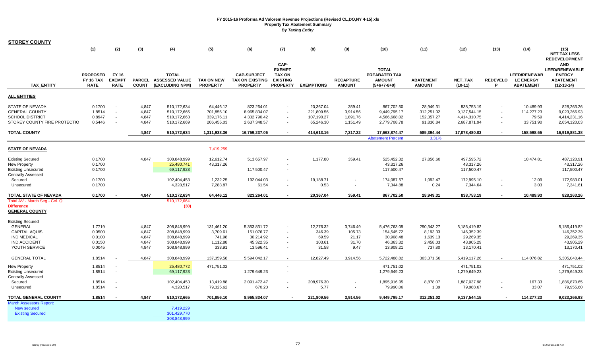| <u>STOREY COUNTY</u>                                                                                                     |                                                    |                                                                |                                           |                                                                         |                                                        |                                                                   |                                                                        |                                                    |                                              |                                                                   |                                                          |                                                                   |                      |                                                             |                                                                            |
|--------------------------------------------------------------------------------------------------------------------------|----------------------------------------------------|----------------------------------------------------------------|-------------------------------------------|-------------------------------------------------------------------------|--------------------------------------------------------|-------------------------------------------------------------------|------------------------------------------------------------------------|----------------------------------------------------|----------------------------------------------|-------------------------------------------------------------------|----------------------------------------------------------|-------------------------------------------------------------------|----------------------|-------------------------------------------------------------|----------------------------------------------------------------------------|
|                                                                                                                          | (1)                                                | (2)                                                            | (3)                                       | (4)                                                                     | (5)                                                    | (6)                                                               | (7)<br>CAP-                                                            | (8)                                                | (9)                                          | (10)                                                              | (11)                                                     | (12)                                                              | (13)                 | (14)                                                        | (15)<br><b>NET TAX LESS</b><br><b>REDEVELOPMENT</b><br><b>AND</b>          |
| <b>TAX_ENTITY</b>                                                                                                        | <b>PROPOSED</b><br><b>FY 16 TAX</b><br><b>RATE</b> | FY 16<br><b>EXEMPT</b><br><b>RATE</b>                          | <b>COUNT</b>                              | <b>TOTAL</b><br>PARCEL ASSESSED VALUE<br>(EXCLUDING NPM)                | <b>TAX ON NEW</b><br><b>PROPERTY</b>                   | <b>CAP-SUBJECT</b><br><b>TAX ON EXISTING</b><br><b>PROPERTY</b>   | <b>EXEMPT</b><br><b>TAX ON</b><br><b>EXISTING</b><br><b>PROPERTY</b>   | <b>EXEMPTIONS</b>                                  | <b>RECAPTURE</b><br><b>AMOUNT</b>            | <b>TOTAL</b><br>PREABATED TAX<br><b>AMOUNT</b><br>$(5+6+7-8+9)$   | <b>ABATEMENT</b><br><b>AMOUNT</b>                        | <b>NET TAX</b><br>$(10-11)$                                       | <b>REDEVELO</b><br>P | <b>LEED/RENEWAB</b><br><b>LE ENERGY</b><br><b>ABATEMENT</b> | <b>LEED/RENEWABLE</b><br><b>ENERGY</b><br><b>ABATEMENT</b><br>$(12-13-14)$ |
| <b>ALL ENTITIES</b>                                                                                                      |                                                    |                                                                |                                           |                                                                         |                                                        |                                                                   |                                                                        |                                                    |                                              |                                                                   |                                                          |                                                                   |                      |                                                             |                                                                            |
| STATE OF NEVADA<br><b>GENERAL COUNTY</b><br><b>SCHOOL DISTRICT</b><br>STOREY COUNTY FIRE PROTECTIO                       | 0.1700<br>1.8514<br>0.8947<br>0.5446               | $\overline{\phantom{a}}$<br>$\blacksquare$<br>$\sim$<br>$\sim$ | 4,847<br>4,847<br>4,847<br>4,847          | 510,172,634<br>510,172,665<br>510,172,663<br>510,172,669                | 64,446.12<br>701,856.10<br>339,176.11<br>206,455.03    | 823,264.01<br>8,965,834.07<br>4,332,790.42<br>2,637,348.57        | $\blacksquare$<br>$\sim$<br>$\sim$                                     | 20,367.04<br>221,809.56<br>107,190.27<br>65,246.30 | 359.41<br>3,914.56<br>1,891.76<br>1,151.49   | 867,702.50<br>9,449,795.17<br>4,566,668.02<br>2,779,708.78        | 28,949.31<br>312,251.02<br>152,357.27<br>91,836.84       | 838,753.19<br>9,137,544.15<br>4,414,310.75<br>2,687,871.94        | $\sim$<br>$\sim$     | 10,489.93<br>114,277.23<br>79.59<br>33,751.90               | 828,263.26<br>9,023,266.93<br>4,414,231.16<br>2,654,120.03                 |
| <b>TOTAL COUNTY</b>                                                                                                      |                                                    |                                                                | 4,847                                     | 510,172,634                                                             | 1,311,933.36                                           | 16,759,237.06                                                     | $\blacksquare$                                                         | 414,613.16                                         | 7,317.22                                     | 17,663,874.47<br><b>Abatement Percent</b>                         | 585,394.44<br>3.31%                                      | 17,078,480.03                                                     | $\sim$               | 158,598.65                                                  | 16,919,881.38                                                              |
| <b>STATE OF NEVADA</b>                                                                                                   |                                                    |                                                                |                                           |                                                                         | 7,419,259                                              |                                                                   |                                                                        |                                                    |                                              |                                                                   |                                                          |                                                                   |                      |                                                             |                                                                            |
| <b>Existing Secured</b><br>New Property<br><b>Existing Unsecured</b><br><b>Centrally Assessed</b>                        | 0.1700<br>0.1700<br>0.1700                         |                                                                | 4,847                                     | 308,848,999<br>25,480,741<br>69,117,923                                 | 12,612.74<br>43,317.26                                 | 513,657.97<br>117,500.47                                          | $\blacksquare$<br>$\blacksquare$                                       | 1,177.80                                           | 359.41                                       | 525,452.32<br>43,317.26<br>117,500.47                             | 27,856.60                                                | 497,595.72<br>43,317.26<br>117,500.47                             |                      | 10,474.81                                                   | 487,120.91<br>43,317.26<br>117,500.47                                      |
| Secured<br>Unsecured                                                                                                     | 0.1700<br>0.1700                                   |                                                                |                                           | 102,404,453<br>4,320,517                                                | 1,232.25<br>7,283.87                                   | 192,044.03<br>61.54                                               | $\blacksquare$<br>$\omega$                                             | 19,188.71<br>0.53                                  | $\sim$<br>$\blacksquare$                     | 174,087.57<br>7,344.88                                            | 1,092.47<br>0.24                                         | 172,995.10<br>7,344.64                                            |                      | 12.09<br>3.03                                               | 172,983.01<br>7,341.61                                                     |
| TOTAL STATE OF NEVADA<br>Total AV - March Seg - Col. Q<br><b>Difference</b><br><b>GENERAL COUNTY</b>                     | 0.1700                                             |                                                                | 4,847                                     | 510,172,634<br>510,172,664<br>(30)                                      | 64,446.12                                              | 823,264.01                                                        | $\blacksquare$                                                         | 20,367.04                                          | 359.41                                       | 867,702.50                                                        | 28,949.31                                                | 838,753.19                                                        |                      | 10,489.93                                                   | 828,263.26                                                                 |
| Existing Secured<br><b>GENERAL</b><br><b>CAPITAL AQUIS</b><br><b>IND MEDICAL</b><br><b>IND ACCIDENT</b><br>YOUTH SERVICE | 1.7719<br>0.0500<br>0.0100<br>0.0150<br>0.0045     |                                                                | 4,847<br>4,847<br>4,847<br>4,847<br>4,847 | 308,848,999<br>308,848,999<br>308,848,999<br>308,848,999<br>308,848,999 | 131,461.20<br>3,709.61<br>741.98<br>1,112.88<br>333.91 | 5,353,831.72<br>151,076.77<br>30,214.92<br>45,322.35<br>13,596.41 | $\sim$<br>$\blacksquare$<br>$\blacksquare$<br>$\sim$<br>$\blacksquare$ | 12,276.32<br>346.39<br>69.59<br>103.61<br>31.58    | 3,746.49<br>105.73<br>21.17<br>31.70<br>9.47 | 5,476,763.09<br>154,545.72<br>30,908.48<br>46,363.32<br>13,908.21 | 290,343.27<br>8,193.33<br>1,639.13<br>2,458.03<br>737.80 | 5,186,419.82<br>146,352.39<br>29,269.35<br>43,905.29<br>13,170.41 |                      |                                                             | 5,186,419.82<br>146,352.39<br>29,269.35<br>43,905.29<br>13,170.41          |
| <b>GENERAL TOTAL</b>                                                                                                     | 1.8514                                             |                                                                | 4,847                                     | 308,848,999                                                             | 137,359.58                                             | 5,594,042.17                                                      | $\sim$                                                                 | 12,827.49                                          | 3,914.56                                     | 5,722,488.82                                                      | 303,371.56                                               | 5,419,117.26                                                      |                      | 114,076.82                                                  | 5,305,040.44                                                               |
| <b>New Property</b><br><b>Existing Unsecured</b><br><b>Centrally Assessed</b>                                            | 1.8514<br>1.8514                                   | $\sim$<br>$\blacksquare$                                       |                                           | 25,480,772<br>69,117,923                                                | 471,751.02                                             | 1,279,649.23                                                      | $\sim$<br>$\sim$                                                       |                                                    |                                              | 471,751.02<br>1,279,649.23                                        |                                                          | 471,751.02<br>1,279,649.23                                        |                      |                                                             | 471,751.02<br>1,279,649.23                                                 |
| Secured<br>Unsecured                                                                                                     | 1.8514<br>1.8514                                   | $\blacksquare$<br>$\sim$                                       |                                           | 102,404,453<br>4,320,517                                                | 13,419.88<br>79,325.62                                 | 2,091,472.47<br>670.20                                            | $\blacksquare$<br>$\sim$                                               | 208,976.30<br>5.77                                 | $\sim$                                       | 1,895,916.05<br>79,990.06                                         | 8,878.07<br>1.39                                         | 1,887,037.98<br>79,988.67                                         | $\sim$               | 167.33<br>33.07                                             | 1,886,870.65<br>79,955.60                                                  |
| <b>TOTAL GENERAL COUNTY</b>                                                                                              | 1.8514                                             |                                                                | 4.847                                     | 510,172,665                                                             | 701,856.10                                             | 8,965,834.07                                                      |                                                                        | 221,809.56                                         | 3,914.56                                     | 9,449,795.17                                                      | 312,251.02                                               | 9,137,544.15                                                      |                      | 114,277.23                                                  | 9,023,266.93                                                               |
| <b>March Assessors Report:</b><br><b>New secured</b><br><b>Existing Secured</b>                                          |                                                    |                                                                |                                           | 7,419,229<br>301,429,770<br>308.848.999                                 |                                                        |                                                                   |                                                                        |                                                    |                                              |                                                                   |                                                          |                                                                   |                      |                                                             |                                                                            |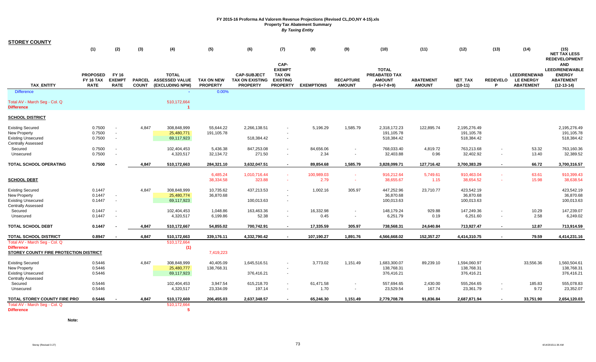| <b>STOREY COUNTY</b>                                                                                                      |                                                |                                              |                               |                                                                     |                                                  |                                                                 |                                                                              |                               |                                   |                                                                        |                                   |                                                                     |                      |                                                             |                                                                                                                  |
|---------------------------------------------------------------------------------------------------------------------------|------------------------------------------------|----------------------------------------------|-------------------------------|---------------------------------------------------------------------|--------------------------------------------------|-----------------------------------------------------------------|------------------------------------------------------------------------------|-------------------------------|-----------------------------------|------------------------------------------------------------------------|-----------------------------------|---------------------------------------------------------------------|----------------------|-------------------------------------------------------------|------------------------------------------------------------------------------------------------------------------|
|                                                                                                                           | (1)                                            | (2)                                          | (3)                           | (4)                                                                 | (5)                                              | (6)                                                             | (7)                                                                          | (8)                           | (9)                               | (10)                                                                   | (11)                              | (12)                                                                | (13)                 | (14)                                                        | (15)<br><b>NET TAX LESS</b>                                                                                      |
| TAX_ENTITY                                                                                                                | <b>PROPOSED</b><br>FY 16 TAX<br><b>RATE</b>    | <b>FY 16</b><br><b>EXEMPT</b><br><b>RATE</b> | <b>PARCEL</b><br><b>COUNT</b> | <b>TOTAL</b><br><b>ASSESSED VALUE</b><br>(EXCLUDING NPM)            | <b>TAX ON NEW</b><br><b>PROPERTY</b>             | <b>CAP-SUBJECT</b><br><b>TAX ON EXISTING</b><br><b>PROPERTY</b> | CAP-<br><b>EXEMPT</b><br><b>TAX ON</b><br><b>EXISTING</b><br><b>PROPERTY</b> | <b>EXEMPTIONS</b>             | <b>RECAPTURE</b><br><b>AMOUNT</b> | <b>TOTAL</b><br><b>PREABATED TAX</b><br><b>AMOUNT</b><br>$(5+6+7-8+9)$ | <b>ABATEMENT</b><br><b>AMOUNT</b> | <b>NET TAX</b><br>$(10-11)$                                         | <b>REDEVELO</b><br>P | <b>LEED/RENEWAB</b><br><b>LE ENERGY</b><br><b>ABATEMENT</b> | <b>REDEVELOPMENT</b><br><b>AND</b><br><b>LEED/RENEWABLE</b><br><b>ENERGY</b><br><b>ABATEMENT</b><br>$(12-13-14)$ |
| <b>Difference</b>                                                                                                         |                                                |                                              |                               |                                                                     | 0.00%                                            |                                                                 |                                                                              |                               |                                   |                                                                        |                                   |                                                                     |                      |                                                             |                                                                                                                  |
| Total AV - March Seg - Col. Q<br><b>Difference</b>                                                                        |                                                |                                              |                               | 510,172,664                                                         |                                                  |                                                                 |                                                                              |                               |                                   |                                                                        |                                   |                                                                     |                      |                                                             |                                                                                                                  |
| <b>SCHOOL DISTRICT</b>                                                                                                    |                                                |                                              |                               |                                                                     |                                                  |                                                                 |                                                                              |                               |                                   |                                                                        |                                   |                                                                     |                      |                                                             |                                                                                                                  |
| <b>Existing Secured</b><br>New Property<br><b>Existing Unsecured</b><br><b>Centrally Assessed</b><br>Secured<br>Unsecured | 0.7500<br>0.7500<br>0.7500<br>0.7500<br>0.7500 | $\sim$<br>$\sim$                             | 4,847                         | 308,848,999<br>25,480,771<br>69,117,923<br>102,404,453<br>4,320,517 | 55,644.22<br>191,105.78<br>5,436.38<br>32,134.72 | 2,266,138.51<br>518,384.42<br>847,253.08<br>271.50              | $\sim$<br>$\blacksquare$<br>$\sim$                                           | 5,196.29<br>84,656.06<br>2.34 | 1,585.79<br>$\sim$                | 2,318,172.23<br>191,105.78<br>518,384.42<br>768,033.40<br>32,403.88    | 122,895.74<br>4,819.72<br>0.96    | 2,195,276.49<br>191,105.78<br>518,384.42<br>763,213.68<br>32,402.92 |                      | 53.32<br>13.40                                              | 2,195,276.49<br>191,105.78<br>518,384.42<br>763,160.36<br>32,389.52                                              |
| TOTAL SCHOOL OPERATING                                                                                                    | 0.7500                                         |                                              | 4,847                         | 510,172,663                                                         | 284,321.10                                       | 3,632,047.51                                                    | $\sim$                                                                       | 89,854.68                     | 1,585.79                          | 3,828,099.71                                                           | 127,716.42                        | 3,700,383.29                                                        |                      | 66.72                                                       | 3,700,316.57                                                                                                     |
| <b>SCHOOL DEBT</b>                                                                                                        |                                                |                                              |                               |                                                                     | 6,485.24<br>38,334.58                            | 1,010,716.44<br>323.88                                          | $\sim$<br>$\sim$                                                             | 100,989.03<br>2.79            | $\sim$<br>$\sim$                  | 916,212.64<br>38,655.67                                                | 5,749.61<br>1.15                  | 910,463.04<br>38,654.52                                             |                      | 63.61<br>15.98                                              | 910,399.43<br>38,638.54                                                                                          |
| <b>Existing Secured</b><br>New Property<br><b>Existing Unsecured</b><br><b>Centrally Assessed</b>                         | 0.1447<br>0.1447<br>0.1447                     | $\sim$                                       | 4,847                         | 308,848,999<br>25,480,774<br>69,117,923                             | 10,735.62<br>36,870.68                           | 437,213.53<br>100,013.63                                        | $\sim$<br>$\sim$                                                             | 1,002.16                      | 305.97                            | 447,252.96<br>36,870.68<br>100,013.63                                  | 23,710.77                         | 423,542.19<br>36,870.68<br>100,013.63                               |                      |                                                             | 423,542.19<br>36,870.68<br>100,013.63                                                                            |
| Secured<br>Unsecured                                                                                                      | 0.1447<br>0.1447                               |                                              |                               | 102,404,453<br>4,320,517                                            | 1,048.86<br>6,199.86                             | 163,463.36<br>52.38                                             | $\blacksquare$<br>$\sim$                                                     | 16,332.98<br>0.45             | $\sim$                            | 148,179.24<br>6,251.79                                                 | 929.88<br>0.19                    | 147,249.36<br>6,251.60                                              |                      | 10.29<br>2.58                                               | 147,239.07<br>6,249.02                                                                                           |
| <b>TOTAL SCHOOL DEBT</b>                                                                                                  | 0.1447                                         |                                              | 4,847                         | 510,172,667                                                         | 54,855.02                                        | 700,742.91                                                      | $\sim$                                                                       | 17,335.59                     | 305.97                            | 738,568.31                                                             | 24,640.84                         | 713,927.47                                                          | $\sim$               | 12.87                                                       | 713,914.59                                                                                                       |
| <b>TOTAL SCHOOL DISTRICT</b>                                                                                              | 0.8947                                         |                                              | 4,847                         | 510,172,663                                                         | 339,176.11                                       | 4,332,790.42                                                    |                                                                              | 107,190.27                    | 1,891.76                          | 4,566,668.02                                                           | 152,357.27                        | 4,414,310.75                                                        |                      | 79.59                                                       | 4,414,231.16                                                                                                     |
| Total AV - March Seg - Col. Q<br><b>Difference</b><br>STOREY COUNTY FIRE PROTECTION DISTRICT                              |                                                |                                              |                               | 510,172,664<br>(1)                                                  | 7,419,223                                        |                                                                 |                                                                              |                               |                                   |                                                                        |                                   |                                                                     |                      |                                                             |                                                                                                                  |
| <b>Existing Secured</b><br>New Property<br><b>Existing Unsecured</b><br><b>Centrally Assessed</b>                         | 0.5446<br>0.5446<br>0.5446                     |                                              | 4,847                         | 308,848,999<br>25,480,777<br>69,117,923                             | 40,405.09<br>138,768.31                          | 1,645,516.51<br>376,416.21                                      | $\sim$                                                                       | 3,773.02                      | 1,151.49                          | 1,683,300.07<br>138,768.31<br>376,416.21                               | 89,239.10                         | 1,594,060.97<br>138,768.31<br>376,416.21                            |                      | 33,556.36                                                   | 1,560,504.61<br>138,768.31<br>376,416.21                                                                         |
| Secured<br>Unsecured                                                                                                      | 0.5446<br>0.5446                               |                                              |                               | 102,404,453<br>4,320,517                                            | 3,947.54<br>23,334.09                            | 615,218.70<br>197.14                                            | $\sim$<br>$\sim$                                                             | 61,471.58<br>1.70             | $\sim$                            | 557,694.65<br>23,529.54                                                | 2,430.00<br>167.74                | 555,264.65<br>23,361.79                                             | $\sim$               | 185.83<br>9.72                                              | 555,078.83<br>23,352.07                                                                                          |
| TOTAL STOREY COUNTY FIRE PRO                                                                                              | 0.5446                                         |                                              | 4,847                         | 510,172,669                                                         | 206,455.03                                       | 2,637,348.57                                                    |                                                                              | 65,246.30                     | 1,151.49                          | 2,779,708.78                                                           | 91,836.84                         | 2,687,871.94                                                        |                      | 33,751.90                                                   | 2,654,120.03                                                                                                     |
| Total AV - March Seg - Col. Q<br><b>Difference</b>                                                                        |                                                |                                              |                               | 510,172,664<br>5                                                    |                                                  |                                                                 |                                                                              |                               |                                   |                                                                        |                                   |                                                                     |                      |                                                             |                                                                                                                  |

**Note:**

 $\overline{\phantom{a}}$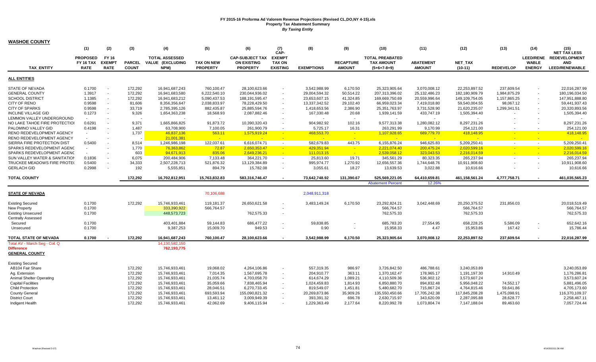|                                  | (1)                          | (2)                      | (3)                      | (4)                                              | (5)                     | (6)                                          | (7)<br>CAP-                    | (8)                         | (9)                   | (10)                                        | (11)                        | (12)                           | (13)                      | (14)                     | (15)<br><b>NET TAX LESS</b>           |
|----------------------------------|------------------------------|--------------------------|--------------------------|--------------------------------------------------|-------------------------|----------------------------------------------|--------------------------------|-----------------------------|-----------------------|---------------------------------------------|-----------------------------|--------------------------------|---------------------------|--------------------------|---------------------------------------|
|                                  | <b>PROPOSED</b><br>FY 16 TAX | FY 16<br><b>EXEMP1</b>   | <b>PARCEL</b>            | <b>TOTAL ASSESSED</b><br><b>VALUE (EXCLUDING</b> | <b>TAX ON NEW</b>       | <b>CAP-SUBJECT TAX</b><br><b>ON EXISTING</b> | <b>EXEMPT</b><br><b>TAX ON</b> |                             | <b>RECAPTURE</b>      | <b>TOTAL PREABATED</b><br><b>TAX AMOUNT</b> | <b>ABATEMENT</b>            | <b>NET TAX</b>                 |                           | <b>WABLE</b>             | LEED/RENE REDEVELOPMENT<br><b>AND</b> |
| <b>TAX ENTITY</b>                | <b>RATE</b>                  | <b>RATE</b>              | <b>COUNT</b>             | NPM)                                             | <b>PROPERTY</b>         | <b>PROPERTY</b>                              | <b>EXISTING</b>                | <b>EXEMPTIONS</b>           | <b>AMOUNT</b>         | $(5+6+7-8+9)$                               | <b>AMOUNT</b>               | $(10-11)$                      | <b>REDEVELOP</b>          | <b>ENERGY</b>            | LEED/RENEWABLE                        |
| <b>ALL ENTITIES</b>              |                              |                          |                          |                                                  |                         |                                              |                                |                             |                       |                                             |                             |                                |                           |                          |                                       |
| <b>STATE OF NEVADA</b>           | 0.1700                       |                          | 172,292                  | 16,941,687,243                                   | 760,100.47              | 28,100,623.66                                | $\blacksquare$                 | 3,542,988.99                | 6,170.50              | 25,323,905.64                               | 3,070,008.12                | 22,253,897.52                  | 237,609.54                | $\blacksquare$           | 22,016,287.99                         |
| <b>GENERAL COUNTY</b>            | 1.3917                       | $\sim$                   | 172,292                  | 16,941,683,580                                   | 6,222,540.10            | 230,044,936.02                               | $\blacksquare$                 | 29,004,594.32               | 50,514.22             | 207,313,396.02                              | 25, 132, 486. 23            | 182,180,909.79                 | 1,984,875.29              | $\overline{\phantom{a}}$ | 180,196,034.50                        |
| <b>SCHOOL DISTRICT</b>           | 1.1385                       | $\sim$                   | 172,292                  | 16,941,683,212                                   | 5,090,437.53            | 188,191,595.47                               | $\sim$                         | 23,653,607.15               | 41,324.85             | 169,669,750.69                              | 20,559,996.64               | 149,109,754.05                 | 1,157,865.25              | $\sim$                   | 147,951,888.80                        |
| CITY OF RENO                     | 0.9598                       | $\sim$                   | 81,606                   | 8,356,356,647                                    | 2,038,833.97            | 78,228,429.50                                | $\sim$                         | 13,337,342.52               | 29,102.40             | 66,959,023.34                               | 7,419,018.80                | 59,540,004.55                  | 98,067.12                 |                          | 59,441,937.43                         |
| <b>CITY OF SPARKS</b>            | 0.9598                       | ÷.                       | 33,719                   | 2,785,395,126                                    | 882,435.87              | 25,885,594.76                                | $\sim$                         | 1,418,653.56                | 2,386.90              | 25,351,763.97                               | 3,731,528.90                | 21,620,235.07                  | 1,299,341.51              | $\overline{\phantom{a}}$ | 20,320,893.56                         |
| <b>INCLINE VILLAGE GID</b>       | 0.1273                       | $\sim$                   | 9,326                    | 1,654,363,238                                    | 18,568.93               | 2,087,882.46                                 | $\sim$                         | 167,330.48                  | 20.68                 | 1,939,141.59                                | 433,747.19                  | 1,505,394.40                   |                           |                          | 1,505,394.40                          |
| LEMMON VALLEY UNDERGROUND        | $\sim$                       |                          | $\overline{\phantom{a}}$ |                                                  | $\sim$                  |                                              |                                |                             | $\sim$                | $\sim$                                      |                             |                                |                           |                          |                                       |
| NO LAKE TAHOE FIRE PROTECTION    | 0.6291                       | $\overline{\phantom{a}}$ | 9.371                    | 1,665,866,825                                    | 91.873.72               | 10.390.320.43                                | $\sim$                         | 904.982.92                  | 102.16                | 9,577,313.38                                | 1,280,082.12                | 8.297.231.26                   |                           |                          | 8,297,231.26                          |
| PALOMINO VALLEY GID              | 0.4198                       |                          | 1,487                    | 63,708,900                                       | 7,100.05                | 261,900.79                                   | $\overline{\phantom{a}}$       | 5,725.17                    | 16.31                 | 263,291.99                                  | 9,170.99                    | 254,121.00                     |                           |                          | 254,121.00                            |
| RENO REDEVELOPMENT AGENCY        | $\sim$                       |                          | 1,737                    | 46,837,136                                       | 563.11                  | 1,575,919.24                                 | <b>Page</b>                    | 468,553.70                  | $\sim$                | 1,107,928.65                                | 689,779.70                  | 418,148.95                     |                           | $\sim$                   | 418,148.95                            |
| <b>RENO REDEVELOPMENT AGENCY</b> | $\sim$                       |                          |                          | 21,001,381                                       | <b>Ca</b>               |                                              |                                |                             |                       | and the                                     |                             |                                |                           |                          |                                       |
| SIERRA FIRE PROTECTION DIST      | 0.5400                       |                          | 8,514                    | 1,246,986,198                                    | 122,037.61              | 6,616,074.71                                 | $\sim$                         | 582,679.83                  | 443.75                | 6,155,876.24                                | 946,625.83                  | 5,209,250.41                   | $\sim$                    | $\sim$                   | 5,209,250.41                          |
| SPARKS REDEVELOPMENT AGENO       | $\sim$                       |                          | 1,770                    | 76,363,862                                       | 72.87                   | 2,650,353.47                                 | $\mathcal{L}_{\mathbf{m}}$     | 429,351.94                  | <b>Page</b>           | 2,221,074.40                                | 200,475.24                  | 2,020,599.16                   |                           |                          | 2,020,599.16                          |
| SPARKS REDEVELOPMENT AGENC       | $\sim$                       |                          | 603                      | 94.671.913                                       | 835.06                  | 2.649.236.21                                 | <b>Page</b>                    | 111.013.15                  | <b>CO</b>             | 2.539.058.12                                | 323.043.53                  | 2.216.014.59                   |                           | $\sim$                   | 2.216.014.59                          |
| SUN VALLEY WATER & SANITATION    | 0.1836                       |                          | 6,075                    | 200,484,906                                      | 7,133.48                | 364,221.70                                   | $\mathbb{Z}^2$                 | 25,813.60                   | 19.71                 | 345,561.29                                  | 80,323.35                   | 265,237.94                     | $\overline{\phantom{a}}$  | $\sim$                   | 265,237.94                            |
| TRUCKEE MEADOWS FIRE PROTE(      | 0.5400                       | $\sim$                   | 34,333                   | 2,507,228,713                                    | 521,876.32              | 13,129,384.89                                | $\sim$                         | 995,974.77                  | 1,270.92              | 12,656,557.36                               | 1,744,648.76                | 10,911,908.60                  |                           | $\blacksquare$           | 10,911,908.60                         |
| <b>GERLACH GID</b>               | 0.2998                       | $\sim$                   | 192                      | 5,555,851                                        | 894.79                  | 15,782.08                                    | $\sim$                         | 3,055.61                    | 18.27                 | 13,639.53                                   | 3,022.88                    | 10,616.66                      |                           |                          | 10,616.66                             |
|                                  |                              |                          |                          |                                                  |                         |                                              |                                |                             |                       |                                             |                             |                                |                           |                          |                                       |
| <b>TOTAL COUNTY</b>              |                              |                          | 172,292                  | 16,702,812,951                                   | 15,763,832.83           | 583,316,746.47                               |                                | 73,642,748.92               | 131,390.67            | 525,569,221.05                              | 64,410,659.81               | 461,158,561.24                 | 4,777,758.71              |                          | 461,035,565.23                        |
|                                  |                              |                          |                          |                                                  |                         |                                              |                                |                             |                       | <b>Abatement Percent</b>                    | 12.26%                      |                                |                           |                          |                                       |
| <b>STATE OF NEVADA</b>           |                              |                          |                          |                                                  | 70,106,688              |                                              |                                | 2,048,911,318               |                       |                                             |                             |                                |                           |                          |                                       |
|                                  |                              |                          |                          |                                                  |                         |                                              |                                |                             |                       |                                             |                             |                                |                           |                          |                                       |
| <b>Existing Secured</b>          | 0.1700                       |                          | 172,292                  | 15,746,933,461                                   | 119,181.37              | 26,650,621.58                                | $\blacksquare$                 | 3,483,149.24                | 6,170.50              | 23,292,824.21                               | 3,042,448.69                | 20,250,375.52                  | 231,856.03                |                          | 20,018,519.49                         |
| New Property                     | 0.1700                       |                          |                          | 333,390,922                                      | 566,764.57              |                                              | $\overline{\phantom{a}}$       |                             |                       | 566,764.57                                  |                             | 566,764.57                     |                           |                          | 566,764.57                            |
| <b>Existing Unsecured</b>        | 0.1700                       |                          |                          | 448,573,723                                      |                         | 762,575.33                                   | $\sim$                         |                             |                       | 762,575.33                                  |                             | 762,575.33                     |                           |                          | 762,575.33                            |
| <b>Centrally Assessed</b>        |                              |                          |                          |                                                  |                         |                                              |                                |                             |                       |                                             |                             |                                |                           |                          |                                       |
| Secured                          | 0.1700                       |                          |                          | 403,401,884                                      | 59,144.83               | 686,477.22                                   | $\sim$                         | 59.838.85                   |                       | 685,783.20                                  | 27,554.95                   | 658,228.25                     | 5,586.09                  | $\blacksquare$           | 652,642.16                            |
| Unsecured                        | 0.1700                       |                          |                          | 9,387,253                                        | 15,009.70               | 949.53                                       | $\sim$                         | 0.90                        |                       | 15,958.33                                   | 4.47                        | 15.953.86                      | 167.42                    | $\blacksquare$           | 15.786.44                             |
| TOTAL STATE OF NEVADA            | 0.1700                       |                          | 172,292                  | 16,941,687,243                                   | 760,100.47              | 28,100,623.66                                | $\blacksquare$                 | 3,542,988.99                | 6,170.50              | 25,323,905.64                               | 3,070,008.12                | 22,253,897.52                  | 237,609.54                | $\blacksquare$           | 22,016,287.99                         |
| Total AV - March Seg - Col. Q    |                              |                          |                          | 14,130,582,150                                   |                         |                                              |                                |                             |                       |                                             |                             |                                |                           |                          |                                       |
| <b>Difference</b>                |                              |                          |                          | 762,193,775                                      |                         |                                              |                                |                             |                       |                                             |                             |                                |                           |                          |                                       |
| <b>GENERAL COUNTY</b>            |                              |                          |                          |                                                  |                         |                                              |                                |                             |                       |                                             |                             |                                |                           |                          |                                       |
| <b>Existing Secured</b>          |                              |                          |                          |                                                  |                         |                                              |                                |                             |                       |                                             |                             |                                |                           |                          |                                       |
| AB104 Fair Share                 |                              |                          | 172,292                  | 15,746,933,461                                   | 19,068.02               | 4,264,106.86                                 | $\sim$                         | 557,319.35                  | 986.97                | 3,726,842.50                                | 486,788.61                  | 3,240,053.89                   |                           |                          | 3,240,053.89                          |
| Ag. Extension                    |                              |                          | 172,292                  | 15,746,933,461                                   | 7,014.35                | 1,567,695.78                                 | $\blacksquare$                 | 204,910.77                  | 363.11                | 1,370,162.47                                | 178,965.17                  | 1,191,197.30                   | 14,910.49                 |                          | 1,176,286.81                          |
| Animal Shelter Operating         |                              |                          | 172,292                  | 15,746,933,461                                   | 21.035.74               | 4,703,058.70                                 | $\sim$                         | 614.674.29                  | 1.089.21              | 4,110,509.36                                | 536.902.12                  | 3.573.607.24                   |                           |                          | 3,573,607.24                          |
| <b>Capital Facilities</b>        |                              |                          | 172,292                  | 15,746,933,461                                   | 35,059.66               | 7,838,465.94                                 | $\sim$                         | 1,024,459.83                | 1,814.93              | 6,850,880.70                                | 894,832.48                  | 5,956,048.22                   | 74,552.17                 |                          | 5,881,496.05                          |
| <b>Child Protection</b>          |                              |                          |                          |                                                  |                         |                                              | $\sim$                         |                             |                       |                                             |                             |                                |                           |                          |                                       |
| <b>County General</b>            |                              |                          | 172,292<br>172,292       | 15,746,933,461<br>15,746,933,461                 | 28,046.51<br>693,593.94 | 6,270,733.45<br>155,090,821.32               | $\overline{\phantom{a}}$       | 819,549.07<br>20,269,873.86 | 1,451.81<br>35,909.26 | 5,480,682.70<br>135,550,450.66              | 715,867.24<br>17,705,242.38 | 4,764,815.46<br>117,845,208.28 | 59,641.86<br>1,475,098.91 |                          | 4,705,173.60<br>116,370,109.37        |
|                                  |                              |                          |                          |                                                  |                         | 3,009,949.39                                 | $\sim$                         | 393,391.32                  |                       |                                             |                             |                                |                           |                          | 2,258,467.11                          |
| <b>District Court</b>            |                              |                          | 172,292                  | 15,746,933,461                                   | 13,461.12               |                                              |                                |                             | 696.78                | 2,630,715.97                                | 343,620.09                  | 2,287,095.88                   | 28,628.77                 |                          |                                       |
| Indigent Health                  |                              |                          | 172,292                  | 15,746,933,461                                   | 42,062.69               | 9,406,115.94                                 |                                | 1,229,363.49                | 2,177.64              | 8,220,992.78                                | 1,073,804.74                | 7,147,188.04                   | 89,463.60                 |                          | 7,057,724.44                          |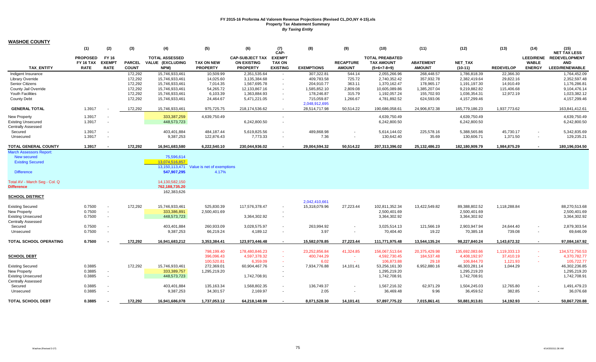|                                                        | (1)              | (2)           | (3)           | (4)                   | (5)                                       | (6)                    | (7)<br>CAP-              | (8)                            | (9)              | (10)                        | (11)                  | (12)                          | (13)                 | (14)             | (15)<br><b>NET TAX LESS</b> |
|--------------------------------------------------------|------------------|---------------|---------------|-----------------------|-------------------------------------------|------------------------|--------------------------|--------------------------------|------------------|-----------------------------|-----------------------|-------------------------------|----------------------|------------------|-----------------------------|
|                                                        | <b>PROPOSED</b>  | FY 16         |               | <b>TOTAL ASSESSED</b> |                                           | <b>CAP-SUBJECT TAX</b> | <b>EXEMPT</b>            |                                |                  | <b>TOTAL PREABATED</b>      |                       |                               |                      | <b>LEED/RENE</b> | <b>REDEVELOPMENT</b>        |
|                                                        | <b>FY 16 TAX</b> | <b>EXEMPT</b> | <b>PARCEL</b> | VALUE (EXCLUDING      | <b>TAX ON NEW</b>                         | <b>ON EXISTING</b>     | <b>TAX ON</b>            |                                | <b>RECAPTURE</b> | <b>TAX AMOUNT</b>           | <b>ABATEMENT</b>      | <b>NET TAX</b>                |                      | <b>WABLE</b>     | <b>AND</b>                  |
| <b>TAX ENTITY</b>                                      | <b>RATE</b>      | <b>RATE</b>   | <b>COUNT</b>  | NPM)                  | <b>PROPERTY</b>                           | <b>PROPERTY</b>        | <b>EXISTING</b>          | <b>EXEMPTIONS</b>              | <b>AMOUNT</b>    | $(5+6+7-8+9)$               | <b>AMOUNT</b>         | $(10-11)$                     | <b>REDEVELOP</b>     | <b>ENERGY</b>    | <b>LEED/RENEWABLE</b>       |
| Indigent Insurance                                     |                  |               | 172,292       | 15,746,933,461        | 10,509.99                                 | 2,351,535.64           | $\sim$                   | 307,322.81                     | 544.14           | 2,055,266.96                | 268,448.57            | 1,786,818.39                  | 22,366.30            |                  | 1,764,452.09                |
| <b>Library Override</b>                                |                  |               | 172,292       | 15,746,933,461        | 14,025.60                                 | 3,135,384.68           | $\sim$                   | 409,783.58                     | 725.72           | 2,740,352.42                | 357,932.78            | 2,382,419.64                  | 29,822.16            |                  | 2,352,597.48                |
| Senior Citizens                                        |                  |               | 172,292       | 15,746,933,461        | 7,014.35                                  | 1,567,695.78           | $\sim$                   | 204,910.77                     | 363.11           | 1,370,162.47                | 178,965.17            | 1,191,197.30                  | 14,910.49            |                  | 1,176,286.81                |
| County Jail Override                                   |                  |               | 172,292       | 15,746,933,461        | 54,265.72                                 | 12,133,867.16          | $\sim$                   | 1,585,852.10                   | 2,809.08         | 10,605,089.86               | 1,385,207.04          | 9,219,882.82                  | 115,406.68           |                  | 9,104,476.14                |
| <b>Youth Facilities</b>                                |                  |               | 172,292       | 15,746,933,461        | 6,103.39                                  | 1,363,884.93           | $\blacksquare$           | 178,246.87                     | 315.79           | 1,192,057.24                | 155,702.93            | 1,036,354.31                  | 12,972.19            |                  | 1,023,382.12                |
| <b>County Debt</b>                                     |                  |               | 172,292       | 15,746,933,461        | 24,464.67                                 | 5,471,221.05           | $\blacksquare$           | 715,059.87                     | 1,266.67         | 4,781,892.52                | 624,593.06            | 4,157,299.46                  |                      |                  | 4,157,299.46                |
| <b>GENERAL TOTAL</b>                                   | 1.3917           |               | 172,292       | 15,746,933,461        | 975,725.75                                | 218,174,536.62         | $\sim$                   | 2,048,912,695<br>28,514,717.98 | 50,514.22        | 190,686,058.61              | 24,906,872.38         | 165,779,186.23                | 1,937,773.62         |                  | 163,841,412.61              |
| <b>New Property</b>                                    | 1.3917           |               |               | 333,387,259           | 4,639,750.49                              |                        | $\sim$                   |                                |                  | 4,639,750.49                |                       | 4,639,750.49                  |                      |                  | 4,639,750.49                |
| <b>Existing Unsecured</b>                              | 1.3917           |               |               | 448,573,723           |                                           | 6,242,800.50           | $\overline{\phantom{a}}$ |                                |                  | 6,242,800.50                |                       | 6,242,800.50                  |                      |                  | 6,242,800.50                |
| <b>Centrally Assessed</b>                              |                  |               |               |                       |                                           |                        |                          |                                |                  |                             |                       |                               |                      |                  |                             |
| Secured                                                | 1.3917           |               |               | 403,401,884           | 484,187.44                                | 5,619,825.56           | $\blacksquare$           | 489.868.98                     |                  | 5,614,144.02                | 225,578.16            | 5,388,565.86                  | 45,730.17            | $\sim$           | 5,342,835.69                |
| Unsecured                                              | 1.3917           | $\sim$        |               | 9,387,253             | 122,876.43                                | 7,773.33               | $\blacksquare$           | 7.36                           | $\sim$           | 130,642.40                  | 35.69                 | 130,606.71                    | 1,371.50             | $\blacksquare$   | 129,235.21                  |
|                                                        | 1.3917           |               |               |                       |                                           |                        | $\overline{\phantom{a}}$ | 29,004,594.32                  | 50.514.22        |                             |                       |                               |                      | $\blacksquare$   |                             |
| TOTAL GENERAL COUNTY<br><b>March Assessors Report:</b> |                  |               | 172,292       | 16,941,683,580        | 6,222,540.10                              | 230,044,936.02         |                          |                                |                  | 207,313,396.02              | 25,132,486.23         | 182,180,909.79                | 1,984,875.29         |                  | 180,196,034.50              |
| <b>New secured</b>                                     |                  |               |               | 75,596,614            |                                           |                        |                          |                                |                  |                             |                       |                               |                      |                  |                             |
| <b>Existing Secured</b>                                |                  |               |               | 13.074.516.857        |                                           |                        |                          |                                |                  |                             |                       |                               |                      |                  |                             |
|                                                        |                  |               |               |                       | 13,150,113,471 Value is net of exemptions |                        |                          |                                |                  |                             |                       |                               |                      |                  |                             |
| <b>Difference</b>                                      |                  |               |               | 547,907,295           | 4.17%                                     |                        |                          |                                |                  |                             |                       |                               |                      |                  |                             |
| Total AV - March Seg - Col. Q                          |                  |               |               | 14,130,582,150        |                                           |                        |                          |                                |                  |                             |                       |                               |                      |                  |                             |
| <b>Difference</b>                                      |                  |               |               | 762,188,735.20        |                                           |                        |                          |                                |                  |                             |                       |                               |                      |                  |                             |
|                                                        |                  |               |               | 162,383,626           |                                           |                        |                          |                                |                  |                             |                       |                               |                      |                  |                             |
| <b>SCHOOL DISTRICT</b>                                 |                  |               |               |                       |                                           |                        |                          |                                |                  |                             |                       |                               |                      |                  |                             |
|                                                        |                  |               |               |                       |                                           |                        |                          | 2,042,410,661                  |                  |                             |                       |                               |                      |                  |                             |
| <b>Existing Secured</b>                                | 0.7500           |               | 172,292       | 15,746,933,461        | 525,830.39                                | 117,576,378.47         | $\overline{\phantom{a}}$ | 15,318,079.96                  | 27,223.44        | 102,811,352.34              | 13,422,549.82         | 89,388,802.52                 | 1,118,288.84         |                  | 88,270,513.68               |
| <b>New Property</b>                                    | 0.7500           | $\sim$        |               | 333,386,891           | 2,500,401.69                              |                        |                          |                                |                  | 2,500,401.69                |                       | 2,500,401.69                  |                      |                  | 2,500,401.69                |
| <b>Existing Unsecured</b>                              | 0.7500           | $\sim$        |               | 448,573,723           |                                           | 3,364,302.92           | $\overline{\phantom{a}}$ |                                |                  | 3,364,302.92                |                       | 3,364,302.92                  |                      |                  | 3,364,302.92                |
| <b>Centrally Assessed</b>                              |                  |               |               |                       |                                           |                        |                          |                                |                  |                             |                       |                               |                      |                  |                             |
| Secured                                                | 0.7500           |               |               | 403,401,884           | 260,933.09                                | 3,028,575.97           | $\overline{\phantom{a}}$ | 263,994.92                     |                  | 3,025,514.13                | 121,566.19            | 2,903,947.94                  | 24,644.40            | $\sim$           | 2,879,303.54                |
| Unsecured                                              | 0.7500           | $\sim$        |               | 9,387,253             | 66,219.24                                 | 4,189.12               | $\overline{\phantom{a}}$ | 3.97                           |                  | 70,404.40                   | 19.22                 | 70,385.18                     | 739.08               | $\sim$           | 69,646.09                   |
| TOTAL SCHOOL OPERATING                                 | 0.7500           |               | 172.292       | 16,941,683,212        | 3,353,384.41                              | 123,973,446.48         | $\overline{\phantom{a}}$ | 15,582,078.85                  | 27,223.44        | 111,771,975.48              | 13,544,135.24         | 98,227,840.24                 | 1,143,672.32         | $\sim$           | 97,084,167.92               |
|                                                        |                  |               |               |                       |                                           |                        |                          |                                |                  |                             |                       |                               |                      |                  |                             |
|                                                        |                  |               |               |                       | 798,199.40                                | 178,480,846.23         | $\sim$                   | 23,252,856.84                  | 41,324.85        | 156,067,513.64              | 20,375,429.98         | 135,692,083.66                | 1,119,333.13         | $\sim$           | 134,572,750.53              |
| <b>SCHOOL DEBT</b>                                     |                  |               |               |                       | 396,096.43                                | 4,597,378.32           | ×.                       | 400,744.29                     |                  | 4,592,730.45                | 184,537.48            | 4,408,192.97                  | 37,410.19            | $\sim$           | 4,370,782.77                |
|                                                        | 0.3885           |               | 172,292       | 15,746,933,461        | 100,520.81                                | 6,359.09               | $\sim$<br>$\blacksquare$ | 6.02                           | . п.             | 106,873.88<br>53,256,161.30 | 29.18<br>6,952,880.16 | 106,844.70                    | 1,121.93<br>1,044.29 | $\sim$           | 105,722.77<br>46,302,236.85 |
| <b>Existing Secured</b><br><b>New Property</b>         | 0.3885           | $\sim$        |               | 333,389,757           | 272,369.01<br>1,295,219.20                | 60,904,467.76          |                          | 7,934,776.88                   | 14,101.41        | 1,295,219.20                |                       | 46,303,281.14<br>1,295,219.20 |                      |                  | 1,295,219.20                |
| <b>Existing Unsecured</b>                              | 0.3885           | $\sim$        |               | 448,573,723           |                                           | 1,742,708.91           | $\sim$                   |                                |                  | 1,742,708.91                |                       | 1,742,708.91                  |                      |                  | 1,742,708.91                |
| <b>Centrally Assessed</b>                              |                  |               |               |                       |                                           |                        |                          |                                |                  |                             |                       |                               |                      |                  |                             |
| Secured                                                | 0.3885           |               |               | 403,401,884           | 135, 163.34                               | 1,568,802.35           | $\blacksquare$           | 136,749.37                     |                  | 1,567,216.32                | 62,971.29             | 1,504,245.03                  | 12,765.80            | $\sim$           | 1,491,479.23                |
| Unsecured                                              | 0.3885           |               |               | 9,387,253             | 34,301.57                                 | 2,169.97               | $\blacksquare$           | 2.05                           |                  | 36,469.48                   | 9.96                  | 36,459.52                     | 382.85               | $\sim$           | 36,076.68                   |
|                                                        |                  |               |               |                       |                                           |                        |                          |                                |                  |                             |                       |                               |                      |                  |                             |
| <b>TOTAL SCHOOL DEBT</b>                               | 0.3885           |               | 172,292       | 16,941,686,078        | 1,737,053.12                              | 64,218,148.99          |                          | 8,071,528.30                   | 14,101.41        | 57,897,775.22               | 7,015,861.41          | 50,881,913.81                 | 14,192.93            | $\blacksquare$   | 50,867,720.88               |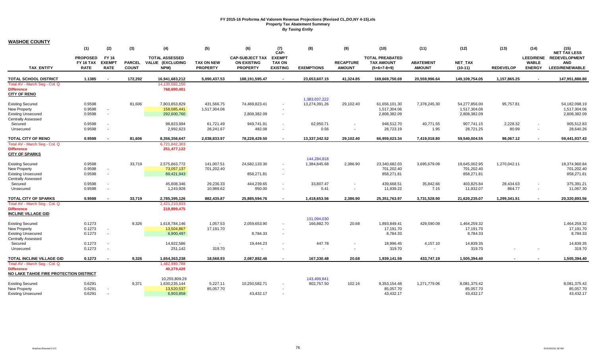|                                                                           | (1)                                         | (2)                                          | (3)                           | (4)                                                      | (5)                                  | (6)                                                             | (7)<br>CAP-                                       | (8)                         | (9)                               | (10)                                                         | (11)                              | (12)                          | (13)             | (14)                                              | (15)<br><b>NET TAX LESS</b>                                 |
|---------------------------------------------------------------------------|---------------------------------------------|----------------------------------------------|-------------------------------|----------------------------------------------------------|--------------------------------------|-----------------------------------------------------------------|---------------------------------------------------|-----------------------------|-----------------------------------|--------------------------------------------------------------|-----------------------------------|-------------------------------|------------------|---------------------------------------------------|-------------------------------------------------------------|
| <b>TAX ENTITY</b>                                                         | <b>PROPOSED</b><br>FY 16 TAX<br><b>RATE</b> | <b>FY 16</b><br><b>EXEMPT</b><br><b>RATE</b> | <b>PARCEL</b><br><b>COUNT</b> | <b>TOTAL ASSESSED</b><br><b>VALUE (EXCLUDING</b><br>NPM) | <b>TAX ON NEW</b><br><b>PROPERTY</b> | <b>CAP-SUBJECT TAX</b><br><b>ON EXISTING</b><br><b>PROPERTY</b> | <b>EXEMPT</b><br><b>TAX ON</b><br><b>EXISTING</b> | <b>EXEMPTIONS</b>           | <b>RECAPTURE</b><br><b>AMOUNT</b> | <b>TOTAL PREABATED</b><br><b>TAX AMOUNT</b><br>$(5+6+7-8+9)$ | <b>ABATEMENT</b><br><b>AMOUNT</b> | <b>NET TAX</b><br>$(10-11)$   | <b>REDEVELOP</b> | <b>LEED/RENE</b><br><b>WABLE</b><br><b>ENERGY</b> | <b>REDEVELOPMENT</b><br><b>AND</b><br><b>LEED/RENEWABLE</b> |
|                                                                           |                                             |                                              |                               |                                                          |                                      |                                                                 |                                                   |                             |                                   |                                                              |                                   |                               |                  |                                                   |                                                             |
| <b>TOTAL SCHOOL DISTRICT</b>                                              | 1.1385                                      |                                              | 172.292                       | 16,941,683,212                                           | 5,090,437.53                         | 188,191,595.47                                                  |                                                   | 23,653,607.15               | 41,324.85                         | 169,669,750.69                                               | 20,559,996.64                     | 149,109,754.05                | 1,157,865.25     |                                                   | 147,951,888.80                                              |
| Total AV - March Seg - Col. Q<br><b>Difference</b><br><b>CITY OF RENO</b> |                                             |                                              |                               | 14.130.582.150<br>768,690,401                            |                                      |                                                                 |                                                   |                             |                                   |                                                              |                                   |                               |                  |                                                   |                                                             |
|                                                                           |                                             |                                              |                               |                                                          |                                      |                                                                 |                                                   | 1,383,037,222               |                                   |                                                              |                                   |                               |                  |                                                   |                                                             |
| <b>Existing Secured</b><br><b>New Property</b>                            | 0.9598<br>0.9598                            | $\sim$                                       | 81,606                        | 7,803,853,829<br>158,085,441                             | 431,566.75<br>1,517,304.06           | 74,469,823.41                                                   |                                                   | 13,274,391.26               | 29,102.40                         | 61,656,101.30<br>1,517,304.06                                | 7,378,245.30                      | 54,277,856.00<br>1,517,304.06 | 95,757.81        |                                                   | 54,182,098.19<br>1,517,304.06                               |
| <b>Existing Unsecured</b>                                                 | 0.9598                                      | $\sim$                                       |                               | 292,600,760                                              |                                      | 2,808,382.09                                                    | $\sim$                                            |                             |                                   | 2,808,382.09                                                 |                                   | 2,808,382.09                  |                  |                                                   | 2,808,382.09                                                |
| <b>Centrally Assessed</b>                                                 |                                             |                                              |                               |                                                          |                                      |                                                                 |                                                   |                             |                                   |                                                              |                                   |                               |                  |                                                   |                                                             |
| Secured                                                                   | 0.9598                                      |                                              |                               | 98,823,994                                               | 61,721.49                            | 949,741.91                                                      | $\sim$                                            | 62,950.71                   |                                   | 948,512.70                                                   | 40,771.55                         | 907,741.15                    | 2,228.32         |                                                   | 905,512.83                                                  |
| Unsecured                                                                 | 0.9598                                      | $\overline{\phantom{a}}$                     |                               | 2,992,623                                                | 28,241.67                            | 482.08                                                          |                                                   | 0.56                        |                                   | 28,723.19                                                    | 1.95                              | 28,721.25                     | 80.99            |                                                   | 28,640.26                                                   |
| <b>TOTAL CITY OF RENO</b>                                                 | 0.9598                                      | $\overline{\phantom{a}}$                     | 81,606                        | 8,356,356,647                                            | 2,038,833.97                         | 78,228,429.50                                                   |                                                   | 13,337,342.52               | 29,102.40                         | 66,959,023.34                                                | 7,419,018.80                      | 59,540,004.55                 | 98,067.12        |                                                   | 59,441,937.43                                               |
| Total AV - March Seg - Col. Q                                             |                                             |                                              |                               | 6,721,842,303                                            |                                      |                                                                 |                                                   |                             |                                   |                                                              |                                   |                               |                  |                                                   |                                                             |
| <b>Difference</b>                                                         |                                             |                                              |                               | 251,477,122                                              |                                      |                                                                 |                                                   |                             |                                   |                                                              |                                   |                               |                  |                                                   |                                                             |
| <b>CITY OF SPARKS</b>                                                     |                                             |                                              |                               |                                                          |                                      |                                                                 |                                                   |                             |                                   |                                                              |                                   |                               |                  |                                                   |                                                             |
| <b>Existing Secured</b>                                                   | 0.9598                                      |                                              | 33,719                        | 2,575,863,772                                            | 141,007.51                           | 24,582,133.30                                                   |                                                   | 144,284,818<br>1,384,845.68 | 2,386.90                          | 23,340,682.03                                                | 3,695,679.08                      | 19,645,002.95                 | 1.270.042.11     |                                                   | 18,374,960.84                                               |
| <b>New Property</b>                                                       | 0.9598                                      | $\sim$                                       |                               | 73,057,137                                               | 701,202.40                           |                                                                 |                                                   |                             |                                   | 701,202.40                                                   |                                   | 701,202.40                    |                  |                                                   | 701,202.40                                                  |
| <b>Existing Unsecured</b>                                                 | 0.9598                                      | $\sim$                                       |                               | 89,421,943                                               |                                      | 858,271.81                                                      |                                                   |                             |                                   | 858,271.81                                                   |                                   | 858,271.81                    |                  |                                                   | 858,271.81                                                  |
| <b>Centrally Assessed</b>                                                 |                                             |                                              |                               |                                                          |                                      |                                                                 |                                                   |                             |                                   |                                                              |                                   |                               |                  |                                                   |                                                             |
| Secured                                                                   | 0.9598                                      | $\overline{\phantom{a}}$                     |                               | 45,808,346                                               | 29,236.33                            | 444,239.65                                                      |                                                   | 33.807.47                   |                                   | 439,668.51                                                   | 35,842.66                         | 403,825.84                    | 28,434.63        |                                                   | 375,391.21                                                  |
| Unsecured                                                                 | 0.9598                                      | $\sim$                                       |                               | 1,243,928                                                | 10,989.62                            | 950.00                                                          | $\sim$                                            | 0.41                        |                                   | 11,939.22                                                    | 7.15                              | 11,932.07                     | 864.77           |                                                   | 11,067.30                                                   |
| <b>TOTAL CITY OF SPARKS</b>                                               | 0.9598                                      |                                              | 33,719                        | 2,785,395,126                                            | 882,435.87                           | 25,885,594.76                                                   |                                                   | 1,418,653.56                | 2,386.90                          | 25,351,763.97                                                | 3,731,528.90                      | 21,620,235.07                 | 1,299,341.51     |                                                   | 20,320,893.56                                               |
| Total AV - March Seg - Col. Q                                             |                                             |                                              |                               | 2,421,210,833                                            |                                      |                                                                 |                                                   |                             |                                   |                                                              |                                   |                               |                  |                                                   |                                                             |
| <b>Difference</b>                                                         |                                             |                                              |                               | 219,899,475                                              |                                      |                                                                 |                                                   |                             |                                   |                                                              |                                   |                               |                  |                                                   |                                                             |
| <b>INCLINE VILLAGE GID</b>                                                |                                             |                                              |                               |                                                          |                                      |                                                                 |                                                   |                             |                                   |                                                              |                                   |                               |                  |                                                   |                                                             |
|                                                                           |                                             |                                              |                               |                                                          |                                      |                                                                 |                                                   | 131,094,030                 |                                   |                                                              |                                   |                               |                  |                                                   |                                                             |
| <b>Existing Secured</b>                                                   | 0.1273                                      |                                              | 9,326                         | 1,618,784,146                                            | 1,057.53                             | 2,059,653.90                                                    |                                                   | 166,882.70                  | 20.68                             | 1,893,849.41                                                 | 429,590.09                        | 1,464,259.32                  |                  |                                                   | 1,464,259.32                                                |
| <b>New Property</b><br><b>Existing Unsecured</b>                          | 0.1273<br>0.1273                            | $\sim$<br>$\overline{\phantom{a}}$           |                               | 13,504,867<br>6,900,497                                  | 17,191.70                            | 8,784.33                                                        |                                                   |                             |                                   | 17,191.70<br>8,784.33                                        |                                   | 17,191.70<br>8,784.33         |                  |                                                   | 17,191.70<br>8,784.33                                       |
| <b>Centrally Assessed</b>                                                 |                                             |                                              |                               |                                                          |                                      |                                                                 |                                                   |                             |                                   |                                                              |                                   |                               |                  |                                                   |                                                             |
| Secured                                                                   | 0.1273                                      |                                              |                               | 14,922,586                                               | $\sim$                               | 19,444.23                                                       |                                                   | 447.78                      |                                   | 18,996.45                                                    | 4,157.10                          | 14,839.35                     |                  |                                                   | 14,839.35                                                   |
| Unsecured                                                                 | 0.1273                                      | $\overline{\phantom{a}}$                     |                               | 251,142                                                  | 319.70                               |                                                                 |                                                   |                             |                                   | 319.70                                                       | $\sim$                            | 319.70                        |                  |                                                   | 319.70                                                      |
|                                                                           |                                             |                                              |                               |                                                          |                                      |                                                                 |                                                   |                             |                                   |                                                              |                                   |                               |                  |                                                   |                                                             |
| TOTAL INCLINE VILLAGE GID                                                 | 0.1273                                      |                                              | 9,326                         | 1,654,363,238                                            | 18,568.93                            | 2,087,882.46                                                    | $\sim$                                            | 167,330.48                  | 20.68                             | 1,939,141.59                                                 | 433,747.19                        | 1,505,394.40                  |                  |                                                   | 1,505,394.40                                                |
| Total AV - March Seg - Col. Q<br><b>Difference</b>                        |                                             |                                              |                               | 1,482,989,788<br>40,279,420                              |                                      |                                                                 |                                                   |                             |                                   |                                                              |                                   |                               |                  |                                                   |                                                             |
| NO LAKE TAHOE FIRE PROTECTION DISTRICT                                    |                                             |                                              |                               |                                                          |                                      |                                                                 |                                                   |                             |                                   |                                                              |                                   |                               |                  |                                                   |                                                             |
|                                                                           |                                             |                                              |                               | 10,255,809.29                                            |                                      |                                                                 |                                                   | 143,499,841                 |                                   |                                                              |                                   |                               |                  |                                                   |                                                             |
| <b>Existing Secured</b>                                                   | 0.6291                                      |                                              | 9,371                         | 1,630,235,144                                            | 5,227.11                             | 10,250,582.71                                                   |                                                   | 902,757.50                  | 102.16                            | 9,353,154.48                                                 | 1,271,779.06                      | 8,081,375.42                  |                  |                                                   | 8,081,375.42                                                |
| <b>New Property</b>                                                       | 0.6291                                      | $\sim$                                       |                               | 13,520,537                                               | 85,057.70                            |                                                                 |                                                   |                             |                                   | 85,057.70                                                    |                                   | 85,057.70                     |                  |                                                   | 85,057.70                                                   |
| <b>Existing Unsecured</b>                                                 | 0.6291                                      | $\sim$                                       |                               | 6,903,858                                                |                                      | 43,432.17                                                       |                                                   |                             |                                   | 43,432.17                                                    |                                   | 43,432.17                     |                  |                                                   | 43,432.17                                                   |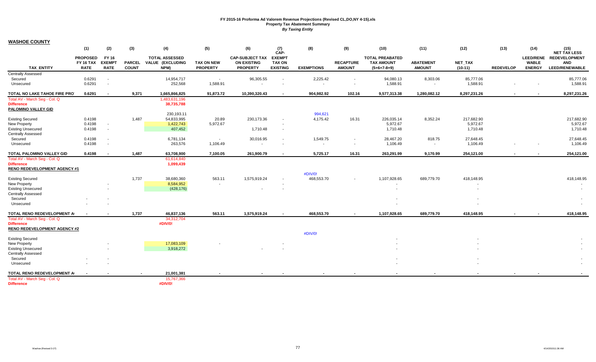| <b>TOTAL ASSESSED</b><br><b>TOTAL PREABATED</b><br><b>REDEVELOPMENT</b><br><b>PROPOSED</b><br><b>CAP-SUBJECT TAX</b><br><b>EXEMPT</b><br><b>LEED/RENE</b><br>FY 16<br>FY 16 TAX<br><b>EXEMP1</b><br>VALUE (EXCLUDING<br><b>ON EXISTING</b><br><b>RECAPTURE</b><br><b>TAX AMOUNT</b><br><b>ABATEMENT</b><br><b>NET TAX</b><br><b>WABLE</b><br><b>AND</b><br><b>PARCEL</b><br><b>TAX ON NEW</b><br><b>TAX ON</b><br><b>TAX ENTITY</b><br><b>COUNT</b><br>NPM)<br><b>PROPERTY</b><br><b>PROPERTY</b><br><b>AMOUNT</b><br><b>ENERGY</b><br>LEED/RENEWABLE<br><b>RATE</b><br><b>RATE</b><br><b>EXISTING</b><br><b>EXEMPTIONS</b><br><b>AMOUNT</b><br>$(5+6+7-8+9)$<br>$(10-11)$<br><b>REDEVELOP</b><br><b>Centrally Assessed</b><br>Secured<br>85,777.06<br>85,777.06<br>0.6291<br>14,954,717<br>96,305.55<br>2,225.42<br>94,080.13<br>8,303.06<br>$\sim$<br>$\overline{\phantom{a}}$<br>$\blacksquare$<br>0.6291<br>252,568<br>1,588.91<br>1,588.91<br>1,588.91<br>1,588.91<br>Unsecured<br>٠<br>$\sim$<br>TOTAL NO LAKE TAHOE FIRE PRO<br>9,371<br>1,665,866,825<br>102.16<br>0.6291<br>91,873.72<br>10,390,320.43<br>904,982.92<br>9,577,313.38<br>1,280,082.12<br>8,297,231.26<br>8,297,231.26<br>$\blacksquare$<br>Total AV - March Seg - Col. Q<br>1,483,631,196<br>38,735,788<br><b>Difference</b><br>PALOMINO VALLEY GID<br>230,193.11<br>994,621<br><b>Existing Secured</b><br>0.4198<br>1,487<br>54,833,995<br>20.89<br>230,173.36<br>4,175.42<br>16.31<br>226,035.14<br>8,352.24<br>217,682.90<br>217,682.90<br><b>New Property</b><br>5,972.67<br>5,972.67<br>5,972.67<br>5,972.67<br>0.4198<br>1,422,743<br>$\overline{\phantom{a}}$<br><b>Existing Unsecured</b><br>0.4198<br>407,452<br>1,710.48<br>1,710.48<br>1,710.48<br>1,710.48<br>$\blacksquare$<br><b>Centrally Assessed</b><br>0.4198<br>1,549.75<br>27,648.45<br>Secured<br>6,781,134<br>30,016.95<br>28,467.20<br>818.75<br>27,648.45<br>$\sim$<br>$\blacksquare$<br>$\overline{\phantom{a}}$<br>0.4198<br>263,576<br>1,106.49<br>1,106.49<br>1,106.49<br>1,106.49<br>Unsecured<br>$\overline{\phantom{a}}$<br>$\sim$<br>$\sim$<br>$\overline{\phantom{a}}$<br>$\overline{\phantom{a}}$<br>0.4198<br>7,100.05<br>261,900.79<br>5,725.17<br>254,121.00<br>254,121.00<br>TOTAL PALOMINO VALLEY GID<br>1,487<br>63,708,900<br>16.31<br>263,291.99<br>9,170.99<br>$\sim$<br>$\overline{\phantom{a}}$<br>Total AV - March Seg - Col. Q<br>61,614,840<br>1,099,439<br><b>Difference</b><br><b>RENO REDEVELOPMENT AGENCY #1</b><br>#DIV/0!<br><b>Existing Secured</b><br>1,737<br>38,680,360<br>563.11<br>1,575,919.24<br>468,553.70<br>1,107,928.65<br>689,779.70<br>418,148.95<br>418,148.95<br>$\overline{\phantom{a}}$<br>8,584,952<br><b>New Property</b><br>$\sim$<br>(428, 176)<br><b>Existing Unsecured</b><br>$\overline{\phantom{a}}$<br>$\overline{\phantom{a}}$<br>$\sim$<br><b>Centrally Assessed</b><br>Secured<br>Unsecured<br>1,737<br>468,553.70<br>418,148.95<br>TOTAL RENO REDEVELOPMENT A<br>46,837,136<br>563.11<br>1,575,919.24<br>1,107,928.65<br>689,779.70<br>418,148.95<br>$\blacksquare$<br>$\blacksquare$<br>Total AV - March Seg - Col. Q<br>34,312,704<br><b>Difference</b><br>#DIV/0!<br><b>RENO REDEVELOPMENT AGENCY #2</b><br>#DIV/0!<br><b>Existing Secured</b><br>17,083,109<br><b>New Property</b><br>3,918,272<br><b>Existing Unsecured</b><br><b>Centrally Assessed</b><br>Secured<br>Unsecured<br>TOTAL RENO REDEVELOPMENT A<br>21,001,381<br>Total AV - March Seg - Col. Q<br>15,767,366<br>#DIV/0!<br><b>Difference</b> | (1) | (2) | (3) | (4) | (5) | (6) | (7)<br>CAP- | (8) | (9) | (10) | (11) | (12) | (13) | (14) | (15)<br><b>NET TAX LESS</b> |
|-------------------------------------------------------------------------------------------------------------------------------------------------------------------------------------------------------------------------------------------------------------------------------------------------------------------------------------------------------------------------------------------------------------------------------------------------------------------------------------------------------------------------------------------------------------------------------------------------------------------------------------------------------------------------------------------------------------------------------------------------------------------------------------------------------------------------------------------------------------------------------------------------------------------------------------------------------------------------------------------------------------------------------------------------------------------------------------------------------------------------------------------------------------------------------------------------------------------------------------------------------------------------------------------------------------------------------------------------------------------------------------------------------------------------------------------------------------------------------------------------------------------------------------------------------------------------------------------------------------------------------------------------------------------------------------------------------------------------------------------------------------------------------------------------------------------------------------------------------------------------------------------------------------------------------------------------------------------------------------------------------------------------------------------------------------------------------------------------------------------------------------------------------------------------------------------------------------------------------------------------------------------------------------------------------------------------------------------------------------------------------------------------------------------------------------------------------------------------------------------------------------------------------------------------------------------------------------------------------------------------------------------------------------------------------------------------------------------------------------------------------------------------------------------------------------------------------------------------------------------------------------------------------------------------------------------------------------------------------------------------------------------------------------------------------------------------------------------------------------------------------------------------------------------------------------------------------------------------------------------------------------------------------------------------------------------------------------------------------------------------------------------------------------------------------------------------------------------------------------------------------------------------------|-----|-----|-----|-----|-----|-----|-------------|-----|-----|------|------|------|------|------|-----------------------------|
|                                                                                                                                                                                                                                                                                                                                                                                                                                                                                                                                                                                                                                                                                                                                                                                                                                                                                                                                                                                                                                                                                                                                                                                                                                                                                                                                                                                                                                                                                                                                                                                                                                                                                                                                                                                                                                                                                                                                                                                                                                                                                                                                                                                                                                                                                                                                                                                                                                                                                                                                                                                                                                                                                                                                                                                                                                                                                                                                                                                                                                                                                                                                                                                                                                                                                                                                                                                                                                                                                                                               |     |     |     |     |     |     |             |     |     |      |      |      |      |      |                             |
|                                                                                                                                                                                                                                                                                                                                                                                                                                                                                                                                                                                                                                                                                                                                                                                                                                                                                                                                                                                                                                                                                                                                                                                                                                                                                                                                                                                                                                                                                                                                                                                                                                                                                                                                                                                                                                                                                                                                                                                                                                                                                                                                                                                                                                                                                                                                                                                                                                                                                                                                                                                                                                                                                                                                                                                                                                                                                                                                                                                                                                                                                                                                                                                                                                                                                                                                                                                                                                                                                                                               |     |     |     |     |     |     |             |     |     |      |      |      |      |      |                             |
|                                                                                                                                                                                                                                                                                                                                                                                                                                                                                                                                                                                                                                                                                                                                                                                                                                                                                                                                                                                                                                                                                                                                                                                                                                                                                                                                                                                                                                                                                                                                                                                                                                                                                                                                                                                                                                                                                                                                                                                                                                                                                                                                                                                                                                                                                                                                                                                                                                                                                                                                                                                                                                                                                                                                                                                                                                                                                                                                                                                                                                                                                                                                                                                                                                                                                                                                                                                                                                                                                                                               |     |     |     |     |     |     |             |     |     |      |      |      |      |      |                             |
|                                                                                                                                                                                                                                                                                                                                                                                                                                                                                                                                                                                                                                                                                                                                                                                                                                                                                                                                                                                                                                                                                                                                                                                                                                                                                                                                                                                                                                                                                                                                                                                                                                                                                                                                                                                                                                                                                                                                                                                                                                                                                                                                                                                                                                                                                                                                                                                                                                                                                                                                                                                                                                                                                                                                                                                                                                                                                                                                                                                                                                                                                                                                                                                                                                                                                                                                                                                                                                                                                                                               |     |     |     |     |     |     |             |     |     |      |      |      |      |      |                             |
|                                                                                                                                                                                                                                                                                                                                                                                                                                                                                                                                                                                                                                                                                                                                                                                                                                                                                                                                                                                                                                                                                                                                                                                                                                                                                                                                                                                                                                                                                                                                                                                                                                                                                                                                                                                                                                                                                                                                                                                                                                                                                                                                                                                                                                                                                                                                                                                                                                                                                                                                                                                                                                                                                                                                                                                                                                                                                                                                                                                                                                                                                                                                                                                                                                                                                                                                                                                                                                                                                                                               |     |     |     |     |     |     |             |     |     |      |      |      |      |      |                             |
|                                                                                                                                                                                                                                                                                                                                                                                                                                                                                                                                                                                                                                                                                                                                                                                                                                                                                                                                                                                                                                                                                                                                                                                                                                                                                                                                                                                                                                                                                                                                                                                                                                                                                                                                                                                                                                                                                                                                                                                                                                                                                                                                                                                                                                                                                                                                                                                                                                                                                                                                                                                                                                                                                                                                                                                                                                                                                                                                                                                                                                                                                                                                                                                                                                                                                                                                                                                                                                                                                                                               |     |     |     |     |     |     |             |     |     |      |      |      |      |      |                             |
|                                                                                                                                                                                                                                                                                                                                                                                                                                                                                                                                                                                                                                                                                                                                                                                                                                                                                                                                                                                                                                                                                                                                                                                                                                                                                                                                                                                                                                                                                                                                                                                                                                                                                                                                                                                                                                                                                                                                                                                                                                                                                                                                                                                                                                                                                                                                                                                                                                                                                                                                                                                                                                                                                                                                                                                                                                                                                                                                                                                                                                                                                                                                                                                                                                                                                                                                                                                                                                                                                                                               |     |     |     |     |     |     |             |     |     |      |      |      |      |      |                             |
|                                                                                                                                                                                                                                                                                                                                                                                                                                                                                                                                                                                                                                                                                                                                                                                                                                                                                                                                                                                                                                                                                                                                                                                                                                                                                                                                                                                                                                                                                                                                                                                                                                                                                                                                                                                                                                                                                                                                                                                                                                                                                                                                                                                                                                                                                                                                                                                                                                                                                                                                                                                                                                                                                                                                                                                                                                                                                                                                                                                                                                                                                                                                                                                                                                                                                                                                                                                                                                                                                                                               |     |     |     |     |     |     |             |     |     |      |      |      |      |      |                             |
|                                                                                                                                                                                                                                                                                                                                                                                                                                                                                                                                                                                                                                                                                                                                                                                                                                                                                                                                                                                                                                                                                                                                                                                                                                                                                                                                                                                                                                                                                                                                                                                                                                                                                                                                                                                                                                                                                                                                                                                                                                                                                                                                                                                                                                                                                                                                                                                                                                                                                                                                                                                                                                                                                                                                                                                                                                                                                                                                                                                                                                                                                                                                                                                                                                                                                                                                                                                                                                                                                                                               |     |     |     |     |     |     |             |     |     |      |      |      |      |      |                             |
|                                                                                                                                                                                                                                                                                                                                                                                                                                                                                                                                                                                                                                                                                                                                                                                                                                                                                                                                                                                                                                                                                                                                                                                                                                                                                                                                                                                                                                                                                                                                                                                                                                                                                                                                                                                                                                                                                                                                                                                                                                                                                                                                                                                                                                                                                                                                                                                                                                                                                                                                                                                                                                                                                                                                                                                                                                                                                                                                                                                                                                                                                                                                                                                                                                                                                                                                                                                                                                                                                                                               |     |     |     |     |     |     |             |     |     |      |      |      |      |      |                             |
|                                                                                                                                                                                                                                                                                                                                                                                                                                                                                                                                                                                                                                                                                                                                                                                                                                                                                                                                                                                                                                                                                                                                                                                                                                                                                                                                                                                                                                                                                                                                                                                                                                                                                                                                                                                                                                                                                                                                                                                                                                                                                                                                                                                                                                                                                                                                                                                                                                                                                                                                                                                                                                                                                                                                                                                                                                                                                                                                                                                                                                                                                                                                                                                                                                                                                                                                                                                                                                                                                                                               |     |     |     |     |     |     |             |     |     |      |      |      |      |      |                             |
|                                                                                                                                                                                                                                                                                                                                                                                                                                                                                                                                                                                                                                                                                                                                                                                                                                                                                                                                                                                                                                                                                                                                                                                                                                                                                                                                                                                                                                                                                                                                                                                                                                                                                                                                                                                                                                                                                                                                                                                                                                                                                                                                                                                                                                                                                                                                                                                                                                                                                                                                                                                                                                                                                                                                                                                                                                                                                                                                                                                                                                                                                                                                                                                                                                                                                                                                                                                                                                                                                                                               |     |     |     |     |     |     |             |     |     |      |      |      |      |      |                             |
|                                                                                                                                                                                                                                                                                                                                                                                                                                                                                                                                                                                                                                                                                                                                                                                                                                                                                                                                                                                                                                                                                                                                                                                                                                                                                                                                                                                                                                                                                                                                                                                                                                                                                                                                                                                                                                                                                                                                                                                                                                                                                                                                                                                                                                                                                                                                                                                                                                                                                                                                                                                                                                                                                                                                                                                                                                                                                                                                                                                                                                                                                                                                                                                                                                                                                                                                                                                                                                                                                                                               |     |     |     |     |     |     |             |     |     |      |      |      |      |      |                             |
|                                                                                                                                                                                                                                                                                                                                                                                                                                                                                                                                                                                                                                                                                                                                                                                                                                                                                                                                                                                                                                                                                                                                                                                                                                                                                                                                                                                                                                                                                                                                                                                                                                                                                                                                                                                                                                                                                                                                                                                                                                                                                                                                                                                                                                                                                                                                                                                                                                                                                                                                                                                                                                                                                                                                                                                                                                                                                                                                                                                                                                                                                                                                                                                                                                                                                                                                                                                                                                                                                                                               |     |     |     |     |     |     |             |     |     |      |      |      |      |      |                             |
|                                                                                                                                                                                                                                                                                                                                                                                                                                                                                                                                                                                                                                                                                                                                                                                                                                                                                                                                                                                                                                                                                                                                                                                                                                                                                                                                                                                                                                                                                                                                                                                                                                                                                                                                                                                                                                                                                                                                                                                                                                                                                                                                                                                                                                                                                                                                                                                                                                                                                                                                                                                                                                                                                                                                                                                                                                                                                                                                                                                                                                                                                                                                                                                                                                                                                                                                                                                                                                                                                                                               |     |     |     |     |     |     |             |     |     |      |      |      |      |      |                             |
|                                                                                                                                                                                                                                                                                                                                                                                                                                                                                                                                                                                                                                                                                                                                                                                                                                                                                                                                                                                                                                                                                                                                                                                                                                                                                                                                                                                                                                                                                                                                                                                                                                                                                                                                                                                                                                                                                                                                                                                                                                                                                                                                                                                                                                                                                                                                                                                                                                                                                                                                                                                                                                                                                                                                                                                                                                                                                                                                                                                                                                                                                                                                                                                                                                                                                                                                                                                                                                                                                                                               |     |     |     |     |     |     |             |     |     |      |      |      |      |      |                             |
|                                                                                                                                                                                                                                                                                                                                                                                                                                                                                                                                                                                                                                                                                                                                                                                                                                                                                                                                                                                                                                                                                                                                                                                                                                                                                                                                                                                                                                                                                                                                                                                                                                                                                                                                                                                                                                                                                                                                                                                                                                                                                                                                                                                                                                                                                                                                                                                                                                                                                                                                                                                                                                                                                                                                                                                                                                                                                                                                                                                                                                                                                                                                                                                                                                                                                                                                                                                                                                                                                                                               |     |     |     |     |     |     |             |     |     |      |      |      |      |      |                             |
|                                                                                                                                                                                                                                                                                                                                                                                                                                                                                                                                                                                                                                                                                                                                                                                                                                                                                                                                                                                                                                                                                                                                                                                                                                                                                                                                                                                                                                                                                                                                                                                                                                                                                                                                                                                                                                                                                                                                                                                                                                                                                                                                                                                                                                                                                                                                                                                                                                                                                                                                                                                                                                                                                                                                                                                                                                                                                                                                                                                                                                                                                                                                                                                                                                                                                                                                                                                                                                                                                                                               |     |     |     |     |     |     |             |     |     |      |      |      |      |      |                             |
|                                                                                                                                                                                                                                                                                                                                                                                                                                                                                                                                                                                                                                                                                                                                                                                                                                                                                                                                                                                                                                                                                                                                                                                                                                                                                                                                                                                                                                                                                                                                                                                                                                                                                                                                                                                                                                                                                                                                                                                                                                                                                                                                                                                                                                                                                                                                                                                                                                                                                                                                                                                                                                                                                                                                                                                                                                                                                                                                                                                                                                                                                                                                                                                                                                                                                                                                                                                                                                                                                                                               |     |     |     |     |     |     |             |     |     |      |      |      |      |      |                             |
|                                                                                                                                                                                                                                                                                                                                                                                                                                                                                                                                                                                                                                                                                                                                                                                                                                                                                                                                                                                                                                                                                                                                                                                                                                                                                                                                                                                                                                                                                                                                                                                                                                                                                                                                                                                                                                                                                                                                                                                                                                                                                                                                                                                                                                                                                                                                                                                                                                                                                                                                                                                                                                                                                                                                                                                                                                                                                                                                                                                                                                                                                                                                                                                                                                                                                                                                                                                                                                                                                                                               |     |     |     |     |     |     |             |     |     |      |      |      |      |      |                             |
|                                                                                                                                                                                                                                                                                                                                                                                                                                                                                                                                                                                                                                                                                                                                                                                                                                                                                                                                                                                                                                                                                                                                                                                                                                                                                                                                                                                                                                                                                                                                                                                                                                                                                                                                                                                                                                                                                                                                                                                                                                                                                                                                                                                                                                                                                                                                                                                                                                                                                                                                                                                                                                                                                                                                                                                                                                                                                                                                                                                                                                                                                                                                                                                                                                                                                                                                                                                                                                                                                                                               |     |     |     |     |     |     |             |     |     |      |      |      |      |      |                             |
|                                                                                                                                                                                                                                                                                                                                                                                                                                                                                                                                                                                                                                                                                                                                                                                                                                                                                                                                                                                                                                                                                                                                                                                                                                                                                                                                                                                                                                                                                                                                                                                                                                                                                                                                                                                                                                                                                                                                                                                                                                                                                                                                                                                                                                                                                                                                                                                                                                                                                                                                                                                                                                                                                                                                                                                                                                                                                                                                                                                                                                                                                                                                                                                                                                                                                                                                                                                                                                                                                                                               |     |     |     |     |     |     |             |     |     |      |      |      |      |      |                             |
|                                                                                                                                                                                                                                                                                                                                                                                                                                                                                                                                                                                                                                                                                                                                                                                                                                                                                                                                                                                                                                                                                                                                                                                                                                                                                                                                                                                                                                                                                                                                                                                                                                                                                                                                                                                                                                                                                                                                                                                                                                                                                                                                                                                                                                                                                                                                                                                                                                                                                                                                                                                                                                                                                                                                                                                                                                                                                                                                                                                                                                                                                                                                                                                                                                                                                                                                                                                                                                                                                                                               |     |     |     |     |     |     |             |     |     |      |      |      |      |      |                             |
|                                                                                                                                                                                                                                                                                                                                                                                                                                                                                                                                                                                                                                                                                                                                                                                                                                                                                                                                                                                                                                                                                                                                                                                                                                                                                                                                                                                                                                                                                                                                                                                                                                                                                                                                                                                                                                                                                                                                                                                                                                                                                                                                                                                                                                                                                                                                                                                                                                                                                                                                                                                                                                                                                                                                                                                                                                                                                                                                                                                                                                                                                                                                                                                                                                                                                                                                                                                                                                                                                                                               |     |     |     |     |     |     |             |     |     |      |      |      |      |      |                             |
|                                                                                                                                                                                                                                                                                                                                                                                                                                                                                                                                                                                                                                                                                                                                                                                                                                                                                                                                                                                                                                                                                                                                                                                                                                                                                                                                                                                                                                                                                                                                                                                                                                                                                                                                                                                                                                                                                                                                                                                                                                                                                                                                                                                                                                                                                                                                                                                                                                                                                                                                                                                                                                                                                                                                                                                                                                                                                                                                                                                                                                                                                                                                                                                                                                                                                                                                                                                                                                                                                                                               |     |     |     |     |     |     |             |     |     |      |      |      |      |      |                             |
|                                                                                                                                                                                                                                                                                                                                                                                                                                                                                                                                                                                                                                                                                                                                                                                                                                                                                                                                                                                                                                                                                                                                                                                                                                                                                                                                                                                                                                                                                                                                                                                                                                                                                                                                                                                                                                                                                                                                                                                                                                                                                                                                                                                                                                                                                                                                                                                                                                                                                                                                                                                                                                                                                                                                                                                                                                                                                                                                                                                                                                                                                                                                                                                                                                                                                                                                                                                                                                                                                                                               |     |     |     |     |     |     |             |     |     |      |      |      |      |      |                             |
|                                                                                                                                                                                                                                                                                                                                                                                                                                                                                                                                                                                                                                                                                                                                                                                                                                                                                                                                                                                                                                                                                                                                                                                                                                                                                                                                                                                                                                                                                                                                                                                                                                                                                                                                                                                                                                                                                                                                                                                                                                                                                                                                                                                                                                                                                                                                                                                                                                                                                                                                                                                                                                                                                                                                                                                                                                                                                                                                                                                                                                                                                                                                                                                                                                                                                                                                                                                                                                                                                                                               |     |     |     |     |     |     |             |     |     |      |      |      |      |      |                             |
|                                                                                                                                                                                                                                                                                                                                                                                                                                                                                                                                                                                                                                                                                                                                                                                                                                                                                                                                                                                                                                                                                                                                                                                                                                                                                                                                                                                                                                                                                                                                                                                                                                                                                                                                                                                                                                                                                                                                                                                                                                                                                                                                                                                                                                                                                                                                                                                                                                                                                                                                                                                                                                                                                                                                                                                                                                                                                                                                                                                                                                                                                                                                                                                                                                                                                                                                                                                                                                                                                                                               |     |     |     |     |     |     |             |     |     |      |      |      |      |      |                             |
|                                                                                                                                                                                                                                                                                                                                                                                                                                                                                                                                                                                                                                                                                                                                                                                                                                                                                                                                                                                                                                                                                                                                                                                                                                                                                                                                                                                                                                                                                                                                                                                                                                                                                                                                                                                                                                                                                                                                                                                                                                                                                                                                                                                                                                                                                                                                                                                                                                                                                                                                                                                                                                                                                                                                                                                                                                                                                                                                                                                                                                                                                                                                                                                                                                                                                                                                                                                                                                                                                                                               |     |     |     |     |     |     |             |     |     |      |      |      |      |      |                             |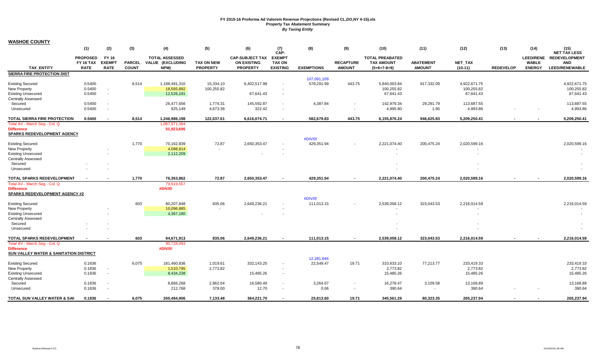|                                                | (1)                                                | (2)                                   | (3)                           | (4)                                               | (5)                                  | (6)                                                             | (7)<br>CAP-                                       | (8)               | (9)                               | (10)                                                         | (11)                              | (12)                 | (13)             | (14)                                              | (15)<br><b>NET TAX LESS</b>                          |
|------------------------------------------------|----------------------------------------------------|---------------------------------------|-------------------------------|---------------------------------------------------|--------------------------------------|-----------------------------------------------------------------|---------------------------------------------------|-------------------|-----------------------------------|--------------------------------------------------------------|-----------------------------------|----------------------|------------------|---------------------------------------------------|------------------------------------------------------|
| <b>TAX ENTITY</b>                              | <b>PROPOSED</b><br><b>FY 16 TAX</b><br><b>RATE</b> | FY 16<br><b>EXEMPT</b><br><b>RATE</b> | <b>PARCEL</b><br><b>COUNT</b> | <b>TOTAL ASSESSED</b><br>VALUE (EXCLUDING<br>NPM) | <b>TAX ON NEW</b><br><b>PROPERTY</b> | <b>CAP-SUBJECT TAX</b><br><b>ON EXISTING</b><br><b>PROPERTY</b> | <b>EXEMPT</b><br><b>TAX ON</b><br><b>EXISTING</b> | <b>EXEMPTIONS</b> | <b>RECAPTURE</b><br><b>AMOUNT</b> | <b>TOTAL PREABATED</b><br><b>TAX AMOUNT</b><br>$(5+6+7-8+9)$ | <b>ABATEMENT</b><br><b>AMOUNT</b> | NET_TAX<br>$(10-11)$ | <b>REDEVELOP</b> | <b>LEED/RENE</b><br><b>WABLE</b><br><b>ENERGY</b> | <b>REDEVELOPMENT</b><br><b>AND</b><br>LEED/RENEWABLE |
| SIERRA FIRE PROTECTION DIST                    |                                                    |                                       |                               |                                                   |                                      |                                                                 |                                                   |                   |                                   |                                                              |                                   |                      |                  |                                                   |                                                      |
|                                                |                                                    |                                       |                               |                                                   |                                      |                                                                 |                                                   | 107,091,109       |                                   |                                                              |                                   |                      |                  |                                                   |                                                      |
| <b>Existing Secured</b>                        | 0.5400                                             |                                       | 8,514                         | 1,188,491,310                                     | 15,334.10                            | 6,402,517.98                                                    |                                                   | 578,291.99        | 443.75                            | 5,840,003.84                                                 | 917,332.09                        | 4,922,671.75         |                  |                                                   | 4,922,671.75                                         |
| <b>New Property</b>                            | 0.5400                                             |                                       |                               | 18,565,892                                        | 100,255.82                           |                                                                 |                                                   |                   |                                   | 100,255.82                                                   |                                   | 100,255.82           |                  |                                                   | 100,255.82                                           |
| <b>Existing Unsecured</b>                      | 0.5400                                             |                                       |                               | 12,526,191                                        |                                      | 67,641.43                                                       | $\overline{\phantom{a}}$                          |                   |                                   | 67,641.43                                                    |                                   | 67,641.43            |                  |                                                   | 67,641.43                                            |
| <b>Centrally Assessed</b>                      |                                                    |                                       |                               |                                                   |                                      |                                                                 |                                                   |                   |                                   |                                                              |                                   |                      |                  |                                                   |                                                      |
| Secured                                        | 0.5400                                             |                                       |                               | 26,477,656                                        | 1,774.31                             | 145,592.87                                                      | $\overline{\phantom{a}}$                          | 4,387.84          |                                   | 142,979.34                                                   | 29,291.79                         | 113,687.55           |                  |                                                   | 113,687.55                                           |
| Unsecured                                      | 0.5400                                             | $\sim$                                |                               | 925,149                                           | 4,673.38                             | 322.42                                                          | $\sim$                                            |                   | $\sim$                            | 4,995.80                                                     | 1.95                              | 4,993.86             |                  | $\overline{\phantom{a}}$                          | 4,993.86                                             |
|                                                |                                                    |                                       |                               |                                                   |                                      |                                                                 |                                                   |                   |                                   |                                                              |                                   |                      |                  |                                                   |                                                      |
| TOTAL SIERRA FIRE PROTECTION                   | 0.5400                                             |                                       | 8,514                         | 1,246,986,198                                     | 122,037.61                           | 6,616,074.71                                                    | $\blacksquare$                                    | 582,679.83        | 443.75                            | 6,155,876.24                                                 | 946,625.83                        | 5,209,250.41         |                  |                                                   | 5,209,250.41                                         |
| Total AV - March Seg - Col. Q                  |                                                    |                                       |                               | 1,087,971,394                                     |                                      |                                                                 |                                                   |                   |                                   |                                                              |                                   |                      |                  |                                                   |                                                      |
| <b>Difference</b>                              |                                                    |                                       |                               | 51,923,695                                        |                                      |                                                                 |                                                   |                   |                                   |                                                              |                                   |                      |                  |                                                   |                                                      |
| SPARKS REDEVELOPMENT AGENCY                    |                                                    |                                       |                               |                                                   |                                      |                                                                 |                                                   |                   |                                   |                                                              |                                   |                      |                  |                                                   |                                                      |
|                                                |                                                    |                                       |                               | 70,162,839                                        | 72.87                                |                                                                 |                                                   | #DIV/0!           |                                   |                                                              | 200,475.24                        | 2,020,599.16         |                  |                                                   | 2,020,599.16                                         |
| <b>Existing Secured</b><br><b>New Property</b> |                                                    |                                       | 1,770                         | 4,088,814                                         | $\sim$                               | 2,650,353.47                                                    |                                                   | 429,351.94        |                                   | 2,221,074.40                                                 |                                   |                      |                  |                                                   |                                                      |
| <b>Existing Unsecured</b>                      |                                                    |                                       |                               | 2,112,209                                         |                                      |                                                                 |                                                   |                   |                                   |                                                              |                                   |                      |                  |                                                   |                                                      |
| <b>Centrally Assessed</b>                      |                                                    |                                       |                               |                                                   |                                      |                                                                 |                                                   |                   |                                   |                                                              |                                   |                      |                  |                                                   |                                                      |
| Secured                                        |                                                    |                                       |                               |                                                   |                                      |                                                                 |                                                   |                   |                                   |                                                              |                                   |                      |                  |                                                   |                                                      |
| Unsecured                                      |                                                    |                                       |                               |                                                   |                                      |                                                                 |                                                   |                   |                                   |                                                              |                                   |                      |                  |                                                   |                                                      |
|                                                |                                                    |                                       |                               |                                                   |                                      |                                                                 |                                                   |                   |                                   |                                                              |                                   |                      |                  |                                                   |                                                      |
| TOTAL SPARKS REDEVELOPMENT                     |                                                    |                                       | 1,770                         | 76,363,862                                        | 72.87                                | 2,650,353.47                                                    |                                                   | 429,351.94        |                                   | 2,221,074.40                                                 | 200,475.24                        | 2,020,599.16         |                  |                                                   | 2,020,599.16                                         |
| Total AV - March Seg - Col. Q                  |                                                    |                                       |                               | 79,919,557                                        |                                      |                                                                 |                                                   |                   |                                   |                                                              |                                   |                      |                  |                                                   |                                                      |
| <b>Difference</b>                              |                                                    |                                       |                               | #DIV/0!                                           |                                      |                                                                 |                                                   |                   |                                   |                                                              |                                   |                      |                  |                                                   |                                                      |
| <b>SPARKS REDEVELOPMENT AGENCY #2</b>          |                                                    |                                       |                               |                                                   |                                      |                                                                 |                                                   |                   |                                   |                                                              |                                   |                      |                  |                                                   |                                                      |
|                                                |                                                    |                                       |                               |                                                   |                                      |                                                                 |                                                   | #DIV/0!           |                                   |                                                              |                                   |                      |                  |                                                   |                                                      |
| <b>Existing Secured</b>                        |                                                    |                                       | 603                           | 80,207,848                                        | 835.06                               | 2,649,236.21                                                    |                                                   | 111,013.15        |                                   | 2,539,058.12                                                 | 323,043.53                        | 2,216,014.59         |                  |                                                   | 2,216,014.59                                         |
| <b>New Property</b>                            |                                                    |                                       |                               | 10,096,885                                        | $\sim$                               |                                                                 |                                                   |                   |                                   |                                                              |                                   |                      |                  |                                                   | $\sim$                                               |
| <b>Existing Unsecured</b>                      |                                                    |                                       |                               | 4,367,180                                         |                                      |                                                                 |                                                   |                   |                                   | $\sim$                                                       |                                   |                      |                  |                                                   |                                                      |
| <b>Centrally Assessed</b>                      |                                                    |                                       |                               |                                                   |                                      |                                                                 |                                                   |                   |                                   |                                                              |                                   |                      |                  |                                                   |                                                      |
| Secured                                        |                                                    |                                       |                               |                                                   |                                      |                                                                 |                                                   |                   |                                   |                                                              |                                   |                      |                  |                                                   |                                                      |
| Unsecured                                      |                                                    |                                       |                               |                                                   |                                      |                                                                 |                                                   |                   |                                   |                                                              |                                   |                      |                  |                                                   |                                                      |
| TOTAL SPARKS REDEVELOPMENT                     |                                                    |                                       | 603                           | 94,671,913                                        | 835.06                               | 2,649,236.21                                                    |                                                   | 111,013.15        |                                   | 2,539,058.12                                                 | 323,043.53                        | 2,216,014.59         |                  |                                                   | 2,216,014.59                                         |
| Total AV - March Seg - Col. Q                  |                                                    |                                       |                               | 90,728,093                                        |                                      |                                                                 |                                                   |                   |                                   |                                                              |                                   |                      |                  |                                                   |                                                      |
| <b>Difference</b>                              |                                                    |                                       |                               | #DIV/0!                                           |                                      |                                                                 |                                                   |                   |                                   |                                                              |                                   |                      |                  |                                                   |                                                      |
| SUN VALLEY WATER & SANITATION DISTRICT         |                                                    |                                       |                               |                                                   |                                      |                                                                 |                                                   |                   |                                   |                                                              |                                   |                      |                  |                                                   |                                                      |
|                                                |                                                    |                                       |                               |                                                   |                                      |                                                                 |                                                   | 12,281,846        |                                   |                                                              |                                   |                      |                  |                                                   |                                                      |
| <b>Existing Secured</b>                        | 0.1836                                             |                                       | 6,075                         | 181,460,836                                       | 1,019.61                             | 332,143.25                                                      |                                                   | 22,549.47         | 19.71                             | 310,633.10                                                   | 77,213.77                         | 233,419.33           |                  |                                                   | 233,419.33                                           |
| <b>New Property</b>                            | 0.1836                                             |                                       |                               | 1,510,795                                         | 2,773.82                             |                                                                 | $\overline{\phantom{a}}$                          |                   |                                   | 2,773.82                                                     |                                   | 2,773.82             |                  |                                                   | 2,773.82                                             |
| <b>Existing Unsecured</b>                      | 0.1836                                             | $\sim$                                |                               | 8,434,238                                         |                                      | 15,485.26                                                       | $\sim$                                            |                   |                                   | 15,485.26                                                    |                                   | 15,485.26            |                  |                                                   | 15,485.26                                            |
| <b>Centrally Assessed</b>                      |                                                    |                                       |                               |                                                   |                                      |                                                                 |                                                   |                   |                                   |                                                              |                                   |                      |                  |                                                   |                                                      |
| Secured                                        | 0.1836                                             | $\sim$                                |                               | 8,866,268                                         | 2,962.04                             | 16,580.49                                                       | $\sim$                                            | 3,264.07          |                                   | 16,278.47                                                    | 3,109.58                          | 13,168.89            |                  |                                                   | 13,168.89                                            |
| Unsecured                                      | 0.1836                                             |                                       |                               | 212,768                                           | 378.00                               | 12.70                                                           | $\sim$                                            | 0.06              |                                   | 390.64                                                       |                                   | 390.64               |                  |                                                   | 390.64                                               |
| TOTAL SUN VALLEY WATER & SAN                   | 0.1836                                             |                                       | 6,075                         | 200,484,906                                       | 7,133.48                             | 364,221.70                                                      |                                                   | 25,813.60         | 19.71                             | 345,561.29                                                   | 80,323.35                         | 265,237.94           |                  |                                                   | 265,237.94                                           |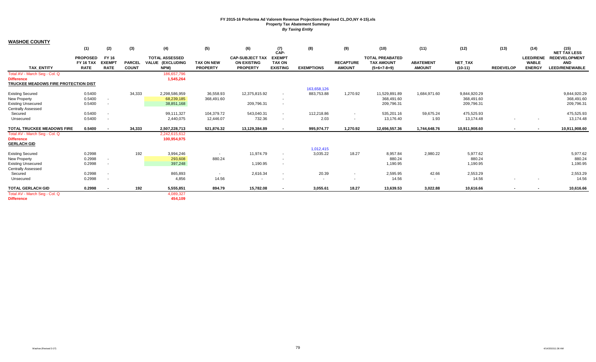|                                      | (1)                                 | (2)                           | (3)           | (4)                                       | (5)               | (6)                                          | (7)<br>CAP-                    | (8)               | (9)                      | (10)                                        | (11)             | (12)          | (13)                     | (14)                             | (15)<br><b>NET TAX LESS</b> |
|--------------------------------------|-------------------------------------|-------------------------------|---------------|-------------------------------------------|-------------------|----------------------------------------------|--------------------------------|-------------------|--------------------------|---------------------------------------------|------------------|---------------|--------------------------|----------------------------------|-----------------------------|
|                                      | <b>PROPOSED</b><br><b>FY 16 TAX</b> | <b>FY 16</b><br><b>EXEMPT</b> | <b>PARCEL</b> | <b>TOTAL ASSESSED</b><br>VALUE (EXCLUDING | <b>TAX ON NEW</b> | <b>CAP-SUBJECT TAX</b><br><b>ON EXISTING</b> | <b>EXEMPT</b><br><b>TAX ON</b> |                   | <b>RECAPTURE</b>         | <b>TOTAL PREABATED</b><br><b>TAX AMOUNT</b> | <b>ABATEMENT</b> | NET_TAX       |                          | <b>LEED/RENE</b><br><b>WABLE</b> | <b>REDEVELOPMENT</b><br>AND |
| <b>TAX ENTITY</b>                    | <b>RATE</b>                         | <b>RATE</b>                   | <b>COUNT</b>  | NPM)                                      | <b>PROPERTY</b>   | <b>PROPERTY</b>                              | <b>EXISTING</b>                | <b>EXEMPTIONS</b> | <b>AMOUNT</b>            | $(5+6+7-8+9)$                               | <b>AMOUNT</b>    | $(10-11)$     | <b>REDEVELOP</b>         | <b>ENERGY</b>                    | <b>LEED/RENEWABLE</b>       |
| Total AV - March Seg - Col. Q        |                                     |                               |               | 186,657,796                               |                   |                                              |                                |                   |                          |                                             |                  |               |                          |                                  |                             |
| <b>Difference</b>                    |                                     |                               |               | 1,545,264                                 |                   |                                              |                                |                   |                          |                                             |                  |               |                          |                                  |                             |
| TRUCKEE MEADOWS FIRE PROTECTION DIST |                                     |                               |               |                                           |                   |                                              |                                |                   |                          |                                             |                  |               |                          |                                  |                             |
|                                      |                                     |                               |               |                                           |                   |                                              |                                | 163,658,126       |                          |                                             |                  |               |                          |                                  |                             |
| <b>Existing Secured</b>              | 0.5400                              |                               | 34,333        | 2,298,586,959                             | 36,558.93         | 12,375,815.92                                | $\sim$                         | 883,753.88        | 1,270.92                 | 11,529,891.89                               | 1,684,971.60     | 9,844,920.29  |                          |                                  | 9,844,920.29                |
| New Property                         | 0.5400                              |                               |               | 68,239,185                                | 368,491.60        |                                              | $\overline{\phantom{a}}$       |                   |                          | 368,491.60                                  |                  | 368,491.60    |                          |                                  | 368,491.60                  |
| <b>Existing Unsecured</b>            | 0.5400                              |                               |               | 38,851,168                                |                   | 209,796.31                                   | $\overline{\phantom{a}}$       |                   |                          | 209,796.31                                  |                  | 209,796.31    |                          |                                  | 209,796.31                  |
| <b>Centrally Assessed</b>            |                                     |                               |               |                                           |                   |                                              |                                |                   |                          |                                             |                  |               |                          |                                  |                             |
| Secured                              | 0.5400                              |                               |               | 99,111,327                                | 104,379.72        | 543,040.31                                   | $\sim$                         | 112.218.86        | $\sim$                   | 535,201.16                                  | 59,675.24        | 475,525.93    |                          |                                  | 475,525.93                  |
| Unsecured                            | 0.5400                              | $\sim$                        |               | 2,440,075                                 | 12,446.07         | 732.36                                       | $\overline{\phantom{a}}$       | 2.03              | $\sim$                   | 13,176.40                                   | 1.93             | 13,174.48     | ٠                        | $\overline{\phantom{a}}$         | 13,174.48                   |
| <b>TOTAL TRUCKEE MEADOWS FIRE</b>    | 0.5400                              | $\overline{\phantom{a}}$      | 34,333        | 2,507,228,713                             | 521,876.32        | 13,129,384.89                                | $\overline{\phantom{a}}$       | 995,974.77        | 1,270.92                 | 12,656,557.36                               | 1,744,648.76     | 10,911,908.60 | $\overline{\phantom{a}}$ | $\blacksquare$                   | 10,911,908.60               |
| Total AV - March Seg - Col. Q        |                                     |                               |               | 2,242,615,612                             |                   |                                              |                                |                   |                          |                                             |                  |               |                          |                                  |                             |
| <b>Difference</b>                    |                                     |                               |               | 100,954,975                               |                   |                                              |                                |                   |                          |                                             |                  |               |                          |                                  |                             |
| <b>GERLACH GID</b>                   |                                     |                               |               |                                           |                   |                                              |                                |                   |                          |                                             |                  |               |                          |                                  |                             |
|                                      |                                     |                               |               |                                           |                   |                                              |                                | 1,012,415         |                          |                                             |                  |               |                          |                                  |                             |
| <b>Existing Secured</b>              | 0.2998                              |                               | 192           | 3,994,246                                 | $\sim$            | 11,974.79                                    | $\overline{\phantom{a}}$       | 3,035.22          | 18.27                    | 8,957.84                                    | 2,980.22         | 5,977.62      |                          |                                  | 5,977.62                    |
| New Property                         | 0.2998                              |                               |               | 293,608                                   | 880.24            |                                              | $\overline{\phantom{a}}$       |                   |                          | 880.24                                      |                  | 880.24        |                          |                                  | 880.24                      |
| <b>Existing Unsecured</b>            | 0.2998                              |                               |               | 397,248                                   |                   | 1,190.95                                     | $\overline{\phantom{a}}$       |                   |                          | 1,190.95                                    |                  | 1,190.95      |                          |                                  | 1,190.95                    |
| <b>Centrally Assessed</b>            |                                     |                               |               |                                           |                   |                                              |                                |                   |                          |                                             |                  |               |                          |                                  |                             |
| Secured                              | 0.2998                              |                               |               | 865,893                                   | $\sim$            | 2,616.34                                     | $\sim$                         | 20.39             | $\sim$                   | 2,595.95                                    | 42.66            | 2,553.29      |                          |                                  | 2,553.29                    |
| Unsecured                            | 0.2998                              |                               |               | 4,856                                     | 14.56             | $\sim$                                       | $\overline{\phantom{a}}$       | $\sim$            | $\overline{\phantom{a}}$ | 14.56                                       | $\sim$           | 14.56         |                          | $\overline{\phantom{a}}$         | 14.56                       |
| <b>TOTAL GERLACH GID</b>             | 0.2998                              |                               | 192           | 5,555,851                                 | 894.79            | 15,782.08                                    | $\sim$                         | 3,055.61          | 18.27                    | 13,639.53                                   | 3,022.88         | 10,616.66     | $\overline{\phantom{a}}$ |                                  | 10,616.66                   |
| Total AV - March Seg - Col. Q        |                                     |                               |               | 4,089,327                                 |                   |                                              |                                |                   |                          |                                             |                  |               |                          |                                  |                             |
| <b>Difference</b>                    |                                     |                               |               | 454.109                                   |                   |                                              |                                |                   |                          |                                             |                  |               |                          |                                  |                             |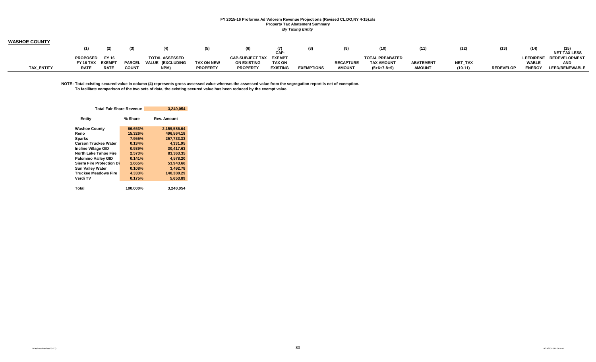| <b>WASHOE COUNTY</b> |                  |             |               |                              |                 |                        |                 |                   |                  |                        |                  |                |                  |               |                         |
|----------------------|------------------|-------------|---------------|------------------------------|-----------------|------------------------|-----------------|-------------------|------------------|------------------------|------------------|----------------|------------------|---------------|-------------------------|
|                      |                  |             |               |                              | (5)             |                        | CAP-            |                   |                  | (10)                   | (11)             |                | (13)             | (14)          | <b>NET TAX LESS</b>     |
|                      | <b>PROPOSED</b>  | FY 16       |               | <b>TOTAL ASSESSED</b>        |                 | CAP-SUBJECT TAX EXEMPT |                 |                   |                  | <b>TOTAL PREABATED</b> |                  |                |                  |               | LEED/RENE REDEVELOPMENT |
|                      | FY 16 TAX EXEMPT |             | <b>PARCEL</b> | : (EXCLUDING<br><b>VALUE</b> | TAX ON NEW      | <b>ON EXISTING</b>     | <b>TAX ON</b>   |                   | <b>RECAPTURE</b> | <b>TAX AMOUNT</b>      | <b>ABATEMENT</b> | <b>NET TAX</b> |                  | <b>WABLE</b>  | <b>AND</b>              |
| <b>TAX ENTITY</b>    | <b>RATE</b>      | <b>RATE</b> | <b>COUNT</b>  | NPM)                         | <b>PROPERTY</b> | <b>PROPERTY</b>        | <b>EXISTING</b> | <b>EXEMPTIONS</b> | <b>AMOUNT</b>    | $(5+6+7-8+9)$          | <b>AMOUNT</b>    | $(10 - 11)$    | <b>REDEVELOF</b> | <b>ENERGY</b> | <b>LEED/RENEWABLE</b>   |

**NOTE: Total existing secured value in column (4) represents gross assessed value whereas the assessed value from the segregation report is net of exemption. To facilitate comparison of the two sets of data, the existing secured value has been reduced by the exempt value.**

| <b>Total Fair Share Revenue</b> |           | 3,240,054          |
|---------------------------------|-----------|--------------------|
| Entity                          | % Share   | <b>Rev. Amount</b> |
| <b>Washoe County</b>            | 66.653%   | 2,159,586.64       |
| Reno                            | 15.326%   | 496.564.18         |
| <b>Sparks</b>                   | 7.955%    | 257,733.33         |
| <b>Carson Truckee Water</b>     | 0.134%    | 4.331.95           |
| <b>Incline Village GID</b>      | 0.939%    | 30.417.63          |
| <b>North Lake Tahoe Fire</b>    | 2.573%    | 83.363.35          |
| <b>Palomino Valley GID</b>      | 0.141%    | 4,578.20           |
| Sierra Fire Protection Di       | 1.665%    | 53,943.66          |
| <b>Sun Valley Water</b>         | 0.108%    | 3.492.78           |
| <b>Truckee Meadows Fire</b>     | $4.333\%$ | 140,388.29         |
| Verdi TV                        | 0.175%    | 5.653.89           |
|                                 |           |                    |
| Total                           | 100.000%  | 3,240,054          |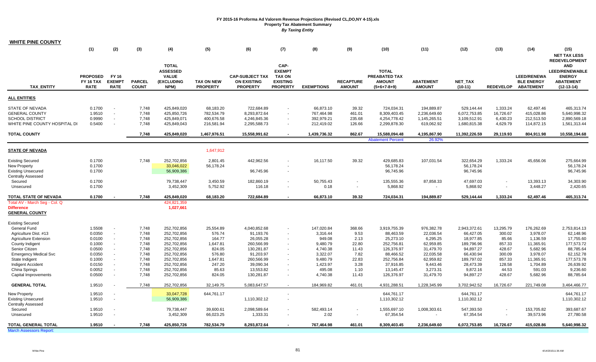| <b>WHITE PINE COUNTY</b>                                                                                   |                                                    |                                              |                                  |                                                                |                                                     |                                                                 |                                                                              |                                                     |                                     |                                                                 |                                                          |                                                            |                                               |                                                             |                                                                                                                  |
|------------------------------------------------------------------------------------------------------------|----------------------------------------------------|----------------------------------------------|----------------------------------|----------------------------------------------------------------|-----------------------------------------------------|-----------------------------------------------------------------|------------------------------------------------------------------------------|-----------------------------------------------------|-------------------------------------|-----------------------------------------------------------------|----------------------------------------------------------|------------------------------------------------------------|-----------------------------------------------|-------------------------------------------------------------|------------------------------------------------------------------------------------------------------------------|
|                                                                                                            | (1)                                                | (2)                                          | (3)                              | (4)                                                            | (5)                                                 | (6)                                                             | (7)                                                                          | (8)                                                 | (9)                                 | (10)                                                            | (11)                                                     | (12)                                                       | (13)                                          | (14)                                                        | (15)<br><b>NET TAX LESS</b>                                                                                      |
| <b>TAX ENTITY</b>                                                                                          | <b>PROPOSED</b><br><b>FY 16 TAX</b><br><b>RATE</b> | <b>FY 16</b><br><b>EXEMPT</b><br><b>RATE</b> | <b>PARCEL</b><br><b>COUNT</b>    | TOTAL<br><b>ASSESSED</b><br><b>VALUE</b><br>(EXCLUDING<br>NPM) | <b>TAX ON NEW</b><br><b>PROPERTY</b>                | <b>CAP-SUBJECT TAX</b><br><b>ON EXISTING</b><br><b>PROPERTY</b> | CAP-<br><b>EXEMPT</b><br><b>TAX ON</b><br><b>EXISTING</b><br><b>PROPERTY</b> | <b>EXEMPTIONS</b>                                   | <b>RECAPTURE</b><br><b>AMOUNT</b>   | <b>TOTAL</b><br>PREABATED TAX<br><b>AMOUNT</b><br>$(5+6+7-8+9)$ | <b>ABATEMENT</b><br><b>AMOUNT</b>                        | NET_TAX<br>$(10-11)$                                       | <b>REDEVELOP</b>                              | <b>LEED/RENEWA</b><br><b>BLE ENERGY</b><br><b>ABATEMENT</b> | <b>REDEVELOPMENT</b><br><b>AND</b><br><b>LEED/RENEWABLE</b><br><b>ENERGY</b><br><b>ABATEMENT</b><br>$(12-13-14)$ |
| <b>ALL ENTITIES</b>                                                                                        |                                                    |                                              |                                  |                                                                |                                                     |                                                                 |                                                                              |                                                     |                                     |                                                                 |                                                          |                                                            |                                               |                                                             |                                                                                                                  |
| <b>STATE OF NEVADA</b><br><b>GENERAL COUNTY</b><br><b>SCHOOL DISTRICT</b><br>WHITE PINE COUNTY HOSPITAL DI | 0.1700<br>1.9510<br>0.9990<br>0.5400               | $\sim$<br>$\sim$<br>$\sim$<br>$\sim$         | 7,748<br>7,748<br>7,748<br>7.748 | 425,849,020<br>425,850,726<br>425,849,071<br>425,849,043       | 68,183.20<br>782,534.79<br>400,676.58<br>216,581.94 | 722,684.89<br>8,293,872.64<br>4,246,845.36<br>2,295,588.73      | $\mathbf{r}$<br>$\sim$                                                       | 66,873.10<br>767,464.98<br>392,979.21<br>212,419.02 | 39.32<br>461.01<br>235.68<br>126.66 | 724,034.31<br>8,309,403.45<br>4,254,778.42<br>2,299,878.30      | 194,889.87<br>2,236,649.60<br>1,145,265.51<br>619,062.92 | 529,144.44<br>6,072,753.85<br>3,109,512.91<br>1,680,815.38 | 1,333.24<br>16,726.67<br>6,430.23<br>4,629.79 | 62,497.46<br>415,028.86<br>212,513.50<br>114,872.15         | 465,313.74<br>5,640,998.32<br>2,890,569.18<br>1,561,313.44                                                       |
| <b>TOTAL COUNTY</b>                                                                                        |                                                    |                                              | 7,748                            | 425,849,020                                                    | 1,467,976.51                                        | 15,558,991.62                                                   |                                                                              | 1,439,736.32                                        | 862.67                              | 15,588,094.48                                                   | 4,195,867.90                                             | 11,392,226.59                                              | 29,119.93                                     | 804,911.98                                                  | 10,558,194.68                                                                                                    |
|                                                                                                            |                                                    |                                              |                                  |                                                                |                                                     |                                                                 |                                                                              |                                                     |                                     | <b>Abatement Percent</b>                                        | 26.92%                                                   |                                                            |                                               |                                                             |                                                                                                                  |
| <b>STATE OF NEVADA</b>                                                                                     |                                                    |                                              |                                  |                                                                | 1.647.912                                           |                                                                 |                                                                              |                                                     |                                     |                                                                 |                                                          |                                                            |                                               |                                                             |                                                                                                                  |
| <b>Existing Secured</b><br><b>New Property</b><br><b>Existing Unsecured</b><br><b>Centrally Assessed</b>   | 0.1700<br>0.1700<br>0.1700                         |                                              | 7,748                            | 252,702,856<br>33,046,022<br>56,909,386                        | 2,801.45<br>56,178.24                               | 442,962.56<br>96,745.96                                         |                                                                              | 16,117.50                                           | 39.32                               | 429,685.83<br>56,178.24<br>96,745.96                            | 107,031.54                                               | 322,654.29<br>56,178.24<br>96,745.96                       | 1,333.24                                      | 45,656.06                                                   | 275,664.99<br>56,178.24<br>96,745.96                                                                             |
| Secured<br>Unsecured                                                                                       | 0.1700<br>0.1700                                   |                                              |                                  | 79,738,447<br>3,452,309                                        | 3,450.59<br>5,752.92                                | 182,860.19<br>116.18                                            | $\blacksquare$                                                               | 50,755.43<br>0.18                                   | $\overline{\phantom{a}}$            | 135,555.36<br>5,868.92                                          | 87,858.33<br>$\sim$                                      | 47,697.03<br>5,868.92                                      |                                               | 13,393.13<br>3,448.27                                       | 34,303.90<br>2,420.65                                                                                            |
| TOTAL STATE OF NEVADA                                                                                      | 0.1700                                             |                                              | 7,748                            | 425,849,020                                                    | 68,183.20                                           | 722,684.89                                                      |                                                                              | 66,873.10                                           | 39.32                               | 724,034.31                                                      | 194,889.87                                               | 529,144.44                                                 | 1,333.24                                      | 62,497.46                                                   | 465,313.74                                                                                                       |
| Total AV - March Seg - Col. Q<br><b>Difference</b><br><b>GENERAL COUNTY</b>                                |                                                    |                                              |                                  | 424,821,359<br>1,027,661                                       |                                                     |                                                                 |                                                                              |                                                     |                                     |                                                                 |                                                          |                                                            |                                               |                                                             |                                                                                                                  |
| <b>Existing Secured</b>                                                                                    |                                                    |                                              |                                  |                                                                |                                                     |                                                                 |                                                                              |                                                     |                                     |                                                                 |                                                          |                                                            |                                               |                                                             |                                                                                                                  |
| <b>General Fund</b><br>Agriculture Dist. #13                                                               | 1.5508<br>0.0350                                   | $\sim$<br>$\sim$                             | 7,748<br>7,748                   | 252,702,856<br>252,702,856                                     | 25,554.89<br>576.74                                 | 4,040,852.68<br>91,193.76                                       | $\blacksquare$                                                               | 147,020.84<br>3,316.44                              | 368.66<br>9.53                      | 3,919,755.39<br>88,463.59                                       | 976,382.78<br>22,036.54                                  | 2,943,372.61<br>66,427.05                                  | 13,295.79<br>300.02                           | 176,262.69<br>3,978.07                                      | 2,753,814.13<br>62,148.96                                                                                        |
| <b>Agriculture Extension</b><br>County Indigent<br>Senior Citizen                                          | 0.0100<br>0.1000<br>0.0500                         | $\sim$<br>$\sim$<br>$\sim$                   | 7,748<br>7,748<br>7,748          | 252,702,856<br>252,702,856<br>252,702,856                      | 164.77<br>1,647.81<br>824.05                        | 26,055.28<br>260,566.99<br>130,281.87                           |                                                                              | 949.08<br>9,480.79<br>4,740.38                      | 2.13<br>22.80<br>11.43              | 25,273.10<br>252,756.81<br>126,376.97                           | 6,295.25<br>62,959.85<br>31,479.70                       | 18,977.85<br>189,796.96<br>94,897.27                       | 85.66<br>857.33<br>428.67                     | 1,136.59<br>11,365.91<br>5,682.96                           | 17,755.60<br>177,573.72<br>88,785.64                                                                             |
| <b>Emergency Medical Svc</b><br>State Indigent                                                             | 0.0350<br>0.1000                                   | $\sim$<br>$\sim$<br>$\sim$                   | 7,748<br>7,748                   | 252,702,856<br>252,702,856                                     | 576.80<br>1,647.81                                  | 91,203.97<br>260,566.99                                         |                                                                              | 3,322.07<br>9,480.79                                | 7.82<br>22.83                       | 88,466.52<br>252,756.84                                         | 22,035.58<br>62,959.82                                   | 66,430.94<br>189,797.02                                    | 300.09<br>857.33                              | 3,978.07<br>11,365.91                                       | 62,152.78<br>177,573.78                                                                                          |
| Indigent Accident<br>China Springs<br>Capital Improvements                                                 | 0.0150<br>0.0052<br>0.0500                         | $\sim$<br>$\sim$                             | 7,748<br>7,748<br>7,748          | 252,702,856<br>252,702,856<br>252,702,856                      | 247.20<br>85.63<br>824.05                           | 39,090.34<br>13,553.82<br>130,281.87                            |                                                                              | 1,423.97<br>495.08<br>4,740.38                      | 3.28<br>1.10<br>11.43               | 37,916.85<br>13,145.47<br>126,376.97                            | 9,443.46<br>3,273.31<br>31,479.70                        | 28,473.39<br>9,872.16<br>94,897.27                         | 128.58<br>44.53<br>428.67                     | 1,704.89<br>591.03<br>5,682.96                              | 26,639.92<br>9,236.60<br>88,785.64                                                                               |
| <b>GENERAL TOTAL</b>                                                                                       | 1.9510                                             |                                              | 7.748                            | 252,702,856                                                    | 32,149.75                                           | 5,083,647.57                                                    |                                                                              | 184,969.82                                          | 461.01                              | 4,931,288.51                                                    | 1,228,345.99                                             | 3,702,942.52                                               | 16,726.67                                     | 221,749.08                                                  | 3,464,466.77                                                                                                     |
| <b>New Property</b><br><b>Existing Unsecured</b><br><b>Centrally Assessed</b>                              | 1.9510<br>1.9510                                   |                                              |                                  | 33,047,728<br>56,909,386                                       | 644,761.17                                          | 1,110,302.12                                                    | $\overline{\phantom{a}}$                                                     |                                                     |                                     | 644,761.17<br>1,110,302.12                                      |                                                          | 644,761.17<br>1,110,302.12                                 |                                               |                                                             | 644,761.17<br>1,110,302.12                                                                                       |
| Secured<br>Unsecured                                                                                       | 1.9510<br>1.9510                                   |                                              |                                  | 79,738,447<br>3,452,309                                        | 39,600.61<br>66,023.25                              | 2,098,589.64<br>1,333.31                                        |                                                                              | 582,493.14<br>2.02                                  |                                     | 1,555,697.10<br>67,354.54                                       | 1,008,303.61                                             | 547,393.50<br>67,354.54                                    |                                               | 153,705.82<br>39,573.96                                     | 393,687.67<br>27,780.58                                                                                          |
| TOTAL GENERAL TOTAL<br><b>March Assessors Report:</b>                                                      | 1.9510                                             |                                              | 7,748                            | 425,850,726                                                    | 782,534.79                                          | 8,293,872.64                                                    |                                                                              | 767,464.98                                          | 461.01                              | 8,309,403.45                                                    | 2,236,649.60                                             | 6,072,753.85                                               | 16,726.67                                     | 415,028.86                                                  | 5,640,998.32                                                                                                     |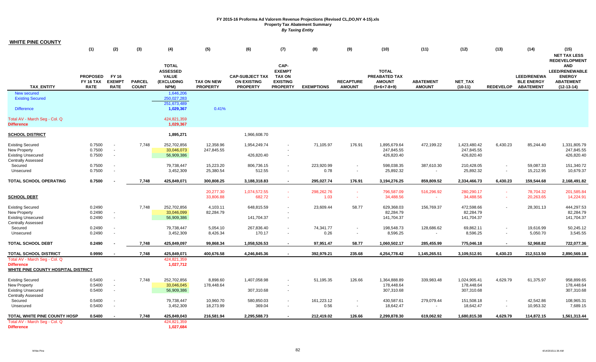| <b>WHITE PINE COUNTY</b>                                 |                                                    |                                              |                               |                                                                       |                                      |                                                                 |                                                                              |                   |                                   |                                                                        |                                   |                             |                          |                                                                |                                                                                                                  |
|----------------------------------------------------------|----------------------------------------------------|----------------------------------------------|-------------------------------|-----------------------------------------------------------------------|--------------------------------------|-----------------------------------------------------------------|------------------------------------------------------------------------------|-------------------|-----------------------------------|------------------------------------------------------------------------|-----------------------------------|-----------------------------|--------------------------|----------------------------------------------------------------|------------------------------------------------------------------------------------------------------------------|
|                                                          | (1)                                                | (2)                                          | (3)                           | (4)                                                                   | (5)                                  | (6)                                                             | (7)                                                                          | (8)               | (9)                               | (10)                                                                   | (11)                              | (12)                        | (13)                     | (14)                                                           | (15)<br><b>NET TAX LESS</b>                                                                                      |
| TAX_ENTITY                                               | <b>PROPOSED</b><br><b>FY 16 TAX</b><br><b>RATE</b> | <b>FY 16</b><br><b>EXEMPT</b><br><b>RATE</b> | <b>PARCEL</b><br><b>COUNT</b> | <b>TOTAL</b><br><b>ASSESSED</b><br><b>VALUE</b><br>(EXCLUDING<br>NPM) | <b>TAX ON NEW</b><br><b>PROPERTY</b> | <b>CAP-SUBJECT TAX</b><br><b>ON EXISTING</b><br><b>PROPERTY</b> | CAP-<br><b>EXEMPT</b><br><b>TAX ON</b><br><b>EXISTING</b><br><b>PROPERTY</b> | <b>EXEMPTIONS</b> | <b>RECAPTURE</b><br><b>AMOUNT</b> | <b>TOTAL</b><br><b>PREABATED TAX</b><br><b>AMOUNT</b><br>$(5+6+7-8+9)$ | <b>ABATEMENT</b><br><b>AMOUNT</b> | <b>NET TAX</b><br>$(10-11)$ |                          | <b>LEED/RENEWA</b><br><b>BLE ENERGY</b><br>REDEVELOP ABATEMENT | <b>REDEVELOPMENT</b><br><b>AND</b><br><b>LEED/RENEWABLE</b><br><b>ENERGY</b><br><b>ABATEMENT</b><br>$(12-13-14)$ |
| New secured                                              |                                                    |                                              |                               | 1,646,206                                                             |                                      |                                                                 |                                                                              |                   |                                   |                                                                        |                                   |                             |                          |                                                                |                                                                                                                  |
| <b>Existing Secured</b>                                  |                                                    |                                              |                               | 250,027,283                                                           |                                      |                                                                 |                                                                              |                   |                                   |                                                                        |                                   |                             |                          |                                                                |                                                                                                                  |
| <b>Difference</b>                                        |                                                    |                                              |                               | 251,673,489<br>1,029,367                                              | 0.41%                                |                                                                 |                                                                              |                   |                                   |                                                                        |                                   |                             |                          |                                                                |                                                                                                                  |
| Total AV - March Seg - Col. Q<br><b>Difference</b>       |                                                    |                                              |                               | 424,821,359<br>1,029,367                                              |                                      |                                                                 |                                                                              |                   |                                   |                                                                        |                                   |                             |                          |                                                                |                                                                                                                  |
| <b>SCHOOL DISTRICT</b>                                   |                                                    |                                              |                               | 1,895,271                                                             |                                      | 1,966,608.70                                                    |                                                                              |                   |                                   |                                                                        |                                   |                             |                          |                                                                |                                                                                                                  |
| <b>Existing Secured</b>                                  | 0.7500                                             | $\sim$                                       | 7,748                         | 252,702,856                                                           | 12,358.96                            | 1,954,249.74                                                    |                                                                              | 71,105.97         | 176.91                            | 1,895,679.64                                                           | 472,199.22                        | 1,423,480.42                | 6,430.23                 | 85,244.40                                                      | 1,331,805.79                                                                                                     |
| New Property                                             | 0.7500                                             |                                              |                               | 33,046,073                                                            | 247,845.55                           |                                                                 |                                                                              |                   |                                   | 247,845.55                                                             |                                   | 247,845.55                  |                          |                                                                | 247,845.55                                                                                                       |
| <b>Existing Unsecured</b>                                | 0.7500                                             | $\sim$                                       |                               | 56,909,386                                                            |                                      | 426,820.40                                                      |                                                                              |                   |                                   | 426,820.40                                                             |                                   | 426,820.40                  |                          |                                                                | 426,820.40                                                                                                       |
| <b>Centrally Assessed</b>                                |                                                    |                                              |                               |                                                                       |                                      |                                                                 |                                                                              |                   |                                   |                                                                        |                                   |                             |                          |                                                                |                                                                                                                  |
| Secured                                                  | 0.7500                                             |                                              |                               | 79,738,447                                                            | 15,223.20                            | 806,736.15                                                      | $\sim$                                                                       | 223,920.99        | $\sim$                            | 598,038.35                                                             | 387,610.30                        | 210,428.05                  | $\sim$                   | 59,087.33                                                      | 151,340.72                                                                                                       |
| Unsecured                                                | 0.7500                                             | $\overline{\phantom{a}}$                     |                               | 3,452,309                                                             | 25,380.54                            | 512.55                                                          |                                                                              | 0.78              | $\overline{\phantom{a}}$          | 25,892.32                                                              | $\sim$                            | 25,892.32                   |                          | 15,212.95                                                      | 10,679.37                                                                                                        |
| TOTAL SCHOOL OPERATING                                   | 0.7500                                             |                                              | 7,748                         | 425,849,071                                                           | 300,808.25                           | 3,188,318.83                                                    | $\sim$                                                                       | 295,027.74        | 176.91                            | 3,194,276.25                                                           | 859,809.52                        | 2,334,466.73                | 6,430.23                 | 159,544.68                                                     | 2,168,491.82                                                                                                     |
|                                                          |                                                    |                                              |                               |                                                                       | 20,277.30                            | 1,074,572.55                                                    | n an                                                                         | 298,262.76        | $\sim$                            | 796,587.09                                                             | 516,296.92                        | 280,290.17                  | $\omega$                 | 78,704.32                                                      | 201,585.84                                                                                                       |
| <b>SCHOOL DEBT</b>                                       |                                                    |                                              |                               |                                                                       | 33,806.88                            | 682.72                                                          | $\sim$                                                                       | 1.03              | $\sim$                            | 34,488.56                                                              | $\sim$                            | 34,488.56                   | $\sim$                   | 20,263.65                                                      | 14,224.91                                                                                                        |
| <b>Existing Secured</b>                                  | 0.2490                                             |                                              | 7,748                         | 252,702,856                                                           | 4,103.11                             | 648,815.59                                                      |                                                                              | 23,609.44         | 58.77                             | 629,368.03                                                             | 156,769.37                        | 472,598.66                  |                          | 28,301.13                                                      | 444,297.53                                                                                                       |
| New Property                                             | 0.2490                                             | $\sim$                                       |                               | 33,046,099                                                            | 82,284.79                            |                                                                 |                                                                              |                   |                                   | 82,284.79                                                              |                                   | 82,284.79                   |                          |                                                                | 82,284.79                                                                                                        |
| <b>Existing Unsecured</b>                                | 0.2490                                             | $\overline{\phantom{a}}$                     |                               | 56,909,386                                                            |                                      | 141,704.37                                                      |                                                                              |                   |                                   | 141,704.37                                                             |                                   | 141,704.37                  |                          |                                                                | 141,704.37                                                                                                       |
| <b>Centrally Assessed</b>                                |                                                    |                                              |                               |                                                                       |                                      |                                                                 |                                                                              |                   |                                   |                                                                        |                                   |                             |                          |                                                                |                                                                                                                  |
| Secured                                                  | 0.2490                                             |                                              |                               | 79,738,447                                                            | 5,054.10                             | 267,836.40                                                      |                                                                              | 74,341.77         | $\overline{\phantom{a}}$          | 198,548.73                                                             | 128,686.62                        | 69,862.11                   | $\sim$                   | 19,616.99                                                      | 50,245.12                                                                                                        |
| Unsecured                                                | 0.2490                                             | $\blacksquare$                               |                               | 3,452,309                                                             | 8,426.34                             | 170.17                                                          |                                                                              | 0.26              | $\sim$                            | 8,596.25                                                               | $\sim$                            | 8,596.25                    | $\blacksquare$           | 5,050.70                                                       | 3,545.55                                                                                                         |
| <b>TOTAL SCHOOL DEBT</b>                                 | 0.2490                                             |                                              | 7,748                         | 425,849,097                                                           | 99,868.34                            | 1,058,526.53                                                    | $\sim$                                                                       | 97,951.47         | 58.77                             | 1,060,502.17                                                           | 285,455.99                        | 775,046.18                  | $\sim$                   | 52,968.82                                                      | 722,077.36                                                                                                       |
| <b>TOTAL SCHOOL DISTRICT</b>                             | 0.9990                                             |                                              | 7,748                         | 425,849,071                                                           | 400,676.58                           | 4,246,845.36                                                    |                                                                              | 392,979.21        | 235.68                            | 4,254,778.42                                                           | 1,145,265.51                      | 3,109,512.91                | 6,430.23                 | 212,513.50                                                     | 2,890,569.18                                                                                                     |
| Total AV - March Seg - Col. Q                            |                                                    |                                              |                               | 424,821,359                                                           |                                      |                                                                 |                                                                              |                   |                                   |                                                                        |                                   |                             |                          |                                                                |                                                                                                                  |
| <b>Difference</b><br>WHITE PINE COUNTY HOSPITAL DISTRICT |                                                    |                                              |                               | 1,027,712                                                             |                                      |                                                                 |                                                                              |                   |                                   |                                                                        |                                   |                             |                          |                                                                |                                                                                                                  |
| <b>Existing Secured</b>                                  | 0.5400                                             | $\sim$                                       | 7,748                         | 252,702,856                                                           | 8,898.60                             | 1,407,058.98                                                    |                                                                              | 51,195.35         | 126.66                            | 1,364,888.89                                                           | 339,983.48                        | 1,024,905.41                | 4,629.79                 | 61,375.97                                                      | 958,899.65                                                                                                       |
| New Property                                             | 0.5400                                             | $\sim$                                       |                               | 33,046,045                                                            | 178,448.64                           |                                                                 |                                                                              |                   |                                   | 178,448.64                                                             |                                   | 178,448.64                  |                          |                                                                | 178,448.64                                                                                                       |
| <b>Existing Unsecured</b>                                | 0.5400                                             | $\sim$                                       |                               | 56,909,386                                                            |                                      | 307,310.68                                                      |                                                                              |                   |                                   | 307,310.68                                                             |                                   | 307,310.68                  |                          |                                                                | 307,310.68                                                                                                       |
| <b>Centrally Assessed</b>                                |                                                    |                                              |                               |                                                                       |                                      |                                                                 |                                                                              |                   |                                   |                                                                        |                                   |                             |                          |                                                                |                                                                                                                  |
| Secured                                                  | 0.5400                                             | $\overline{\phantom{a}}$                     |                               | 79,738,447                                                            | 10,960.70                            | 580,850.03                                                      | $\sim$                                                                       | 161,223.12        |                                   | 430,587.61                                                             | 279,079.44                        | 151,508.18                  | $\sim$                   | 42,542.86                                                      | 108,965.31                                                                                                       |
| Unsecured                                                | 0.5400                                             | $\sim$                                       |                               | 3,452,309                                                             | 18,273.99                            | 369.04                                                          |                                                                              | 0.56              | $\overline{\phantom{a}}$          | 18,642.47                                                              |                                   | 18,642.47                   | $\overline{\phantom{a}}$ | 10,953.32                                                      | 7,689.15                                                                                                         |
| TOTAL WHITE PINE COUNTY HOSP                             | 0.5400                                             | $\overline{\phantom{a}}$                     | 7,748                         | 425,849,043                                                           | 216,581.94                           | 2,295,588.73                                                    |                                                                              | 212,419.02        | 126.66                            | 2,299,878.30                                                           | 619,062.92                        | 1,680,815.38                | 4,629.79                 | 114,872.15                                                     | 1,561,313.44                                                                                                     |
| Total AV - March Seg - Col. Q                            |                                                    |                                              |                               | 424,821,359                                                           |                                      |                                                                 |                                                                              |                   |                                   |                                                                        |                                   |                             |                          |                                                                |                                                                                                                  |
| <b>Difference</b>                                        |                                                    |                                              |                               | 1,027,684                                                             |                                      |                                                                 |                                                                              |                   |                                   |                                                                        |                                   |                             |                          |                                                                |                                                                                                                  |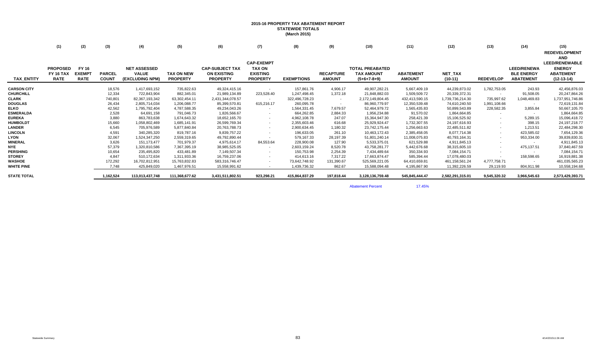# **2015-16 PROPERTY TAX ABATEMENT REPORT STATEWIDE TOTALS (March 2015)**

|                    | (1)                                                | (2)                                   | (3)                           | (4)                                                    | (5)                                  | (6)                                                             | (7)                                                                      | (8)               | (9)                               | (10)                                                         | (11)                              | (12)                 | (13)                     | (14)                                                        | (15)                                                                                                             |
|--------------------|----------------------------------------------------|---------------------------------------|-------------------------------|--------------------------------------------------------|--------------------------------------|-----------------------------------------------------------------|--------------------------------------------------------------------------|-------------------|-----------------------------------|--------------------------------------------------------------|-----------------------------------|----------------------|--------------------------|-------------------------------------------------------------|------------------------------------------------------------------------------------------------------------------|
| TAX_ENTITY         | <b>PROPOSED</b><br><b>FY 16 TAX</b><br><b>RATE</b> | FY 16<br><b>EXEMPT</b><br><b>RATE</b> | <b>PARCEL</b><br><b>COUNT</b> | <b>NET ASSESSED</b><br><b>VALUE</b><br>(EXCLUDING NPM) | <b>TAX ON NEW</b><br><b>PROPERTY</b> | <b>CAP-SUBJECT TAX</b><br><b>ON EXISTING</b><br><b>PROPERTY</b> | <b>CAP-EXEMPT</b><br><b>TAX ON</b><br><b>EXISTING</b><br><b>PROPERTY</b> | <b>EXEMPTIONS</b> | <b>RECAPTURE</b><br><b>AMOUNT</b> | <b>TOTAL PREABATED</b><br><b>TAX AMOUNT</b><br>$(5+6+7-8+9)$ | <b>ABATEMENT</b><br><b>AMOUNT</b> | NET_TAX<br>$(10-11)$ | <b>REDEVELOP</b>         | <b>LEED/RENEWA</b><br><b>BLE ENERGY</b><br><b>ABATEMENT</b> | <b>REDEVELOPMENT</b><br><b>AND</b><br><b>LEED/RENEWABLE</b><br><b>ENERGY</b><br><b>ABATEMENT</b><br>$(12-13-14)$ |
|                    |                                                    |                                       |                               |                                                        |                                      |                                                                 |                                                                          |                   |                                   |                                                              |                                   |                      |                          |                                                             |                                                                                                                  |
| <b>CARSON CITY</b> |                                                    |                                       | 18,576                        | 1,417,693,152                                          | 735,822.63                           | 49,324,415.16                                                   | $\overline{\phantom{a}}$                                                 | 157,861.76        | 4,906.17                          | 49,907,282.21                                                | 5,667,409.19                      | 44,239,873.02        | 1,782,753.05             | 243.93                                                      | 42,456,876.03                                                                                                    |
| <b>CHURCHILL</b>   |                                                    |                                       | 12,334                        | 722,843,904                                            | 882,345.01                           | 21,989,134.89                                                   | 223,528.40                                                               | 1.247.498.45      | 1,372.18                          | 21,848,882.03                                                | 1,509,509.72                      | 20,339,372.31        |                          | 91,508.05                                                   | 20,247,864.26                                                                                                    |
| <b>CLARK</b>       |                                                    |                                       | 740,801                       | 82,367,193,342                                         | 63,302,454.11                        | 2,431,344,078.57                                                | $\sim$                                                                   | 322,496,728.23    | $\sim$                            | 2,172,149,804.45                                             | 432,413,590.15                    | 1,739,736,214.30     | 735,997.62               | 1,048,469.83                                                | 1,737,951,746.86                                                                                                 |
| <b>DOUGLAS</b>     |                                                    |                                       | 26,434                        | 2,805,714,034                                          | 1,206,088.77                         | 85,399,570.81                                                   | 615,216.17                                                               | 260,095.78        | $\sim$                            | 86,960,779.97                                                | 12,350,539.48                     | 74,610,240.50        | 1,991,108.66             | $\sim$                                                      | 72,619,131.84                                                                                                    |
| <b>ELKO</b>        |                                                    |                                       | 42,562                        | 1,795,792,404                                          | 4,787,588.35                         | 49,234,043.26                                                   | $\sim$                                                                   | 1,564,331.45      | 7,679.57                          | 52,464,979.72                                                | 1,565,435.83                      | 50,899,543.89        | 228,582.35               | 3,855.84                                                    | 50,667,105.70                                                                                                    |
| <b>ESMERALDA</b>   |                                                    |                                       | 2,528                         | 64,691,158                                             | 791,046.73                           | 1,826,566.67                                                    | $\sim$                                                                   | 664,262.85        | 2,884.33                          | 1,956,234.88                                                 | 91,570.02                         | 1,864,664.85         | $\overline{\phantom{a}}$ | $\sim$                                                      | 1,864,664.85                                                                                                     |
| <b>EUREKA</b>      |                                                    |                                       | 3,880                         | 863,783,638                                            | 1,674,643.32                         | 18,652,165.70                                                   | $\sim$                                                                   | 4,962,108.78      | 247.07                            | 15,364,947.30                                                | 258,421.39                        | 15,106,525.92        |                          | 5,289.15                                                    | 15,096,418.72                                                                                                    |
| <b>HUMBOLDT</b>    |                                                    |                                       | 15,660                        | 1,058,802,469                                          | 1,685,141.91                         | 26,599,769.34                                                   | $\sim$                                                                   | 2,355,603.46      | 616.68                            | 25,929,924.47                                                | 1,732,307.55                      | 24,197,616.93        | $\overline{\phantom{a}}$ | 398.15                                                      | 24, 197, 218. 77                                                                                                 |
| <b>LANDER</b>      |                                                    |                                       | 6,545                         | 705,976,589                                            | 5,877,840.84                         | 20,763,788.73                                                   | $\sim$                                                                   | 2,900,634.45      | 1,180.32                          | 23,742,175.44                                                | 1,256,663.63                      | 22,485,511.82        |                          | 1,213.51                                                    | 22,484,298.30                                                                                                    |
| <b>LINCOLN</b>     |                                                    |                                       | 4,591                         | 340,285,320                                            | 819,787.16                           | 9,839,757.22                                                    | $\overline{\phantom{a}}$                                                 | 196,633.05        | 261.10                            | 10,463,172.43                                                | 2,385,458.05                      | 8,077,714.38         |                          | 423,585.02                                                  | 7,654,129.36                                                                                                     |
| <b>LYON</b>        |                                                    |                                       | 32,067                        | 1,524,347,250                                          | 2,559,319.65                         | 49,792,890.44                                                   |                                                                          | 579,167.33        | 28,197.39                         | 51,801,240.14                                                | 11,008,075.83                     | 40,793,164.31        |                          | 953,334.00                                                  | 39,839,830.31                                                                                                    |
| <b>MINERAL</b>     |                                                    |                                       | 3,626                         | 151, 173, 477                                          | 701,979.37                           | 4,975,614.17                                                    | 84,553.64                                                                | 228,900.08        | 127.90                            | 5,533,375.01                                                 | 621,529.88                        | 4,911,845.13         |                          |                                                             | 4,911,845.13                                                                                                     |
| <b>NYE</b>         |                                                    |                                       | 57,379                        | 1,320,810,586                                          | 7,367,395.19                         | 38,985,525.05                                                   | $\sim$                                                                   | 2,603,159.24      | 8,520.78                          | 43,758,281.77                                                | 5,442,676.68                      | 38,315,605.10        |                          | 475,137.51                                                  | 37,840,467.59                                                                                                    |
| <b>PERSHING</b>    |                                                    |                                       | 10,654                        | 235,495,820                                            | 433,481.89                           | 7,149,507.34                                                    | $\sim$                                                                   | 150,753.98        | 2,254.39                          | 7,434,489.64                                                 | 350,334.93                        | 7.084.154.71         |                          |                                                             | 7,084,154.71                                                                                                     |
| <b>STOREY</b>      |                                                    |                                       | 4,847                         | 510,172,634                                            | 1,311,933.36                         | 16,759,237.06                                                   | $\sim$                                                                   | 414,613.16        | 7,317.22                          | 17,663,874.47                                                | 585,394.44                        | 17,078,480.03        |                          | 158,598.65                                                  | 16,919,881.38                                                                                                    |
| <b>WASHOE</b>      |                                                    |                                       | 172,292                       | 16,702,812,951                                         | 15,763,832.83                        | 583,316,746.47                                                  | $\sim$                                                                   | 73,642,748.92     | 131,390.67                        | 525,569,221.05                                               | 64,410,659.81                     | 461, 158, 561.24     | 4,777,758.71             | $\sim$                                                      | 461,035,565.23                                                                                                   |
| <b>WHITE PINE</b>  |                                                    |                                       | 7.748                         | 425,849,020                                            | 1,467,976.51                         | 15,558,991.62                                                   | $\sim$                                                                   | 1,439,736.32      | 862.67                            | 15,588,094.48                                                | 4,195,867.90                      | 11.392.226.59        | 29,119.93                | 804,911.98                                                  | 10,558,194.68                                                                                                    |
| <b>STATE TOTAL</b> |                                                    |                                       | 1,162,524                     | 113,013,437,748                                        | 111,368,677.62                       | 3,431,511,802.51                                                | 923.298.21                                                               | 415,864,837.29    | 197.818.44                        | 3,128,136,759.48                                             | 545.845.444.47                    | 2,582,291,315.01     | 9,545,320.32             | 3,966,545.63                                                | 2,573,429,393.71                                                                                                 |

**Abatement Percent** 

17.45%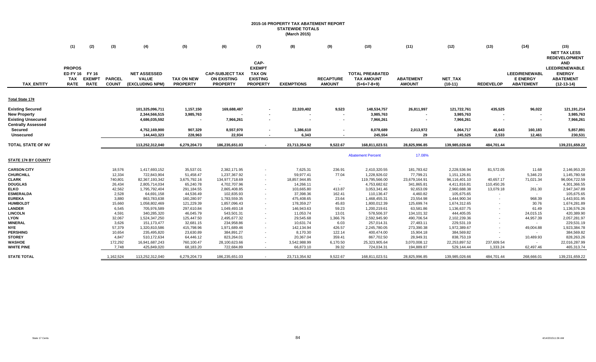### **2015-16 PROPERTY TAX ABATEMENT REPORT STATEWIDE TOTALS (March 2015)**

|                             | (1)                                                          | (2)                          | (3)                           | (4)                                                    | (5)                                  | (6)                                                             | (7)                                                                          | (8)                       | (9)                               | (10)                                                         | (11)                              | (12)                 | (13)                   | (14)                                                        | (15)                                                                                                                                    |
|-----------------------------|--------------------------------------------------------------|------------------------------|-------------------------------|--------------------------------------------------------|--------------------------------------|-----------------------------------------------------------------|------------------------------------------------------------------------------|---------------------------|-----------------------------------|--------------------------------------------------------------|-----------------------------------|----------------------|------------------------|-------------------------------------------------------------|-----------------------------------------------------------------------------------------------------------------------------------------|
| <b>TAX ENTITY</b>           | <b>PROPOS</b><br>ED FY 16 FY 16<br><b>TAX</b><br><b>RATE</b> | <b>EXEMPT</b><br><b>RATE</b> | <b>PARCEL</b><br><b>COUNT</b> | <b>NET ASSESSED</b><br><b>VALUE</b><br>(EXCLUDING NPM) | <b>TAX ON NEW</b><br><b>PROPERTY</b> | <b>CAP-SUBJECT TAX</b><br><b>ON EXISTING</b><br><b>PROPERTY</b> | CAP-<br><b>EXEMPT</b><br><b>TAX ON</b><br><b>EXISTING</b><br><b>PROPERTY</b> | <b>EXEMPTIONS</b>         | <b>RECAPTURE</b><br><b>AMOUNT</b> | <b>TOTAL PREABATED</b><br><b>TAX AMOUNT</b><br>$(5+6+7-8+9)$ | <b>ABATEMENT</b><br><b>AMOUNT</b> | NET_TAX<br>$(10-11)$ | <b>REDEVELOP</b>       | <b>LEED/RENEWABL</b><br><b>E ENERGY</b><br><b>ABATEMENT</b> | <b>NET TAX LESS</b><br><b>REDEVELOPMENT</b><br><b>AND</b><br><b>LEED/RENEWABLE</b><br><b>ENERGY</b><br><b>ABATEMENT</b><br>$(12-13-14)$ |
|                             |                                                              |                              |                               |                                                        |                                      |                                                                 |                                                                              |                           |                                   |                                                              |                                   |                      |                        |                                                             |                                                                                                                                         |
| Total State 17¢             |                                                              |                              |                               |                                                        |                                      |                                                                 |                                                                              |                           |                                   |                                                              |                                   |                      |                        |                                                             |                                                                                                                                         |
| <b>Existing Secured</b>     |                                                              |                              |                               | 101,325,096,711                                        | 1,157,150                            | 169,688,487                                                     |                                                                              | 22,320,402                | 9,523                             | 148,534,757                                                  | 26,811,997                        | 121,722,761          | 435,525                | 96,022                                                      | 121,191,214                                                                                                                             |
| <b>New Property</b>         |                                                              |                              |                               | 2,344,566,515                                          | 3,985,763                            |                                                                 |                                                                              |                           | $\sim$                            | 3,985,763                                                    |                                   | 3,985,763            |                        | $\overline{\phantom{a}}$                                    | 3,985,763                                                                                                                               |
| <b>Existing Unsecured</b>   |                                                              |                              |                               | 4,686,035,592                                          |                                      | 7,966,261                                                       |                                                                              |                           | $\overline{\phantom{a}}$          | 7,966,261                                                    |                                   | 7,966,261            |                        |                                                             | 7,966,261                                                                                                                               |
| <b>Centrally Assessed</b>   |                                                              |                              |                               |                                                        |                                      |                                                                 |                                                                              |                           |                                   |                                                              |                                   |                      |                        |                                                             |                                                                                                                                         |
| Secured                     |                                                              |                              |                               | 4,752,169,900                                          | 907,329                              | 8,557,970                                                       | $\blacksquare$                                                               | 1,386,610                 | $\overline{\phantom{a}}$          | 8,078,689                                                    | 2,013,972                         | 6,064,717            | 46,643                 | 160,183                                                     | 5,857,891                                                                                                                               |
| <b>Unsecured</b>            |                                                              |                              |                               | 144,443,323                                            | 228,963                              | 22,934                                                          |                                                                              | 6,343                     |                                   | 245,554                                                      | 29                                | 245,525              | 2,533                  | 12,461                                                      | 230,531                                                                                                                                 |
|                             |                                                              |                              |                               |                                                        |                                      |                                                                 |                                                                              |                           |                                   |                                                              |                                   |                      |                        |                                                             |                                                                                                                                         |
| <b>TOTAL STATE OF NV</b>    |                                                              |                              |                               | 113,252,312,040                                        | 6,279,204.73                         | 186,235,651.03                                                  |                                                                              | 23,713,354.92             | 9,522.67                          | 168,811,023.51                                               | 28,825,996.85                     | 139,985,026.66       | 484,701.44             |                                                             | 139,231,659.22                                                                                                                          |
|                             |                                                              |                              |                               |                                                        |                                      |                                                                 |                                                                              |                           |                                   |                                                              |                                   |                      |                        |                                                             |                                                                                                                                         |
|                             |                                                              |                              |                               |                                                        |                                      |                                                                 |                                                                              |                           |                                   | <b>Abatement Percent</b>                                     | 17.08%                            |                      |                        |                                                             |                                                                                                                                         |
| <b>STATE 17¢ BY COUNTY</b>  |                                                              |                              |                               |                                                        |                                      |                                                                 |                                                                              |                           |                                   |                                                              |                                   |                      |                        |                                                             |                                                                                                                                         |
| <b>CARSON CITY</b>          |                                                              |                              | 18,576                        | 1,417,693,152                                          | 35,537.01                            | 2,382,171.95                                                    | $\overline{\phantom{a}}$                                                     | 7,625.31                  | 236.91                            | 2,410,320.55                                                 | 181,783.62                        | 2,228,536.94         | 81,572.05              | 11.68                                                       | 2,146,953.20                                                                                                                            |
| <b>CHURCHILL</b>            |                                                              |                              | 12,334                        | 722,843,904                                            | 51,458.47                            | 1,237,367.92                                                    |                                                                              | 59,977.41                 | 77.04                             | 1,228,926.02                                                 | 77,799.21                         | 1,151,126.81         |                        | 5,346.23                                                    | 1,145,780.58                                                                                                                            |
| <b>CLARK</b>                |                                                              |                              | 740,801                       | 82,367,193,342                                         | 3,675,792.16                         | 134,977,718.69                                                  |                                                                              | 18,857,944.85             | $\sim$                            | 119,795,566.00                                               | 23,679,164.91                     | 96,116,401.10        | 40,657.17              | 71,021.34                                                   | 96,004,722.59                                                                                                                           |
| <b>DOUGLAS</b>              |                                                              |                              | 26,434                        | 2,805,714,034                                          | 65,240.78                            | 4,702,707.96                                                    | $\sim$                                                                       | 14,266.11                 | $\sim$                            | 4,753,682.62                                                 | 341,865.81                        | 4,411,816.81         | 110,450.26             | $\sim$                                                      | 4,301,366.55                                                                                                                            |
| <b>ELKO</b>                 |                                                              |                              | 42,562                        | 1,795,792,404                                          | 291,184.55                           | 2,865,408.85                                                    |                                                                              | 103,665.80                | 413.87                            | 3,053,341.46                                                 | 92,653.09                         | 2,960,688.38         | 13,079.18              | 261.30                                                      | 2,947,347.89                                                                                                                            |
| <b>ESMERALDA</b>            |                                                              |                              | 2,528                         | 64,691,158                                             | 44,536.49                            | 102,835.93                                                      |                                                                              | 37,398.36                 | 162.41                            | 110,136.47                                                   | 4,460.82                          | 105,675.65           |                        | $\sim$                                                      | 105,675.65                                                                                                                              |
| <b>EUREKA</b>               |                                                              |                              | 3,880                         | 863,783,638                                            | 160,280.97                           | 1,783,559.35                                                    | $\sim$                                                                       | 475,408.65                | 23.64                             | 1,468,455.31                                                 | 23,554.98                         | 1,444,900.34         |                        | 968.39                                                      | 1,443,931.95                                                                                                                            |
| <b>HUMBOLDT</b>             |                                                              |                              | 15,660                        | 1,058,802,469                                          | 121,229.39                           | 1,857,096.43                                                    |                                                                              | 178,359.27                | 45.83                             | 1,800,012.39                                                 | 125,699.74                        | 1,674,312.65         |                        | 30.76                                                       | 1,674,281.89                                                                                                                            |
| <b>LANDER</b>               |                                                              |                              | 6,545                         | 705,976,589                                            | 297,610.84                           | 1,049,493.18                                                    |                                                                              | 146,943.63                | 59.23                             | 1,200,219.61                                                 | 63,581.86                         | 1,136,637.75         |                        | 61.49                                                       | 1,136,576.26                                                                                                                            |
| <b>LINCOLN</b>              |                                                              |                              | 4,591                         | 340,285,320                                            | 46,045.79                            | 543,501.31                                                      | $\blacksquare$                                                               | 11,053.74                 | 13.01                             | 578,506.37                                                   | 134,101.32                        | 444,405.05           |                        | 24,015.15                                                   | 420,389.90                                                                                                                              |
| <b>LYON</b>                 |                                                              |                              | 32,067                        | 1,524,347,250                                          | 125,447.50                           | 2,495,677.32                                                    |                                                                              | 29,545.68                 | 1,366.76                          | 2,592,945.90                                                 | 490,706.54                        | 2,102,239.36         |                        | 44,957.39                                                   | 2,057,281.97                                                                                                                            |
| <b>MINERAL</b>              |                                                              |                              | 3,626                         | 151, 173, 477                                          | 32,681.15                            | 234,958.86                                                      |                                                                              | 10,631.74                 | 6.03                              | 257,014.31                                                   | 27,483.11                         | 229,531.19           |                        | $\sim$                                                      | 229,531.19                                                                                                                              |
| <b>NYE</b>                  |                                                              |                              | 57,379                        | 1,320,810,586                                          | 415,798.96                           | 1,971,689.46                                                    |                                                                              | 142,134.94                | 426.57                            | 2,245,780.05                                                 | 273,390.38                        | 1,972,389.67         |                        | 49,004.88                                                   | 1,923,384.78                                                                                                                            |
| <b>PERSHING</b>             |                                                              |                              | 10,654                        | 235,495,820                                            | 23,630.89                            | 384,891.27                                                      |                                                                              | 8,170.30                  | 122.14                            | 400,474.00                                                   | 15,904.18                         | 384,569.82           |                        | $\sim$                                                      | 384,569.82                                                                                                                              |
| <b>STOREY</b>               |                                                              |                              | 4,847                         | 510,172,634                                            | 64,446.12                            | 823,264.01                                                      |                                                                              | 20,367.04                 | 359.41                            | 867,702.50                                                   | 28,949.31                         | 838,753.19           |                        | 10,489.93                                                   | 828,263.26                                                                                                                              |
| WASHOE<br><b>WHITE PINE</b> |                                                              |                              | 172,292<br>7,748              | 16,941,687,243<br>425,849,020                          | 760,100.47<br>68,183.20              | 28,100,623.66<br>722,684.89                                     |                                                                              | 3,542,988.99<br>66,873.10 | 6,170.50<br>39.32                 | 25,323,905.64<br>724,034.31                                  | 3,070,008.12<br>194,889.87        | 22,253,897.52        | 237,609.54<br>1,333.24 | $\sim$                                                      | 22,016,287.99<br>465,313.74                                                                                                             |
|                             |                                                              |                              |                               |                                                        |                                      |                                                                 |                                                                              |                           |                                   |                                                              |                                   | 529,144.44           |                        | 62,497.46                                                   |                                                                                                                                         |
| <b>STATE TOTAL</b>          |                                                              |                              | 1,162,524                     | 113,252,312,040                                        | 6,279,204.73                         | 186,235,651.03                                                  |                                                                              | 23,713,354.92             | 9,522.67                          | 168,811,023.51                                               | 28,825,996.85                     | 139,985,026.66       | 484,701.44             | 268,666.01                                                  | 139,231,659.22                                                                                                                          |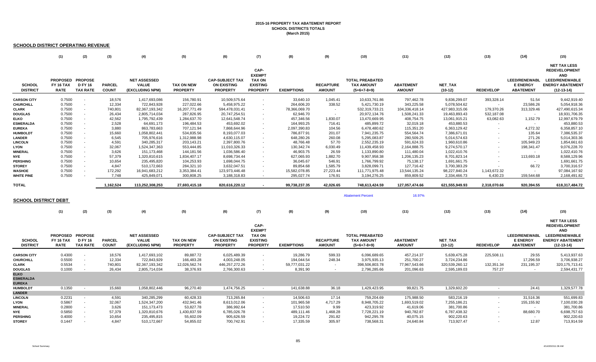### **2015-16 PROPERTY TAX ABATEMENT REPORTSCHOOL DISTRICTS TOTALS (March 2015)**

### **SCHOOLD DISTRICT OPERATING REVENUE**

|                                                  | (1)                                                 | (2)                                                   | (3)                           | (4)                                                    | (5)                                  | (6)                                                             | (7)                                                                          | (8)                     | (9)                               | (10)                                                         | (11)                              | (12)                        | (13)             | (14)                                                        | (15)                                                                                                                          |
|--------------------------------------------------|-----------------------------------------------------|-------------------------------------------------------|-------------------------------|--------------------------------------------------------|--------------------------------------|-----------------------------------------------------------------|------------------------------------------------------------------------------|-------------------------|-----------------------------------|--------------------------------------------------------------|-----------------------------------|-----------------------------|------------------|-------------------------------------------------------------|-------------------------------------------------------------------------------------------------------------------------------|
| <b>SCHOOL</b><br><b>DISTRICT</b>                 | PROPOSED PROPOSE<br><b>FY 16 TAX</b><br><b>RATE</b> | <b>D FY 16</b><br><b>TAX RATE</b>                     | <b>PARCEL</b><br><b>COUNT</b> | <b>NET ASSESSED</b><br><b>VALUE</b><br>(EXCLUDING NPM) | <b>TAX ON NEW</b><br><b>PROPERTY</b> | <b>CAP-SUBJECT TAX</b><br><b>ON EXISTING</b><br><b>PROPERTY</b> | CAP-<br><b>EXEMPT</b><br><b>TAX ON</b><br><b>EXISTING</b><br><b>PROPERTY</b> | <b>EXEMPTIONS</b>       | <b>RECAPTURE</b><br><b>AMOUNT</b> | <b>TOTAL PREABATED</b><br><b>TAX AMOUNT</b><br>$(5+6+7-8+9)$ | <b>ABATEMENT</b><br><b>AMOUNT</b> | <b>NET TAX</b><br>$(10-12)$ | <b>REDEVELOP</b> | <b>LEED/RENEWABL</b><br><b>E ENERGY</b><br><b>ABATEMENT</b> | <b>NET TAX LESS</b><br><b>REDEVELOPMENT</b><br><b>AND</b><br><b>LEED/RENEWABLE</b><br><b>ENERGY ABATEMENT</b><br>$(12-13-14)$ |
| <b>CARSON CITY</b>                               | 0.7500                                              | $\sim$                                                | 18,576                        | 1,417,693,086                                          | 156,780.91                           | 10,509,575.64                                                   |                                                                              | 33,640.10               | 1,045.41                          | 10,633,761.86                                                | 797,462.78                        | 9,836,299.07                | 393,328.14       | 51.54                                                       | 9,442,919.40                                                                                                                  |
| <b>CHURCHILL</b>                                 | 0.7500                                              | $\overline{\phantom{a}}$                              | 12,334                        | 722,843,928                                            | 227,022.66                           | 5,458,975.22                                                    |                                                                              | 264,606.20              | 338.52                            | 5,421,730.19                                                 | 343,225.58                        | 5,078,504.62                | $\sim$           | 23,586.26                                                   | 5,054,918.36                                                                                                                  |
| <b>CLARK</b>                                     | 0.7500                                              | $\sim$                                                | 740,801                       | 82,367,193,342                                         | 16,207,771.49                        | 594,478,031.41                                                  |                                                                              | 78,366,069.70           | $\sim$                            | 532,319,733.21                                               | 104,336,418.14                    | 427,983,315.06              | 179,370.26       | 313,329.46                                                  | 427,490,615.34                                                                                                                |
| <b>DOUGLAS</b>                                   | 0.7500                                              | $\sim$                                                | 26,434                        | 2,805,714,034                                          | 287,826.95                           | 20,747,254.51                                                   |                                                                              | 62,946.70               |                                   | 20,972,134.76                                                | 1,508,241.33                      | 19,463,893.43               | 532,187.08       |                                                             | 18,931,706.35                                                                                                                 |
| <b>ELKO</b>                                      | 0.7500                                              | $\sim$                                                | 42,562                        | 1,795,792,439                                          | 1,284,637.70                         | 12,641,548.74                                                   |                                                                              | 457,346.56              | 1,830.07                          | 13,470,669.95                                                | 408,754.75                        | 13,061,915.21               | 63,082.63        | 1,152.79                                                    | 12,997,679.79                                                                                                                 |
| <b>ESMERALDA</b>                                 | 0.7500                                              | $\sim$                                                | 2,528                         | 64,691,173                                             | 196,484.53                           | 453,692.02                                                      |                                                                              | 164,993.25              | 716.41                            | 485,899.72                                                   | 32,019.18                         | 453,880.53                  | $\sim$           | $\sim$                                                      | 453,880.53                                                                                                                    |
| <b>EUREKA</b>                                    | 0.7500                                              | $\sim$                                                | 3,880                         | 863,783,663                                            | 707,121.94                           | 7,868,644.96                                                    |                                                                              | 2,097,390.83            | 104.56                            | 6,478,480.62                                                 | 115,351.20                        | 6,363,129.42                | $\sim$           | 4,272.32                                                    | 6,358,857.10                                                                                                                  |
| <b>HUMBOLDT</b>                                  | 0.7500                                              | $\sim$                                                | 15,660                        | 1,058,802,441                                          | 534,835.56                           | 8,193,077.03                                                    |                                                                              | 786,877.91              | 201.07                            | 7,941,235.75                                                 | 554,564.74                        | 7,386,671.01                |                  | 135.64                                                      | 7,386,535.37                                                                                                                  |
| <b>LANDER</b>                                    | 0.7500                                              | $\overline{\phantom{a}}$                              | 6,545                         | 705,976,616                                            | 1,312,988.98                         | 4,630,115.07                                                    |                                                                              | 648,280.26              | 260.08                            | 5,295,083.87                                                 | 280,509.25                        | 5,014,574.63                |                  | 271.26                                                      | 5,014,303.36                                                                                                                  |
| <b>LINCOLN</b>                                   | 0.7500                                              | $\overline{\phantom{a}}$                              | 4,591                         | 340,285,317                                            | 203,143.21                           | 2,397,800.76                                                    |                                                                              | 48,766.48               | 57.70                             | 2,552,235.19                                                 | 591,624.33                        | 1,960,610.86                |                  | 105,949.23                                                  | 1,854,661.63                                                                                                                  |
| <b>LYON</b>                                      | 0.7500                                              | $\sim$                                                | 32,067                        | 1,524,347,363                                          | 553,444.85                           | 11,010,326.33                                                   |                                                                              | 130,342.74              | 6,030.49                          | 11,439,458.93                                                | 2,164,888.75                      | 9,274,570.17                |                  | 198,341.47                                                  | 9,076,228.70                                                                                                                  |
| <b>MINERAL</b>                                   | 0.7500                                              | $\sim$                                                | 3,626                         | 151, 173, 468                                          | 144,181.56                           | 1,036,586.40                                                    |                                                                              | 46,903.75               | 26.59                             | 1,133,890.80                                                 | 111,480.04                        | 1,022,410.76                |                  | $\sim$                                                      | 1,022,410.76                                                                                                                  |
| <b>NYE</b>                                       | 0.7500                                              | $\overline{\phantom{a}}$                              | 57,379                        | 1,320,810,615                                          | 1,834,407.17                         | 8,698,734.44                                                    |                                                                              | 627,065.93              | 1,882.70                          | 9,907,958.38                                                 | 1,206,135.23                      | 8,701,823.14                |                  | 113,693.18                                                  | 8,588,129.96                                                                                                                  |
| <b>PERSHING</b>                                  | 0.7500                                              | $\sim$                                                | 10,654                        | 235,495,820                                            | 104,253.93                           | 1,698,044.75                                                    |                                                                              | 36,045.67               | 546.91                            | 1,766,799.92                                                 | 75,138.17                         | 1,691,661.75                |                  | $\sim$                                                      | 1,691,661.75                                                                                                                  |
| <b>STOREY</b>                                    | 0.7500                                              | $\sim$                                                | 4,847                         | 510,172,663                                            | 284,321.10                           | 3,632,047.51                                                    |                                                                              | 89,854.68               | 1,585.79                          | 3,828,099.71                                                 | 127,716.42                        | 3,700,383.29                |                  | 66.72                                                       | 3,700,316.57                                                                                                                  |
| WASHOE                                           | 0.7500                                              | $\sim$                                                | 172,292                       | 16,941,683,212                                         | 3,353,384.41                         | 123,973,446.48                                                  |                                                                              | 15,582,078.85           | 27,223.44                         | 111,771,975.48                                               | 13,544,135.24                     | 98,227,840.24               | 1,143,672.32     |                                                             | 97,084,167.92                                                                                                                 |
| <b>WHITE PINE</b>                                | 0.7500                                              |                                                       | 7,748                         | 425,849,071                                            | 300,808.25                           | 3,188,318.83                                                    |                                                                              | 295,027.74              | 176.91                            | 3,194,276.25                                                 | 859,809.52                        | 2,334,466.73                | 6,430.23         | 159,544.68                                                  | 2,168,491.82                                                                                                                  |
| <b>TOTAL</b>                                     |                                                     |                                                       | 1,162,524                     | 113,252,308,253                                        | 27,693,415.18                        | 820,616,220.12                                                  | $\sim$                                                                       | 99,738,237.35           | 42,026.65                         | 748,613,424.59                                               | 127,057,474.66                    | 621,555,949.93              | 2,318,070.66     | 920,394.55                                                  | 618,317,484.72                                                                                                                |
|                                                  |                                                     |                                                       |                               |                                                        |                                      |                                                                 |                                                                              |                         |                                   |                                                              |                                   |                             |                  |                                                             |                                                                                                                               |
| <b>SCHOOL DISTRICT DEBT</b>                      |                                                     |                                                       |                               |                                                        |                                      |                                                                 |                                                                              |                         |                                   | <b>Abatement Percent</b>                                     | 16.97%                            |                             |                  |                                                             |                                                                                                                               |
|                                                  | (1)                                                 | (2)                                                   | (3)                           | (4)                                                    | (5)                                  | (6)                                                             | (7)                                                                          | (8)                     | (9)                               | (10)                                                         | (11)                              | (12)                        | (13)             | (14)                                                        | (15)                                                                                                                          |
| <b>SCHOOL</b><br><b>DISTRICT</b>                 | <b>FY 16 TAX</b><br><b>RATE</b>                     | PROPOSED PROPOSE<br><b>D FY 16</b><br><b>TAX RATE</b> | <b>PARCEL</b><br><b>COUNT</b> | <b>NET ASSESSED</b><br><b>VALUE</b><br>(EXCLUDING NPM) | <b>TAX ON NEW</b><br><b>PROPERTY</b> | <b>CAP-SUBJECT TAX</b><br><b>ON EXISTING</b><br><b>PROPERTY</b> | CAP-<br><b>EXEMPT</b><br><b>TAX ON</b><br><b>EXISTING</b><br><b>PROPERTY</b> | <b>EXEMPTIONS</b>       | <b>RECAPTURE</b><br><b>AMOUNT</b> | <b>TOTAL PREABATED</b><br><b>TAX AMOUNT</b><br>$(5+6+7-8+9)$ | <b>ABATEMENT</b><br><b>AMOUNT</b> | <b>NET TAX</b><br>$(10-12)$ | <b>REDEVELOP</b> | <b>LEED/RENEWABL</b><br><b>E ENERGY</b><br><b>ABATEMENT</b> | <b>NET TAX LESS</b><br><b>REDEVELOPMENT</b><br><b>AND</b><br><b>LEED/RENEWABLE</b><br><b>ENERGY ABATEMENT</b><br>$(12-13-14)$ |
| <b>CARSON CITY</b>                               | 0.4300                                              | $\overline{\phantom{a}}$                              | 18,576                        | 1,417,693,102                                          | 89,887.72                            | 6,025,489.39                                                    |                                                                              | 19,286.79               | 599.33                            | 6,096,689.65                                                 | 457,214.37                        | 5,639,475.28                | 225,508.11       | 29.55                                                       | 5,413,937.63                                                                                                                  |
| <b>CHURCHILL</b>                                 | 0.5500                                              | $\sim$                                                | 12,334                        | 722,843,929                                            | 166,483.28                           | 4,003,248.05                                                    | $\overline{\phantom{a}}$                                                     | 194,044.54              | 248.34                            | 3,975,935.13                                                 | 251,700.27                        | 3,724,234.86                | $\sim$           | 17,296.59                                                   | 3,706,938.27                                                                                                                  |
| <b>CLARK</b>                                     | 0.5534                                              | $\sim$                                                | 740,801                       | 82,367,193,342                                         | 12,026,562.74                        | 446,257,272.26                                                  |                                                                              | 59,777,031.22           | $\sim$                            | 398,506,803.78                                               | 77,967,543.66                     | 320,539,260.12              | 132,351.34       | 231,195.37                                                  | 320, 175, 713.41                                                                                                              |
| <b>DOUGLAS</b>                                   | 0.1000                                              | $\sim$                                                | 26,434                        | 2,805,714,034                                          | 38,376.93                            | 2,766,300.63                                                    |                                                                              | 8,391.90                | $\blacksquare$                    | 2,796,285.66                                                 | 201,096.63                        | 2,595,189.03                | 757.27           | $\sim$                                                      | 2,594,431.77                                                                                                                  |
| <b>ELKO</b><br><b>ESMERALDA</b><br><b>EUREKA</b> |                                                     |                                                       |                               |                                                        |                                      |                                                                 |                                                                              |                         |                                   |                                                              |                                   |                             |                  |                                                             |                                                                                                                               |
| <b>HUMBOLDT</b>                                  | 0.1350                                              | $\sim$                                                | 15,660                        | 1,058,802,446                                          | 96,270.40                            | 1,474,756.25                                                    | $\sim$                                                                       | 141,638.88              | 36.18                             | 1,429,423.95                                                 | 99,821.75                         | 1,329,602.20                | $\sim$           | 24.41                                                       | 1,329,577.78                                                                                                                  |
| LANDER                                           |                                                     |                                                       |                               |                                                        |                                      |                                                                 |                                                                              |                         |                                   |                                                              |                                   |                             |                  |                                                             |                                                                                                                               |
| <b>LINCOLN</b>                                   | 0.2231                                              | $\sim$                                                | 4,591                         | 340,285,299                                            | 60,428.33                            | 713,265.84                                                      |                                                                              | 14,506.63               | 17.14                             | 759,204.69                                                   | 175,988.50                        | 583,216.19                  | $\sim$           | 31,516.36                                                   | 551,699.83                                                                                                                    |
|                                                  |                                                     |                                                       |                               |                                                        |                                      |                                                                 |                                                                              |                         |                                   |                                                              |                                   |                             |                  |                                                             |                                                                                                                               |
| <b>LYON</b><br><b>MINERAL</b>                    | 0.5867<br>0.2800                                    | $\sim$                                                | 32,067<br>3,626               | 1,524,347,200<br>151, 173, 473                         | 432,941.46<br>53,827.78              | 8,613,012.06<br>386,992.64                                      |                                                                              | 101,965.58<br>17,510.50 | 4,717.29<br>9.99                  | 8,948,705.22<br>423,319.92                                   | 1,693,519.02<br>41,619.06         | 7,255,186.21<br>381,700.86  |                  | 155, 155.92                                                 | 7,100,030.28<br>381,700.86                                                                                                    |

**NYE** 0.5850 -

**PERSHING** -

**STOREY** -

0.5850 57,379 1,320,810,676 1,430,837.59 6,785,026.78 - 489,111.46 1,468.28 7,728,221.19 940,782.87 6,787,438.32 - 88,680.70 6,698,757.63

0.4000 10,654 235,495,815 55,602.09 905,626.59 - 19,224.72 291.82 942,295.78 40,075.15 902,220.63 - - 902,220.63

0.1447 4,847 510,172,667 54,855.02 700,742.91 - 17,335.59 305.97 738,568.31 24,640.84 713,927.47 - 12.87 713,914.59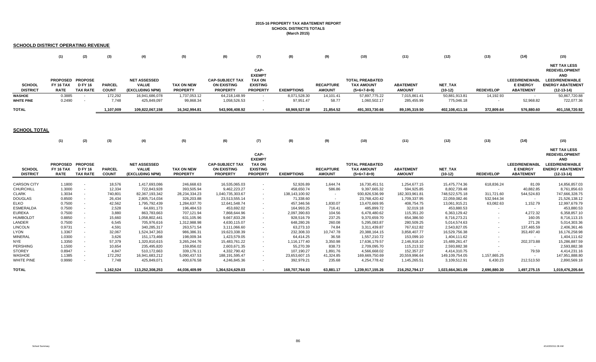#### **2015-16 PROPERTY TAX ABATEMENT REPORT SCHOOL DISTRICTS TOTALS (March 2015)**

### **SCHOOLD DISTRICT OPERATING REVENUE**

|                                    | (1)                                                 | (2)                               |                               |                                                        | (5)                                  | (6)                                                             |                                                                              | (8)                       |                                   | (10)                                                         | (11)                              | (12)                        | (13)             | (14)                                                        | (15)                                                                                                                          |
|------------------------------------|-----------------------------------------------------|-----------------------------------|-------------------------------|--------------------------------------------------------|--------------------------------------|-----------------------------------------------------------------|------------------------------------------------------------------------------|---------------------------|-----------------------------------|--------------------------------------------------------------|-----------------------------------|-----------------------------|------------------|-------------------------------------------------------------|-------------------------------------------------------------------------------------------------------------------------------|
| SCHOOL<br><b>DISTRICT</b>          | PROPOSED PROPOSE<br><b>FY 16 TAX</b><br><b>RATE</b> | <b>D FY 16</b><br><b>TAX RATE</b> | <b>PARCEL</b><br><b>COUN1</b> | <b>NET ASSESSED</b><br><b>VALUE</b><br>(EXCLUDING NPM) | <b>TAX ON NEW</b><br><b>PROPERTY</b> | <b>CAP-SUBJECT TAX</b><br><b>ON EXISTING</b><br><b>PROPERTY</b> | CAP-<br><b>EXEMPT</b><br><b>TAX ON</b><br><b>EXISTING</b><br><b>PROPERTY</b> | <b>EXEMPTIONS</b>         | <b>RECAPTURE</b><br><b>AMOUNT</b> | <b>TOTAL PREABATED</b><br><b>TAX AMOUNT</b><br>$(5+6+7-8+9)$ | <b>ABATEMENT</b><br><b>AMOUNT</b> | NET TAX<br>$(10-12)$        | <b>REDEVELOP</b> | <b>LEED/RENEWABL</b><br><b>E ENERGY</b><br><b>ABATEMENT</b> | <b>NET TAX LESS</b><br><b>REDEVELOPMENT</b><br><b>AND</b><br><b>LEED/RENEWABLE</b><br><b>ENERGY ABATEMENT</b><br>$(12-13-14)$ |
| <b>WASHOE</b><br><b>WHITE PINE</b> | 0.3885<br>0.2490                                    |                                   | 172,292<br>7.748              | 16,941,686,078<br>425,849,097                          | 1,737,053.12<br>99,868.34            | 64,218,148.99<br>1,058,526.53                                   |                                                                              | 8.071.528.30<br>97,951.47 | 14,101.41<br>58.77                | 57,897,775.22<br>1,060,502.17                                | 7,015,861.41<br>285,455.99        | 50,881,913.81<br>775,046.18 | 14,192.93        | 52,968.82                                                   | 50,867,720.88<br>722,077.36                                                                                                   |
| <b>TOTAL</b>                       |                                                     |                                   | 1.107.009                     | 109.822.067.158                                        | 16.342.994.81                        | 543.908.408.92                                                  |                                                                              | 68.969.527.58             | 21.854.52                         | 491.303.730.66                                               | 89,195,319.50                     | 402.108.411.16              | 372.809.64       | 576.880.60                                                  | 401,158,720.92                                                                                                                |

#### **SCHOOL TOTAL**

|                                  | (1)                                          | (2)                               | (3)                           | (4)                                                    | (5)                                  | (6)                                                             | (7)                                                                          | (8)               | (9)                               | (10)                                                         | (11)                              | (12)                        | (13)             | (14)                                                        | (15)                                                                                                                          |
|----------------------------------|----------------------------------------------|-----------------------------------|-------------------------------|--------------------------------------------------------|--------------------------------------|-----------------------------------------------------------------|------------------------------------------------------------------------------|-------------------|-----------------------------------|--------------------------------------------------------------|-----------------------------------|-----------------------------|------------------|-------------------------------------------------------------|-------------------------------------------------------------------------------------------------------------------------------|
| <b>SCHOOL</b><br><b>DISTRICT</b> | PROPOSED PROPOSE<br>FY 16 TAX<br><b>RATE</b> | <b>D FY 16</b><br><b>TAX RATE</b> | <b>PARCEL</b><br><b>COUNT</b> | <b>NET ASSESSED</b><br><b>VALUE</b><br>(EXCLUDING NPM) | <b>TAX ON NEW</b><br><b>PROPERTY</b> | <b>CAP-SUBJECT TA)</b><br><b>ON EXISTING</b><br><b>PROPERTY</b> | CAP-<br><b>EXEMPT</b><br><b>TAX ON</b><br><b>EXISTING</b><br><b>PROPERTY</b> | <b>EXEMPTIONS</b> | <b>RECAPTURE</b><br><b>AMOUNT</b> | <b>TOTAL PREABATED</b><br><b>TAX AMOUNT</b><br>$(5+6+7-8+9)$ | <b>ABATEMENT</b><br><b>AMOUNT</b> | <b>NET TAX</b><br>$(10-12)$ | <b>REDEVELOP</b> | <b>LEED/RENEWABL</b><br><b>E ENERGY</b><br><b>ABATEMENT</b> | <b>NET TAX LESS</b><br><b>REDEVELOPMENT</b><br><b>AND</b><br><b>LEED/RENEWABLE</b><br><b>ENERGY ABATEMENT</b><br>$(12-13-14)$ |
| <b>CARSON CITY</b>               | 1.1800                                       | $\overline{\phantom{a}}$          | 18,576                        | 1,417,693,086                                          | 246,668.63                           | 16,535,065.03                                                   |                                                                              | 52,926.89         | 1,644.74                          | 16,730,451.51                                                | 1,254,677.15                      | 15,475,774.36               | 618,836.24       | 81.09                                                       | 14,856,857.03                                                                                                                 |
| <b>CHURCHILL</b>                 | 1.3000                                       | $\sim$                            | 12,334                        | 722,843,928                                            | 393,505.94                           | 9,462,223.27                                                    |                                                                              | 458,650.74        | 586.86                            | 9,397,665.32                                                 | 594,925.85                        | 8,802,739.48                |                  | 40,882.85                                                   | 8,761,856.63                                                                                                                  |
| <b>CLARK</b>                     | 1.3034                                       |                                   | 740,801                       | 82,367,193,342                                         | 28,234,334.23                        | 1,040,735,303.67                                                |                                                                              | 138,143,100.92    | $\sim$                            | 930,826,536.99                                               | 182,303,961.81                    | 748,522,575.18              | 311.721.60       | 544,524.83                                                  | 747,666,328.75                                                                                                                |
| <b>DOUGLAS</b>                   | 0.8500                                       | $\overline{\phantom{a}}$          | 26,434                        | 2,805,714,034                                          | 326,203.88                           | 23,513,555.14                                                   |                                                                              | 71,338.60         |                                   | 23,768,420.42                                                | 1,709,337.95                      | 22,059,082.46               | 532,944.34       | $\sim$                                                      | 21,526,138.12                                                                                                                 |
| <b>ELKO</b>                      | 0.7500                                       | $\overline{\phantom{a}}$          | 42,562                        | 1,795,792,439                                          | 1,284,637.70                         | 12,641,548.74                                                   |                                                                              | 457,346.56        | 1,830.07                          | 13,470,669.95                                                | 408,754.75                        | 13,061,915.21               | 63,082.63        | 1,152.79                                                    | 12,997,679.79                                                                                                                 |
| <b>ESMERALDA</b>                 | 0.7500                                       | $\overline{\phantom{a}}$          | 2,528                         | 64,691,173                                             | 196,484.53                           | 453,692.02                                                      |                                                                              | 164,993.25        | 716.41                            | 485,899.72                                                   | 32,019.18                         | 453,880.53                  |                  |                                                             | 453,880.53                                                                                                                    |
| <b>EUREKA</b>                    | 0.7500                                       | $\overline{\phantom{a}}$          | 3,880                         | 863,783,663                                            | 707,121.94                           | 7,868,644.96                                                    | $\sim$                                                                       | 2,097,390.83      | 104.56                            | 6,478,480.62                                                 | 115,351.20                        | 6,363,129.42                | $\sim$           | 4,272.32                                                    | 6,358,857.10                                                                                                                  |
| <b>HUMBOLDT</b>                  | 0.8850                                       | $\overline{\phantom{a}}$          | 15,660                        | 1,058,802,441                                          | 631,105.96                           | 9,667,833.28                                                    | $\sim$                                                                       | 928,516.79        | 237.25                            | 9,370,659.70                                                 | 654,386.50                        | 8,716,273.21                | $\sim$           | 160.05                                                      | 8,716,113.15                                                                                                                  |
| LANDER                           | 0.7500                                       | $\sim$                            | 6,545                         | 705,976,616                                            | 1,312,988.98                         | 4,630,115.07                                                    | $\sim$                                                                       | 648,280.26        | 260.08                            | 5,295,083.87                                                 | 280,509.25                        | 5,014,574.63                | $\sim$           | 271.26                                                      | 5,014,303.36                                                                                                                  |
| <b>LINCOLN</b>                   | 0.9731                                       | $\sim$                            | 4,591                         | 340,285,317                                            | 263,571.54                           | 3,111,066.60                                                    |                                                                              | 63,273.10         | 74.84                             | 3,311,439.87                                                 | 767,612.82                        | 2,543,827.05                | $\sim$           | 137,465.59                                                  | 2,406,361.46                                                                                                                  |
| LYON                             | 1.3367                                       | $\sim$                            | 32,067                        | 1,524,347,363                                          | 986,386.31                           | 19,623,338.39                                                   |                                                                              | 232,308.33        | 10,747.78                         | 20,388,164.15                                                | 3,858,407.77                      | 16,529,756.38               | $\sim$           | 353,497.40                                                  | 16,176,258.98                                                                                                                 |
| <b>MINERAL</b>                   | 1.0300                                       | $\sim$                            | 3,626                         | 151, 173, 468                                          | 198,009.34                           | 1,423,579.05                                                    |                                                                              | 64,414.25         | 36.58                             | 1,557,210.72                                                 | 153,099.10                        | 1,404,111.62                |                  |                                                             | 1,404,111.62                                                                                                                  |
| <b>NYE</b>                       | 1.3350                                       | $\sim$                            | 57,379                        | 1,320,810,615                                          | 3,265,244.76                         | 15,483,761.22                                                   |                                                                              | 1,116,177.40      | 3,350.98                          | 17,636,179.57                                                | 2,146,918.10                      | 15,489,261.47               | $\sim$           | 202,373.88                                                  | 15,286,887.59                                                                                                                 |
| PERSHING                         | 1.1500                                       | $\sim$                            | 10,654                        | 235,495,820                                            | 159,856.02                           | 2,603,671.35                                                    |                                                                              | 55,270.39         | 838.73                            | 2,709,095.70                                                 | 115,213.32                        | 2,593,882.38                |                  |                                                             | 2,593,882.38                                                                                                                  |
| <b>STOREY</b>                    | 0.8947                                       | $\sim$                            | 4,847                         | 510,172,663                                            | 339,176.11                           | 4,332,790.42                                                    | $\sim$                                                                       | 107,190.27        | 1,891.76                          | 4,566,668.02                                                 | 152,357.27                        | 4,414,310.75                |                  | 79.59                                                       | 4,414,231.16                                                                                                                  |
| <b>WASHOE</b>                    | 1.1385                                       |                                   | 172,292                       | 16,941,683,212                                         | 5,090,437.53                         | 188, 191, 595. 47                                               |                                                                              | 23,653,607.15     | 41,324.85                         | 169,669,750.69                                               | 20,559,996.64                     | 149,109,754.05              | 1,157,865.25     |                                                             | 147,951,888.80                                                                                                                |
| WHITE PINE                       | 0.9990                                       | $\overline{\phantom{a}}$          | 7,748                         | 425,849,071                                            | 400,676.58                           | 4,246,845.36                                                    |                                                                              | 392,979.21        | 235.68                            | 4,254,778.42                                                 | 1,145,265.51                      | 3,109,512.91                | 6,430.23         | 212,513.50                                                  | 2,890,569.18                                                                                                                  |
| <b>TOTAL</b>                     |                                              |                                   | 1,162,524                     | 113,252,308,253                                        | 44,036,409.99                        | 1,364,524,629.03                                                |                                                                              | 168,707,764.93    | 63,881.17                         | 1,239,917,155.26                                             | 216,252,794.17                    | 1,023,664,361.09            | 2,690,880.30     | 1,497,275.15                                                | 1,019,476,205.64                                                                                                              |